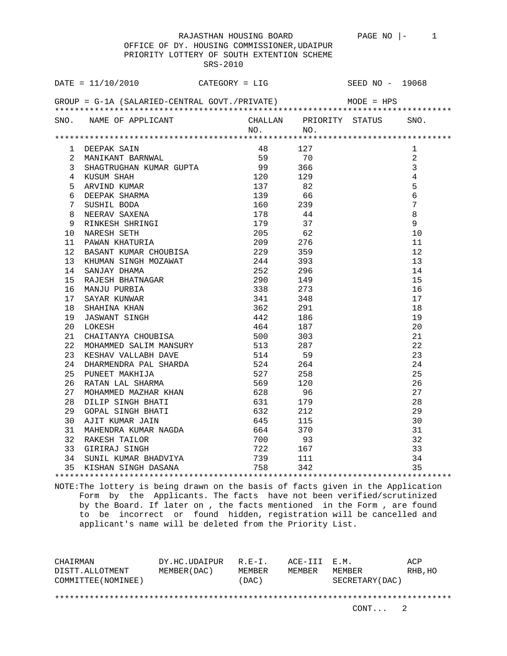## OFFICE OF DY. HOUSING COMMISSIONER,UDAIPUR PRIORITY LOTTERY OF SOUTH EXTENTION SCHEME SRS-2010

|    | DATE = $11/10/2010$ CATEGORY = LIG SEED NO - 19068<br>GROUP = G-1A (SALARIED-CENTRAL GOVT./PRIVATE) MODE = HPS                                                                                                                                             |  |             |                |
|----|------------------------------------------------------------------------------------------------------------------------------------------------------------------------------------------------------------------------------------------------------------|--|-------------|----------------|
|    |                                                                                                                                                                                                                                                            |  |             |                |
|    | SNO. NAME OF APPLICANT CHALLAN PRIORITY STATUS SNO.                                                                                                                                                                                                        |  | $NO.$ $NO.$ |                |
|    |                                                                                                                                                                                                                                                            |  |             |                |
|    |                                                                                                                                                                                                                                                            |  |             | $\mathbf{1}$   |
|    | 1 DEEPAK SAIN 18<br>2 MANIKANT BARWAL 18<br>2 MANIKANT BARWAL 15<br>5 70<br>3 SHAGTRUGHAN KUMAR GUPTA 199<br>5 70<br>4 KUSUM SHAH 120<br>5 ARVIND KUMAR 139<br>6 6<br>6 DEEPAK SHARNA 139<br>6 6<br>7 SUSHIL BODA 137<br>8 6<br>7 SUSHIL BODA 199<br>8 NEE |  |             | $\overline{a}$ |
|    |                                                                                                                                                                                                                                                            |  |             | $\overline{3}$ |
|    |                                                                                                                                                                                                                                                            |  |             | $\overline{4}$ |
|    |                                                                                                                                                                                                                                                            |  |             | 5              |
|    |                                                                                                                                                                                                                                                            |  |             | $6\phantom{a}$ |
|    |                                                                                                                                                                                                                                                            |  |             | $\overline{7}$ |
|    |                                                                                                                                                                                                                                                            |  |             | 8              |
|    |                                                                                                                                                                                                                                                            |  |             | $\overline{9}$ |
|    |                                                                                                                                                                                                                                                            |  |             | 10             |
|    |                                                                                                                                                                                                                                                            |  |             | 11             |
|    |                                                                                                                                                                                                                                                            |  |             | 12             |
|    |                                                                                                                                                                                                                                                            |  |             | 13             |
|    |                                                                                                                                                                                                                                                            |  |             | 14             |
|    |                                                                                                                                                                                                                                                            |  |             | 15             |
|    |                                                                                                                                                                                                                                                            |  |             | 16             |
|    |                                                                                                                                                                                                                                                            |  |             | 17             |
|    |                                                                                                                                                                                                                                                            |  |             | 18             |
|    |                                                                                                                                                                                                                                                            |  |             | 19             |
|    |                                                                                                                                                                                                                                                            |  |             | 20             |
|    |                                                                                                                                                                                                                                                            |  |             | 21             |
| 22 |                                                                                                                                                                                                                                                            |  |             | 22             |
| 23 |                                                                                                                                                                                                                                                            |  |             | 23             |
| 24 |                                                                                                                                                                                                                                                            |  |             | 24             |
| 25 |                                                                                                                                                                                                                                                            |  |             | 25             |
| 26 |                                                                                                                                                                                                                                                            |  |             | 26             |
| 27 |                                                                                                                                                                                                                                                            |  |             | 27             |
| 28 |                                                                                                                                                                                                                                                            |  |             | 28             |
| 29 |                                                                                                                                                                                                                                                            |  |             | 29             |
| 30 |                                                                                                                                                                                                                                                            |  |             | 30             |
| 31 |                                                                                                                                                                                                                                                            |  |             | 31             |
| 32 |                                                                                                                                                                                                                                                            |  |             | 32             |
| 33 |                                                                                                                                                                                                                                                            |  |             | 33             |
| 34 |                                                                                                                                                                                                                                                            |  |             | 34             |
| 35 | ESHAV VALLABH DAVE 514 59<br>DHARMENDRA PAL SHARDA 524 264<br>PUNEET MAKHIJA 527 258<br>RATAN LAL SHARMA 569 120<br>MOHAMMED MAZHAR KHAN 628 96<br>DILIP SINGH BHATI 631 179<br>GOPAL SINGH BHATI 632 212<br>AJIT KUMAR JAIN 645 115<br>MAHEND             |  |             | 35             |

NOTE:The lottery is being drawn on the basis of facts given in the Application Form by the Applicants. The facts have not been verified/scrutinized by the Board. If later on , the facts mentioned in the Form , are found to be incorrect or found hidden, registration will be cancelled and applicant's name will be deleted from the Priority List.

\*\*\*\*\*\*\*\*\*\*\*\*\*\*\*\*\*\*\*\*\*\*\*\*\*\*\*\*\*\*\*\*\*\*\*\*\*\*\*\*\*\*\*\*\*\*\*\*\*\*\*\*\*\*\*\*\*\*\*\*\*\*\*\*\*\*\*\*\*\*\*\*\*\*\*\*\*\*\*\*

| CHAIRMAN            | DY.HC.UDAIPUR | $R. E-T.$ | ACE-III E.M. |                 | ACP      |
|---------------------|---------------|-----------|--------------|-----------------|----------|
| DISTT.ALLOTMENT     | MEMBER (DAC)  | MEMBER    | MEMBER       | MEMBER          | RHB , HO |
| COMMITTEE (NOMINEE) |               | (DAC)     |              | SECRETARY (DAC) |          |
|                     |               |           |              |                 |          |
|                     |               |           |              |                 |          |
|                     |               |           |              | CONT. 2         |          |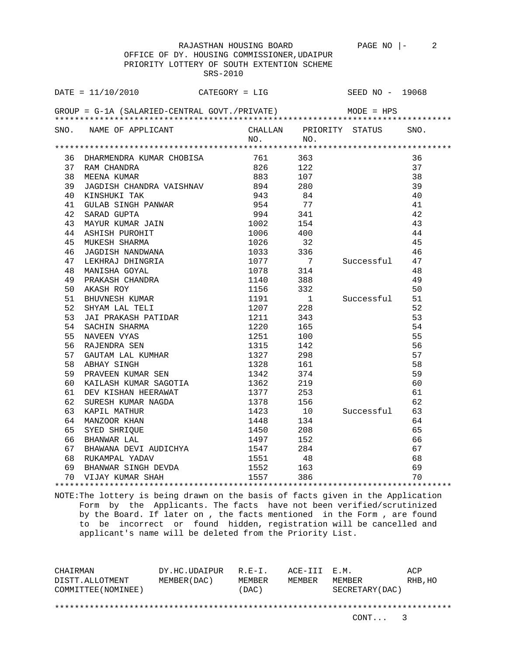OFFICE OF DY. HOUSING COMMISSIONER,UDAIPUR PRIORITY LOTTERY OF SOUTH EXTENTION SCHEME SRS-2010 DATE = 11/10/2010 CATEGORY = LIG SEED NO - 19068 GROUP = G-1A (SALARIED-CENTRAL GOVT./PRIVATE) MODE = HPS \*\*\*\*\*\*\*\*\*\*\*\*\*\*\*\*\*\*\*\*\*\*\*\*\*\*\*\*\*\*\*\*\*\*\*\*\*\*\*\*\*\*\*\*\*\*\*\*\*\*\*\*\*\*\*\*\*\*\*\*\*\*\*\*\*\*\*\*\*\*\*\*\*\*\*\*\*\*\*\* SNO. NAME OF APPLICANT CHALLAN PRIORITY STATUS SNO.<br>NO. NO. NO. NO. \*\*\*\*\*\*\*\*\*\*\*\*\*\*\*\*\*\*\*\*\*\*\*\*\*\*\*\*\*\*\*\*\*\*\*\*\*\*\*\*\*\*\*\*\*\*\*\*\*\*\*\*\*\*\*\*\*\*\*\*\*\*\*\*\*\*\*\*\*\*\*\*\*\*\*\*\*\*\*\* 36 DHARMENDRA KUMAR CHOBISA 761 363 36 37 RAM CHANDRA 826 122 37 38 MEENA KUMAR 883 107 38 39 JAGDISH CHANDRA VAISHNAV 894 280 39 40 KINSHUKI TAK 943 84 40 41 GULAB SINGH PANWAR 954 77 41 42 SARAD GUPTA 994 341 42 43 MAYUR KUMAR JAIN 1002 154 43 44 ASHISH PUROHIT 1006 400 44 45 MUKESH SHARMA 1026 32 45 46 JAGDISH NANDWANA 1033 336 46 47 LEKHRAJ DHINGRIA 1077 7 Successful 47 48 MANISHA GOYAL 1078 314 48 49 PRAKASH CHANDRA 1140 388 49 50 AKASH ROY 1156 332 50 51 BHUVNESH KUMAR 1191 1191 1 Successful 51 52 SHYAM LAL TELI 1207 228 52 53 JAI PRAKASH PATIDAR 1211 343 53 54 SACHIN SHARMA 1220 165 54 55 NAVEEN VYAS 1251 100 55 56 RAJENDRA SEN 1315 142 56 57 GAUTAM LAL KUMHAR 1327 298 57 58 ABHAY SINGH 1328 161 58 59 PRAVEEN KUMAR SEN 1342 374 59 60 KAILASH KUMAR SAGOTIA 1362 219 60 61 DEV KISHAN HEERAWAT 1377 253 61 62 SURESH KUMAR NAGDA 1378 156 62 63 KAPIL MATHUR 1423 10 Successful 63 64 MANZOOR KHAN 1448 134 64 65 SYED SHRIQUE 1450 208 65 66 BHANWAR LAL 1497 152 66 67 BHAWANA DEVI AUDICHYA 1547 284 67 68 RUKAMPAL YADAV 1551 48 68 69 BHANWAR SINGH DEVDA 1552 163 69 70 VIJAY KUMAR SHAH 1557 386 70

\*\*\*\*\*\*\*\*\*\*\*\*\*\*\*\*\*\*\*\*\*\*\*\*\*\*\*\*\*\*\*\*\*\*\*\*\*\*\*\*\*\*\*\*\*\*\*\*\*\*\*\*\*\*\*\*\*\*\*\*\*\*\*\*\*\*\*\*\*\*\*\*\*\*\*\*\*\*\*\* NOTE:The lottery is being drawn on the basis of facts given in the Application Form by the Applicants. The facts have not been verified/scrutinized by the Board. If later on , the facts mentioned in the Form , are found to be incorrect or found hidden, registration will be cancelled and applicant's name will be deleted from the Priority List.

CHAIRMAN DY.HC.UDAIPUR R.E-I. ACE-III E.M. ACP DISTT.ALLOTMENT MEMBER(DAC) MEMBER MEMBER MEMBER RHB,HO COMMITTEE(NOMINEE) (DAC) SECRETARY(DAC) \*\*\*\*\*\*\*\*\*\*\*\*\*\*\*\*\*\*\*\*\*\*\*\*\*\*\*\*\*\*\*\*\*\*\*\*\*\*\*\*\*\*\*\*\*\*\*\*\*\*\*\*\*\*\*\*\*\*\*\*\*\*\*\*\*\*\*\*\*\*\*\*\*\*\*\*\*\*\*\*

RAJASTHAN HOUSING BOARD PAGE NO  $\vert - \vert$  2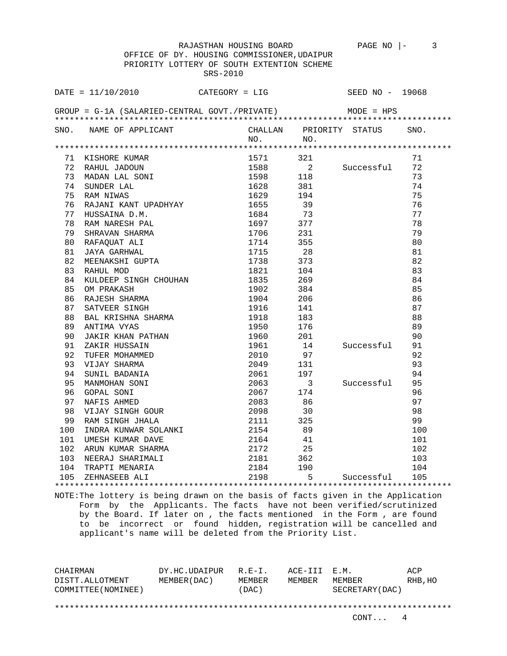PRIORITY LOTTERY OF SOUTH EXTENTION SCHEME SRS-2010 DATE = 11/10/2010 CATEGORY = LIG SEED NO - 19068 GROUP = G-1A (SALARIED-CENTRAL GOVT./PRIVATE) MODE = HPS \*\*\*\*\*\*\*\*\*\*\*\*\*\*\*\*\*\*\*\*\*\*\*\*\*\*\*\*\*\*\*\*\*\*\*\*\*\*\*\*\*\*\*\*\*\*\*\*\*\*\*\*\*\*\*\*\*\*\*\*\*\*\*\*\*\*\*\*\*\*\*\*\*\*\*\*\*\*\*\* SNO. NAME OF APPLICANT CHALLAN PRIORITY STATUS SNO.<br>NO. NO. NO. NO. \*\*\*\*\*\*\*\*\*\*\*\*\*\*\*\*\*\*\*\*\*\*\*\*\*\*\*\*\*\*\*\*\*\*\*\*\*\*\*\*\*\*\*\*\*\*\*\*\*\*\*\*\*\*\*\*\*\*\*\*\*\*\*\*\*\*\*\*\*\*\*\*\*\*\*\*\*\*\*\* 71 KISHORE KUMAR 1571 321 71 72 RAHUL JADOUN 1588 2 Successful 72 73 MADAN LAL SONI 1598 118 73 74 SUNDER LAL 1628 381 74 75 RAM NIWAS 1629 194 75 76 RAJANI KANT UPADHYAY 1655 39 76 77 HUSSAINA D.M. 1684 73 77 78 RAM NARESH PAL 1697 377 78 79 SHRAVAN SHARMA 1706 231 79 80 RAFAQUAT ALI 1714 355 80 81 JAYA GARHWAL 1715 28 81 82 MEENAKSHI GUPTA 1738 373 82 83 RAHUL MOD 1821 104 83 84 KULDEEP SINGH CHOUHAN 1835 269 84 85 OM PRAKASH 1902 384 85 86 RAJESH SHARMA 1904 206 86 87 SATVEER SINGH 1916 141 27 87 88 BAL KRISHNA SHARMA 1918 183 88 89 ANTIMA VYAS 1950 176 89 90 JAKIR KHAN PATHAN 1960 201 90 91 ZAKIR HUSSAIN 1961 14 Successful 91 92 TUFER MOHAMMED 2010 97 92 93 VIJAY SHARMA 2049 131 93 94 SUNIL BADANIA 2061 197 94 95 MANMOHAN SONI 2063 3 Successful 95 96 GOPAL SONI 2067 174 96 97 NAFIS AHMED 2083 86 97 98 VIJAY SINGH GOUR 2098 30 98 99 RAM SINGH JHALA 2111 325 99 100 INDRA KUNWAR SOLANKI 2154 89 100 101 UMESH KUMAR DAVE 2164 41 101 102 ARUN KUMAR SHARMA 2172 25 102 103 NEERAJ SHARIMALI 2181 362 103 104 TRAPTI MENARIA 2184 190 104 105 ZEHNASEEB ALI 2198 5 Successful 105 \*\*\*\*\*\*\*\*\*\*\*\*\*\*\*\*\*\*\*\*\*\*\*\*\*\*\*\*\*\*\*\*\*\*\*\*\*\*\*\*\*\*\*\*\*\*\*\*\*\*\*\*\*\*\*\*\*\*\*\*\*\*\*\*\*\*\*\*\*\*\*\*\*\*\*\*\*\*\*\*

NOTE:The lottery is being drawn on the basis of facts given in the Application Form by the Applicants. The facts have not been verified/scrutinized by the Board. If later on , the facts mentioned in the Form , are found to be incorrect or found hidden, registration will be cancelled and applicant's name will be deleted from the Priority List.

CHAIRMAN DY.HC.UDAIPUR R.E-I. ACE-III E.M. ACP DISTT.ALLOTMENT MEMBER(DAC) MEMBER MEMBER MEMBER RHB,HO COMMITTEE(NOMINEE) (DAC) SECRETARY(DAC) \*\*\*\*\*\*\*\*\*\*\*\*\*\*\*\*\*\*\*\*\*\*\*\*\*\*\*\*\*\*\*\*\*\*\*\*\*\*\*\*\*\*\*\*\*\*\*\*\*\*\*\*\*\*\*\*\*\*\*\*\*\*\*\*\*\*\*\*\*\*\*\*\*\*\*\*\*\*\*\*

## RAJASTHAN HOUSING BOARD PAGE NO  $|-$  3 OFFICE OF DY. HOUSING COMMISSIONER,UDAIPUR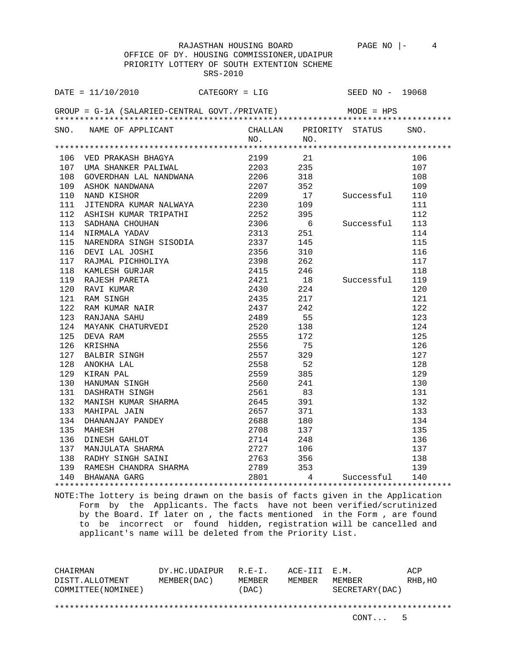OFFICE OF DY. HOUSING COMMISSIONER,UDAIPUR PRIORITY LOTTERY OF SOUTH EXTENTION SCHEME SRS-2010

|     | $DATA = 11/10/2010$                                                                                                                                                                                                                                    |         | $CATEGORY = LIG$                            | SEED NO - 19068         |      |
|-----|--------------------------------------------------------------------------------------------------------------------------------------------------------------------------------------------------------------------------------------------------------|---------|---------------------------------------------|-------------------------|------|
|     | GROUP = $G-1A$ (SALARIED-CENTRAL GOVT./PRIVATE) MODE = HPS                                                                                                                                                                                             |         |                                             |                         |      |
|     | SNO. NAME OF APPLICANT                                                                                                                                                                                                                                 | NO.     | NO.                                         | CHALLAN PRIORITY STATUS | SNO. |
|     |                                                                                                                                                                                                                                                        |         |                                             |                         |      |
|     | 106 VED PRAKASH BHAGYA                                                                                                                                                                                                                                 | 2199 21 |                                             |                         | 106  |
|     | 107 UMA SHANKER PALIWAL 2203 235                                                                                                                                                                                                                       |         |                                             |                         | 107  |
| 108 |                                                                                                                                                                                                                                                        |         |                                             |                         | 108  |
|     | GOVERDHAN LAL NANDWANA $2206$ 318<br>ASHOK NANDWANA $2207$ 352<br>NAND KISHOR 2209 17 Successful<br>109 ASHOK NANDWANA 2207 352<br>110 NAND KISHOR 2209 17<br>111 JITENDRA KUMAR NALWAYA 2230 109                                                      |         |                                             |                         | 109  |
|     |                                                                                                                                                                                                                                                        |         |                                             |                         | 110  |
|     |                                                                                                                                                                                                                                                        |         |                                             |                         | 111  |
| 112 |                                                                                                                                                                                                                                                        |         | 395                                         |                         | 112  |
| 113 | ASHISH KUMAR TRIPATHI (2252)<br>SADHANA CHOUHAN (2306)<br>NIRMALA YADAV (2313)                                                                                                                                                                         |         | $\begin{array}{c} -5 \\ 6 \\ 6 \end{array}$ | Successful              | 113  |
| 114 |                                                                                                                                                                                                                                                        |         |                                             |                         | 114  |
| 115 |                                                                                                                                                                                                                                                        |         |                                             |                         | 115  |
|     |                                                                                                                                                                                                                                                        |         |                                             |                         | 116  |
|     |                                                                                                                                                                                                                                                        |         |                                             |                         | 117  |
|     |                                                                                                                                                                                                                                                        |         | 246                                         |                         | 118  |
|     |                                                                                                                                                                                                                                                        |         |                                             | 18 Successful           | 119  |
|     |                                                                                                                                                                                                                                                        |         |                                             |                         | 120  |
|     |                                                                                                                                                                                                                                                        |         |                                             |                         | 121  |
|     |                                                                                                                                                                                                                                                        |         |                                             |                         | 122  |
|     |                                                                                                                                                                                                                                                        |         |                                             |                         | 123  |
|     |                                                                                                                                                                                                                                                        |         |                                             |                         | 124  |
|     |                                                                                                                                                                                                                                                        |         |                                             |                         | 125  |
|     |                                                                                                                                                                                                                                                        |         |                                             |                         | 126  |
|     |                                                                                                                                                                                                                                                        |         |                                             |                         | 127  |
|     |                                                                                                                                                                                                                                                        |         |                                             |                         | 128  |
|     |                                                                                                                                                                                                                                                        |         |                                             |                         | 129  |
|     |                                                                                                                                                                                                                                                        |         |                                             |                         | 130  |
|     |                                                                                                                                                                                                                                                        |         |                                             |                         | 131  |
|     |                                                                                                                                                                                                                                                        |         |                                             |                         | 132  |
|     |                                                                                                                                                                                                                                                        |         |                                             |                         | 133  |
|     |                                                                                                                                                                                                                                                        |         |                                             |                         | 134  |
|     |                                                                                                                                                                                                                                                        |         |                                             |                         | 135  |
|     |                                                                                                                                                                                                                                                        |         |                                             |                         | 136  |
|     |                                                                                                                                                                                                                                                        |         |                                             |                         | 137  |
|     |                                                                                                                                                                                                                                                        |         |                                             |                         | 138  |
|     | 115 NARENDRA FINGH (1912)<br>115 NARENDRA SINGH SISODIA (1938)<br>116 DEVI LAL JOSHI (1921)<br>118 KAMLESH GURJAR (1921)<br>118 KAMLESH GURJAR (1921)<br>118 NAMLESH GURJAR (1921)<br>120 RAM SINGH PARETA (19430)<br>120 RAM SINGH (19430)<br>122 RAM |         | 353                                         |                         | 139  |
|     |                                                                                                                                                                                                                                                        |         | $4\degree$                                  | Successful              | 140  |
|     |                                                                                                                                                                                                                                                        |         |                                             |                         |      |

NOTE:The lottery is being drawn on the basis of facts given in the Application Form by the Applicants. The facts have not been verified/scrutinized by the Board. If later on , the facts mentioned in the Form , are found to be incorrect or found hidden, registration will be cancelled and applicant's name will be deleted from the Priority List.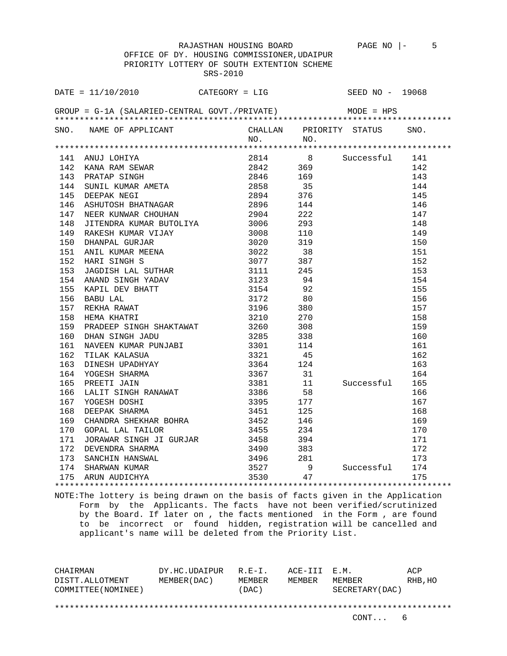RAJASTHAN HOUSING BOARD PAGE NO |- 5 OFFICE OF DY. HOUSING COMMISSIONER,UDAIPUR PRIORITY LOTTERY OF SOUTH EXTENTION SCHEME SRS-2010

| DATE = $11/10/2010$ CATEGORY = LIG SEED NO - 19068         |  |  |      |
|------------------------------------------------------------|--|--|------|
| GROUP = $G-1A$ (SALARIED-CENTRAL GOVT./PRIVATE) MODE = HPS |  |  |      |
| SNO. NAME OF APPLICANT CHALLAN PRIORITY STATUS NO. NO.     |  |  | SNO. |
|                                                            |  |  |      |
|                                                            |  |  |      |
|                                                            |  |  |      |
|                                                            |  |  |      |
|                                                            |  |  |      |
|                                                            |  |  |      |
|                                                            |  |  |      |
|                                                            |  |  |      |
|                                                            |  |  |      |
|                                                            |  |  |      |
|                                                            |  |  |      |
|                                                            |  |  |      |
|                                                            |  |  |      |
|                                                            |  |  |      |
|                                                            |  |  |      |
|                                                            |  |  |      |
|                                                            |  |  |      |
|                                                            |  |  |      |
|                                                            |  |  |      |
|                                                            |  |  |      |
|                                                            |  |  |      |
|                                                            |  |  |      |
|                                                            |  |  |      |
|                                                            |  |  |      |
|                                                            |  |  |      |
|                                                            |  |  |      |
|                                                            |  |  |      |
|                                                            |  |  |      |
|                                                            |  |  |      |
|                                                            |  |  |      |
|                                                            |  |  |      |
|                                                            |  |  |      |
|                                                            |  |  |      |
|                                                            |  |  |      |
|                                                            |  |  |      |
|                                                            |  |  |      |
|                                                            |  |  |      |

NOTE:The lottery is being drawn on the basis of facts given in the Application Form by the Applicants. The facts have not been verified/scrutinized by the Board. If later on , the facts mentioned in the Form , are found to be incorrect or found hidden, registration will be cancelled and applicant's name will be deleted from the Priority List.

CHAIRMAN DY.HC.UDAIPUR R.E-I. ACE-III E.M. ACP DISTT.ALLOTMENT MEMBER(DAC) MEMBER MEMBER MEMBER RHB,HO COMMITTEE(NOMINEE) (DAC) SECRETARY(DAC) \*\*\*\*\*\*\*\*\*\*\*\*\*\*\*\*\*\*\*\*\*\*\*\*\*\*\*\*\*\*\*\*\*\*\*\*\*\*\*\*\*\*\*\*\*\*\*\*\*\*\*\*\*\*\*\*\*\*\*\*\*\*\*\*\*\*\*\*\*\*\*\*\*\*\*\*\*\*\*\*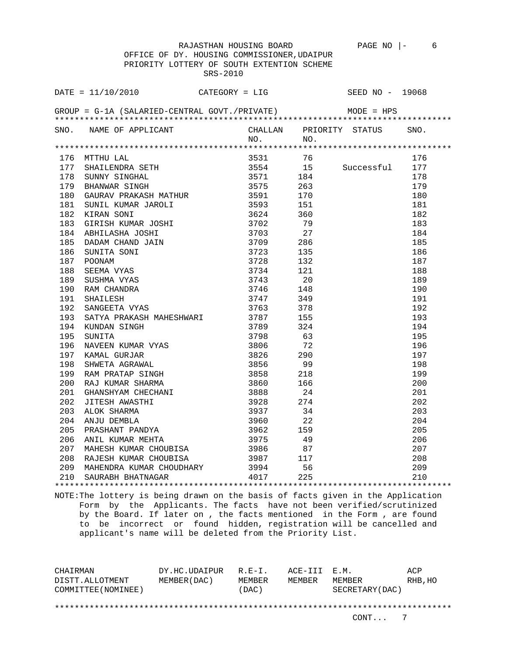RAJASTHAN HOUSING BOARD PAGE NO |- 6 OFFICE OF DY. HOUSING COMMISSIONER,UDAIPUR PRIORITY LOTTERY OF SOUTH EXTENTION SCHEME SRS-2010

|     | DATE = $11/10/2010$ CATEGORY = LIG                         |              |                                          | SEED NO - 19068                |      |
|-----|------------------------------------------------------------|--------------|------------------------------------------|--------------------------------|------|
|     | GROUP = $G-1A$ (SALARIED-CENTRAL GOVT./PRIVATE) MODE = HPS |              |                                          |                                |      |
|     | SNO. NAME OF APPLICANT CHALLAN PRIORITY STATUS ON NO. NO.  |              | NO.                                      |                                | SNO. |
|     |                                                            |              |                                          |                                |      |
|     |                                                            |              |                                          |                                | 176  |
|     |                                                            |              |                                          |                                | 177  |
|     |                                                            |              |                                          | 3554 15 Successful<br>3571 184 | 178  |
|     |                                                            |              |                                          |                                | 179  |
|     |                                                            |              |                                          |                                | 180  |
|     |                                                            |              |                                          |                                | 181  |
|     |                                                            |              |                                          |                                | 182  |
|     |                                                            |              |                                          |                                | 183  |
|     |                                                            |              |                                          |                                | 184  |
|     |                                                            |              |                                          |                                | 185  |
|     |                                                            |              |                                          |                                | 186  |
|     |                                                            |              |                                          |                                | 187  |
|     |                                                            |              |                                          |                                | 188  |
|     |                                                            |              |                                          |                                | 189  |
|     |                                                            |              |                                          |                                | 190  |
|     |                                                            |              |                                          |                                | 191  |
|     |                                                            |              |                                          |                                | 192  |
|     |                                                            |              |                                          |                                | 193  |
|     |                                                            |              |                                          |                                | 194  |
|     |                                                            |              |                                          |                                | 195  |
|     |                                                            |              |                                          |                                | 196  |
|     |                                                            |              |                                          |                                | 197  |
|     |                                                            |              |                                          |                                | 198  |
|     |                                                            |              |                                          |                                | 199  |
|     |                                                            |              |                                          |                                | 200  |
|     |                                                            |              |                                          |                                | 201  |
|     |                                                            |              |                                          |                                | 202  |
|     |                                                            |              |                                          |                                | 203  |
|     |                                                            |              |                                          |                                | 204  |
|     |                                                            |              |                                          |                                | 205  |
|     |                                                            |              |                                          |                                | 206  |
|     |                                                            | 3986<br>3987 | $\begin{array}{c} 87 \\ 117 \end{array}$ |                                | 207  |
| 208 | RAJESH KUMAR CHOUBISA                                      |              |                                          |                                | 208  |
| 209 | MAHENDRA KUMAR CHOUDHARY 3994 56                           |              |                                          |                                | 209  |
| 210 | SAURABH BHATNAGAR 4017                                     |              | 225                                      |                                | 210  |
|     |                                                            |              |                                          |                                |      |

NOTE:The lottery is being drawn on the basis of facts given in the Application Form by the Applicants. The facts have not been verified/scrutinized by the Board. If later on , the facts mentioned in the Form , are found to be incorrect or found hidden, registration will be cancelled and applicant's name will be deleted from the Priority List.

CHAIRMAN DY.HC.UDAIPUR R.E-I. ACE-III E.M. ACP DISTT.ALLOTMENT MEMBER(DAC) MEMBER MEMBER MEMBER RHB,HO COMMITTEE(NOMINEE) (DAC) SECRETARY(DAC) \*\*\*\*\*\*\*\*\*\*\*\*\*\*\*\*\*\*\*\*\*\*\*\*\*\*\*\*\*\*\*\*\*\*\*\*\*\*\*\*\*\*\*\*\*\*\*\*\*\*\*\*\*\*\*\*\*\*\*\*\*\*\*\*\*\*\*\*\*\*\*\*\*\*\*\*\*\*\*\*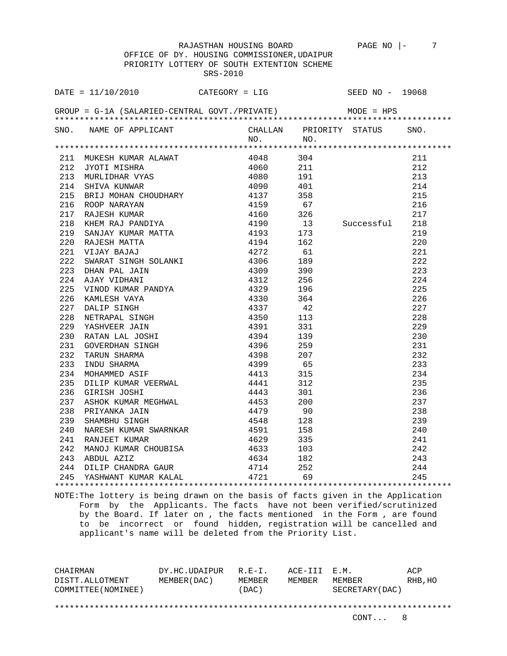RAJASTHAN HOUSING BOARD PAGE NO |- 7 OFFICE OF DY. HOUSING COMMISSIONER,UDAIPUR PRIORITY LOTTERY OF SOUTH EXTENTION SCHEME SRS-2010

| DATE = $11/10/2010$ CATEGORY = LIG SEED NO - 19068                                                                                                                                                                                               |         |  |      |
|--------------------------------------------------------------------------------------------------------------------------------------------------------------------------------------------------------------------------------------------------|---------|--|------|
| GROUP = $G-1A$ (SALARIED-CENTRAL GOVT./PRIVATE) MODE = HPS                                                                                                                                                                                       |         |  |      |
| SNO. NAME OF APPLICANT CHALLAN PRIORITY STATUS                                                                                                                                                                                                   | NO. NO. |  | SNO. |
|                                                                                                                                                                                                                                                  |         |  |      |
|                                                                                                                                                                                                                                                  |         |  |      |
|                                                                                                                                                                                                                                                  |         |  |      |
|                                                                                                                                                                                                                                                  |         |  |      |
|                                                                                                                                                                                                                                                  |         |  |      |
|                                                                                                                                                                                                                                                  |         |  |      |
|                                                                                                                                                                                                                                                  |         |  |      |
|                                                                                                                                                                                                                                                  |         |  |      |
|                                                                                                                                                                                                                                                  |         |  |      |
|                                                                                                                                                                                                                                                  |         |  |      |
|                                                                                                                                                                                                                                                  |         |  |      |
|                                                                                                                                                                                                                                                  |         |  |      |
|                                                                                                                                                                                                                                                  |         |  |      |
|                                                                                                                                                                                                                                                  |         |  |      |
|                                                                                                                                                                                                                                                  |         |  |      |
|                                                                                                                                                                                                                                                  |         |  |      |
|                                                                                                                                                                                                                                                  |         |  |      |
|                                                                                                                                                                                                                                                  |         |  |      |
|                                                                                                                                                                                                                                                  |         |  |      |
|                                                                                                                                                                                                                                                  |         |  |      |
|                                                                                                                                                                                                                                                  |         |  |      |
|                                                                                                                                                                                                                                                  |         |  |      |
|                                                                                                                                                                                                                                                  |         |  |      |
|                                                                                                                                                                                                                                                  |         |  |      |
|                                                                                                                                                                                                                                                  |         |  |      |
|                                                                                                                                                                                                                                                  |         |  |      |
|                                                                                                                                                                                                                                                  |         |  |      |
|                                                                                                                                                                                                                                                  |         |  |      |
|                                                                                                                                                                                                                                                  |         |  |      |
|                                                                                                                                                                                                                                                  |         |  |      |
|                                                                                                                                                                                                                                                  |         |  |      |
|                                                                                                                                                                                                                                                  |         |  |      |
|                                                                                                                                                                                                                                                  |         |  |      |
|                                                                                                                                                                                                                                                  |         |  |      |
|                                                                                                                                                                                                                                                  |         |  |      |
| 321 MUXISHI KUWAR ALAWAT 1900<br>121 MUXISHI KUWAR ALAWAT 1900 100 1211<br>181 MUXILIDHAR YANG 1900 1911<br>181 MUXILIDHAR YANG 1900 1911<br>181 MUXILIDHAR YANG 1900 1911<br>181 SATU KUWAR MATIYA 1900 1925<br>191 RASI SERIY KAJ PANDTYA 1919 |         |  |      |
|                                                                                                                                                                                                                                                  |         |  |      |

NOTE:The lottery is being drawn on the basis of facts given in the Application Form by the Applicants. The facts have not been verified/scrutinized by the Board. If later on , the facts mentioned in the Form , are found to be incorrect or found hidden, registration will be cancelled and applicant's name will be deleted from the Priority List.

CHAIRMAN DY.HC.UDAIPUR R.E-I. ACE-III E.M. ACP DISTT.ALLOTMENT MEMBER(DAC) MEMBER MEMBER MEMBER RHB,HO COMMITTEE(NOMINEE) (DAC) SECRETARY(DAC) \*\*\*\*\*\*\*\*\*\*\*\*\*\*\*\*\*\*\*\*\*\*\*\*\*\*\*\*\*\*\*\*\*\*\*\*\*\*\*\*\*\*\*\*\*\*\*\*\*\*\*\*\*\*\*\*\*\*\*\*\*\*\*\*\*\*\*\*\*\*\*\*\*\*\*\*\*\*\*\*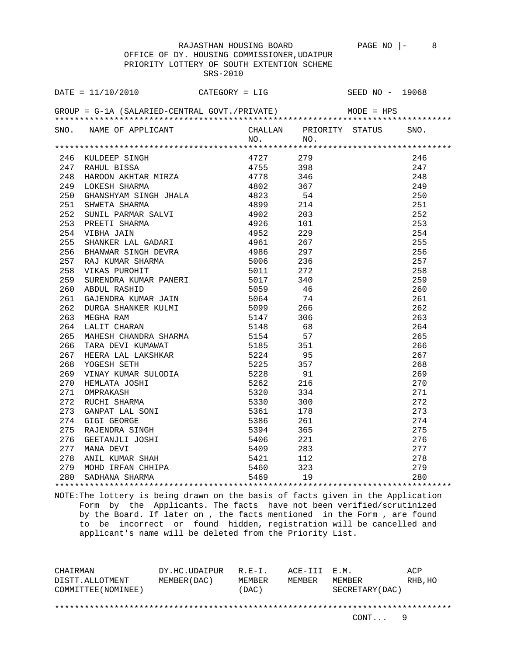RAJASTHAN HOUSING BOARD PAGE NO  $|-$  8 OFFICE OF DY. HOUSING COMMISSIONER,UDAIPUR PRIORITY LOTTERY OF SOUTH EXTENTION SCHEME SRS-2010

| DATE = $11/10/2010$ CATEGORY = LIG                                                                                                                                                                                                   |  | SEED NO - 19068 |      |
|--------------------------------------------------------------------------------------------------------------------------------------------------------------------------------------------------------------------------------------|--|-----------------|------|
| GROUP = $G-1A$ (SALARIED-CENTRAL GOVT./PRIVATE) MODE = HPS                                                                                                                                                                           |  |                 |      |
| SNO. NAME OF APPLICANT CHALLAN PRIORITY STATUS NO. NO.                                                                                                                                                                               |  |                 | SNO. |
|                                                                                                                                                                                                                                      |  |                 |      |
|                                                                                                                                                                                                                                      |  |                 |      |
|                                                                                                                                                                                                                                      |  |                 |      |
|                                                                                                                                                                                                                                      |  |                 |      |
|                                                                                                                                                                                                                                      |  |                 |      |
|                                                                                                                                                                                                                                      |  |                 |      |
|                                                                                                                                                                                                                                      |  |                 |      |
|                                                                                                                                                                                                                                      |  |                 |      |
|                                                                                                                                                                                                                                      |  |                 |      |
|                                                                                                                                                                                                                                      |  |                 |      |
|                                                                                                                                                                                                                                      |  |                 |      |
|                                                                                                                                                                                                                                      |  |                 |      |
|                                                                                                                                                                                                                                      |  |                 |      |
|                                                                                                                                                                                                                                      |  |                 |      |
|                                                                                                                                                                                                                                      |  |                 |      |
|                                                                                                                                                                                                                                      |  |                 |      |
|                                                                                                                                                                                                                                      |  |                 |      |
|                                                                                                                                                                                                                                      |  |                 |      |
|                                                                                                                                                                                                                                      |  |                 |      |
|                                                                                                                                                                                                                                      |  |                 |      |
|                                                                                                                                                                                                                                      |  |                 |      |
|                                                                                                                                                                                                                                      |  |                 |      |
|                                                                                                                                                                                                                                      |  |                 |      |
|                                                                                                                                                                                                                                      |  |                 |      |
|                                                                                                                                                                                                                                      |  |                 |      |
|                                                                                                                                                                                                                                      |  |                 |      |
|                                                                                                                                                                                                                                      |  |                 |      |
|                                                                                                                                                                                                                                      |  |                 |      |
|                                                                                                                                                                                                                                      |  |                 |      |
|                                                                                                                                                                                                                                      |  |                 |      |
|                                                                                                                                                                                                                                      |  |                 |      |
|                                                                                                                                                                                                                                      |  |                 |      |
|                                                                                                                                                                                                                                      |  |                 |      |
|                                                                                                                                                                                                                                      |  |                 |      |
| 1974 NUMBER SITUNG MONTANA 1972 121<br>1974 NAHUL BITSBA 1975 1978 1988 1475 1988 148 NAHUL BITSBA 1975 1978 1988 1476<br>1978 1988 1476 1682 1682 1682 1682 1683 1684 1683 1684 1684 1684 1685 1684 1685 1684 1685 1684 1685 1684 1 |  |                 |      |
|                                                                                                                                                                                                                                      |  |                 |      |
|                                                                                                                                                                                                                                      |  |                 |      |

NOTE:The lottery is being drawn on the basis of facts given in the Application Form by the Applicants. The facts have not been verified/scrutinized by the Board. If later on , the facts mentioned in the Form , are found to be incorrect or found hidden, registration will be cancelled and applicant's name will be deleted from the Priority List.

CHAIRMAN DY.HC.UDAIPUR R.E-I. ACE-III E.M. ACP DISTT.ALLOTMENT MEMBER(DAC) MEMBER MEMBER MEMBER RHB,HO COMMITTEE(NOMINEE) (DAC) SECRETARY(DAC) \*\*\*\*\*\*\*\*\*\*\*\*\*\*\*\*\*\*\*\*\*\*\*\*\*\*\*\*\*\*\*\*\*\*\*\*\*\*\*\*\*\*\*\*\*\*\*\*\*\*\*\*\*\*\*\*\*\*\*\*\*\*\*\*\*\*\*\*\*\*\*\*\*\*\*\*\*\*\*\*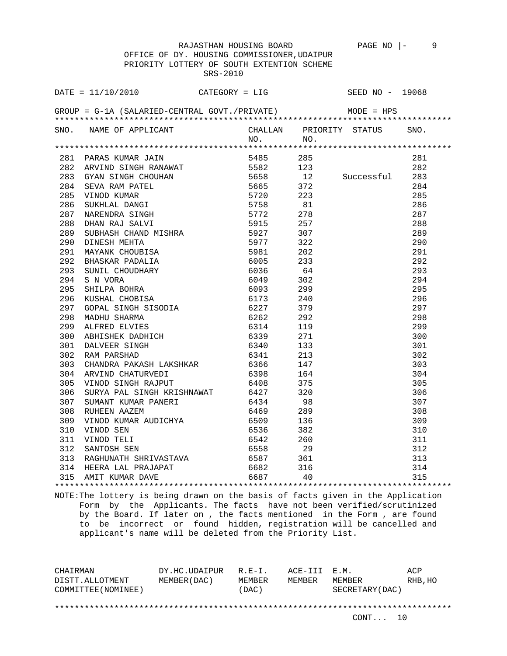RAJASTHAN HOUSING BOARD PAGE NO |- 9 OFFICE OF DY. HOUSING COMMISSIONER,UDAIPUR PRIORITY LOTTERY OF SOUTH EXTENTION SCHEME SRS-2010

| DATE = $11/10/2010$ CATEGORY = LIG SEED NO - 19068                                                                                                                                                                                                  |           |  |  |
|-----------------------------------------------------------------------------------------------------------------------------------------------------------------------------------------------------------------------------------------------------|-----------|--|--|
| GROUP = $G-1A$ (SALARIED-CENTRAL GOVT./PRIVATE) MODE = HPS                                                                                                                                                                                          |           |  |  |
| SNO. NAME OF APPLICANT                                                                                                                                                                                                                              | $NO.$ NO. |  |  |
| 1911 - ARR NUMBER JANUARY 1920<br>281 PARK JAN SINGH RANMAT 1945<br>282 ARVIND SINGH RANMAT 19562<br>283 GYAN SINGH CHOULIAN 19565<br>283 GYAN SINGH CHOULIAN 19565<br>284 SEVA RAN PATEL 19565<br>285 VINCO KUMAR 1977<br>286 SUKILAD ANG S        |           |  |  |
|                                                                                                                                                                                                                                                     |           |  |  |
|                                                                                                                                                                                                                                                     |           |  |  |
|                                                                                                                                                                                                                                                     |           |  |  |
|                                                                                                                                                                                                                                                     |           |  |  |
|                                                                                                                                                                                                                                                     |           |  |  |
|                                                                                                                                                                                                                                                     |           |  |  |
|                                                                                                                                                                                                                                                     |           |  |  |
|                                                                                                                                                                                                                                                     |           |  |  |
|                                                                                                                                                                                                                                                     |           |  |  |
|                                                                                                                                                                                                                                                     |           |  |  |
|                                                                                                                                                                                                                                                     |           |  |  |
|                                                                                                                                                                                                                                                     |           |  |  |
|                                                                                                                                                                                                                                                     |           |  |  |
|                                                                                                                                                                                                                                                     |           |  |  |
|                                                                                                                                                                                                                                                     |           |  |  |
|                                                                                                                                                                                                                                                     |           |  |  |
|                                                                                                                                                                                                                                                     |           |  |  |
|                                                                                                                                                                                                                                                     |           |  |  |
|                                                                                                                                                                                                                                                     |           |  |  |
|                                                                                                                                                                                                                                                     |           |  |  |
|                                                                                                                                                                                                                                                     |           |  |  |
|                                                                                                                                                                                                                                                     |           |  |  |
|                                                                                                                                                                                                                                                     |           |  |  |
|                                                                                                                                                                                                                                                     |           |  |  |
|                                                                                                                                                                                                                                                     |           |  |  |
|                                                                                                                                                                                                                                                     |           |  |  |
|                                                                                                                                                                                                                                                     |           |  |  |
|                                                                                                                                                                                                                                                     |           |  |  |
|                                                                                                                                                                                                                                                     |           |  |  |
|                                                                                                                                                                                                                                                     |           |  |  |
|                                                                                                                                                                                                                                                     |           |  |  |
|                                                                                                                                                                                                                                                     |           |  |  |
|                                                                                                                                                                                                                                                     |           |  |  |
|                                                                                                                                                                                                                                                     |           |  |  |
| 282 ARVIND SINGH RANAWAY 19562<br>183 ARVIN STINGH CHOURAN<br>1944 SEXA BANK PATEL 19665 122<br>184 SEVA BANK PATEL 19665 372<br>185 VINOD KUMAR 19761 19762 81<br>187 YAN DARINDEA BANK SALVIT 19772 82<br>198 DIGINIBAN SALVIT 19772 278<br>198 D |           |  |  |
|                                                                                                                                                                                                                                                     |           |  |  |

NOTE:The lottery is being drawn on the basis of facts given in the Application Form by the Applicants. The facts have not been verified/scrutinized by the Board. If later on , the facts mentioned in the Form , are found to be incorrect or found hidden, registration will be cancelled and applicant's name will be deleted from the Priority List.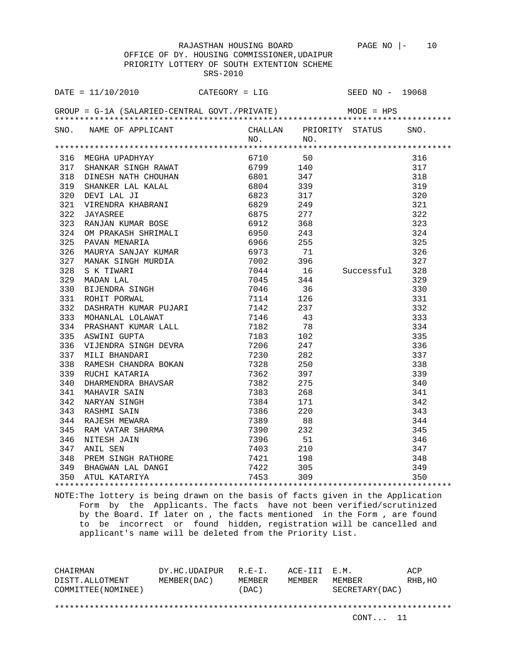OFFICE OF DY. HOUSING COMMISSIONER,UDAIPUR PRIORITY LOTTERY OF SOUTH EXTENTION SCHEME SRS-2010

| DATE = $11/10/2010$ CATEGORY = LIG                                                                                                                                                                                                                |           | SEED NO - 19068 |     |
|---------------------------------------------------------------------------------------------------------------------------------------------------------------------------------------------------------------------------------------------------|-----------|-----------------|-----|
| GROUP = $G-1A$ (SALARIED-CENTRAL GOVT./PRIVATE) MODE = HPS                                                                                                                                                                                        |           |                 |     |
| SNO. NAME OF APPLICANT<br>NO. NO. NO. NO. NO.                                                                                                                                                                                                     | $NO.$ NO. |                 |     |
|                                                                                                                                                                                                                                                   |           |                 |     |
|                                                                                                                                                                                                                                                   |           |                 | 316 |
|                                                                                                                                                                                                                                                   |           |                 | 317 |
|                                                                                                                                                                                                                                                   |           |                 | 318 |
|                                                                                                                                                                                                                                                   |           |                 | 319 |
|                                                                                                                                                                                                                                                   |           |                 | 320 |
|                                                                                                                                                                                                                                                   |           |                 | 321 |
|                                                                                                                                                                                                                                                   |           |                 | 322 |
|                                                                                                                                                                                                                                                   |           |                 | 323 |
|                                                                                                                                                                                                                                                   |           |                 | 324 |
|                                                                                                                                                                                                                                                   |           |                 | 325 |
|                                                                                                                                                                                                                                                   |           |                 | 326 |
|                                                                                                                                                                                                                                                   |           |                 |     |
|                                                                                                                                                                                                                                                   |           |                 |     |
|                                                                                                                                                                                                                                                   |           |                 |     |
|                                                                                                                                                                                                                                                   |           |                 |     |
|                                                                                                                                                                                                                                                   |           |                 |     |
|                                                                                                                                                                                                                                                   |           |                 |     |
|                                                                                                                                                                                                                                                   |           |                 |     |
|                                                                                                                                                                                                                                                   |           |                 |     |
|                                                                                                                                                                                                                                                   |           |                 |     |
|                                                                                                                                                                                                                                                   |           |                 |     |
|                                                                                                                                                                                                                                                   |           |                 |     |
|                                                                                                                                                                                                                                                   |           |                 |     |
|                                                                                                                                                                                                                                                   |           |                 |     |
|                                                                                                                                                                                                                                                   |           |                 |     |
|                                                                                                                                                                                                                                                   |           |                 |     |
|                                                                                                                                                                                                                                                   |           |                 |     |
|                                                                                                                                                                                                                                                   |           |                 |     |
|                                                                                                                                                                                                                                                   |           |                 |     |
|                                                                                                                                                                                                                                                   |           |                 |     |
|                                                                                                                                                                                                                                                   |           |                 |     |
|                                                                                                                                                                                                                                                   |           |                 |     |
|                                                                                                                                                                                                                                                   |           |                 |     |
| 325 PAWAR MEMARINA 1990<br>326 MAURANA MEMARINA 19970<br>326 MAURANA SARUTAN KUMAR 19973<br>327 MARAK SINGH MURDIA 19973<br>328 S. K. TIWARI MURDIA 1997<br>329 MADAR LAL<br>329 MADAR LAL<br>329 MADAR LAL<br>329 MADAR LAL<br>329 MADAR LAL<br> |           |                 |     |
|                                                                                                                                                                                                                                                   |           |                 |     |

NOTE:The lottery is being drawn on the basis of facts given in the Application Form by the Applicants. The facts have not been verified/scrutinized by the Board. If later on , the facts mentioned in the Form , are found to be incorrect or found hidden, registration will be cancelled and applicant's name will be deleted from the Priority List.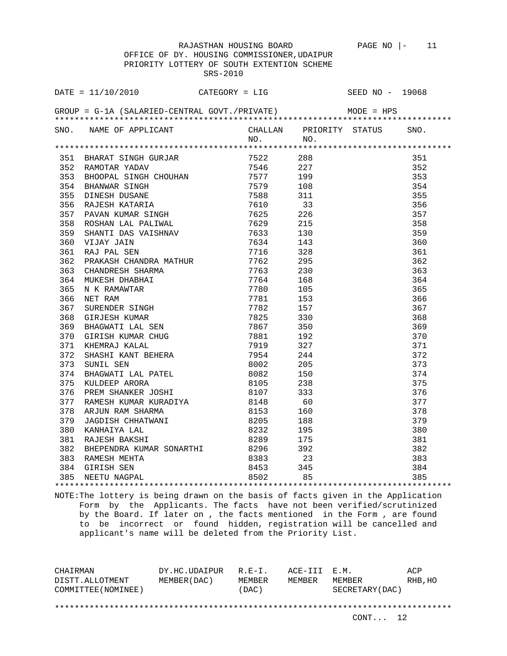DATE = 11/10/2010 CATEGORY = LIG SEED NO - 19068

SRS-2010

RAJASTHAN HOUSING BOARD PAGE NO |- 11 OFFICE OF DY. HOUSING COMMISSIONER,UDAIPUR PRIORITY LOTTERY OF SOUTH EXTENTION SCHEME

GROUP = G-1A (SALARIED-CENTRAL GOVT./PRIVATE) MODE = HPS \*\*\*\*\*\*\*\*\*\*\*\*\*\*\*\*\*\*\*\*\*\*\*\*\*\*\*\*\*\*\*\*\*\*\*\*\*\*\*\*\*\*\*\*\*\*\*\*\*\*\*\*\*\*\*\*\*\*\*\*\*\*\*\*\*\*\*\*\*\*\*\*\*\*\*\*\*\*\*\* SNO. NAME OF APPLICANT CHALLAN PRIORITY STATUS SNO.<br>NO. NO. NO. NO. \*\*\*\*\*\*\*\*\*\*\*\*\*\*\*\*\*\*\*\*\*\*\*\*\*\*\*\*\*\*\*\*\*\*\*\*\*\*\*\*\*\*\*\*\*\*\*\*\*\*\*\*\*\*\*\*\*\*\*\*\*\*\*\*\*\*\*\*\*\*\*\*\*\*\*\*\*\*\*\* 351 BHARAT SINGH GURJAR 7522 288 351 352 RAMOTAR YADAV 7546 227 352 353 BHOOPAL SINGH CHOUHAN 7577 199 353 354 BHANWAR SINGH 7579 108 354 355 DINESH DUSANE 7588 311 355 356 RAJESH KATARIA 7610 33 356 357 PAVAN KUMAR SINGH 7625 226 357 358 ROSHAN LAL PALIWAL 7629 215 358 359 SHANTI DAS VAISHNAV 7633 130 359 360 VIJAY JAIN 7634 143 360 361 RAJ PAL SEN 7716 328 361 362 PRAKASH CHANDRA MATHUR 7762 295 362 363 CHANDRESH SHARMA 7763 230 363 364 MUKESH DHABHAI 7764 168 364 365 N K RAMAWTAR 7780 105 365 366 NET RAM 7781 153 366 367 SURENDER SINGH 7782 157 367 368 GIRJESH KUMAR 7825 330 368 369 BHAGWATI LAL SEN 7867 350 369 370 GIRISH KUMAR CHUG 7881 192 370 371 KHEMRAJ KALAL 7919 327 371 372 SHASHI KANT BEHERA 7954 244 372 373 SUNIL SEN 8002 205 373 374 BHAGWATI LAL PATEL 8082 150 374 375 KULDEEP ARORA 8105 238 375 376 PREM SHANKER JOSHI 8107 333 376 376 377 RAMESH KUMAR KURADIYA 8148 60 377 378 ARJUN RAM SHARMA 8153 160 378 379 JAGDISH CHHATWANI 8205 188 379 380 KANHAIYA LAL 8232 195 380 381 RAJESH BAKSHI 8289 175 381 382 BHEPENDRA KUMAR SONARTHI 8296 392 382 383 RAMESH MEHTA 8383 23 383 384 GIRISH SEN 8453 345 384 385 NEETU NAGPAL 8502 85 385 \*\*\*\*\*\*\*\*\*\*\*\*\*\*\*\*\*\*\*\*\*\*\*\*\*\*\*\*\*\*\*\*\*\*\*\*\*\*\*\*\*\*\*\*\*\*\*\*\*\*\*\*\*\*\*\*\*\*\*\*\*\*\*\*\*\*\*\*\*\*\*\*\*\*\*\*\*\*\*\*

NOTE:The lottery is being drawn on the basis of facts given in the Application Form by the Applicants. The facts have not been verified/scrutinized by the Board. If later on , the facts mentioned in the Form , are found to be incorrect or found hidden, registration will be cancelled and applicant's name will be deleted from the Priority List.

CHAIRMAN DY.HC.UDAIPUR R.E-I. ACE-III E.M. ACP DISTT.ALLOTMENT MEMBER(DAC) MEMBER MEMBER MEMBER RHB,HO COMMITTEE(NOMINEE) (DAC) SECRETARY(DAC)

\*\*\*\*\*\*\*\*\*\*\*\*\*\*\*\*\*\*\*\*\*\*\*\*\*\*\*\*\*\*\*\*\*\*\*\*\*\*\*\*\*\*\*\*\*\*\*\*\*\*\*\*\*\*\*\*\*\*\*\*\*\*\*\*\*\*\*\*\*\*\*\*\*\*\*\*\*\*\*\*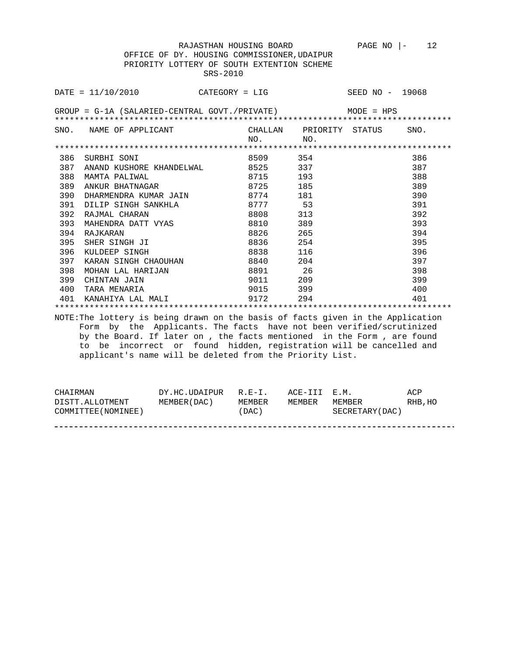RAJASTHAN HOUSING BOARD PAGE NO  $|-12$  OFFICE OF DY. HOUSING COMMISSIONER,UDAIPUR PRIORITY LOTTERY OF SOUTH EXTENTION SCHEME SRS-2010

|     | $\texttt{DATE} = 11/10/2010$ CATEGORY = LIG                                                                                                                                                                                                                                                                                                                               |                 |                 | SEED NO - 19068         |      |
|-----|---------------------------------------------------------------------------------------------------------------------------------------------------------------------------------------------------------------------------------------------------------------------------------------------------------------------------------------------------------------------------|-----------------|-----------------|-------------------------|------|
|     | $GROUP = G-1A (SALARIED-CENTRAL GOUT./PRIVATE)$ MODE = HPS                                                                                                                                                                                                                                                                                                                |                 |                 |                         |      |
|     | SNO. NAME OF APPLICANT                                                                                                                                                                                                                                                                                                                                                    | NO <sub>1</sub> | NO <sub>1</sub> | CHALLAN PRIORITY STATUS | SNO. |
|     |                                                                                                                                                                                                                                                                                                                                                                           |                 |                 |                         |      |
| 386 | SURBHI SONI                                                                                                                                                                                                                                                                                                                                                               | 8509            | 354             |                         | 386  |
|     | 387 ANAND KUSHORE KHANDELWAL                                                                                                                                                                                                                                                                                                                                              |                 | 8525<br>337     |                         | 387  |
| 388 | MAMTA PALIWAL                                                                                                                                                                                                                                                                                                                                                             |                 | 8715<br>193     |                         | 388  |
| 389 | ANKUR BHATNAGAR                                                                                                                                                                                                                                                                                                                                                           |                 | 8725<br>185     |                         | 389  |
| 390 | DHARMENDRA KUMAR JAIN 8774 181                                                                                                                                                                                                                                                                                                                                            |                 |                 |                         | 390  |
| 391 | DILIP SINGH SANKHLA                                                                                                                                                                                                                                                                                                                                                       |                 | 8777 53         |                         | 391  |
| 392 | RAJMAL CHARAN                                                                                                                                                                                                                                                                                                                                                             |                 | 8808<br>313     |                         | 392  |
| 393 | MAHENDRA DATT VYAS                                                                                                                                                                                                                                                                                                                                                        |                 | 8810<br>389     |                         | 393  |
| 394 | RAJKARAN                                                                                                                                                                                                                                                                                                                                                                  |                 | 8826<br>265     |                         | 394  |
| 395 | SHER SINGH JI                                                                                                                                                                                                                                                                                                                                                             |                 | 8836 7<br>254   |                         | 395  |
| 396 | KULDEEP SINGH                                                                                                                                                                                                                                                                                                                                                             |                 | 8838 116        |                         | 396  |
| 397 | KARAN SINGH CHAOUHAN 6840 204                                                                                                                                                                                                                                                                                                                                             |                 |                 |                         | 397  |
| 398 | MOHAN LAL HARIJAN                                                                                                                                                                                                                                                                                                                                                         | 8891            | 26              |                         | 398  |
| 399 | CHINTAN JAIN                                                                                                                                                                                                                                                                                                                                                              |                 | 9011 209        |                         | 399  |
| 400 | TARA MENARIA                                                                                                                                                                                                                                                                                                                                                              |                 | 9015 399        |                         | 400  |
| 401 | KANAHIYA LAL MALI                                                                                                                                                                                                                                                                                                                                                         | 9172            | 294             |                         | 401  |
|     |                                                                                                                                                                                                                                                                                                                                                                           |                 |                 |                         |      |
|     | NOTE: The lottery is being drawn on the basis of facts given in the Application<br>Form by the Applicants. The facts have not been verified/scrutinized<br>by the Board. If later on, the facts mentioned in the Form, are found<br>incorrect or found hidden, registration will be cancelled and<br>to<br>be<br>applicant's name will be deleted from the Priority List. |                 |                 |                         |      |

| CHAIRMAN            | DY.HC.UDAIPUR R.E-I. |        | ACE-III E.M. |                  | ACP     |
|---------------------|----------------------|--------|--------------|------------------|---------|
| DISTT.ALLOTMENT     | MEMBER (DAC)         | MEMBER | MEMBER       | MF.MBF.R         | RHB, HO |
| COMMITTEE (NOMINEE) |                      | (DAC)  |              | SECRETARY (DAC ) |         |
|                     |                      |        |              |                  |         |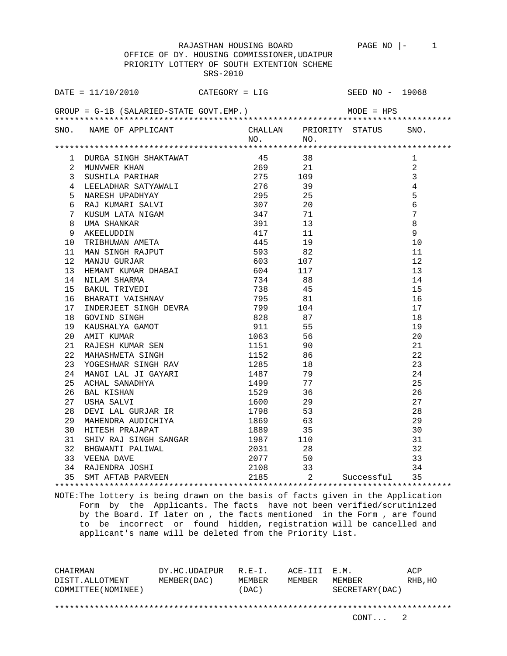|                  | OFFICE OF DY. HOUSING COMMISSIONER, UDAIPUR                                                                                                                                                                                                                         |          |                               |                          |            |                 |  |
|------------------|---------------------------------------------------------------------------------------------------------------------------------------------------------------------------------------------------------------------------------------------------------------------|----------|-------------------------------|--------------------------|------------|-----------------|--|
|                  | PRIORITY LOTTERY OF SOUTH EXTENTION SCHEME                                                                                                                                                                                                                          |          |                               |                          |            |                 |  |
|                  |                                                                                                                                                                                                                                                                     | SRS-2010 |                               |                          |            |                 |  |
|                  |                                                                                                                                                                                                                                                                     |          |                               |                          |            |                 |  |
|                  | DATE = $11/10/2010$ CATEGORY = LIG SEED NO - 19068                                                                                                                                                                                                                  |          |                               |                          |            |                 |  |
|                  |                                                                                                                                                                                                                                                                     |          |                               |                          |            |                 |  |
|                  | $GROUP = G-1B$ (SALARIED-STATE GOVT.EMP.) MODE = HPS                                                                                                                                                                                                                |          |                               |                          |            |                 |  |
|                  |                                                                                                                                                                                                                                                                     |          |                               |                          |            |                 |  |
|                  | SNO. NAME OF APPLICANT CHALLAN PRIORITY STATUS SNO.                                                                                                                                                                                                                 |          |                               |                          |            |                 |  |
|                  |                                                                                                                                                                                                                                                                     |          | $NO.$ NO.                     |                          |            |                 |  |
|                  |                                                                                                                                                                                                                                                                     |          |                               |                          |            |                 |  |
|                  | 1 DURGA SINGH SHAKTAWAT<br>2 MUNVWER KHAN                                                                                                                                                                                                                           |          | 45 38                         |                          |            | 1               |  |
|                  |                                                                                                                                                                                                                                                                     |          | $269$ $21$                    |                          |            | $\overline{2}$  |  |
|                  |                                                                                                                                                                                                                                                                     |          |                               |                          |            | $\overline{3}$  |  |
| 4                | LEELADHAR SATYAWALI 1999 276                                                                                                                                                                                                                                        |          |                               |                          |            | $\overline{4}$  |  |
| 5.               |                                                                                                                                                                                                                                                                     |          |                               |                          |            | 5               |  |
| 6                |                                                                                                                                                                                                                                                                     |          |                               |                          |            | $\epsilon$      |  |
| 7                |                                                                                                                                                                                                                                                                     |          |                               |                          |            | $7\overline{ }$ |  |
| 8                |                                                                                                                                                                                                                                                                     |          |                               |                          |            | $\,8\,$         |  |
| 9                |                                                                                                                                                                                                                                                                     |          |                               |                          |            | $\overline{9}$  |  |
| 10               | EEELADHAR SATYAWALI 276 39<br>NARESH UPADHYAY 295 25<br>RAJ KUMARI SALVI 307 20<br>KUSUM LATA NIGAM 347 71<br>UMA SHANKAR 391 13<br>AKEELUDDIN 417 11<br>TRIBHUWAN AMETA 445 19<br>MAN SINGH RAJPUT 593 82<br>MANJU GURJAR 603 107<br>HEMANT KUM<br>TRIBHUWAN AMETA |          |                               |                          |            | 10              |  |
| 11               |                                                                                                                                                                                                                                                                     |          |                               |                          |            | 11              |  |
| 12 <sup>12</sup> |                                                                                                                                                                                                                                                                     |          |                               |                          |            | 12              |  |
| 13               |                                                                                                                                                                                                                                                                     |          |                               |                          |            | 13              |  |
| 14               | NILAM SHARMA                                                                                                                                                                                                                                                        | 734 88   |                               |                          |            | 14              |  |
| 15               | BAKUL TRIVEDI                                                                                                                                                                                                                                                       |          | 738 45                        |                          |            | 15              |  |
| 16               | BHARATI VAISHNAV<br>INDERJEET SINGH DEVRA 799 104<br>GOVIND SINGH 828 87<br>KAUSHALYA GAMOT 911 55<br>AMIT KUMAR 1063 56                                                                                                                                            |          |                               |                          |            | 16              |  |
| 17               |                                                                                                                                                                                                                                                                     |          |                               |                          |            | 17              |  |
| 18               |                                                                                                                                                                                                                                                                     |          |                               |                          |            | 18              |  |
| 19               |                                                                                                                                                                                                                                                                     |          |                               |                          |            | 19              |  |
| 20               |                                                                                                                                                                                                                                                                     |          |                               |                          |            | 20              |  |
| 21               | RAJESH KUMAR SEN                                                                                                                                                                                                                                                    |          | 1151 90                       |                          |            | 21              |  |
| 22               | MAHASHWETA SINGH                                                                                                                                                                                                                                                    |          | 1152 86                       |                          |            | 22              |  |
| 23               |                                                                                                                                                                                                                                                                     |          |                               | 18                       |            | 23              |  |
| 24               | YOGESHWAR SINGH RAV 1285                                                                                                                                                                                                                                            |          |                               |                          |            | 24              |  |
|                  | MANGI LAL JI GAYARI<br>ACHAL SANADHYA<br>BAL KISHAN<br>USHA SALVI                                                                                                                                                                                                   |          | 1487 79                       |                          |            |                 |  |
| 25               |                                                                                                                                                                                                                                                                     |          | 1499 77<br>1529 36<br>1600 29 |                          |            | 25              |  |
|                  | 26 BAL KISHAN                                                                                                                                                                                                                                                       |          | 1600                          |                          |            | 26              |  |
| 27               |                                                                                                                                                                                                                                                                     |          |                               |                          |            | 27              |  |
| 28               | DEVI LAL GURJAR IR 1798                                                                                                                                                                                                                                             |          |                               | 53                       |            | 28              |  |
|                  | 29 MAHENDRA AUDICHIYA 1869                                                                                                                                                                                                                                          |          |                               | 63                       |            | 29              |  |
|                  | 30 HITESH PRAJAPAT                                                                                                                                                                                                                                                  |          | 1889                          | -35                      |            | 30              |  |
|                  | 31 SHIV RAJ SINGH SANGAR                                                                                                                                                                                                                                            |          | 1987                          | 110                      |            | 31              |  |
|                  | 32 BHGWANTI PALIWAL                                                                                                                                                                                                                                                 |          | 2031                          | 28                       |            | 32              |  |
|                  | 33 VEENA DAVE                                                                                                                                                                                                                                                       |          | 2077                          | 50                       |            | 33              |  |
|                  | 34 RAJENDRA JOSHI                                                                                                                                                                                                                                                   |          | 2108                          | 33                       |            | 34              |  |
|                  | 35 SMT AFTAB PARVEEN                                                                                                                                                                                                                                                |          | 2185                          | $\overline{\phantom{a}}$ | Successful | 35              |  |
|                  |                                                                                                                                                                                                                                                                     |          |                               |                          |            |                 |  |

NOTE:The lottery is being drawn on the basis of facts given in the Application Form by the Applicants. The facts have not been verified/scrutinized by the Board. If later on , the facts mentioned in the Form , are found to be incorrect or found hidden, registration will be cancelled and applicant's name will be deleted from the Priority List.

CHAIRMAN DY.HC.UDAIPUR R.E-I. ACE-III E.M. ACP DISTT.ALLOTMENT MEMBER(DAC) MEMBER MEMBER MEMBER RHB,HO COMMITTEE(NOMINEE) (DAC) SECRETARY(DAC) \*\*\*\*\*\*\*\*\*\*\*\*\*\*\*\*\*\*\*\*\*\*\*\*\*\*\*\*\*\*\*\*\*\*\*\*\*\*\*\*\*\*\*\*\*\*\*\*\*\*\*\*\*\*\*\*\*\*\*\*\*\*\*\*\*\*\*\*\*\*\*\*\*\*\*\*\*\*\*\*

RAJASTHAN HOUSING BOARD PAGE NO |- 1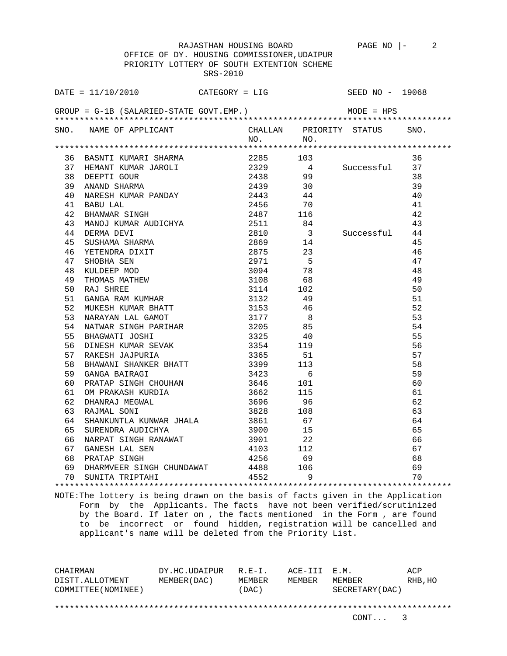PRIORITY LOTTERY OF SOUTH EXTENTION SCHEME SRS-2010 DATE = 11/10/2010 CATEGORY = LIG SEED NO - 19068 GROUP = G-1B (SALARIED-STATE GOVT.EMP.) MODE = HPS \*\*\*\*\*\*\*\*\*\*\*\*\*\*\*\*\*\*\*\*\*\*\*\*\*\*\*\*\*\*\*\*\*\*\*\*\*\*\*\*\*\*\*\*\*\*\*\*\*\*\*\*\*\*\*\*\*\*\*\*\*\*\*\*\*\*\*\*\*\*\*\*\*\*\*\*\*\*\*\* SNO. NAME OF APPLICANT CHALLAN PRIORITY STATUS SNO.<br>NO. NO. NO. NO. \*\*\*\*\*\*\*\*\*\*\*\*\*\*\*\*\*\*\*\*\*\*\*\*\*\*\*\*\*\*\*\*\*\*\*\*\*\*\*\*\*\*\*\*\*\*\*\*\*\*\*\*\*\*\*\*\*\*\*\*\*\*\*\*\*\*\*\*\*\*\*\*\*\*\*\*\*\*\*\* 36 BASNTI KUMARI SHARMA 2285 103 36 37 HEMANT KUMAR JAROLI 2329 4 Successful 37 38 DEEPTI GOUR 2438 99 38 39 ANAND SHARMA 2439 30 39 40 NARESH KUMAR PANDAY 2443 44 40 41 BABU LAL 2456 70 41 42 BHANWAR SINGH 2487 116 42 43 MANOJ KUMAR AUDICHYA 2511 84 43 44 DERMA DEVI 2810 3 Successful 44 45 SUSHAMA SHARMA 2869 14 45 46 YETENDRA DIXIT 2875 23 46 47 SHOBHA SEN 2971 5 47 48 KULDEEP MOD 3094 78 48 49 THOMAS MATHEW 3108 68 49 50 RAJ SHREE 3114 102 50 51 GANGA RAM KUMHAR 3132 49 51 52 MUKESH KUMAR BHATT 3153 46 52 53 NARAYAN LAL GAMOT 3177 8 53 54 NATWAR SINGH PARIHAR 3205 85 54 55 BHAGWATI JOSHI 3325 40 55 56 DINESH KUMAR SEVAK 3354 119 56 57 RAKESH JAJPURIA 3365 51 57 58 BHAWANI SHANKER BHATT 3399 113 58 59 GANGA BAIRAGI 3423 6 59 60 PRATAP SINGH CHOUHAN 3646 101 60<br>
61 OM PRAKASH KURDIA 3662 115 61<br>
62 DHANRAJ MEGWAL 3696 96 62<br>
62 PRATMAL SONT 3828 108 63 61 OM PRAKASH KURDIA 3662 115 61 62 DHANRAJ MEGWAL 3696 96 62 63 RAJMAL SONI 3828 108 63 64 SHANKUNTLA KUNWAR JHALA 3861 67 64 65 SURENDRA AUDICHYA 3900 15 65 66 NARPAT SINGH RANAWAT 3901 22 66 67 GANESH LAL SEN 4103 112 67 68 PRATAP SINGH 4256 69 68 69 DHARMVEER SINGH CHUNDAWAT 4488 106 69 70 SUNITA TRIPTAHI 4552 9 70 \*\*\*\*\*\*\*\*\*\*\*\*\*\*\*\*\*\*\*\*\*\*\*\*\*\*\*\*\*\*\*\*\*\*\*\*\*\*\*\*\*\*\*\*\*\*\*\*\*\*\*\*\*\*\*\*\*\*\*\*\*\*\*\*\*\*\*\*\*\*\*\*\*\*\*\*\*\*\*\*

NOTE:The lottery is being drawn on the basis of facts given in the Application Form by the Applicants. The facts have not been verified/scrutinized by the Board. If later on , the facts mentioned in the Form , are found to be incorrect or found hidden, registration will be cancelled and applicant's name will be deleted from the Priority List.

CHAIRMAN DY.HC.UDAIPUR R.E-I. ACE-III E.M. ACP DISTT.ALLOTMENT MEMBER(DAC) MEMBER MEMBER MEMBER RHB,HO COMMITTEE(NOMINEE) (DAC) SECRETARY(DAC) \*\*\*\*\*\*\*\*\*\*\*\*\*\*\*\*\*\*\*\*\*\*\*\*\*\*\*\*\*\*\*\*\*\*\*\*\*\*\*\*\*\*\*\*\*\*\*\*\*\*\*\*\*\*\*\*\*\*\*\*\*\*\*\*\*\*\*\*\*\*\*\*\*\*\*\*\*\*\*\*

RAJASTHAN HOUSING BOARD PAGE NO  $\vert - \vert$  2 OFFICE OF DY. HOUSING COMMISSIONER,UDAIPUR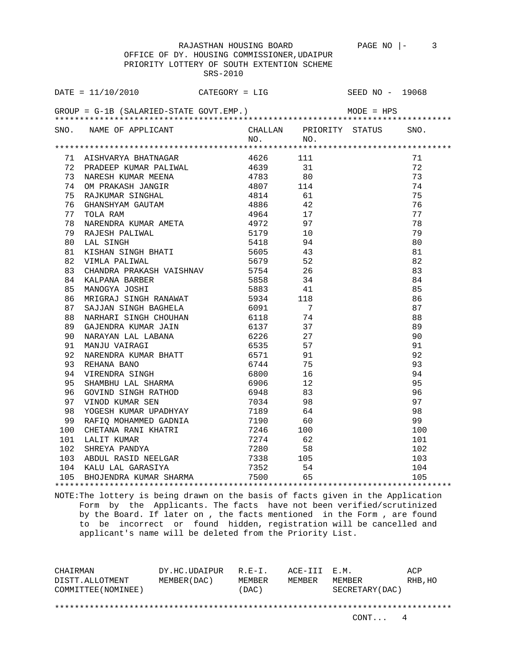OFFICE OF DY. HOUSING COMMISSIONER,UDAIPUR PRIORITY LOTTERY OF SOUTH EXTENTION SCHEME SRS-2010

|    | DATE = $11/10/2010$ CATEGORY = LIG SEED NO - 19068                                                                                                                                                                                     |  |         |                      |    |
|----|----------------------------------------------------------------------------------------------------------------------------------------------------------------------------------------------------------------------------------------|--|---------|----------------------|----|
|    | GROUP = $G-1B$ (SALARIED-STATE GOVT.EMP.) MODE = HPS                                                                                                                                                                                   |  |         |                      |    |
|    | SNO. NAME OF APPLICANT CHALLAN PRIORITY STATUS SNO.<br>NO. NO.                                                                                                                                                                         |  | NO. NO. |                      |    |
|    |                                                                                                                                                                                                                                        |  |         |                      |    |
|    |                                                                                                                                                                                                                                        |  |         |                      | 71 |
|    |                                                                                                                                                                                                                                        |  |         |                      | 72 |
|    |                                                                                                                                                                                                                                        |  |         |                      | 73 |
|    | A A SERIYAR SHATNAGAR (A 2011)<br>1 A SHUARYA BHATNAGAR (A 2012)<br>1 T2 PRADEEP KUMAR PALIWAL (A 2023)<br>1 T3 NARESH KUMAR MEENA (A 2023)<br>1 T4 OM PRAKASH JANGIR (A 2017 114 75 RAJKUMAR SINGHAL (A 2017 114 2017 114 2017 114 20 |  |         |                      | 74 |
|    |                                                                                                                                                                                                                                        |  |         |                      | 75 |
|    |                                                                                                                                                                                                                                        |  |         |                      | 76 |
|    |                                                                                                                                                                                                                                        |  |         |                      | 77 |
|    |                                                                                                                                                                                                                                        |  |         |                      | 78 |
|    |                                                                                                                                                                                                                                        |  |         |                      | 79 |
|    |                                                                                                                                                                                                                                        |  |         |                      | 80 |
|    |                                                                                                                                                                                                                                        |  |         |                      | 81 |
|    |                                                                                                                                                                                                                                        |  |         |                      | 82 |
| 83 |                                                                                                                                                                                                                                        |  |         |                      | 83 |
| 84 |                                                                                                                                                                                                                                        |  |         |                      | 84 |
| 85 | CHANDRA PRAKASH VAISHNAV 5754 26<br>KALPANA BARBER 5858 34<br>MANOGYA JOSHI 5883 41                                                                                                                                                    |  |         |                      | 85 |
| 86 | MRIGRAJ SINGH RANAWAT 5934 118<br>SAJJAN SINGH BAGHELA 6091 7<br>NARHARI SINGH CHOUHAN 6118 74                                                                                                                                         |  |         |                      | 86 |
| 87 |                                                                                                                                                                                                                                        |  |         |                      | 87 |
| 88 |                                                                                                                                                                                                                                        |  |         |                      | 88 |
| 89 |                                                                                                                                                                                                                                        |  |         |                      | 89 |
| 90 |                                                                                                                                                                                                                                        |  |         |                      | 90 |
| 91 |                                                                                                                                                                                                                                        |  |         |                      |    |
| 92 |                                                                                                                                                                                                                                        |  |         | $91$<br>$92$<br>$93$ |    |
| 93 | MARAYAN LAL LABANA 6226 27<br>MANJU VAIRAGI 6535 57<br>NARENDRA KUMAR BHATT 6571 91<br>REHANA BANO 6744 75<br>VIRENDRA SINGH 6800 16<br>CUAMPUULLA GUARDIMA                                                                            |  |         |                      |    |
| 94 |                                                                                                                                                                                                                                        |  |         | 94                   |    |
| 95 |                                                                                                                                                                                                                                        |  |         |                      | 95 |
| 96 | GOVIND SINGH RATHOD<br>VINOD KUMAR SEN                                                                                                                                                                                                 |  |         |                      | 96 |
| 97 |                                                                                                                                                                                                                                        |  |         |                      | 97 |
|    |                                                                                                                                                                                                                                        |  |         |                      |    |
|    |                                                                                                                                                                                                                                        |  |         |                      |    |
|    |                                                                                                                                                                                                                                        |  |         |                      |    |
|    |                                                                                                                                                                                                                                        |  |         |                      |    |
|    |                                                                                                                                                                                                                                        |  |         |                      |    |
|    |                                                                                                                                                                                                                                        |  |         |                      |    |
|    |                                                                                                                                                                                                                                        |  |         |                      |    |
|    |                                                                                                                                                                                                                                        |  |         |                      |    |

NOTE:The lottery is being drawn on the basis of facts given in the Application Form by the Applicants. The facts have not been verified/scrutinized by the Board. If later on , the facts mentioned in the Form , are found to be incorrect or found hidden, registration will be cancelled and applicant's name will be deleted from the Priority List.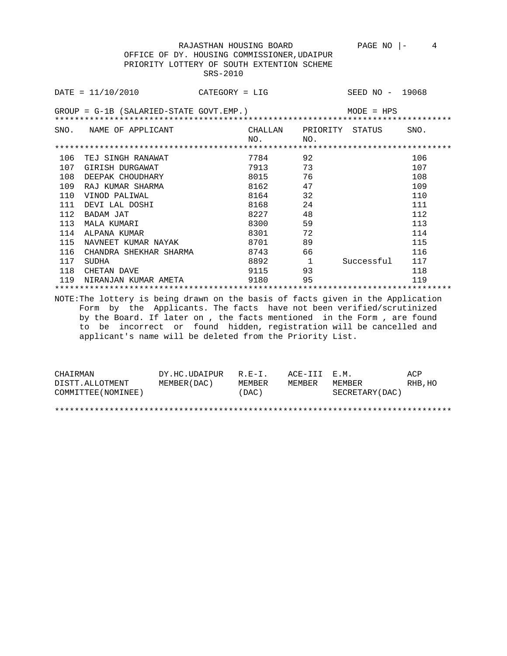OFFICE OF DY. HOUSING COMMISSIONER,UDAIPUR PRIORITY LOTTERY OF SOUTH EXTENTION SCHEME SRS-2010

|     | $\texttt{DATE} = 11/10/2010$ CATEGORY = LIG                                                                                                                                                                                                                                                                                                                         |           |                         | SEED NO - 19068 |      |
|-----|---------------------------------------------------------------------------------------------------------------------------------------------------------------------------------------------------------------------------------------------------------------------------------------------------------------------------------------------------------------------|-----------|-------------------------|-----------------|------|
|     | $GROUP = G-1B$ (SALARIED-STATE GOVT.EMP.) MODE = HPS                                                                                                                                                                                                                                                                                                                |           |                         |                 |      |
|     | SNO. NAME OF APPLICANT                                                                                                                                                                                                                                                                                                                                              |           | CHALLAN PRIORITY STATUS |                 | SNO. |
|     |                                                                                                                                                                                                                                                                                                                                                                     | NO.       | NO.                     |                 |      |
|     |                                                                                                                                                                                                                                                                                                                                                                     |           |                         |                 |      |
| 106 | TEJ SINGH RANAWAT                                                                                                                                                                                                                                                                                                                                                   | 7784      | 92                      |                 | 106  |
| 107 | GIRISH DURGAWAT                                                                                                                                                                                                                                                                                                                                                     | 7913      | 73                      |                 | 107  |
| 108 | DEEPAK CHOUDHARY                                                                                                                                                                                                                                                                                                                                                    | 8015      | 76                      |                 | 108  |
| 109 | RAJ KUMAR SHARMA                                                                                                                                                                                                                                                                                                                                                    | 8162 7    | 47                      |                 | 109  |
|     | 110 VINOD PALIWAL                                                                                                                                                                                                                                                                                                                                                   | 8164      | 32                      |                 | 110  |
| 111 | DEVI LAL DOSHI                                                                                                                                                                                                                                                                                                                                                      | 8168 7    | 24                      |                 | 111  |
| 112 | BADAM JAT                                                                                                                                                                                                                                                                                                                                                           | 8227 32   | 48                      |                 | 112  |
| 113 | MALA KUMARI                                                                                                                                                                                                                                                                                                                                                         | 8300      | 59                      |                 | 113  |
| 114 | ALPANA KUMAR                                                                                                                                                                                                                                                                                                                                                        | 8301 7    | 72                      |                 | 114  |
| 115 | NAVNEET KUMAR NAYAK                                                                                                                                                                                                                                                                                                                                                 | 8701 - 10 | 89                      |                 | 115  |
| 116 | CHANDRA SHEKHAR SHARMA                                                                                                                                                                                                                                                                                                                                              | 8743      | - 66                    |                 | 116  |
| 117 | SUDHA                                                                                                                                                                                                                                                                                                                                                               | 8892      | $\overline{1}$          | Successful      | 117  |
| 118 | CHETAN DAVE                                                                                                                                                                                                                                                                                                                                                         | 9115      | 93                      |                 | 118  |
| 119 | NIRANJAN KUMAR AMETA                                                                                                                                                                                                                                                                                                                                                | 9180      | 95                      |                 | 119  |
|     |                                                                                                                                                                                                                                                                                                                                                                     |           |                         |                 |      |
|     | NOTE: The lottery is being drawn on the basis of facts given in the Application<br>Form by the Applicants. The facts have not been verified/scrutinized<br>by the Board. If later on, the facts mentioned in the Form, are found<br>to be incorrect or found hidden, registration will be cancelled and<br>applicant's name will be deleted from the Priority List. |           |                         |                 |      |

| CHAIRMAN            | DY.HC.UDAIPUR R.E-I. |        | ACE-III E.M. |                 | ACP     |
|---------------------|----------------------|--------|--------------|-----------------|---------|
| DISTT.ALLOTMENT     | MEMBER (DAC )        | MEMBER | MEMBER       | MEMBER          | RHB, HO |
| COMMITTEE (NOMINEE) |                      | (DAC)  |              | SECRETARY (DAC) |         |

\*\*\*\*\*\*\*\*\*\*\*\*\*\*\*\*\*\*\*\*\*\*\*\*\*\*\*\*\*\*\*\*\*\*\*\*\*\*\*\*\*\*\*\*\*\*\*\*\*\*\*\*\*\*\*\*\*\*\*\*\*\*\*\*\*\*\*\*\*\*\*\*\*\*\*\*\*\*\*\*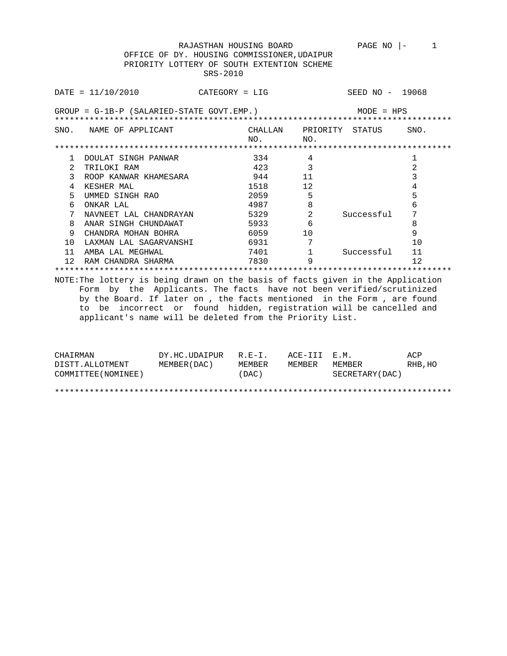RAJASTHAN HOUSING BOARD PAGE NO  $\vert -$  1 OFFICE OF DY. HOUSING COMMISSIONER,UDAIPUR PRIORITY LOTTERY OF SOUTH EXTENTION SCHEME SRS-2010

|      | DATA 2010                                                                       | CATEGORY = LIG |                 | SEED NO - 19068 |      |  |  |  |
|------|---------------------------------------------------------------------------------|----------------|-----------------|-----------------|------|--|--|--|
|      | $GROUP = G-1B-P (SALARIED-STATE GOVT. EMP.)$<br>$MODE = HPS$                    |                |                 |                 |      |  |  |  |
| SNO. | NAME OF APPLICANT                                                               | CHALLAN<br>NO. | PRIORITY<br>NO. | STATUS          | SNO. |  |  |  |
|      |                                                                                 |                |                 |                 |      |  |  |  |
|      | DOULAT SINGH PANWAR                                                             | 334            | 4               |                 |      |  |  |  |
| 2    | TRILOKI RAM                                                                     | 423            | 3               |                 | 2    |  |  |  |
| 3    | ROOP KANWAR KHAMESARA                                                           | 944            | 11              |                 | 3    |  |  |  |
| 4    | KESHER MAL                                                                      | 1518           | 12              |                 | 4    |  |  |  |
| 5    | UMMED SINGH RAO                                                                 | 2059           | 5               |                 | 5    |  |  |  |
| 6    | ONKAR LAL                                                                       | 4987           | 8               |                 | 6    |  |  |  |
|      | NAVNEET LAL CHANDRAYAN                                                          | 5329           | $\overline{2}$  | Successful      | 7    |  |  |  |
| 8    | ANAR SINGH CHUNDAWAT                                                            | 5933           | 6               |                 | 8    |  |  |  |
| 9    | CHANDRA MOHAN BOHRA                                                             | 6059           | 10              |                 | 9    |  |  |  |
| 10   | LAXMAN LAL SAGARVANSHI                                                          | 6931           |                 |                 | 10   |  |  |  |
| 11   | AMBA LAL MEGHWAL                                                                | 7401           |                 | Successful      | 11   |  |  |  |
| 12.  | RAM CHANDRA SHARMA                                                              | 7830           | 9               |                 | 12   |  |  |  |
|      |                                                                                 |                |                 |                 |      |  |  |  |
|      | NOTE: The lottery is being drawn on the basis of facts given in the Application |                |                 |                 |      |  |  |  |

NOTE:The lottery is being drawn on the basis of facts given in the Application Form by the Applicants. The facts have not been verified/scrutinized by the Board. If later on , the facts mentioned in the Form , are found to be incorrect or found hidden, registration will be cancelled and applicant's name will be deleted from the Priority List.

| CHAIRMAN            | DY.HC.UDAIPUR | $R.F - T$ . | ACE-TTT F.M. |                 | ACP     |
|---------------------|---------------|-------------|--------------|-----------------|---------|
| DISTT.ALLOTMENT     | MEMBER (DAC)  | MEMBER      | MEMBER       | MEMBER          | RHB, HO |
| COMMITTEE (NOMINEE) |               | (DAC)       |              | SECRETARY (DAC) |         |
|                     |               |             |              |                 |         |
|                     |               |             |              |                 |         |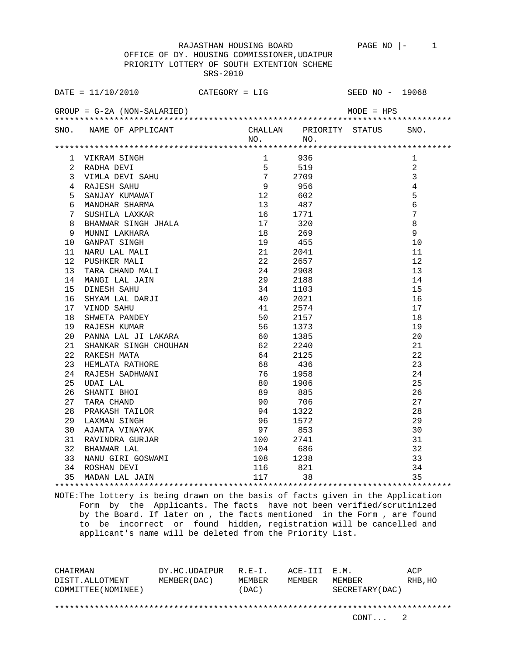RAJASTHAN HOUSING BOARD PAGE NO |- 1 OFFICE OF DY. HOUSING COMMISSIONER,UDAIPUR PRIORITY LOTTERY OF SOUTH EXTENTION SCHEME SRS-2010

|    |                                                                                                                                                                                                                                                        |                        |         | SEED NO - 19068 |                 |
|----|--------------------------------------------------------------------------------------------------------------------------------------------------------------------------------------------------------------------------------------------------------|------------------------|---------|-----------------|-----------------|
|    | DATE = $11/10/2010$ CATEGORY = LIG<br>GROUP = G-2A (NON-SALARIED)                                                                                                                                                                                      |                        |         | $MODE = HPS$    |                 |
|    | SNO. NAME OF APPLICANT CHALLAN PRIORITY STATUS                                                                                                                                                                                                         |                        | NO. NO. |                 | SNO.            |
|    |                                                                                                                                                                                                                                                        |                        |         |                 |                 |
|    |                                                                                                                                                                                                                                                        | $1 \quad \blacksquare$ | 936     |                 | 1               |
|    |                                                                                                                                                                                                                                                        |                        | 519     |                 | 2               |
|    |                                                                                                                                                                                                                                                        |                        | 2709    |                 | $\overline{3}$  |
|    |                                                                                                                                                                                                                                                        |                        | 956     |                 | $\overline{4}$  |
|    |                                                                                                                                                                                                                                                        |                        | 602     |                 | 5               |
|    |                                                                                                                                                                                                                                                        |                        | 487     |                 | $6\overline{6}$ |
|    |                                                                                                                                                                                                                                                        |                        | 1771    |                 | $\overline{7}$  |
|    |                                                                                                                                                                                                                                                        |                        | 320     |                 | $\,8\,$         |
|    |                                                                                                                                                                                                                                                        |                        | 269     |                 | 9               |
|    |                                                                                                                                                                                                                                                        |                        | 455     |                 | 10              |
|    |                                                                                                                                                                                                                                                        | 21                     | 2041    |                 | 11              |
|    |                                                                                                                                                                                                                                                        |                        | 2657    |                 | 12              |
|    |                                                                                                                                                                                                                                                        |                        | 2908    |                 | 13              |
|    |                                                                                                                                                                                                                                                        |                        | 2188    |                 | 14              |
|    |                                                                                                                                                                                                                                                        |                        | 1103    |                 | 15              |
|    |                                                                                                                                                                                                                                                        |                        | 2021    |                 | 16              |
|    |                                                                                                                                                                                                                                                        |                        | 2574    |                 | 17              |
|    |                                                                                                                                                                                                                                                        |                        | 2157    |                 | 18              |
|    |                                                                                                                                                                                                                                                        |                        | 1373    |                 | 19              |
|    |                                                                                                                                                                                                                                                        |                        | 1385    |                 | 20              |
| 21 |                                                                                                                                                                                                                                                        |                        | 2240    |                 | 21              |
| 22 |                                                                                                                                                                                                                                                        |                        | 2125    |                 | 22              |
| 23 |                                                                                                                                                                                                                                                        |                        | 436     |                 | 23              |
| 24 | 90 MWELA PANDER STATES CONTRATES AND A SHANNAR SINGH CHOUHAN CHONG CHANNAR SINGH CHOUHAN CHONG CHANNER SADE SHANNI CHO CHANNER CHANN CHO CHANNER CHANN CHO CHANNER CHANNER CHANNER CHANNER CHANNER CHANNER CHANNER CHANNER CHA                         | 76 1958                |         |                 | 24              |
| 25 |                                                                                                                                                                                                                                                        |                        | 1906    |                 | 25              |
| 26 |                                                                                                                                                                                                                                                        |                        | 885     |                 | 26              |
| 27 |                                                                                                                                                                                                                                                        |                        | 706     |                 | 27              |
|    |                                                                                                                                                                                                                                                        |                        |         |                 | 28              |
|    |                                                                                                                                                                                                                                                        |                        |         |                 | 29              |
|    |                                                                                                                                                                                                                                                        |                        |         |                 | 30              |
|    |                                                                                                                                                                                                                                                        |                        |         |                 | 31              |
|    |                                                                                                                                                                                                                                                        |                        |         |                 | 32              |
|    |                                                                                                                                                                                                                                                        |                        |         |                 | 33              |
|    | 38 PRAKASH TAILOR<br>29 LAXMAN SINGH<br>30 AJANTA VINAYAK<br>31 RAVINDRA GURJAR<br>32 BHANWAR LAL<br>32 BHANWAR LAL<br>32 BHANWAR LAL<br>32 BHANWAR LAL<br>32 BHANWAR LAL<br>32 MANU GIRI GOSWAMI<br>34 ROSHAN DEVI<br>34 ROSHAN DEVI<br>34 ROSHAN DEV |                        |         |                 | 34              |
|    |                                                                                                                                                                                                                                                        |                        |         |                 | 35              |
|    |                                                                                                                                                                                                                                                        |                        |         |                 |                 |

NOTE:The lottery is being drawn on the basis of facts given in the Application Form by the Applicants. The facts have not been verified/scrutinized by the Board. If later on , the facts mentioned in the Form , are found to be incorrect or found hidden, registration will be cancelled and applicant's name will be deleted from the Priority List.

CHAIRMAN DY.HC.UDAIPUR R.E-I. ACE-III E.M. ACP DISTT.ALLOTMENT MEMBER(DAC) MEMBER MEMBER MEMBER RHB,HO COMMITTEE(NOMINEE) (DAC) SECRETARY(DAC) \*\*\*\*\*\*\*\*\*\*\*\*\*\*\*\*\*\*\*\*\*\*\*\*\*\*\*\*\*\*\*\*\*\*\*\*\*\*\*\*\*\*\*\*\*\*\*\*\*\*\*\*\*\*\*\*\*\*\*\*\*\*\*\*\*\*\*\*\*\*\*\*\*\*\*\*\*\*\*\*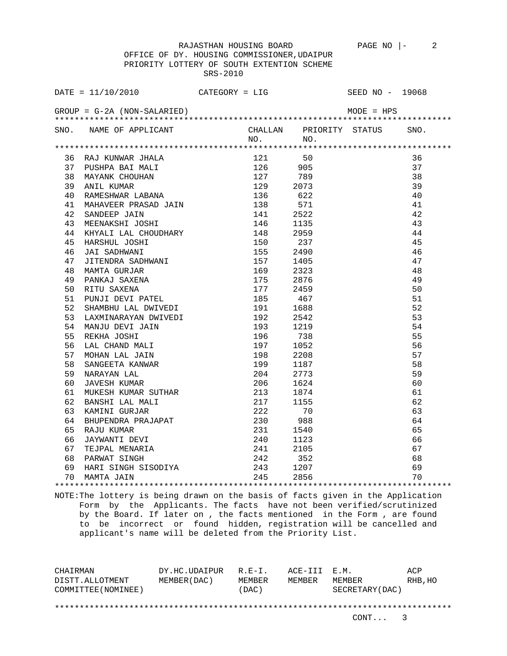OFFICE OF DY. HOUSING COMMISSIONER,UDAIPUR PRIORITY LOTTERY OF SOUTH EXTENTION SCHEME SRS-2010

| DATE = $11/10/2010$ CATEGORY = LIG SEED NO - 19068                                                                                                                                                                                                  |  |              |    |
|-----------------------------------------------------------------------------------------------------------------------------------------------------------------------------------------------------------------------------------------------------|--|--------------|----|
| $GROUP = G-2A (NON-SALARIED)$                                                                                                                                                                                                                       |  | $MODE = HPS$ |    |
| SNO. NAME OF APPLICANT CHALLAN PRIORITY STATUS SNO.<br>NO. NO.                                                                                                                                                                                      |  |              |    |
| 47 PALE (MINERA JEMA 1991)<br>37 PUSUPA RAILA<br>37 PUSUPA RAILA<br>37 PUSUPA RAILA<br>37 PUSUPA RAILA<br>37 PUSUPA RAILA<br>42 SADERWAN CROSSAD JAIN<br>40 RANESTWAR LABARA<br>42 SADERWANI JAIN<br>44 SEPARACHI JOHN<br>44 SEPARACHI JOHN<br>44 S |  |              |    |
|                                                                                                                                                                                                                                                     |  |              |    |
|                                                                                                                                                                                                                                                     |  |              | 36 |
|                                                                                                                                                                                                                                                     |  |              | 37 |
|                                                                                                                                                                                                                                                     |  |              | 38 |
|                                                                                                                                                                                                                                                     |  |              | 39 |
|                                                                                                                                                                                                                                                     |  |              | 40 |
|                                                                                                                                                                                                                                                     |  |              | 41 |
|                                                                                                                                                                                                                                                     |  |              | 42 |
|                                                                                                                                                                                                                                                     |  |              | 43 |
|                                                                                                                                                                                                                                                     |  |              | 44 |
|                                                                                                                                                                                                                                                     |  |              | 45 |
|                                                                                                                                                                                                                                                     |  |              | 46 |
|                                                                                                                                                                                                                                                     |  |              | 47 |
|                                                                                                                                                                                                                                                     |  |              | 48 |
|                                                                                                                                                                                                                                                     |  |              | 49 |
|                                                                                                                                                                                                                                                     |  |              | 50 |
|                                                                                                                                                                                                                                                     |  |              | 51 |
|                                                                                                                                                                                                                                                     |  |              | 52 |
|                                                                                                                                                                                                                                                     |  |              | 53 |
|                                                                                                                                                                                                                                                     |  |              | 54 |
|                                                                                                                                                                                                                                                     |  |              | 55 |
|                                                                                                                                                                                                                                                     |  |              | 56 |
|                                                                                                                                                                                                                                                     |  |              | 57 |
|                                                                                                                                                                                                                                                     |  |              | 58 |
|                                                                                                                                                                                                                                                     |  |              | 59 |
|                                                                                                                                                                                                                                                     |  |              | 60 |
|                                                                                                                                                                                                                                                     |  |              | 61 |
|                                                                                                                                                                                                                                                     |  |              | 62 |
|                                                                                                                                                                                                                                                     |  |              | 63 |
|                                                                                                                                                                                                                                                     |  |              | 64 |
|                                                                                                                                                                                                                                                     |  |              | 65 |
|                                                                                                                                                                                                                                                     |  |              | 66 |
|                                                                                                                                                                                                                                                     |  |              | 67 |
|                                                                                                                                                                                                                                                     |  |              | 68 |
|                                                                                                                                                                                                                                                     |  |              | 69 |
|                                                                                                                                                                                                                                                     |  |              | 70 |
|                                                                                                                                                                                                                                                     |  |              |    |

NOTE:The lottery is being drawn on the basis of facts given in the Application Form by the Applicants. The facts have not been verified/scrutinized by the Board. If later on , the facts mentioned in the Form , are found to be incorrect or found hidden, registration will be cancelled and applicant's name will be deleted from the Priority List.

CHAIRMAN DY.HC.UDAIPUR R.E-I. ACE-III E.M. ACP DISTT.ALLOTMENT MEMBER(DAC) MEMBER MEMBER MEMBER RHB,HO COMMITTEE(NOMINEE) (DAC) SECRETARY(DAC) \*\*\*\*\*\*\*\*\*\*\*\*\*\*\*\*\*\*\*\*\*\*\*\*\*\*\*\*\*\*\*\*\*\*\*\*\*\*\*\*\*\*\*\*\*\*\*\*\*\*\*\*\*\*\*\*\*\*\*\*\*\*\*\*\*\*\*\*\*\*\*\*\*\*\*\*\*\*\*\*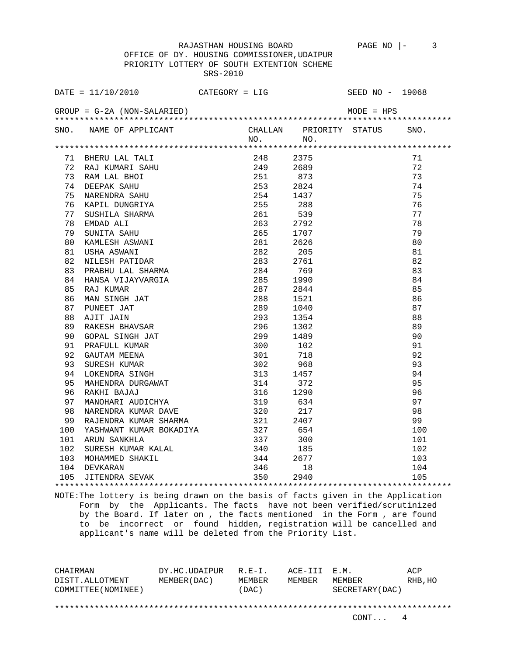OFFICE OF DY. HOUSING COMMISSIONER,UDAIPUR PRIORITY LOTTERY OF SOUTH EXTENTION SCHEME SRS-2010

|     | $DATA = 11/10/2010$                                                                                                                                                                                                                                                   | $CATEGORY = LIG$ |             |                         | SEED $NO - 19068$ |
|-----|-----------------------------------------------------------------------------------------------------------------------------------------------------------------------------------------------------------------------------------------------------------------------|------------------|-------------|-------------------------|-------------------|
|     | $GROUP = G-2A (NON-SALARIED)$                                                                                                                                                                                                                                         |                  |             | MODE = HPS              |                   |
|     | SNO. NAME OF APPLICANT                                                                                                                                                                                                                                                |                  | NO. NO.     | CHALLAN PRIORITY STATUS | SNO.              |
|     |                                                                                                                                                                                                                                                                       |                  |             |                         |                   |
|     | 71 BHERU LAL TALI<br>BHERU LAL TALI 248 2375<br>RAJ KUMARI SAHU 249 2689<br>RAM LAL BHOI 251 873<br>DEEPAK SAHU 253 2824<br>NARENDRA SAHU 254 1437<br>KAPIL DUNGRIYA 255 288<br>SUSHILA SHARMA 261 539<br>EMDAD ALI 263 2792<br>SUNITA SAHU 265 1707<br>KAMLESH ASWAN |                  |             |                         | 71                |
| 72  |                                                                                                                                                                                                                                                                       |                  |             |                         | 72                |
| 73  |                                                                                                                                                                                                                                                                       |                  |             |                         | 73                |
| 74  |                                                                                                                                                                                                                                                                       |                  |             |                         | 74                |
| 75  |                                                                                                                                                                                                                                                                       |                  |             |                         | 75                |
| 76  |                                                                                                                                                                                                                                                                       |                  |             |                         | 76                |
| 77  |                                                                                                                                                                                                                                                                       |                  |             |                         | 77                |
| 78  |                                                                                                                                                                                                                                                                       |                  |             |                         | 78                |
| 79  |                                                                                                                                                                                                                                                                       |                  |             |                         | 79                |
| 80  |                                                                                                                                                                                                                                                                       |                  |             |                         | 80                |
| 81  |                                                                                                                                                                                                                                                                       |                  |             |                         | 81                |
| 82  |                                                                                                                                                                                                                                                                       |                  |             |                         | 82                |
| 83  | NILESH PATIDAR<br>PRABHU LAL SHARMA                                                                                                                                                                                                                                   |                  | 284<br>769  |                         | 83                |
| 84  | HANSA VIJAYVARGIA                                                                                                                                                                                                                                                     |                  | 285<br>1990 |                         | 84                |
| 85  | RAJ KUMAR                                                                                                                                                                                                                                                             |                  | 287<br>2844 |                         | 85                |
| 86  | MAN SINGH JAT                                                                                                                                                                                                                                                         | 288              | 1521        |                         | 86                |
| 87  | PUNEET JAT                                                                                                                                                                                                                                                            | 289              | 1040        |                         | 87                |
| 88  | AJIT JAIN                                                                                                                                                                                                                                                             | 293              | 1354        |                         | 88                |
| 89  | RAKESH BHAVSAR                                                                                                                                                                                                                                                        | 296              | 1302        |                         | 89                |
| 90  | RAKESH SINGH JAT<br>GOPAL SINGH JAT                                                                                                                                                                                                                                   | 299              | 1489        |                         | 90                |
| 91  | PRAFULL KUMAR                                                                                                                                                                                                                                                         | 300              | 102         |                         | 91                |
| 92  | GAUTAM MEENA                                                                                                                                                                                                                                                          |                  | 301<br>718  |                         | 92                |
| 93  | SURESH KUMAR                                                                                                                                                                                                                                                          | 302              | 968         |                         | 93                |
| 94  | LOKENDRA SINGH                                                                                                                                                                                                                                                        | 313              | 1457        |                         | 94                |
| 95  | MAHENDRA DURGAWAT<br>RAKHI BAJAJ                                                                                                                                                                                                                                      | $\frac{1}{314}$  | 372         |                         | 95                |
| 96  |                                                                                                                                                                                                                                                                       | 316              | 1290        |                         | 96                |
| 97  | MANOHARI AUDICHYA                                                                                                                                                                                                                                                     | 319              | 634         |                         | 97                |
| 98  | NARENDRA KUMAR DAVE<br>RAJENDRA KUMAR SHARMA                                                                                                                                                                                                                          | 320<br>321       | 217         |                         | 98                |
| 99  |                                                                                                                                                                                                                                                                       |                  | 2407        |                         | 99                |
| 100 | YASHWANT KUMAR BOKADIYA 327                                                                                                                                                                                                                                           |                  | 654         |                         | 100               |
| 101 |                                                                                                                                                                                                                                                                       | 337              | 300         |                         | 101               |
| 102 |                                                                                                                                                                                                                                                                       | 340<br>344       | 185         |                         | 102               |
| 103 | CONSUMERSH KUMAR KALAL<br>SURESH KUMAR KALAL<br>MOHAMMED SHAKIL<br>DEVKARAN<br>JITENDPA CO                                                                                                                                                                            |                  | 2677        |                         | 103               |
| 104 |                                                                                                                                                                                                                                                                       | 346              | 18          |                         | 104               |
| 105 | DEVKARAN 5240 10<br>JITENDRA SEVAK 19940 2940                                                                                                                                                                                                                         |                  |             |                         | 105               |
|     |                                                                                                                                                                                                                                                                       |                  |             |                         |                   |

NOTE:The lottery is being drawn on the basis of facts given in the Application Form by the Applicants. The facts have not been verified/scrutinized by the Board. If later on , the facts mentioned in the Form , are found to be incorrect or found hidden, registration will be cancelled and applicant's name will be deleted from the Priority List.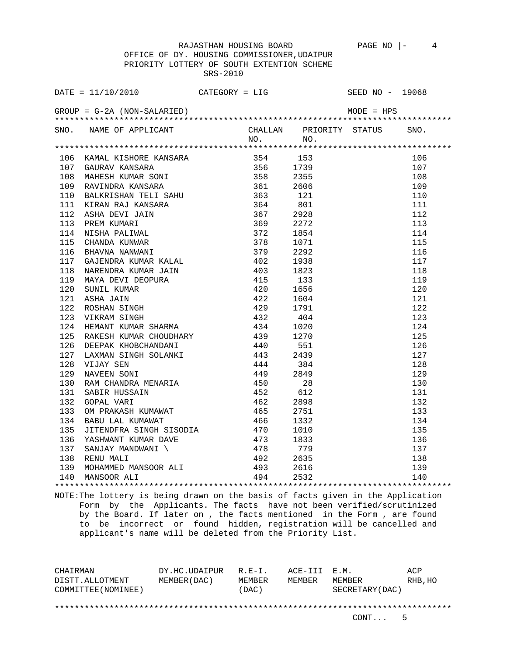OFFICE OF DY. HOUSING COMMISSIONER,UDAIPUR PRIORITY LOTTERY OF SOUTH EXTENTION SCHEME SRS-2010

| SNO. NAME OF APPLICANT CHALLAN PRIORITY STATUS ON NO. |  |  | SNO. |
|-------------------------------------------------------|--|--|------|
|                                                       |  |  |      |
|                                                       |  |  |      |
|                                                       |  |  | 106  |
|                                                       |  |  | 107  |
|                                                       |  |  | 108  |
|                                                       |  |  | 109  |
|                                                       |  |  | 110  |
|                                                       |  |  | 111  |
|                                                       |  |  | 112  |
|                                                       |  |  | 113  |
|                                                       |  |  | 114  |
|                                                       |  |  | 115  |
|                                                       |  |  | 116  |
|                                                       |  |  | 117  |
|                                                       |  |  | 118  |
|                                                       |  |  | 119  |
|                                                       |  |  | 120  |
|                                                       |  |  | 121  |
|                                                       |  |  | 122  |
|                                                       |  |  | 123  |
|                                                       |  |  | 124  |
|                                                       |  |  | 125  |
|                                                       |  |  | 126  |
|                                                       |  |  | 127  |
|                                                       |  |  | 128  |
|                                                       |  |  | 129  |
|                                                       |  |  | 130  |
|                                                       |  |  | 131  |
|                                                       |  |  | 132  |
|                                                       |  |  | 133  |
|                                                       |  |  | 134  |
|                                                       |  |  | 135  |
|                                                       |  |  | 136  |
|                                                       |  |  | 137  |
|                                                       |  |  | 138  |
|                                                       |  |  | 139  |
|                                                       |  |  | 140  |
|                                                       |  |  |      |

NOTE:The lottery is being drawn on the basis of facts given in the Application Form by the Applicants. The facts have not been verified/scrutinized by the Board. If later on , the facts mentioned in the Form , are found to be incorrect or found hidden, registration will be cancelled and applicant's name will be deleted from the Priority List.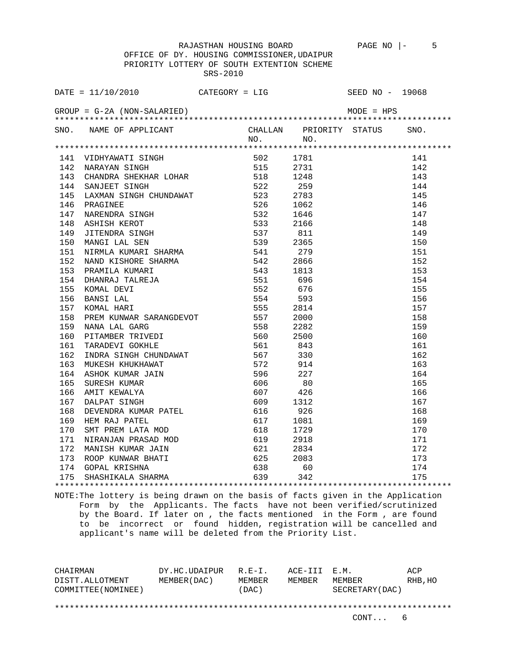OFFICE OF DY. HOUSING COMMISSIONER,UDAIPUR PRIORITY LOTTERY OF SOUTH EXTENTION SCHEME SRS-2010

| SNO. NAME OF APPLICANT<br>NO. NO. NO. NO. NO.                                                                                                                                                                                                                                     |  |                    |     |
|-----------------------------------------------------------------------------------------------------------------------------------------------------------------------------------------------------------------------------------------------------------------------------------|--|--------------------|-----|
|                                                                                                                                                                                                                                                                                   |  |                    |     |
|                                                                                                                                                                                                                                                                                   |  |                    |     |
|                                                                                                                                                                                                                                                                                   |  |                    | 141 |
|                                                                                                                                                                                                                                                                                   |  |                    | 142 |
|                                                                                                                                                                                                                                                                                   |  |                    | 143 |
|                                                                                                                                                                                                                                                                                   |  |                    | 144 |
|                                                                                                                                                                                                                                                                                   |  |                    | 145 |
|                                                                                                                                                                                                                                                                                   |  |                    | 146 |
|                                                                                                                                                                                                                                                                                   |  |                    | 147 |
|                                                                                                                                                                                                                                                                                   |  |                    | 148 |
|                                                                                                                                                                                                                                                                                   |  |                    | 149 |
|                                                                                                                                                                                                                                                                                   |  |                    | 150 |
|                                                                                                                                                                                                                                                                                   |  |                    | 151 |
|                                                                                                                                                                                                                                                                                   |  |                    | 152 |
|                                                                                                                                                                                                                                                                                   |  |                    | 153 |
|                                                                                                                                                                                                                                                                                   |  |                    | 154 |
|                                                                                                                                                                                                                                                                                   |  |                    | 155 |
|                                                                                                                                                                                                                                                                                   |  |                    | 156 |
|                                                                                                                                                                                                                                                                                   |  |                    | 157 |
|                                                                                                                                                                                                                                                                                   |  |                    | 158 |
|                                                                                                                                                                                                                                                                                   |  |                    | 159 |
|                                                                                                                                                                                                                                                                                   |  |                    | 160 |
|                                                                                                                                                                                                                                                                                   |  |                    | 161 |
|                                                                                                                                                                                                                                                                                   |  |                    | 162 |
|                                                                                                                                                                                                                                                                                   |  |                    | 163 |
|                                                                                                                                                                                                                                                                                   |  |                    | 164 |
|                                                                                                                                                                                                                                                                                   |  |                    | 165 |
|                                                                                                                                                                                                                                                                                   |  |                    | 166 |
|                                                                                                                                                                                                                                                                                   |  |                    | 167 |
|                                                                                                                                                                                                                                                                                   |  |                    | 168 |
|                                                                                                                                                                                                                                                                                   |  |                    | 169 |
|                                                                                                                                                                                                                                                                                   |  |                    | 170 |
|                                                                                                                                                                                                                                                                                   |  |                    | 171 |
| 2002 - Mari $U$ 1911 - 1912<br>1411 - 1912<br>142 - 1922<br>142 - 1923<br>2003 - 1923<br>142 - 1923<br>2003 - 1923<br>144 - 2003<br>1124 - 2003<br>1124 - 2003<br>124 - 2003<br>1124 - 2003<br>124 - 2003<br>1124 - 2003<br>1124 - 2003<br>124 - 2003<br>1125 - 1924<br>154 - 192 |  | ****************** | 172 |
|                                                                                                                                                                                                                                                                                   |  |                    | 173 |
|                                                                                                                                                                                                                                                                                   |  |                    | 174 |
|                                                                                                                                                                                                                                                                                   |  |                    | 175 |
|                                                                                                                                                                                                                                                                                   |  |                    |     |

NOTE:The lottery is being drawn on the basis of facts given in the Application Form by the Applicants. The facts have not been verified/scrutinized by the Board. If later on , the facts mentioned in the Form , are found to be incorrect or found hidden, registration will be cancelled and applicant's name will be deleted from the Priority List.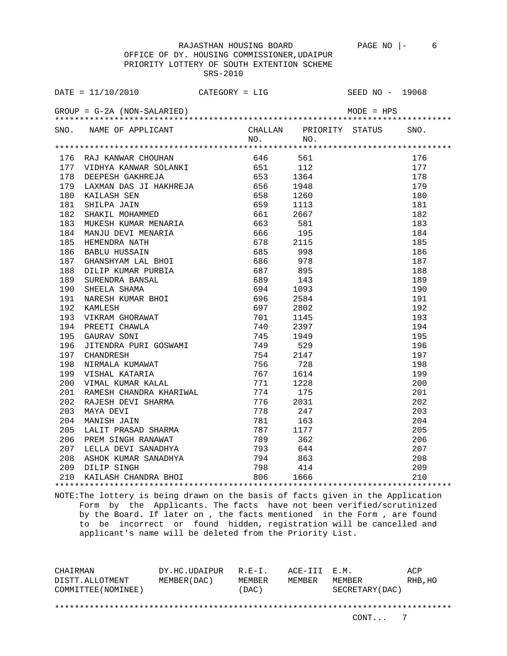OFFICE OF DY. HOUSING COMMISSIONER,UDAIPUR PRIORITY LOTTERY OF SOUTH EXTENTION SCHEME SRS-2010

| 205 |                                                                                                                                                                                                                                                |          |  | 205 |
|-----|------------------------------------------------------------------------------------------------------------------------------------------------------------------------------------------------------------------------------------------------|----------|--|-----|
| 206 |                                                                                                                                                                                                                                                |          |  | 206 |
| 207 |                                                                                                                                                                                                                                                |          |  | 207 |
| 208 | VINAL NUMAR KALAL 771 1228<br>RAMESH CHANDRA KHARIWAL 774 175<br>RAJESH DEVI SHARMA 776 2031<br>MAYA DEVI 778 247<br>MANISH JAIN 781 163<br>LALIT PRASAD SHARMA 787 1177<br>PREM SINGH RANAWAT 789 362<br>LELLA DEVI SANADHYA 793 644<br>ASHOK |          |  | 208 |
|     | 209 DILIP SINGH                                                                                                                                                                                                                                |          |  | 209 |
|     | 210 KAILASH CHANDRA BHOI                                                                                                                                                                                                                       | 806 1666 |  | 210 |
|     |                                                                                                                                                                                                                                                |          |  |     |

NOTE:The lottery is being drawn on the basis of facts given in the Application Form by the Applicants. The facts have not been verified/scrutinized by the Board. If later on , the facts mentioned in the Form , are found to be incorrect or found hidden, registration will be cancelled and applicant's name will be deleted from the Priority List.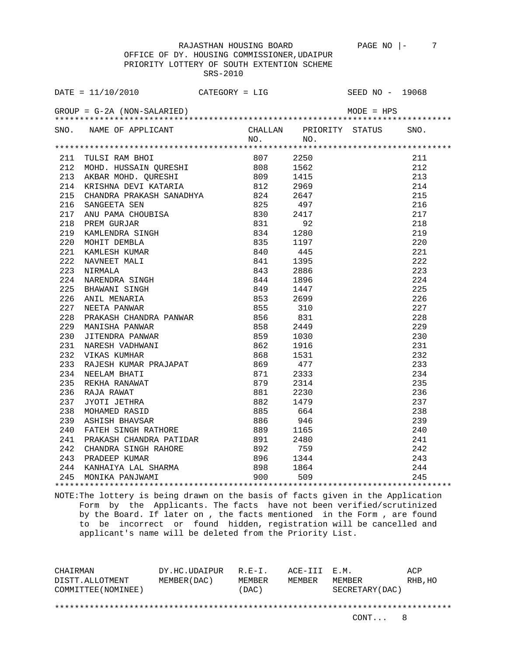OFFICE OF DY. HOUSING COMMISSIONER,UDAIPUR PRIORITY LOTTERY OF SOUTH EXTENTION SCHEME SRS-2010

|     | DATE = $11/10/2010$ CATEGORY = LIG                                 |  | SEED NO - 19068                                                      |     |
|-----|--------------------------------------------------------------------|--|----------------------------------------------------------------------|-----|
|     |                                                                    |  |                                                                      |     |
|     | SNO. NAME OF APPLICANT CHALLAN PRIORITY STATUS SNO.<br>NO. NO. NO. |  |                                                                      |     |
|     |                                                                    |  |                                                                      |     |
|     |                                                                    |  |                                                                      | 211 |
|     |                                                                    |  |                                                                      | 212 |
|     |                                                                    |  |                                                                      | 213 |
|     |                                                                    |  |                                                                      | 214 |
|     |                                                                    |  |                                                                      | 215 |
|     |                                                                    |  |                                                                      | 216 |
|     |                                                                    |  |                                                                      | 217 |
|     |                                                                    |  |                                                                      | 218 |
|     |                                                                    |  |                                                                      | 219 |
|     |                                                                    |  |                                                                      | 220 |
|     |                                                                    |  |                                                                      | 221 |
|     |                                                                    |  |                                                                      | 222 |
|     |                                                                    |  |                                                                      | 223 |
|     |                                                                    |  |                                                                      | 224 |
|     |                                                                    |  |                                                                      | 225 |
|     |                                                                    |  |                                                                      | 226 |
|     |                                                                    |  |                                                                      | 227 |
|     |                                                                    |  |                                                                      | 228 |
|     |                                                                    |  |                                                                      | 229 |
|     |                                                                    |  |                                                                      | 230 |
|     |                                                                    |  |                                                                      | 231 |
|     |                                                                    |  |                                                                      | 232 |
|     |                                                                    |  |                                                                      | 233 |
|     |                                                                    |  |                                                                      | 234 |
|     |                                                                    |  |                                                                      | 235 |
|     |                                                                    |  |                                                                      | 236 |
|     |                                                                    |  |                                                                      | 237 |
|     |                                                                    |  |                                                                      | 238 |
|     |                                                                    |  |                                                                      | 239 |
|     |                                                                    |  |                                                                      |     |
| 241 | PRAKASH CHANDRA PATIDAR 891 2480                                   |  |                                                                      |     |
|     |                                                                    |  |                                                                      |     |
|     |                                                                    |  |                                                                      |     |
|     | 244 KANHAIYA LAL SHARMA $898$ 1864<br>245 MONIKA PANJWAMI 900 509  |  | $239$<br>$240$<br>$241$<br>$242$<br>$243$<br>$244$<br>$245$<br>$245$ |     |
|     |                                                                    |  |                                                                      |     |

NOTE:The lottery is being drawn on the basis of facts given in the Application Form by the Applicants. The facts have not been verified/scrutinized by the Board. If later on , the facts mentioned in the Form , are found to be incorrect or found hidden, registration will be cancelled and applicant's name will be deleted from the Priority List.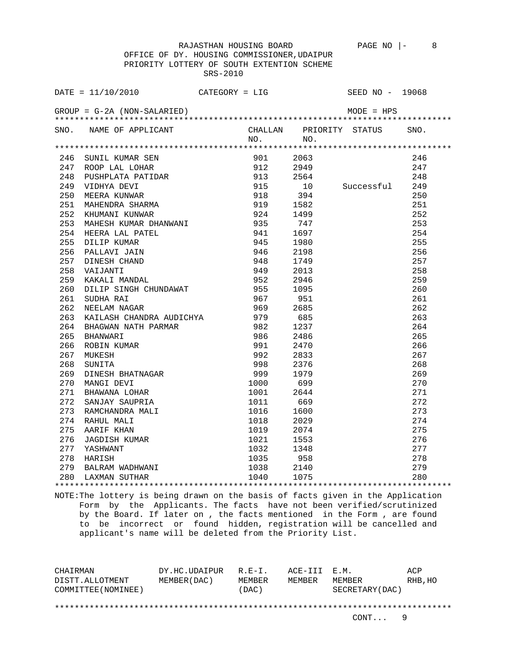OFFICE OF DY. HOUSING COMMISSIONER,UDAIPUR PRIORITY LOTTERY OF SOUTH EXTENTION SCHEME SRS-2010

| GROUP = $G-2A$ (NON-SALARIED)<br>SNO. NAME OF APPLICANT CHALLAN PRIORITY STATUS ON NO. NO.<br>SNO.<br>NO.<br>1914 16 SUNIL KUMAR SEN<br>247 ROOP LAL LOHAR SEN<br>247 ROOP LAL LOHAR SEN<br>247 ROOP LAL LOHAR SEN<br>247 BUSHPLATA PATIDAR 1912 2949 247<br>249 PUSHPLATA PATIDAR 1915 10 Successful 249<br>250 MEERA KUNWAR SHARMA 919 1582 251<br>251<br>263<br>264<br>265<br>266<br>267<br>268<br>269<br>270<br>271<br>272<br>273<br>274<br>275<br>276<br>277 | DATE = $11/10/2010$ CATEGORY = LIG |  | SEED NO - 19068 |     |
|-------------------------------------------------------------------------------------------------------------------------------------------------------------------------------------------------------------------------------------------------------------------------------------------------------------------------------------------------------------------------------------------------------------------------------------------------------------------|------------------------------------|--|-----------------|-----|
|                                                                                                                                                                                                                                                                                                                                                                                                                                                                   |                                    |  |                 |     |
|                                                                                                                                                                                                                                                                                                                                                                                                                                                                   |                                    |  |                 |     |
|                                                                                                                                                                                                                                                                                                                                                                                                                                                                   |                                    |  |                 |     |
|                                                                                                                                                                                                                                                                                                                                                                                                                                                                   |                                    |  |                 |     |
|                                                                                                                                                                                                                                                                                                                                                                                                                                                                   |                                    |  |                 |     |
|                                                                                                                                                                                                                                                                                                                                                                                                                                                                   |                                    |  |                 |     |
|                                                                                                                                                                                                                                                                                                                                                                                                                                                                   |                                    |  |                 |     |
|                                                                                                                                                                                                                                                                                                                                                                                                                                                                   |                                    |  |                 |     |
|                                                                                                                                                                                                                                                                                                                                                                                                                                                                   |                                    |  |                 |     |
|                                                                                                                                                                                                                                                                                                                                                                                                                                                                   |                                    |  |                 |     |
|                                                                                                                                                                                                                                                                                                                                                                                                                                                                   |                                    |  |                 |     |
|                                                                                                                                                                                                                                                                                                                                                                                                                                                                   |                                    |  |                 |     |
|                                                                                                                                                                                                                                                                                                                                                                                                                                                                   |                                    |  |                 |     |
|                                                                                                                                                                                                                                                                                                                                                                                                                                                                   |                                    |  |                 |     |
|                                                                                                                                                                                                                                                                                                                                                                                                                                                                   |                                    |  |                 |     |
|                                                                                                                                                                                                                                                                                                                                                                                                                                                                   |                                    |  |                 |     |
|                                                                                                                                                                                                                                                                                                                                                                                                                                                                   |                                    |  |                 |     |
|                                                                                                                                                                                                                                                                                                                                                                                                                                                                   |                                    |  |                 |     |
|                                                                                                                                                                                                                                                                                                                                                                                                                                                                   |                                    |  |                 |     |
|                                                                                                                                                                                                                                                                                                                                                                                                                                                                   |                                    |  |                 |     |
|                                                                                                                                                                                                                                                                                                                                                                                                                                                                   |                                    |  |                 |     |
|                                                                                                                                                                                                                                                                                                                                                                                                                                                                   |                                    |  |                 |     |
|                                                                                                                                                                                                                                                                                                                                                                                                                                                                   |                                    |  |                 |     |
|                                                                                                                                                                                                                                                                                                                                                                                                                                                                   |                                    |  |                 |     |
|                                                                                                                                                                                                                                                                                                                                                                                                                                                                   |                                    |  |                 |     |
|                                                                                                                                                                                                                                                                                                                                                                                                                                                                   |                                    |  |                 |     |
|                                                                                                                                                                                                                                                                                                                                                                                                                                                                   |                                    |  |                 |     |
|                                                                                                                                                                                                                                                                                                                                                                                                                                                                   |                                    |  |                 |     |
|                                                                                                                                                                                                                                                                                                                                                                                                                                                                   |                                    |  |                 |     |
|                                                                                                                                                                                                                                                                                                                                                                                                                                                                   |                                    |  |                 |     |
|                                                                                                                                                                                                                                                                                                                                                                                                                                                                   |                                    |  |                 |     |
|                                                                                                                                                                                                                                                                                                                                                                                                                                                                   |                                    |  |                 |     |
|                                                                                                                                                                                                                                                                                                                                                                                                                                                                   |                                    |  |                 |     |
|                                                                                                                                                                                                                                                                                                                                                                                                                                                                   |                                    |  |                 |     |
|                                                                                                                                                                                                                                                                                                                                                                                                                                                                   |                                    |  |                 |     |
|                                                                                                                                                                                                                                                                                                                                                                                                                                                                   |                                    |  |                 | 278 |
| 279                                                                                                                                                                                                                                                                                                                                                                                                                                                               |                                    |  |                 |     |
| 280                                                                                                                                                                                                                                                                                                                                                                                                                                                               |                                    |  |                 |     |

NOTE:The lottery is being drawn on the basis of facts given in the Application Form by the Applicants. The facts have not been verified/scrutinized by the Board. If later on , the facts mentioned in the Form , are found to be incorrect or found hidden, registration will be cancelled and applicant's name will be deleted from the Priority List.

CHAIRMAN DY.HC.UDAIPUR R.E-I. ACE-III E.M. ACP DISTT.ALLOTMENT MEMBER(DAC) MEMBER MEMBER MEMBER RHB,HO COMMITTEE(NOMINEE) (DAC) SECRETARY(DAC) \*\*\*\*\*\*\*\*\*\*\*\*\*\*\*\*\*\*\*\*\*\*\*\*\*\*\*\*\*\*\*\*\*\*\*\*\*\*\*\*\*\*\*\*\*\*\*\*\*\*\*\*\*\*\*\*\*\*\*\*\*\*\*\*\*\*\*\*\*\*\*\*\*\*\*\*\*\*\*\*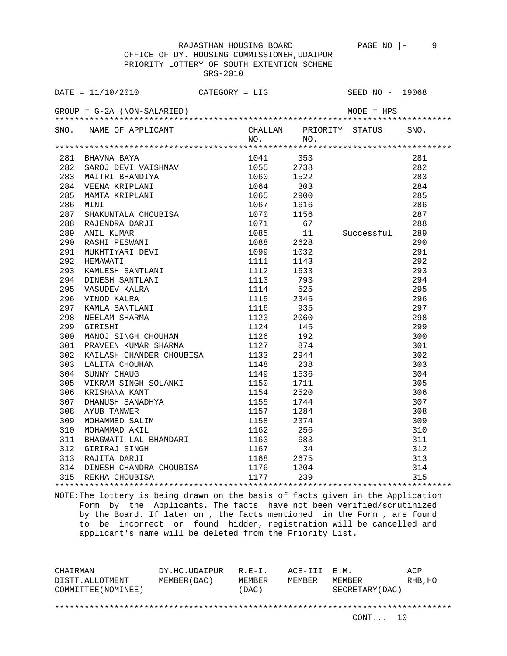OFFICE OF DY. HOUSING COMMISSIONER,UDAIPUR PRIORITY LOTTERY OF SOUTH EXTENTION SCHEME SRS-2010

| DATE = $11/10/2010$ CATEGORY = LIG SEED NO - 19068                                                                                                                                                                                                                                                                                                                          |           |    |                              |  |
|-----------------------------------------------------------------------------------------------------------------------------------------------------------------------------------------------------------------------------------------------------------------------------------------------------------------------------------------------------------------------------|-----------|----|------------------------------|--|
|                                                                                                                                                                                                                                                                                                                                                                             |           |    |                              |  |
| SNO. NAME OF APPLICANT                                                                                                                                                                                                                                                                                                                                                      | $NO.$ NO. |    | CHALLAN PRIORITY STATUS SNO. |  |
| $\begin{tabular}{lcccc} \texttt{R1111} & \texttt{R121} & \texttt{R131} & \texttt{R131} & \texttt{R132} & \texttt{0141} & \texttt{0141} & \texttt{0141} & \texttt{0141} & \texttt{0141} & \texttt{0141} & \texttt{0141} & \texttt{0141} & \texttt{0141} & \texttt{0141} & \texttt{0141} & \texttt{0141} & \texttt{0141} & \texttt{0141} & \texttt{0141} & \texttt{0141} & \$ |           |    |                              |  |
|                                                                                                                                                                                                                                                                                                                                                                             |           |    |                              |  |
|                                                                                                                                                                                                                                                                                                                                                                             |           |    |                              |  |
|                                                                                                                                                                                                                                                                                                                                                                             |           |    |                              |  |
|                                                                                                                                                                                                                                                                                                                                                                             |           |    |                              |  |
|                                                                                                                                                                                                                                                                                                                                                                             |           |    |                              |  |
|                                                                                                                                                                                                                                                                                                                                                                             |           |    |                              |  |
|                                                                                                                                                                                                                                                                                                                                                                             |           |    |                              |  |
|                                                                                                                                                                                                                                                                                                                                                                             |           |    |                              |  |
|                                                                                                                                                                                                                                                                                                                                                                             |           |    |                              |  |
|                                                                                                                                                                                                                                                                                                                                                                             |           |    |                              |  |
|                                                                                                                                                                                                                                                                                                                                                                             |           |    |                              |  |
|                                                                                                                                                                                                                                                                                                                                                                             |           |    |                              |  |
|                                                                                                                                                                                                                                                                                                                                                                             |           |    |                              |  |
|                                                                                                                                                                                                                                                                                                                                                                             |           |    |                              |  |
|                                                                                                                                                                                                                                                                                                                                                                             |           |    |                              |  |
|                                                                                                                                                                                                                                                                                                                                                                             |           |    |                              |  |
|                                                                                                                                                                                                                                                                                                                                                                             |           |    |                              |  |
|                                                                                                                                                                                                                                                                                                                                                                             |           |    |                              |  |
|                                                                                                                                                                                                                                                                                                                                                                             |           |    |                              |  |
| 300 MANOJ SINGH CHOUHAN 1126 192                                                                                                                                                                                                                                                                                                                                            |           |    |                              |  |
|                                                                                                                                                                                                                                                                                                                                                                             |           |    |                              |  |
|                                                                                                                                                                                                                                                                                                                                                                             |           |    |                              |  |
|                                                                                                                                                                                                                                                                                                                                                                             |           |    |                              |  |
|                                                                                                                                                                                                                                                                                                                                                                             |           |    |                              |  |
|                                                                                                                                                                                                                                                                                                                                                                             |           |    |                              |  |
|                                                                                                                                                                                                                                                                                                                                                                             |           |    |                              |  |
|                                                                                                                                                                                                                                                                                                                                                                             |           |    |                              |  |
|                                                                                                                                                                                                                                                                                                                                                                             |           |    |                              |  |
|                                                                                                                                                                                                                                                                                                                                                                             |           |    |                              |  |
|                                                                                                                                                                                                                                                                                                                                                                             |           |    |                              |  |
|                                                                                                                                                                                                                                                                                                                                                                             |           |    |                              |  |
|                                                                                                                                                                                                                                                                                                                                                                             |           | 34 |                              |  |
|                                                                                                                                                                                                                                                                                                                                                                             |           |    |                              |  |
| $\begin{tabular}{llllll} 314 & DINESH CHANDRA CHOUBISA & 1176 & 1204 \\ 315 & REKHA CHOUBISA & 1177 & 239 \\ \end{tabular}$                                                                                                                                                                                                                                                 |           |    |                              |  |
|                                                                                                                                                                                                                                                                                                                                                                             |           |    |                              |  |
|                                                                                                                                                                                                                                                                                                                                                                             |           |    |                              |  |

NOTE:The lottery is being drawn on the basis of facts given in the Application Form by the Applicants. The facts have not been verified/scrutinized by the Board. If later on , the facts mentioned in the Form , are found to be incorrect or found hidden, registration will be cancelled and applicant's name will be deleted from the Priority List.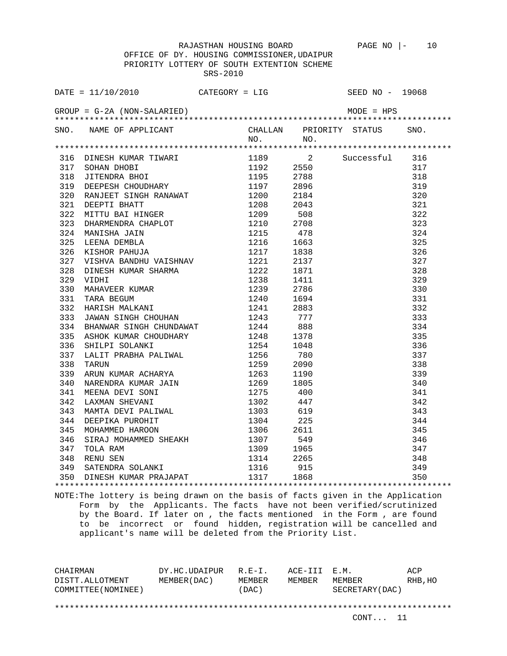OFFICE OF DY. HOUSING COMMISSIONER,UDAIPUR PRIORITY LOTTERY OF SOUTH EXTENTION SCHEME SRS-2010

|     | DATE = $11/10/2010$ CATEGORY = LIG                                                                                                                                                                              |           |      | SEED NO - 19068   |     |
|-----|-----------------------------------------------------------------------------------------------------------------------------------------------------------------------------------------------------------------|-----------|------|-------------------|-----|
|     |                                                                                                                                                                                                                 |           |      |                   |     |
|     | SNO. NAME OF APPLICANT CHALLAN PRIORITY STATUS SNO.<br>NO. NO.                                                                                                                                                  |           |      |                   |     |
|     |                                                                                                                                                                                                                 |           |      |                   |     |
|     |                                                                                                                                                                                                                 |           |      | 1189 2 Successful | 316 |
|     |                                                                                                                                                                                                                 | 1192 2550 |      |                   | 317 |
|     |                                                                                                                                                                                                                 |           |      |                   | 318 |
|     |                                                                                                                                                                                                                 |           |      |                   | 319 |
|     |                                                                                                                                                                                                                 |           |      |                   | 320 |
|     |                                                                                                                                                                                                                 |           |      |                   | 321 |
|     |                                                                                                                                                                                                                 |           |      |                   | 322 |
|     |                                                                                                                                                                                                                 |           |      |                   | 323 |
|     |                                                                                                                                                                                                                 |           |      |                   | 324 |
|     |                                                                                                                                                                                                                 |           |      |                   | 325 |
|     |                                                                                                                                                                                                                 |           |      |                   | 326 |
| 327 |                                                                                                                                                                                                                 |           | 2137 |                   | 327 |
| 328 |                                                                                                                                                                                                                 |           | 1871 |                   | 328 |
| 329 |                                                                                                                                                                                                                 |           | 1411 |                   | 329 |
| 330 | XISHOR PAHUJA<br>VISHVA BANDHU VAISHNAV 1221<br>DINESH KUMAR SHARMA 1222<br>VIDHI 1238<br>MAHAVEER KUMAR 1239<br>TARA BEGUM 1240<br>HARISH MALKANI 1241<br>JAWAN SINGH CHOUHAN 1241<br>JAWAN SINGH CHOUHAN 1243 |           | 2786 |                   | 330 |
| 331 |                                                                                                                                                                                                                 |           | 1694 |                   | 331 |
| 332 |                                                                                                                                                                                                                 |           | 2883 |                   | 332 |
| 333 |                                                                                                                                                                                                                 |           | 777  |                   | 333 |
| 334 | BHANWAR SINGH CHUNDAWAT 1244 888                                                                                                                                                                                |           |      |                   | 334 |
| 335 |                                                                                                                                                                                                                 |           |      |                   | 335 |
| 336 |                                                                                                                                                                                                                 |           |      |                   | 336 |
| 337 |                                                                                                                                                                                                                 |           |      |                   | 337 |
| 338 |                                                                                                                                                                                                                 |           |      |                   | 338 |
| 339 |                                                                                                                                                                                                                 |           |      |                   | 339 |
| 340 |                                                                                                                                                                                                                 |           |      |                   | 340 |
| 341 |                                                                                                                                                                                                                 |           |      |                   | 341 |
| 342 |                                                                                                                                                                                                                 |           |      |                   | 342 |
| 343 |                                                                                                                                                                                                                 |           |      |                   | 343 |
| 344 |                                                                                                                                                                                                                 |           |      |                   | 344 |
| 345 |                                                                                                                                                                                                                 |           |      |                   | 345 |
| 346 |                                                                                                                                                                                                                 |           |      |                   | 346 |
| 347 |                                                                                                                                                                                                                 |           |      |                   | 347 |
| 348 |                                                                                                                                                                                                                 |           |      |                   | 348 |
| 349 |                                                                                                                                                                                                                 |           |      |                   | 349 |
|     | 350 DINESH KUMAR PRAJAPAT                                                                                                                                                                                       | 1317 1868 |      |                   | 350 |
|     |                                                                                                                                                                                                                 |           |      |                   |     |

NOTE:The lottery is being drawn on the basis of facts given in the Application Form by the Applicants. The facts have not been verified/scrutinized by the Board. If later on , the facts mentioned in the Form , are found to be incorrect or found hidden, registration will be cancelled and applicant's name will be deleted from the Priority List.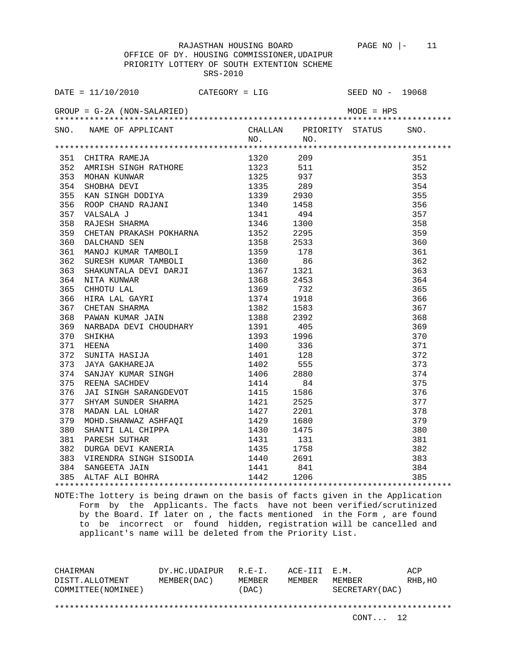OFFICE OF DY. HOUSING COMMISSIONER,UDAIPUR PRIORITY LOTTERY OF SOUTH EXTENTION SCHEME SRS-2010

| SNO. NAME OF APPLICANT CHALLAN PRIORITY STATUS SNO.<br>NO. NO.                                                                                                                                                                |  |  |  |
|-------------------------------------------------------------------------------------------------------------------------------------------------------------------------------------------------------------------------------|--|--|--|
|                                                                                                                                                                                                                               |  |  |  |
|                                                                                                                                                                                                                               |  |  |  |
|                                                                                                                                                                                                                               |  |  |  |
|                                                                                                                                                                                                                               |  |  |  |
|                                                                                                                                                                                                                               |  |  |  |
|                                                                                                                                                                                                                               |  |  |  |
|                                                                                                                                                                                                                               |  |  |  |
|                                                                                                                                                                                                                               |  |  |  |
|                                                                                                                                                                                                                               |  |  |  |
|                                                                                                                                                                                                                               |  |  |  |
|                                                                                                                                                                                                                               |  |  |  |
|                                                                                                                                                                                                                               |  |  |  |
|                                                                                                                                                                                                                               |  |  |  |
|                                                                                                                                                                                                                               |  |  |  |
|                                                                                                                                                                                                                               |  |  |  |
|                                                                                                                                                                                                                               |  |  |  |
|                                                                                                                                                                                                                               |  |  |  |
|                                                                                                                                                                                                                               |  |  |  |
|                                                                                                                                                                                                                               |  |  |  |
|                                                                                                                                                                                                                               |  |  |  |
|                                                                                                                                                                                                                               |  |  |  |
|                                                                                                                                                                                                                               |  |  |  |
|                                                                                                                                                                                                                               |  |  |  |
|                                                                                                                                                                                                                               |  |  |  |
|                                                                                                                                                                                                                               |  |  |  |
|                                                                                                                                                                                                                               |  |  |  |
|                                                                                                                                                                                                                               |  |  |  |
|                                                                                                                                                                                                                               |  |  |  |
|                                                                                                                                                                                                                               |  |  |  |
|                                                                                                                                                                                                                               |  |  |  |
|                                                                                                                                                                                                                               |  |  |  |
|                                                                                                                                                                                                                               |  |  |  |
|                                                                                                                                                                                                                               |  |  |  |
|                                                                                                                                                                                                                               |  |  |  |
|                                                                                                                                                                                                                               |  |  |  |
|                                                                                                                                                                                                                               |  |  |  |
| 411 - 111 - 112 - 112 - 112 - 112 - 112 - 112 - 112 - 112 - 112 - 112 - 112 - 112 - 112 - 112 - 112 - 112 - 112 - 112 - 112 - 112 - 112 - 112 - 112 - 112 - 112 - 112 - 112 - 112 - 112 - 112 - 112 - 112 - 112 - 112 - 112 - |  |  |  |
|                                                                                                                                                                                                                               |  |  |  |

NOTE:The lottery is being drawn on the basis of facts given in the Application Form by the Applicants. The facts have not been verified/scrutinized by the Board. If later on , the facts mentioned in the Form , are found to be incorrect or found hidden, registration will be cancelled and applicant's name will be deleted from the Priority List.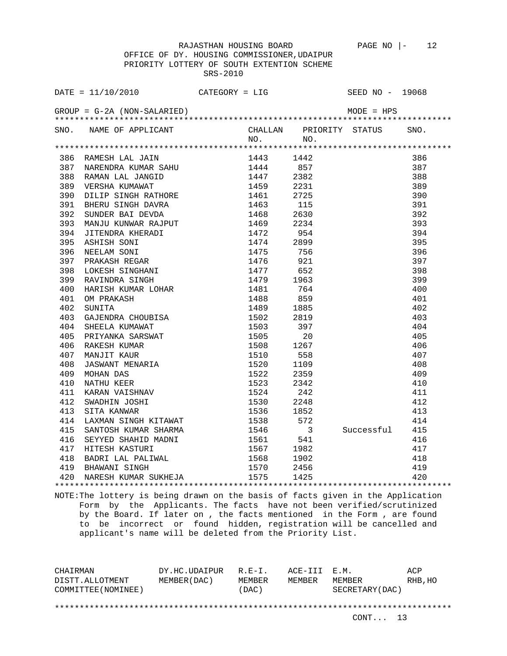OFFICE OF DY. HOUSING COMMISSIONER,UDAIPUR PRIORITY LOTTERY OF SOUTH EXTENTION SCHEME SRS-2010

| DATE = $11/10/2010$ CATEGORY = LIG                                                                                                                                                                                                         |         |     | SEED NO - 19068              |     |
|--------------------------------------------------------------------------------------------------------------------------------------------------------------------------------------------------------------------------------------------|---------|-----|------------------------------|-----|
| $GROUP = G-2A (NON-SALARIED)$                                                                                                                                                                                                              |         |     | $MODE = HPS$                 |     |
| SNO. NAME OF APPLICANT                                                                                                                                                                                                                     |         |     | CHALLAN PRIORITY STATUS SNO. |     |
|                                                                                                                                                                                                                                            | NO. NO. |     |                              |     |
|                                                                                                                                                                                                                                            |         |     |                              |     |
| 386 RAMESH LAL JAIN $1443$ 1442<br>387 NARENDRA KUMAR SAHU 1444 857<br>388 RAMAN LAL JANGID 1447 2382<br>389 VERSHA KUMAWAT 1459 2231<br>390 DILIP SINGH RATHORE 1461 2725<br>391 BHERU SINGH DAVRA 1463 115<br>392 SUNDER BAI DEVDA 1468  |         |     |                              | 386 |
|                                                                                                                                                                                                                                            |         | 857 |                              | 387 |
|                                                                                                                                                                                                                                            |         |     |                              | 388 |
|                                                                                                                                                                                                                                            |         |     |                              | 389 |
|                                                                                                                                                                                                                                            |         |     |                              | 390 |
|                                                                                                                                                                                                                                            |         |     |                              | 391 |
|                                                                                                                                                                                                                                            |         |     |                              | 392 |
|                                                                                                                                                                                                                                            |         |     |                              | 393 |
|                                                                                                                                                                                                                                            |         |     |                              | 394 |
|                                                                                                                                                                                                                                            |         |     |                              | 395 |
|                                                                                                                                                                                                                                            |         |     |                              | 396 |
|                                                                                                                                                                                                                                            |         |     |                              | 397 |
|                                                                                                                                                                                                                                            |         |     |                              | 398 |
|                                                                                                                                                                                                                                            |         |     |                              | 399 |
|                                                                                                                                                                                                                                            |         |     |                              | 400 |
|                                                                                                                                                                                                                                            |         |     |                              | 401 |
|                                                                                                                                                                                                                                            |         |     |                              | 402 |
|                                                                                                                                                                                                                                            |         |     |                              | 403 |
|                                                                                                                                                                                                                                            |         |     |                              | 404 |
|                                                                                                                                                                                                                                            |         |     |                              | 405 |
|                                                                                                                                                                                                                                            |         |     |                              | 406 |
|                                                                                                                                                                                                                                            |         |     |                              | 407 |
|                                                                                                                                                                                                                                            |         |     |                              | 408 |
|                                                                                                                                                                                                                                            |         |     |                              | 409 |
|                                                                                                                                                                                                                                            |         |     |                              | 410 |
|                                                                                                                                                                                                                                            |         |     |                              | 411 |
|                                                                                                                                                                                                                                            |         |     |                              | 412 |
|                                                                                                                                                                                                                                            |         |     |                              | 413 |
| 414 LAXMAN SINGH KITAWAT 1538                                                                                                                                                                                                              |         | 572 |                              | 414 |
|                                                                                                                                                                                                                                            |         |     | Successful 415               |     |
|                                                                                                                                                                                                                                            |         |     |                              | 416 |
|                                                                                                                                                                                                                                            |         |     |                              | 417 |
|                                                                                                                                                                                                                                            |         |     |                              | 418 |
|                                                                                                                                                                                                                                            |         |     |                              | 419 |
| 414 LAAMAN SINGH ATIAWAI 15350 572<br>415 SANTOSH KUMAR SHARMA 1546 3 Successful<br>416 SEYYED SHAHID MADNI 1561 541<br>417 HITESH KASTURI 1567 1982<br>418 BADRI LAL PALIWAL 1568 1902<br>419 BHAWANI SINGH 1570 2456<br>420 NARESH KUMAR |         |     |                              | 420 |
|                                                                                                                                                                                                                                            |         |     |                              |     |

NOTE:The lottery is being drawn on the basis of facts given in the Application Form by the Applicants. The facts have not been verified/scrutinized by the Board. If later on , the facts mentioned in the Form , are found to be incorrect or found hidden, registration will be cancelled and applicant's name will be deleted from the Priority List.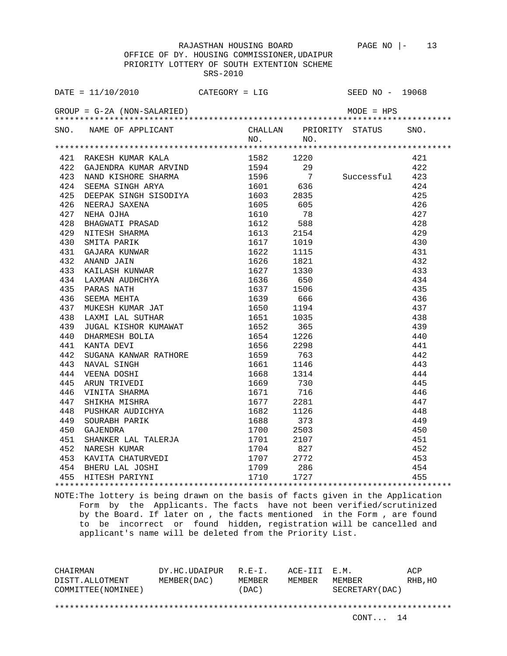OFFICE OF DY. HOUSING COMMISSIONER,UDAIPUR PRIORITY LOTTERY OF SOUTH EXTENTION SCHEME SRS-2010

|     | DATE = $11/10/2010$ CATEGORY = LIG                 |           |    | SEED NO - 19068              |     |
|-----|----------------------------------------------------|-----------|----|------------------------------|-----|
|     | $GROUP = G-2A (NON-SALARIED)$                      |           |    |                              |     |
|     |                                                    |           |    | CHALLAN PRIORITY STATUS SNO. |     |
|     | SNO. NAME OF APPLICANT                             | NO. NO.   |    |                              |     |
|     |                                                    |           |    |                              |     |
|     | 421 RAKESH KUMAR KALA<br>422 GAJENDRA KUMAR ARVIND | 1582 1220 |    |                              | 421 |
|     | 422 GAJENDRA KUMAR ARVIND                          | 1594      | 29 |                              | 422 |
|     | 423 NAND KISHORE SHARMA 1596 7 Successful 423      |           |    |                              |     |
|     |                                                    |           |    |                              | 424 |
|     |                                                    |           |    |                              | 425 |
|     |                                                    |           |    |                              | 426 |
|     |                                                    |           |    |                              | 427 |
|     |                                                    |           |    |                              | 428 |
|     |                                                    |           |    |                              | 429 |
|     |                                                    |           |    |                              | 430 |
|     |                                                    |           |    |                              | 431 |
|     |                                                    |           |    |                              | 432 |
|     |                                                    |           |    |                              | 433 |
|     |                                                    |           |    |                              | 434 |
|     |                                                    |           |    |                              | 435 |
|     |                                                    |           |    |                              | 436 |
|     |                                                    |           |    |                              | 437 |
|     |                                                    |           |    |                              | 438 |
|     |                                                    |           |    |                              | 439 |
|     |                                                    |           |    |                              | 440 |
|     |                                                    |           |    |                              | 441 |
| 442 |                                                    |           |    |                              | 442 |
| 443 |                                                    |           |    |                              | 443 |
| 444 |                                                    |           |    |                              | 444 |
| 445 |                                                    |           |    |                              | 445 |
| 446 |                                                    |           |    |                              | 446 |
| 447 |                                                    |           |    |                              | 447 |
| 448 |                                                    |           |    |                              | 448 |
| 449 |                                                    |           |    |                              | 449 |
|     |                                                    |           |    |                              | 450 |
|     |                                                    |           |    |                              | 451 |
|     |                                                    |           |    |                              | 452 |
|     |                                                    |           |    |                              | 453 |
|     |                                                    |           |    |                              | 454 |
|     |                                                    |           |    |                              | 455 |
|     |                                                    |           |    |                              |     |

NOTE:The lottery is being drawn on the basis of facts given in the Application Form by the Applicants. The facts have not been verified/scrutinized by the Board. If later on , the facts mentioned in the Form , are found to be incorrect or found hidden, registration will be cancelled and applicant's name will be deleted from the Priority List.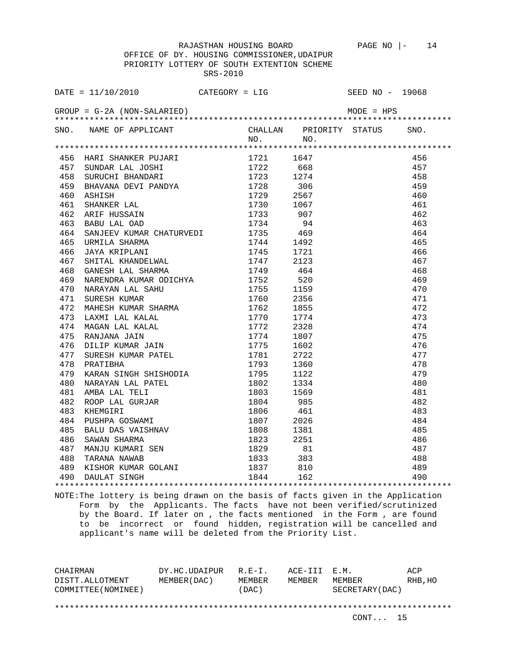OFFICE OF DY. HOUSING COMMISSIONER,UDAIPUR PRIORITY LOTTERY OF SOUTH EXTENTION SCHEME SRS-2010

|     | DATE = $11/10/2010$ CATEGORY = LIG                                                                                                                                                                                                                 |                     |      | SEED NO - 19068                                                             |      |
|-----|----------------------------------------------------------------------------------------------------------------------------------------------------------------------------------------------------------------------------------------------------|---------------------|------|-----------------------------------------------------------------------------|------|
|     | $GROUP = G-2A (NON-SALARIED)$                                                                                                                                                                                                                      |                     |      | $MODE = HPS$                                                                |      |
|     | SNO. NAME OF APPLICANT                                                                                                                                                                                                                             |                     |      | CHALLAN PRIORITY STATUS                                                     | SNO. |
|     |                                                                                                                                                                                                                                                    | $NO.$ NO.           |      |                                                                             |      |
|     | A A SANTELIAN MARI CHARMA (1744 1923)<br>466 NARI SHANKER PUJARI (1721 1647 1722 668 SURUCHI BHANDARI (1722 668 1724 1723 1274 169 BHAVANA DEVI PANDYA (1728 306 1729 2567 161 SHANKER LAL (1730 1067 1733 907 163 BABU LAL OND                    |                     |      |                                                                             |      |
|     |                                                                                                                                                                                                                                                    |                     |      |                                                                             | 456  |
|     |                                                                                                                                                                                                                                                    |                     | 668  |                                                                             | 457  |
|     |                                                                                                                                                                                                                                                    |                     |      |                                                                             | 458  |
|     |                                                                                                                                                                                                                                                    |                     |      |                                                                             | 459  |
|     |                                                                                                                                                                                                                                                    |                     |      |                                                                             | 460  |
|     |                                                                                                                                                                                                                                                    |                     |      |                                                                             | 461  |
|     |                                                                                                                                                                                                                                                    |                     |      |                                                                             | 462  |
|     |                                                                                                                                                                                                                                                    |                     |      |                                                                             | 463  |
|     |                                                                                                                                                                                                                                                    |                     |      |                                                                             | 464  |
|     |                                                                                                                                                                                                                                                    |                     |      |                                                                             | 465  |
|     |                                                                                                                                                                                                                                                    |                     |      |                                                                             | 466  |
|     |                                                                                                                                                                                                                                                    |                     |      |                                                                             | 467  |
|     |                                                                                                                                                                                                                                                    |                     |      |                                                                             | 468  |
| 469 | NARENDRA KUMAR ODICHYA 1752                                                                                                                                                                                                                        |                     | 520  |                                                                             | 469  |
| 470 | NARENDRA KUMAR ODICHIN (1752 1856)<br>NARAYAN LAL SAHU (1755 1159<br>SURESH KUMAR SHARMA (1760 2356<br>MAHESH KUMAR SHARMA (1762 1855<br>LAXMI LAL KALAL (1770 1774<br>MAGAN LAL KALAL (1772 2328<br>RANJANA JAIN (1775 1602<br>SURESH KUMAR       |                     |      |                                                                             | 470  |
| 471 |                                                                                                                                                                                                                                                    |                     |      |                                                                             | 471  |
| 472 |                                                                                                                                                                                                                                                    |                     |      |                                                                             | 472  |
| 473 |                                                                                                                                                                                                                                                    |                     |      |                                                                             | 473  |
| 474 |                                                                                                                                                                                                                                                    |                     |      |                                                                             | 474  |
| 475 |                                                                                                                                                                                                                                                    |                     |      |                                                                             | 475  |
| 476 |                                                                                                                                                                                                                                                    |                     |      |                                                                             | 476  |
| 477 |                                                                                                                                                                                                                                                    |                     |      |                                                                             | 477  |
| 478 | PRATIBHA                                                                                                                                                                                                                                           | 1793                | 1360 |                                                                             | 478  |
| 479 |                                                                                                                                                                                                                                                    |                     | 1122 |                                                                             | 479  |
| 480 |                                                                                                                                                                                                                                                    |                     | 1334 |                                                                             | 480  |
| 481 |                                                                                                                                                                                                                                                    | 1803                | 1569 |                                                                             | 481  |
| 482 |                                                                                                                                                                                                                                                    | 1804                | 985  |                                                                             | 482  |
| 483 |                                                                                                                                                                                                                                                    |                     | 461  |                                                                             | 483  |
| 484 |                                                                                                                                                                                                                                                    | 1807                | 2026 |                                                                             | 484  |
| 485 |                                                                                                                                                                                                                                                    | 1808                | 1381 |                                                                             |      |
| 486 |                                                                                                                                                                                                                                                    | 1823 2251           |      |                                                                             |      |
| 487 |                                                                                                                                                                                                                                                    |                     |      |                                                                             |      |
| 488 | PRATIBHA 1793<br>KARAN SINGH SHISHODIA 1795<br>NARAYAN LAL PATEL 1802<br>AMBA LAL TELI 1803<br>ROOP LAL GURJAR 1804<br>KHEMGIRI 1806<br>PUSHPA GOSWAMI 1807<br>BALU DAS VAISHNAV 1808<br>SAWAN SHARMA 1823<br>MANJU KUMARI SEN 1829<br>TARANA NAWA | 1829 81<br>1833 383 |      |                                                                             |      |
|     |                                                                                                                                                                                                                                                    |                     |      |                                                                             |      |
|     |                                                                                                                                                                                                                                                    |                     |      | $\begin{array}{r}485 \\ 486 \\ 487 \\ 488 \\ 488 \\ 489 \\ 490 \end{array}$ |      |
|     |                                                                                                                                                                                                                                                    |                     |      |                                                                             |      |

NOTE:The lottery is being drawn on the basis of facts given in the Application Form by the Applicants. The facts have not been verified/scrutinized by the Board. If later on , the facts mentioned in the Form , are found to be incorrect or found hidden, registration will be cancelled and applicant's name will be deleted from the Priority List.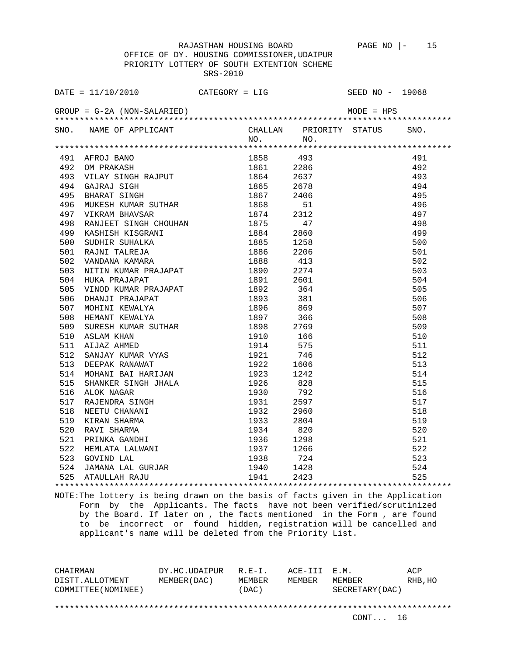OFFICE OF DY. HOUSING COMMISSIONER,UDAIPUR PRIORITY LOTTERY OF SOUTH EXTENTION SCHEME SRS-2010

| DATE = $11/10/2010$ CATEGORY = LIG<br>SNO. NAME OF APPLICANT<br>CHALLAN PRIORITY STATUS<br>SNO.<br>NO. NO.<br>491 AFROJ BANO 1858 493<br>492 OM PRAKASH 1861 2286<br>493 VILAY SINGH RAJPUT 1864 2637<br>494 GAJRAJ SIGH 1865 2678<br>495 BHARAT SINGH 1865 2678<br>495 BHARAT SINGH 1867 2406<br>496 MUKESH KUMAR SUTHAR 1868 51<br>497 VIKRAM BHAVSAR 18<br>491<br>1861 2286<br>492<br>493<br>494<br>495<br>496<br>497<br>498<br>499<br>500<br>501<br>502<br>503<br>504<br>505<br>506<br>507<br>508<br>509<br>510<br>511<br>512<br>513<br>514<br>515<br>516<br>517<br>518<br>519<br>520<br>$520$<br>$521$<br>$522$<br>$523$<br>$524$<br>$524$<br>$525$ |  |  | SEED NO - 19068 |  |
|----------------------------------------------------------------------------------------------------------------------------------------------------------------------------------------------------------------------------------------------------------------------------------------------------------------------------------------------------------------------------------------------------------------------------------------------------------------------------------------------------------------------------------------------------------------------------------------------------------------------------------------------------------|--|--|-----------------|--|
|                                                                                                                                                                                                                                                                                                                                                                                                                                                                                                                                                                                                                                                          |  |  |                 |  |
|                                                                                                                                                                                                                                                                                                                                                                                                                                                                                                                                                                                                                                                          |  |  |                 |  |
|                                                                                                                                                                                                                                                                                                                                                                                                                                                                                                                                                                                                                                                          |  |  |                 |  |
|                                                                                                                                                                                                                                                                                                                                                                                                                                                                                                                                                                                                                                                          |  |  |                 |  |
|                                                                                                                                                                                                                                                                                                                                                                                                                                                                                                                                                                                                                                                          |  |  |                 |  |
|                                                                                                                                                                                                                                                                                                                                                                                                                                                                                                                                                                                                                                                          |  |  |                 |  |
|                                                                                                                                                                                                                                                                                                                                                                                                                                                                                                                                                                                                                                                          |  |  |                 |  |
|                                                                                                                                                                                                                                                                                                                                                                                                                                                                                                                                                                                                                                                          |  |  |                 |  |
|                                                                                                                                                                                                                                                                                                                                                                                                                                                                                                                                                                                                                                                          |  |  |                 |  |
|                                                                                                                                                                                                                                                                                                                                                                                                                                                                                                                                                                                                                                                          |  |  |                 |  |
|                                                                                                                                                                                                                                                                                                                                                                                                                                                                                                                                                                                                                                                          |  |  |                 |  |
|                                                                                                                                                                                                                                                                                                                                                                                                                                                                                                                                                                                                                                                          |  |  |                 |  |
|                                                                                                                                                                                                                                                                                                                                                                                                                                                                                                                                                                                                                                                          |  |  |                 |  |
|                                                                                                                                                                                                                                                                                                                                                                                                                                                                                                                                                                                                                                                          |  |  |                 |  |
|                                                                                                                                                                                                                                                                                                                                                                                                                                                                                                                                                                                                                                                          |  |  |                 |  |
|                                                                                                                                                                                                                                                                                                                                                                                                                                                                                                                                                                                                                                                          |  |  |                 |  |
|                                                                                                                                                                                                                                                                                                                                                                                                                                                                                                                                                                                                                                                          |  |  |                 |  |
|                                                                                                                                                                                                                                                                                                                                                                                                                                                                                                                                                                                                                                                          |  |  |                 |  |
|                                                                                                                                                                                                                                                                                                                                                                                                                                                                                                                                                                                                                                                          |  |  |                 |  |
|                                                                                                                                                                                                                                                                                                                                                                                                                                                                                                                                                                                                                                                          |  |  |                 |  |
|                                                                                                                                                                                                                                                                                                                                                                                                                                                                                                                                                                                                                                                          |  |  |                 |  |
|                                                                                                                                                                                                                                                                                                                                                                                                                                                                                                                                                                                                                                                          |  |  |                 |  |
|                                                                                                                                                                                                                                                                                                                                                                                                                                                                                                                                                                                                                                                          |  |  |                 |  |
|                                                                                                                                                                                                                                                                                                                                                                                                                                                                                                                                                                                                                                                          |  |  |                 |  |
|                                                                                                                                                                                                                                                                                                                                                                                                                                                                                                                                                                                                                                                          |  |  |                 |  |
|                                                                                                                                                                                                                                                                                                                                                                                                                                                                                                                                                                                                                                                          |  |  |                 |  |
|                                                                                                                                                                                                                                                                                                                                                                                                                                                                                                                                                                                                                                                          |  |  |                 |  |
|                                                                                                                                                                                                                                                                                                                                                                                                                                                                                                                                                                                                                                                          |  |  |                 |  |
|                                                                                                                                                                                                                                                                                                                                                                                                                                                                                                                                                                                                                                                          |  |  |                 |  |
|                                                                                                                                                                                                                                                                                                                                                                                                                                                                                                                                                                                                                                                          |  |  |                 |  |
|                                                                                                                                                                                                                                                                                                                                                                                                                                                                                                                                                                                                                                                          |  |  |                 |  |
|                                                                                                                                                                                                                                                                                                                                                                                                                                                                                                                                                                                                                                                          |  |  |                 |  |
|                                                                                                                                                                                                                                                                                                                                                                                                                                                                                                                                                                                                                                                          |  |  |                 |  |
|                                                                                                                                                                                                                                                                                                                                                                                                                                                                                                                                                                                                                                                          |  |  |                 |  |
|                                                                                                                                                                                                                                                                                                                                                                                                                                                                                                                                                                                                                                                          |  |  |                 |  |
|                                                                                                                                                                                                                                                                                                                                                                                                                                                                                                                                                                                                                                                          |  |  |                 |  |
|                                                                                                                                                                                                                                                                                                                                                                                                                                                                                                                                                                                                                                                          |  |  |                 |  |
|                                                                                                                                                                                                                                                                                                                                                                                                                                                                                                                                                                                                                                                          |  |  |                 |  |
|                                                                                                                                                                                                                                                                                                                                                                                                                                                                                                                                                                                                                                                          |  |  |                 |  |
|                                                                                                                                                                                                                                                                                                                                                                                                                                                                                                                                                                                                                                                          |  |  |                 |  |

NOTE:The lottery is being drawn on the basis of facts given in the Application Form by the Applicants. The facts have not been verified/scrutinized by the Board. If later on , the facts mentioned in the Form , are found to be incorrect or found hidden, registration will be cancelled and applicant's name will be deleted from the Priority List.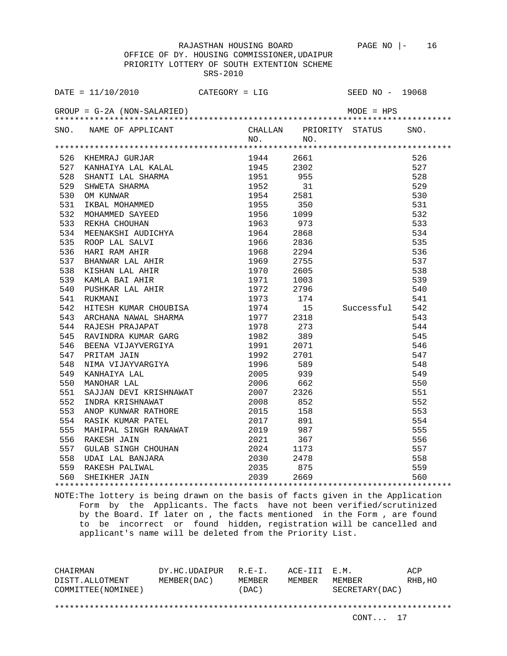OFFICE OF DY. HOUSING COMMISSIONER,UDAIPUR PRIORITY LOTTERY OF SOUTH EXTENTION SCHEME SRS-2010

| DATE = $11/10/2010$ CATEGORY = LIG                                                                                                                                                                                                       |           | SEED NO - 19068              |  |
|------------------------------------------------------------------------------------------------------------------------------------------------------------------------------------------------------------------------------------------|-----------|------------------------------|--|
|                                                                                                                                                                                                                                          |           |                              |  |
| SNO. NAME OF APPLICANT                                                                                                                                                                                                                   |           | CHALLAN PRIORITY STATUS SNO. |  |
|                                                                                                                                                                                                                                          | $NO.$ NO. |                              |  |
| 1944 2661 526 AMERINA 1944 2661 526 1981 1947<br>1944 2661 526 528 AMATIT LAL SHARMA 1945 2302 527 AMATIT LAL SHARMA 1951 955<br>528 SHMETA SHARMA 1955 31 529<br>529 SHMETA SHARMA 1952 31 529<br>530 OM KUNNAR 1954 2581 530<br>531 IK |           |                              |  |
|                                                                                                                                                                                                                                          |           |                              |  |
|                                                                                                                                                                                                                                          |           |                              |  |
|                                                                                                                                                                                                                                          |           |                              |  |
|                                                                                                                                                                                                                                          |           |                              |  |
|                                                                                                                                                                                                                                          |           |                              |  |
|                                                                                                                                                                                                                                          |           |                              |  |
|                                                                                                                                                                                                                                          |           |                              |  |
|                                                                                                                                                                                                                                          |           |                              |  |
|                                                                                                                                                                                                                                          |           |                              |  |
|                                                                                                                                                                                                                                          |           |                              |  |
|                                                                                                                                                                                                                                          |           |                              |  |
|                                                                                                                                                                                                                                          |           |                              |  |
|                                                                                                                                                                                                                                          |           |                              |  |
|                                                                                                                                                                                                                                          |           |                              |  |
|                                                                                                                                                                                                                                          |           |                              |  |
|                                                                                                                                                                                                                                          | 1973 174  |                              |  |
|                                                                                                                                                                                                                                          |           |                              |  |
|                                                                                                                                                                                                                                          |           |                              |  |
|                                                                                                                                                                                                                                          |           |                              |  |
|                                                                                                                                                                                                                                          |           |                              |  |
|                                                                                                                                                                                                                                          |           |                              |  |
|                                                                                                                                                                                                                                          |           |                              |  |
|                                                                                                                                                                                                                                          |           |                              |  |
|                                                                                                                                                                                                                                          |           |                              |  |
|                                                                                                                                                                                                                                          |           |                              |  |
|                                                                                                                                                                                                                                          |           |                              |  |
|                                                                                                                                                                                                                                          |           |                              |  |
| 553 ANOP KUNWAR RATHORE 2015 158                                                                                                                                                                                                         |           |                              |  |
| 554 RASIK KUMAR PATEL 2017 891                                                                                                                                                                                                           |           |                              |  |
|                                                                                                                                                                                                                                          |           |                              |  |
|                                                                                                                                                                                                                                          |           |                              |  |
|                                                                                                                                                                                                                                          |           |                              |  |
|                                                                                                                                                                                                                                          |           |                              |  |
|                                                                                                                                                                                                                                          |           |                              |  |
|                                                                                                                                                                                                                                          |           |                              |  |
|                                                                                                                                                                                                                                          |           |                              |  |

NOTE:The lottery is being drawn on the basis of facts given in the Application Form by the Applicants. The facts have not been verified/scrutinized by the Board. If later on , the facts mentioned in the Form , are found to be incorrect or found hidden, registration will be cancelled and applicant's name will be deleted from the Priority List.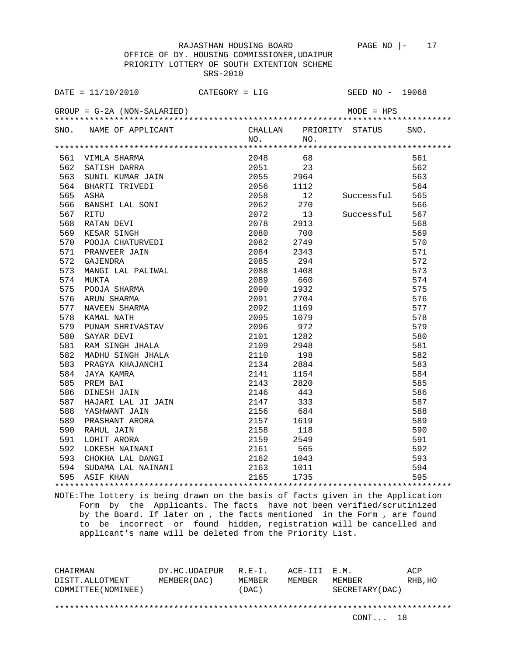OFFICE OF DY. HOUSING COMMISSIONER,UDAIPUR PRIORITY LOTTERY OF SOUTH EXTENTION SCHEME SRS-2010

|     | $\texttt{DATE} = 11/10/2010$ CATEGORY = LIG                                                                                                                                                                                                                                                              |              |              | SEED $NO - 19068$       |      |
|-----|----------------------------------------------------------------------------------------------------------------------------------------------------------------------------------------------------------------------------------------------------------------------------------------------------------|--------------|--------------|-------------------------|------|
|     | $GROUP = G-2A (NON-SALARIED)$                                                                                                                                                                                                                                                                            |              |              | MODE = HPS              |      |
|     | SNO. NAME OF APPLICANT                                                                                                                                                                                                                                                                                   |              |              | CHALLAN PRIORITY STATUS | SNO. |
|     |                                                                                                                                                                                                                                                                                                          |              | NO.<br>NO.   |                         |      |
|     | 1999<br>1999<br>1999<br>1999<br>1999<br>1999<br>1999<br>1999<br>1999<br>1999<br>1999<br>1999<br>1999<br>1999<br>1999<br>1999<br>1999<br>1999<br>1999<br>1999<br>1999<br>1999<br>1999<br>1999<br>1999<br>1999<br>1999<br>1999<br>1999<br>1999<br>1999<br>1999<br>1999<br>1999<br>1999<br>1999<br>1999<br> |              |              |                         |      |
|     |                                                                                                                                                                                                                                                                                                          |              | 2048<br>68   |                         | 561  |
|     |                                                                                                                                                                                                                                                                                                          |              | 2051 23      |                         | 562  |
|     |                                                                                                                                                                                                                                                                                                          |              | 2055 2964    |                         | 563  |
|     |                                                                                                                                                                                                                                                                                                          |              | 2056 1112    | 564<br>Successful 565   |      |
|     |                                                                                                                                                                                                                                                                                                          | 2058         | 12           |                         |      |
|     |                                                                                                                                                                                                                                                                                                          |              | 2062 270     |                         | 566  |
|     |                                                                                                                                                                                                                                                                                                          | 2072         | 13           | Successful              | 567  |
|     |                                                                                                                                                                                                                                                                                                          | 2078         | 2913         |                         | 568  |
|     |                                                                                                                                                                                                                                                                                                          | 2080         | 700          |                         | 569  |
|     |                                                                                                                                                                                                                                                                                                          |              | 2082 2749    |                         | 570  |
| 571 | PRANVEER JAIN                                                                                                                                                                                                                                                                                            |              | 2084<br>2343 |                         | 571  |
| 572 |                                                                                                                                                                                                                                                                                                          | 2085         | 294          |                         | 572  |
| 573 |                                                                                                                                                                                                                                                                                                          | 2088         | 1408         |                         | 573  |
| 574 |                                                                                                                                                                                                                                                                                                          |              | 2089<br>660  |                         | 574  |
| 575 |                                                                                                                                                                                                                                                                                                          |              | 2090<br>1932 |                         | 575  |
| 576 | PRANVEER JAIN<br>GAJENDRA<br>MANGI LAL PALIWAL<br>MUKTA<br>POOJA SHARMA<br>ARUN SHARMA<br>NAVEEN SHARMA<br>KAMAL NATH<br>PUNAM SHRIVASTAV                                                                                                                                                                | 2091         | 2704         |                         | 576  |
| 577 |                                                                                                                                                                                                                                                                                                          | 2092         | 1169         |                         | 577  |
| 578 |                                                                                                                                                                                                                                                                                                          |              | 2095<br>1079 |                         | 578  |
| 579 |                                                                                                                                                                                                                                                                                                          |              | 2096<br>972  |                         | 579  |
| 580 | SAYAR DEVI<br>RAM SINGH JHALA<br>MADHU SINGH JHALA                                                                                                                                                                                                                                                       | 2101         | 1282         |                         | 580  |
| 581 |                                                                                                                                                                                                                                                                                                          | 2109         | 2948         |                         | 581  |
| 582 |                                                                                                                                                                                                                                                                                                          |              | 2110<br>198  |                         | 582  |
| 583 |                                                                                                                                                                                                                                                                                                          |              | 2134<br>2884 |                         | 583  |
| 584 | JAYA KAMRA                                                                                                                                                                                                                                                                                               | 2141         | 1154         |                         | 584  |
| 585 | PRAGYA KHAJANCHI<br>JAYA KAMRA<br>PREM BAI<br>PREM BAI                                                                                                                                                                                                                                                   | 2143         | 2820         |                         | 585  |
| 586 | PREM BAI<br>DINESH JAIN 2146<br>HAJARI LAL JI JAIN 2147<br>YASHWANT JAIN 2156<br>PRASHANT ARORA 2157                                                                                                                                                                                                     |              | 443          |                         | 586  |
| 587 |                                                                                                                                                                                                                                                                                                          |              | 333          |                         | 587  |
| 588 |                                                                                                                                                                                                                                                                                                          |              | 684          |                         | 588  |
| 589 |                                                                                                                                                                                                                                                                                                          |              | 1619         |                         | 589  |
| 590 |                                                                                                                                                                                                                                                                                                          | 2158         | 118          |                         | 590  |
| 591 |                                                                                                                                                                                                                                                                                                          |              | 2159<br>2549 |                         | 591  |
| 592 |                                                                                                                                                                                                                                                                                                          |              | 565          |                         | 592  |
| 593 | RAHUL JAIN<br>LOHIT ARORA<br>LOKESH NAINANI<br>CHOKHA LAL DANGI                                                                                                                                                                                                                                          | 2161<br>2162 | 1043         |                         | 593  |
| 594 |                                                                                                                                                                                                                                                                                                          |              | 1011         |                         | 594  |
|     | 595 ASIF KHAN                                                                                                                                                                                                                                                                                            |              | 1735         |                         | 595  |
|     |                                                                                                                                                                                                                                                                                                          |              |              |                         |      |

NOTE:The lottery is being drawn on the basis of facts given in the Application Form by the Applicants. The facts have not been verified/scrutinized by the Board. If later on , the facts mentioned in the Form , are found to be incorrect or found hidden, registration will be cancelled and applicant's name will be deleted from the Priority List.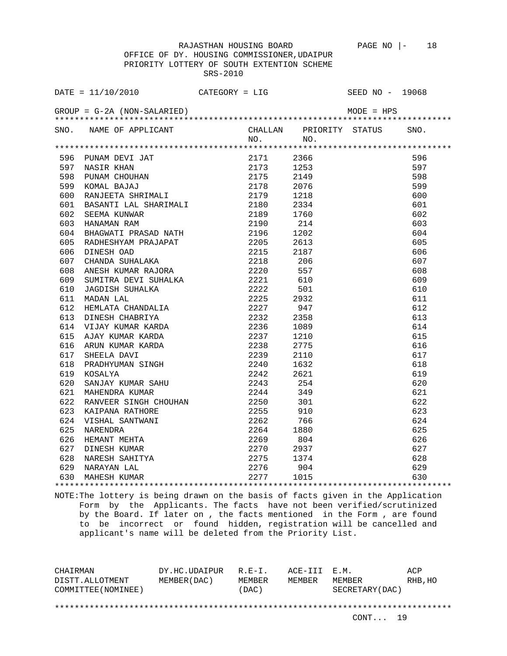OFFICE OF DY. HOUSING COMMISSIONER,UDAIPUR PRIORITY LOTTERY OF SOUTH EXTENTION SCHEME SRS-2010

| DATE = $11/10/2010$ CATEGORY = LIG SEED NO - 19068                                                                                                                                                                                                 |           |                              |
|----------------------------------------------------------------------------------------------------------------------------------------------------------------------------------------------------------------------------------------------------|-----------|------------------------------|
|                                                                                                                                                                                                                                                    |           |                              |
| SNO. NAME OF APPLICANT                                                                                                                                                                                                                             |           | CHALLAN PRIORITY STATUS SNO. |
|                                                                                                                                                                                                                                                    | $NO.$ NO. |                              |
|                                                                                                                                                                                                                                                    |           |                              |
|                                                                                                                                                                                                                                                    |           | 596                          |
|                                                                                                                                                                                                                                                    |           | 597                          |
|                                                                                                                                                                                                                                                    |           | 598                          |
|                                                                                                                                                                                                                                                    |           | 599                          |
|                                                                                                                                                                                                                                                    |           | 600                          |
|                                                                                                                                                                                                                                                    |           | 601                          |
|                                                                                                                                                                                                                                                    |           | 602                          |
|                                                                                                                                                                                                                                                    |           | 603                          |
|                                                                                                                                                                                                                                                    |           | 604                          |
|                                                                                                                                                                                                                                                    |           | 605                          |
|                                                                                                                                                                                                                                                    |           | 606                          |
|                                                                                                                                                                                                                                                    |           | 607                          |
|                                                                                                                                                                                                                                                    |           | 608                          |
|                                                                                                                                                                                                                                                    |           | 609                          |
|                                                                                                                                                                                                                                                    |           | 610                          |
|                                                                                                                                                                                                                                                    |           | 611                          |
|                                                                                                                                                                                                                                                    |           | 612                          |
|                                                                                                                                                                                                                                                    |           | 613                          |
|                                                                                                                                                                                                                                                    |           | 614                          |
|                                                                                                                                                                                                                                                    |           | 615                          |
|                                                                                                                                                                                                                                                    |           | 616                          |
|                                                                                                                                                                                                                                                    |           | 617                          |
|                                                                                                                                                                                                                                                    |           | 618                          |
| 2232 2358<br>615 AJAY KUMAR KARDA<br>615 AJAY KUMAR KARDA<br>616 ARUN KUMAR KARDA<br>617 SHEELA DAVI<br>618 PRADHYUMAN SINGH<br>618 PRADHYUMAN SINGH<br>618 RADHYUMAN SINGH<br>621 SANJAY KUMAR SAHU<br>622 RANJAY KUMAR SAHU<br>622 RANJENDRA KUM |           | 619                          |
|                                                                                                                                                                                                                                                    |           | 620                          |
|                                                                                                                                                                                                                                                    |           | 621                          |
|                                                                                                                                                                                                                                                    |           | 622                          |
|                                                                                                                                                                                                                                                    |           | 623                          |
|                                                                                                                                                                                                                                                    |           | 624                          |
|                                                                                                                                                                                                                                                    |           | 625                          |
|                                                                                                                                                                                                                                                    |           | 626                          |
|                                                                                                                                                                                                                                                    |           | 627                          |
|                                                                                                                                                                                                                                                    |           | 628                          |
|                                                                                                                                                                                                                                                    |           | 629                          |
| 2243 254<br>621 MAHENDRA KUMAR 2243 254<br>622 RANVEER SINGH CHOUHAN 2250 301<br>623 KAIPANA RATHORE 2255 910<br>624 VISHAL SANTWANI 2262 766<br>625 NARENDRA 2264 1880<br>626 HEMANT MEHTA 2269 804<br>627 DINESH KUMAR 2270 2937<br>628 NARE     |           | 630                          |

NOTE:The lottery is being drawn on the basis of facts given in the Application Form by the Applicants. The facts have not been verified/scrutinized by the Board. If later on , the facts mentioned in the Form , are found to be incorrect or found hidden, registration will be cancelled and applicant's name will be deleted from the Priority List.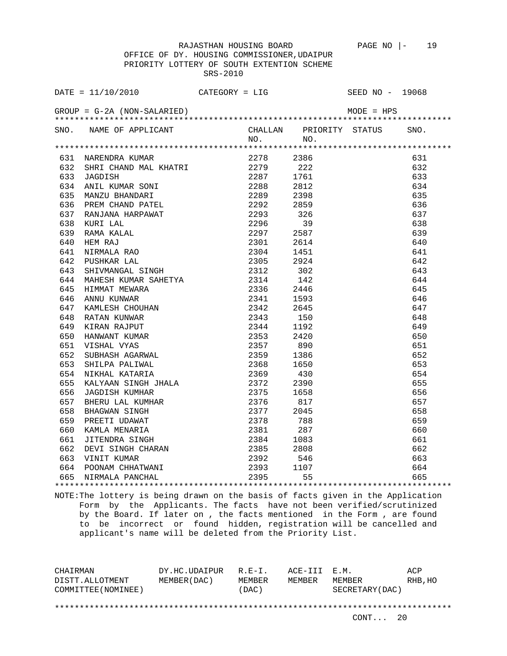OFFICE OF DY. HOUSING COMMISSIONER,UDAIPUR PRIORITY LOTTERY OF SOUTH EXTENTION SCHEME SRS-2010

| DATE = $11/10/2010$ CATEGORY = LIG                                                                                                                                                                                                           |         |                              | SEED NO - 19068 |
|----------------------------------------------------------------------------------------------------------------------------------------------------------------------------------------------------------------------------------------------|---------|------------------------------|-----------------|
| GROUP = G-2A (NON-SALARIED)                                                                                                                                                                                                                  |         |                              | $MODE = HPS$    |
| SNO. NAME OF APPLICANT                                                                                                                                                                                                                       |         | CHALLAN PRIORITY STATUS SNO. |                 |
|                                                                                                                                                                                                                                              | NO. NO. |                              |                 |
|                                                                                                                                                                                                                                              |         |                              |                 |
|                                                                                                                                                                                                                                              |         |                              | 631             |
|                                                                                                                                                                                                                                              |         |                              | 632             |
|                                                                                                                                                                                                                                              |         |                              | 633             |
|                                                                                                                                                                                                                                              |         |                              | 634             |
|                                                                                                                                                                                                                                              |         |                              | 635             |
|                                                                                                                                                                                                                                              |         |                              | 636             |
|                                                                                                                                                                                                                                              |         |                              | 637             |
|                                                                                                                                                                                                                                              |         |                              | 638             |
|                                                                                                                                                                                                                                              |         |                              | 639             |
|                                                                                                                                                                                                                                              |         |                              | 640             |
|                                                                                                                                                                                                                                              |         |                              | 641             |
|                                                                                                                                                                                                                                              |         |                              | 642             |
|                                                                                                                                                                                                                                              |         |                              | 643             |
|                                                                                                                                                                                                                                              |         |                              | 644             |
|                                                                                                                                                                                                                                              |         |                              | 645             |
|                                                                                                                                                                                                                                              |         |                              | 646             |
|                                                                                                                                                                                                                                              |         |                              | 647             |
|                                                                                                                                                                                                                                              |         |                              | 648             |
|                                                                                                                                                                                                                                              |         |                              | 649             |
|                                                                                                                                                                                                                                              |         |                              | 650             |
|                                                                                                                                                                                                                                              |         |                              | 651             |
|                                                                                                                                                                                                                                              |         |                              | 652             |
|                                                                                                                                                                                                                                              |         |                              | 653             |
|                                                                                                                                                                                                                                              |         |                              | 654             |
|                                                                                                                                                                                                                                              |         |                              | 655             |
|                                                                                                                                                                                                                                              |         |                              | 656             |
|                                                                                                                                                                                                                                              |         |                              | 657             |
|                                                                                                                                                                                                                                              |         |                              | 658             |
|                                                                                                                                                                                                                                              |         |                              | 659             |
|                                                                                                                                                                                                                                              |         |                              | 660             |
|                                                                                                                                                                                                                                              |         |                              | 661             |
|                                                                                                                                                                                                                                              |         |                              | 662             |
|                                                                                                                                                                                                                                              |         |                              | 663             |
| 656 JAGDISH KUMHAR $2375$ 1658<br>657 BHERU LAL KUMHAR $2376$ 817<br>658 BHAGWAN SINGH $2377$ 2045<br>659 PREETI UDAWAT 2378 788<br>660 KAMLA MENARIA 2381 287<br>661 JITENDRA SINGH 2384 1083<br>662 DEVI SINGH 2385 2808<br>663 VINIT KUMA |         |                              | 664             |
|                                                                                                                                                                                                                                              |         |                              | 665             |
|                                                                                                                                                                                                                                              |         |                              |                 |

NOTE:The lottery is being drawn on the basis of facts given in the Application Form by the Applicants. The facts have not been verified/scrutinized by the Board. If later on , the facts mentioned in the Form , are found to be incorrect or found hidden, registration will be cancelled and applicant's name will be deleted from the Priority List.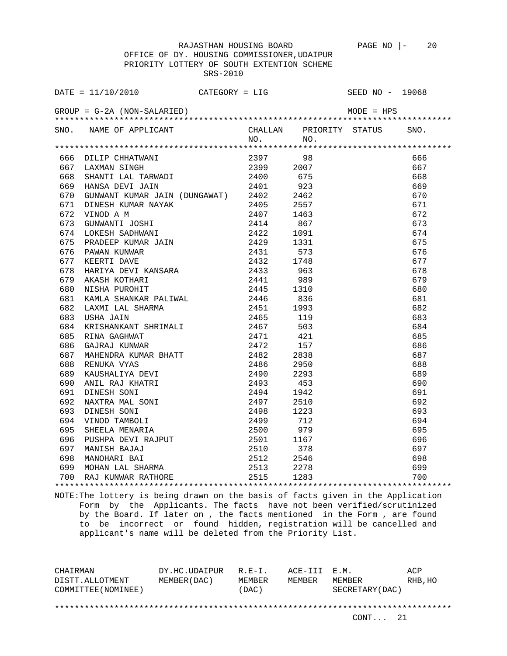|     | DATE = $11/10/2010$ CATEGORY = LIG                                                                                                                                          |           | SEED NO - 19068         |      |
|-----|-----------------------------------------------------------------------------------------------------------------------------------------------------------------------------|-----------|-------------------------|------|
|     | $GROUP = G-2A (NON-SALARIED)$                                                                                                                                               |           | $MODE = HPS$            |      |
|     | SNO. NAME OF APPLICANT                                                                                                                                                      |           | CHALLAN PRIORITY STATUS | SNO. |
|     |                                                                                                                                                                             | $NO.$ NO. |                         |      |
|     |                                                                                                                                                                             |           |                         |      |
|     | 666 DILIP CHHATWANI 2397 98<br>667 LAXMAN SINGH 2399 2007<br>668 SHANTI LAL TARWADI 2400 675<br>669 HANSA DEVI JAIN 2401 923<br>670 GUNWANT KUMAR JAIN (DUNGAWAT) 2402 2462 |           |                         | 666  |
|     |                                                                                                                                                                             |           |                         | 667  |
|     |                                                                                                                                                                             |           |                         | 668  |
|     |                                                                                                                                                                             |           |                         | 669  |
|     |                                                                                                                                                                             |           |                         | 670  |
| 671 |                                                                                                                                                                             |           |                         | 671  |
| 672 |                                                                                                                                                                             |           |                         | 672  |
| 673 |                                                                                                                                                                             |           |                         | 673  |
| 674 |                                                                                                                                                                             |           |                         | 674  |
| 675 |                                                                                                                                                                             |           |                         | 675  |
| 676 |                                                                                                                                                                             |           |                         | 676  |
| 677 |                                                                                                                                                                             |           |                         | 677  |
| 678 |                                                                                                                                                                             |           |                         | 678  |
| 679 |                                                                                                                                                                             |           |                         | 679  |
| 680 |                                                                                                                                                                             |           |                         | 680  |
| 681 |                                                                                                                                                                             |           |                         | 681  |
| 682 |                                                                                                                                                                             |           |                         | 682  |
| 683 |                                                                                                                                                                             |           |                         | 683  |
| 684 |                                                                                                                                                                             |           |                         | 684  |
| 685 |                                                                                                                                                                             |           |                         | 685  |
| 686 |                                                                                                                                                                             |           |                         | 686  |
| 687 |                                                                                                                                                                             |           |                         | 687  |
| 688 |                                                                                                                                                                             |           |                         | 688  |
| 689 |                                                                                                                                                                             |           |                         | 689  |
| 690 |                                                                                                                                                                             |           |                         | 690  |
| 691 |                                                                                                                                                                             |           |                         | 691  |
| 692 |                                                                                                                                                                             |           |                         | 692  |
| 693 |                                                                                                                                                                             |           |                         | 693  |
| 694 |                                                                                                                                                                             |           |                         | 694  |
| 695 |                                                                                                                                                                             |           |                         | 695  |
| 696 |                                                                                                                                                                             |           |                         | 696  |
| 697 |                                                                                                                                                                             |           |                         | 697  |
| 698 |                                                                                                                                                                             |           |                         | 698  |
|     |                                                                                                                                                                             |           |                         | 699  |
|     | 699 MOHAN LAL SHARMA 2513 2278<br>700 RAJ KUNWAR RATHORE 2515 1283                                                                                                          |           |                         | 700  |
|     |                                                                                                                                                                             |           |                         |      |

NOTE:The lottery is being drawn on the basis of facts given in the Application Form by the Applicants. The facts have not been verified/scrutinized by the Board. If later on , the facts mentioned in the Form , are found to be incorrect or found hidden, registration will be cancelled and applicant's name will be deleted from the Priority List.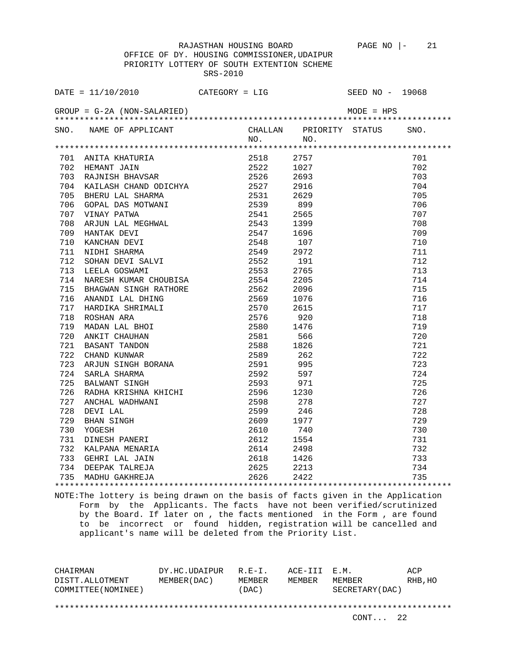OFFICE OF DY. HOUSING COMMISSIONER,UDAIPUR PRIORITY LOTTERY OF SOUTH EXTENTION SCHEME SRS-2010

| DATE = $11/10/2010$ CATEGORY = LIG |         |                              | SEED NO - 19068 |            |
|------------------------------------|---------|------------------------------|-----------------|------------|
| $GROUP = G-2A (NON-SALARIED)$      |         |                              | $MODE = HPS$    |            |
| SNO. NAME OF APPLICANT             | NO. NO. | CHALLAN PRIORITY STATUS SNO. |                 |            |
|                                    |         |                              |                 |            |
|                                    |         |                              |                 | 701        |
|                                    |         |                              |                 | 702        |
|                                    |         |                              |                 | 703        |
|                                    |         |                              |                 | 704        |
|                                    |         |                              |                 | 705        |
|                                    |         |                              |                 | 706        |
|                                    |         |                              |                 | 707        |
|                                    |         |                              |                 | 708        |
|                                    |         |                              |                 | 709        |
|                                    |         |                              |                 | 710        |
|                                    |         |                              |                 | 711        |
|                                    |         |                              |                 | 712        |
|                                    |         |                              |                 | 713        |
|                                    |         |                              |                 | 714        |
|                                    |         |                              |                 | 715        |
|                                    |         |                              |                 | 716        |
|                                    |         |                              |                 | 717        |
|                                    |         |                              |                 | 718        |
|                                    |         |                              |                 | 719        |
|                                    |         |                              |                 | 720        |
|                                    |         |                              |                 | 721        |
|                                    |         |                              |                 | 722        |
|                                    |         |                              |                 | 723        |
|                                    |         |                              |                 | 724        |
|                                    |         |                              |                 | 725        |
|                                    |         |                              |                 | 726        |
|                                    |         |                              |                 | 727        |
|                                    |         |                              |                 | 728        |
|                                    |         |                              |                 | 729        |
|                                    |         |                              |                 | 730        |
|                                    |         |                              |                 | 731        |
|                                    |         |                              |                 | 732        |
|                                    |         |                              |                 | 733        |
|                                    |         |                              |                 | 734<br>735 |
|                                    |         |                              |                 |            |

NOTE:The lottery is being drawn on the basis of facts given in the Application Form by the Applicants. The facts have not been verified/scrutinized by the Board. If later on , the facts mentioned in the Form , are found to be incorrect or found hidden, registration will be cancelled and applicant's name will be deleted from the Priority List.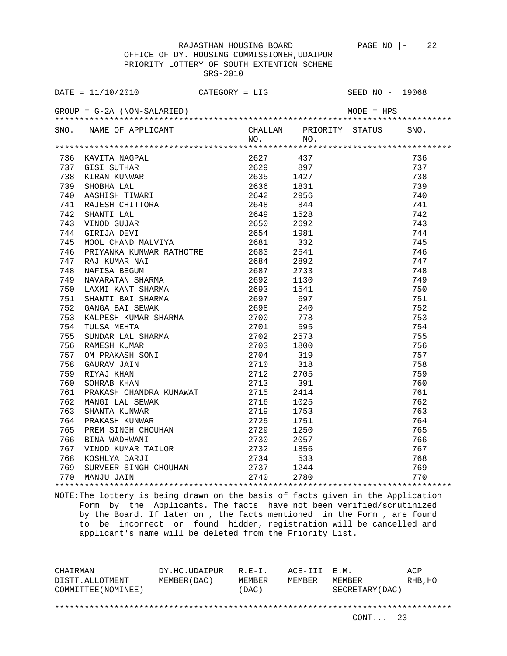|     | DATE = $11/10/2010$ CATEGORY = LIG                                                                                                                                                                                                           |  | SEED NO - 19068 |      |
|-----|----------------------------------------------------------------------------------------------------------------------------------------------------------------------------------------------------------------------------------------------|--|-----------------|------|
|     | $GROUP = G-2A (NON-SALARIED)$                                                                                                                                                                                                                |  | $MODE = HPS$    |      |
|     | SNO. NAME OF APPLICANT                                                                                                                                                                                                                       |  |                 | SNO. |
|     |                                                                                                                                                                                                                                              |  |                 |      |
|     |                                                                                                                                                                                                                                              |  |                 |      |
|     |                                                                                                                                                                                                                                              |  |                 | 736  |
|     |                                                                                                                                                                                                                                              |  |                 | 737  |
|     |                                                                                                                                                                                                                                              |  |                 | 738  |
|     |                                                                                                                                                                                                                                              |  |                 | 739  |
|     |                                                                                                                                                                                                                                              |  |                 | 740  |
|     |                                                                                                                                                                                                                                              |  |                 | 741  |
|     |                                                                                                                                                                                                                                              |  |                 | 742  |
|     |                                                                                                                                                                                                                                              |  |                 | 743  |
|     |                                                                                                                                                                                                                                              |  |                 | 744  |
|     |                                                                                                                                                                                                                                              |  |                 | 745  |
| 746 | PRIYANKA KUNWAR RATHOTRE 2683 2541                                                                                                                                                                                                           |  |                 | 746  |
|     | 747 RAJ KUMAR NAI                                                                                                                                                                                                                            |  |                 | 747  |
| 748 |                                                                                                                                                                                                                                              |  |                 | 748  |
| 749 |                                                                                                                                                                                                                                              |  |                 | 749  |
| 750 |                                                                                                                                                                                                                                              |  |                 | 750  |
| 751 |                                                                                                                                                                                                                                              |  |                 | 751  |
| 752 |                                                                                                                                                                                                                                              |  |                 | 752  |
| 753 |                                                                                                                                                                                                                                              |  |                 | 753  |
| 754 |                                                                                                                                                                                                                                              |  |                 | 754  |
| 755 |                                                                                                                                                                                                                                              |  |                 | 755  |
| 756 |                                                                                                                                                                                                                                              |  |                 | 756  |
| 757 |                                                                                                                                                                                                                                              |  |                 | 757  |
| 758 |                                                                                                                                                                                                                                              |  |                 | 758  |
| 759 |                                                                                                                                                                                                                                              |  |                 | 759  |
| 760 | RIYANKA KUNWAR RATHOTRE 2683 2541<br>RAJ KUMAR NAI 2684 2892<br>NAFISA BEGUM 2687 2733<br>NAVARATAN SHARMA 2692 1130<br>LAXMI KANT SHARMA 2693 1541<br>SHANTI BAI SHARMA 2693 1541<br>SHANTI BAI SEWAK 2698 240<br>KALPESH KUMAR SHARMA 2700 |  |                 | 760  |
|     |                                                                                                                                                                                                                                              |  |                 | 761  |
|     |                                                                                                                                                                                                                                              |  |                 | 762  |
|     |                                                                                                                                                                                                                                              |  |                 | 763  |
|     |                                                                                                                                                                                                                                              |  |                 | 764  |
|     |                                                                                                                                                                                                                                              |  |                 | 765  |
|     |                                                                                                                                                                                                                                              |  |                 | 766  |
|     |                                                                                                                                                                                                                                              |  |                 | 767  |
|     | 760 SOHRAB KHAN 2713 391<br>761 PRAKASH CHANDRA KUMAWAT 2715 2414<br>762 MANGI LAL SEWAK 2716 1025<br>763 SHANTA KUNWAR 2719 1753<br>764 PRAKASH KUNWAR 2725 1751<br>765 PREM SINGH CHOUHAN 2729 1250<br>766 BINA WADHWANI 2730 2057<br>767  |  |                 | 768  |
| 769 |                                                                                                                                                                                                                                              |  |                 | 769  |
|     | 770 MANJU JAIN                                                                                                                                                                                                                               |  |                 | 770  |
|     |                                                                                                                                                                                                                                              |  |                 |      |

NOTE:The lottery is being drawn on the basis of facts given in the Application Form by the Applicants. The facts have not been verified/scrutinized by the Board. If later on , the facts mentioned in the Form , are found to be incorrect or found hidden, registration will be cancelled and applicant's name will be deleted from the Priority List.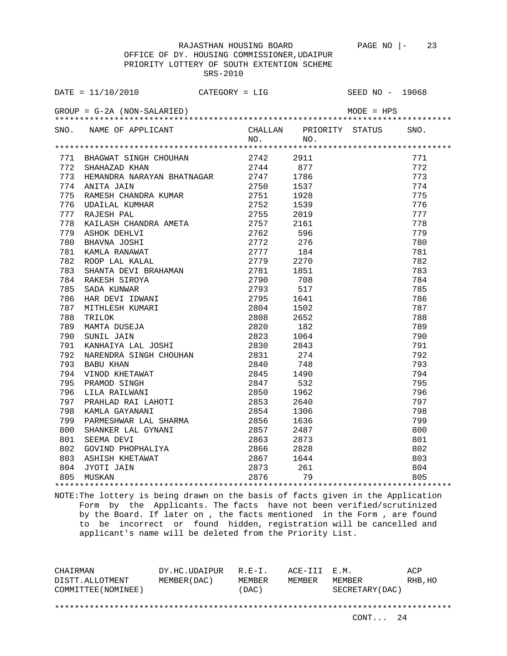OFFICE OF DY. HOUSING COMMISSIONER,UDAIPUR PRIORITY LOTTERY OF SOUTH EXTENTION SCHEME SRS-2010

| DATE = $11/10/2010$ CATEGORY = LIG                       |           |     | SEED NO - 19068         |      |
|----------------------------------------------------------|-----------|-----|-------------------------|------|
| $GROUP = G-2A (NON-SALARIED)$                            |           |     | $MODE = HPS$            |      |
| SNO. NAME OF APPLICANT                                   |           |     | CHALLAN PRIORITY STATUS | SNO. |
|                                                          | NO. NO.   |     |                         |      |
|                                                          |           |     |                         |      |
| 771 BHAGWAT SINGH CHOUHAN 2742<br>772 SHAHAZAD KHAN 2744 | 2742 2911 |     |                         | 771  |
|                                                          |           | 877 |                         | 772  |
| 773 HEMANDRA NARAYAN BHATNAGAR 2747 1786                 |           |     |                         | 773  |
|                                                          |           |     |                         | 774  |
|                                                          |           |     |                         | 775  |
|                                                          |           |     |                         | 776  |
|                                                          |           |     |                         | 777  |
|                                                          |           |     |                         | 778  |
|                                                          |           |     |                         | 779  |
|                                                          |           |     |                         | 780  |
|                                                          |           |     |                         | 781  |
|                                                          |           |     |                         | 782  |
|                                                          |           |     |                         | 783  |
|                                                          |           |     |                         | 784  |
|                                                          |           |     |                         | 785  |
|                                                          |           |     |                         | 786  |
|                                                          |           |     |                         | 787  |
|                                                          |           |     |                         | 788  |
|                                                          |           |     |                         | 789  |
|                                                          |           |     |                         | 790  |
|                                                          |           |     |                         | 791  |
|                                                          |           |     |                         | 792  |
|                                                          |           |     |                         | 793  |
|                                                          |           |     |                         | 794  |
|                                                          |           |     |                         | 795  |
|                                                          |           |     |                         | 796  |
|                                                          |           |     |                         | 797  |
|                                                          |           |     |                         | 798  |
|                                                          |           |     |                         | 799  |
|                                                          |           |     |                         | 800  |
|                                                          |           |     |                         | 801  |
|                                                          |           |     |                         | 802  |
|                                                          |           |     |                         | 803  |
|                                                          |           |     |                         | 804  |
|                                                          |           |     |                         | 805  |
|                                                          |           |     |                         |      |

NOTE:The lottery is being drawn on the basis of facts given in the Application Form by the Applicants. The facts have not been verified/scrutinized by the Board. If later on , the facts mentioned in the Form , are found to be incorrect or found hidden, registration will be cancelled and applicant's name will be deleted from the Priority List.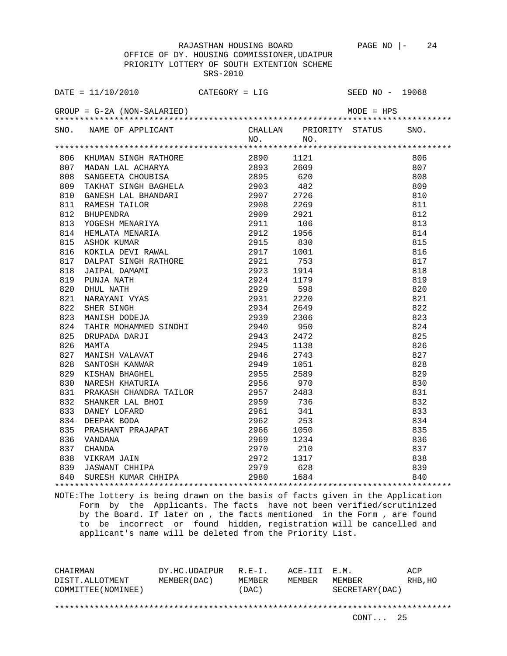| DATE = $11/10/2010$ CATEGORY = LIG                                                                                                                                                                                                             |           |                              | SEED NO - 19068 |     |
|------------------------------------------------------------------------------------------------------------------------------------------------------------------------------------------------------------------------------------------------|-----------|------------------------------|-----------------|-----|
| $GROUP = G-2A (NON-SALARIED)$                                                                                                                                                                                                                  |           |                              |                 |     |
| SNO. NAME OF APPLICANT                                                                                                                                                                                                                         |           | CHALLAN PRIORITY STATUS SNO. |                 |     |
|                                                                                                                                                                                                                                                | $NO.$ NO. |                              |                 |     |
| ATHE TRANSPORT AND SINGLE AND MANUSIM CONSULTED AND AN ANNOUNCED AND ANNOUNCED AND ANNOUNCED AND A SERVE AND A SERVE AND CONSULTED AND CONSULTED AND CONSULTED AND A SERVE AND CONSULTED AND A SERVE AND A SERVE AND A SERVE A                 |           |                              |                 |     |
|                                                                                                                                                                                                                                                |           |                              |                 | 806 |
|                                                                                                                                                                                                                                                |           |                              |                 | 807 |
|                                                                                                                                                                                                                                                |           |                              |                 | 808 |
|                                                                                                                                                                                                                                                |           |                              |                 | 809 |
|                                                                                                                                                                                                                                                |           |                              |                 | 810 |
|                                                                                                                                                                                                                                                |           |                              |                 | 811 |
|                                                                                                                                                                                                                                                |           |                              |                 | 812 |
|                                                                                                                                                                                                                                                |           |                              |                 | 813 |
|                                                                                                                                                                                                                                                |           |                              |                 | 814 |
|                                                                                                                                                                                                                                                |           |                              |                 | 815 |
|                                                                                                                                                                                                                                                |           |                              |                 | 816 |
|                                                                                                                                                                                                                                                |           |                              |                 | 817 |
|                                                                                                                                                                                                                                                |           |                              |                 | 818 |
|                                                                                                                                                                                                                                                |           |                              |                 | 819 |
|                                                                                                                                                                                                                                                |           |                              |                 | 820 |
|                                                                                                                                                                                                                                                |           |                              |                 | 821 |
|                                                                                                                                                                                                                                                |           |                              |                 | 822 |
|                                                                                                                                                                                                                                                |           |                              |                 | 823 |
|                                                                                                                                                                                                                                                |           |                              |                 | 824 |
|                                                                                                                                                                                                                                                |           |                              |                 | 825 |
|                                                                                                                                                                                                                                                |           |                              |                 | 826 |
|                                                                                                                                                                                                                                                |           |                              |                 | 827 |
|                                                                                                                                                                                                                                                |           |                              |                 | 828 |
|                                                                                                                                                                                                                                                |           |                              |                 | 829 |
| 2939 2306<br>824 TAHIR MOHAMMED SINDHI 2940 950<br>825 DRUPADA DARJI 2943 2472<br>826 MAMTA 2945 1138<br>827 MANISH VALAVAT 2946 2743<br>828 SANTOSH KANWAR 2949 1051<br>829 KISHAN BHAGHEL 2955 2589<br>830 NARESH KHATURIA 2956 970<br>831 P |           |                              |                 |     |
|                                                                                                                                                                                                                                                |           |                              |                 |     |
|                                                                                                                                                                                                                                                |           |                              |                 |     |
|                                                                                                                                                                                                                                                |           |                              |                 |     |
|                                                                                                                                                                                                                                                |           |                              |                 |     |
|                                                                                                                                                                                                                                                |           |                              |                 |     |
|                                                                                                                                                                                                                                                |           |                              |                 |     |
|                                                                                                                                                                                                                                                |           |                              |                 |     |
|                                                                                                                                                                                                                                                |           |                              |                 |     |
|                                                                                                                                                                                                                                                |           |                              |                 |     |
|                                                                                                                                                                                                                                                |           |                              |                 |     |
|                                                                                                                                                                                                                                                |           |                              |                 |     |

NOTE:The lottery is being drawn on the basis of facts given in the Application Form by the Applicants. The facts have not been verified/scrutinized by the Board. If later on , the facts mentioned in the Form , are found to be incorrect or found hidden, registration will be cancelled and applicant's name will be deleted from the Priority List.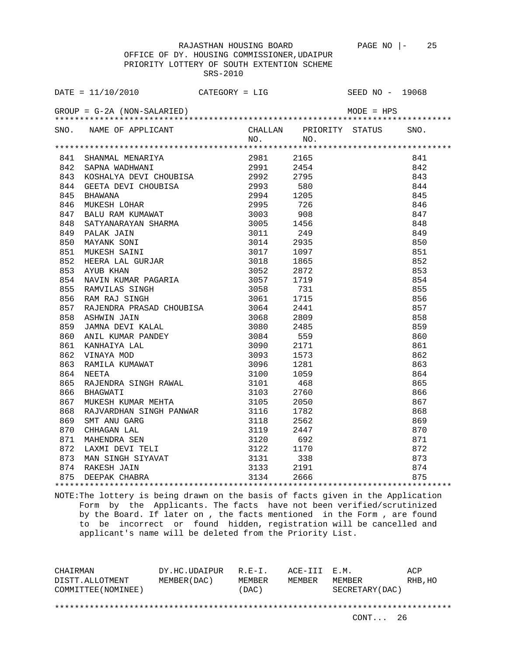OFFICE OF DY. HOUSING COMMISSIONER,UDAIPUR PRIORITY LOTTERY OF SOUTH EXTENTION SCHEME SRS-2010

| DATE = $11/10/2010$ CATEGORY = LIG SEED NO - 19068                                                                                                                                                                                       |           |                              |     |     |
|------------------------------------------------------------------------------------------------------------------------------------------------------------------------------------------------------------------------------------------|-----------|------------------------------|-----|-----|
|                                                                                                                                                                                                                                          |           |                              |     |     |
| SNO. NAME OF APPLICANT                                                                                                                                                                                                                   |           | CHALLAN PRIORITY STATUS SNO. |     |     |
|                                                                                                                                                                                                                                          | $NO.$ NO. |                              |     |     |
|                                                                                                                                                                                                                                          |           |                              |     |     |
|                                                                                                                                                                                                                                          |           |                              |     | 841 |
|                                                                                                                                                                                                                                          |           |                              |     | 842 |
|                                                                                                                                                                                                                                          |           |                              |     | 843 |
|                                                                                                                                                                                                                                          |           |                              |     | 844 |
|                                                                                                                                                                                                                                          |           |                              |     | 845 |
|                                                                                                                                                                                                                                          |           |                              |     | 846 |
|                                                                                                                                                                                                                                          |           |                              |     | 847 |
|                                                                                                                                                                                                                                          |           |                              |     | 848 |
|                                                                                                                                                                                                                                          |           |                              |     | 849 |
|                                                                                                                                                                                                                                          |           |                              |     | 850 |
|                                                                                                                                                                                                                                          |           |                              | 851 |     |
|                                                                                                                                                                                                                                          |           |                              |     | 852 |
|                                                                                                                                                                                                                                          |           |                              |     | 853 |
|                                                                                                                                                                                                                                          |           |                              |     | 854 |
|                                                                                                                                                                                                                                          |           |                              |     | 855 |
|                                                                                                                                                                                                                                          |           |                              |     | 856 |
|                                                                                                                                                                                                                                          |           |                              |     | 857 |
|                                                                                                                                                                                                                                          |           |                              |     | 858 |
|                                                                                                                                                                                                                                          |           |                              |     | 859 |
|                                                                                                                                                                                                                                          |           |                              |     | 860 |
|                                                                                                                                                                                                                                          |           |                              |     | 861 |
|                                                                                                                                                                                                                                          |           |                              |     | 862 |
|                                                                                                                                                                                                                                          |           |                              |     | 863 |
|                                                                                                                                                                                                                                          |           |                              |     | 864 |
|                                                                                                                                                                                                                                          |           |                              |     | 865 |
|                                                                                                                                                                                                                                          |           |                              |     | 866 |
|                                                                                                                                                                                                                                          |           |                              |     | 867 |
|                                                                                                                                                                                                                                          |           |                              |     | 868 |
|                                                                                                                                                                                                                                          |           |                              |     | 869 |
|                                                                                                                                                                                                                                          |           |                              |     | 870 |
|                                                                                                                                                                                                                                          |           |                              |     | 871 |
|                                                                                                                                                                                                                                          |           |                              |     | 872 |
|                                                                                                                                                                                                                                          |           |                              |     | 873 |
|                                                                                                                                                                                                                                          |           |                              |     | 874 |
| 411 - HARMAL MERANATIN 100.<br>1911 - HARMAR MARINANING (1913) - 1928)<br>1941 - SANTA MADHRAMING (1929) - 1928<br>1943 - SANTA MADHRAMING (1929) - 1929<br>1944 - GEETR DEVI CHOUBLEA (1929) - 1929<br>1944 - GEETR DEVI CHOUBLEA (1929 |           |                              |     | 875 |
|                                                                                                                                                                                                                                          |           |                              |     |     |

NOTE:The lottery is being drawn on the basis of facts given in the Application Form by the Applicants. The facts have not been verified/scrutinized by the Board. If later on , the facts mentioned in the Form , are found to be incorrect or found hidden, registration will be cancelled and applicant's name will be deleted from the Priority List.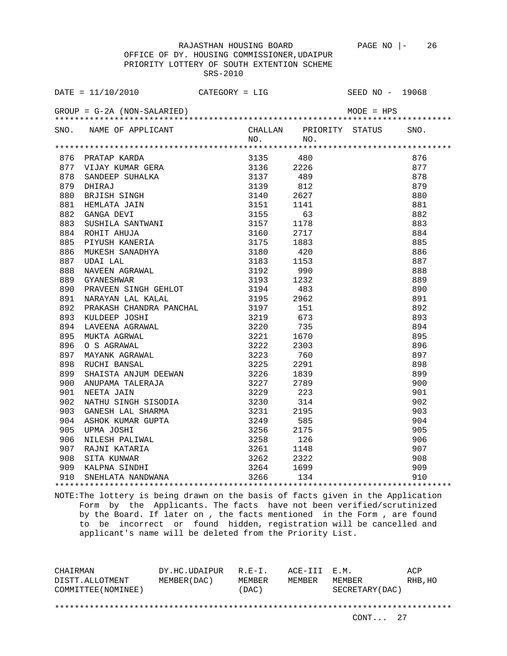OFFICE OF DY. HOUSING COMMISSIONER,UDAIPUR PRIORITY LOTTERY OF SOUTH EXTENTION SCHEME SRS-2010

| DATE = $11/10/2010$ CATEGORY = LIG                                                                                                                                                                                             |  |                              | SEED NO - 19068 |     |
|--------------------------------------------------------------------------------------------------------------------------------------------------------------------------------------------------------------------------------|--|------------------------------|-----------------|-----|
| $GROUP = G-2A (NON-SALARIED)$                                                                                                                                                                                                  |  |                              |                 |     |
| SNO. NAME OF APPLICANT                                                                                                                                                                                                         |  | CHALLAN PRIORITY STATUS SNO. |                 |     |
|                                                                                                                                                                                                                                |  |                              |                 |     |
|                                                                                                                                                                                                                                |  |                              |                 | 876 |
|                                                                                                                                                                                                                                |  |                              |                 | 877 |
|                                                                                                                                                                                                                                |  |                              |                 | 878 |
|                                                                                                                                                                                                                                |  |                              |                 | 879 |
|                                                                                                                                                                                                                                |  |                              |                 | 880 |
|                                                                                                                                                                                                                                |  |                              |                 | 881 |
|                                                                                                                                                                                                                                |  |                              |                 | 882 |
| A A SPONGER AND SURVEYS AND SURVEYS AND SURVEYS AND SURVEYS AND SAMPLE SURVEYS AND SURVEYS AND SURVEYS AND SURVEYS AND SURVEYS AND SURVEYS AND SURVEYS AND SURVEYS AND SURVEYS AND SURVEYS AND SURVEYS AND SURVEYS AND SURVEYS |  |                              |                 | 883 |
|                                                                                                                                                                                                                                |  |                              |                 | 884 |
|                                                                                                                                                                                                                                |  |                              |                 | 885 |
|                                                                                                                                                                                                                                |  |                              |                 | 886 |
|                                                                                                                                                                                                                                |  |                              |                 | 887 |
|                                                                                                                                                                                                                                |  |                              |                 | 888 |
|                                                                                                                                                                                                                                |  |                              |                 | 889 |
|                                                                                                                                                                                                                                |  |                              |                 | 890 |
|                                                                                                                                                                                                                                |  |                              |                 | 891 |
|                                                                                                                                                                                                                                |  |                              |                 | 892 |
|                                                                                                                                                                                                                                |  |                              |                 | 893 |
|                                                                                                                                                                                                                                |  |                              |                 | 894 |
|                                                                                                                                                                                                                                |  |                              |                 | 895 |
|                                                                                                                                                                                                                                |  |                              |                 | 896 |
|                                                                                                                                                                                                                                |  |                              |                 | 897 |
|                                                                                                                                                                                                                                |  |                              |                 | 898 |
|                                                                                                                                                                                                                                |  |                              |                 | 899 |
|                                                                                                                                                                                                                                |  |                              |                 | 900 |
|                                                                                                                                                                                                                                |  |                              |                 | 901 |
|                                                                                                                                                                                                                                |  |                              |                 | 902 |
|                                                                                                                                                                                                                                |  |                              |                 | 903 |
|                                                                                                                                                                                                                                |  |                              |                 | 904 |
|                                                                                                                                                                                                                                |  |                              |                 | 905 |
|                                                                                                                                                                                                                                |  |                              |                 | 906 |
|                                                                                                                                                                                                                                |  |                              |                 | 907 |
|                                                                                                                                                                                                                                |  |                              |                 | 908 |
|                                                                                                                                                                                                                                |  |                              |                 | 909 |
|                                                                                                                                                                                                                                |  |                              |                 | 910 |

NOTE:The lottery is being drawn on the basis of facts given in the Application Form by the Applicants. The facts have not been verified/scrutinized by the Board. If later on , the facts mentioned in the Form , are found to be incorrect or found hidden, registration will be cancelled and applicant's name will be deleted from the Priority List.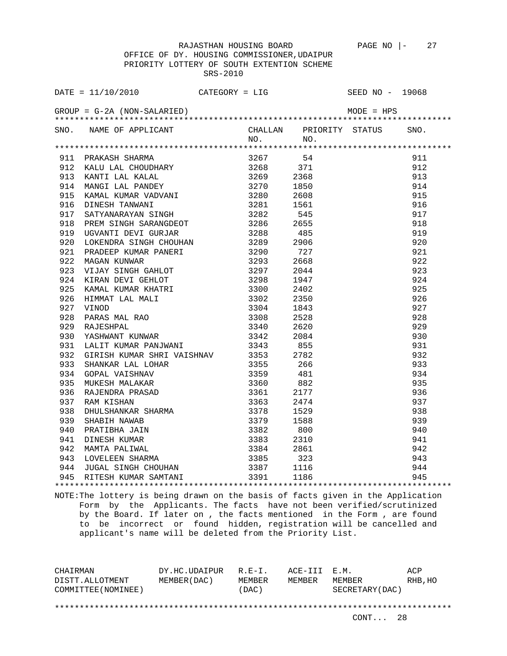| DATE = $11/10/2010$ CATEGORY = LIG                                 |  | SEED NO - 19068 |  |
|--------------------------------------------------------------------|--|-----------------|--|
|                                                                    |  |                 |  |
| SNO. NAME OF APPLICANT CHALLAN PRIORITY STATUS SNO.<br>NO. NO. NO. |  |                 |  |
|                                                                    |  |                 |  |
|                                                                    |  |                 |  |
|                                                                    |  |                 |  |
|                                                                    |  |                 |  |
|                                                                    |  |                 |  |
|                                                                    |  |                 |  |
|                                                                    |  |                 |  |
|                                                                    |  |                 |  |
|                                                                    |  |                 |  |
|                                                                    |  |                 |  |
|                                                                    |  |                 |  |
|                                                                    |  |                 |  |
|                                                                    |  |                 |  |
|                                                                    |  |                 |  |
|                                                                    |  |                 |  |
|                                                                    |  |                 |  |
|                                                                    |  |                 |  |
|                                                                    |  |                 |  |
|                                                                    |  |                 |  |
|                                                                    |  |                 |  |
|                                                                    |  |                 |  |
|                                                                    |  |                 |  |
|                                                                    |  |                 |  |
|                                                                    |  |                 |  |
|                                                                    |  |                 |  |
|                                                                    |  |                 |  |
|                                                                    |  |                 |  |
|                                                                    |  |                 |  |
|                                                                    |  |                 |  |
|                                                                    |  |                 |  |
|                                                                    |  |                 |  |
|                                                                    |  |                 |  |
|                                                                    |  |                 |  |
|                                                                    |  |                 |  |
|                                                                    |  |                 |  |
|                                                                    |  |                 |  |
|                                                                    |  |                 |  |
|                                                                    |  |                 |  |

NOTE:The lottery is being drawn on the basis of facts given in the Application Form by the Applicants. The facts have not been verified/scrutinized by the Board. If later on , the facts mentioned in the Form , are found to be incorrect or found hidden, registration will be cancelled and applicant's name will be deleted from the Priority List.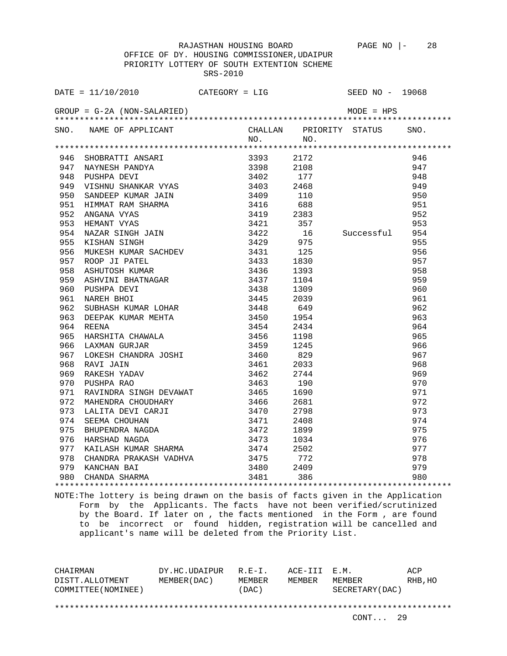OFFICE OF DY. HOUSING COMMISSIONER,UDAIPUR PRIORITY LOTTERY OF SOUTH EXTENTION SCHEME SRS-2010

| DATE = $11/10/2010$ CATEGORY = LIG                                                                                                                                                                                                                                                                                                                                                                                                                                 |         |     | SEED NO - 19068              |     |
|--------------------------------------------------------------------------------------------------------------------------------------------------------------------------------------------------------------------------------------------------------------------------------------------------------------------------------------------------------------------------------------------------------------------------------------------------------------------|---------|-----|------------------------------|-----|
|                                                                                                                                                                                                                                                                                                                                                                                                                                                                    |         |     |                              |     |
| SNO. NAME OF APPLICANT                                                                                                                                                                                                                                                                                                                                                                                                                                             |         |     | CHALLAN PRIORITY STATUS SNO. |     |
|                                                                                                                                                                                                                                                                                                                                                                                                                                                                    | NO. NO. |     |                              |     |
| $\begin{tabular}{l c c c} \multicolumn{1}{c}{\textbf{3.93}}\begin{tabular}{lcccc} \multicolumn{1}{c}{\textbf{3.94}}\begin{tabular}{lcccc} \multicolumn{1}{c}{\textbf{3.95}}\begin{tabular}{lcccc} \multicolumn{1}{c}{\textbf{3.96}}\begin{tabular}{lcccc} \multicolumn{1}{c}{\textbf{3.97}}\begin{tabular}{lcccc} \multicolumn{1}{c}{\textbf{3.98}}\begin{tabular}{lcccc} \multicolumn{1}{c}{\textbf{3.99}}\begin{tabular}{lcccc} \multicolumn{1}{c}{\textbf{3.99$ |         |     |                              |     |
|                                                                                                                                                                                                                                                                                                                                                                                                                                                                    |         |     |                              | 946 |
|                                                                                                                                                                                                                                                                                                                                                                                                                                                                    |         |     |                              | 947 |
|                                                                                                                                                                                                                                                                                                                                                                                                                                                                    |         |     |                              | 948 |
|                                                                                                                                                                                                                                                                                                                                                                                                                                                                    |         |     |                              | 949 |
|                                                                                                                                                                                                                                                                                                                                                                                                                                                                    |         |     |                              | 950 |
|                                                                                                                                                                                                                                                                                                                                                                                                                                                                    |         |     |                              | 951 |
|                                                                                                                                                                                                                                                                                                                                                                                                                                                                    |         |     |                              | 952 |
|                                                                                                                                                                                                                                                                                                                                                                                                                                                                    |         |     |                              | 953 |
|                                                                                                                                                                                                                                                                                                                                                                                                                                                                    |         |     | Successful 954               |     |
|                                                                                                                                                                                                                                                                                                                                                                                                                                                                    |         |     |                              | 955 |
|                                                                                                                                                                                                                                                                                                                                                                                                                                                                    |         |     |                              | 956 |
|                                                                                                                                                                                                                                                                                                                                                                                                                                                                    |         |     |                              | 957 |
|                                                                                                                                                                                                                                                                                                                                                                                                                                                                    |         |     |                              | 958 |
|                                                                                                                                                                                                                                                                                                                                                                                                                                                                    |         |     |                              | 959 |
|                                                                                                                                                                                                                                                                                                                                                                                                                                                                    |         |     |                              | 960 |
|                                                                                                                                                                                                                                                                                                                                                                                                                                                                    |         |     |                              | 961 |
|                                                                                                                                                                                                                                                                                                                                                                                                                                                                    |         |     |                              | 962 |
|                                                                                                                                                                                                                                                                                                                                                                                                                                                                    |         |     |                              | 963 |
|                                                                                                                                                                                                                                                                                                                                                                                                                                                                    |         |     |                              | 964 |
|                                                                                                                                                                                                                                                                                                                                                                                                                                                                    |         |     |                              | 965 |
|                                                                                                                                                                                                                                                                                                                                                                                                                                                                    |         |     |                              | 966 |
|                                                                                                                                                                                                                                                                                                                                                                                                                                                                    |         |     |                              | 967 |
|                                                                                                                                                                                                                                                                                                                                                                                                                                                                    |         |     |                              | 968 |
|                                                                                                                                                                                                                                                                                                                                                                                                                                                                    |         |     |                              | 969 |
|                                                                                                                                                                                                                                                                                                                                                                                                                                                                    |         |     |                              | 970 |
|                                                                                                                                                                                                                                                                                                                                                                                                                                                                    |         |     |                              | 971 |
|                                                                                                                                                                                                                                                                                                                                                                                                                                                                    |         |     |                              | 972 |
|                                                                                                                                                                                                                                                                                                                                                                                                                                                                    |         |     |                              | 973 |
|                                                                                                                                                                                                                                                                                                                                                                                                                                                                    |         |     |                              | 974 |
|                                                                                                                                                                                                                                                                                                                                                                                                                                                                    |         |     |                              | 975 |
|                                                                                                                                                                                                                                                                                                                                                                                                                                                                    |         |     |                              | 976 |
| 970 PUSHPA RAO 3463 190<br>971 RAVINDRA SINGH DEVAWAT 3465 1690<br>972 MAHENDRA CHOUDHARY 3465 1690<br>973 LALITA DEVI CARJI 3470 2798<br>974 SEEMA CHOUHAN 3471 2408<br>975 BHUPENDRA NAGDA 3472 1899<br>976 HARSHAD NAGDA 3473 1034<br>977                                                                                                                                                                                                                       |         |     |                              | 977 |
| 978 CHANDRA PRAKASH VADHVA 3475                                                                                                                                                                                                                                                                                                                                                                                                                                    |         | 772 |                              | 978 |
|                                                                                                                                                                                                                                                                                                                                                                                                                                                                    |         |     |                              | 979 |
|                                                                                                                                                                                                                                                                                                                                                                                                                                                                    |         |     |                              | 980 |
|                                                                                                                                                                                                                                                                                                                                                                                                                                                                    |         |     |                              |     |

NOTE:The lottery is being drawn on the basis of facts given in the Application Form by the Applicants. The facts have not been verified/scrutinized by the Board. If later on , the facts mentioned in the Form , are found to be incorrect or found hidden, registration will be cancelled and applicant's name will be deleted from the Priority List.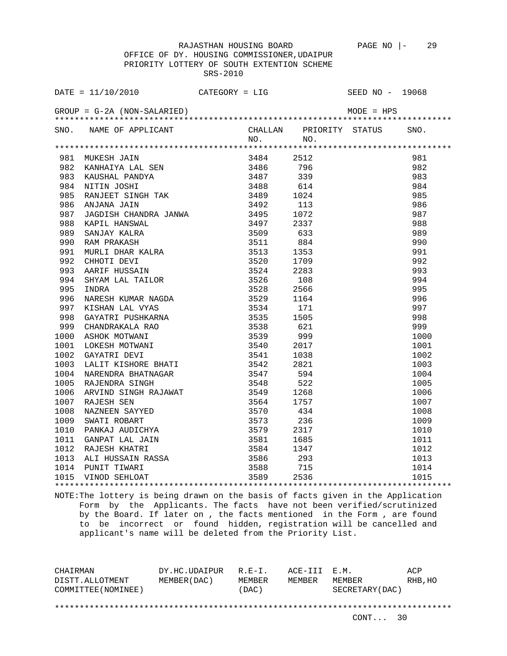OFFICE OF DY. HOUSING COMMISSIONER,UDAIPUR PRIORITY LOTTERY OF SOUTH EXTENTION SCHEME SRS-2010

|      | DATE = $11/10/2010$ CATEGORY = LIG                                                                                                                                              |           |      | SEED NO - 19068         |      |
|------|---------------------------------------------------------------------------------------------------------------------------------------------------------------------------------|-----------|------|-------------------------|------|
|      |                                                                                                                                                                                 |           |      |                         |      |
|      | SNO. NAME OF APPLICANT                                                                                                                                                          |           |      | CHALLAN PRIORITY STATUS | SNO. |
|      |                                                                                                                                                                                 | NO.       | NO.  |                         |      |
|      |                                                                                                                                                                                 | 3484 2512 |      |                         | 981  |
|      |                                                                                                                                                                                 |           | 796  |                         | 982  |
|      |                                                                                                                                                                                 |           | 339  |                         | 983  |
|      |                                                                                                                                                                                 |           | 614  |                         | 984  |
|      |                                                                                                                                                                                 |           | 1024 |                         | 985  |
|      |                                                                                                                                                                                 |           | 113  |                         | 986  |
|      |                                                                                                                                                                                 |           | 1072 |                         | 987  |
|      |                                                                                                                                                                                 |           | 2337 |                         | 988  |
|      |                                                                                                                                                                                 |           | 633  |                         | 989  |
|      |                                                                                                                                                                                 |           | 884  |                         | 990  |
|      |                                                                                                                                                                                 |           | 1353 |                         | 991  |
|      |                                                                                                                                                                                 |           | 1709 |                         | 992  |
|      |                                                                                                                                                                                 |           | 2283 |                         | 993  |
|      |                                                                                                                                                                                 |           | 108  |                         | 994  |
|      | INDRA<br>NARESH KUMAR NAGDA<br>KISHAN LAL VYAS 3529<br>GAYATRI PUSHKARNA 3535<br>CHANDRAKALA RAO 3538<br>ASHOK MOTWANI 3539<br>LOKESH MOTWANI 3540<br>GAYATRI DEVI 3541<br>3541 |           | 2566 |                         | 995  |
|      |                                                                                                                                                                                 |           | 1164 |                         | 996  |
| 997  |                                                                                                                                                                                 |           | 171  |                         | 997  |
| 998  |                                                                                                                                                                                 |           | 1505 |                         | 998  |
| 999  |                                                                                                                                                                                 |           | 621  |                         | 999  |
| 1000 |                                                                                                                                                                                 |           | 999  |                         | 1000 |
| 1001 |                                                                                                                                                                                 |           | 2017 |                         | 1001 |
|      |                                                                                                                                                                                 |           |      |                         | 1002 |
|      |                                                                                                                                                                                 |           |      |                         | 1003 |
|      |                                                                                                                                                                                 |           |      |                         | 1004 |
|      |                                                                                                                                                                                 |           |      |                         | 1005 |
|      |                                                                                                                                                                                 |           |      |                         | 1006 |
|      |                                                                                                                                                                                 |           |      |                         | 1007 |
|      |                                                                                                                                                                                 |           |      |                         | 1008 |
|      |                                                                                                                                                                                 |           |      |                         | 1009 |
|      |                                                                                                                                                                                 |           |      |                         | 1010 |
|      |                                                                                                                                                                                 |           |      |                         | 1011 |
|      |                                                                                                                                                                                 |           |      |                         | 1012 |
|      |                                                                                                                                                                                 |           |      |                         | 1013 |
|      |                                                                                                                                                                                 |           |      |                         | 1014 |
|      |                                                                                                                                                                                 |           |      |                         | 1015 |
|      |                                                                                                                                                                                 |           |      |                         |      |

NOTE:The lottery is being drawn on the basis of facts given in the Application Form by the Applicants. The facts have not been verified/scrutinized by the Board. If later on , the facts mentioned in the Form , are found to be incorrect or found hidden, registration will be cancelled and applicant's name will be deleted from the Priority List.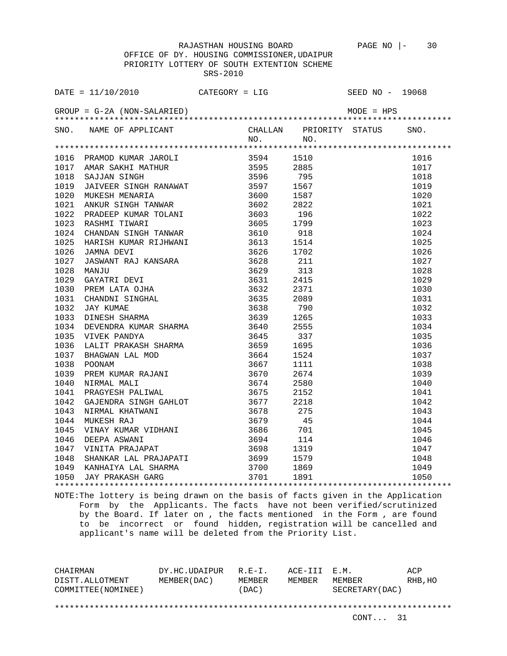OFFICE OF DY. HOUSING COMMISSIONER,UDAIPUR PRIORITY LOTTERY OF SOUTH EXTENTION SCHEME SRS-2010

| SNO. NAME OF APPLICANT CHALLAN PRIORITY STATUS SNO.<br>NO. NO. NO. |  |  |  |
|--------------------------------------------------------------------|--|--|--|
|                                                                    |  |  |  |
|                                                                    |  |  |  |
|                                                                    |  |  |  |
|                                                                    |  |  |  |
|                                                                    |  |  |  |
|                                                                    |  |  |  |
|                                                                    |  |  |  |
|                                                                    |  |  |  |
|                                                                    |  |  |  |
|                                                                    |  |  |  |
|                                                                    |  |  |  |
|                                                                    |  |  |  |
|                                                                    |  |  |  |
|                                                                    |  |  |  |
|                                                                    |  |  |  |
|                                                                    |  |  |  |
|                                                                    |  |  |  |
|                                                                    |  |  |  |
|                                                                    |  |  |  |
|                                                                    |  |  |  |
|                                                                    |  |  |  |
|                                                                    |  |  |  |
|                                                                    |  |  |  |
|                                                                    |  |  |  |
|                                                                    |  |  |  |
|                                                                    |  |  |  |
|                                                                    |  |  |  |
|                                                                    |  |  |  |
|                                                                    |  |  |  |
|                                                                    |  |  |  |
|                                                                    |  |  |  |
|                                                                    |  |  |  |
|                                                                    |  |  |  |
|                                                                    |  |  |  |
|                                                                    |  |  |  |
|                                                                    |  |  |  |
|                                                                    |  |  |  |
|                                                                    |  |  |  |

NOTE:The lottery is being drawn on the basis of facts given in the Application Form by the Applicants. The facts have not been verified/scrutinized by the Board. If later on , the facts mentioned in the Form , are found to be incorrect or found hidden, registration will be cancelled and applicant's name will be deleted from the Priority List.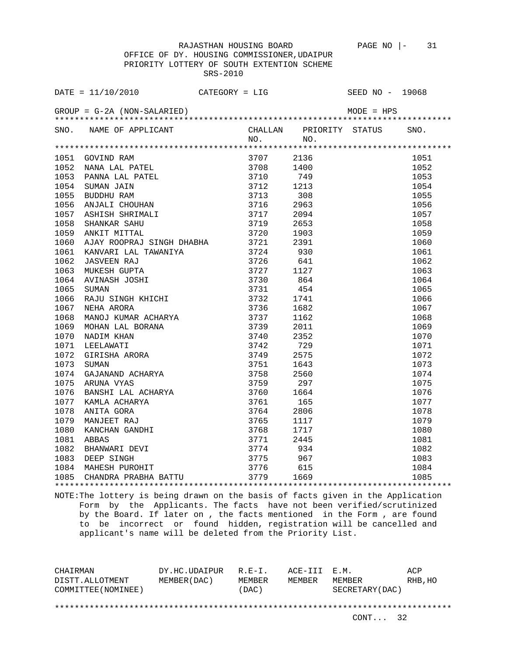OFFICE OF DY. HOUSING COMMISSIONER,UDAIPUR PRIORITY LOTTERY OF SOUTH EXTENTION SCHEME SRS-2010

|      | DATE = $11/10/2010$ CATEGORY = LIG                                                                                                                                                                                                                 |           |      | SEED NO - 19068         |      |
|------|----------------------------------------------------------------------------------------------------------------------------------------------------------------------------------------------------------------------------------------------------|-----------|------|-------------------------|------|
|      |                                                                                                                                                                                                                                                    |           |      |                         |      |
|      | SNO. NAME OF APPLICANT                                                                                                                                                                                                                             |           |      | CHALLAN PRIORITY STATUS | SNO. |
|      |                                                                                                                                                                                                                                                    | NO. NO.   |      |                         |      |
|      | 1051 GOVIND RAM                                                                                                                                                                                                                                    | 3707 2136 |      |                         | 1051 |
| 1052 |                                                                                                                                                                                                                                                    | 3708 1400 |      |                         | 1052 |
| 1053 |                                                                                                                                                                                                                                                    |           | 749  |                         | 1053 |
| 1054 |                                                                                                                                                                                                                                                    |           | 1213 |                         | 1054 |
| 1055 |                                                                                                                                                                                                                                                    |           | 308  |                         | 1055 |
| 1056 |                                                                                                                                                                                                                                                    |           | 2963 |                         | 1056 |
| 1057 |                                                                                                                                                                                                                                                    |           | 2094 |                         | 1057 |
| 1058 |                                                                                                                                                                                                                                                    |           | 2653 |                         | 1058 |
| 1059 |                                                                                                                                                                                                                                                    |           | 1903 |                         | 1059 |
| 1060 | AJAY ROOPRAJ SINGH DHABHA 3721 2391                                                                                                                                                                                                                |           |      |                         | 1060 |
| 1061 |                                                                                                                                                                                                                                                    |           | 930  |                         | 1061 |
| 1062 |                                                                                                                                                                                                                                                    |           | 641  |                         | 1062 |
| 1063 |                                                                                                                                                                                                                                                    |           | 1127 |                         | 1063 |
| 1064 |                                                                                                                                                                                                                                                    |           | 864  |                         | 1064 |
| 1065 |                                                                                                                                                                                                                                                    |           | 454  |                         | 1065 |
| 1066 | AJAY ROOPRAJ SINGH DHABHA 3721<br>KANVARI LAL TAWANIYA 3724<br>JASVEEN RAJ 3726<br>MUKESH GUPTA 3727<br>AVINASH JOSHI 3730<br>SUMAN 3731<br>RAJU SINGH KHICHI 3732<br>NEHA ARORA 3736<br>MANOJ KUMAR ACHARYA 3739<br>MOHAN LAL BORANA 3740<br>NEEL |           | 1741 |                         | 1066 |
| 1067 |                                                                                                                                                                                                                                                    |           | 1682 |                         | 1067 |
| 1068 |                                                                                                                                                                                                                                                    |           | 1162 |                         | 1068 |
| 1069 |                                                                                                                                                                                                                                                    |           | 2011 |                         | 1069 |
| 1070 |                                                                                                                                                                                                                                                    |           | 2352 |                         | 1070 |
| 1071 |                                                                                                                                                                                                                                                    |           | 729  |                         | 1071 |
| 1072 |                                                                                                                                                                                                                                                    | 3749 2575 |      |                         | 1072 |
| 1073 |                                                                                                                                                                                                                                                    |           | 1643 |                         | 1073 |
| 1074 |                                                                                                                                                                                                                                                    |           | 2560 |                         | 1074 |
| 1075 |                                                                                                                                                                                                                                                    |           | 297  |                         | 1075 |
|      |                                                                                                                                                                                                                                                    |           |      |                         | 1076 |
|      |                                                                                                                                                                                                                                                    |           |      |                         | 1077 |
|      |                                                                                                                                                                                                                                                    |           |      |                         | 1078 |
|      |                                                                                                                                                                                                                                                    |           |      |                         | 1079 |
|      |                                                                                                                                                                                                                                                    |           |      |                         | 1080 |
|      |                                                                                                                                                                                                                                                    |           |      |                         | 1081 |
|      |                                                                                                                                                                                                                                                    |           |      |                         | 1082 |
|      |                                                                                                                                                                                                                                                    |           |      |                         | 1083 |
|      |                                                                                                                                                                                                                                                    |           |      |                         | 1084 |
|      |                                                                                                                                                                                                                                                    |           |      |                         | 1085 |
|      |                                                                                                                                                                                                                                                    |           |      |                         |      |

NOTE:The lottery is being drawn on the basis of facts given in the Application Form by the Applicants. The facts have not been verified/scrutinized by the Board. If later on , the facts mentioned in the Form , are found to be incorrect or found hidden, registration will be cancelled and applicant's name will be deleted from the Priority List.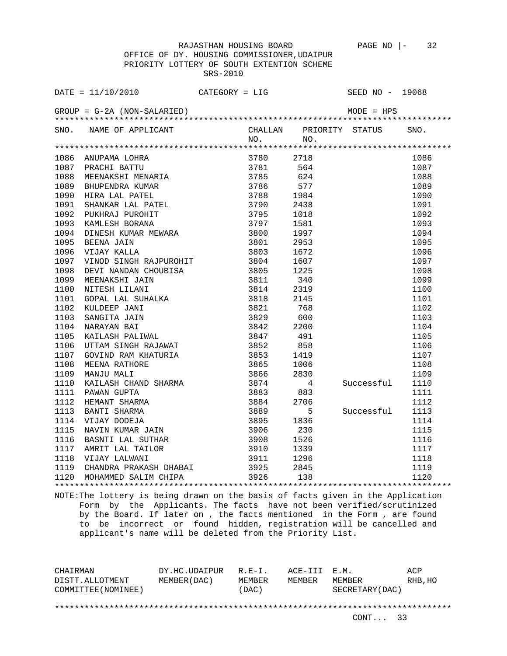OFFICE OF DY. HOUSING COMMISSIONER,UDAIPUR PRIORITY LOTTERY OF SOUTH EXTENTION SCHEME SRS-2010

|      | DATE = $11/10/2010$ CATEGORY = LIG                                                                                                                                                                                                                 |           |      | SEED NO - 19068         |      |
|------|----------------------------------------------------------------------------------------------------------------------------------------------------------------------------------------------------------------------------------------------------|-----------|------|-------------------------|------|
|      |                                                                                                                                                                                                                                                    |           |      |                         |      |
|      | SNO. NAME OF APPLICANT                                                                                                                                                                                                                             |           |      | CHALLAN PRIORITY STATUS | SNO. |
|      |                                                                                                                                                                                                                                                    | NO.       | NO.  |                         |      |
| 1086 | ANUPAMA LOHRA                                                                                                                                                                                                                                      | 3780 2718 |      |                         | 1086 |
| 1087 |                                                                                                                                                                                                                                                    |           | 564  |                         | 1087 |
| 1088 |                                                                                                                                                                                                                                                    |           | 624  |                         | 1088 |
| 1089 |                                                                                                                                                                                                                                                    |           | 577  |                         | 1089 |
| 1090 | ANUPAMA LOHRA 3780<br>PRACHI BATTU 3781<br>MEENAKSHI MENARIA 3785<br>BHUPENDRA KUMAR 3786<br>HIRA LAL PATEL 3788<br>SHANKAR LAL PATEL 3790<br>NINAR LAL PATEL 3790                                                                                 |           | 1984 |                         | 1090 |
| 1091 |                                                                                                                                                                                                                                                    |           | 2438 |                         | 1091 |
| 1092 |                                                                                                                                                                                                                                                    |           | 1018 |                         | 1092 |
| 1093 |                                                                                                                                                                                                                                                    |           | 1581 |                         | 1093 |
| 1094 | PUKHRAJ PUROHIT 3795<br>KAMLESH BORANA 3797<br>DINESH KUMAR MEWARA 3800<br>BEENA JAIN 3801<br>VIJAY KALLA 3803<br>VIJAY KALLA 3803                                                                                                                 |           | 1997 |                         | 1094 |
| 1095 |                                                                                                                                                                                                                                                    |           | 2953 |                         | 1095 |
| 1096 |                                                                                                                                                                                                                                                    |           | 1672 |                         | 1096 |
| 1097 |                                                                                                                                                                                                                                                    |           | 1607 |                         | 1097 |
| 1098 |                                                                                                                                                                                                                                                    |           | 1225 |                         | 1098 |
| 1099 |                                                                                                                                                                                                                                                    |           | 340  |                         | 1099 |
| 1100 | VIJAY KALLA 3803<br>VINOD SINGH RAJPUROHIT 3804<br>DEVI NANDAN CHOUBISA 3805<br>MEENAKSHI JAIN 3811<br>NITESH LILANI 3814<br>GOPAL LAL SUHALKA 3818<br>KULDEEP JANI 3821<br>SANGITA JAIN 3829<br>NARAYAN BAI 3842<br>KAILASH PALIWAL 3847<br>UTTAM |           | 2319 |                         | 1100 |
| 1101 |                                                                                                                                                                                                                                                    |           | 2145 |                         | 1101 |
| 1102 |                                                                                                                                                                                                                                                    |           | 768  |                         | 1102 |
| 1103 |                                                                                                                                                                                                                                                    |           | 600  |                         | 1103 |
| 1104 |                                                                                                                                                                                                                                                    |           | 2200 |                         | 1104 |
| 1105 |                                                                                                                                                                                                                                                    |           | 491  |                         | 1105 |
| 1106 |                                                                                                                                                                                                                                                    |           | 858  |                         | 1106 |
| 1107 |                                                                                                                                                                                                                                                    |           | 1419 |                         | 1107 |
| 1108 |                                                                                                                                                                                                                                                    |           | 1006 |                         | 1108 |
| 1109 |                                                                                                                                                                                                                                                    |           | 2830 |                         | 1109 |
| 1110 |                                                                                                                                                                                                                                                    |           | 4    | Successful              | 1110 |
| 1111 |                                                                                                                                                                                                                                                    |           | 883  |                         | 1111 |
| 1112 |                                                                                                                                                                                                                                                    |           | 2706 |                         | 1112 |
| 1113 |                                                                                                                                                                                                                                                    |           | 5    | Successful              | 1113 |
| 1114 |                                                                                                                                                                                                                                                    |           | 1836 |                         | 1114 |
| 1115 |                                                                                                                                                                                                                                                    |           | 230  |                         | 1115 |
| 1116 |                                                                                                                                                                                                                                                    |           | 1526 |                         | 1116 |
| 1117 |                                                                                                                                                                                                                                                    |           | 1339 |                         | 1117 |
| 1118 | UTTAM SINGH RAJAWAT 3852<br>GOVIND RAM KHATURIA 3853<br>MEENA RATHORE 3865<br>MANJU MALI 3866<br>KAILASH CHAND SHARMA 3874<br>PAWAN GUPTA 3883<br>HEMANT SHARMA 3883<br>HEMANT SHARMA 3884<br>BANTI SHARMA 3889<br>VIJAY DODEJA 3895<br>NAVIN KUMA |           | 1296 |                         | 1118 |
| 1119 | CHANDRA PRAKASH DHABAI 3925 2845                                                                                                                                                                                                                   |           |      |                         | 1119 |
|      | 1120 MOHAMMED SALIM CHIPA 3926 138                                                                                                                                                                                                                 |           |      |                         | 1120 |
|      |                                                                                                                                                                                                                                                    |           |      |                         |      |

NOTE:The lottery is being drawn on the basis of facts given in the Application Form by the Applicants. The facts have not been verified/scrutinized by the Board. If later on , the facts mentioned in the Form , are found to be incorrect or found hidden, registration will be cancelled and applicant's name will be deleted from the Priority List.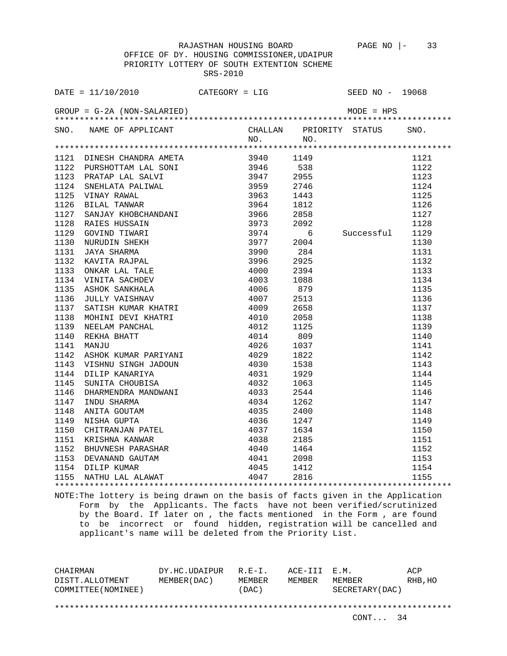OFFICE OF DY. HOUSING COMMISSIONER,UDAIPUR PRIORITY LOTTERY OF SOUTH EXTENTION SCHEME SRS-2010

| SNO. NAME OF APPLICANT CHALLAN PRIORITY STATUS SNO.<br>NO. NO.<br>1121<br>1122<br>1123<br>1124<br>1125<br>1126<br>1127<br>1128<br>Successful<br>1129<br>1130<br>Successful 1129<br>1130<br>1131<br>1131<br>1131<br>1132<br>1133<br>1134<br>1135<br>1136<br>1137<br>1138<br>1137<br>1138<br>1140<br>1141<br>1142<br>1144<br>1144<br>1144<br>1144<br>1144<br>1144<br>1146<br>1146<br>1146<br>1147<br>1146<br>1147<br>1150<br>1151<br>1150<br>1151<br>1150<br>1151<br>1<br>$[136 \quad \text{JULLY VATSHANY} \\\ \textcolor{red}{1136 \quad \text{JULLY VATSHANY} \\\ \textcolor{red}{1137 \quad \text{SATISH } \text{KUMAR } \text{KHATRI} \\\ \textcolor{red}{1139} \\\ \textcolor{red}{1139} \\\ \textcolor{red}{\text{MEELAM } \text{PANERT I} } \\\ \textcolor{red}{1139} \\\ \textcolor{red}{\text{MEELAM } \text{PANATH I} } \\\ \textcolor{red}{\text{4010}} \\\ \textcolor{red}{\text{4011}} \\\ \textcolor{red}{\text{4012}} \\\ \textcolor{red}{\$ | DATE = $11/10/2010$ CATEGORY = LIG |  | SEED NO - 19068 |  |
|------------------------------------------------------------------------------------------------------------------------------------------------------------------------------------------------------------------------------------------------------------------------------------------------------------------------------------------------------------------------------------------------------------------------------------------------------------------------------------------------------------------------------------------------------------------------------------------------------------------------------------------------------------------------------------------------------------------------------------------------------------------------------------------------------------------------------------------------------------------------------------------------------------------------------------------------------------|------------------------------------|--|-----------------|--|
|                                                                                                                                                                                                                                                                                                                                                                                                                                                                                                                                                                                                                                                                                                                                                                                                                                                                                                                                                            |                                    |  |                 |  |
|                                                                                                                                                                                                                                                                                                                                                                                                                                                                                                                                                                                                                                                                                                                                                                                                                                                                                                                                                            |                                    |  |                 |  |
|                                                                                                                                                                                                                                                                                                                                                                                                                                                                                                                                                                                                                                                                                                                                                                                                                                                                                                                                                            |                                    |  |                 |  |
|                                                                                                                                                                                                                                                                                                                                                                                                                                                                                                                                                                                                                                                                                                                                                                                                                                                                                                                                                            |                                    |  |                 |  |
|                                                                                                                                                                                                                                                                                                                                                                                                                                                                                                                                                                                                                                                                                                                                                                                                                                                                                                                                                            |                                    |  |                 |  |
|                                                                                                                                                                                                                                                                                                                                                                                                                                                                                                                                                                                                                                                                                                                                                                                                                                                                                                                                                            |                                    |  |                 |  |
|                                                                                                                                                                                                                                                                                                                                                                                                                                                                                                                                                                                                                                                                                                                                                                                                                                                                                                                                                            |                                    |  |                 |  |
|                                                                                                                                                                                                                                                                                                                                                                                                                                                                                                                                                                                                                                                                                                                                                                                                                                                                                                                                                            |                                    |  |                 |  |
|                                                                                                                                                                                                                                                                                                                                                                                                                                                                                                                                                                                                                                                                                                                                                                                                                                                                                                                                                            |                                    |  |                 |  |
|                                                                                                                                                                                                                                                                                                                                                                                                                                                                                                                                                                                                                                                                                                                                                                                                                                                                                                                                                            |                                    |  |                 |  |
|                                                                                                                                                                                                                                                                                                                                                                                                                                                                                                                                                                                                                                                                                                                                                                                                                                                                                                                                                            |                                    |  |                 |  |
|                                                                                                                                                                                                                                                                                                                                                                                                                                                                                                                                                                                                                                                                                                                                                                                                                                                                                                                                                            |                                    |  |                 |  |
|                                                                                                                                                                                                                                                                                                                                                                                                                                                                                                                                                                                                                                                                                                                                                                                                                                                                                                                                                            |                                    |  |                 |  |
|                                                                                                                                                                                                                                                                                                                                                                                                                                                                                                                                                                                                                                                                                                                                                                                                                                                                                                                                                            |                                    |  |                 |  |
|                                                                                                                                                                                                                                                                                                                                                                                                                                                                                                                                                                                                                                                                                                                                                                                                                                                                                                                                                            |                                    |  |                 |  |
|                                                                                                                                                                                                                                                                                                                                                                                                                                                                                                                                                                                                                                                                                                                                                                                                                                                                                                                                                            |                                    |  |                 |  |
|                                                                                                                                                                                                                                                                                                                                                                                                                                                                                                                                                                                                                                                                                                                                                                                                                                                                                                                                                            |                                    |  |                 |  |
|                                                                                                                                                                                                                                                                                                                                                                                                                                                                                                                                                                                                                                                                                                                                                                                                                                                                                                                                                            |                                    |  |                 |  |
|                                                                                                                                                                                                                                                                                                                                                                                                                                                                                                                                                                                                                                                                                                                                                                                                                                                                                                                                                            |                                    |  |                 |  |
|                                                                                                                                                                                                                                                                                                                                                                                                                                                                                                                                                                                                                                                                                                                                                                                                                                                                                                                                                            |                                    |  |                 |  |
|                                                                                                                                                                                                                                                                                                                                                                                                                                                                                                                                                                                                                                                                                                                                                                                                                                                                                                                                                            |                                    |  |                 |  |
|                                                                                                                                                                                                                                                                                                                                                                                                                                                                                                                                                                                                                                                                                                                                                                                                                                                                                                                                                            |                                    |  |                 |  |
|                                                                                                                                                                                                                                                                                                                                                                                                                                                                                                                                                                                                                                                                                                                                                                                                                                                                                                                                                            |                                    |  |                 |  |
|                                                                                                                                                                                                                                                                                                                                                                                                                                                                                                                                                                                                                                                                                                                                                                                                                                                                                                                                                            |                                    |  |                 |  |
|                                                                                                                                                                                                                                                                                                                                                                                                                                                                                                                                                                                                                                                                                                                                                                                                                                                                                                                                                            |                                    |  |                 |  |
|                                                                                                                                                                                                                                                                                                                                                                                                                                                                                                                                                                                                                                                                                                                                                                                                                                                                                                                                                            |                                    |  |                 |  |
|                                                                                                                                                                                                                                                                                                                                                                                                                                                                                                                                                                                                                                                                                                                                                                                                                                                                                                                                                            |                                    |  |                 |  |
|                                                                                                                                                                                                                                                                                                                                                                                                                                                                                                                                                                                                                                                                                                                                                                                                                                                                                                                                                            |                                    |  |                 |  |
|                                                                                                                                                                                                                                                                                                                                                                                                                                                                                                                                                                                                                                                                                                                                                                                                                                                                                                                                                            |                                    |  |                 |  |
|                                                                                                                                                                                                                                                                                                                                                                                                                                                                                                                                                                                                                                                                                                                                                                                                                                                                                                                                                            |                                    |  |                 |  |
|                                                                                                                                                                                                                                                                                                                                                                                                                                                                                                                                                                                                                                                                                                                                                                                                                                                                                                                                                            |                                    |  |                 |  |
|                                                                                                                                                                                                                                                                                                                                                                                                                                                                                                                                                                                                                                                                                                                                                                                                                                                                                                                                                            |                                    |  |                 |  |
|                                                                                                                                                                                                                                                                                                                                                                                                                                                                                                                                                                                                                                                                                                                                                                                                                                                                                                                                                            |                                    |  |                 |  |
|                                                                                                                                                                                                                                                                                                                                                                                                                                                                                                                                                                                                                                                                                                                                                                                                                                                                                                                                                            |                                    |  |                 |  |
|                                                                                                                                                                                                                                                                                                                                                                                                                                                                                                                                                                                                                                                                                                                                                                                                                                                                                                                                                            |                                    |  |                 |  |
|                                                                                                                                                                                                                                                                                                                                                                                                                                                                                                                                                                                                                                                                                                                                                                                                                                                                                                                                                            |                                    |  |                 |  |
|                                                                                                                                                                                                                                                                                                                                                                                                                                                                                                                                                                                                                                                                                                                                                                                                                                                                                                                                                            |                                    |  |                 |  |
|                                                                                                                                                                                                                                                                                                                                                                                                                                                                                                                                                                                                                                                                                                                                                                                                                                                                                                                                                            |                                    |  |                 |  |

NOTE:The lottery is being drawn on the basis of facts given in the Application Form by the Applicants. The facts have not been verified/scrutinized by the Board. If later on , the facts mentioned in the Form , are found to be incorrect or found hidden, registration will be cancelled and applicant's name will be deleted from the Priority List.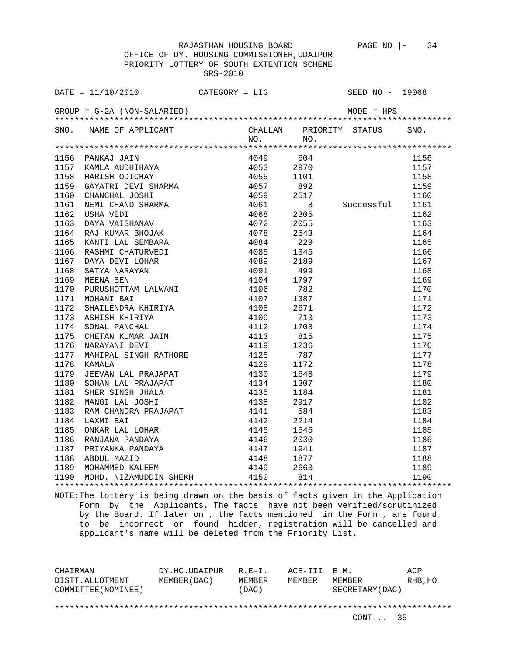OFFICE OF DY. HOUSING COMMISSIONER,UDAIPUR PRIORITY LOTTERY OF SOUTH EXTENTION SCHEME SRS-2010

|      | DATE = $11/10/2010$ CATEGORY = LIG                                                                                                                                                                                                             |                              |           |        | SEED NO - 19068              |      |
|------|------------------------------------------------------------------------------------------------------------------------------------------------------------------------------------------------------------------------------------------------|------------------------------|-----------|--------|------------------------------|------|
|      |                                                                                                                                                                                                                                                |                              |           |        |                              |      |
|      | SNO. NAME OF APPLICANT                                                                                                                                                                                                                         |                              | NO.       | $NQ$ . | CHALLAN PRIORITY STATUS SNO. |      |
|      |                                                                                                                                                                                                                                                |                              |           |        |                              |      |
|      |                                                                                                                                                                                                                                                |                              | 4049 604  |        |                              | 1156 |
|      |                                                                                                                                                                                                                                                |                              | 4053 2970 |        |                              | 1157 |
|      |                                                                                                                                                                                                                                                |                              |           | 1101   |                              | 1158 |
|      |                                                                                                                                                                                                                                                |                              |           | 892    |                              | 1159 |
|      |                                                                                                                                                                                                                                                |                              |           | 2517   |                              | 1160 |
|      |                                                                                                                                                                                                                                                |                              |           | - 8    | Successful                   | 1161 |
|      |                                                                                                                                                                                                                                                |                              | 4068 2305 |        |                              | 1162 |
|      |                                                                                                                                                                                                                                                |                              |           | 2055   |                              | 1163 |
|      |                                                                                                                                                                                                                                                |                              |           | 2643   |                              | 1164 |
|      |                                                                                                                                                                                                                                                |                              |           | 229    |                              | 1165 |
| 1166 | RASHMI CHATURVEDI                                                                                                                                                                                                                              | 4085<br>4089<br>4091<br>4104 |           | 1345   |                              | 1166 |
| 1167 |                                                                                                                                                                                                                                                |                              |           | 2189   |                              | 1167 |
| 1168 | DAYA DEVI LOHAR<br>SATYA NARAYAN<br>MEENA SEN                                                                                                                                                                                                  |                              |           | 499    |                              | 1168 |
| 1169 |                                                                                                                                                                                                                                                |                              |           | 1797   |                              | 1169 |
| 1170 | MEENA SEN 4104<br>PURUSHOTTAM LALWANI 4106<br>MOHANI BAI 4107<br>SHAILENDRA KHIRIYA 4108<br>ASHISH KHIRIYA 4109<br>SONAL PANCHAL 4112<br>CHETAN KUMAR JAIN 4113<br>NARAYANI DEVI 4119<br>MAHIPAL SINGH RATHORE 4125<br>KAMALA 4129             |                              |           | 782    |                              | 1170 |
| 1171 |                                                                                                                                                                                                                                                |                              |           | 1387   |                              | 1171 |
| 1172 |                                                                                                                                                                                                                                                |                              |           | 2671   |                              | 1172 |
| 1173 |                                                                                                                                                                                                                                                |                              |           | 713    |                              | 1173 |
| 1174 |                                                                                                                                                                                                                                                |                              |           | 1708   |                              | 1174 |
| 1175 |                                                                                                                                                                                                                                                |                              |           | 815    |                              | 1175 |
| 1176 |                                                                                                                                                                                                                                                |                              |           | 1236   |                              | 1176 |
| 1177 |                                                                                                                                                                                                                                                |                              |           | 787    |                              | 1177 |
| 1178 | KAMALA                                                                                                                                                                                                                                         | 4129                         |           | 1172   |                              | 1178 |
| 1179 |                                                                                                                                                                                                                                                |                              |           |        |                              | 1179 |
| 1180 |                                                                                                                                                                                                                                                |                              |           |        |                              | 1180 |
| 1181 |                                                                                                                                                                                                                                                |                              |           |        |                              | 1181 |
| 1182 |                                                                                                                                                                                                                                                |                              |           |        |                              | 1182 |
| 1183 |                                                                                                                                                                                                                                                |                              |           |        |                              | 1183 |
| 1184 |                                                                                                                                                                                                                                                |                              |           |        |                              | 1184 |
| 1185 |                                                                                                                                                                                                                                                |                              |           |        |                              | 1185 |
| 1186 |                                                                                                                                                                                                                                                |                              |           |        |                              | 1186 |
| 1187 |                                                                                                                                                                                                                                                |                              |           |        |                              | 1187 |
| 1188 | 4129 1172<br>JEEVAN LAL PRAJAPAT 4130 1648<br>SOHAN LAL PRAJAPAT 4130 1648<br>SOHAN LAL PRAJAPAT 4134 1307<br>SHER SINGH JHALA 4135 1184<br>MANGI LAL JOSHI 4138 2917<br>RAM CHANDRA PRAJAPAT 4141 584<br>LAXMI BAI 4142 2214<br>ONKAR LAL LOH |                              |           |        |                              | 1188 |
| 1189 |                                                                                                                                                                                                                                                |                              |           |        |                              | 1189 |
|      | 1190 MOHD. NIZAMUDDIN SHEKH 4150 814                                                                                                                                                                                                           |                              |           |        |                              | 1190 |
|      |                                                                                                                                                                                                                                                |                              |           |        |                              |      |

NOTE:The lottery is being drawn on the basis of facts given in the Application Form by the Applicants. The facts have not been verified/scrutinized by the Board. If later on , the facts mentioned in the Form , are found to be incorrect or found hidden, registration will be cancelled and applicant's name will be deleted from the Priority List.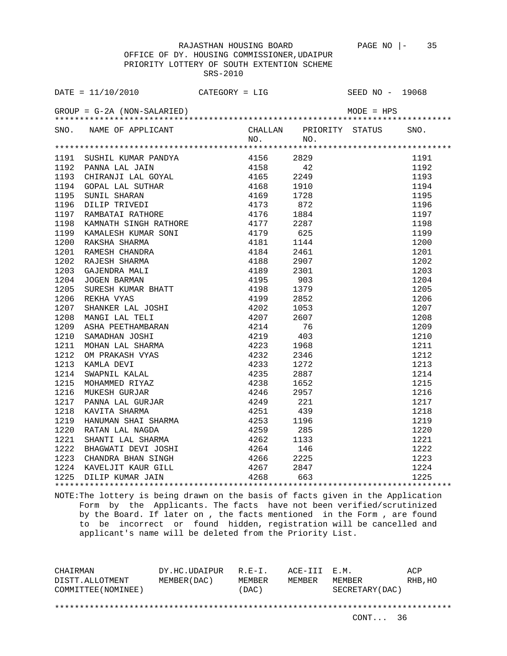OFFICE OF DY. HOUSING COMMISSIONER,UDAIPUR PRIORITY LOTTERY OF SOUTH EXTENTION SCHEME SRS-2010

| SNO. NAME OF APPLICANT CHALLAN PRIORITY STATUS SNO.<br>NO. NO. NO.                                                                                                                                                                              |           |      |                                                                                             |      |
|-------------------------------------------------------------------------------------------------------------------------------------------------------------------------------------------------------------------------------------------------|-----------|------|---------------------------------------------------------------------------------------------|------|
|                                                                                                                                                                                                                                                 |           |      |                                                                                             |      |
|                                                                                                                                                                                                                                                 | 4156 2829 |      |                                                                                             | 1191 |
|                                                                                                                                                                                                                                                 |           | 42   |                                                                                             | 1192 |
|                                                                                                                                                                                                                                                 |           | 2249 |                                                                                             | 1193 |
|                                                                                                                                                                                                                                                 |           | 1910 |                                                                                             | 1194 |
|                                                                                                                                                                                                                                                 |           | 1728 |                                                                                             | 1195 |
| 1191 SUSHIL KUMAR PANDYA 4156<br>1191 SUSHIL KUMAR PANDYA 4156<br>1192 PANNA LAL JAIN 4158<br>1193 CHIRANJI LAL GOYAL 4165<br>1194 GOPAL LAL SUTHAR 4168<br>1195 SUNIL SHARAN 4169<br>1196 DILIP TRIVEDI 4173<br>1197 RAMBATAI RATHORE 4176<br> |           | 872  |                                                                                             | 1196 |
|                                                                                                                                                                                                                                                 |           | 1884 |                                                                                             | 1197 |
|                                                                                                                                                                                                                                                 |           |      |                                                                                             | 1198 |
|                                                                                                                                                                                                                                                 |           |      |                                                                                             | 1199 |
|                                                                                                                                                                                                                                                 |           |      |                                                                                             | 1200 |
|                                                                                                                                                                                                                                                 |           |      |                                                                                             | 1201 |
|                                                                                                                                                                                                                                                 |           |      |                                                                                             | 1202 |
|                                                                                                                                                                                                                                                 |           |      |                                                                                             | 1203 |
|                                                                                                                                                                                                                                                 |           |      |                                                                                             | 1204 |
|                                                                                                                                                                                                                                                 |           |      |                                                                                             | 1205 |
|                                                                                                                                                                                                                                                 |           |      |                                                                                             | 1206 |
|                                                                                                                                                                                                                                                 |           |      |                                                                                             | 1207 |
|                                                                                                                                                                                                                                                 |           |      |                                                                                             | 1208 |
|                                                                                                                                                                                                                                                 |           |      |                                                                                             | 1209 |
|                                                                                                                                                                                                                                                 |           |      |                                                                                             | 1210 |
|                                                                                                                                                                                                                                                 |           |      |                                                                                             | 1211 |
|                                                                                                                                                                                                                                                 |           |      |                                                                                             | 1212 |
|                                                                                                                                                                                                                                                 |           |      |                                                                                             | 1213 |
|                                                                                                                                                                                                                                                 |           |      |                                                                                             | 1214 |
|                                                                                                                                                                                                                                                 |           |      |                                                                                             | 1215 |
|                                                                                                                                                                                                                                                 |           |      |                                                                                             | 1216 |
|                                                                                                                                                                                                                                                 |           |      |                                                                                             | 1217 |
|                                                                                                                                                                                                                                                 |           |      |                                                                                             | 1218 |
|                                                                                                                                                                                                                                                 |           |      |                                                                                             | 1219 |
|                                                                                                                                                                                                                                                 |           |      |                                                                                             |      |
|                                                                                                                                                                                                                                                 |           |      |                                                                                             |      |
|                                                                                                                                                                                                                                                 |           |      |                                                                                             |      |
|                                                                                                                                                                                                                                                 |           |      |                                                                                             |      |
|                                                                                                                                                                                                                                                 |           |      |                                                                                             |      |
|                                                                                                                                                                                                                                                 |           |      | $\begin{array}{r} 1219 \\ 1220 \\ 1221 \\ 1222 \\ 1223 \\ 1224 \\ 1224 \\ 1225 \end{array}$ |      |
|                                                                                                                                                                                                                                                 |           |      |                                                                                             |      |

NOTE:The lottery is being drawn on the basis of facts given in the Application Form by the Applicants. The facts have not been verified/scrutinized by the Board. If later on , the facts mentioned in the Form , are found to be incorrect or found hidden, registration will be cancelled and applicant's name will be deleted from the Priority List.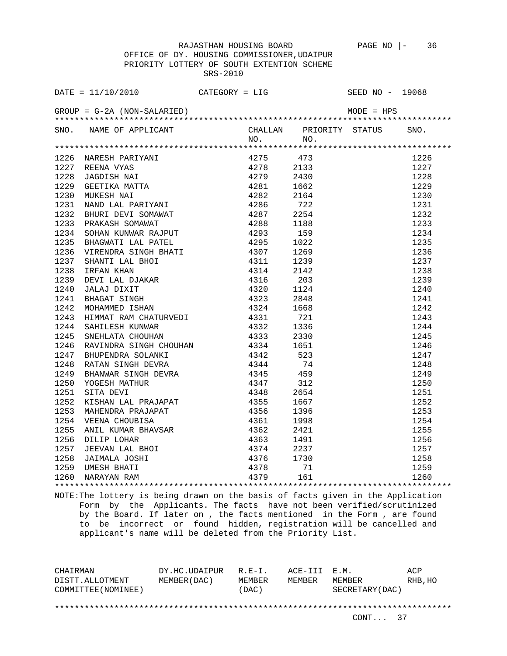OFFICE OF DY. HOUSING COMMISSIONER,UDAIPUR PRIORITY LOTTERY OF SOUTH EXTENTION SCHEME SRS-2010

|      | SNO. NAME OF APPLICANT CHALLAN PRIORITY STATUS SNO.<br>NO. NO.                                                                                                                                                                      |           |                                                                                                                |      |
|------|-------------------------------------------------------------------------------------------------------------------------------------------------------------------------------------------------------------------------------------|-----------|----------------------------------------------------------------------------------------------------------------|------|
|      |                                                                                                                                                                                                                                     |           |                                                                                                                |      |
|      |                                                                                                                                                                                                                                     | 4275 473  |                                                                                                                | 1226 |
|      |                                                                                                                                                                                                                                     | 4278 2133 |                                                                                                                | 1227 |
|      |                                                                                                                                                                                                                                     | 2430      |                                                                                                                | 1228 |
|      |                                                                                                                                                                                                                                     | 1662      |                                                                                                                | 1229 |
|      |                                                                                                                                                                                                                                     | 2164      |                                                                                                                | 1230 |
|      |                                                                                                                                                                                                                                     | 722       |                                                                                                                | 1231 |
| 1232 |                                                                                                                                                                                                                                     |           |                                                                                                                | 1232 |
| 1233 | BHURI DEVI SOMAWAT 4287 2254<br>PRAKASH SOMAWAT 4288 1188<br>SOHAN KUNWAR RAJPUT 4293 159                                                                                                                                           |           |                                                                                                                | 1233 |
| 1234 |                                                                                                                                                                                                                                     |           |                                                                                                                | 1234 |
| 1235 |                                                                                                                                                                                                                                     | 1022      |                                                                                                                | 1235 |
| 1236 |                                                                                                                                                                                                                                     | 1269      |                                                                                                                | 1236 |
| 1237 |                                                                                                                                                                                                                                     | 1239      |                                                                                                                | 1237 |
| 1238 |                                                                                                                                                                                                                                     | 2142      |                                                                                                                | 1238 |
| 1239 |                                                                                                                                                                                                                                     | 203       |                                                                                                                | 1239 |
| 1240 |                                                                                                                                                                                                                                     | 1124      |                                                                                                                | 1240 |
| 1241 | SOHAN KUNWAR RAJPUT 4293<br>BHAGWATI LAL PATEL 4295<br>VIRENDRA SINGH BHATI 4307<br>SHANTI LAL BHOI 4311<br>IRFAN KHAN 4314<br>DEVI LAL DJAKAR 4316<br>JALAJ DIXIT 4320<br>BHAGAT SINGH 4323<br>MOHAMMED ISHAN 4323<br>4324<br>4324 | 2848      |                                                                                                                | 1241 |
| 1242 |                                                                                                                                                                                                                                     | 1668      |                                                                                                                | 1242 |
| 1243 | HIMMAT RAM CHATURVEDI<br>SAHILESH KUMAR<br>SAHILESH KUMAR<br>4332<br>4332<br>4332                                                                                                                                                   | 721       |                                                                                                                | 1243 |
| 1244 |                                                                                                                                                                                                                                     | 1336      |                                                                                                                | 1244 |
|      |                                                                                                                                                                                                                                     |           |                                                                                                                | 1245 |
|      |                                                                                                                                                                                                                                     |           |                                                                                                                | 1246 |
|      |                                                                                                                                                                                                                                     |           |                                                                                                                | 1247 |
|      |                                                                                                                                                                                                                                     |           |                                                                                                                | 1248 |
|      |                                                                                                                                                                                                                                     |           |                                                                                                                | 1249 |
|      |                                                                                                                                                                                                                                     |           |                                                                                                                | 1250 |
|      |                                                                                                                                                                                                                                     |           |                                                                                                                | 1251 |
|      |                                                                                                                                                                                                                                     |           |                                                                                                                | 1252 |
|      |                                                                                                                                                                                                                                     |           |                                                                                                                | 1253 |
|      |                                                                                                                                                                                                                                     |           |                                                                                                                | 1254 |
|      |                                                                                                                                                                                                                                     |           |                                                                                                                |      |
|      |                                                                                                                                                                                                                                     |           |                                                                                                                |      |
|      |                                                                                                                                                                                                                                     |           |                                                                                                                |      |
|      |                                                                                                                                                                                                                                     |           | $\begin{array}{r} 1254 \\ 1255 \\ 1256 \\ 1257 \\ 1258 \\ 1259 \\ 1259 \\ 1240 \\ 1259 \\ 1254 \\ \end{array}$ |      |
|      |                                                                                                                                                                                                                                     |           |                                                                                                                |      |
|      |                                                                                                                                                                                                                                     |           |                                                                                                                |      |
|      |                                                                                                                                                                                                                                     |           |                                                                                                                |      |

NOTE:The lottery is being drawn on the basis of facts given in the Application Form by the Applicants. The facts have not been verified/scrutinized by the Board. If later on , the facts mentioned in the Form , are found to be incorrect or found hidden, registration will be cancelled and applicant's name will be deleted from the Priority List.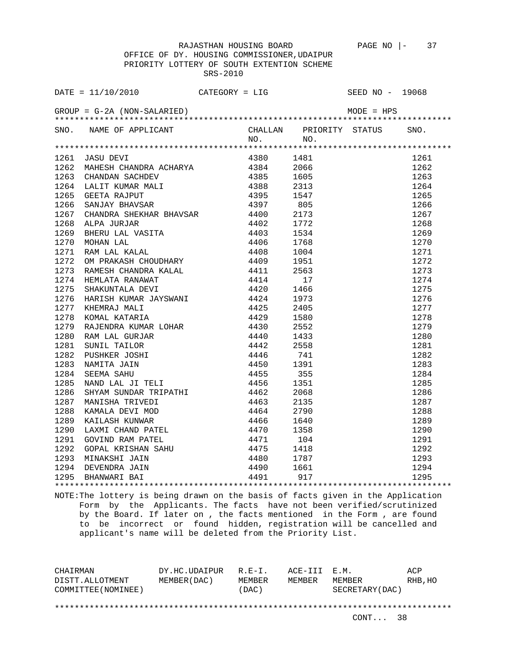| SNO. NAME OF APPLICANT CHALLAN PRIORITY STATUS SNO.<br>NO. NO. NO. |  |  |  |
|--------------------------------------------------------------------|--|--|--|
|                                                                    |  |  |  |
|                                                                    |  |  |  |
|                                                                    |  |  |  |
|                                                                    |  |  |  |
|                                                                    |  |  |  |
|                                                                    |  |  |  |
|                                                                    |  |  |  |
|                                                                    |  |  |  |
|                                                                    |  |  |  |
|                                                                    |  |  |  |
|                                                                    |  |  |  |
|                                                                    |  |  |  |
|                                                                    |  |  |  |
|                                                                    |  |  |  |
|                                                                    |  |  |  |
|                                                                    |  |  |  |
|                                                                    |  |  |  |
|                                                                    |  |  |  |
|                                                                    |  |  |  |
|                                                                    |  |  |  |
|                                                                    |  |  |  |
|                                                                    |  |  |  |
|                                                                    |  |  |  |
|                                                                    |  |  |  |
|                                                                    |  |  |  |
|                                                                    |  |  |  |
|                                                                    |  |  |  |
|                                                                    |  |  |  |
|                                                                    |  |  |  |
|                                                                    |  |  |  |
|                                                                    |  |  |  |
|                                                                    |  |  |  |
|                                                                    |  |  |  |
|                                                                    |  |  |  |
|                                                                    |  |  |  |
|                                                                    |  |  |  |
|                                                                    |  |  |  |

NOTE:The lottery is being drawn on the basis of facts given in the Application Form by the Applicants. The facts have not been verified/scrutinized by the Board. If later on , the facts mentioned in the Form , are found to be incorrect or found hidden, registration will be cancelled and applicant's name will be deleted from the Priority List.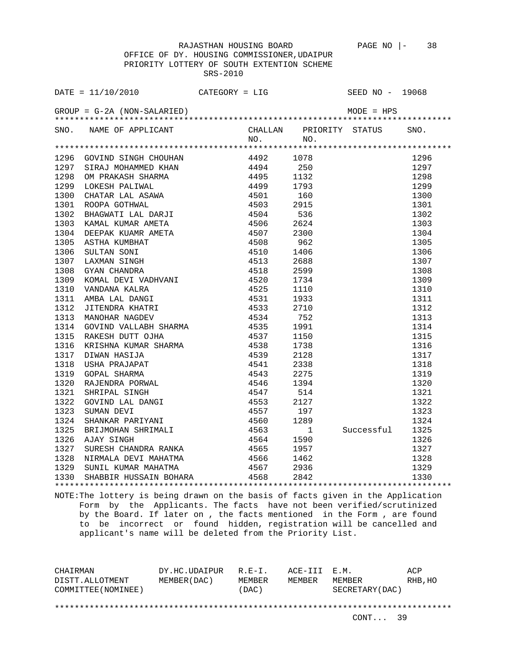OFFICE OF DY. HOUSING COMMISSIONER,UDAIPUR PRIORITY LOTTERY OF SOUTH EXTENTION SCHEME SRS-2010

|      | SNO. NAME OF APPLICANT CHALLAN PRIORITY STATUS SNO.<br>NO. NO.<br>1997 STAD MONTHEM MONTHAIR NAME 1997 STAD 1997 STAD 1997 STAD MONTHAIR 1299 ON PRAKASH SHARN 4495 1532<br>1998 ON PRAKASH SHARN 4494 250<br>1999 LOKESH PALIWAL 4494 250<br>1999 LOKESH PALIWAL ALANA 4495 1793<br>1999 LOKESH PALIWAL DAR |  |                 |      |
|------|--------------------------------------------------------------------------------------------------------------------------------------------------------------------------------------------------------------------------------------------------------------------------------------------------------------|--|-----------------|------|
|      |                                                                                                                                                                                                                                                                                                              |  |                 |      |
|      |                                                                                                                                                                                                                                                                                                              |  |                 | 1296 |
|      |                                                                                                                                                                                                                                                                                                              |  |                 | 1297 |
|      |                                                                                                                                                                                                                                                                                                              |  |                 | 1298 |
|      |                                                                                                                                                                                                                                                                                                              |  |                 | 1299 |
|      |                                                                                                                                                                                                                                                                                                              |  |                 | 1300 |
|      |                                                                                                                                                                                                                                                                                                              |  |                 | 1301 |
|      |                                                                                                                                                                                                                                                                                                              |  |                 | 1302 |
|      |                                                                                                                                                                                                                                                                                                              |  |                 | 1303 |
|      |                                                                                                                                                                                                                                                                                                              |  |                 | 1304 |
|      |                                                                                                                                                                                                                                                                                                              |  |                 | 1305 |
|      |                                                                                                                                                                                                                                                                                                              |  |                 | 1306 |
|      |                                                                                                                                                                                                                                                                                                              |  |                 | 1307 |
|      |                                                                                                                                                                                                                                                                                                              |  |                 | 1308 |
|      |                                                                                                                                                                                                                                                                                                              |  |                 | 1309 |
|      |                                                                                                                                                                                                                                                                                                              |  |                 | 1310 |
|      |                                                                                                                                                                                                                                                                                                              |  |                 | 1311 |
|      |                                                                                                                                                                                                                                                                                                              |  |                 | 1312 |
|      |                                                                                                                                                                                                                                                                                                              |  |                 | 1313 |
|      |                                                                                                                                                                                                                                                                                                              |  |                 | 1314 |
|      |                                                                                                                                                                                                                                                                                                              |  |                 | 1315 |
|      |                                                                                                                                                                                                                                                                                                              |  |                 | 1316 |
|      |                                                                                                                                                                                                                                                                                                              |  |                 | 1317 |
|      |                                                                                                                                                                                                                                                                                                              |  |                 | 1318 |
|      |                                                                                                                                                                                                                                                                                                              |  |                 | 1319 |
|      |                                                                                                                                                                                                                                                                                                              |  |                 | 1320 |
|      |                                                                                                                                                                                                                                                                                                              |  |                 | 1321 |
|      |                                                                                                                                                                                                                                                                                                              |  |                 | 1322 |
|      |                                                                                                                                                                                                                                                                                                              |  |                 | 1323 |
|      |                                                                                                                                                                                                                                                                                                              |  |                 | 1324 |
|      |                                                                                                                                                                                                                                                                                                              |  | Successful 1325 |      |
|      |                                                                                                                                                                                                                                                                                                              |  |                 | 1326 |
|      |                                                                                                                                                                                                                                                                                                              |  |                 | 1327 |
|      |                                                                                                                                                                                                                                                                                                              |  |                 | 1328 |
|      |                                                                                                                                                                                                                                                                                                              |  |                 | 1329 |
| 1330 | SUNIL KUMAR MAHATMA $4567$ 2936<br>SHABBIR HUSSAIN BOHARA $4568$ 2842                                                                                                                                                                                                                                        |  |                 | 1330 |
|      |                                                                                                                                                                                                                                                                                                              |  |                 |      |

NOTE:The lottery is being drawn on the basis of facts given in the Application Form by the Applicants. The facts have not been verified/scrutinized by the Board. If later on , the facts mentioned in the Form , are found to be incorrect or found hidden, registration will be cancelled and applicant's name will be deleted from the Priority List.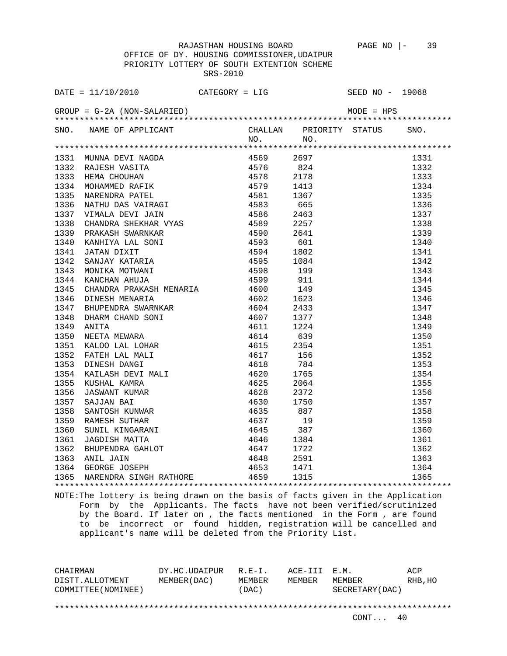OFFICE OF DY. HOUSING COMMISSIONER,UDAIPUR PRIORITY LOTTERY OF SOUTH EXTENTION SCHEME SRS-2010

|      | DATE = $11/10/2010$ CATEGORY = LIG                                                                                                                                                                                                                 |  |      | SEED NO - 19068 |      |
|------|----------------------------------------------------------------------------------------------------------------------------------------------------------------------------------------------------------------------------------------------------|--|------|-----------------|------|
|      |                                                                                                                                                                                                                                                    |  |      |                 |      |
|      | SNO. NAME OF APPLICANT CHALLAN PRIORITY STATUS NO. NO.                                                                                                                                                                                             |  |      |                 | SNO. |
|      |                                                                                                                                                                                                                                                    |  |      |                 |      |
|      |                                                                                                                                                                                                                                                    |  |      |                 | 1331 |
|      |                                                                                                                                                                                                                                                    |  | 824  |                 | 1332 |
|      |                                                                                                                                                                                                                                                    |  |      |                 | 1333 |
|      |                                                                                                                                                                                                                                                    |  |      |                 | 1334 |
|      |                                                                                                                                                                                                                                                    |  |      |                 | 1335 |
|      |                                                                                                                                                                                                                                                    |  |      |                 | 1336 |
|      |                                                                                                                                                                                                                                                    |  |      |                 | 1337 |
|      |                                                                                                                                                                                                                                                    |  |      |                 | 1338 |
|      |                                                                                                                                                                                                                                                    |  |      |                 | 1339 |
|      |                                                                                                                                                                                                                                                    |  |      |                 | 1340 |
|      |                                                                                                                                                                                                                                                    |  |      |                 | 1341 |
|      |                                                                                                                                                                                                                                                    |  |      |                 | 1342 |
|      |                                                                                                                                                                                                                                                    |  |      |                 | 1343 |
|      |                                                                                                                                                                                                                                                    |  |      |                 | 1344 |
| 1345 | CHANDRA PRAKASH MENARIA 4600                                                                                                                                                                                                                       |  | 149  |                 | 1345 |
| 1346 |                                                                                                                                                                                                                                                    |  | 1623 |                 | 1346 |
| 1347 |                                                                                                                                                                                                                                                    |  | 2433 |                 | 1347 |
| 1348 |                                                                                                                                                                                                                                                    |  | 1377 |                 | 1348 |
| 1349 |                                                                                                                                                                                                                                                    |  | 1224 |                 | 1349 |
| 1350 |                                                                                                                                                                                                                                                    |  | 639  |                 | 1350 |
| 1351 |                                                                                                                                                                                                                                                    |  | 2354 |                 | 1351 |
| 1352 |                                                                                                                                                                                                                                                    |  | 156  |                 | 1352 |
| 1353 |                                                                                                                                                                                                                                                    |  | 784  |                 | 1353 |
| 1354 |                                                                                                                                                                                                                                                    |  | 1765 |                 | 1354 |
| 1355 | CHANDRA PRAKASH MENARIA (1600)<br>DINESH MENARIA (1602)<br>BHUPENDRA SWARNKAR (1604)<br>DHARM CHAND SONI (1604)<br>ANITA (1607)<br>ANITA (1607)<br>ANITA (1611)<br>NEETA MEWARA (1611)<br>KALOO LAL LOHAR (1615)<br>FATEH LAL MALI (1617)<br>DINES |  | 2064 |                 | 1355 |
| 1356 |                                                                                                                                                                                                                                                    |  | 2372 |                 | 1356 |
| 1357 |                                                                                                                                                                                                                                                    |  | 1750 |                 | 1357 |
| 1358 |                                                                                                                                                                                                                                                    |  | 887  |                 | 1358 |
| 1359 |                                                                                                                                                                                                                                                    |  | 19   |                 | 1359 |
|      |                                                                                                                                                                                                                                                    |  |      |                 | 1360 |
|      |                                                                                                                                                                                                                                                    |  |      |                 | 1361 |
|      |                                                                                                                                                                                                                                                    |  |      |                 | 1362 |
|      | 1359 KAMESH SUIHAK<br>1360 SUNIL KINGARANI 4645 387<br>1361 JAGDISH MATTA 4646 1384<br>1362 BHUPENDRA GAHLOT 4647 1722<br>1363 ANIL JAIN 4648 2591<br>1364 GEORGE JOSEPH 4653 1471                                                                 |  |      |                 | 1363 |
|      |                                                                                                                                                                                                                                                    |  |      |                 | 1364 |
|      | 1365 NARENDRA SINGH RATHORE 4659 1315                                                                                                                                                                                                              |  |      |                 | 1365 |
|      |                                                                                                                                                                                                                                                    |  |      |                 |      |

NOTE:The lottery is being drawn on the basis of facts given in the Application Form by the Applicants. The facts have not been verified/scrutinized by the Board. If later on , the facts mentioned in the Form , are found to be incorrect or found hidden, registration will be cancelled and applicant's name will be deleted from the Priority List.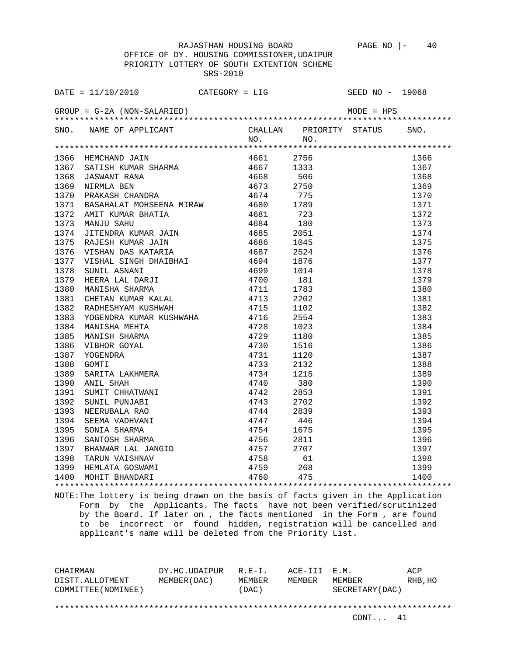OFFICE OF DY. HOUSING COMMISSIONER,UDAIPUR PRIORITY LOTTERY OF SOUTH EXTENTION SCHEME SRS-2010

| DATE = $11/10/2010$ CATEGORY = LIG                             |  | SEED NO - 19068 |  |
|----------------------------------------------------------------|--|-----------------|--|
|                                                                |  |                 |  |
| SNO. NAME OF APPLICANT CHALLAN PRIORITY STATUS SNO.<br>NO. NO. |  |                 |  |
|                                                                |  |                 |  |
|                                                                |  |                 |  |
|                                                                |  |                 |  |
|                                                                |  |                 |  |
|                                                                |  |                 |  |
|                                                                |  |                 |  |
|                                                                |  |                 |  |
|                                                                |  |                 |  |
|                                                                |  |                 |  |
|                                                                |  |                 |  |
|                                                                |  |                 |  |
|                                                                |  |                 |  |
|                                                                |  |                 |  |
|                                                                |  |                 |  |
|                                                                |  |                 |  |
|                                                                |  |                 |  |
|                                                                |  |                 |  |
|                                                                |  |                 |  |
|                                                                |  |                 |  |
|                                                                |  |                 |  |
|                                                                |  |                 |  |
|                                                                |  |                 |  |
|                                                                |  |                 |  |
|                                                                |  |                 |  |
|                                                                |  |                 |  |
|                                                                |  |                 |  |
|                                                                |  |                 |  |
|                                                                |  |                 |  |
|                                                                |  |                 |  |
|                                                                |  |                 |  |
|                                                                |  |                 |  |
|                                                                |  |                 |  |
|                                                                |  |                 |  |
|                                                                |  |                 |  |
|                                                                |  |                 |  |
|                                                                |  |                 |  |
|                                                                |  |                 |  |

NOTE:The lottery is being drawn on the basis of facts given in the Application Form by the Applicants. The facts have not been verified/scrutinized by the Board. If later on , the facts mentioned in the Form , are found to be incorrect or found hidden, registration will be cancelled and applicant's name will be deleted from the Priority List.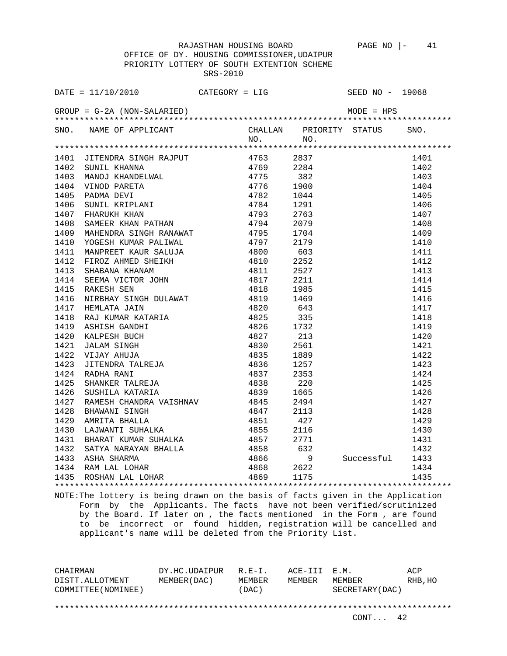OFFICE OF DY. HOUSING COMMISSIONER,UDAIPUR PRIORITY LOTTERY OF SOUTH EXTENTION SCHEME SRS-2010

|      | SNO. NAME OF APPLICANT CHALLAN PRIORITY STATUS SNO.<br>NO. NO.                                                                                   |      |      |                 |      |
|------|--------------------------------------------------------------------------------------------------------------------------------------------------|------|------|-----------------|------|
|      |                                                                                                                                                  |      |      |                 |      |
|      |                                                                                                                                                  |      |      |                 |      |
|      |                                                                                                                                                  |      |      |                 | 1401 |
|      |                                                                                                                                                  |      |      |                 | 1402 |
|      |                                                                                                                                                  |      |      |                 | 1403 |
|      |                                                                                                                                                  |      |      |                 | 1404 |
|      |                                                                                                                                                  |      |      |                 | 1405 |
|      |                                                                                                                                                  |      |      |                 | 1406 |
|      |                                                                                                                                                  |      |      |                 | 1407 |
|      |                                                                                                                                                  |      |      |                 | 1408 |
|      |                                                                                                                                                  |      |      |                 | 1409 |
|      |                                                                                                                                                  |      |      |                 | 1410 |
| 1411 |                                                                                                                                                  |      |      |                 | 1411 |
| 1412 |                                                                                                                                                  |      |      |                 | 1412 |
| 1413 | MANPREET KAUR SALUJA 4800 603<br>FIROZ AHMED SHEIKH 4810 2252<br>SHABANA KHANAM 4811 2527<br>SEEMA VICTOR JOHN 4817 2211<br>RAKESH SEN 4818 1985 |      |      |                 | 1413 |
| 1414 |                                                                                                                                                  |      |      |                 | 1414 |
| 1415 |                                                                                                                                                  |      |      |                 | 1415 |
| 1416 |                                                                                                                                                  |      | 1469 |                 | 1416 |
| 1417 |                                                                                                                                                  |      | 643  |                 | 1417 |
| 1418 |                                                                                                                                                  |      | 335  |                 | 1418 |
| 1419 |                                                                                                                                                  |      | 1732 |                 | 1419 |
| 1420 |                                                                                                                                                  |      | 213  |                 | 1420 |
| 1421 |                                                                                                                                                  |      | 2561 |                 | 1421 |
| 1422 |                                                                                                                                                  |      | 1889 |                 | 1422 |
| 1423 |                                                                                                                                                  |      | 1257 |                 | 1423 |
| 1424 |                                                                                                                                                  |      | 2353 |                 | 1424 |
| 1425 | SHANKER TALREJA<br>SUSHILA KATARIA                                                                                                               |      | 220  |                 | 1425 |
| 1426 |                                                                                                                                                  | 4839 | 1665 |                 | 1426 |
|      |                                                                                                                                                  |      |      |                 | 1427 |
|      |                                                                                                                                                  |      |      |                 | 1428 |
|      |                                                                                                                                                  |      |      |                 | 1429 |
|      |                                                                                                                                                  |      |      |                 | 1430 |
|      |                                                                                                                                                  |      |      |                 | 1431 |
|      |                                                                                                                                                  |      |      |                 | 1432 |
|      |                                                                                                                                                  |      |      | Successful 1433 |      |
|      |                                                                                                                                                  |      |      |                 | 1434 |
|      |                                                                                                                                                  |      |      |                 | 1435 |
|      |                                                                                                                                                  |      |      |                 |      |

NOTE:The lottery is being drawn on the basis of facts given in the Application Form by the Applicants. The facts have not been verified/scrutinized by the Board. If later on , the facts mentioned in the Form , are found to be incorrect or found hidden, registration will be cancelled and applicant's name will be deleted from the Priority List.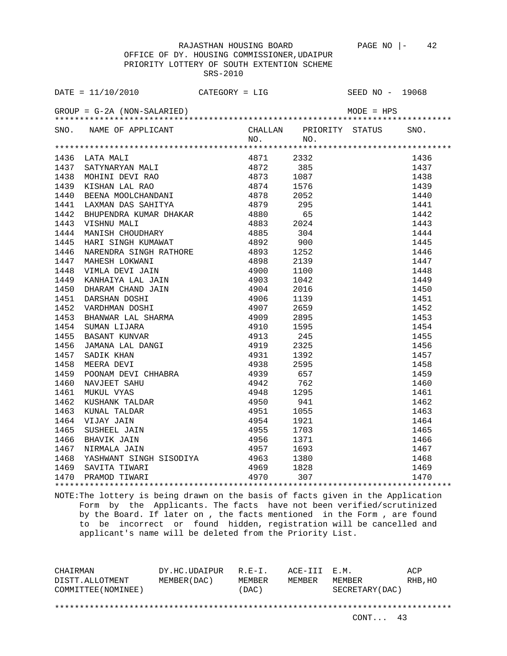|      | DATE = $11/10/2010$ CATEGORY = LIG                                                                                                                                                                                                                 |           |      | SEED NO - 19068                                                                            |      |
|------|----------------------------------------------------------------------------------------------------------------------------------------------------------------------------------------------------------------------------------------------------|-----------|------|--------------------------------------------------------------------------------------------|------|
|      |                                                                                                                                                                                                                                                    |           |      | M.<br>*******<br>.ORITY STAT<br><br>*******************<br>2332<br>385<br>1087<br>.576<br> |      |
|      | SNO. NAME OF APPLICANT CHALLAN PRIORITY STATUS NO. NO.                                                                                                                                                                                             |           |      |                                                                                            | SNO. |
|      |                                                                                                                                                                                                                                                    |           |      |                                                                                            |      |
|      | 1436 LATA MALI                                                                                                                                                                                                                                     | 4871 2332 |      |                                                                                            | 1436 |
| 1437 |                                                                                                                                                                                                                                                    |           |      |                                                                                            | 1437 |
| 1438 |                                                                                                                                                                                                                                                    |           |      |                                                                                            | 1438 |
| 1439 |                                                                                                                                                                                                                                                    |           |      |                                                                                            | 1439 |
| 1440 |                                                                                                                                                                                                                                                    |           |      |                                                                                            | 1440 |
| 1441 |                                                                                                                                                                                                                                                    |           |      |                                                                                            | 1441 |
| 1442 |                                                                                                                                                                                                                                                    |           |      |                                                                                            | 1442 |
| 1443 |                                                                                                                                                                                                                                                    |           | 2024 |                                                                                            | 1443 |
| 1444 |                                                                                                                                                                                                                                                    |           |      |                                                                                            | 1444 |
| 1445 | HARI SINGH KUMAWAT                                                                                                                                                                                                                                 | 4892      | 900  |                                                                                            | 1445 |
| 1446 |                                                                                                                                                                                                                                                    |           | 1252 |                                                                                            | 1446 |
| 1447 | NARENDRA SINGH RATHORE<br>MAHESH LOKWANI 4898<br>VIMLA DEVI JAIN 4900<br>KANHAIYA LAL JAIN 4903<br>NINDA MAHESH LAL JAIN 4903                                                                                                                      |           | 2139 |                                                                                            | 1447 |
| 1448 |                                                                                                                                                                                                                                                    |           | 1100 |                                                                                            | 1448 |
| 1449 |                                                                                                                                                                                                                                                    |           | 1042 |                                                                                            | 1449 |
| 1450 |                                                                                                                                                                                                                                                    |           | 2016 |                                                                                            | 1450 |
| 1451 |                                                                                                                                                                                                                                                    |           | 1139 |                                                                                            | 1451 |
| 1452 |                                                                                                                                                                                                                                                    |           | 2659 |                                                                                            | 1452 |
| 1453 |                                                                                                                                                                                                                                                    |           | 2895 |                                                                                            | 1453 |
| 1454 |                                                                                                                                                                                                                                                    |           | 1595 |                                                                                            | 1454 |
| 1455 |                                                                                                                                                                                                                                                    |           | 245  |                                                                                            | 1455 |
| 1456 |                                                                                                                                                                                                                                                    |           | 2325 |                                                                                            | 1456 |
| 1457 |                                                                                                                                                                                                                                                    |           | 1392 |                                                                                            | 1457 |
| 1458 |                                                                                                                                                                                                                                                    |           | 2595 |                                                                                            | 1458 |
| 1459 |                                                                                                                                                                                                                                                    |           | 657  |                                                                                            | 1459 |
| 1460 |                                                                                                                                                                                                                                                    |           | 762  |                                                                                            | 1460 |
| 1461 |                                                                                                                                                                                                                                                    |           | 1295 |                                                                                            | 1461 |
| 1462 |                                                                                                                                                                                                                                                    |           | 941  |                                                                                            | 1462 |
| 1463 |                                                                                                                                                                                                                                                    |           | 1055 |                                                                                            | 1463 |
| 1464 |                                                                                                                                                                                                                                                    |           | 1921 |                                                                                            | 1464 |
| 1465 |                                                                                                                                                                                                                                                    |           | 1703 |                                                                                            |      |
| 1466 |                                                                                                                                                                                                                                                    |           | 1371 |                                                                                            |      |
| 1467 |                                                                                                                                                                                                                                                    |           | 1693 |                                                                                            |      |
| 1468 | ANHAIYA LAL JAIN 19903<br>DHARAM CHAND JAIN 19903<br>DHARAM CHAND JAIN 19904<br>DARSHAN DOSHI 19906<br>VARDHMAN DOSHI 19906<br>BHANWAR LAL SHARMA 1999<br>SUMAN LIJARA 1990<br>BUMAN LIJARA 1990<br>SUMAN LIJARA 1991<br>JAMANA LAL DANGI 1993<br> |           | 1380 |                                                                                            |      |
|      |                                                                                                                                                                                                                                                    |           |      |                                                                                            |      |
|      | 1469 SAVITA TIWARI 4969 1828<br>1470 PRAMOD TIWARI 4970 307                                                                                                                                                                                        |           |      | $\begin{array}{r} 1404 \\ 1465 \\ 1466 \\ 1467 \\ 1468 \\ 1469 \\ 1470 \\ \end{array}$     |      |
|      |                                                                                                                                                                                                                                                    |           |      |                                                                                            |      |

NOTE:The lottery is being drawn on the basis of facts given in the Application Form by the Applicants. The facts have not been verified/scrutinized by the Board. If later on , the facts mentioned in the Form , are found to be incorrect or found hidden, registration will be cancelled and applicant's name will be deleted from the Priority List.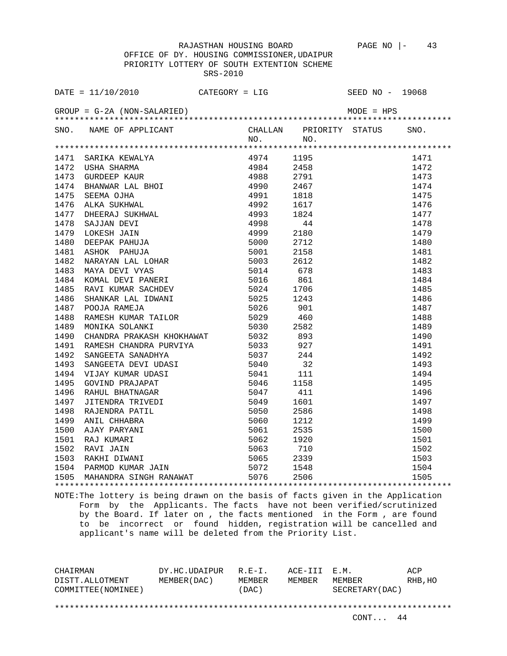OFFICE OF DY. HOUSING COMMISSIONER,UDAIPUR PRIORITY LOTTERY OF SOUTH EXTENTION SCHEME SRS-2010

|      | DATE = $11/10/2010$ CATEGORY = LIG                                                                                               |  |      | SEED NO - 19068    |      |
|------|----------------------------------------------------------------------------------------------------------------------------------|--|------|--------------------|------|
|      |                                                                                                                                  |  |      |                    |      |
|      | SNO. NAME OF APPLICANT CHALLAN PRIORITY STATUS SNO.<br>NO. NO.                                                                   |  |      |                    |      |
|      |                                                                                                                                  |  |      |                    |      |
|      |                                                                                                                                  |  |      |                    |      |
|      |                                                                                                                                  |  |      |                    |      |
|      |                                                                                                                                  |  |      |                    |      |
|      |                                                                                                                                  |  |      |                    |      |
|      |                                                                                                                                  |  |      |                    |      |
|      |                                                                                                                                  |  |      |                    |      |
|      |                                                                                                                                  |  |      |                    |      |
|      |                                                                                                                                  |  |      |                    |      |
|      |                                                                                                                                  |  |      |                    |      |
|      |                                                                                                                                  |  |      |                    |      |
|      |                                                                                                                                  |  |      |                    |      |
|      |                                                                                                                                  |  |      |                    |      |
|      |                                                                                                                                  |  |      |                    |      |
|      |                                                                                                                                  |  |      |                    |      |
| 1485 | RAVI KUMAR SACHDEV 5024                                                                                                          |  |      |                    |      |
| 1486 | SHANKAR LAL IDWANI 5025<br>POOJA RAMEJA 5025<br>RAMESH KUMAR TAILOR 5029<br>MONIKA SOLANKI 5030<br>CULUPER PRAMESH CULUPER 19930 |  |      |                    |      |
| 1487 |                                                                                                                                  |  |      |                    |      |
| 1488 |                                                                                                                                  |  |      |                    |      |
| 1489 |                                                                                                                                  |  | 2582 |                    |      |
|      |                                                                                                                                  |  |      |                    |      |
|      |                                                                                                                                  |  |      |                    |      |
|      |                                                                                                                                  |  |      |                    | 1492 |
|      |                                                                                                                                  |  |      |                    | 1493 |
|      |                                                                                                                                  |  |      |                    | 1494 |
|      |                                                                                                                                  |  |      |                    | 1495 |
|      |                                                                                                                                  |  |      |                    | 1496 |
|      |                                                                                                                                  |  |      |                    | 1497 |
|      |                                                                                                                                  |  |      |                    | 1498 |
|      |                                                                                                                                  |  |      |                    | 1499 |
|      |                                                                                                                                  |  |      |                    | 1500 |
|      |                                                                                                                                  |  |      |                    | 1501 |
|      |                                                                                                                                  |  |      |                    | 1502 |
|      |                                                                                                                                  |  |      |                    | 1503 |
|      |                                                                                                                                  |  |      |                    | 1504 |
|      |                                                                                                                                  |  |      | ****************** | 1505 |
|      |                                                                                                                                  |  |      |                    |      |

NOTE:The lottery is being drawn on the basis of facts given in the Application Form by the Applicants. The facts have not been verified/scrutinized by the Board. If later on , the facts mentioned in the Form , are found to be incorrect or found hidden, registration will be cancelled and applicant's name will be deleted from the Priority List.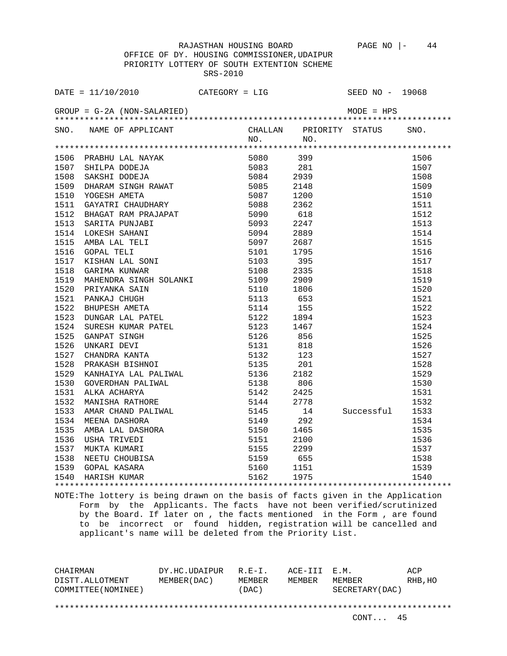OFFICE OF DY. HOUSING COMMISSIONER,UDAIPUR PRIORITY LOTTERY OF SOUTH EXTENTION SCHEME SRS-2010

|      | DATE = $11/10/2010$ CATEGORY = LIG                                                                                                                                                                                                           |  |      | SEED NO - 19068 |      |
|------|----------------------------------------------------------------------------------------------------------------------------------------------------------------------------------------------------------------------------------------------|--|------|-----------------|------|
|      |                                                                                                                                                                                                                                              |  |      |                 |      |
|      | SNO. NAME OF APPLICANT CHALLAN PRIORITY STATUS NO. NO.                                                                                                                                                                                       |  |      |                 | SNO. |
|      |                                                                                                                                                                                                                                              |  |      |                 |      |
|      |                                                                                                                                                                                                                                              |  |      |                 | 1506 |
|      |                                                                                                                                                                                                                                              |  |      |                 | 1507 |
|      |                                                                                                                                                                                                                                              |  |      |                 | 1508 |
|      | 1506 PRABHU LAL NAYAK 5080 399<br>1507 SHILPA DODEJA 5080 399<br>1508 SAKSHI DODEJA 5083 281<br>1508 SAKSHI DODEJA 5084 2939<br>1509 DHARAM SINGH RAWAT 5085 2148<br>1510 YOGESH AMETA 5087 1200<br>1511 GAYATRI CHAUDHARY 5088 2362<br>1511 |  |      |                 | 1509 |
|      |                                                                                                                                                                                                                                              |  |      |                 | 1510 |
|      |                                                                                                                                                                                                                                              |  |      |                 | 1511 |
| 1512 |                                                                                                                                                                                                                                              |  | 618  |                 | 1512 |
| 1513 | BHAGAT RAM PRAJAPAT 50000<br>SARITA PUNJABI 5090<br>LOKESH SAHANI 5093<br>LOKESH SAHANI 5093<br>AMBA LAL TELI 5097<br>GOPAL TELI 5101<br>KISHAN LAL SONI 5103<br>GARIMA KUNWAR 5108<br>MAUTANDER OCLOUGER 1100                               |  | 2247 |                 | 1513 |
| 1514 |                                                                                                                                                                                                                                              |  | 2889 |                 | 1514 |
| 1515 |                                                                                                                                                                                                                                              |  | 2687 |                 | 1515 |
| 1516 |                                                                                                                                                                                                                                              |  | 1795 |                 | 1516 |
| 1517 |                                                                                                                                                                                                                                              |  | 395  |                 | 1517 |
| 1518 |                                                                                                                                                                                                                                              |  | 2335 |                 | 1518 |
|      |                                                                                                                                                                                                                                              |  |      |                 | 1519 |
|      |                                                                                                                                                                                                                                              |  |      |                 | 1520 |
|      |                                                                                                                                                                                                                                              |  |      |                 | 1521 |
|      |                                                                                                                                                                                                                                              |  |      |                 | 1522 |
|      |                                                                                                                                                                                                                                              |  |      |                 | 1523 |
|      |                                                                                                                                                                                                                                              |  |      |                 | 1524 |
|      |                                                                                                                                                                                                                                              |  |      |                 | 1525 |
|      |                                                                                                                                                                                                                                              |  |      |                 | 1526 |
|      |                                                                                                                                                                                                                                              |  |      |                 | 1527 |
|      |                                                                                                                                                                                                                                              |  |      |                 | 1528 |
|      |                                                                                                                                                                                                                                              |  |      |                 | 1529 |
|      |                                                                                                                                                                                                                                              |  |      |                 | 1530 |
|      |                                                                                                                                                                                                                                              |  |      |                 | 1531 |
|      |                                                                                                                                                                                                                                              |  |      |                 | 1532 |
|      |                                                                                                                                                                                                                                              |  |      | Successful      | 1533 |
|      |                                                                                                                                                                                                                                              |  |      |                 | 1534 |
|      |                                                                                                                                                                                                                                              |  |      |                 | 1535 |
|      |                                                                                                                                                                                                                                              |  |      |                 | 1536 |
|      |                                                                                                                                                                                                                                              |  |      |                 | 1537 |
|      |                                                                                                                                                                                                                                              |  |      |                 | 1538 |
|      |                                                                                                                                                                                                                                              |  |      |                 | 1539 |
|      |                                                                                                                                                                                                                                              |  |      |                 | 1540 |
|      |                                                                                                                                                                                                                                              |  |      |                 |      |

NOTE:The lottery is being drawn on the basis of facts given in the Application Form by the Applicants. The facts have not been verified/scrutinized by the Board. If later on , the facts mentioned in the Form , are found to be incorrect or found hidden, registration will be cancelled and applicant's name will be deleted from the Priority List.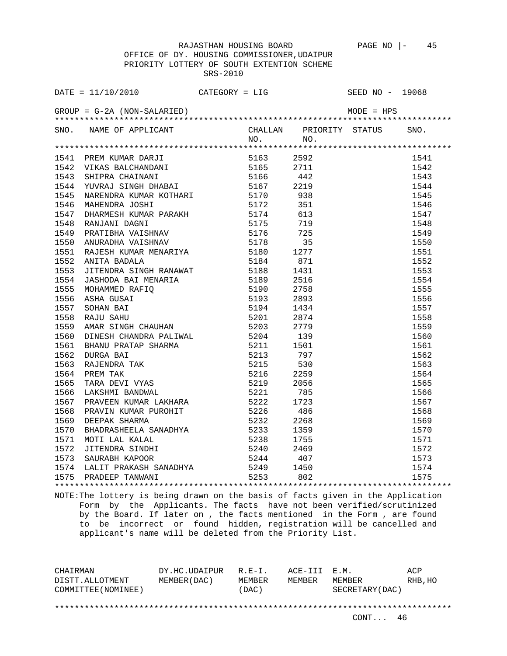OFFICE OF DY. HOUSING COMMISSIONER,UDAIPUR PRIORITY LOTTERY OF SOUTH EXTENTION SCHEME SRS-2010

| SNO. NAME OF APPLICANT CHALLAN PRIORITY STATUS SNO.<br>NO. NO. NO.                                                                                                                                                                           |  |  |  |
|----------------------------------------------------------------------------------------------------------------------------------------------------------------------------------------------------------------------------------------------|--|--|--|
|                                                                                                                                                                                                                                              |  |  |  |
|                                                                                                                                                                                                                                              |  |  |  |
|                                                                                                                                                                                                                                              |  |  |  |
|                                                                                                                                                                                                                                              |  |  |  |
|                                                                                                                                                                                                                                              |  |  |  |
|                                                                                                                                                                                                                                              |  |  |  |
|                                                                                                                                                                                                                                              |  |  |  |
|                                                                                                                                                                                                                                              |  |  |  |
|                                                                                                                                                                                                                                              |  |  |  |
|                                                                                                                                                                                                                                              |  |  |  |
|                                                                                                                                                                                                                                              |  |  |  |
|                                                                                                                                                                                                                                              |  |  |  |
|                                                                                                                                                                                                                                              |  |  |  |
|                                                                                                                                                                                                                                              |  |  |  |
|                                                                                                                                                                                                                                              |  |  |  |
|                                                                                                                                                                                                                                              |  |  |  |
|                                                                                                                                                                                                                                              |  |  |  |
|                                                                                                                                                                                                                                              |  |  |  |
|                                                                                                                                                                                                                                              |  |  |  |
|                                                                                                                                                                                                                                              |  |  |  |
|                                                                                                                                                                                                                                              |  |  |  |
|                                                                                                                                                                                                                                              |  |  |  |
|                                                                                                                                                                                                                                              |  |  |  |
|                                                                                                                                                                                                                                              |  |  |  |
|                                                                                                                                                                                                                                              |  |  |  |
|                                                                                                                                                                                                                                              |  |  |  |
|                                                                                                                                                                                                                                              |  |  |  |
|                                                                                                                                                                                                                                              |  |  |  |
|                                                                                                                                                                                                                                              |  |  |  |
|                                                                                                                                                                                                                                              |  |  |  |
|                                                                                                                                                                                                                                              |  |  |  |
|                                                                                                                                                                                                                                              |  |  |  |
|                                                                                                                                                                                                                                              |  |  |  |
|                                                                                                                                                                                                                                              |  |  |  |
|                                                                                                                                                                                                                                              |  |  |  |
|                                                                                                                                                                                                                                              |  |  |  |
|                                                                                                                                                                                                                                              |  |  |  |
| 410 - MARI DEN KURAN MARJIN 1912<br>1941 PREN KURA DRAJTI 1916 - 1920 - 1921 1942<br>1942 VIKAS RALCHANDARI 1916 - 1922<br>1943 SHATERA GHATINANT 1916 - 1922<br>1948 NAKESHINA KURA KOTHARI 1917 - 1938 1944<br>1948 NAKESHINA KURA KOTHARI |  |  |  |

NOTE:The lottery is being drawn on the basis of facts given in the Application Form by the Applicants. The facts have not been verified/scrutinized by the Board. If later on , the facts mentioned in the Form , are found to be incorrect or found hidden, registration will be cancelled and applicant's name will be deleted from the Priority List.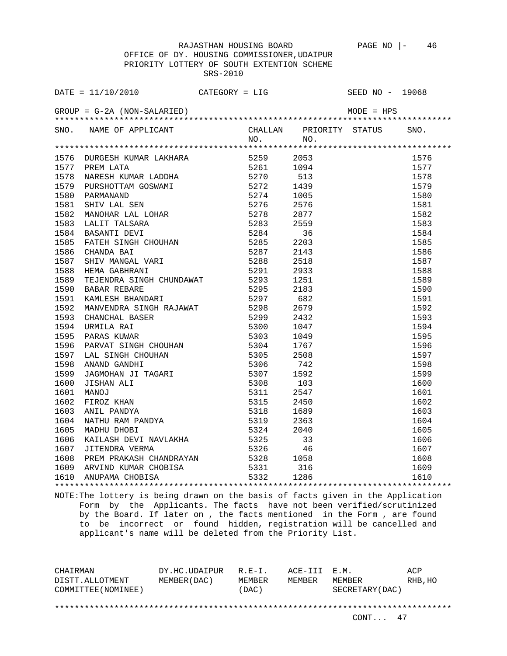OFFICE OF DY. HOUSING COMMISSIONER,UDAIPUR PRIORITY LOTTERY OF SOUTH EXTENTION SCHEME SRS-2010

| $\begin{tabular}{lllll} \texttt{DATE} & = & 11/10/2010 & & \tt CATEGORY & = & LIG & & \tt SEED NO & - & 19068 \\ \texttt{GROUP} & = & G-2A & (NON-SALARIED) & & & & \tt{MODE} & = & HPS \\ & & & & & \tt{MODE} & = & HPS \\ & & & & & & \tt{MODE} & = & HPS \\ & & & & & & & \tt{MODE} & = & HPS \\ \end{tabular}$                                                                                                                                           |  |     |      |
|--------------------------------------------------------------------------------------------------------------------------------------------------------------------------------------------------------------------------------------------------------------------------------------------------------------------------------------------------------------------------------------------------------------------------------------------------------------|--|-----|------|
|                                                                                                                                                                                                                                                                                                                                                                                                                                                              |  |     | SNO. |
| SNO. NAME OF APPLICANT CHALLAN PRIORITY STATUS NO. NO.                                                                                                                                                                                                                                                                                                                                                                                                       |  | NO. |      |
|                                                                                                                                                                                                                                                                                                                                                                                                                                                              |  |     |      |
|                                                                                                                                                                                                                                                                                                                                                                                                                                                              |  |     | 1576 |
|                                                                                                                                                                                                                                                                                                                                                                                                                                                              |  |     | 1577 |
|                                                                                                                                                                                                                                                                                                                                                                                                                                                              |  |     | 1578 |
|                                                                                                                                                                                                                                                                                                                                                                                                                                                              |  |     | 1579 |
|                                                                                                                                                                                                                                                                                                                                                                                                                                                              |  |     | 1580 |
|                                                                                                                                                                                                                                                                                                                                                                                                                                                              |  |     | 1581 |
|                                                                                                                                                                                                                                                                                                                                                                                                                                                              |  |     | 1582 |
|                                                                                                                                                                                                                                                                                                                                                                                                                                                              |  |     | 1583 |
|                                                                                                                                                                                                                                                                                                                                                                                                                                                              |  |     | 1584 |
|                                                                                                                                                                                                                                                                                                                                                                                                                                                              |  |     | 1585 |
|                                                                                                                                                                                                                                                                                                                                                                                                                                                              |  |     | 1586 |
|                                                                                                                                                                                                                                                                                                                                                                                                                                                              |  |     | 1587 |
|                                                                                                                                                                                                                                                                                                                                                                                                                                                              |  |     | 1588 |
|                                                                                                                                                                                                                                                                                                                                                                                                                                                              |  |     | 1589 |
|                                                                                                                                                                                                                                                                                                                                                                                                                                                              |  |     | 1590 |
|                                                                                                                                                                                                                                                                                                                                                                                                                                                              |  |     | 1591 |
|                                                                                                                                                                                                                                                                                                                                                                                                                                                              |  |     | 1592 |
|                                                                                                                                                                                                                                                                                                                                                                                                                                                              |  |     | 1593 |
|                                                                                                                                                                                                                                                                                                                                                                                                                                                              |  |     | 1594 |
|                                                                                                                                                                                                                                                                                                                                                                                                                                                              |  |     | 1595 |
|                                                                                                                                                                                                                                                                                                                                                                                                                                                              |  |     | 1596 |
|                                                                                                                                                                                                                                                                                                                                                                                                                                                              |  |     | 1597 |
|                                                                                                                                                                                                                                                                                                                                                                                                                                                              |  |     | 1598 |
|                                                                                                                                                                                                                                                                                                                                                                                                                                                              |  |     | 1599 |
|                                                                                                                                                                                                                                                                                                                                                                                                                                                              |  |     | 1600 |
|                                                                                                                                                                                                                                                                                                                                                                                                                                                              |  |     | 1601 |
|                                                                                                                                                                                                                                                                                                                                                                                                                                                              |  |     | 1602 |
|                                                                                                                                                                                                                                                                                                                                                                                                                                                              |  |     | 1603 |
|                                                                                                                                                                                                                                                                                                                                                                                                                                                              |  |     | 1604 |
|                                                                                                                                                                                                                                                                                                                                                                                                                                                              |  |     | 1605 |
|                                                                                                                                                                                                                                                                                                                                                                                                                                                              |  |     | 1606 |
|                                                                                                                                                                                                                                                                                                                                                                                                                                                              |  |     | 1607 |
|                                                                                                                                                                                                                                                                                                                                                                                                                                                              |  |     | 1608 |
|                                                                                                                                                                                                                                                                                                                                                                                                                                                              |  |     | 1609 |
| $[{\small \begin{tabular}{@{}c@{}}@{}} \multicolumn{1}{c}{\textbf{187}} \multicolumn{1}{c}{}\multicolumn{1}{c}{\textbf{08}} \multicolumn{1}{c}{\textbf{09}} \multicolumn{1}{c}{\textbf{09}} \multicolumn{1}{c}{\textbf{01}} \multicolumn{1}{c}{\textbf{01}} \multicolumn{1}{c}{\textbf{01}} \multicolumn{1}{c}{\textbf{01}} \multicolumn{1}{c}{\textbf{01}} \multicolumn{1}{c}{\textbf{01}} \multicolumn{1}{c}{\textbf{1577 P RRE LAMER}} \multicolumn{1}{c$ |  |     | 1610 |
|                                                                                                                                                                                                                                                                                                                                                                                                                                                              |  |     |      |

NOTE:The lottery is being drawn on the basis of facts given in the Application Form by the Applicants. The facts have not been verified/scrutinized by the Board. If later on , the facts mentioned in the Form , are found to be incorrect or found hidden, registration will be cancelled and applicant's name will be deleted from the Priority List.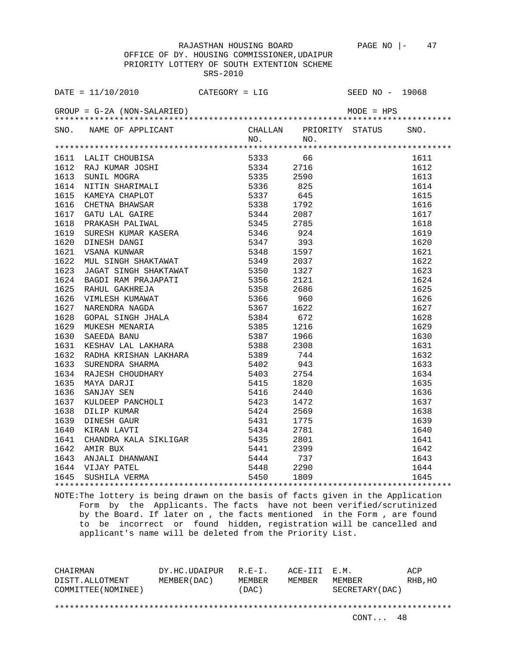| DATE = $11/10/2010$ CATEGORY = LIG                     |  | SEED NO - 19068          |      |
|--------------------------------------------------------|--|--------------------------|------|
|                                                        |  |                          |      |
|                                                        |  |                          | SNO. |
| SNO. NAME OF APPLICANT CHALLAN PRIORITY STATUS NO. NO. |  |                          |      |
|                                                        |  |                          |      |
|                                                        |  |                          | 1611 |
|                                                        |  |                          | 1612 |
|                                                        |  |                          | 1613 |
|                                                        |  |                          | 1614 |
|                                                        |  |                          | 1615 |
|                                                        |  |                          | 1616 |
|                                                        |  |                          | 1617 |
|                                                        |  |                          | 1618 |
|                                                        |  |                          | 1619 |
|                                                        |  |                          | 1620 |
|                                                        |  |                          | 1621 |
|                                                        |  |                          | 1622 |
|                                                        |  |                          | 1623 |
|                                                        |  |                          | 1624 |
|                                                        |  |                          | 1625 |
|                                                        |  |                          | 1626 |
|                                                        |  |                          | 1627 |
|                                                        |  |                          | 1628 |
|                                                        |  |                          | 1629 |
|                                                        |  |                          | 1630 |
|                                                        |  |                          | 1631 |
|                                                        |  |                          | 1632 |
|                                                        |  |                          | 1633 |
|                                                        |  |                          | 1634 |
|                                                        |  |                          | 1635 |
|                                                        |  |                          | 1636 |
|                                                        |  |                          | 1637 |
|                                                        |  |                          | 1638 |
|                                                        |  |                          | 1639 |
|                                                        |  |                          | 1640 |
|                                                        |  |                          | 1641 |
|                                                        |  |                          | 1642 |
|                                                        |  |                          | 1643 |
|                                                        |  |                          |      |
|                                                        |  | $\frac{1}{1644}$<br>1644 |      |
|                                                        |  |                          |      |

NOTE:The lottery is being drawn on the basis of facts given in the Application Form by the Applicants. The facts have not been verified/scrutinized by the Board. If later on , the facts mentioned in the Form , are found to be incorrect or found hidden, registration will be cancelled and applicant's name will be deleted from the Priority List.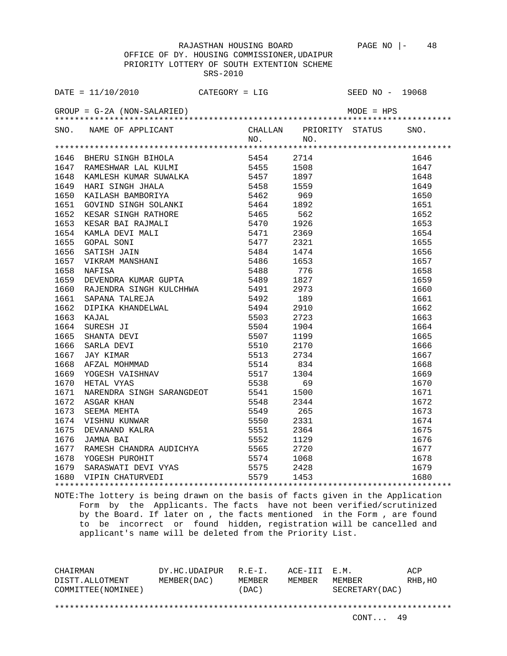OFFICE OF DY. HOUSING COMMISSIONER,UDAIPUR PRIORITY LOTTERY OF SOUTH EXTENTION SCHEME SRS-2010

| SNO. NAME OF APPLICANT CHALLAN PRIORITY STATUS SNO.<br>NO. NO.                                                                                                                                                                      |  |                                                                                                                                                                |      |
|-------------------------------------------------------------------------------------------------------------------------------------------------------------------------------------------------------------------------------------|--|----------------------------------------------------------------------------------------------------------------------------------------------------------------|------|
| 1914 - HERRI STRUKT MANIM 1920<br>1647 RAMESHWAR LAL KULMI 1945 - 2714 1944 1944 1944 1648 KMLESHWAR LAL KULMI 19455 1958 1646 KMLESHWAR KUNASI 1948<br>1649 HARI STRUGI JIBANDORTYA 1945 1959 1959 1969 1646 1959 1969 ANIX STRUGI |  |                                                                                                                                                                |      |
|                                                                                                                                                                                                                                     |  |                                                                                                                                                                | 1646 |
|                                                                                                                                                                                                                                     |  |                                                                                                                                                                | 1647 |
|                                                                                                                                                                                                                                     |  |                                                                                                                                                                | 1648 |
|                                                                                                                                                                                                                                     |  |                                                                                                                                                                | 1649 |
|                                                                                                                                                                                                                                     |  |                                                                                                                                                                | 1650 |
|                                                                                                                                                                                                                                     |  |                                                                                                                                                                | 1651 |
|                                                                                                                                                                                                                                     |  |                                                                                                                                                                | 1652 |
|                                                                                                                                                                                                                                     |  |                                                                                                                                                                | 1653 |
|                                                                                                                                                                                                                                     |  |                                                                                                                                                                | 1654 |
|                                                                                                                                                                                                                                     |  |                                                                                                                                                                | 1655 |
|                                                                                                                                                                                                                                     |  |                                                                                                                                                                | 1656 |
|                                                                                                                                                                                                                                     |  |                                                                                                                                                                | 1657 |
|                                                                                                                                                                                                                                     |  |                                                                                                                                                                | 1658 |
|                                                                                                                                                                                                                                     |  |                                                                                                                                                                | 1659 |
|                                                                                                                                                                                                                                     |  |                                                                                                                                                                | 1660 |
|                                                                                                                                                                                                                                     |  |                                                                                                                                                                | 1661 |
|                                                                                                                                                                                                                                     |  |                                                                                                                                                                | 1662 |
|                                                                                                                                                                                                                                     |  |                                                                                                                                                                | 1663 |
|                                                                                                                                                                                                                                     |  |                                                                                                                                                                | 1664 |
|                                                                                                                                                                                                                                     |  |                                                                                                                                                                | 1665 |
|                                                                                                                                                                                                                                     |  |                                                                                                                                                                | 1666 |
|                                                                                                                                                                                                                                     |  |                                                                                                                                                                | 1667 |
|                                                                                                                                                                                                                                     |  |                                                                                                                                                                |      |
|                                                                                                                                                                                                                                     |  |                                                                                                                                                                |      |
|                                                                                                                                                                                                                                     |  |                                                                                                                                                                |      |
|                                                                                                                                                                                                                                     |  |                                                                                                                                                                |      |
|                                                                                                                                                                                                                                     |  |                                                                                                                                                                |      |
|                                                                                                                                                                                                                                     |  |                                                                                                                                                                |      |
|                                                                                                                                                                                                                                     |  |                                                                                                                                                                |      |
|                                                                                                                                                                                                                                     |  |                                                                                                                                                                |      |
|                                                                                                                                                                                                                                     |  |                                                                                                                                                                |      |
|                                                                                                                                                                                                                                     |  |                                                                                                                                                                |      |
|                                                                                                                                                                                                                                     |  |                                                                                                                                                                |      |
|                                                                                                                                                                                                                                     |  |                                                                                                                                                                |      |
|                                                                                                                                                                                                                                     |  | $\begin{array}{r} 1667 \\ 1668 \\ 1668 \\ 1670 \\ 1670 \\ 1671 \\ 1672 \\ 1673 \\ 1673 \\ 1674 \\ 1675 \\ 1676 \\ 1677 \\ 1678 \\ 1679 \\ 1680 \\ \end{array}$ |      |
|                                                                                                                                                                                                                                     |  |                                                                                                                                                                |      |

NOTE:The lottery is being drawn on the basis of facts given in the Application Form by the Applicants. The facts have not been verified/scrutinized by the Board. If later on , the facts mentioned in the Form , are found to be incorrect or found hidden, registration will be cancelled and applicant's name will be deleted from the Priority List.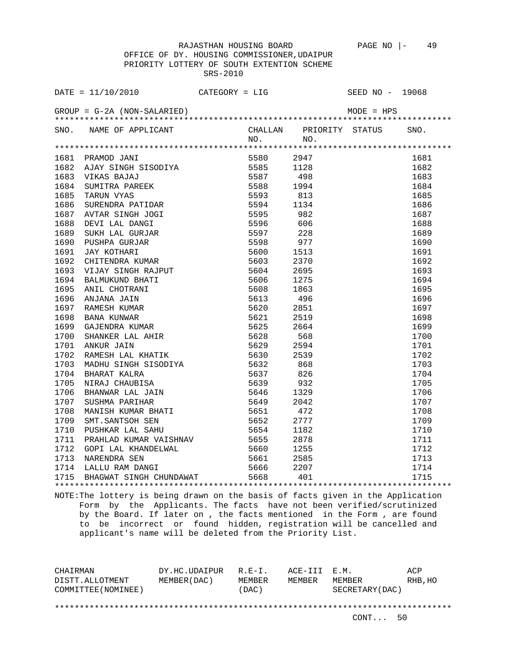OFFICE OF DY. HOUSING COMMISSIONER,UDAIPUR PRIORITY LOTTERY OF SOUTH EXTENTION SCHEME SRS-2010

| DATE = $11/10/2010$ CATEGORY = LIG                                                                                                                                                    |           | SEED NO - 19068                                                                        |      |
|---------------------------------------------------------------------------------------------------------------------------------------------------------------------------------------|-----------|----------------------------------------------------------------------------------------|------|
|                                                                                                                                                                                       |           |                                                                                        |      |
| SNO. NAME OF APPLICANT                                                                                                                                                                |           | CHALLAN PRIORITY STATUS SNO.                                                           |      |
|                                                                                                                                                                                       | $NO.$ NO. |                                                                                        |      |
|                                                                                                                                                                                       |           |                                                                                        | 1681 |
|                                                                                                                                                                                       |           |                                                                                        | 1682 |
|                                                                                                                                                                                       |           |                                                                                        | 1683 |
|                                                                                                                                                                                       |           |                                                                                        | 1684 |
|                                                                                                                                                                                       |           |                                                                                        | 1685 |
|                                                                                                                                                                                       |           |                                                                                        | 1686 |
|                                                                                                                                                                                       |           |                                                                                        | 1687 |
|                                                                                                                                                                                       |           |                                                                                        | 1688 |
|                                                                                                                                                                                       |           |                                                                                        | 1689 |
|                                                                                                                                                                                       |           |                                                                                        | 1690 |
|                                                                                                                                                                                       |           |                                                                                        | 1691 |
|                                                                                                                                                                                       |           |                                                                                        | 1692 |
|                                                                                                                                                                                       |           |                                                                                        | 1693 |
|                                                                                                                                                                                       |           |                                                                                        | 1694 |
|                                                                                                                                                                                       |           |                                                                                        | 1695 |
|                                                                                                                                                                                       |           |                                                                                        | 1696 |
|                                                                                                                                                                                       |           |                                                                                        | 1697 |
|                                                                                                                                                                                       |           |                                                                                        | 1698 |
|                                                                                                                                                                                       |           |                                                                                        | 1699 |
|                                                                                                                                                                                       |           |                                                                                        | 1700 |
|                                                                                                                                                                                       |           |                                                                                        | 1701 |
|                                                                                                                                                                                       |           |                                                                                        | 1702 |
|                                                                                                                                                                                       |           |                                                                                        | 1703 |
|                                                                                                                                                                                       |           |                                                                                        | 1704 |
|                                                                                                                                                                                       |           |                                                                                        | 1705 |
|                                                                                                                                                                                       |           |                                                                                        | 1706 |
|                                                                                                                                                                                       |           |                                                                                        | 1707 |
|                                                                                                                                                                                       |           |                                                                                        | 1708 |
|                                                                                                                                                                                       |           |                                                                                        | 1709 |
|                                                                                                                                                                                       |           |                                                                                        |      |
|                                                                                                                                                                                       |           |                                                                                        |      |
|                                                                                                                                                                                       |           |                                                                                        |      |
|                                                                                                                                                                                       |           |                                                                                        |      |
|                                                                                                                                                                                       |           |                                                                                        |      |
| 1711 PRAHLAD KUMAR VAISHNAV 5655 2878<br>1712 GOPI LAL KHANDELWAL 5660 1255<br>1713 NARENDRA SEN 5661 2585<br>1714 LALLU RAM DANGI 5666 2207<br>1715 BHAGWAT SINGH CHUNDAWAT 5668 401 |           | $\begin{array}{r} 1709 \\ 1710 \\ 1711 \\ 1712 \\ 1713 \\ 1714 \\ 1714 \\ \end{array}$ |      |
|                                                                                                                                                                                       |           |                                                                                        |      |

NOTE:The lottery is being drawn on the basis of facts given in the Application Form by the Applicants. The facts have not been verified/scrutinized by the Board. If later on , the facts mentioned in the Form , are found to be incorrect or found hidden, registration will be cancelled and applicant's name will be deleted from the Priority List.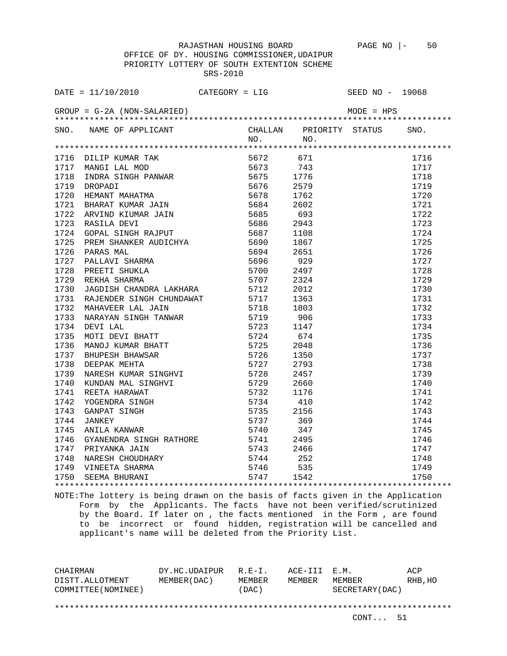| SNO. NAME OF APPLICANT CHALLAN PRIORITY STATUS SNO.<br>NO. NO.                                                                                                           |  |                                                                                                |      |
|--------------------------------------------------------------------------------------------------------------------------------------------------------------------------|--|------------------------------------------------------------------------------------------------|------|
|                                                                                                                                                                          |  |                                                                                                |      |
|                                                                                                                                                                          |  |                                                                                                | 1716 |
|                                                                                                                                                                          |  |                                                                                                | 1717 |
|                                                                                                                                                                          |  |                                                                                                | 1718 |
|                                                                                                                                                                          |  |                                                                                                | 1719 |
|                                                                                                                                                                          |  |                                                                                                | 1720 |
|                                                                                                                                                                          |  |                                                                                                | 1721 |
|                                                                                                                                                                          |  |                                                                                                | 1722 |
|                                                                                                                                                                          |  |                                                                                                | 1723 |
|                                                                                                                                                                          |  |                                                                                                | 1724 |
|                                                                                                                                                                          |  |                                                                                                | 1725 |
|                                                                                                                                                                          |  |                                                                                                | 1726 |
|                                                                                                                                                                          |  |                                                                                                | 1727 |
|                                                                                                                                                                          |  |                                                                                                | 1728 |
|                                                                                                                                                                          |  |                                                                                                | 1729 |
|                                                                                                                                                                          |  |                                                                                                | 1730 |
|                                                                                                                                                                          |  |                                                                                                | 1731 |
|                                                                                                                                                                          |  |                                                                                                | 1732 |
|                                                                                                                                                                          |  |                                                                                                | 1733 |
|                                                                                                                                                                          |  |                                                                                                | 1734 |
|                                                                                                                                                                          |  |                                                                                                | 1735 |
|                                                                                                                                                                          |  |                                                                                                | 1736 |
|                                                                                                                                                                          |  |                                                                                                | 1737 |
|                                                                                                                                                                          |  |                                                                                                | 1738 |
|                                                                                                                                                                          |  |                                                                                                | 1739 |
|                                                                                                                                                                          |  |                                                                                                | 1740 |
|                                                                                                                                                                          |  |                                                                                                | 1741 |
|                                                                                                                                                                          |  |                                                                                                | 1742 |
|                                                                                                                                                                          |  |                                                                                                | 1743 |
|                                                                                                                                                                          |  |                                                                                                | 1744 |
|                                                                                                                                                                          |  |                                                                                                |      |
|                                                                                                                                                                          |  |                                                                                                |      |
|                                                                                                                                                                          |  |                                                                                                |      |
| 1746 GYANENDRA SINGH RATHORE 5741 2495<br>1747 PRIYANKA JAIN 5743 2466<br>1748 NARESH CHOUDHARY 5744 252<br>1749 VINEETA SHARMA 5746 535<br>1750 SEEMA BHURANI 5747 1542 |  | $\begin{array}{r} 1744 \\ 1745 \\ 1746 \\ 1747 \\ 1748 \\ 1748 \\ 1749 \\ 1750 \\ \end{array}$ |      |
|                                                                                                                                                                          |  |                                                                                                |      |
|                                                                                                                                                                          |  |                                                                                                |      |
|                                                                                                                                                                          |  |                                                                                                |      |

NOTE:The lottery is being drawn on the basis of facts given in the Application Form by the Applicants. The facts have not been verified/scrutinized by the Board. If later on , the facts mentioned in the Form , are found to be incorrect or found hidden, registration will be cancelled and applicant's name will be deleted from the Priority List.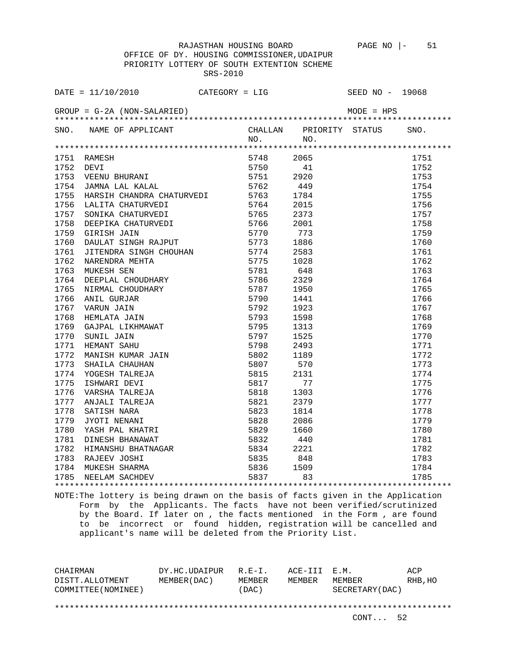OFFICE OF DY. HOUSING COMMISSIONER,UDAIPUR PRIORITY LOTTERY OF SOUTH EXTENTION SCHEME SRS-2010

| DATE = $11/10/2010$ CATEGORY = LIG                                                                                                                                                                                                                    |           |                              | SEED NO - 19068 |              |
|-------------------------------------------------------------------------------------------------------------------------------------------------------------------------------------------------------------------------------------------------------|-----------|------------------------------|-----------------|--------------|
|                                                                                                                                                                                                                                                       |           |                              |                 |              |
| SNO. NAME OF APPLICANT                                                                                                                                                                                                                                |           | CHALLAN PRIORITY STATUS SNO. |                 |              |
|                                                                                                                                                                                                                                                       | $NO.$ NO. |                              |                 |              |
|                                                                                                                                                                                                                                                       |           |                              |                 |              |
|                                                                                                                                                                                                                                                       |           | 41                           |                 | 1751         |
|                                                                                                                                                                                                                                                       |           |                              |                 | 1752<br>1753 |
|                                                                                                                                                                                                                                                       |           |                              |                 | 1754         |
|                                                                                                                                                                                                                                                       |           |                              |                 | 1755         |
|                                                                                                                                                                                                                                                       |           |                              |                 | 1756         |
|                                                                                                                                                                                                                                                       |           |                              |                 | 1757         |
|                                                                                                                                                                                                                                                       |           |                              |                 | 1758         |
|                                                                                                                                                                                                                                                       |           |                              |                 | 1759         |
|                                                                                                                                                                                                                                                       |           |                              |                 | 1760         |
|                                                                                                                                                                                                                                                       |           |                              |                 | 1761         |
|                                                                                                                                                                                                                                                       |           |                              |                 | 1762         |
|                                                                                                                                                                                                                                                       |           |                              |                 | 1763         |
|                                                                                                                                                                                                                                                       |           |                              |                 | 1764         |
|                                                                                                                                                                                                                                                       |           |                              |                 | 1765         |
|                                                                                                                                                                                                                                                       |           |                              |                 | 1766         |
|                                                                                                                                                                                                                                                       |           |                              |                 | 1767         |
|                                                                                                                                                                                                                                                       |           |                              |                 | 1768         |
|                                                                                                                                                                                                                                                       |           |                              |                 | 1769         |
|                                                                                                                                                                                                                                                       |           |                              |                 | 1770         |
|                                                                                                                                                                                                                                                       |           |                              |                 | 1771         |
|                                                                                                                                                                                                                                                       |           |                              |                 | 1772         |
|                                                                                                                                                                                                                                                       |           |                              |                 | 1773         |
|                                                                                                                                                                                                                                                       |           |                              |                 | 1774         |
|                                                                                                                                                                                                                                                       |           |                              |                 | 1775         |
|                                                                                                                                                                                                                                                       |           |                              |                 | 1776         |
|                                                                                                                                                                                                                                                       |           |                              |                 | 1777         |
|                                                                                                                                                                                                                                                       |           |                              |                 | 1778         |
|                                                                                                                                                                                                                                                       |           |                              |                 | 1779         |
|                                                                                                                                                                                                                                                       |           |                              |                 | 1780         |
|                                                                                                                                                                                                                                                       |           |                              |                 | 1781         |
| 1754 JAMNA LARIA CALARDEA<br>1755 HARSIH CHANDRA CHATURVEDI<br>1755 HARSIH CHANDRA CHATURVEDI<br>1756 LALITA CHATURVEDI<br>1756 DEEPIKA CHATURVEDI<br>1756 DEEPIKA CHATURVEDI<br>1756 DEEPIKA CHATURVEDI<br>1766 DEEPIKA CHATURVEDI<br>1767 ONULAR SI |           |                              |                 | 1782         |
|                                                                                                                                                                                                                                                       |           |                              |                 | 1783         |
|                                                                                                                                                                                                                                                       |           |                              |                 | 1784         |
|                                                                                                                                                                                                                                                       |           |                              |                 | 1785         |
|                                                                                                                                                                                                                                                       |           |                              |                 |              |

NOTE:The lottery is being drawn on the basis of facts given in the Application Form by the Applicants. The facts have not been verified/scrutinized by the Board. If later on , the facts mentioned in the Form , are found to be incorrect or found hidden, registration will be cancelled and applicant's name will be deleted from the Priority List.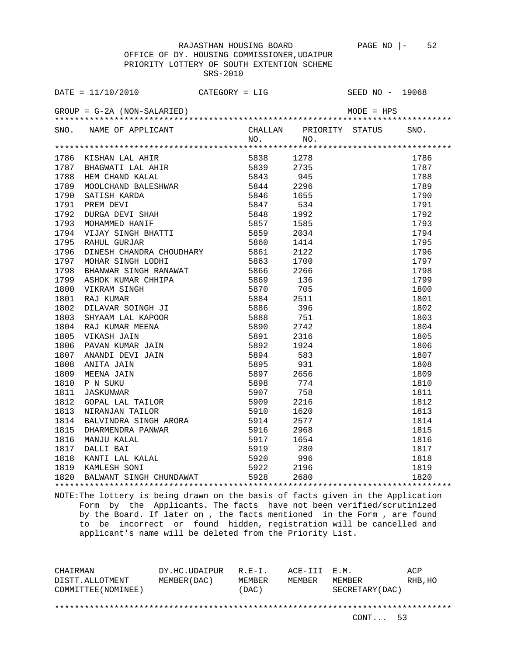OFFICE OF DY. HOUSING COMMISSIONER,UDAIPUR PRIORITY LOTTERY OF SOUTH EXTENTION SCHEME SRS-2010

|      | $\begin{tabular}{l c c c} $\mathsf{E}$ = $\mathsf{---}$, \\ $M\mathsf{UP}$ = $\mathsf{G}$-2A (NON-SALARIED) $\\ $10$ & $\mathsf{NOM} \mathsf{E} \mathsf{OP}$ PPLICANT & $N\mathsf{O}, $N\mathsf{O}$, \\ $4$ & $\mathsf{NOM} \mathsf{NP} \mathsf{OP}$ & $\mathsf{NP} \mathsf{UP}$ & $N\mathsf{O}$, \\ $5$ & $\mathsf{NIGIM} \mathsf{M} \mathsf{MP}$ & $\mathsf{5838}$ & $1278 \\ $6$ & $\mathsf{NIGIM} \mathsf{M} \mathsf{MP}$ & $583$ |  |                   |      |
|------|---------------------------------------------------------------------------------------------------------------------------------------------------------------------------------------------------------------------------------------------------------------------------------------------------------------------------------------------------------------------------------------------------------------------------------------|--|-------------------|------|
|      |                                                                                                                                                                                                                                                                                                                                                                                                                                       |  |                   | SNO. |
|      |                                                                                                                                                                                                                                                                                                                                                                                                                                       |  |                   |      |
|      |                                                                                                                                                                                                                                                                                                                                                                                                                                       |  |                   | 1786 |
|      |                                                                                                                                                                                                                                                                                                                                                                                                                                       |  |                   | 1787 |
|      |                                                                                                                                                                                                                                                                                                                                                                                                                                       |  |                   | 1788 |
|      |                                                                                                                                                                                                                                                                                                                                                                                                                                       |  |                   | 1789 |
|      |                                                                                                                                                                                                                                                                                                                                                                                                                                       |  |                   | 1790 |
|      |                                                                                                                                                                                                                                                                                                                                                                                                                                       |  |                   | 1791 |
|      |                                                                                                                                                                                                                                                                                                                                                                                                                                       |  |                   | 1792 |
|      |                                                                                                                                                                                                                                                                                                                                                                                                                                       |  |                   | 1793 |
|      |                                                                                                                                                                                                                                                                                                                                                                                                                                       |  |                   | 1794 |
|      |                                                                                                                                                                                                                                                                                                                                                                                                                                       |  |                   | 1795 |
|      |                                                                                                                                                                                                                                                                                                                                                                                                                                       |  |                   | 1796 |
|      |                                                                                                                                                                                                                                                                                                                                                                                                                                       |  |                   | 1797 |
|      |                                                                                                                                                                                                                                                                                                                                                                                                                                       |  |                   | 1798 |
|      |                                                                                                                                                                                                                                                                                                                                                                                                                                       |  |                   | 1799 |
|      |                                                                                                                                                                                                                                                                                                                                                                                                                                       |  |                   | 1800 |
|      |                                                                                                                                                                                                                                                                                                                                                                                                                                       |  |                   | 1801 |
|      |                                                                                                                                                                                                                                                                                                                                                                                                                                       |  |                   | 1802 |
|      |                                                                                                                                                                                                                                                                                                                                                                                                                                       |  |                   | 1803 |
|      |                                                                                                                                                                                                                                                                                                                                                                                                                                       |  |                   | 1804 |
|      |                                                                                                                                                                                                                                                                                                                                                                                                                                       |  |                   | 1805 |
|      |                                                                                                                                                                                                                                                                                                                                                                                                                                       |  |                   | 1806 |
|      |                                                                                                                                                                                                                                                                                                                                                                                                                                       |  |                   | 1807 |
|      |                                                                                                                                                                                                                                                                                                                                                                                                                                       |  |                   | 1808 |
|      |                                                                                                                                                                                                                                                                                                                                                                                                                                       |  |                   | 1809 |
|      |                                                                                                                                                                                                                                                                                                                                                                                                                                       |  |                   | 1810 |
| 1811 |                                                                                                                                                                                                                                                                                                                                                                                                                                       |  |                   | 1811 |
| 1812 |                                                                                                                                                                                                                                                                                                                                                                                                                                       |  |                   | 1812 |
| 1813 |                                                                                                                                                                                                                                                                                                                                                                                                                                       |  |                   | 1813 |
| 1814 |                                                                                                                                                                                                                                                                                                                                                                                                                                       |  |                   | 1814 |
| 1815 |                                                                                                                                                                                                                                                                                                                                                                                                                                       |  |                   | 1815 |
| 1816 |                                                                                                                                                                                                                                                                                                                                                                                                                                       |  |                   | 1816 |
| 1817 |                                                                                                                                                                                                                                                                                                                                                                                                                                       |  |                   | 1817 |
| 1818 |                                                                                                                                                                                                                                                                                                                                                                                                                                       |  |                   | 1818 |
|      | 1819 KAMLESH SONI                                                                                                                                                                                                                                                                                                                                                                                                                     |  |                   | 1819 |
|      | ARADU GOMAR<br>NEMBER CHANDRA CHOUDHARY<br>MOHAR SINGH RANAWAT<br>S861 2122<br>MOHAR SINGH RANAWAT<br>S866 2266<br>ASHOK KUMAR CHILIPA<br>S866 2266<br>ASHOK KUMAR CHILIPA<br>S866 2266<br>SANAK SINGH ANAWAT<br>S866 2266<br>SANAK MOHAR MERNA<br>S870<br>1820 BALWANT SINGH CHUNDAWAT 5928 2680                                                                                                                                     |  | ***************** | 1820 |
|      |                                                                                                                                                                                                                                                                                                                                                                                                                                       |  |                   |      |

NOTE:The lottery is being drawn on the basis of facts given in the Application Form by the Applicants. The facts have not been verified/scrutinized by the Board. If later on , the facts mentioned in the Form , are found to be incorrect or found hidden, registration will be cancelled and applicant's name will be deleted from the Priority List.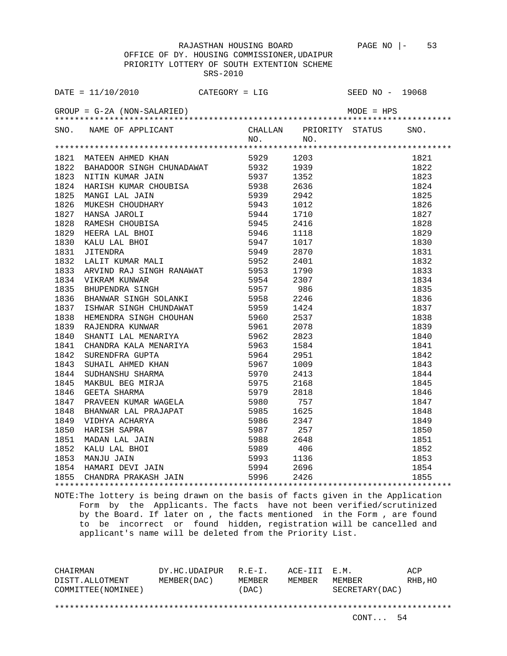OFFICE OF DY. HOUSING COMMISSIONER,UDAIPUR PRIORITY LOTTERY OF SOUTH EXTENTION SCHEME SRS-2010

| SNO. NAME OF APPLICANT CHALLAN PRIORITY STATUS SNO.<br>NO. NO. NO.                                                                                                                                                                              |  |  |  |
|-------------------------------------------------------------------------------------------------------------------------------------------------------------------------------------------------------------------------------------------------|--|--|--|
|                                                                                                                                                                                                                                                 |  |  |  |
|                                                                                                                                                                                                                                                 |  |  |  |
|                                                                                                                                                                                                                                                 |  |  |  |
|                                                                                                                                                                                                                                                 |  |  |  |
|                                                                                                                                                                                                                                                 |  |  |  |
|                                                                                                                                                                                                                                                 |  |  |  |
|                                                                                                                                                                                                                                                 |  |  |  |
|                                                                                                                                                                                                                                                 |  |  |  |
|                                                                                                                                                                                                                                                 |  |  |  |
|                                                                                                                                                                                                                                                 |  |  |  |
|                                                                                                                                                                                                                                                 |  |  |  |
|                                                                                                                                                                                                                                                 |  |  |  |
|                                                                                                                                                                                                                                                 |  |  |  |
|                                                                                                                                                                                                                                                 |  |  |  |
|                                                                                                                                                                                                                                                 |  |  |  |
|                                                                                                                                                                                                                                                 |  |  |  |
|                                                                                                                                                                                                                                                 |  |  |  |
|                                                                                                                                                                                                                                                 |  |  |  |
|                                                                                                                                                                                                                                                 |  |  |  |
|                                                                                                                                                                                                                                                 |  |  |  |
|                                                                                                                                                                                                                                                 |  |  |  |
|                                                                                                                                                                                                                                                 |  |  |  |
|                                                                                                                                                                                                                                                 |  |  |  |
|                                                                                                                                                                                                                                                 |  |  |  |
|                                                                                                                                                                                                                                                 |  |  |  |
|                                                                                                                                                                                                                                                 |  |  |  |
|                                                                                                                                                                                                                                                 |  |  |  |
|                                                                                                                                                                                                                                                 |  |  |  |
|                                                                                                                                                                                                                                                 |  |  |  |
|                                                                                                                                                                                                                                                 |  |  |  |
|                                                                                                                                                                                                                                                 |  |  |  |
|                                                                                                                                                                                                                                                 |  |  |  |
|                                                                                                                                                                                                                                                 |  |  |  |
|                                                                                                                                                                                                                                                 |  |  |  |
|                                                                                                                                                                                                                                                 |  |  |  |
| 410.1 March (MEDEFRAM MARK 1950)<br>1932 BARADOOR STROH CHUNADRAT 1952<br>1932 BARADOOR STROH CHUNADRAT 19592 1293<br>1933 NETTI KURAK JATK (MUNICHER 1959)<br>1833 NETTI KURAK JATK 19592 1993<br>1834 HARACH LALI JATK 19592 1993<br>1836 MAR |  |  |  |
|                                                                                                                                                                                                                                                 |  |  |  |

NOTE:The lottery is being drawn on the basis of facts given in the Application Form by the Applicants. The facts have not been verified/scrutinized by the Board. If later on , the facts mentioned in the Form , are found to be incorrect or found hidden, registration will be cancelled and applicant's name will be deleted from the Priority List.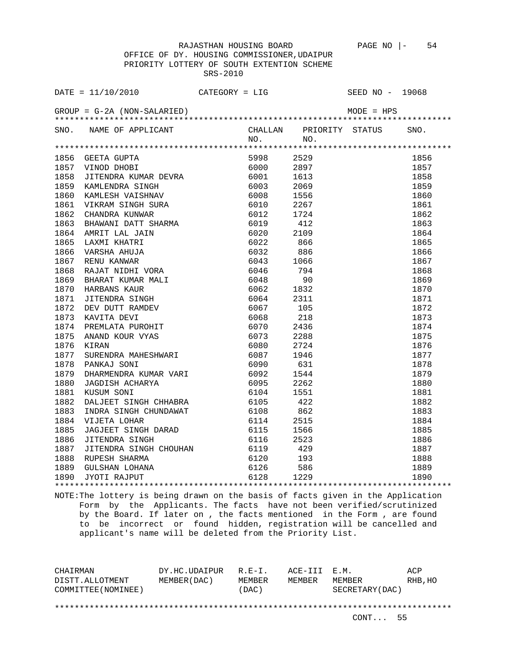OFFICE OF DY. HOUSING COMMISSIONER,UDAIPUR PRIORITY LOTTERY OF SOUTH EXTENTION SCHEME SRS-2010

|      |                                                                                                                  |           | CHALLAN PRIORITY STATUS SNO. |          |
|------|------------------------------------------------------------------------------------------------------------------|-----------|------------------------------|----------|
|      | SNO. NAME OF APPLICANT                                                                                           |           | NO. NO.                      |          |
|      |                                                                                                                  |           |                              |          |
|      | 1856 GEETA GUPTA 5998<br>1857 VINOD DHOBI 6000<br>1858 JITENDRA KUMAR DEVRA 6001                                 | 5998 2529 |                              | 1856     |
|      |                                                                                                                  |           | 6000 2897                    | 1857     |
|      |                                                                                                                  |           | 1613                         | 1858     |
| 1859 |                                                                                                                  |           | 2069                         | 1859     |
| 1860 |                                                                                                                  |           | 1556                         | 1860     |
| 1861 |                                                                                                                  |           | 2267                         | 1861     |
| 1862 |                                                                                                                  |           | 1724                         | 1862     |
| 1863 |                                                                                                                  |           | 412                          | 1863     |
| 1864 |                                                                                                                  |           | 2109                         | 1864     |
| 1865 |                                                                                                                  |           | 866                          | 1865     |
| 1866 |                                                                                                                  |           | 886                          | 1866     |
| 1867 |                                                                                                                  |           | 1066                         | 1867     |
| 1868 |                                                                                                                  |           | 794                          | 1868     |
| 1869 |                                                                                                                  |           | 90                           | 1869     |
| 1870 |                                                                                                                  |           | 6062 1832                    | 1870     |
| 1871 |                                                                                                                  |           | 2311                         | 1871     |
| 1872 |                                                                                                                  |           | 105                          | 1872     |
| 1873 |                                                                                                                  |           | 218                          | 1873     |
| 1874 |                                                                                                                  |           | 2436                         | 1874     |
| 1875 |                                                                                                                  |           | 2288                         | 1875     |
| 1876 |                                                                                                                  |           | 2724                         | 1876     |
| 1877 |                                                                                                                  |           | 1946                         | 1877     |
| 1878 |                                                                                                                  |           | 631                          | 1878     |
| 1879 |                                                                                                                  | 6092      | 1544                         | 1879     |
| 1880 | DHARMENDRA KUMAR VARI<br>JAGDISH ACHARYA<br>KUSUM SONI                                                           | 6095      | 2262                         | 1880     |
| 1881 |                                                                                                                  | 6104      | 1551                         | 1881     |
| 1882 | DALJEET SINGH CHHABRA 6105<br>INDRA SINGH CHUNDAWAT 6108<br>VIJETA LOHAR 6114                                    |           | 422                          | 1882     |
| 1883 |                                                                                                                  |           | 862                          | 1883     |
| 1884 |                                                                                                                  | 6114      | 2515                         | 1884     |
| 1885 | VIJETA LOHAR<br>JAGJEET SINGH DARAD 6115<br>JITENDRA SINGH 6116                                                  |           | 1566                         | 1885     |
| 1886 |                                                                                                                  |           | 2523                         | 1886     |
| 1887 |                                                                                                                  |           |                              | 1887     |
| 1888 |                                                                                                                  |           |                              | 1888     |
| 1889 |                                                                                                                  |           |                              | 1889     |
| 1890 | 311 TENDRA SINGH CHOUHAN 6119 429<br>RUPESH SHARMA 6120 193<br>GULSHAN LOHANA 6126 586<br>JYOTI RAJPUT 6128 1229 |           |                              | <br>1890 |
|      |                                                                                                                  |           |                              |          |

NOTE:The lottery is being drawn on the basis of facts given in the Application Form by the Applicants. The facts have not been verified/scrutinized by the Board. If later on , the facts mentioned in the Form , are found to be incorrect or found hidden, registration will be cancelled and applicant's name will be deleted from the Priority List.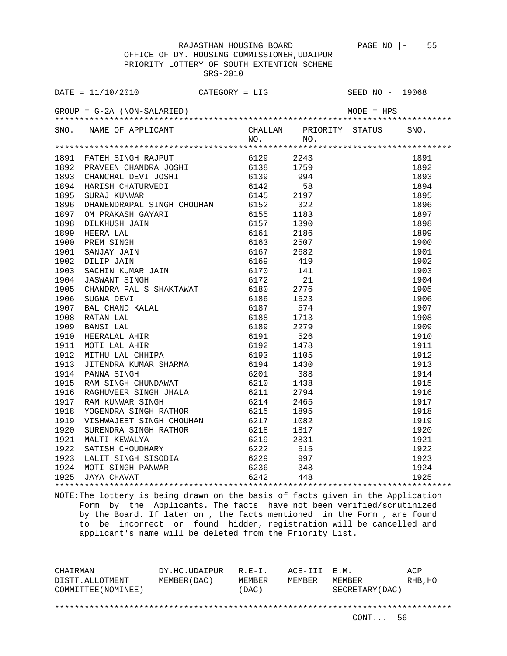OFFICE OF DY. HOUSING COMMISSIONER,UDAIPUR PRIORITY LOTTERY OF SOUTH EXTENTION SCHEME SRS-2010

| SNO. NAME OF APPLICANT CHALLAN PRIORITY STATUS SNO.<br>NO. NO. NO. |  |  |  |
|--------------------------------------------------------------------|--|--|--|
|                                                                    |  |  |  |
|                                                                    |  |  |  |
|                                                                    |  |  |  |
|                                                                    |  |  |  |
|                                                                    |  |  |  |
|                                                                    |  |  |  |
|                                                                    |  |  |  |
|                                                                    |  |  |  |
|                                                                    |  |  |  |
|                                                                    |  |  |  |
|                                                                    |  |  |  |
|                                                                    |  |  |  |
|                                                                    |  |  |  |
|                                                                    |  |  |  |
|                                                                    |  |  |  |
|                                                                    |  |  |  |
|                                                                    |  |  |  |
|                                                                    |  |  |  |
|                                                                    |  |  |  |
|                                                                    |  |  |  |
|                                                                    |  |  |  |
|                                                                    |  |  |  |
|                                                                    |  |  |  |
|                                                                    |  |  |  |
|                                                                    |  |  |  |
|                                                                    |  |  |  |
|                                                                    |  |  |  |
|                                                                    |  |  |  |
|                                                                    |  |  |  |
|                                                                    |  |  |  |
|                                                                    |  |  |  |
|                                                                    |  |  |  |
|                                                                    |  |  |  |
|                                                                    |  |  |  |
|                                                                    |  |  |  |
|                                                                    |  |  |  |
|                                                                    |  |  |  |

NOTE:The lottery is being drawn on the basis of facts given in the Application Form by the Applicants. The facts have not been verified/scrutinized by the Board. If later on , the facts mentioned in the Form , are found to be incorrect or found hidden, registration will be cancelled and applicant's name will be deleted from the Priority List.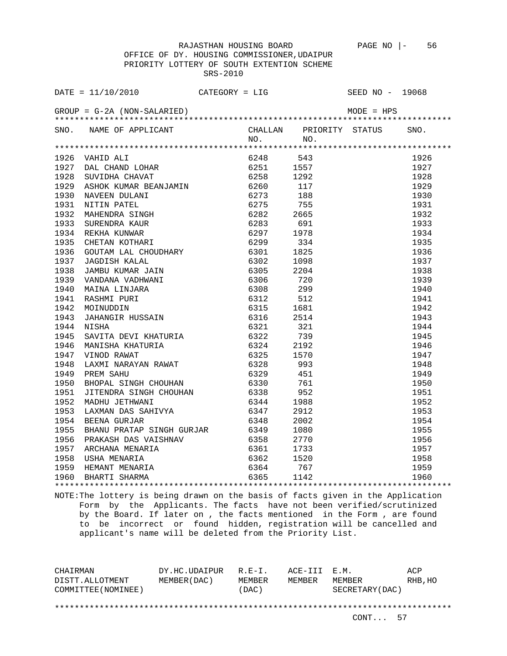OFFICE OF DY. HOUSING COMMISSIONER,UDAIPUR PRIORITY LOTTERY OF SOUTH EXTENTION SCHEME SRS-2010

| SNO. NAME OF APPLICANT CHALLAN PRIORITY STATUS SNO.<br>NO. NO.                                                                                                                                                                |  |  |      |
|-------------------------------------------------------------------------------------------------------------------------------------------------------------------------------------------------------------------------------|--|--|------|
|                                                                                                                                                                                                                               |  |  |      |
|                                                                                                                                                                                                                               |  |  |      |
|                                                                                                                                                                                                                               |  |  | 1926 |
|                                                                                                                                                                                                                               |  |  | 1927 |
|                                                                                                                                                                                                                               |  |  | 1928 |
|                                                                                                                                                                                                                               |  |  | 1929 |
|                                                                                                                                                                                                                               |  |  | 1930 |
|                                                                                                                                                                                                                               |  |  | 1931 |
|                                                                                                                                                                                                                               |  |  | 1932 |
|                                                                                                                                                                                                                               |  |  | 1933 |
|                                                                                                                                                                                                                               |  |  | 1934 |
|                                                                                                                                                                                                                               |  |  | 1935 |
|                                                                                                                                                                                                                               |  |  | 1936 |
|                                                                                                                                                                                                                               |  |  | 1937 |
|                                                                                                                                                                                                                               |  |  | 1938 |
|                                                                                                                                                                                                                               |  |  | 1939 |
|                                                                                                                                                                                                                               |  |  | 1940 |
|                                                                                                                                                                                                                               |  |  | 1941 |
|                                                                                                                                                                                                                               |  |  | 1942 |
|                                                                                                                                                                                                                               |  |  | 1943 |
|                                                                                                                                                                                                                               |  |  | 1944 |
|                                                                                                                                                                                                                               |  |  | 1945 |
|                                                                                                                                                                                                                               |  |  | 1946 |
|                                                                                                                                                                                                                               |  |  | 1947 |
|                                                                                                                                                                                                                               |  |  | 1948 |
|                                                                                                                                                                                                                               |  |  | 1949 |
|                                                                                                                                                                                                                               |  |  | 1950 |
|                                                                                                                                                                                                                               |  |  | 1951 |
|                                                                                                                                                                                                                               |  |  | 1952 |
|                                                                                                                                                                                                                               |  |  | 1953 |
|                                                                                                                                                                                                                               |  |  | 1954 |
|                                                                                                                                                                                                                               |  |  | 1955 |
|                                                                                                                                                                                                                               |  |  | 1956 |
|                                                                                                                                                                                                                               |  |  | 1957 |
|                                                                                                                                                                                                                               |  |  | 1958 |
|                                                                                                                                                                                                                               |  |  | 1959 |
| 41.0.1 - 20046 - 1974 - 1974 - 1974 - 1974 - 1974 - 1974 - 1974 - 1974 - 1974 - 1974 - 1974 - 1974 - 1974 - 1974 - 1974 - 1974 - 1974 - 1974 - 1974 - 1974 - 1974 - 1974 - 1974 - 1974 - 1974 - 1974 - 1974 - 1974 - 1974 - 1 |  |  | 1960 |
|                                                                                                                                                                                                                               |  |  |      |

NOTE:The lottery is being drawn on the basis of facts given in the Application Form by the Applicants. The facts have not been verified/scrutinized by the Board. If later on , the facts mentioned in the Form , are found to be incorrect or found hidden, registration will be cancelled and applicant's name will be deleted from the Priority List.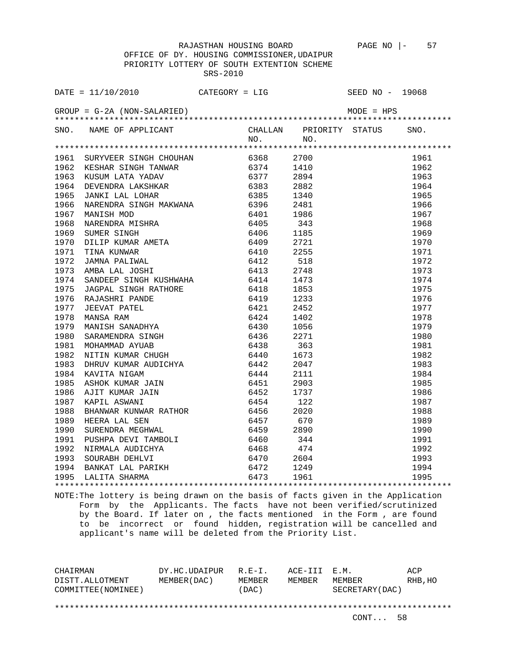OFFICE OF DY. HOUSING COMMISSIONER,UDAIPUR PRIORITY LOTTERY OF SOUTH EXTENTION SCHEME SRS-2010

| SNO. NAME OF APPLICANT CHALLAN PRIORITY STATUS SNO.<br>NO. NO. NO.                                                                                                                                                                |  |  |
|-----------------------------------------------------------------------------------------------------------------------------------------------------------------------------------------------------------------------------------|--|--|
|                                                                                                                                                                                                                                   |  |  |
|                                                                                                                                                                                                                                   |  |  |
|                                                                                                                                                                                                                                   |  |  |
|                                                                                                                                                                                                                                   |  |  |
|                                                                                                                                                                                                                                   |  |  |
|                                                                                                                                                                                                                                   |  |  |
|                                                                                                                                                                                                                                   |  |  |
|                                                                                                                                                                                                                                   |  |  |
|                                                                                                                                                                                                                                   |  |  |
|                                                                                                                                                                                                                                   |  |  |
|                                                                                                                                                                                                                                   |  |  |
|                                                                                                                                                                                                                                   |  |  |
|                                                                                                                                                                                                                                   |  |  |
|                                                                                                                                                                                                                                   |  |  |
|                                                                                                                                                                                                                                   |  |  |
|                                                                                                                                                                                                                                   |  |  |
|                                                                                                                                                                                                                                   |  |  |
|                                                                                                                                                                                                                                   |  |  |
|                                                                                                                                                                                                                                   |  |  |
|                                                                                                                                                                                                                                   |  |  |
|                                                                                                                                                                                                                                   |  |  |
|                                                                                                                                                                                                                                   |  |  |
|                                                                                                                                                                                                                                   |  |  |
|                                                                                                                                                                                                                                   |  |  |
|                                                                                                                                                                                                                                   |  |  |
|                                                                                                                                                                                                                                   |  |  |
|                                                                                                                                                                                                                                   |  |  |
|                                                                                                                                                                                                                                   |  |  |
|                                                                                                                                                                                                                                   |  |  |
|                                                                                                                                                                                                                                   |  |  |
|                                                                                                                                                                                                                                   |  |  |
|                                                                                                                                                                                                                                   |  |  |
|                                                                                                                                                                                                                                   |  |  |
|                                                                                                                                                                                                                                   |  |  |
|                                                                                                                                                                                                                                   |  |  |
|                                                                                                                                                                                                                                   |  |  |
| 1991 SURVINDUR INTERNATION (1991 - 1992)<br>1981 SURVINDUR INTERNATION (1992 - 1993 - 1994 - 1994 - 1994 - 1994 - 1994 - 1994 - 1994 - 1994 - 1994 - 1994 - 1994 - 1994 - 1994 - 1994 - 1994 - 1994 - 1994 - 1994 - 1994 - 1994 - |  |  |
|                                                                                                                                                                                                                                   |  |  |

NOTE:The lottery is being drawn on the basis of facts given in the Application Form by the Applicants. The facts have not been verified/scrutinized by the Board. If later on , the facts mentioned in the Form , are found to be incorrect or found hidden, registration will be cancelled and applicant's name will be deleted from the Priority List.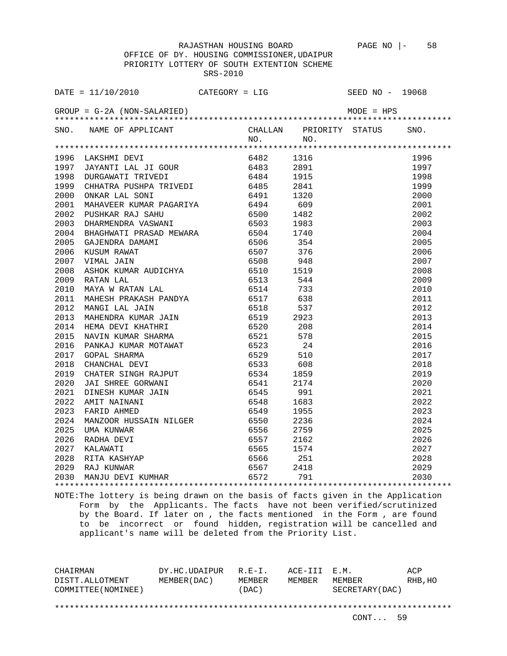OFFICE OF DY. HOUSING COMMISSIONER,UDAIPUR PRIORITY LOTTERY OF SOUTH EXTENTION SCHEME SRS-2010

| DATE = $11/10/2010$ CATEGORY = LIG                             |  | SEED NO - 19068 |  |
|----------------------------------------------------------------|--|-----------------|--|
|                                                                |  |                 |  |
|                                                                |  |                 |  |
| SNO. NAME OF APPLICANT CHALLAN PRIORITY STATUS SNO.<br>NO. NO. |  |                 |  |
|                                                                |  |                 |  |
|                                                                |  |                 |  |
|                                                                |  |                 |  |
|                                                                |  |                 |  |
|                                                                |  |                 |  |
|                                                                |  |                 |  |
|                                                                |  |                 |  |
|                                                                |  |                 |  |
|                                                                |  |                 |  |
|                                                                |  |                 |  |
|                                                                |  |                 |  |
|                                                                |  |                 |  |
|                                                                |  |                 |  |
|                                                                |  |                 |  |
|                                                                |  |                 |  |
|                                                                |  |                 |  |
|                                                                |  |                 |  |
|                                                                |  |                 |  |
|                                                                |  |                 |  |
|                                                                |  |                 |  |
|                                                                |  |                 |  |
|                                                                |  |                 |  |
|                                                                |  |                 |  |
|                                                                |  |                 |  |
|                                                                |  |                 |  |
|                                                                |  |                 |  |
|                                                                |  |                 |  |
|                                                                |  |                 |  |
|                                                                |  |                 |  |
|                                                                |  |                 |  |
|                                                                |  |                 |  |
|                                                                |  |                 |  |
|                                                                |  |                 |  |
|                                                                |  |                 |  |
|                                                                |  |                 |  |
|                                                                |  |                 |  |
|                                                                |  |                 |  |

NOTE:The lottery is being drawn on the basis of facts given in the Application Form by the Applicants. The facts have not been verified/scrutinized by the Board. If later on , the facts mentioned in the Form , are found to be incorrect or found hidden, registration will be cancelled and applicant's name will be deleted from the Priority List.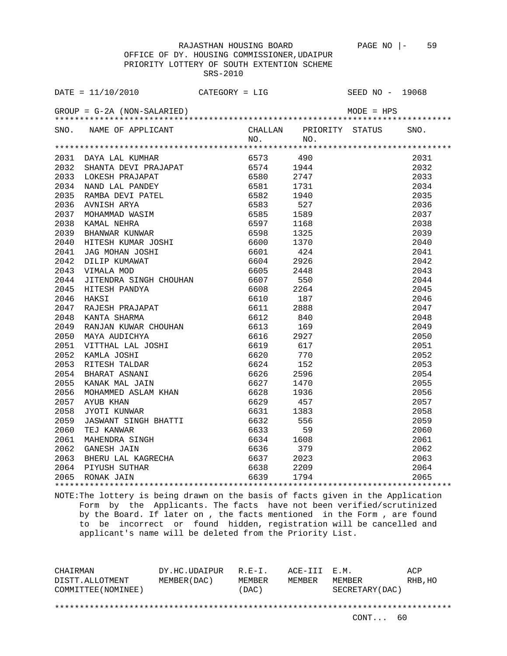OFFICE OF DY. HOUSING COMMISSIONER,UDAIPUR PRIORITY LOTTERY OF SOUTH EXTENTION SCHEME SRS-2010

| DATE = $11/10/2010$ CATEGORY = LIG                                                                                                                                                                                             |     |     | SEED NO - 19068         |      |
|--------------------------------------------------------------------------------------------------------------------------------------------------------------------------------------------------------------------------------|-----|-----|-------------------------|------|
|                                                                                                                                                                                                                                |     |     |                         |      |
| SNO. NAME OF APPLICANT                                                                                                                                                                                                         |     |     | CHALLAN PRIORITY STATUS | SNO. |
|                                                                                                                                                                                                                                | NO. | NO. |                         |      |
| A A MARINA CONFINERATION of the MAGNETIC SCALE AND STANDARY AND A SERVIT PRAJAPAT AND MAKE SERVIT PRAJAPAT AND SERVIT PRAJAPAT AND SERVIT PRESSURE AND SAND LAL PANDEY AND SERVIT RESSURE AND A SERVIT PRESSURE AND A SERVIT P |     |     |                         |      |
|                                                                                                                                                                                                                                |     |     |                         | 2031 |
|                                                                                                                                                                                                                                |     |     |                         | 2032 |
|                                                                                                                                                                                                                                |     |     |                         | 2033 |
|                                                                                                                                                                                                                                |     |     |                         | 2034 |
|                                                                                                                                                                                                                                |     |     |                         | 2035 |
|                                                                                                                                                                                                                                |     |     |                         | 2036 |
|                                                                                                                                                                                                                                |     |     |                         | 2037 |
|                                                                                                                                                                                                                                |     |     |                         | 2038 |
|                                                                                                                                                                                                                                |     |     |                         | 2039 |
|                                                                                                                                                                                                                                |     |     |                         | 2040 |
|                                                                                                                                                                                                                                |     |     |                         | 2041 |
|                                                                                                                                                                                                                                |     |     |                         | 2042 |
|                                                                                                                                                                                                                                |     |     |                         | 2043 |
|                                                                                                                                                                                                                                |     |     |                         | 2044 |
|                                                                                                                                                                                                                                |     |     |                         | 2045 |
|                                                                                                                                                                                                                                |     |     |                         | 2046 |
|                                                                                                                                                                                                                                |     |     |                         | 2047 |
|                                                                                                                                                                                                                                |     |     |                         | 2048 |
|                                                                                                                                                                                                                                |     |     |                         | 2049 |
|                                                                                                                                                                                                                                |     |     |                         | 2050 |
|                                                                                                                                                                                                                                |     |     |                         | 2051 |
|                                                                                                                                                                                                                                |     |     |                         | 2052 |
|                                                                                                                                                                                                                                |     |     |                         | 2053 |
|                                                                                                                                                                                                                                |     |     |                         | 2054 |
|                                                                                                                                                                                                                                |     |     |                         | 2055 |
|                                                                                                                                                                                                                                |     |     |                         | 2056 |
|                                                                                                                                                                                                                                |     |     |                         | 2057 |
|                                                                                                                                                                                                                                |     |     |                         | 2058 |
|                                                                                                                                                                                                                                |     |     |                         | 2059 |
|                                                                                                                                                                                                                                |     |     |                         | 2060 |
|                                                                                                                                                                                                                                |     |     |                         | 2061 |
|                                                                                                                                                                                                                                |     |     |                         | 2062 |
|                                                                                                                                                                                                                                |     |     |                         | 2063 |
|                                                                                                                                                                                                                                |     |     |                         | 2064 |
|                                                                                                                                                                                                                                |     |     |                         | 2065 |
|                                                                                                                                                                                                                                |     |     |                         |      |

NOTE:The lottery is being drawn on the basis of facts given in the Application Form by the Applicants. The facts have not been verified/scrutinized by the Board. If later on , the facts mentioned in the Form , are found to be incorrect or found hidden, registration will be cancelled and applicant's name will be deleted from the Priority List.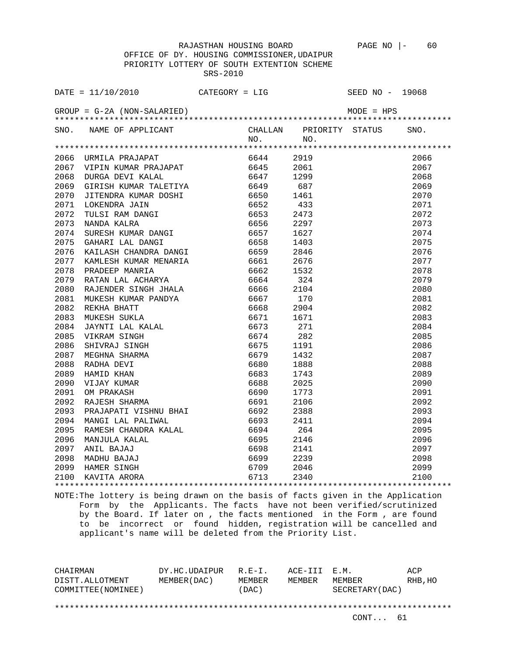OFFICE OF DY. HOUSING COMMISSIONER,UDAIPUR PRIORITY LOTTERY OF SOUTH EXTENTION SCHEME SRS-2010

|      | SNO. NAME OF APPLICANT                                                                                                                                                                                                                                                                                                                                                                                                     |     | CHALLAN PRIORITY STATUS SNO. |                   |      |
|------|----------------------------------------------------------------------------------------------------------------------------------------------------------------------------------------------------------------------------------------------------------------------------------------------------------------------------------------------------------------------------------------------------------------------------|-----|------------------------------|-------------------|------|
|      |                                                                                                                                                                                                                                                                                                                                                                                                                            | NO. | NO.                          |                   |      |
|      |                                                                                                                                                                                                                                                                                                                                                                                                                            |     |                              |                   |      |
|      |                                                                                                                                                                                                                                                                                                                                                                                                                            |     |                              |                   | 2066 |
|      |                                                                                                                                                                                                                                                                                                                                                                                                                            |     |                              |                   | 2067 |
|      |                                                                                                                                                                                                                                                                                                                                                                                                                            |     |                              |                   | 2068 |
|      |                                                                                                                                                                                                                                                                                                                                                                                                                            |     |                              |                   | 2069 |
|      |                                                                                                                                                                                                                                                                                                                                                                                                                            |     |                              |                   | 2070 |
|      |                                                                                                                                                                                                                                                                                                                                                                                                                            |     |                              |                   | 2071 |
|      |                                                                                                                                                                                                                                                                                                                                                                                                                            |     |                              |                   | 2072 |
|      |                                                                                                                                                                                                                                                                                                                                                                                                                            |     |                              |                   | 2073 |
|      |                                                                                                                                                                                                                                                                                                                                                                                                                            |     |                              |                   | 2074 |
|      |                                                                                                                                                                                                                                                                                                                                                                                                                            |     |                              |                   | 2075 |
| 2076 | KAILASH CHANDRA DANGI 6659                                                                                                                                                                                                                                                                                                                                                                                                 |     | 2846                         |                   | 2076 |
| 2077 |                                                                                                                                                                                                                                                                                                                                                                                                                            |     |                              |                   | 2077 |
| 2078 |                                                                                                                                                                                                                                                                                                                                                                                                                            |     |                              |                   | 2078 |
| 2079 |                                                                                                                                                                                                                                                                                                                                                                                                                            |     |                              |                   | 2079 |
| 2080 |                                                                                                                                                                                                                                                                                                                                                                                                                            |     |                              |                   | 2080 |
| 2081 |                                                                                                                                                                                                                                                                                                                                                                                                                            |     |                              |                   | 2081 |
| 2082 |                                                                                                                                                                                                                                                                                                                                                                                                                            |     |                              |                   | 2082 |
| 2083 |                                                                                                                                                                                                                                                                                                                                                                                                                            |     |                              |                   | 2083 |
| 2084 |                                                                                                                                                                                                                                                                                                                                                                                                                            |     |                              |                   | 2084 |
| 2085 |                                                                                                                                                                                                                                                                                                                                                                                                                            |     |                              |                   | 2085 |
| 2086 |                                                                                                                                                                                                                                                                                                                                                                                                                            |     |                              |                   | 2086 |
| 2087 |                                                                                                                                                                                                                                                                                                                                                                                                                            |     |                              |                   | 2087 |
| 2088 |                                                                                                                                                                                                                                                                                                                                                                                                                            |     |                              |                   | 2088 |
| 2089 |                                                                                                                                                                                                                                                                                                                                                                                                                            |     |                              |                   | 2089 |
| 2090 | $\begin{tabular}{l c c c c} \multicolumn{1}{c}{\textbf{KAILASH CHANDRA DANGI}} & \multicolumn{1}{c}{6659} & 2846 \\ \multicolumn{1}{c}{\textbf{KAMLISH KUMAR MENARIA}} & 6661 & 2676 \\ \multicolumn{1}{c}{\textbf{FADEEP MANRIA}} & 6662 & 1532 \\ \multicolumn{1}{c}{\textbf{RATAN LAL ACHARYA}} & 6662 & 1532 \\ \multicolumn{1}{c}{\textbf{RATAN LAL ACHARYA}} & 6664 & 324 \\ \multicolumn{1}{c}{\textbf{RATAN LAL A$ |     |                              |                   | 2090 |
| 2091 |                                                                                                                                                                                                                                                                                                                                                                                                                            |     |                              |                   | 2091 |
| 2092 |                                                                                                                                                                                                                                                                                                                                                                                                                            |     |                              |                   | 2092 |
|      |                                                                                                                                                                                                                                                                                                                                                                                                                            |     |                              |                   | 2093 |
|      |                                                                                                                                                                                                                                                                                                                                                                                                                            |     |                              |                   | 2094 |
|      |                                                                                                                                                                                                                                                                                                                                                                                                                            |     |                              |                   | 2095 |
|      |                                                                                                                                                                                                                                                                                                                                                                                                                            |     |                              |                   | 2096 |
|      |                                                                                                                                                                                                                                                                                                                                                                                                                            |     |                              |                   | 2097 |
|      |                                                                                                                                                                                                                                                                                                                                                                                                                            |     |                              |                   | 2098 |
|      |                                                                                                                                                                                                                                                                                                                                                                                                                            |     |                              |                   | 2099 |
|      | 2092 RAJESH SHARMA<br>2093 PRAJAPATI VISHNU BHAI 6692 2388<br>2094 MANGI LAL PALIWAL 6693 2411<br>2095 RAMESH CHANDRA KALAL 6693 2411<br>2096 MANJULA KALAL 6695 2146<br>2097 ANIL BAJAJ 6698 2141<br>2098 MADHU BAJAJ 6699 2239<br>2099 HAM                                                                                                                                                                               |     |                              | ***************** | 2100 |
|      |                                                                                                                                                                                                                                                                                                                                                                                                                            |     |                              |                   |      |

NOTE:The lottery is being drawn on the basis of facts given in the Application Form by the Applicants. The facts have not been verified/scrutinized by the Board. If later on , the facts mentioned in the Form , are found to be incorrect or found hidden, registration will be cancelled and applicant's name will be deleted from the Priority List.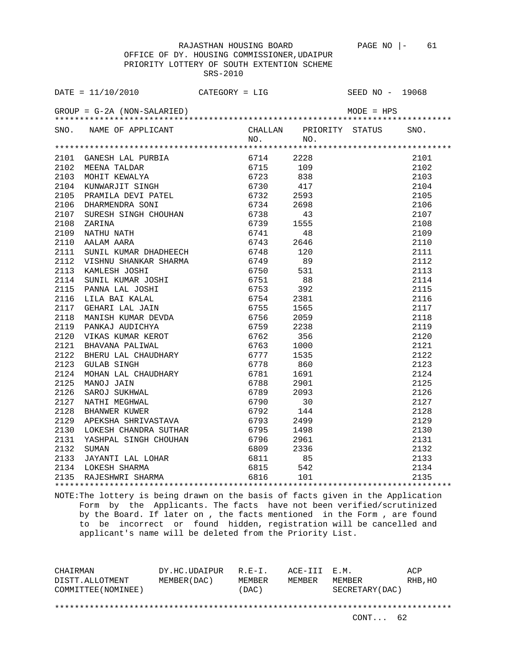OFFICE OF DY. HOUSING COMMISSIONER,UDAIPUR PRIORITY LOTTERY OF SOUTH EXTENTION SCHEME SRS-2010

|      | SNO. NAME OF APPLICANT CHALLAN PRIORITY STATUS SNO.<br>NO. NO. NO.                                                                                                                                                                             |  |  |  |
|------|------------------------------------------------------------------------------------------------------------------------------------------------------------------------------------------------------------------------------------------------|--|--|--|
|      |                                                                                                                                                                                                                                                |  |  |  |
|      |                                                                                                                                                                                                                                                |  |  |  |
|      |                                                                                                                                                                                                                                                |  |  |  |
|      |                                                                                                                                                                                                                                                |  |  |  |
|      |                                                                                                                                                                                                                                                |  |  |  |
|      |                                                                                                                                                                                                                                                |  |  |  |
|      |                                                                                                                                                                                                                                                |  |  |  |
|      |                                                                                                                                                                                                                                                |  |  |  |
|      |                                                                                                                                                                                                                                                |  |  |  |
|      |                                                                                                                                                                                                                                                |  |  |  |
|      |                                                                                                                                                                                                                                                |  |  |  |
|      |                                                                                                                                                                                                                                                |  |  |  |
|      |                                                                                                                                                                                                                                                |  |  |  |
|      |                                                                                                                                                                                                                                                |  |  |  |
|      |                                                                                                                                                                                                                                                |  |  |  |
|      | 2112 VISHNU SHANKAR SHARMA 6749 89<br>2113 KAMLESH JOSHI 6750 531<br>2114 SUNIL KUMAR JOSHI 6750 531<br>2115 PANNA LAL JOSHI 6753 392<br>2116 LILA BAI KALAL 6754 2381<br>2117 GEHARI LAL JAIN 6755 1565<br>2118 MANISH KUMAR DEVDA 6756 2     |  |  |  |
|      |                                                                                                                                                                                                                                                |  |  |  |
|      |                                                                                                                                                                                                                                                |  |  |  |
|      |                                                                                                                                                                                                                                                |  |  |  |
|      |                                                                                                                                                                                                                                                |  |  |  |
| 2119 |                                                                                                                                                                                                                                                |  |  |  |
| 2120 |                                                                                                                                                                                                                                                |  |  |  |
| 2121 |                                                                                                                                                                                                                                                |  |  |  |
| 2122 |                                                                                                                                                                                                                                                |  |  |  |
| 2123 |                                                                                                                                                                                                                                                |  |  |  |
| 2124 |                                                                                                                                                                                                                                                |  |  |  |
| 2125 | MANISH KUMAR DEVDA 6756 2059<br>PANKAJ AUDICHYA 6759 2238<br>VIKAS KUMAR KEROT 6762 356<br>BHAVANA PALIWAL 6762 356<br>BHAVANA PALIWAL 6763 1000<br>BHERU LAL CHAUDHARY 6777 1535<br>GULAB SINGH 6778 860<br>MOHAN LAL CHAUDHARY 6781 1691<br> |  |  |  |
| 2126 |                                                                                                                                                                                                                                                |  |  |  |
| 2127 |                                                                                                                                                                                                                                                |  |  |  |
| 2128 |                                                                                                                                                                                                                                                |  |  |  |
| 2129 |                                                                                                                                                                                                                                                |  |  |  |
| 2130 |                                                                                                                                                                                                                                                |  |  |  |
|      |                                                                                                                                                                                                                                                |  |  |  |
|      |                                                                                                                                                                                                                                                |  |  |  |
|      |                                                                                                                                                                                                                                                |  |  |  |
|      |                                                                                                                                                                                                                                                |  |  |  |
|      | 2131 YASHPAL SINGH CHOUHAN 6796 2961<br>2132 SUMAN 6796 2961<br>2132 SUMAN 6809 2336<br>2133 JAYANTI LAL LOHAR 6811 85<br>2134 LOKESH SHARMA 6815 542<br>2135 RAJESHWRI SHARMA 6816 101                                                        |  |  |  |
|      |                                                                                                                                                                                                                                                |  |  |  |

NOTE:The lottery is being drawn on the basis of facts given in the Application Form by the Applicants. The facts have not been verified/scrutinized by the Board. If later on , the facts mentioned in the Form , are found to be incorrect or found hidden, registration will be cancelled and applicant's name will be deleted from the Priority List.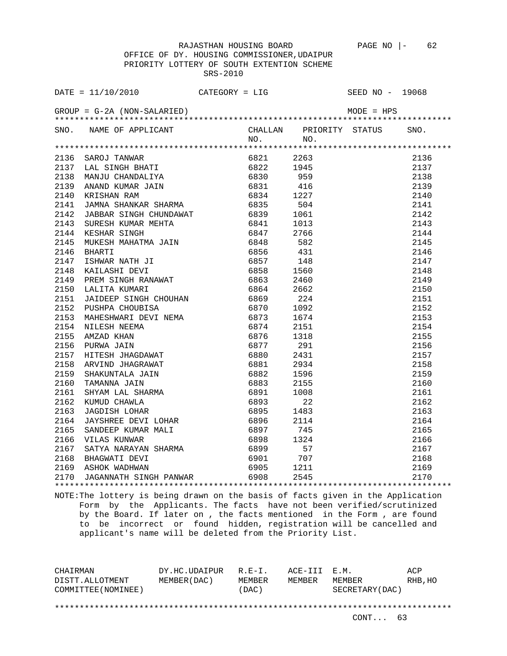OFFICE OF DY. HOUSING COMMISSIONER,UDAIPUR PRIORITY LOTTERY OF SOUTH EXTENTION SCHEME SRS-2010

|      | SNO. NAME OF APPLICANT CHALLAN PRIORITY STATUS SNO.<br>NO. NO. NO.                                                                                                                                                                      |  |                                                                                                                          |      |
|------|-----------------------------------------------------------------------------------------------------------------------------------------------------------------------------------------------------------------------------------------|--|--------------------------------------------------------------------------------------------------------------------------|------|
|      |                                                                                                                                                                                                                                         |  |                                                                                                                          |      |
|      |                                                                                                                                                                                                                                         |  |                                                                                                                          | 2136 |
|      |                                                                                                                                                                                                                                         |  |                                                                                                                          | 2137 |
|      |                                                                                                                                                                                                                                         |  |                                                                                                                          | 2138 |
|      |                                                                                                                                                                                                                                         |  |                                                                                                                          | 2139 |
|      |                                                                                                                                                                                                                                         |  |                                                                                                                          | 2140 |
|      |                                                                                                                                                                                                                                         |  |                                                                                                                          | 2141 |
|      |                                                                                                                                                                                                                                         |  |                                                                                                                          | 2142 |
|      | NAMIN HANNA SHANKAR SHARMA (6835 504<br>JAMNA SHANKAR SHARMA (6835 504<br>JABBAR SINGH CHUNDAWAT (6839 1061<br>SURESH KUMAR MEHTA (6841 1013)<br>KESHAR SINGH RANAH (6842 766 431 1013)<br>BHARTI (6856 431 1685 148 685 1486 1582 1486 |  |                                                                                                                          | 2143 |
|      |                                                                                                                                                                                                                                         |  |                                                                                                                          | 2144 |
|      |                                                                                                                                                                                                                                         |  |                                                                                                                          | 2145 |
|      |                                                                                                                                                                                                                                         |  |                                                                                                                          | 2146 |
|      |                                                                                                                                                                                                                                         |  |                                                                                                                          | 2147 |
|      |                                                                                                                                                                                                                                         |  |                                                                                                                          | 2148 |
|      |                                                                                                                                                                                                                                         |  |                                                                                                                          | 2149 |
|      |                                                                                                                                                                                                                                         |  |                                                                                                                          | 2150 |
|      |                                                                                                                                                                                                                                         |  |                                                                                                                          | 2151 |
|      |                                                                                                                                                                                                                                         |  |                                                                                                                          | 2152 |
|      |                                                                                                                                                                                                                                         |  |                                                                                                                          | 2153 |
|      |                                                                                                                                                                                                                                         |  |                                                                                                                          | 2154 |
|      |                                                                                                                                                                                                                                         |  |                                                                                                                          | 2155 |
|      |                                                                                                                                                                                                                                         |  |                                                                                                                          | 2156 |
|      |                                                                                                                                                                                                                                         |  |                                                                                                                          | 2157 |
|      |                                                                                                                                                                                                                                         |  |                                                                                                                          | 2158 |
|      |                                                                                                                                                                                                                                         |  |                                                                                                                          | 2159 |
|      |                                                                                                                                                                                                                                         |  |                                                                                                                          | 2160 |
|      |                                                                                                                                                                                                                                         |  |                                                                                                                          | 2161 |
|      |                                                                                                                                                                                                                                         |  |                                                                                                                          | 2162 |
|      |                                                                                                                                                                                                                                         |  |                                                                                                                          | 2163 |
|      |                                                                                                                                                                                                                                         |  |                                                                                                                          | 2164 |
|      |                                                                                                                                                                                                                                         |  |                                                                                                                          |      |
|      |                                                                                                                                                                                                                                         |  |                                                                                                                          |      |
|      |                                                                                                                                                                                                                                         |  |                                                                                                                          |      |
|      | 2164 JAYSHKEE DEVI LOHAK (2164 OSSO 2114)<br>2165 SANDEEP KUMAR MALI (6897 745)<br>2166 VILAS KUNWAR (6898 1324)<br>2167 SATYA NARAYAN SHARMA (6899 57)<br>2168 BHAGWATI DEVI (6901 707)<br>2169 ASHOK WADHWAN (6905 1211)              |  |                                                                                                                          |      |
|      |                                                                                                                                                                                                                                         |  |                                                                                                                          |      |
| 2170 | JAGANNATH SINGH PANWAR 6908 2545                                                                                                                                                                                                        |  | $\begin{array}{r} 2164 \\ 2165 \\ 2166 \\ 2167 \\ 2168 \\ 2169 \\ 2170 \\ \text{\textcolor{red}{\textbf{1}}}\end{array}$ |      |
|      |                                                                                                                                                                                                                                         |  |                                                                                                                          |      |

NOTE:The lottery is being drawn on the basis of facts given in the Application Form by the Applicants. The facts have not been verified/scrutinized by the Board. If later on , the facts mentioned in the Form , are found to be incorrect or found hidden, registration will be cancelled and applicant's name will be deleted from the Priority List.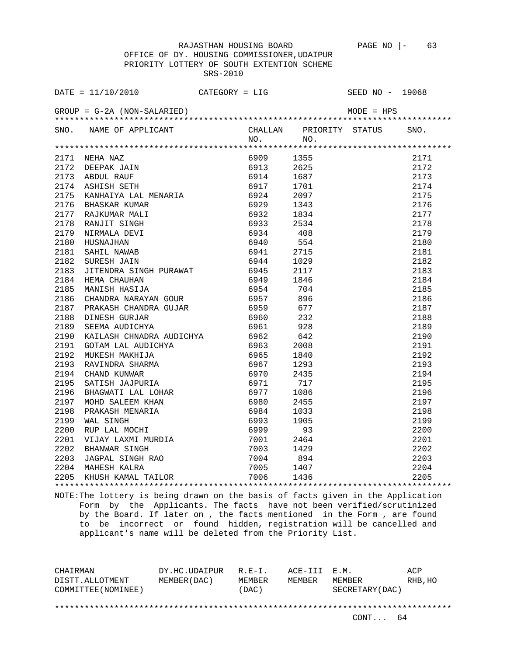OFFICE OF DY. HOUSING COMMISSIONER,UDAIPUR PRIORITY LOTTERY OF SOUTH EXTENTION SCHEME SRS-2010

| SNO. NAME OF APPLICANT CHALLAN PRIORITY STATUS SNO. |  |                                                                                                                                                                                                                          |      |
|-----------------------------------------------------|--|--------------------------------------------------------------------------------------------------------------------------------------------------------------------------------------------------------------------------|------|
|                                                     |  |                                                                                                                                                                                                                          |      |
|                                                     |  |                                                                                                                                                                                                                          |      |
|                                                     |  |                                                                                                                                                                                                                          | 2171 |
|                                                     |  |                                                                                                                                                                                                                          | 2172 |
|                                                     |  |                                                                                                                                                                                                                          | 2173 |
|                                                     |  |                                                                                                                                                                                                                          | 2174 |
|                                                     |  |                                                                                                                                                                                                                          | 2175 |
|                                                     |  |                                                                                                                                                                                                                          | 2176 |
|                                                     |  |                                                                                                                                                                                                                          | 2177 |
|                                                     |  |                                                                                                                                                                                                                          | 2178 |
|                                                     |  |                                                                                                                                                                                                                          | 2179 |
|                                                     |  |                                                                                                                                                                                                                          | 2180 |
|                                                     |  |                                                                                                                                                                                                                          | 2181 |
|                                                     |  |                                                                                                                                                                                                                          | 2182 |
|                                                     |  |                                                                                                                                                                                                                          | 2183 |
|                                                     |  |                                                                                                                                                                                                                          | 2184 |
|                                                     |  |                                                                                                                                                                                                                          | 2185 |
|                                                     |  |                                                                                                                                                                                                                          | 2186 |
|                                                     |  |                                                                                                                                                                                                                          | 2187 |
|                                                     |  |                                                                                                                                                                                                                          |      |
|                                                     |  |                                                                                                                                                                                                                          |      |
|                                                     |  |                                                                                                                                                                                                                          |      |
|                                                     |  |                                                                                                                                                                                                                          |      |
|                                                     |  |                                                                                                                                                                                                                          |      |
|                                                     |  |                                                                                                                                                                                                                          |      |
|                                                     |  |                                                                                                                                                                                                                          |      |
|                                                     |  |                                                                                                                                                                                                                          |      |
|                                                     |  |                                                                                                                                                                                                                          |      |
|                                                     |  |                                                                                                                                                                                                                          |      |
|                                                     |  |                                                                                                                                                                                                                          |      |
|                                                     |  |                                                                                                                                                                                                                          |      |
|                                                     |  |                                                                                                                                                                                                                          |      |
|                                                     |  |                                                                                                                                                                                                                          |      |
|                                                     |  |                                                                                                                                                                                                                          |      |
|                                                     |  |                                                                                                                                                                                                                          |      |
|                                                     |  |                                                                                                                                                                                                                          |      |
|                                                     |  | $2188$<br>$2187$<br>$2188$<br>$2189$<br>$2190$<br>$2191$<br>$2192$<br>$2193$<br>$2194$<br>$2195$<br>$2195$<br>$2196$<br>$2197$<br>$2198$<br>$2198$<br>$2198$<br>$2199$<br>$2201$<br>$2201$<br>$2202$<br>$2203$<br>$2205$ |      |
|                                                     |  |                                                                                                                                                                                                                          |      |

NOTE:The lottery is being drawn on the basis of facts given in the Application Form by the Applicants. The facts have not been verified/scrutinized by the Board. If later on , the facts mentioned in the Form , are found to be incorrect or found hidden, registration will be cancelled and applicant's name will be deleted from the Priority List.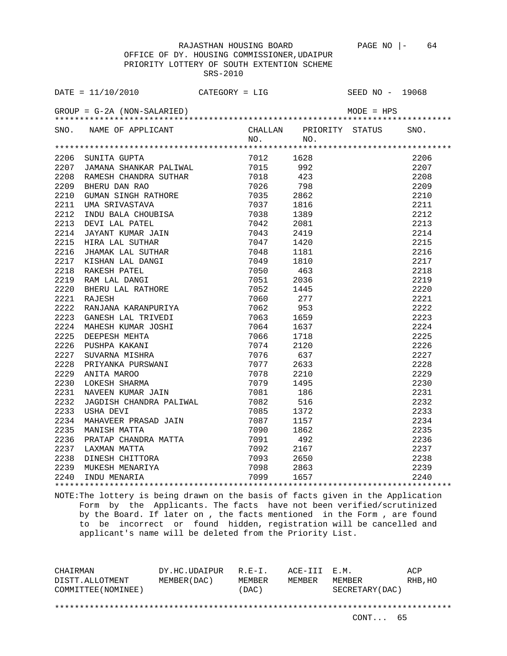OFFICE OF DY. HOUSING COMMISSIONER,UDAIPUR PRIORITY LOTTERY OF SOUTH EXTENTION SCHEME SRS-2010

| SNO. NAME OF APPLICANT<br>CHALLAN PRIORITY STATUS SNO.<br>NO.<br>$N_O$ .<br>2206 SUNITA GUPTA<br>2207 JAMANA SHANKAR PALIWAL (1990)<br>2208 TAMBOY SULLER PALIWAL (1990)<br>$\begin{array}{r} \texttt{****}\texttt{****}\texttt{****}\texttt{****}\texttt{****} \texttt{****} \texttt{****} \texttt{****} \texttt{****} \texttt{****} \texttt{****} \texttt{****} \texttt{****} \texttt{****} \texttt{****} \texttt{****} \texttt{*} \texttt{2200} \\ 2206 & 2206 \\ 2208 & 2209 \\ 2209 & 2210 \\ 2211 & 2211 \\ 2211 & 2212 \\ 2212 & 2215 \\ 2216 & 2217 \\ 2218 & 2217 \\ 2218 & 22$<br>7012 1628<br>992<br>423<br>798<br>2862<br>1816<br>1389<br>2081<br>2419<br>1420<br>1181<br>1810<br>463<br>7051 2036<br>7052 1445<br>RAJESH 7060<br>RANJANA KARANPURIYA 7062<br>277<br>2222<br>953<br>ANUANA KARANPURIYA (1002 17)<br>RANJANA KARANPURIYA (1062 953<br>MAHESH KUMAR JOSHI (1062 953<br>MAHESH KUMAR JOSHI (1063 1659 1659 1659 1659 1659 1659 1657 17066 1718 PUSHPA KAKANI (1076 1718 2120 SUVARNA MISHRA (1077 6333 2018<br>2223<br>2224 |
|------------------------------------------------------------------------------------------------------------------------------------------------------------------------------------------------------------------------------------------------------------------------------------------------------------------------------------------------------------------------------------------------------------------------------------------------------------------------------------------------------------------------------------------------------------------------------------------------------------------------------------------------------------------------------------------------------------------------------------------------------------------------------------------------------------------------------------------------------------------------------------------------------------------------------------------------------------------------------------------------------------------------------------------------------|
|                                                                                                                                                                                                                                                                                                                                                                                                                                                                                                                                                                                                                                                                                                                                                                                                                                                                                                                                                                                                                                                      |
|                                                                                                                                                                                                                                                                                                                                                                                                                                                                                                                                                                                                                                                                                                                                                                                                                                                                                                                                                                                                                                                      |
|                                                                                                                                                                                                                                                                                                                                                                                                                                                                                                                                                                                                                                                                                                                                                                                                                                                                                                                                                                                                                                                      |
|                                                                                                                                                                                                                                                                                                                                                                                                                                                                                                                                                                                                                                                                                                                                                                                                                                                                                                                                                                                                                                                      |
|                                                                                                                                                                                                                                                                                                                                                                                                                                                                                                                                                                                                                                                                                                                                                                                                                                                                                                                                                                                                                                                      |
|                                                                                                                                                                                                                                                                                                                                                                                                                                                                                                                                                                                                                                                                                                                                                                                                                                                                                                                                                                                                                                                      |
|                                                                                                                                                                                                                                                                                                                                                                                                                                                                                                                                                                                                                                                                                                                                                                                                                                                                                                                                                                                                                                                      |
|                                                                                                                                                                                                                                                                                                                                                                                                                                                                                                                                                                                                                                                                                                                                                                                                                                                                                                                                                                                                                                                      |
|                                                                                                                                                                                                                                                                                                                                                                                                                                                                                                                                                                                                                                                                                                                                                                                                                                                                                                                                                                                                                                                      |
|                                                                                                                                                                                                                                                                                                                                                                                                                                                                                                                                                                                                                                                                                                                                                                                                                                                                                                                                                                                                                                                      |
|                                                                                                                                                                                                                                                                                                                                                                                                                                                                                                                                                                                                                                                                                                                                                                                                                                                                                                                                                                                                                                                      |
|                                                                                                                                                                                                                                                                                                                                                                                                                                                                                                                                                                                                                                                                                                                                                                                                                                                                                                                                                                                                                                                      |
|                                                                                                                                                                                                                                                                                                                                                                                                                                                                                                                                                                                                                                                                                                                                                                                                                                                                                                                                                                                                                                                      |
|                                                                                                                                                                                                                                                                                                                                                                                                                                                                                                                                                                                                                                                                                                                                                                                                                                                                                                                                                                                                                                                      |
|                                                                                                                                                                                                                                                                                                                                                                                                                                                                                                                                                                                                                                                                                                                                                                                                                                                                                                                                                                                                                                                      |
|                                                                                                                                                                                                                                                                                                                                                                                                                                                                                                                                                                                                                                                                                                                                                                                                                                                                                                                                                                                                                                                      |
|                                                                                                                                                                                                                                                                                                                                                                                                                                                                                                                                                                                                                                                                                                                                                                                                                                                                                                                                                                                                                                                      |
|                                                                                                                                                                                                                                                                                                                                                                                                                                                                                                                                                                                                                                                                                                                                                                                                                                                                                                                                                                                                                                                      |
|                                                                                                                                                                                                                                                                                                                                                                                                                                                                                                                                                                                                                                                                                                                                                                                                                                                                                                                                                                                                                                                      |
|                                                                                                                                                                                                                                                                                                                                                                                                                                                                                                                                                                                                                                                                                                                                                                                                                                                                                                                                                                                                                                                      |
|                                                                                                                                                                                                                                                                                                                                                                                                                                                                                                                                                                                                                                                                                                                                                                                                                                                                                                                                                                                                                                                      |
|                                                                                                                                                                                                                                                                                                                                                                                                                                                                                                                                                                                                                                                                                                                                                                                                                                                                                                                                                                                                                                                      |
| 2225                                                                                                                                                                                                                                                                                                                                                                                                                                                                                                                                                                                                                                                                                                                                                                                                                                                                                                                                                                                                                                                 |
| 2226                                                                                                                                                                                                                                                                                                                                                                                                                                                                                                                                                                                                                                                                                                                                                                                                                                                                                                                                                                                                                                                 |
| 2227                                                                                                                                                                                                                                                                                                                                                                                                                                                                                                                                                                                                                                                                                                                                                                                                                                                                                                                                                                                                                                                 |
| 2228                                                                                                                                                                                                                                                                                                                                                                                                                                                                                                                                                                                                                                                                                                                                                                                                                                                                                                                                                                                                                                                 |
| 2229                                                                                                                                                                                                                                                                                                                                                                                                                                                                                                                                                                                                                                                                                                                                                                                                                                                                                                                                                                                                                                                 |
| 2230                                                                                                                                                                                                                                                                                                                                                                                                                                                                                                                                                                                                                                                                                                                                                                                                                                                                                                                                                                                                                                                 |
| 2231                                                                                                                                                                                                                                                                                                                                                                                                                                                                                                                                                                                                                                                                                                                                                                                                                                                                                                                                                                                                                                                 |
| 2232                                                                                                                                                                                                                                                                                                                                                                                                                                                                                                                                                                                                                                                                                                                                                                                                                                                                                                                                                                                                                                                 |
| 2233                                                                                                                                                                                                                                                                                                                                                                                                                                                                                                                                                                                                                                                                                                                                                                                                                                                                                                                                                                                                                                                 |
| 2234                                                                                                                                                                                                                                                                                                                                                                                                                                                                                                                                                                                                                                                                                                                                                                                                                                                                                                                                                                                                                                                 |
| 2235                                                                                                                                                                                                                                                                                                                                                                                                                                                                                                                                                                                                                                                                                                                                                                                                                                                                                                                                                                                                                                                 |
| 2236                                                                                                                                                                                                                                                                                                                                                                                                                                                                                                                                                                                                                                                                                                                                                                                                                                                                                                                                                                                                                                                 |
| 2237                                                                                                                                                                                                                                                                                                                                                                                                                                                                                                                                                                                                                                                                                                                                                                                                                                                                                                                                                                                                                                                 |
| 2238                                                                                                                                                                                                                                                                                                                                                                                                                                                                                                                                                                                                                                                                                                                                                                                                                                                                                                                                                                                                                                                 |
| 2239                                                                                                                                                                                                                                                                                                                                                                                                                                                                                                                                                                                                                                                                                                                                                                                                                                                                                                                                                                                                                                                 |
| 2240                                                                                                                                                                                                                                                                                                                                                                                                                                                                                                                                                                                                                                                                                                                                                                                                                                                                                                                                                                                                                                                 |
|                                                                                                                                                                                                                                                                                                                                                                                                                                                                                                                                                                                                                                                                                                                                                                                                                                                                                                                                                                                                                                                      |

NOTE:The lottery is being drawn on the basis of facts given in the Application Form by the Applicants. The facts have not been verified/scrutinized by the Board. If later on , the facts mentioned in the Form , are found to be incorrect or found hidden, registration will be cancelled and applicant's name will be deleted from the Priority List.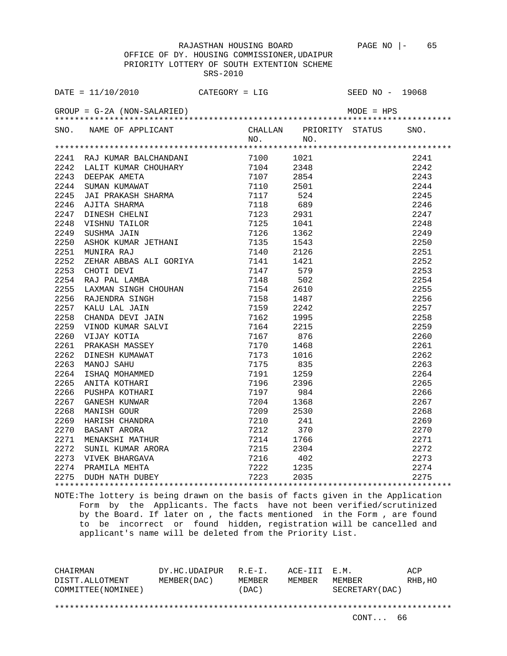OFFICE OF DY. HOUSING COMMISSIONER,UDAIPUR PRIORITY LOTTERY OF SOUTH EXTENTION SCHEME SRS-2010

| DATE = $11/10/2010$ CATEGORY = LIG                                                                                                                                                                                                                                                                       |  | SEED NO - 19068 |      |
|----------------------------------------------------------------------------------------------------------------------------------------------------------------------------------------------------------------------------------------------------------------------------------------------------------|--|-----------------|------|
| $GROUP = G-2A (NON-SALARIED)$                                                                                                                                                                                                                                                                            |  |                 |      |
|                                                                                                                                                                                                                                                                                                          |  |                 |      |
| SNO. NAME OF APPLICANT CHALLAN PRIORITY STATUS SNO.<br>NO. NO.<br>2011 RAJ KUMBA BALCHANDARI (* 100 1102)<br>1241 RAJ KUMBA BALCHANDARI (* 1100 1102)<br>2242 JALIT KUNAK BALCHANDARI (* 1100 1102)<br>2243 DEDENK AMERICANDARI (* 1107 23854 2244 SUDAR) (* 1210 2245 2244 SUDAR) (* 1210 2245 2244 SUD |  |                 |      |
|                                                                                                                                                                                                                                                                                                          |  |                 |      |
|                                                                                                                                                                                                                                                                                                          |  |                 | 2241 |
|                                                                                                                                                                                                                                                                                                          |  |                 | 2242 |
|                                                                                                                                                                                                                                                                                                          |  |                 | 2243 |
|                                                                                                                                                                                                                                                                                                          |  |                 | 2244 |
|                                                                                                                                                                                                                                                                                                          |  |                 | 2245 |
|                                                                                                                                                                                                                                                                                                          |  |                 | 2246 |
|                                                                                                                                                                                                                                                                                                          |  |                 | 2247 |
|                                                                                                                                                                                                                                                                                                          |  |                 | 2248 |
|                                                                                                                                                                                                                                                                                                          |  |                 | 2249 |
|                                                                                                                                                                                                                                                                                                          |  |                 | 2250 |
|                                                                                                                                                                                                                                                                                                          |  |                 | 2251 |
|                                                                                                                                                                                                                                                                                                          |  |                 | 2252 |
|                                                                                                                                                                                                                                                                                                          |  |                 | 2253 |
|                                                                                                                                                                                                                                                                                                          |  |                 | 2254 |
|                                                                                                                                                                                                                                                                                                          |  |                 | 2255 |
|                                                                                                                                                                                                                                                                                                          |  |                 | 2256 |
|                                                                                                                                                                                                                                                                                                          |  |                 | 2257 |
|                                                                                                                                                                                                                                                                                                          |  |                 | 2258 |
|                                                                                                                                                                                                                                                                                                          |  |                 | 2259 |
|                                                                                                                                                                                                                                                                                                          |  |                 | 2260 |
|                                                                                                                                                                                                                                                                                                          |  |                 | 2261 |
|                                                                                                                                                                                                                                                                                                          |  |                 | 2262 |
|                                                                                                                                                                                                                                                                                                          |  |                 | 2263 |
|                                                                                                                                                                                                                                                                                                          |  |                 | 2264 |
|                                                                                                                                                                                                                                                                                                          |  |                 | 2265 |
|                                                                                                                                                                                                                                                                                                          |  |                 | 2266 |
|                                                                                                                                                                                                                                                                                                          |  |                 | 2267 |
|                                                                                                                                                                                                                                                                                                          |  |                 | 2268 |
|                                                                                                                                                                                                                                                                                                          |  |                 | 2269 |
|                                                                                                                                                                                                                                                                                                          |  |                 | 2270 |
|                                                                                                                                                                                                                                                                                                          |  |                 | 2271 |
|                                                                                                                                                                                                                                                                                                          |  |                 | 2272 |
|                                                                                                                                                                                                                                                                                                          |  |                 | 2273 |
|                                                                                                                                                                                                                                                                                                          |  |                 | 2274 |
|                                                                                                                                                                                                                                                                                                          |  |                 | 2275 |
|                                                                                                                                                                                                                                                                                                          |  |                 |      |

NOTE:The lottery is being drawn on the basis of facts given in the Application Form by the Applicants. The facts have not been verified/scrutinized by the Board. If later on , the facts mentioned in the Form , are found to be incorrect or found hidden, registration will be cancelled and applicant's name will be deleted from the Priority List.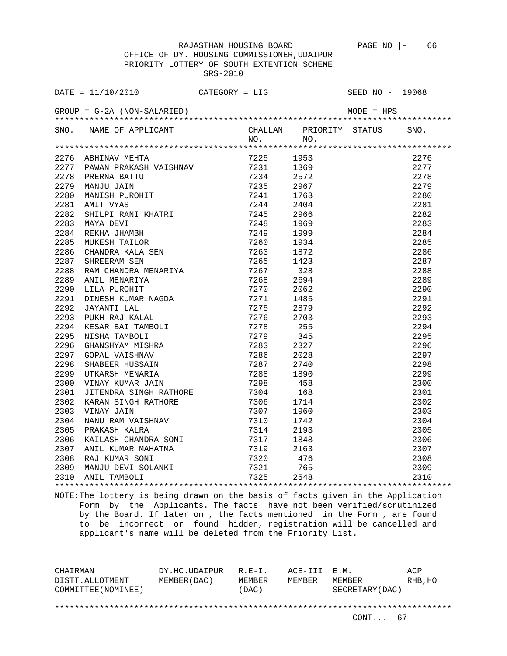OFFICE OF DY. HOUSING COMMISSIONER,UDAIPUR PRIORITY LOTTERY OF SOUTH EXTENTION SCHEME SRS-2010

| SNO. NAME OF APPLICANT |           | CHALLAN PRIORITY STATUS | SNO. |
|------------------------|-----------|-------------------------|------|
|                        | $NO.$ NO. |                         |      |
|                        |           |                         |      |
|                        |           |                         | 2276 |
|                        |           |                         | 2277 |
|                        |           |                         | 2278 |
|                        |           |                         | 2279 |
|                        |           |                         | 2280 |
|                        |           |                         | 2281 |
|                        |           |                         | 2282 |
|                        |           |                         | 2283 |
|                        |           |                         | 2284 |
|                        |           |                         | 2285 |
|                        |           |                         | 2286 |
|                        |           |                         | 2287 |
|                        |           |                         | 2288 |
|                        |           |                         | 2289 |
|                        |           |                         | 2290 |
|                        |           |                         | 2291 |
|                        |           |                         | 2292 |
|                        |           |                         | 2293 |
|                        |           |                         | 2294 |
|                        |           |                         | 2295 |
|                        |           |                         | 2296 |
|                        |           |                         | 2297 |
|                        |           |                         | 2298 |
|                        |           |                         | 2299 |
|                        |           |                         | 2300 |
|                        |           |                         | 2301 |
|                        |           |                         | 2302 |
|                        |           |                         | 2303 |
|                        |           |                         | 2304 |
|                        |           |                         | 2305 |
|                        |           |                         | 2306 |
|                        |           |                         | 2307 |
|                        |           |                         | 2308 |
|                        |           |                         | 2309 |
|                        |           |                         | 2310 |
|                        |           |                         |      |

NOTE:The lottery is being drawn on the basis of facts given in the Application Form by the Applicants. The facts have not been verified/scrutinized by the Board. If later on , the facts mentioned in the Form , are found to be incorrect or found hidden, registration will be cancelled and applicant's name will be deleted from the Priority List.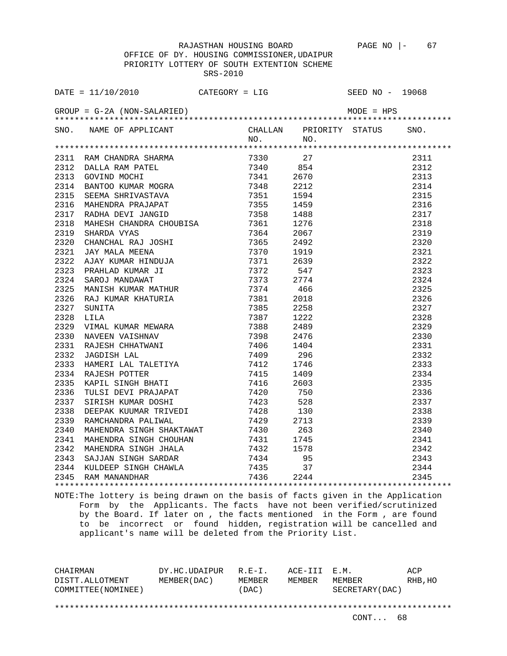OFFICE OF DY. HOUSING COMMISSIONER,UDAIPUR PRIORITY LOTTERY OF SOUTH EXTENTION SCHEME SRS-2010

|      | DATE = $11/10/2010$ CATEGORY = LIG                                                                                                                                                                                                              |     |      | SEED NO - 19068         |      |
|------|-------------------------------------------------------------------------------------------------------------------------------------------------------------------------------------------------------------------------------------------------|-----|------|-------------------------|------|
|      | $GROUP = G-2A (NON-SALARIED)$                                                                                                                                                                                                                   |     |      | MODE = HPS              |      |
|      | SNO. NAME OF APPLICANT                                                                                                                                                                                                                          | NO. | NO.  | CHALLAN PRIORITY STATUS | SNO. |
|      |                                                                                                                                                                                                                                                 |     |      |                         |      |
|      |                                                                                                                                                                                                                                                 |     |      |                         | 2311 |
|      |                                                                                                                                                                                                                                                 |     |      |                         | 2312 |
|      |                                                                                                                                                                                                                                                 |     |      |                         | 2313 |
|      |                                                                                                                                                                                                                                                 |     |      |                         | 2314 |
|      |                                                                                                                                                                                                                                                 |     |      |                         | 2315 |
|      |                                                                                                                                                                                                                                                 |     |      |                         | 2316 |
|      |                                                                                                                                                                                                                                                 |     |      |                         | 2317 |
|      |                                                                                                                                                                                                                                                 |     |      |                         | 2318 |
|      |                                                                                                                                                                                                                                                 |     |      |                         | 2319 |
|      |                                                                                                                                                                                                                                                 |     |      |                         | 2320 |
|      |                                                                                                                                                                                                                                                 |     |      |                         | 2321 |
|      |                                                                                                                                                                                                                                                 |     |      |                         | 2322 |
|      |                                                                                                                                                                                                                                                 |     |      |                         | 2323 |
|      |                                                                                                                                                                                                                                                 |     |      |                         | 2324 |
| 2325 | MAILMAD INCOMING THE TRADHERICAL CHANGER<br>TABHA DEVI JANGID<br>TABHA VYAS<br>CHANCHAL RAJ JOSHI 7364<br>CHANCHAL RAJ JOSHI 7365<br>JAY MALA MEENA 7370<br>AJAY KUMAR HINDUJA 7371<br>PRAHLAD KUMAR HINDUJA 7371<br>PRAHLA MEENA 7373<br>SANCI |     | 466  |                         | 2325 |
| 2326 |                                                                                                                                                                                                                                                 |     | 2018 |                         | 2326 |
| 2327 |                                                                                                                                                                                                                                                 |     | 2258 |                         | 2327 |
| 2328 |                                                                                                                                                                                                                                                 |     | 1222 |                         | 2328 |
| 2329 |                                                                                                                                                                                                                                                 |     | 2489 |                         | 2329 |
| 2330 |                                                                                                                                                                                                                                                 |     | 2476 |                         | 2330 |
| 2331 |                                                                                                                                                                                                                                                 |     | 1404 |                         | 2331 |
| 2332 |                                                                                                                                                                                                                                                 |     | 296  |                         | 2332 |
| 2333 |                                                                                                                                                                                                                                                 |     | 1746 |                         | 2333 |
|      | 2334 RAJESH POTTER                                                                                                                                                                                                                              |     | 1409 |                         | 2334 |
| 2335 | EXAPIL SINGH BHATI 7416<br>TULSI DEVI PRAJAPAT 7420<br>SIRISH KUMAR DOSHI 7423                                                                                                                                                                  |     | 2603 |                         | 2335 |
| 2336 |                                                                                                                                                                                                                                                 |     | 750  |                         | 2336 |
| 2337 |                                                                                                                                                                                                                                                 |     | 528  |                         | 2337 |
| 2338 |                                                                                                                                                                                                                                                 |     | 130  |                         | 2338 |
| 2339 |                                                                                                                                                                                                                                                 |     | 2713 |                         | 2339 |
| 2340 | MAHENDRA SINGH SHAKTAWAT 7430<br>MAHENDRA SINGH CHOUHAN 7431                                                                                                                                                                                    |     | 263  |                         | 2340 |
| 2341 |                                                                                                                                                                                                                                                 |     | 1745 |                         | 2341 |
| 2342 | MAHENDRA SINGH JHALA 7432 1578                                                                                                                                                                                                                  |     |      |                         | 2342 |
|      |                                                                                                                                                                                                                                                 |     |      |                         | 2343 |
|      |                                                                                                                                                                                                                                                 |     | 37   |                         | 2344 |
|      | 2343 SAJJAN SINGH SARDAR 7434 95<br>2344 KULDEEP SINGH CHAWLA 7435 37<br>2345 RAM MANANDHAR 7436 2244                                                                                                                                           |     |      |                         | 2345 |
|      | atommamber leggende de la decembre de glassification de estado educación de glassificación de la constitución                                                                                                                                   |     |      |                         |      |
|      |                                                                                                                                                                                                                                                 |     |      |                         |      |

NOTE:The lottery is being drawn on the basis of facts given in the Application Form by the Applicants. The facts have not been verified/scrutinized by the Board. If later on , the facts mentioned in the Form , are found to be incorrect or found hidden, registration will be cancelled and applicant's name will be deleted from the Priority List.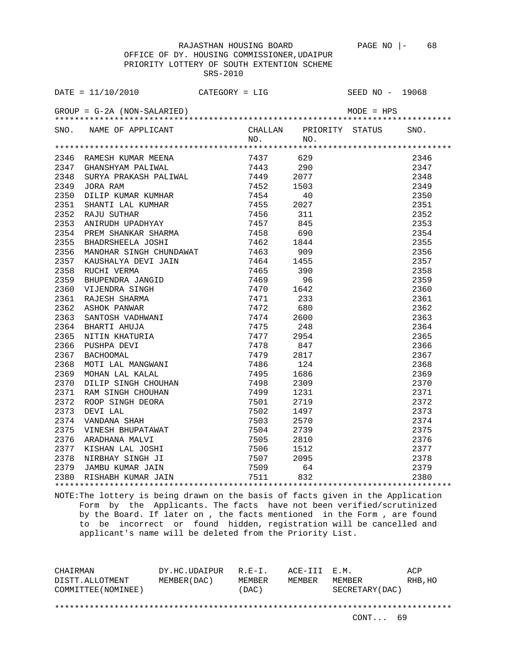OFFICE OF DY. HOUSING COMMISSIONER,UDAIPUR PRIORITY LOTTERY OF SOUTH EXTENTION SCHEME SRS-2010

|      |                                                                                                                                                                                                                                                |  |      | SEED NO - 19068 |      |
|------|------------------------------------------------------------------------------------------------------------------------------------------------------------------------------------------------------------------------------------------------|--|------|-----------------|------|
|      | DATE = $11/10/2010$ CATEGORY = LIG<br>GROUP = G-2A (NON-SALARIED)                                                                                                                                                                              |  |      | $MODE = HPS$    |      |
|      | SNO. NAME OF APPLICANT CHALLAN PRIORITY STATUS NO. NO.                                                                                                                                                                                         |  |      |                 | SNO. |
|      |                                                                                                                                                                                                                                                |  |      |                 |      |
|      |                                                                                                                                                                                                                                                |  |      |                 | 2346 |
|      |                                                                                                                                                                                                                                                |  |      |                 | 2347 |
|      | 437 629 7437 629 7437 629 7437 629 7443 7443 290<br>1981 7443 290 7443 5URYA PRAKASH PALIWAL 7449 2077                                                                                                                                         |  |      |                 | 2348 |
| 2349 |                                                                                                                                                                                                                                                |  |      |                 | 2349 |
| 2350 |                                                                                                                                                                                                                                                |  |      |                 | 2350 |
| 2351 |                                                                                                                                                                                                                                                |  |      |                 | 2351 |
| 2352 |                                                                                                                                                                                                                                                |  |      |                 | 2352 |
| 2353 |                                                                                                                                                                                                                                                |  |      |                 | 2353 |
| 2354 |                                                                                                                                                                                                                                                |  |      |                 | 2354 |
| 2355 |                                                                                                                                                                                                                                                |  |      |                 | 2355 |
| 2356 |                                                                                                                                                                                                                                                |  |      |                 | 2356 |
| 2357 |                                                                                                                                                                                                                                                |  |      |                 | 2357 |
| 2358 |                                                                                                                                                                                                                                                |  |      |                 | 2358 |
| 2359 |                                                                                                                                                                                                                                                |  |      |                 | 2359 |
| 2360 |                                                                                                                                                                                                                                                |  |      |                 | 2360 |
| 2361 | GHANSHYAM PALINAL 7443 290<br>SURYA PRAKASH PALINAL 7449 2077<br>JORA RAM 7452 1503<br>DILIP KUMAR KUMHAR 7454 40<br>SHANTI LAL KUMHAR 7455 2027<br>RAJU SUTHAR SINGH 7455 2027<br>RAJU SUTHAR SINGH 7455 311<br>ANIRUDH UPADHYAY 7457 845<br> |  |      |                 | 2361 |
| 2362 |                                                                                                                                                                                                                                                |  |      |                 | 2362 |
| 2363 |                                                                                                                                                                                                                                                |  |      |                 | 2363 |
| 2364 |                                                                                                                                                                                                                                                |  |      |                 | 2364 |
| 2365 |                                                                                                                                                                                                                                                |  |      |                 | 2365 |
| 2366 |                                                                                                                                                                                                                                                |  |      |                 | 2366 |
| 2367 |                                                                                                                                                                                                                                                |  |      |                 | 2367 |
| 2368 |                                                                                                                                                                                                                                                |  |      |                 | 2368 |
| 2369 |                                                                                                                                                                                                                                                |  |      |                 | 2369 |
| 2370 |                                                                                                                                                                                                                                                |  |      |                 | 2370 |
| 2371 |                                                                                                                                                                                                                                                |  |      |                 | 2371 |
| 2372 |                                                                                                                                                                                                                                                |  |      |                 | 2372 |
| 2373 |                                                                                                                                                                                                                                                |  |      |                 | 2373 |
| 2374 |                                                                                                                                                                                                                                                |  |      |                 | 2374 |
| 2375 | VINESH BHUPATAWAT 7504                                                                                                                                                                                                                         |  | 2739 |                 | 2375 |
|      |                                                                                                                                                                                                                                                |  |      |                 | 2376 |
|      |                                                                                                                                                                                                                                                |  |      |                 | 2377 |
|      |                                                                                                                                                                                                                                                |  |      |                 | 2378 |
|      |                                                                                                                                                                                                                                                |  |      |                 | 2379 |
|      | 2376 ARADHANA MALVI 7505 2810<br>2377 KISHAN LAL JOSHI 7506 1512<br>2378 NIRBHAY SINGH JI 7507 2095<br>2379 JAMBU KUMAR JAIN 7509 64<br>2380 RISHABH KUMAR JAIN 7511 832                                                                       |  |      |                 | 2380 |
|      |                                                                                                                                                                                                                                                |  |      |                 |      |
|      |                                                                                                                                                                                                                                                |  |      |                 |      |

NOTE:The lottery is being drawn on the basis of facts given in the Application Form by the Applicants. The facts have not been verified/scrutinized by the Board. If later on , the facts mentioned in the Form , are found to be incorrect or found hidden, registration will be cancelled and applicant's name will be deleted from the Priority List.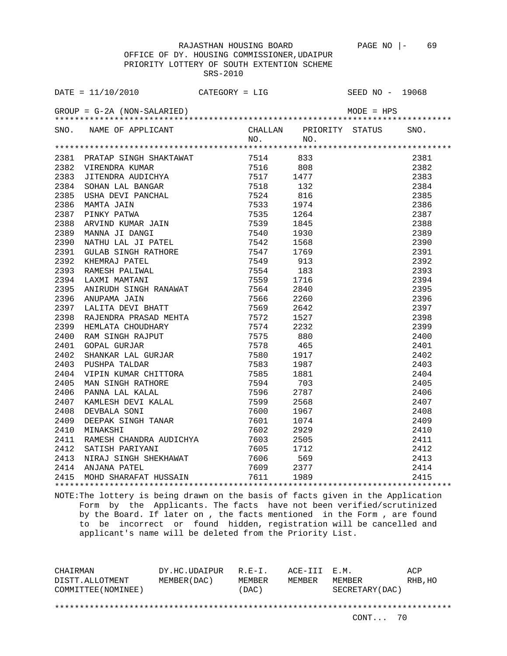OFFICE OF DY. HOUSING COMMISSIONER,UDAIPUR PRIORITY LOTTERY OF SOUTH EXTENTION SCHEME SRS-2010

|      | SNO. NAME OF APPLICANT                                                                                                                  | $NO.$ NO. | CHALLAN PRIORITY STATUS                                                                                                                                                                                                                                                                                         | SNO. |
|------|-----------------------------------------------------------------------------------------------------------------------------------------|-----------|-----------------------------------------------------------------------------------------------------------------------------------------------------------------------------------------------------------------------------------------------------------------------------------------------------------------|------|
|      |                                                                                                                                         |           |                                                                                                                                                                                                                                                                                                                 |      |
|      |                                                                                                                                         |           |                                                                                                                                                                                                                                                                                                                 |      |
|      |                                                                                                                                         |           |                                                                                                                                                                                                                                                                                                                 |      |
|      |                                                                                                                                         |           |                                                                                                                                                                                                                                                                                                                 |      |
|      |                                                                                                                                         |           |                                                                                                                                                                                                                                                                                                                 |      |
|      |                                                                                                                                         |           |                                                                                                                                                                                                                                                                                                                 |      |
|      |                                                                                                                                         |           |                                                                                                                                                                                                                                                                                                                 |      |
|      |                                                                                                                                         |           |                                                                                                                                                                                                                                                                                                                 |      |
|      |                                                                                                                                         |           |                                                                                                                                                                                                                                                                                                                 |      |
|      |                                                                                                                                         |           |                                                                                                                                                                                                                                                                                                                 |      |
|      |                                                                                                                                         |           |                                                                                                                                                                                                                                                                                                                 |      |
|      |                                                                                                                                         |           |                                                                                                                                                                                                                                                                                                                 |      |
|      |                                                                                                                                         |           |                                                                                                                                                                                                                                                                                                                 |      |
|      |                                                                                                                                         |           |                                                                                                                                                                                                                                                                                                                 |      |
|      |                                                                                                                                         |           |                                                                                                                                                                                                                                                                                                                 |      |
|      |                                                                                                                                         |           |                                                                                                                                                                                                                                                                                                                 |      |
|      |                                                                                                                                         |           |                                                                                                                                                                                                                                                                                                                 |      |
|      |                                                                                                                                         |           |                                                                                                                                                                                                                                                                                                                 |      |
|      |                                                                                                                                         |           |                                                                                                                                                                                                                                                                                                                 |      |
|      |                                                                                                                                         |           |                                                                                                                                                                                                                                                                                                                 |      |
|      |                                                                                                                                         |           |                                                                                                                                                                                                                                                                                                                 |      |
|      |                                                                                                                                         |           |                                                                                                                                                                                                                                                                                                                 |      |
|      |                                                                                                                                         |           |                                                                                                                                                                                                                                                                                                                 |      |
|      |                                                                                                                                         |           |                                                                                                                                                                                                                                                                                                                 |      |
|      |                                                                                                                                         |           |                                                                                                                                                                                                                                                                                                                 |      |
|      |                                                                                                                                         |           |                                                                                                                                                                                                                                                                                                                 |      |
|      |                                                                                                                                         |           |                                                                                                                                                                                                                                                                                                                 |      |
|      |                                                                                                                                         |           |                                                                                                                                                                                                                                                                                                                 |      |
|      |                                                                                                                                         |           |                                                                                                                                                                                                                                                                                                                 |      |
|      |                                                                                                                                         |           |                                                                                                                                                                                                                                                                                                                 |      |
|      |                                                                                                                                         |           |                                                                                                                                                                                                                                                                                                                 |      |
| 2411 |                                                                                                                                         |           |                                                                                                                                                                                                                                                                                                                 |      |
| 2412 |                                                                                                                                         |           |                                                                                                                                                                                                                                                                                                                 |      |
| 2413 | RAMESH CHANDRA AUDICHYA (1992)<br>SATISH PARIYANI (1993) 7605 1712<br>NIRAJ SINGH SHEKHAWAT (1996) 7606 569<br>ANJANA PATEL (1999) 2377 |           |                                                                                                                                                                                                                                                                                                                 |      |
|      | 2414 ANJANA PATEL                                                                                                                       |           |                                                                                                                                                                                                                                                                                                                 |      |
|      | 2415 MOHD SHARAFAT HUSSAIN 7611 1989                                                                                                    |           | $\begin{array}{r} \tt 2381 \\ 2381 \\ 2382 \\ 2383 \\ 2384 \\ 2385 \\ 2386 \\ 2387 \\ 2387 \\ 2388 \\ 2389 \\ 2389 \\ 2390 \\ 2391 \\ 2392 \\ 2393 \\ 2392 \\ 2393 \\ 2395 \\ 2396 \\ 2397 \\ 2398 \\ 2399 \\ 2396 \\ 2397 \\ 2398 \\ 2399 \\ 2400 \\ 2400 \\ 2401 \\ 2402 \\ 2403 \\ 2404 \\ 2405 \\ 2406 \\ $ |      |
|      |                                                                                                                                         |           |                                                                                                                                                                                                                                                                                                                 |      |

NOTE:The lottery is being drawn on the basis of facts given in the Application Form by the Applicants. The facts have not been verified/scrutinized by the Board. If later on , the facts mentioned in the Form , are found to be incorrect or found hidden, registration will be cancelled and applicant's name will be deleted from the Priority List.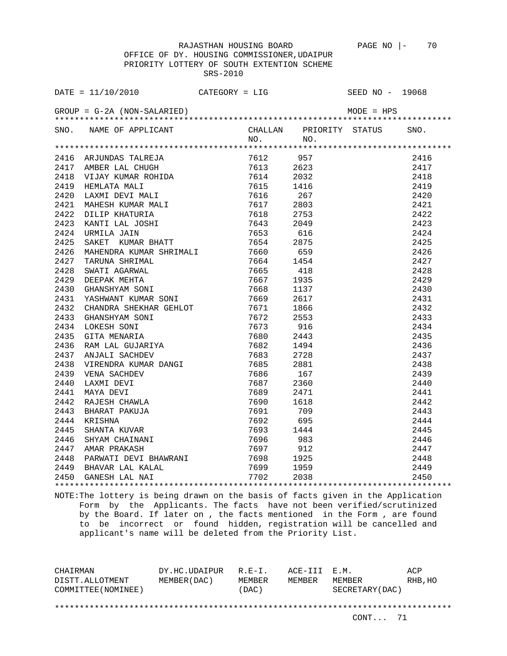OFFICE OF DY. HOUSING COMMISSIONER,UDAIPUR PRIORITY LOTTERY OF SOUTH EXTENTION SCHEME SRS-2010

|      | SNO. NAME OF APPLICANT CHALLAN PRIORITY STATUS SNO.<br>NO. NO.                                                                                                                                                                                   |  |                                                                    |  |
|------|--------------------------------------------------------------------------------------------------------------------------------------------------------------------------------------------------------------------------------------------------|--|--------------------------------------------------------------------|--|
|      |                                                                                                                                                                                                                                                  |  |                                                                    |  |
|      |                                                                                                                                                                                                                                                  |  |                                                                    |  |
|      |                                                                                                                                                                                                                                                  |  |                                                                    |  |
|      |                                                                                                                                                                                                                                                  |  |                                                                    |  |
|      |                                                                                                                                                                                                                                                  |  |                                                                    |  |
|      |                                                                                                                                                                                                                                                  |  |                                                                    |  |
|      |                                                                                                                                                                                                                                                  |  |                                                                    |  |
|      |                                                                                                                                                                                                                                                  |  |                                                                    |  |
|      |                                                                                                                                                                                                                                                  |  |                                                                    |  |
|      |                                                                                                                                                                                                                                                  |  |                                                                    |  |
|      |                                                                                                                                                                                                                                                  |  |                                                                    |  |
| 2426 |                                                                                                                                                                                                                                                  |  |                                                                    |  |
| 2427 |                                                                                                                                                                                                                                                  |  |                                                                    |  |
| 2428 | 375 NAHENDRA KUMAR SHATT 1654 2875 NAHENDRA KUMAR SHRIMALI 1660 659 NAKUNA SHRIMALI 1666 159 NAKUNA 1667 1935 SHANSHYAM SONI 1668 1137 NASHWANT KUMAR SONI 1668 1137 NASHWANT KUMAR SONI 1669 2617 CHANDRA SHEKHAR GEHLOT 1669                   |  |                                                                    |  |
| 2429 |                                                                                                                                                                                                                                                  |  |                                                                    |  |
| 2430 |                                                                                                                                                                                                                                                  |  |                                                                    |  |
| 2431 |                                                                                                                                                                                                                                                  |  |                                                                    |  |
| 2432 |                                                                                                                                                                                                                                                  |  |                                                                    |  |
| 2433 |                                                                                                                                                                                                                                                  |  |                                                                    |  |
| 2434 |                                                                                                                                                                                                                                                  |  |                                                                    |  |
| 2435 |                                                                                                                                                                                                                                                  |  |                                                                    |  |
| 2436 |                                                                                                                                                                                                                                                  |  |                                                                    |  |
| 2437 |                                                                                                                                                                                                                                                  |  |                                                                    |  |
| 2438 |                                                                                                                                                                                                                                                  |  |                                                                    |  |
| 2439 |                                                                                                                                                                                                                                                  |  |                                                                    |  |
| 2440 |                                                                                                                                                                                                                                                  |  |                                                                    |  |
| 2441 | ANJALI SACHDEV 7683 2728<br>VIRENDRA KUMAR DANGI 7685 2881<br>VENA SACHDEV 7685 167<br>LAXMI DEVI 7687 2360<br>MAYA DEVI 7689 2471<br>RAJESH CHAWLA 7690 1618<br>BHARAT PAKUJA 7691 709<br>KRISHNA 7692 695<br>SHANTA KUVAR 7693 1444<br>SHYAM C |  |                                                                    |  |
| 2442 |                                                                                                                                                                                                                                                  |  |                                                                    |  |
| 2443 |                                                                                                                                                                                                                                                  |  |                                                                    |  |
| 2444 |                                                                                                                                                                                                                                                  |  |                                                                    |  |
| 2445 |                                                                                                                                                                                                                                                  |  |                                                                    |  |
| 2446 |                                                                                                                                                                                                                                                  |  |                                                                    |  |
|      |                                                                                                                                                                                                                                                  |  |                                                                    |  |
|      |                                                                                                                                                                                                                                                  |  |                                                                    |  |
|      |                                                                                                                                                                                                                                                  |  |                                                                    |  |
|      |                                                                                                                                                                                                                                                  |  | $2444$<br>$2445$<br>$2446$<br>$2447$<br>$2448$<br>$2449$<br>$2450$ |  |
|      |                                                                                                                                                                                                                                                  |  |                                                                    |  |
|      |                                                                                                                                                                                                                                                  |  |                                                                    |  |

NOTE:The lottery is being drawn on the basis of facts given in the Application Form by the Applicants. The facts have not been verified/scrutinized by the Board. If later on , the facts mentioned in the Form , are found to be incorrect or found hidden, registration will be cancelled and applicant's name will be deleted from the Priority List.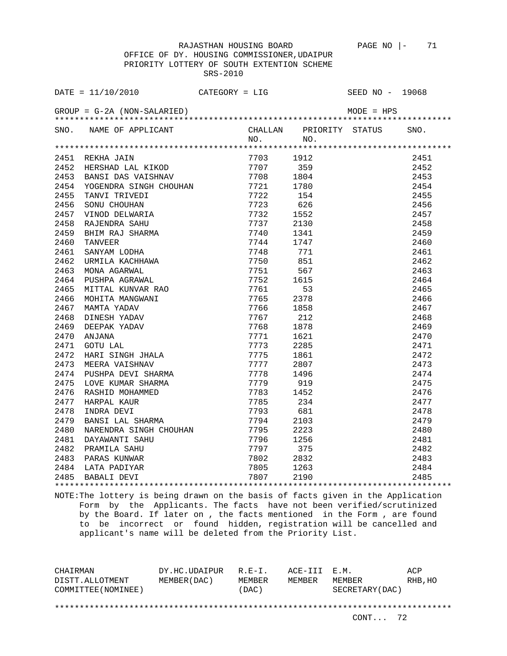OFFICE OF DY. HOUSING COMMISSIONER,UDAIPUR PRIORITY LOTTERY OF SOUTH EXTENTION SCHEME SRS-2010

|      | DATE = $11/10/2010$ CATEGORY = LIG                                                                                                                                                               |                          |      | SEED NO - 19068         |      |
|------|--------------------------------------------------------------------------------------------------------------------------------------------------------------------------------------------------|--------------------------|------|-------------------------|------|
|      | $GROUP = G-2A (NON-SALARIED)$                                                                                                                                                                    |                          |      | MODE = HPS              |      |
|      | SNO. NAME OF APPLICANT                                                                                                                                                                           | NO.                      | NO.  | CHALLAN PRIORITY STATUS | SNO. |
|      |                                                                                                                                                                                                  |                          |      |                         |      |
|      |                                                                                                                                                                                                  |                          | 1912 |                         | 2451 |
|      |                                                                                                                                                                                                  |                          | 359  |                         | 2452 |
|      |                                                                                                                                                                                                  |                          | 1804 |                         | 2453 |
|      |                                                                                                                                                                                                  |                          | 1780 |                         | 2454 |
|      | 2451 REKHA JAIN<br>2452 HERSHAD LAL KIKOD 7707<br>2453 BANSI DAS VAISHNAV 7708<br>2454 YOGENDRA SINGH CHOUHAN 7721<br>2455 TANVI TRIVEDI 7722                                                    |                          | 154  |                         | 2455 |
| 2456 | ERUILE DAS VALU.<br>FOGENDRA SINGH CHOUHAR<br>TANVI TRIVEDI<br>SONU CHOUHAN<br>VINOD DELWARIA<br>TATENDRA SAHU                                                                                   | 7723                     | 626  |                         | 2456 |
| 2457 |                                                                                                                                                                                                  | 7732                     | 1552 |                         | 2457 |
| 2458 |                                                                                                                                                                                                  | 7737                     | 2130 |                         | 2458 |
| 2459 |                                                                                                                                                                                                  | 7740                     | 1341 |                         | 2459 |
| 2460 |                                                                                                                                                                                                  | 7744                     | 1747 |                         | 2460 |
| 2461 | SANYAM LODHA<br>URMILA KACHHAWA<br>MONA AGARWAL<br>PUSHPA AGRAWAL                                                                                                                                | 7748                     | 771  |                         | 2461 |
| 2462 |                                                                                                                                                                                                  | 7750                     | 851  |                         | 2462 |
| 2463 |                                                                                                                                                                                                  | 7751                     | 567  |                         | 2463 |
| 2464 |                                                                                                                                                                                                  | 7752 1615                |      |                         | 2464 |
| 2465 | MITTAL KUNVAR RAO                                                                                                                                                                                | 7761                     | 53   |                         | 2465 |
| 2466 | MOHITA MANGWANI<br>MOHITA MANGWANI<br>DINESH YADAV<br>DEEPAK YADAV<br>ANJANA<br>GOTU LAL<br>WATA TIMGU TUAL                                                                                      | 7765                     | 2378 |                         | 2466 |
| 2467 |                                                                                                                                                                                                  | 7766                     | 1858 |                         | 2467 |
| 2468 |                                                                                                                                                                                                  | 7767                     | 212  |                         | 2468 |
| 2469 |                                                                                                                                                                                                  | 7768                     | 1878 |                         | 2469 |
| 2470 |                                                                                                                                                                                                  | 7771                     | 1621 |                         | 2470 |
| 2471 |                                                                                                                                                                                                  | 7773                     | 2285 |                         | 2471 |
| 2472 |                                                                                                                                                                                                  | 7775                     | 1861 |                         | 2472 |
| 2473 | HARI SINGH JHALA<br>MEERA VAISHNAV<br>DIGULL DILLE                                                                                                                                               | 7777                     | 2807 |                         | 2473 |
| 2474 |                                                                                                                                                                                                  |                          | 1496 |                         | 2474 |
| 2475 |                                                                                                                                                                                                  |                          | 919  |                         | 2475 |
| 2476 | NOVE ROMAR SHARMA<br>RASHID MOHAMMED<br>HARPAL KAUR<br>INDRA DEVI<br>BANSI LAL SHARMA                                                                                                            |                          | 1452 |                         | 2476 |
| 2477 |                                                                                                                                                                                                  |                          | 234  |                         | 2477 |
| 2478 |                                                                                                                                                                                                  | 7793<br>$\frac{7}{7794}$ | 681  |                         | 2478 |
| 2479 |                                                                                                                                                                                                  |                          | 2103 |                         | 2479 |
|      |                                                                                                                                                                                                  |                          |      |                         | 2480 |
|      |                                                                                                                                                                                                  |                          |      |                         | 2481 |
|      |                                                                                                                                                                                                  |                          |      |                         | 2482 |
|      |                                                                                                                                                                                                  |                          |      |                         | 2483 |
|      |                                                                                                                                                                                                  |                          |      | $\frac{2484}{2485}$     |      |
|      | 2480 NARENDRA SINGH CHOUHAN 7795 2223<br>2481 DAYAWANTI SAHU 7796 1256<br>2482 PRAMILA SAHU 7797 375<br>2483 PARAS KUNWAR 7802 2832<br>2484 LATA PADIYAR 7805 1263<br>2485 BABALI DEVI 7807 2190 |                          |      |                         |      |
|      |                                                                                                                                                                                                  |                          |      |                         |      |

NOTE:The lottery is being drawn on the basis of facts given in the Application Form by the Applicants. The facts have not been verified/scrutinized by the Board. If later on , the facts mentioned in the Form , are found to be incorrect or found hidden, registration will be cancelled and applicant's name will be deleted from the Priority List.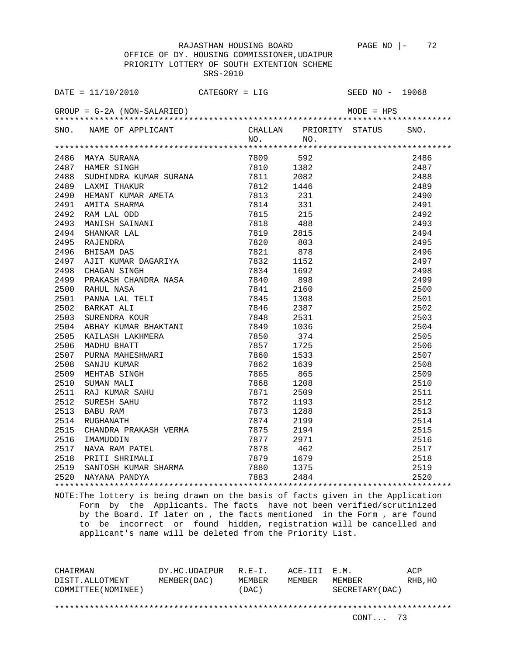OFFICE OF DY. HOUSING COMMISSIONER,UDAIPUR PRIORITY LOTTERY OF SOUTH EXTENTION SCHEME SRS-2010

|      | DATE = $11/10/2010$ CATEGORY = LIG                                                                                                                                                                                                            |  | SEED NO - 19068                                                                                                                                                                                                                                                                      |      |
|------|-----------------------------------------------------------------------------------------------------------------------------------------------------------------------------------------------------------------------------------------------|--|--------------------------------------------------------------------------------------------------------------------------------------------------------------------------------------------------------------------------------------------------------------------------------------|------|
|      |                                                                                                                                                                                                                                               |  | 9E.<br>MODE<br>4 PRIORITY STATU.<br>NO.<br>2009 592<br>7810 1382<br>7811 2082<br>12 1446<br>3 231<br>831<br>215<br>863 2495<br>878 2495<br>878 2496<br>152<br>2498 8 2499<br>8 2499<br>8 2499<br>8 2499<br>8 2499<br>8 2499<br>8 2499<br>8 2500<br>2500<br>2500<br>2500<br>2500<br>2 |      |
|      | SNO. NAME OF APPLICANT                                                                                                                                                                                                                        |  |                                                                                                                                                                                                                                                                                      |      |
|      |                                                                                                                                                                                                                                               |  |                                                                                                                                                                                                                                                                                      |      |
|      |                                                                                                                                                                                                                                               |  |                                                                                                                                                                                                                                                                                      |      |
|      | 2486 MAYA SURANA<br>2487 HAMER SINGH 7809 592<br>2488 SUDHINDRA KUMAR SURANA 7811 2082<br>2488 SUDHINDRA KUMAR SURANA 7811 2082                                                                                                               |  |                                                                                                                                                                                                                                                                                      |      |
|      |                                                                                                                                                                                                                                               |  |                                                                                                                                                                                                                                                                                      |      |
|      |                                                                                                                                                                                                                                               |  |                                                                                                                                                                                                                                                                                      |      |
| 2489 |                                                                                                                                                                                                                                               |  |                                                                                                                                                                                                                                                                                      |      |
| 2490 |                                                                                                                                                                                                                                               |  |                                                                                                                                                                                                                                                                                      |      |
| 2491 |                                                                                                                                                                                                                                               |  |                                                                                                                                                                                                                                                                                      |      |
| 2492 |                                                                                                                                                                                                                                               |  |                                                                                                                                                                                                                                                                                      |      |
| 2493 |                                                                                                                                                                                                                                               |  |                                                                                                                                                                                                                                                                                      |      |
| 2494 |                                                                                                                                                                                                                                               |  |                                                                                                                                                                                                                                                                                      |      |
| 2495 |                                                                                                                                                                                                                                               |  |                                                                                                                                                                                                                                                                                      |      |
| 2496 |                                                                                                                                                                                                                                               |  |                                                                                                                                                                                                                                                                                      |      |
| 2497 |                                                                                                                                                                                                                                               |  |                                                                                                                                                                                                                                                                                      |      |
| 2498 |                                                                                                                                                                                                                                               |  |                                                                                                                                                                                                                                                                                      |      |
| 2499 |                                                                                                                                                                                                                                               |  |                                                                                                                                                                                                                                                                                      |      |
| 2500 |                                                                                                                                                                                                                                               |  |                                                                                                                                                                                                                                                                                      |      |
| 2501 |                                                                                                                                                                                                                                               |  |                                                                                                                                                                                                                                                                                      |      |
| 2502 |                                                                                                                                                                                                                                               |  |                                                                                                                                                                                                                                                                                      |      |
| 2503 |                                                                                                                                                                                                                                               |  |                                                                                                                                                                                                                                                                                      |      |
| 2504 |                                                                                                                                                                                                                                               |  |                                                                                                                                                                                                                                                                                      |      |
| 2505 |                                                                                                                                                                                                                                               |  |                                                                                                                                                                                                                                                                                      |      |
| 2506 |                                                                                                                                                                                                                                               |  |                                                                                                                                                                                                                                                                                      |      |
| 2507 |                                                                                                                                                                                                                                               |  |                                                                                                                                                                                                                                                                                      | 2507 |
| 2508 |                                                                                                                                                                                                                                               |  |                                                                                                                                                                                                                                                                                      | 2508 |
| 2509 |                                                                                                                                                                                                                                               |  |                                                                                                                                                                                                                                                                                      | 2509 |
| 2510 |                                                                                                                                                                                                                                               |  |                                                                                                                                                                                                                                                                                      | 2510 |
| 2511 |                                                                                                                                                                                                                                               |  |                                                                                                                                                                                                                                                                                      | 2511 |
| 2512 |                                                                                                                                                                                                                                               |  |                                                                                                                                                                                                                                                                                      | 2512 |
| 2513 |                                                                                                                                                                                                                                               |  |                                                                                                                                                                                                                                                                                      | 2513 |
| 2514 |                                                                                                                                                                                                                                               |  |                                                                                                                                                                                                                                                                                      | 2514 |
| 2515 |                                                                                                                                                                                                                                               |  |                                                                                                                                                                                                                                                                                      | 2515 |
| 2516 |                                                                                                                                                                                                                                               |  |                                                                                                                                                                                                                                                                                      | 2516 |
| 2517 |                                                                                                                                                                                                                                               |  |                                                                                                                                                                                                                                                                                      | 2517 |
| 2518 |                                                                                                                                                                                                                                               |  |                                                                                                                                                                                                                                                                                      | 2518 |
| 2519 |                                                                                                                                                                                                                                               |  |                                                                                                                                                                                                                                                                                      | 2519 |
|      | 2520 NAYANA PANDYA                                                                                                                                                                                                                            |  |                                                                                                                                                                                                                                                                                      | 2520 |
|      | FIAMER SINGH MARK SURANA 7810 1382<br>1808 SUDHINDRA KUMAR SURANA 7811 2082<br>1820 LAXMIT THAKUR AMETA 7812 1446<br>HEMANIT KUMAR AMETA 7812 1446<br>1821 RAM LAL ODD 7813 231<br>1821 RAM LAL ODD 7815 215<br>1831 RAM LAL ODD 7816 215<br> |  |                                                                                                                                                                                                                                                                                      |      |

NOTE:The lottery is being drawn on the basis of facts given in the Application Form by the Applicants. The facts have not been verified/scrutinized by the Board. If later on , the facts mentioned in the Form , are found to be incorrect or found hidden, registration will be cancelled and applicant's name will be deleted from the Priority List.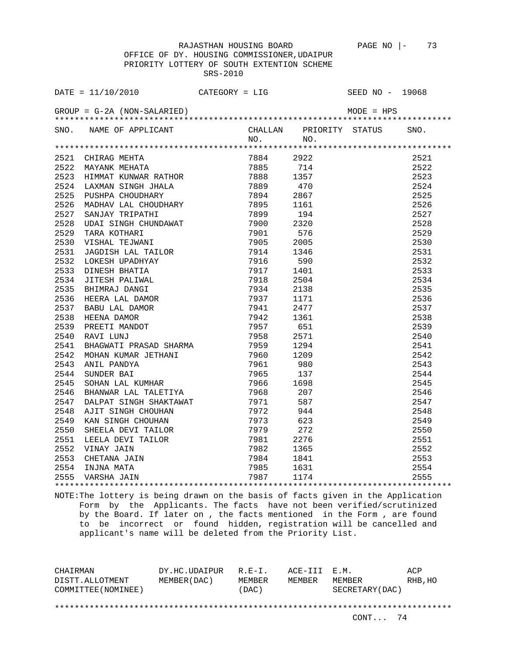OFFICE OF DY. HOUSING COMMISSIONER,UDAIPUR PRIORITY LOTTERY OF SOUTH EXTENTION SCHEME SRS-2010

| SNO. NAME OF APPLICANT CHALLAN PRIORITY STATUS SNO.<br>NO. NO. NO.                                                                                                                                                                                                 |  |                                                                                                                                |      |
|--------------------------------------------------------------------------------------------------------------------------------------------------------------------------------------------------------------------------------------------------------------------|--|--------------------------------------------------------------------------------------------------------------------------------|------|
| 1982<br>1982<br>1984 - 2022<br>1984 - 2022<br>1984 - 2022<br>1984 - 2022<br>1984 - 2022<br>1984 - 2022<br>1984 - 2022<br>1984 - 2022<br>1984 - 2022<br>1986 - 114<br>1989 - 114<br>1989 - 114<br>1989 - 114<br>1989 - 114<br>1989 - 114<br>1989 - 114<br>1989 - 11 |  |                                                                                                                                |      |
|                                                                                                                                                                                                                                                                    |  |                                                                                                                                | 2521 |
|                                                                                                                                                                                                                                                                    |  |                                                                                                                                | 2522 |
|                                                                                                                                                                                                                                                                    |  |                                                                                                                                | 2523 |
|                                                                                                                                                                                                                                                                    |  |                                                                                                                                | 2524 |
|                                                                                                                                                                                                                                                                    |  |                                                                                                                                | 2525 |
|                                                                                                                                                                                                                                                                    |  |                                                                                                                                | 2526 |
|                                                                                                                                                                                                                                                                    |  |                                                                                                                                | 2527 |
|                                                                                                                                                                                                                                                                    |  | 2922<br>714<br>1357<br>470<br>2867<br>1161<br>194<br>2320<br>576<br>2005                                                       | 2528 |
|                                                                                                                                                                                                                                                                    |  |                                                                                                                                | 2529 |
|                                                                                                                                                                                                                                                                    |  |                                                                                                                                | 2530 |
|                                                                                                                                                                                                                                                                    |  |                                                                                                                                | 2531 |
|                                                                                                                                                                                                                                                                    |  |                                                                                                                                | 2532 |
|                                                                                                                                                                                                                                                                    |  |                                                                                                                                | 2533 |
|                                                                                                                                                                                                                                                                    |  |                                                                                                                                | 2534 |
|                                                                                                                                                                                                                                                                    |  |                                                                                                                                | 2535 |
|                                                                                                                                                                                                                                                                    |  |                                                                                                                                | 2536 |
|                                                                                                                                                                                                                                                                    |  |                                                                                                                                | 2537 |
|                                                                                                                                                                                                                                                                    |  |                                                                                                                                | 2538 |
|                                                                                                                                                                                                                                                                    |  |                                                                                                                                | 2539 |
|                                                                                                                                                                                                                                                                    |  |                                                                                                                                | 2540 |
|                                                                                                                                                                                                                                                                    |  |                                                                                                                                | 2541 |
|                                                                                                                                                                                                                                                                    |  |                                                                                                                                | 2542 |
|                                                                                                                                                                                                                                                                    |  |                                                                                                                                | 2543 |
|                                                                                                                                                                                                                                                                    |  |                                                                                                                                | 2544 |
|                                                                                                                                                                                                                                                                    |  |                                                                                                                                | 2545 |
|                                                                                                                                                                                                                                                                    |  |                                                                                                                                | 2546 |
|                                                                                                                                                                                                                                                                    |  |                                                                                                                                | 2547 |
|                                                                                                                                                                                                                                                                    |  |                                                                                                                                | 2548 |
|                                                                                                                                                                                                                                                                    |  |                                                                                                                                | 2549 |
|                                                                                                                                                                                                                                                                    |  |                                                                                                                                |      |
|                                                                                                                                                                                                                                                                    |  |                                                                                                                                |      |
|                                                                                                                                                                                                                                                                    |  |                                                                                                                                |      |
|                                                                                                                                                                                                                                                                    |  |                                                                                                                                |      |
|                                                                                                                                                                                                                                                                    |  |                                                                                                                                |      |
| 2013 1988 207<br>2547 DALPAT SINGH SHAKTAWAT 7971 587<br>2548 AJIT SINGH CHOUHAN 7972 944<br>2550 SHEELA DEVI TAILOR 7979 272<br>2551 LEELA DEVI TAILOR 7981 2276<br>2552 VINAY JAIN 7982 1365<br>2553 CHETANA JAIN 7984 1841<br>2554 INJNA                        |  | $\begin{array}{r} 2550 \\ 2550 \\ 2551 \\ 2552 \\ 2553 \\ 2554 \\ 2554 \\ 2554 \\ 2554 \\ 2554 \\ 2554 \\ 2554 \\ \end{array}$ |      |
|                                                                                                                                                                                                                                                                    |  |                                                                                                                                |      |

NOTE:The lottery is being drawn on the basis of facts given in the Application Form by the Applicants. The facts have not been verified/scrutinized by the Board. If later on , the facts mentioned in the Form , are found to be incorrect or found hidden, registration will be cancelled and applicant's name will be deleted from the Priority List.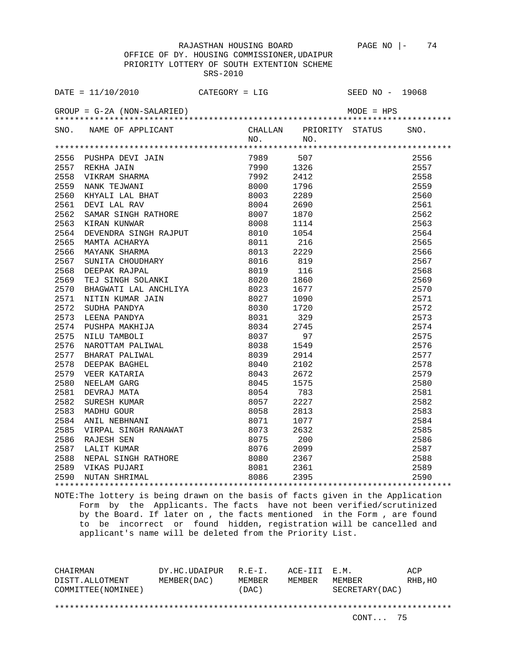OFFICE OF DY. HOUSING COMMISSIONER,UDAIPUR PRIORITY LOTTERY OF SOUTH EXTENTION SCHEME SRS-2010

| SNO. NAME OF APPLICANT |     |     | CHALLAN PRIORITY STATUS SNO.                                                                                                                                                                                                                                                                                     |      |
|------------------------|-----|-----|------------------------------------------------------------------------------------------------------------------------------------------------------------------------------------------------------------------------------------------------------------------------------------------------------------------|------|
|                        | NO. | NO. |                                                                                                                                                                                                                                                                                                                  |      |
|                        |     |     |                                                                                                                                                                                                                                                                                                                  |      |
|                        |     |     |                                                                                                                                                                                                                                                                                                                  | 2556 |
|                        |     |     |                                                                                                                                                                                                                                                                                                                  | 2557 |
|                        |     |     |                                                                                                                                                                                                                                                                                                                  | 2558 |
|                        |     |     |                                                                                                                                                                                                                                                                                                                  | 2559 |
|                        |     |     |                                                                                                                                                                                                                                                                                                                  | 2560 |
|                        |     |     |                                                                                                                                                                                                                                                                                                                  | 2561 |
|                        |     |     |                                                                                                                                                                                                                                                                                                                  | 2562 |
|                        |     |     |                                                                                                                                                                                                                                                                                                                  | 2563 |
|                        |     |     |                                                                                                                                                                                                                                                                                                                  | 2564 |
|                        |     |     |                                                                                                                                                                                                                                                                                                                  | 2565 |
|                        |     |     |                                                                                                                                                                                                                                                                                                                  | 2566 |
|                        |     |     |                                                                                                                                                                                                                                                                                                                  | 2567 |
|                        |     |     |                                                                                                                                                                                                                                                                                                                  | 2568 |
|                        |     |     |                                                                                                                                                                                                                                                                                                                  | 2569 |
|                        |     |     |                                                                                                                                                                                                                                                                                                                  | 2570 |
|                        |     |     |                                                                                                                                                                                                                                                                                                                  | 2571 |
|                        |     |     |                                                                                                                                                                                                                                                                                                                  | 2572 |
|                        |     |     |                                                                                                                                                                                                                                                                                                                  | 2573 |
|                        |     |     |                                                                                                                                                                                                                                                                                                                  |      |
|                        |     |     |                                                                                                                                                                                                                                                                                                                  |      |
|                        |     |     |                                                                                                                                                                                                                                                                                                                  |      |
|                        |     |     |                                                                                                                                                                                                                                                                                                                  |      |
|                        |     |     |                                                                                                                                                                                                                                                                                                                  |      |
|                        |     |     |                                                                                                                                                                                                                                                                                                                  |      |
|                        |     |     |                                                                                                                                                                                                                                                                                                                  |      |
|                        |     |     |                                                                                                                                                                                                                                                                                                                  |      |
|                        |     |     |                                                                                                                                                                                                                                                                                                                  |      |
|                        |     |     |                                                                                                                                                                                                                                                                                                                  |      |
|                        |     |     |                                                                                                                                                                                                                                                                                                                  |      |
|                        |     |     |                                                                                                                                                                                                                                                                                                                  |      |
|                        |     |     |                                                                                                                                                                                                                                                                                                                  |      |
|                        |     |     |                                                                                                                                                                                                                                                                                                                  |      |
|                        |     |     |                                                                                                                                                                                                                                                                                                                  |      |
|                        |     |     |                                                                                                                                                                                                                                                                                                                  |      |
|                        |     |     | ${\begin{array}{c} 2572 \\ 2573 \\ 2573 \\ 2574 \\ 2575 \\ 2576 \\ 2577 \\ 2578 \\ 2578 \\ 2580 \\ 2581 \\ 2581 \\ 2582 \\ 2583 \\ 2584 \\ 2583 \\ 2584 \\ 2583 \\ 2586 \\ 2586 \\ 2587 \\ 2588 \\ 2588 \\ 2589 \\ 2590 \\ 2590 \\ 378 \\ 2589 \\ 2590 \\ 378 \\ 2589 \\ 2590 \\ 378 \\ 2589 \\ 2590 \\ 378 \\ $ |      |
|                        |     |     |                                                                                                                                                                                                                                                                                                                  |      |

NOTE:The lottery is being drawn on the basis of facts given in the Application Form by the Applicants. The facts have not been verified/scrutinized by the Board. If later on , the facts mentioned in the Form , are found to be incorrect or found hidden, registration will be cancelled and applicant's name will be deleted from the Priority List.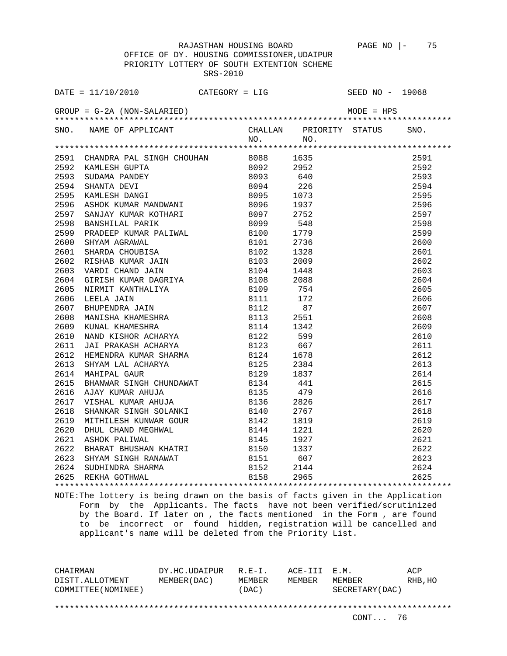OFFICE OF DY. HOUSING COMMISSIONER,UDAIPUR PRIORITY LOTTERY OF SOUTH EXTENTION SCHEME SRS-2010

|      | SNO. NAME OF APPLICANT CHALLAN PRIORITY STATUS SNO.<br>NO. NO. NO.                                                                                                                                                                         |  |      |  |
|------|--------------------------------------------------------------------------------------------------------------------------------------------------------------------------------------------------------------------------------------------|--|------|--|
|      |                                                                                                                                                                                                                                            |  |      |  |
|      |                                                                                                                                                                                                                                            |  |      |  |
|      |                                                                                                                                                                                                                                            |  |      |  |
|      | 2591 CHANDRA PAL SINGH CHOUHAN 8088 1635<br>2592 KAMLESH GUPTA 8092 2952<br>2593 SUDAMA PANDEY 8093 640<br>2594 SHANTA DEVI 8094 226<br>2595 KAMLESH DANGI 8095 1073<br>2596 ASHOK KUMAR MANDWANI 8096 1937<br>2596 ASHOK KUMAR MANDWANI 8 |  |      |  |
|      |                                                                                                                                                                                                                                            |  |      |  |
|      |                                                                                                                                                                                                                                            |  |      |  |
|      |                                                                                                                                                                                                                                            |  |      |  |
|      |                                                                                                                                                                                                                                            |  |      |  |
| 2597 |                                                                                                                                                                                                                                            |  |      |  |
| 2598 |                                                                                                                                                                                                                                            |  |      |  |
| 2599 |                                                                                                                                                                                                                                            |  |      |  |
| 2600 |                                                                                                                                                                                                                                            |  |      |  |
| 2601 |                                                                                                                                                                                                                                            |  |      |  |
| 2602 |                                                                                                                                                                                                                                            |  |      |  |
| 2603 |                                                                                                                                                                                                                                            |  |      |  |
| 2604 |                                                                                                                                                                                                                                            |  |      |  |
| 2605 |                                                                                                                                                                                                                                            |  |      |  |
| 2606 |                                                                                                                                                                                                                                            |  |      |  |
| 2607 |                                                                                                                                                                                                                                            |  |      |  |
| 2608 |                                                                                                                                                                                                                                            |  |      |  |
| 2609 |                                                                                                                                                                                                                                            |  |      |  |
| 2610 |                                                                                                                                                                                                                                            |  |      |  |
| 2611 |                                                                                                                                                                                                                                            |  |      |  |
| 2612 |                                                                                                                                                                                                                                            |  |      |  |
| 2613 |                                                                                                                                                                                                                                            |  |      |  |
| 2614 | MAHIPAL GAUR                                                                                                                                                                                                                               |  |      |  |
| 2615 | ASHOK KUMAR MANDWANI (ASHOK KUMAR MANDWANI (ASHOK KUMAR KOTHARI (ASHOF 2752)<br>BANSHILAL PARIK (ASHOF 2752)<br>PRADER KUMAR PALIWAL (ASHOF 27796)<br>SHANDA AGRAWAI (ASHOF 27796)<br>SHARDA CHOUBISA (ASHOF 27796)<br>SHARDA CHOUBISA (   |  |      |  |
| 2616 |                                                                                                                                                                                                                                            |  |      |  |
| 2617 | VISHAL KUMAR AHUJA 6136 2826                                                                                                                                                                                                               |  |      |  |
| 2618 |                                                                                                                                                                                                                                            |  | 2767 |  |
| 2619 | SHANKAR SINGH SOLANKI 5140<br>MITHILESH KUNWAR GOUR 8142<br>DHUL CHAND MEGHWAL 8144<br>ASHOK PALIWAL 8145                                                                                                                                  |  | 1819 |  |
| 2620 |                                                                                                                                                                                                                                            |  | 1221 |  |
| 2621 |                                                                                                                                                                                                                                            |  | 1927 |  |
|      |                                                                                                                                                                                                                                            |  |      |  |
|      |                                                                                                                                                                                                                                            |  |      |  |
|      |                                                                                                                                                                                                                                            |  |      |  |
|      | 2621 ADMON FRIEDRICH<br>2622 BHARAT BHUSHAN KHATRI 8150 1337<br>2623 SHYAM SINGH RANAWAT 8151 607<br>2624 SUDHINDRA SHARMA 8152 2144<br>2625 REKHA GOTHWAL 8158 2965                                                                       |  |      |  |
|      |                                                                                                                                                                                                                                            |  |      |  |

NOTE:The lottery is being drawn on the basis of facts given in the Application Form by the Applicants. The facts have not been verified/scrutinized by the Board. If later on , the facts mentioned in the Form , are found to be incorrect or found hidden, registration will be cancelled and applicant's name will be deleted from the Priority List.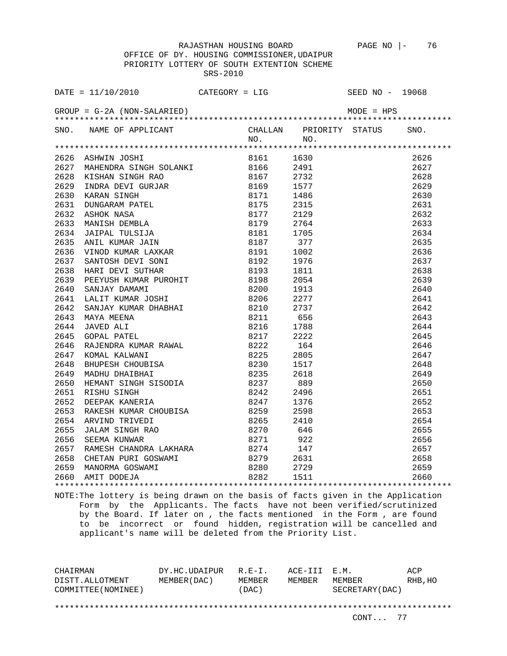OFFICE OF DY. HOUSING COMMISSIONER,UDAIPUR PRIORITY LOTTERY OF SOUTH EXTENTION SCHEME SRS-2010

| SNO. NAME OF APPLICANT CHALLAN PRIORITY STATUS SNO.<br>NO. NO. NO. |  |  |  |
|--------------------------------------------------------------------|--|--|--|
|                                                                    |  |  |  |
|                                                                    |  |  |  |
|                                                                    |  |  |  |
|                                                                    |  |  |  |
|                                                                    |  |  |  |
|                                                                    |  |  |  |
|                                                                    |  |  |  |
|                                                                    |  |  |  |
|                                                                    |  |  |  |
|                                                                    |  |  |  |
|                                                                    |  |  |  |
|                                                                    |  |  |  |
|                                                                    |  |  |  |
|                                                                    |  |  |  |
|                                                                    |  |  |  |
|                                                                    |  |  |  |
|                                                                    |  |  |  |
|                                                                    |  |  |  |
|                                                                    |  |  |  |
|                                                                    |  |  |  |
|                                                                    |  |  |  |
|                                                                    |  |  |  |
|                                                                    |  |  |  |
|                                                                    |  |  |  |
|                                                                    |  |  |  |
|                                                                    |  |  |  |
|                                                                    |  |  |  |
|                                                                    |  |  |  |
|                                                                    |  |  |  |
|                                                                    |  |  |  |
|                                                                    |  |  |  |
|                                                                    |  |  |  |
|                                                                    |  |  |  |
|                                                                    |  |  |  |
|                                                                    |  |  |  |
|                                                                    |  |  |  |
|                                                                    |  |  |  |
|                                                                    |  |  |  |

NOTE:The lottery is being drawn on the basis of facts given in the Application Form by the Applicants. The facts have not been verified/scrutinized by the Board. If later on , the facts mentioned in the Form , are found to be incorrect or found hidden, registration will be cancelled and applicant's name will be deleted from the Priority List.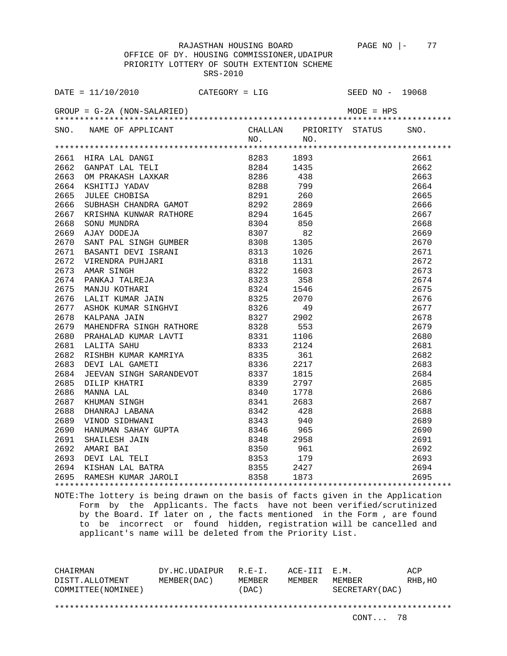OFFICE OF DY. HOUSING COMMISSIONER,UDAIPUR PRIORITY LOTTERY OF SOUTH EXTENTION SCHEME SRS-2010

| $\begin{tabular}{cccccccc} \multicolumn{4}{c}{\begin{tabular}{c} \multicolumn{4}{c}{\textbf{ARED1}}\end{tabular}} & $\multicolumn{4}{c}{\begin{tabular}{c} \multicolumn{4}{c}{\textbf{ARED2}}\end{tabular}}\\ & $\multicolumn{4}{c}{\begin{tabular}{c} \multicolumn{4}{c}{\textbf{ARED1}}\end{tabular}}}} & $\multicolumn{4}{c}{\begin{tabular}{c} \multicolumn{4}{c}{\textbf{ASPIST}}\end{tabular}}\\ & $\multicolumn{4}{c}{\begin{tabular}{c} \multicolumn{4}{c}{\textbf{ASPIST}}\end{tabular}}}} & $\mult$ |  |  |      |
|---------------------------------------------------------------------------------------------------------------------------------------------------------------------------------------------------------------------------------------------------------------------------------------------------------------------------------------------------------------------------------------------------------------------------------------------------------------------------------------------------------------|--|--|------|
|                                                                                                                                                                                                                                                                                                                                                                                                                                                                                                               |  |  |      |
|                                                                                                                                                                                                                                                                                                                                                                                                                                                                                                               |  |  |      |
|                                                                                                                                                                                                                                                                                                                                                                                                                                                                                                               |  |  |      |
|                                                                                                                                                                                                                                                                                                                                                                                                                                                                                                               |  |  |      |
|                                                                                                                                                                                                                                                                                                                                                                                                                                                                                                               |  |  |      |
|                                                                                                                                                                                                                                                                                                                                                                                                                                                                                                               |  |  |      |
|                                                                                                                                                                                                                                                                                                                                                                                                                                                                                                               |  |  |      |
|                                                                                                                                                                                                                                                                                                                                                                                                                                                                                                               |  |  |      |
|                                                                                                                                                                                                                                                                                                                                                                                                                                                                                                               |  |  |      |
|                                                                                                                                                                                                                                                                                                                                                                                                                                                                                                               |  |  |      |
|                                                                                                                                                                                                                                                                                                                                                                                                                                                                                                               |  |  |      |
|                                                                                                                                                                                                                                                                                                                                                                                                                                                                                                               |  |  |      |
|                                                                                                                                                                                                                                                                                                                                                                                                                                                                                                               |  |  |      |
|                                                                                                                                                                                                                                                                                                                                                                                                                                                                                                               |  |  |      |
|                                                                                                                                                                                                                                                                                                                                                                                                                                                                                                               |  |  |      |
|                                                                                                                                                                                                                                                                                                                                                                                                                                                                                                               |  |  |      |
|                                                                                                                                                                                                                                                                                                                                                                                                                                                                                                               |  |  |      |
|                                                                                                                                                                                                                                                                                                                                                                                                                                                                                                               |  |  |      |
|                                                                                                                                                                                                                                                                                                                                                                                                                                                                                                               |  |  |      |
|                                                                                                                                                                                                                                                                                                                                                                                                                                                                                                               |  |  |      |
|                                                                                                                                                                                                                                                                                                                                                                                                                                                                                                               |  |  |      |
|                                                                                                                                                                                                                                                                                                                                                                                                                                                                                                               |  |  |      |
|                                                                                                                                                                                                                                                                                                                                                                                                                                                                                                               |  |  |      |
|                                                                                                                                                                                                                                                                                                                                                                                                                                                                                                               |  |  |      |
|                                                                                                                                                                                                                                                                                                                                                                                                                                                                                                               |  |  |      |
|                                                                                                                                                                                                                                                                                                                                                                                                                                                                                                               |  |  |      |
|                                                                                                                                                                                                                                                                                                                                                                                                                                                                                                               |  |  |      |
|                                                                                                                                                                                                                                                                                                                                                                                                                                                                                                               |  |  |      |
|                                                                                                                                                                                                                                                                                                                                                                                                                                                                                                               |  |  |      |
|                                                                                                                                                                                                                                                                                                                                                                                                                                                                                                               |  |  |      |
|                                                                                                                                                                                                                                                                                                                                                                                                                                                                                                               |  |  |      |
|                                                                                                                                                                                                                                                                                                                                                                                                                                                                                                               |  |  |      |
|                                                                                                                                                                                                                                                                                                                                                                                                                                                                                                               |  |  | 2690 |
|                                                                                                                                                                                                                                                                                                                                                                                                                                                                                                               |  |  | 2691 |
|                                                                                                                                                                                                                                                                                                                                                                                                                                                                                                               |  |  | 2692 |
|                                                                                                                                                                                                                                                                                                                                                                                                                                                                                                               |  |  | 2693 |
|                                                                                                                                                                                                                                                                                                                                                                                                                                                                                                               |  |  | 2694 |
|                                                                                                                                                                                                                                                                                                                                                                                                                                                                                                               |  |  | 2695 |
|                                                                                                                                                                                                                                                                                                                                                                                                                                                                                                               |  |  |      |

NOTE:The lottery is being drawn on the basis of facts given in the Application Form by the Applicants. The facts have not been verified/scrutinized by the Board. If later on , the facts mentioned in the Form , are found to be incorrect or found hidden, registration will be cancelled and applicant's name will be deleted from the Priority List.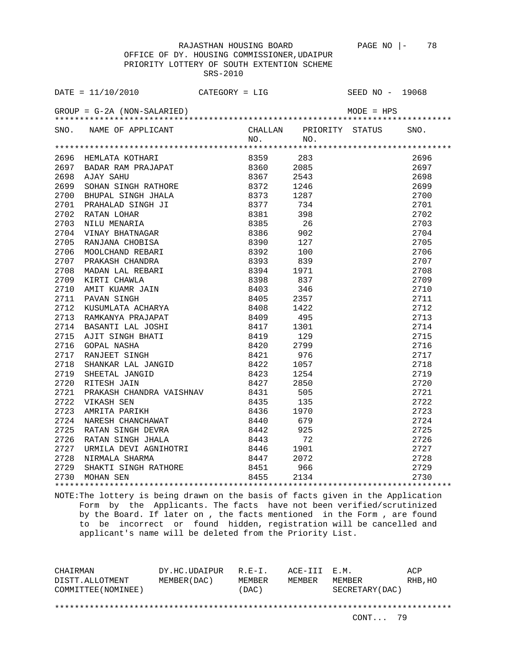OFFICE OF DY. HOUSING COMMISSIONER,UDAIPUR PRIORITY LOTTERY OF SOUTH EXTENTION SCHEME SRS-2010

| SNO. | NAME OF APPLICANT                                                                                                                                                                                                                                                                                                                                                                                                                                                   |                  | NO.          | CHALLAN PRIORITY STATUS<br>NO. | SNO. |
|------|---------------------------------------------------------------------------------------------------------------------------------------------------------------------------------------------------------------------------------------------------------------------------------------------------------------------------------------------------------------------------------------------------------------------------------------------------------------------|------------------|--------------|--------------------------------|------|
|      |                                                                                                                                                                                                                                                                                                                                                                                                                                                                     |                  |              |                                |      |
|      |                                                                                                                                                                                                                                                                                                                                                                                                                                                                     |                  | 8359 283     |                                | 2696 |
|      | 9696 HEMLATA KOTHARI (* 1835)<br>1697 BADAR RAM PRAJAPAT (* 18360)<br>2698 AJAY SAHU (* 18367)<br>2699 SOHAN SINGH RATHORE (* 18372)                                                                                                                                                                                                                                                                                                                                |                  | 8360 2085    |                                | 2697 |
|      |                                                                                                                                                                                                                                                                                                                                                                                                                                                                     |                  |              | 2543                           | 2698 |
|      |                                                                                                                                                                                                                                                                                                                                                                                                                                                                     |                  |              | 1246                           | 2699 |
| 2700 |                                                                                                                                                                                                                                                                                                                                                                                                                                                                     |                  |              | 1287                           | 2700 |
| 2701 |                                                                                                                                                                                                                                                                                                                                                                                                                                                                     |                  |              | 734                            | 2701 |
| 2702 | BHUPAL SINGH JHALA 8373<br>PRAHALAD SINGH JI 8377<br>RATAN LOHAR 8381<br>NILU MENARIA 8385<br>TILU MENARIA 8385                                                                                                                                                                                                                                                                                                                                                     |                  |              | 398                            | 2702 |
| 2703 |                                                                                                                                                                                                                                                                                                                                                                                                                                                                     |                  |              | 26                             | 2703 |
| 2704 | VINAY BHATNAGAR 8386<br>RANJANA CHOBISA 8390<br>1990 - The Physical School                                                                                                                                                                                                                                                                                                                                                                                          |                  |              | 902                            | 2704 |
| 2705 |                                                                                                                                                                                                                                                                                                                                                                                                                                                                     |                  |              | 127                            | 2705 |
| 2706 | MOOLCHAND REBARI                                                                                                                                                                                                                                                                                                                                                                                                                                                    | $8392$<br>$8393$ | 8390<br>8392 | 100                            | 2706 |
| 2707 | PRAKASH CHANDRA                                                                                                                                                                                                                                                                                                                                                                                                                                                     |                  |              | 839                            | 2707 |
| 2708 | MADAN LAL REBARI                                                                                                                                                                                                                                                                                                                                                                                                                                                    |                  | 8394         | 1971                           | 2708 |
| 2709 | KIRTI CHAWLA                                                                                                                                                                                                                                                                                                                                                                                                                                                        |                  | 8398         | 837                            | 2709 |
| 2710 | AMIT KUAMR JAIN                                                                                                                                                                                                                                                                                                                                                                                                                                                     |                  | 8403         | 346                            | 2710 |
| 2711 | PAVAN SINGH<br>KUSUMLATA ACHARYA                                                                                                                                                                                                                                                                                                                                                                                                                                    | 8405             |              | 2357                           | 2711 |
| 2712 |                                                                                                                                                                                                                                                                                                                                                                                                                                                                     |                  | 8408<br>8409 | 1422                           | 2712 |
| 2713 | RAMKANYA PRAJAPAT                                                                                                                                                                                                                                                                                                                                                                                                                                                   |                  |              | 495                            | 2713 |
| 2714 | BASANTI LAL JOSHI                                                                                                                                                                                                                                                                                                                                                                                                                                                   |                  | 8417         | 1301                           | 2714 |
| 2715 | AJIT SINGH BHATI 8419<br>GOPAL NASHA 8420<br>RANJEET SINGH 8421                                                                                                                                                                                                                                                                                                                                                                                                     |                  |              | 129                            | 2715 |
| 2716 |                                                                                                                                                                                                                                                                                                                                                                                                                                                                     |                  |              | 2799                           | 2716 |
| 2717 |                                                                                                                                                                                                                                                                                                                                                                                                                                                                     |                  | 0420<br>8421 | 976                            | 2717 |
| 2718 | SHANKAR LAL JANGID 8422                                                                                                                                                                                                                                                                                                                                                                                                                                             |                  |              | 1057                           | 2718 |
| 2719 | SHEETAL JANGID                                                                                                                                                                                                                                                                                                                                                                                                                                                      | $8423$<br>$8427$ |              | 1254                           | 2719 |
| 2720 | EXECUTE SALE NET ARRIVED STAR AND MANUSCRIP START AND RESERVED AND RESERVED AND RESERVED AND RESERVED AND RESERVED AND RESERVED AND RESERVED AND RESERVED AND RESERVED AND RESERVED AND RESERVED AND RESERVED AND RESERVED AND                                                                                                                                                                                                                                      |                  |              | 2850                           | 2720 |
| 2721 |                                                                                                                                                                                                                                                                                                                                                                                                                                                                     |                  |              | 505                            | 2721 |
| 2722 |                                                                                                                                                                                                                                                                                                                                                                                                                                                                     |                  |              | 135                            | 2722 |
| 2723 |                                                                                                                                                                                                                                                                                                                                                                                                                                                                     |                  |              | 1970                           | 2723 |
| 2724 |                                                                                                                                                                                                                                                                                                                                                                                                                                                                     |                  |              | 679                            | 2724 |
| 2725 |                                                                                                                                                                                                                                                                                                                                                                                                                                                                     |                  |              | 925                            | 2725 |
| 2726 |                                                                                                                                                                                                                                                                                                                                                                                                                                                                     |                  |              | 72                             | 2726 |
| 2727 | $\begin{tabular}{llllll} $\times435$ & $\times435$ \\ \multicolumn{2}{c}{\textbf{25}}$ & $\times$435 & $\times$436 \\ \multicolumn{2}{c}{\textbf{RATAN}}$ & $\textbf{SINGH} $ & $\textbf{DEVRA}$ & $\times$440 \\ \multicolumn{2}{c}{\textbf{RATAN}}$ & $\textbf{SINGH} $ & $\textbf{JHALA}$ & $\times$442 \\ \multicolumn{2}{c}{\textbf{RATAN}}$ & $\textbf{SINGH} $ & $\textbf{JHALA}$ & $\times$442 \\ \multicolumn{2}{c}{\textbf{WMLLA} $ & $\textbf{DEVI} $ &$ |                  |              | 1901                           | 2727 |
| 2728 |                                                                                                                                                                                                                                                                                                                                                                                                                                                                     |                  |              | 2072                           | 2728 |
| 2729 | SHAKTI SINGH RATHORE 8451 966<br>MOHAN SEN 8455 2134                                                                                                                                                                                                                                                                                                                                                                                                                |                  |              |                                | 2729 |
| 2730 |                                                                                                                                                                                                                                                                                                                                                                                                                                                                     |                  |              |                                | 2730 |
|      |                                                                                                                                                                                                                                                                                                                                                                                                                                                                     |                  |              |                                |      |

NOTE:The lottery is being drawn on the basis of facts given in the Application Form by the Applicants. The facts have not been verified/scrutinized by the Board. If later on , the facts mentioned in the Form , are found to be incorrect or found hidden, registration will be cancelled and applicant's name will be deleted from the Priority List.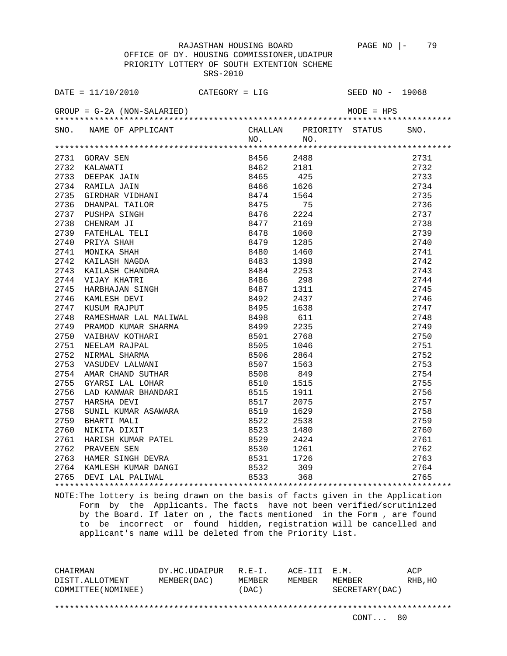OFFICE OF DY. HOUSING COMMISSIONER,UDAIPUR PRIORITY LOTTERY OF SOUTH EXTENTION SCHEME SRS-2010

|      | DATE = $11/10/2010$ CATEGORY = LIG                                                                                                                                                                                                        |      |                                     | SEED NO - 19068                                                                     |      |
|------|-------------------------------------------------------------------------------------------------------------------------------------------------------------------------------------------------------------------------------------------|------|-------------------------------------|-------------------------------------------------------------------------------------|------|
|      |                                                                                                                                                                                                                                           |      |                                     |                                                                                     |      |
|      | SNO. NAME OF APPLICANT                                                                                                                                                                                                                    | NO.  | CHALLAN PRIORITY STATUS SNO.<br>NO. |                                                                                     |      |
|      |                                                                                                                                                                                                                                           |      |                                     |                                                                                     |      |
|      |                                                                                                                                                                                                                                           |      |                                     |                                                                                     | 2731 |
|      |                                                                                                                                                                                                                                           |      |                                     |                                                                                     | 2732 |
|      |                                                                                                                                                                                                                                           |      |                                     |                                                                                     | 2733 |
|      |                                                                                                                                                                                                                                           |      |                                     |                                                                                     | 2734 |
|      |                                                                                                                                                                                                                                           |      |                                     |                                                                                     | 2735 |
|      |                                                                                                                                                                                                                                           |      |                                     |                                                                                     | 2736 |
|      |                                                                                                                                                                                                                                           |      |                                     |                                                                                     | 2737 |
|      |                                                                                                                                                                                                                                           |      |                                     |                                                                                     | 2738 |
|      |                                                                                                                                                                                                                                           |      |                                     |                                                                                     | 2739 |
|      |                                                                                                                                                                                                                                           |      |                                     |                                                                                     | 2740 |
|      |                                                                                                                                                                                                                                           |      |                                     |                                                                                     | 2741 |
|      |                                                                                                                                                                                                                                           |      |                                     |                                                                                     | 2742 |
|      |                                                                                                                                                                                                                                           |      |                                     |                                                                                     | 2743 |
|      |                                                                                                                                                                                                                                           |      |                                     |                                                                                     | 2744 |
|      |                                                                                                                                                                                                                                           |      |                                     |                                                                                     | 2745 |
|      |                                                                                                                                                                                                                                           |      |                                     |                                                                                     | 2746 |
|      |                                                                                                                                                                                                                                           |      |                                     |                                                                                     | 2747 |
| 2748 | RAMESHWAR LAL MALIWAL                                                                                                                                                                                                                     | 8498 | 611                                 |                                                                                     | 2748 |
| 2749 |                                                                                                                                                                                                                                           |      | 2235                                |                                                                                     | 2749 |
| 2750 |                                                                                                                                                                                                                                           |      | 2768                                |                                                                                     | 2750 |
| 2751 |                                                                                                                                                                                                                                           |      | 1046                                |                                                                                     | 2751 |
| 2752 | PRAMOD KUMAR SHARMA 8499<br>VAIBHAV KOTHARI 8501<br>NEELAM RAJPAL 8505<br>NIRMAL SHARMA 8505<br>VASUDEV LALWANI 8506<br>VASUDEV LALWANI 8507                                                                                              |      | 2864                                |                                                                                     | 2752 |
| 2753 |                                                                                                                                                                                                                                           | 8507 | 1563                                |                                                                                     | 2753 |
|      |                                                                                                                                                                                                                                           |      |                                     |                                                                                     | 2754 |
|      |                                                                                                                                                                                                                                           |      |                                     |                                                                                     | 2755 |
|      |                                                                                                                                                                                                                                           |      |                                     |                                                                                     | 2756 |
|      |                                                                                                                                                                                                                                           |      |                                     |                                                                                     | 2757 |
|      |                                                                                                                                                                                                                                           |      |                                     |                                                                                     | 2758 |
|      |                                                                                                                                                                                                                                           |      |                                     |                                                                                     | 2759 |
|      |                                                                                                                                                                                                                                           |      |                                     |                                                                                     |      |
|      |                                                                                                                                                                                                                                           |      |                                     |                                                                                     |      |
|      |                                                                                                                                                                                                                                           |      |                                     |                                                                                     |      |
|      |                                                                                                                                                                                                                                           |      |                                     |                                                                                     |      |
|      |                                                                                                                                                                                                                                           |      |                                     |                                                                                     |      |
|      | 2753 VASUDEV LALWANI 8507 1563<br>2754 AMAR CHAND SUTHAR 8508 849<br>2755 GYARSI LAL LOHAR 8508 849<br>2755 LAD KANWAR BHANDARI 8510 1515<br>2756 LAD KANWAR BHANDARI 8510 1515<br>2757 HARSHA DEVI 8517 2075<br>2758 SUNIL KUMAR ASAWARA |      |                                     | $\begin{array}{r} 2755 \\ 2760 \\ 2761 \\ 2762 \\ 2763 \\ 2764 \\ 2765 \end{array}$ |      |
|      |                                                                                                                                                                                                                                           |      |                                     |                                                                                     |      |

NOTE:The lottery is being drawn on the basis of facts given in the Application Form by the Applicants. The facts have not been verified/scrutinized by the Board. If later on , the facts mentioned in the Form , are found to be incorrect or found hidden, registration will be cancelled and applicant's name will be deleted from the Priority List.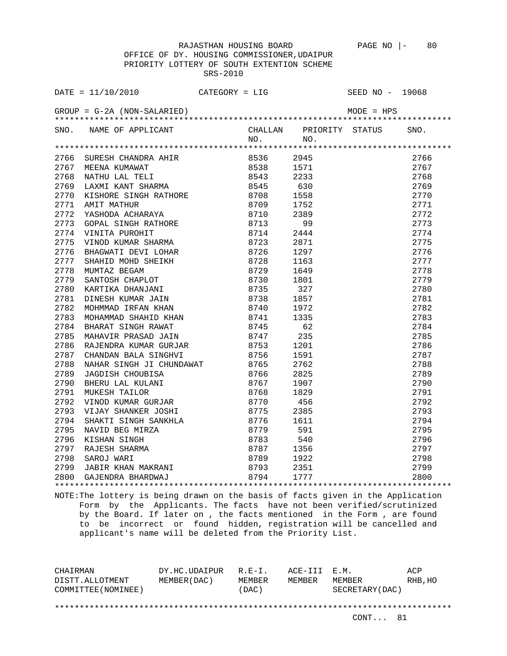OFFICE OF DY. HOUSING COMMISSIONER,UDAIPUR PRIORITY LOTTERY OF SOUTH EXTENTION SCHEME SRS-2010

|      |                                                                                                                                                                                                                                                |              |      | SNO. |
|------|------------------------------------------------------------------------------------------------------------------------------------------------------------------------------------------------------------------------------------------------|--------------|------|------|
|      | SNO. NAME OF APPLICANT CHALLAN PRIORITY STATUS<br>NO. NO. NO.                                                                                                                                                                                  |              |      |      |
|      |                                                                                                                                                                                                                                                |              |      |      |
|      |                                                                                                                                                                                                                                                | 8536 2945    |      | 2766 |
|      | 2766 SURESH CHANDRA AHIR 8536<br>2767 MEENA KUMAWAT 8536<br>2768 NATHU LAL TELI 8538<br>2769 LAXMI KANT SHARMA 8543<br>2770 KISHORE SINGH RATHORE 8708<br>2771 AMIT MATHUR 8709<br>2772 YASHODA ACHARAYA 8710<br>2773 GOPAL SINGH RATHORE 87   |              | 1571 | 2767 |
|      |                                                                                                                                                                                                                                                |              | 2233 | 2768 |
|      |                                                                                                                                                                                                                                                |              | 630  | 2769 |
|      |                                                                                                                                                                                                                                                |              | 1558 | 2770 |
|      |                                                                                                                                                                                                                                                |              | 1752 | 2771 |
|      |                                                                                                                                                                                                                                                |              | 2389 | 2772 |
|      |                                                                                                                                                                                                                                                |              | 99   | 2773 |
|      |                                                                                                                                                                                                                                                |              | 2444 | 2774 |
|      |                                                                                                                                                                                                                                                |              | 2871 | 2775 |
|      |                                                                                                                                                                                                                                                |              | 1297 | 2776 |
| 2777 | SHAHID MOHD SHEIKH<br>MUMTAZ BEGAM<br>SANTOSH CHAPLOT 8730<br>KARTIKA DHANJANI 8735                                                                                                                                                            |              | 1163 | 2777 |
| 2778 |                                                                                                                                                                                                                                                |              | 1649 | 2778 |
| 2779 |                                                                                                                                                                                                                                                |              | 1801 | 2779 |
| 2780 |                                                                                                                                                                                                                                                |              | 327  | 2780 |
| 2781 |                                                                                                                                                                                                                                                |              | 1857 | 2781 |
| 2782 | MOHMMAD IRFAN KHAN<br>MOHAMMAD SHAHID KHAN                                                                                                                                                                                                     | 8740<br>8741 | 1972 | 2782 |
| 2783 |                                                                                                                                                                                                                                                |              | 1335 | 2783 |
| 2784 |                                                                                                                                                                                                                                                |              | 62   | 2784 |
| 2785 |                                                                                                                                                                                                                                                |              | 235  | 2785 |
| 2786 |                                                                                                                                                                                                                                                |              | 1201 | 2786 |
| 2787 |                                                                                                                                                                                                                                                |              | 1591 | 2787 |
| 2788 |                                                                                                                                                                                                                                                |              | 2762 | 2788 |
| 2789 |                                                                                                                                                                                                                                                |              | 2825 | 2789 |
| 2790 | PUCHAMINAD SHAHID KHAN 8741<br>BHARAT SINGH RAWAT 8745<br>MAHAVIR PRASAD JAIN 8747<br>RAJENDRA KUMAR GURJAR 8753<br>CHANDAN BALA SINGHVI 8756<br>NAHAR SINGH JI CHUNDAWAT 8765<br>JAGDISH CHOUBISA 8766<br>BHERU LAL KULANI 8767<br>MUKESH TAI |              | 1907 | 2790 |
| 2791 |                                                                                                                                                                                                                                                |              | 1829 | 2791 |
| 2792 | VINOD KUMAR GURJAR 6770                                                                                                                                                                                                                        |              | 456  | 2792 |
|      |                                                                                                                                                                                                                                                |              |      | 2793 |
|      |                                                                                                                                                                                                                                                |              |      | 2794 |
|      |                                                                                                                                                                                                                                                |              |      | 2795 |
|      |                                                                                                                                                                                                                                                |              |      | 2796 |
|      |                                                                                                                                                                                                                                                |              |      | 2797 |
|      |                                                                                                                                                                                                                                                |              |      | 2798 |
|      |                                                                                                                                                                                                                                                |              |      | 2799 |
|      | 2792 VINOD KUMAR GURJAR 8770 456<br>2793 VIJAY SHANKER JOSHI 8775 2385<br>2794 SHAKTI SINGH 8775 2385<br>2795 NAVID BEG MIRZA 8779 591<br>2796 KISHAN SINGH 8783 540<br>2797 RAJESH SHARMA 8787 1356<br>2798 SAROJ WARI 8789 1922<br>2799 JA   |              |      | 2800 |
|      |                                                                                                                                                                                                                                                |              |      |      |

NOTE:The lottery is being drawn on the basis of facts given in the Application Form by the Applicants. The facts have not been verified/scrutinized by the Board. If later on , the facts mentioned in the Form , are found to be incorrect or found hidden, registration will be cancelled and applicant's name will be deleted from the Priority List.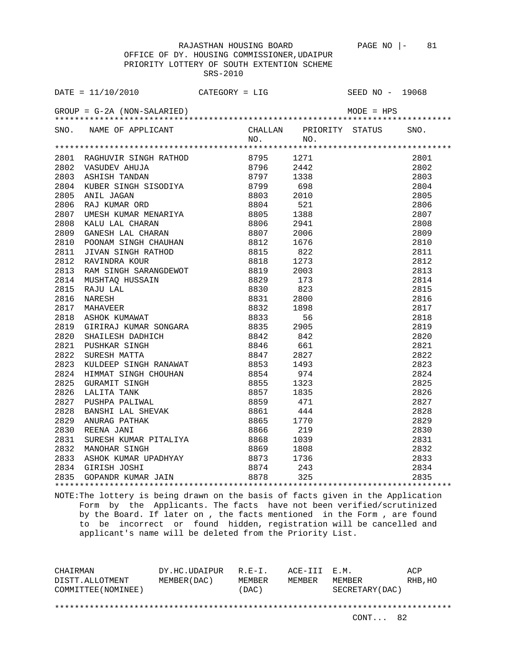OFFICE OF DY. HOUSING COMMISSIONER,UDAIPUR PRIORITY LOTTERY OF SOUTH EXTENTION SCHEME SRS-2010

|      | SNO. NAME OF APPLICANT CHALLAN PRIORITY STATUS SNO.<br>NO. NO. NO.                                                                                                                                                                                   |  |                                                                                                                                                                                                                          |      |
|------|------------------------------------------------------------------------------------------------------------------------------------------------------------------------------------------------------------------------------------------------------|--|--------------------------------------------------------------------------------------------------------------------------------------------------------------------------------------------------------------------------|------|
|      |                                                                                                                                                                                                                                                      |  |                                                                                                                                                                                                                          |      |
|      | 19801 RAGHUVIR SINGH RATHOD 8795 1271<br>2801 RAGHUVIR SINGH RATHOD 8795 1271<br>2802 VASUDEV AHUJA<br>2803 ASHISH TANDAN 8796 2442<br>2803 ASHISH TANDAN 8797 1338<br>2804 KUBER SINGH SISODIYA 8799 698<br>2805 ANIL JAGAN 8803 2010<br>28         |  |                                                                                                                                                                                                                          |      |
|      |                                                                                                                                                                                                                                                      |  |                                                                                                                                                                                                                          | 2801 |
|      |                                                                                                                                                                                                                                                      |  |                                                                                                                                                                                                                          | 2802 |
|      |                                                                                                                                                                                                                                                      |  |                                                                                                                                                                                                                          | 2803 |
|      |                                                                                                                                                                                                                                                      |  |                                                                                                                                                                                                                          | 2804 |
|      |                                                                                                                                                                                                                                                      |  |                                                                                                                                                                                                                          | 2805 |
|      |                                                                                                                                                                                                                                                      |  |                                                                                                                                                                                                                          | 2806 |
|      |                                                                                                                                                                                                                                                      |  |                                                                                                                                                                                                                          | 2807 |
|      |                                                                                                                                                                                                                                                      |  |                                                                                                                                                                                                                          | 2808 |
|      |                                                                                                                                                                                                                                                      |  |                                                                                                                                                                                                                          | 2809 |
|      |                                                                                                                                                                                                                                                      |  |                                                                                                                                                                                                                          | 2810 |
|      |                                                                                                                                                                                                                                                      |  |                                                                                                                                                                                                                          | 2811 |
|      |                                                                                                                                                                                                                                                      |  |                                                                                                                                                                                                                          | 2812 |
|      |                                                                                                                                                                                                                                                      |  |                                                                                                                                                                                                                          | 2813 |
|      |                                                                                                                                                                                                                                                      |  |                                                                                                                                                                                                                          | 2814 |
|      |                                                                                                                                                                                                                                                      |  |                                                                                                                                                                                                                          | 2815 |
|      | 2811 JIVAN SINGH RATHOD<br>2812 RAVINDRA KOUR<br>2812 RAVINDRA KOUR<br>2813 RAM SINGH SARANGDEWOT<br>2814 MUSHTAQ HUSSAIN<br>2815 RAJU LAL<br>2815 RAJU LAL<br>2815 RAJU LAL<br>2815 RAJU LAL<br>2821 MAHAVEER<br>2818 ASHOK KUMAWAT<br>2819 GIRIRAJ |  |                                                                                                                                                                                                                          | 2816 |
|      |                                                                                                                                                                                                                                                      |  |                                                                                                                                                                                                                          | 2817 |
|      |                                                                                                                                                                                                                                                      |  |                                                                                                                                                                                                                          | 2818 |
|      |                                                                                                                                                                                                                                                      |  |                                                                                                                                                                                                                          |      |
|      |                                                                                                                                                                                                                                                      |  |                                                                                                                                                                                                                          |      |
|      |                                                                                                                                                                                                                                                      |  |                                                                                                                                                                                                                          |      |
|      |                                                                                                                                                                                                                                                      |  |                                                                                                                                                                                                                          |      |
| 2823 | KULDEEP SINGH RANAWAT 8853 1493                                                                                                                                                                                                                      |  |                                                                                                                                                                                                                          |      |
|      |                                                                                                                                                                                                                                                      |  |                                                                                                                                                                                                                          |      |
|      |                                                                                                                                                                                                                                                      |  |                                                                                                                                                                                                                          |      |
|      |                                                                                                                                                                                                                                                      |  |                                                                                                                                                                                                                          |      |
|      |                                                                                                                                                                                                                                                      |  |                                                                                                                                                                                                                          |      |
|      |                                                                                                                                                                                                                                                      |  |                                                                                                                                                                                                                          |      |
|      |                                                                                                                                                                                                                                                      |  |                                                                                                                                                                                                                          |      |
|      |                                                                                                                                                                                                                                                      |  |                                                                                                                                                                                                                          |      |
|      |                                                                                                                                                                                                                                                      |  |                                                                                                                                                                                                                          |      |
|      |                                                                                                                                                                                                                                                      |  |                                                                                                                                                                                                                          |      |
|      |                                                                                                                                                                                                                                                      |  |                                                                                                                                                                                                                          |      |
|      |                                                                                                                                                                                                                                                      |  |                                                                                                                                                                                                                          |      |
|      |                                                                                                                                                                                                                                                      |  |                                                                                                                                                                                                                          |      |
|      |                                                                                                                                                                                                                                                      |  | $2818$<br>$2818$<br>$2819$<br>$2820$<br>$2821$<br>$2822$<br>$2823$<br>$2824$<br>$2825$<br>$2826$<br>$2827$<br>$2828$<br>$2828$<br>$2828$<br>$2828$<br>$2829$<br>$2828$<br>$2829$<br>$2830$<br>$2831$<br>$2832$<br>$2833$ |      |

NOTE:The lottery is being drawn on the basis of facts given in the Application Form by the Applicants. The facts have not been verified/scrutinized by the Board. If later on , the facts mentioned in the Form , are found to be incorrect or found hidden, registration will be cancelled and applicant's name will be deleted from the Priority List.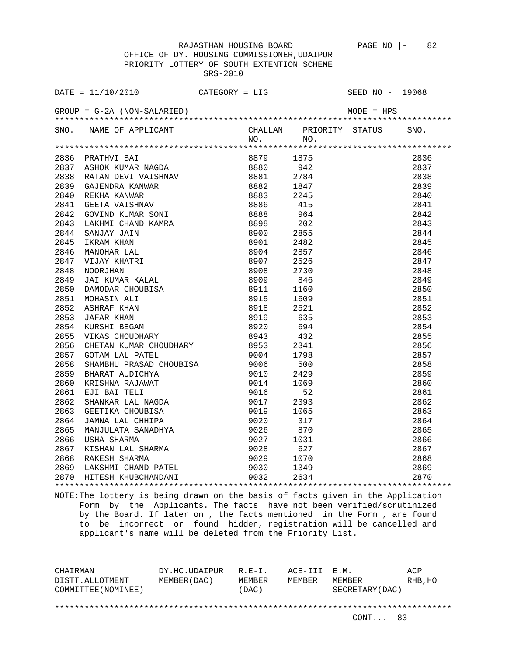OFFICE OF DY. HOUSING COMMISSIONER,UDAIPUR PRIORITY LOTTERY OF SOUTH EXTENTION SCHEME SRS-2010

| SNO. NAME OF APPLICANT CHALLAN PRIORITY STATUS ON NO. NO.<br>SNO.<br>1938 1237 1238 1247<br>1942 1837 1838 1847<br>1942 1837 1838 1847<br>1942 1838 1847<br>1942 1838 1847<br>1944 1847 1848 1847<br>1944 1847 1848 1848<br>1944 1847 1848 1848 1848 1848 1848 1849<br>1944 1848 1847<br>1944 1848 1847<br>1944 1848 18<br>2836<br>2837<br>2838<br>2839<br>2840<br>2841<br>2842<br>2843<br>2844<br>2845<br>2846<br>2847<br>2848<br>2849<br>2850<br>2851<br>2852<br>2853<br>2854<br>2855<br>2856<br>2857<br>9004<br>SHAMBHU PRASAD CHOUBISA<br>BHARAT AUDICHYA 9010<br>KRISHNA RAJAWAT 9014<br>EJI BAI TELI 9016<br>SHANKAR LAL NAGDA 9017<br>GEETIKA CHOUBISA 9019<br>JAMNA LAL CHHIPA 9020<br>MANJIILATA SANADIVA 2022<br>2858<br>500<br>2858<br>2859<br>2859<br>2429<br>2860<br>1069<br>2860<br>2861<br>52<br>2861<br>2862<br>2393<br>2862<br>2863<br>2863<br>1065<br>2864<br>317<br>2864<br>MANJULATA SANADHYA 9026<br>2865<br>870<br>2865<br>2866 USHA SHARMA 2020<br>2866 USHA SHARMA 2027 1031<br>2867 KISHAN LAL SHARMA 2028 627<br>2868 RAKESH SHARMA 2029 1070<br>2869 LAKSHMI CHAND PATEL 2870 HITESH KHUBCHANDANI 2032 2634<br>2866<br>2867<br>2868<br>2869<br>2870 |  |  |  |  |
|--------------------------------------------------------------------------------------------------------------------------------------------------------------------------------------------------------------------------------------------------------------------------------------------------------------------------------------------------------------------------------------------------------------------------------------------------------------------------------------------------------------------------------------------------------------------------------------------------------------------------------------------------------------------------------------------------------------------------------------------------------------------------------------------------------------------------------------------------------------------------------------------------------------------------------------------------------------------------------------------------------------------------------------------------------------------------------------------------------------------------------------------------------------------------------|--|--|--|--|
|                                                                                                                                                                                                                                                                                                                                                                                                                                                                                                                                                                                                                                                                                                                                                                                                                                                                                                                                                                                                                                                                                                                                                                                |  |  |  |  |
|                                                                                                                                                                                                                                                                                                                                                                                                                                                                                                                                                                                                                                                                                                                                                                                                                                                                                                                                                                                                                                                                                                                                                                                |  |  |  |  |
|                                                                                                                                                                                                                                                                                                                                                                                                                                                                                                                                                                                                                                                                                                                                                                                                                                                                                                                                                                                                                                                                                                                                                                                |  |  |  |  |
|                                                                                                                                                                                                                                                                                                                                                                                                                                                                                                                                                                                                                                                                                                                                                                                                                                                                                                                                                                                                                                                                                                                                                                                |  |  |  |  |
|                                                                                                                                                                                                                                                                                                                                                                                                                                                                                                                                                                                                                                                                                                                                                                                                                                                                                                                                                                                                                                                                                                                                                                                |  |  |  |  |
|                                                                                                                                                                                                                                                                                                                                                                                                                                                                                                                                                                                                                                                                                                                                                                                                                                                                                                                                                                                                                                                                                                                                                                                |  |  |  |  |
|                                                                                                                                                                                                                                                                                                                                                                                                                                                                                                                                                                                                                                                                                                                                                                                                                                                                                                                                                                                                                                                                                                                                                                                |  |  |  |  |
|                                                                                                                                                                                                                                                                                                                                                                                                                                                                                                                                                                                                                                                                                                                                                                                                                                                                                                                                                                                                                                                                                                                                                                                |  |  |  |  |
|                                                                                                                                                                                                                                                                                                                                                                                                                                                                                                                                                                                                                                                                                                                                                                                                                                                                                                                                                                                                                                                                                                                                                                                |  |  |  |  |
|                                                                                                                                                                                                                                                                                                                                                                                                                                                                                                                                                                                                                                                                                                                                                                                                                                                                                                                                                                                                                                                                                                                                                                                |  |  |  |  |
|                                                                                                                                                                                                                                                                                                                                                                                                                                                                                                                                                                                                                                                                                                                                                                                                                                                                                                                                                                                                                                                                                                                                                                                |  |  |  |  |
|                                                                                                                                                                                                                                                                                                                                                                                                                                                                                                                                                                                                                                                                                                                                                                                                                                                                                                                                                                                                                                                                                                                                                                                |  |  |  |  |
|                                                                                                                                                                                                                                                                                                                                                                                                                                                                                                                                                                                                                                                                                                                                                                                                                                                                                                                                                                                                                                                                                                                                                                                |  |  |  |  |
|                                                                                                                                                                                                                                                                                                                                                                                                                                                                                                                                                                                                                                                                                                                                                                                                                                                                                                                                                                                                                                                                                                                                                                                |  |  |  |  |
|                                                                                                                                                                                                                                                                                                                                                                                                                                                                                                                                                                                                                                                                                                                                                                                                                                                                                                                                                                                                                                                                                                                                                                                |  |  |  |  |
|                                                                                                                                                                                                                                                                                                                                                                                                                                                                                                                                                                                                                                                                                                                                                                                                                                                                                                                                                                                                                                                                                                                                                                                |  |  |  |  |
|                                                                                                                                                                                                                                                                                                                                                                                                                                                                                                                                                                                                                                                                                                                                                                                                                                                                                                                                                                                                                                                                                                                                                                                |  |  |  |  |
|                                                                                                                                                                                                                                                                                                                                                                                                                                                                                                                                                                                                                                                                                                                                                                                                                                                                                                                                                                                                                                                                                                                                                                                |  |  |  |  |
|                                                                                                                                                                                                                                                                                                                                                                                                                                                                                                                                                                                                                                                                                                                                                                                                                                                                                                                                                                                                                                                                                                                                                                                |  |  |  |  |
|                                                                                                                                                                                                                                                                                                                                                                                                                                                                                                                                                                                                                                                                                                                                                                                                                                                                                                                                                                                                                                                                                                                                                                                |  |  |  |  |
|                                                                                                                                                                                                                                                                                                                                                                                                                                                                                                                                                                                                                                                                                                                                                                                                                                                                                                                                                                                                                                                                                                                                                                                |  |  |  |  |
|                                                                                                                                                                                                                                                                                                                                                                                                                                                                                                                                                                                                                                                                                                                                                                                                                                                                                                                                                                                                                                                                                                                                                                                |  |  |  |  |
|                                                                                                                                                                                                                                                                                                                                                                                                                                                                                                                                                                                                                                                                                                                                                                                                                                                                                                                                                                                                                                                                                                                                                                                |  |  |  |  |
|                                                                                                                                                                                                                                                                                                                                                                                                                                                                                                                                                                                                                                                                                                                                                                                                                                                                                                                                                                                                                                                                                                                                                                                |  |  |  |  |
|                                                                                                                                                                                                                                                                                                                                                                                                                                                                                                                                                                                                                                                                                                                                                                                                                                                                                                                                                                                                                                                                                                                                                                                |  |  |  |  |
|                                                                                                                                                                                                                                                                                                                                                                                                                                                                                                                                                                                                                                                                                                                                                                                                                                                                                                                                                                                                                                                                                                                                                                                |  |  |  |  |
|                                                                                                                                                                                                                                                                                                                                                                                                                                                                                                                                                                                                                                                                                                                                                                                                                                                                                                                                                                                                                                                                                                                                                                                |  |  |  |  |
|                                                                                                                                                                                                                                                                                                                                                                                                                                                                                                                                                                                                                                                                                                                                                                                                                                                                                                                                                                                                                                                                                                                                                                                |  |  |  |  |
|                                                                                                                                                                                                                                                                                                                                                                                                                                                                                                                                                                                                                                                                                                                                                                                                                                                                                                                                                                                                                                                                                                                                                                                |  |  |  |  |
|                                                                                                                                                                                                                                                                                                                                                                                                                                                                                                                                                                                                                                                                                                                                                                                                                                                                                                                                                                                                                                                                                                                                                                                |  |  |  |  |
|                                                                                                                                                                                                                                                                                                                                                                                                                                                                                                                                                                                                                                                                                                                                                                                                                                                                                                                                                                                                                                                                                                                                                                                |  |  |  |  |
|                                                                                                                                                                                                                                                                                                                                                                                                                                                                                                                                                                                                                                                                                                                                                                                                                                                                                                                                                                                                                                                                                                                                                                                |  |  |  |  |
|                                                                                                                                                                                                                                                                                                                                                                                                                                                                                                                                                                                                                                                                                                                                                                                                                                                                                                                                                                                                                                                                                                                                                                                |  |  |  |  |
|                                                                                                                                                                                                                                                                                                                                                                                                                                                                                                                                                                                                                                                                                                                                                                                                                                                                                                                                                                                                                                                                                                                                                                                |  |  |  |  |
|                                                                                                                                                                                                                                                                                                                                                                                                                                                                                                                                                                                                                                                                                                                                                                                                                                                                                                                                                                                                                                                                                                                                                                                |  |  |  |  |
|                                                                                                                                                                                                                                                                                                                                                                                                                                                                                                                                                                                                                                                                                                                                                                                                                                                                                                                                                                                                                                                                                                                                                                                |  |  |  |  |
|                                                                                                                                                                                                                                                                                                                                                                                                                                                                                                                                                                                                                                                                                                                                                                                                                                                                                                                                                                                                                                                                                                                                                                                |  |  |  |  |
|                                                                                                                                                                                                                                                                                                                                                                                                                                                                                                                                                                                                                                                                                                                                                                                                                                                                                                                                                                                                                                                                                                                                                                                |  |  |  |  |
|                                                                                                                                                                                                                                                                                                                                                                                                                                                                                                                                                                                                                                                                                                                                                                                                                                                                                                                                                                                                                                                                                                                                                                                |  |  |  |  |

NOTE:The lottery is being drawn on the basis of facts given in the Application Form by the Applicants. The facts have not been verified/scrutinized by the Board. If later on , the facts mentioned in the Form , are found to be incorrect or found hidden, registration will be cancelled and applicant's name will be deleted from the Priority List.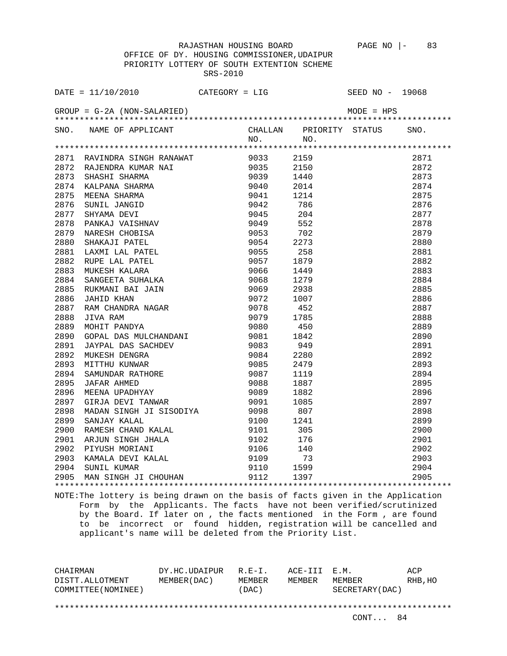OFFICE OF DY. HOUSING COMMISSIONER,UDAIPUR PRIORITY LOTTERY OF SOUTH EXTENTION SCHEME SRS-2010

| DATE = $11/10/2010$ CATEGORY = LIG                                                                                                                                                                                                         |      | SEED NO - 19068 |      |
|--------------------------------------------------------------------------------------------------------------------------------------------------------------------------------------------------------------------------------------------|------|-----------------|------|
|                                                                                                                                                                                                                                            |      |                 |      |
| SNO. NAME OF APPLICANT CHALLAN PRIORITY STATUS SNO.<br>NO. NO.                                                                                                                                                                             |      |                 |      |
| 1971 RAJIMBRA KUARA NG 1983 2159<br>2871 RAJIMBRA KUARANA 1903 2159<br>2873 SHAENING RANMA NAT 19033 2159<br>2873 SHAENING RANMA NAT 19033 2159<br>2873 SHAEHI SHARMA 29041 2014<br>2875 MEENA SHARMA 19871 19042 786<br>2875 MEENA SHARMA |      |                 |      |
|                                                                                                                                                                                                                                            |      |                 | 2871 |
|                                                                                                                                                                                                                                            | 2150 |                 | 2872 |
|                                                                                                                                                                                                                                            |      |                 | 2873 |
|                                                                                                                                                                                                                                            |      |                 | 2874 |
|                                                                                                                                                                                                                                            |      |                 | 2875 |
|                                                                                                                                                                                                                                            |      |                 | 2876 |
|                                                                                                                                                                                                                                            |      |                 | 2877 |
|                                                                                                                                                                                                                                            |      |                 | 2878 |
|                                                                                                                                                                                                                                            |      |                 | 2879 |
|                                                                                                                                                                                                                                            |      |                 | 2880 |
|                                                                                                                                                                                                                                            |      |                 | 2881 |
|                                                                                                                                                                                                                                            |      |                 | 2882 |
|                                                                                                                                                                                                                                            |      |                 | 2883 |
|                                                                                                                                                                                                                                            |      |                 | 2884 |
|                                                                                                                                                                                                                                            |      |                 | 2885 |
|                                                                                                                                                                                                                                            |      |                 | 2886 |
|                                                                                                                                                                                                                                            |      |                 | 2887 |
|                                                                                                                                                                                                                                            |      |                 | 2888 |
|                                                                                                                                                                                                                                            |      |                 | 2889 |
|                                                                                                                                                                                                                                            |      |                 | 2890 |
|                                                                                                                                                                                                                                            |      |                 | 2891 |
|                                                                                                                                                                                                                                            |      |                 | 2892 |
|                                                                                                                                                                                                                                            |      |                 | 2893 |
|                                                                                                                                                                                                                                            |      |                 | 2894 |
|                                                                                                                                                                                                                                            |      |                 | 2895 |
|                                                                                                                                                                                                                                            |      |                 | 2896 |
|                                                                                                                                                                                                                                            |      |                 | 2897 |
|                                                                                                                                                                                                                                            |      |                 | 2898 |
|                                                                                                                                                                                                                                            |      |                 | 2899 |
|                                                                                                                                                                                                                                            |      |                 | 2900 |
|                                                                                                                                                                                                                                            |      |                 | 2901 |
|                                                                                                                                                                                                                                            |      |                 | 2902 |
|                                                                                                                                                                                                                                            |      |                 | 2903 |
|                                                                                                                                                                                                                                            |      |                 | 2904 |
| 2897 GIRJA DEVI TANWAR 9091 1085<br>2898 MADAN SINGH JI SISODIYA 9098 807<br>2899 SANJAY KALAL 9100 1241<br>2900 RAMESH CHAND KALAL 9101 305<br>2901 ARJUN SINGH JHALA 9102 176<br>2902 PIYUSH MORIANI 9106 140<br>2903 KAMALA DEVI KALAL  |      |                 | 2905 |
|                                                                                                                                                                                                                                            |      |                 |      |

NOTE:The lottery is being drawn on the basis of facts given in the Application Form by the Applicants. The facts have not been verified/scrutinized by the Board. If later on , the facts mentioned in the Form , are found to be incorrect or found hidden, registration will be cancelled and applicant's name will be deleted from the Priority List.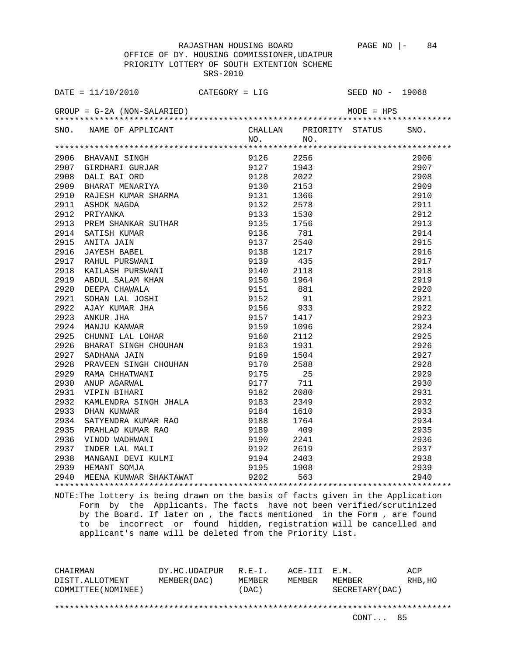OFFICE OF DY. HOUSING COMMISSIONER,UDAIPUR PRIORITY LOTTERY OF SOUTH EXTENTION SCHEME SRS-2010

| DATE = $11/10/2010$ CATEGORY = LIG |         | SEED NO - 19068              |      |
|------------------------------------|---------|------------------------------|------|
|                                    |         |                              |      |
| SNO. NAME OF APPLICANT             |         | CHALLAN PRIORITY STATUS SNO. |      |
|                                    | NO. NO. |                              |      |
|                                    |         |                              |      |
|                                    |         |                              | 2906 |
|                                    |         |                              | 2907 |
|                                    |         |                              | 2908 |
|                                    |         |                              | 2909 |
|                                    |         |                              | 2910 |
|                                    |         |                              | 2911 |
|                                    |         |                              | 2912 |
|                                    |         |                              | 2913 |
|                                    |         |                              | 2914 |
|                                    |         |                              | 2915 |
|                                    |         |                              | 2916 |
|                                    |         |                              | 2917 |
|                                    |         |                              | 2918 |
|                                    |         |                              | 2919 |
|                                    |         |                              | 2920 |
|                                    |         |                              | 2921 |
|                                    |         |                              | 2922 |
|                                    |         |                              | 2923 |
|                                    |         |                              | 2924 |
|                                    |         |                              | 2925 |
|                                    |         |                              | 2926 |
|                                    |         |                              | 2927 |
|                                    |         |                              | 2928 |
|                                    |         |                              | 2929 |
|                                    |         |                              | 2930 |
|                                    |         |                              | 2931 |
|                                    |         |                              | 2932 |
|                                    |         |                              | 2933 |
|                                    |         |                              | 2934 |
|                                    |         |                              | 2935 |
|                                    |         |                              | 2936 |
|                                    |         |                              | 2937 |
|                                    |         |                              | 2938 |
|                                    |         |                              | 2939 |
|                                    |         |                              | 2940 |
|                                    |         |                              |      |

NOTE:The lottery is being drawn on the basis of facts given in the Application Form by the Applicants. The facts have not been verified/scrutinized by the Board. If later on , the facts mentioned in the Form , are found to be incorrect or found hidden, registration will be cancelled and applicant's name will be deleted from the Priority List.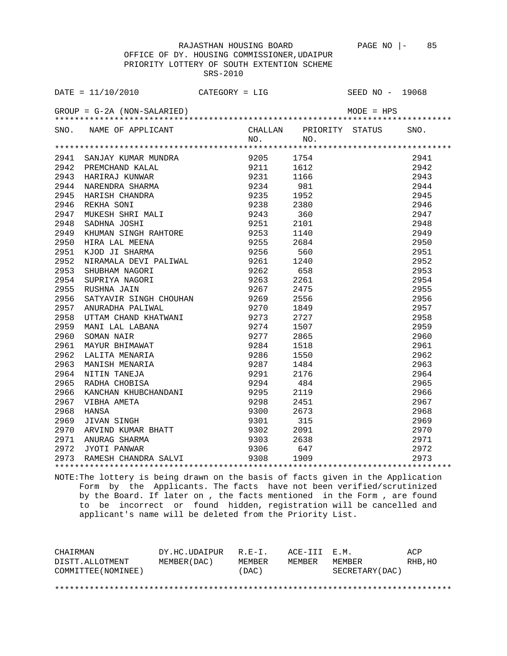OFFICE OF DY. HOUSING COMMISSIONER,UDAIPUR PRIORITY LOTTERY OF SOUTH EXTENTION SCHEME SRS-2010

| DATE = $11/10/2010$ CATEGORY = LIG                                                                                                                                                                                                                                                                       |     | SEED NO - 19068 |      |
|----------------------------------------------------------------------------------------------------------------------------------------------------------------------------------------------------------------------------------------------------------------------------------------------------------|-----|-----------------|------|
|                                                                                                                                                                                                                                                                                                          |     |                 |      |
|                                                                                                                                                                                                                                                                                                          |     |                 | SNO. |
| SNO. NAME OF APPLICANT CHALLAN PRIORITY STATUS NO. NO.                                                                                                                                                                                                                                                   | NO. |                 |      |
| 1994<br>1994<br>1994<br>1994<br>1994<br>1985<br>1986<br>1986<br>1986<br>1986<br>1986<br>1986<br>1986<br>1986<br>1986<br>1986<br>1986<br>1986<br>1986<br>1986<br>1986<br>1986<br>1986<br>1986<br>1986<br>1986<br>1986<br>1986<br>1986<br>1986<br>1986<br>1986<br>1986<br>1986<br>1986<br>1986<br>1986<br> |     |                 |      |
|                                                                                                                                                                                                                                                                                                          |     |                 | 2941 |
|                                                                                                                                                                                                                                                                                                          |     |                 | 2942 |
|                                                                                                                                                                                                                                                                                                          |     |                 | 2943 |
|                                                                                                                                                                                                                                                                                                          |     |                 | 2944 |
|                                                                                                                                                                                                                                                                                                          |     |                 | 2945 |
|                                                                                                                                                                                                                                                                                                          |     |                 | 2946 |
|                                                                                                                                                                                                                                                                                                          |     |                 | 2947 |
|                                                                                                                                                                                                                                                                                                          |     |                 | 2948 |
|                                                                                                                                                                                                                                                                                                          |     |                 | 2949 |
|                                                                                                                                                                                                                                                                                                          |     |                 | 2950 |
|                                                                                                                                                                                                                                                                                                          |     |                 | 2951 |
|                                                                                                                                                                                                                                                                                                          |     |                 | 2952 |
|                                                                                                                                                                                                                                                                                                          |     |                 | 2953 |
|                                                                                                                                                                                                                                                                                                          |     |                 | 2954 |
|                                                                                                                                                                                                                                                                                                          |     |                 | 2955 |
|                                                                                                                                                                                                                                                                                                          |     |                 | 2956 |
|                                                                                                                                                                                                                                                                                                          |     |                 | 2957 |
|                                                                                                                                                                                                                                                                                                          |     |                 | 2958 |
|                                                                                                                                                                                                                                                                                                          |     |                 | 2959 |
|                                                                                                                                                                                                                                                                                                          |     |                 | 2960 |
|                                                                                                                                                                                                                                                                                                          |     |                 | 2961 |
|                                                                                                                                                                                                                                                                                                          |     |                 | 2962 |
|                                                                                                                                                                                                                                                                                                          |     |                 | 2963 |
|                                                                                                                                                                                                                                                                                                          |     |                 | 2964 |
|                                                                                                                                                                                                                                                                                                          |     |                 | 2965 |
|                                                                                                                                                                                                                                                                                                          |     |                 | 2966 |
|                                                                                                                                                                                                                                                                                                          |     |                 | 2967 |
|                                                                                                                                                                                                                                                                                                          |     |                 | 2968 |
|                                                                                                                                                                                                                                                                                                          |     |                 | 2969 |
|                                                                                                                                                                                                                                                                                                          |     |                 | 2970 |
|                                                                                                                                                                                                                                                                                                          |     |                 | 2971 |
|                                                                                                                                                                                                                                                                                                          |     |                 | 2972 |
|                                                                                                                                                                                                                                                                                                          |     |                 | 2973 |
|                                                                                                                                                                                                                                                                                                          |     |                 |      |

NOTE:The lottery is being drawn on the basis of facts given in the Application Form by the Applicants. The facts have not been verified/scrutinized by the Board. If later on , the facts mentioned in the Form , are found to be incorrect or found hidden, registration will be cancelled and applicant's name will be deleted from the Priority List.

| CHAIRMAN            | DY.HC.UDAIPUR | $R. F - T.$ | ACE-III E.M. |                 | ACP     |
|---------------------|---------------|-------------|--------------|-----------------|---------|
| DISTT.ALLOTMENT     | MEMBER (DAC)  | MEMBER      | MEMBER       | MEMBER          | RHB, HO |
| COMMITTEE (NOMINEE) |               | (DAC)       |              | SECRETARY (DAC) |         |
|                     |               |             |              |                 |         |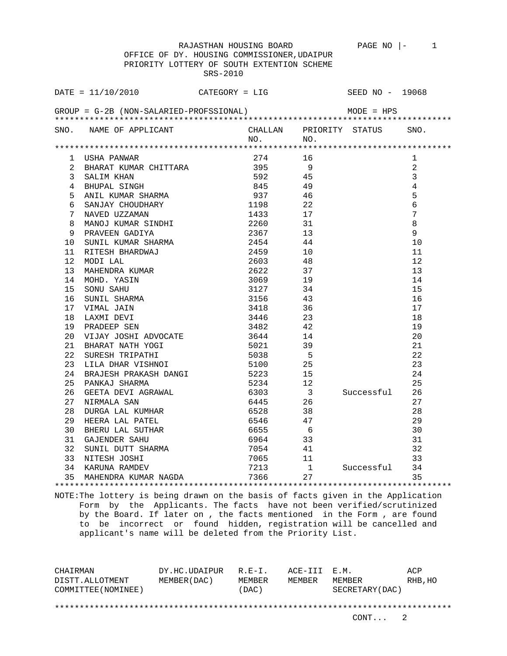|                 | OFFICE OF DY. HOUSING COMMISSIONER, UDAIPUR                                             |          |                                                                                           |                |                 |                 |
|-----------------|-----------------------------------------------------------------------------------------|----------|-------------------------------------------------------------------------------------------|----------------|-----------------|-----------------|
|                 | PRIORITY LOTTERY OF SOUTH EXTENTION SCHEME                                              |          |                                                                                           |                |                 |                 |
|                 |                                                                                         | SRS-2010 |                                                                                           |                |                 |                 |
|                 |                                                                                         |          |                                                                                           |                |                 |                 |
|                 | $\texttt{DATE} = 11/10/2010$ CATEGORY = LIG                                             |          |                                                                                           |                | SEED NO - 19068 |                 |
|                 |                                                                                         |          |                                                                                           |                |                 |                 |
|                 | $GROUP = G-2B (NON-SALARIED-PROFSSIONAL)$ MODE = HPS                                    |          |                                                                                           |                |                 |                 |
|                 |                                                                                         |          |                                                                                           |                |                 |                 |
|                 | SNO. NAME OF APPLICANT CHALLAN PRIORITY STATUS                                          |          |                                                                                           |                |                 | SNO.            |
|                 |                                                                                         |          | $NO.$ NO.                                                                                 |                |                 |                 |
|                 |                                                                                         |          |                                                                                           |                |                 |                 |
|                 | 1 USHA PANWAR                                                                           |          | 274 16                                                                                    |                |                 | 1               |
|                 |                                                                                         |          |                                                                                           |                |                 | $\overline{a}$  |
|                 | 3 SALIM KHAN                                                                            |          | 592 45                                                                                    |                |                 | $\overline{3}$  |
|                 | 3 SALIM KHAN<br>4 BHUPAL SINGH                                                          |          | 845 49                                                                                    |                |                 | $\overline{4}$  |
| 5               | ANIL KUMAR SHARMA                                                                       |          | 937 46                                                                                    |                |                 | 5               |
| 6               | SANJAY CHOUDHARY<br>NAVED UZZAMAN                                                       |          | 1198 22                                                                                   |                |                 | $\epsilon$      |
|                 |                                                                                         |          | $\begin{array}{ccccc} 1433 & & & 17 \\ 2260 & & & 31 \\ 2367 & & & 13 \end{array}$        |                |                 | $7\phantom{.0}$ |
|                 |                                                                                         |          |                                                                                           |                |                 | $\,8\,$         |
|                 |                                                                                         |          |                                                                                           |                |                 | 9               |
|                 | 7 NAVED UZZAMAN<br>8 MANOJ KUMAR SINDHI<br>9 PRAVEEN GADIYA<br>10 SUNIL KUMAR SHARMA    |          | 2454                                                                                      | 44             |                 | 10              |
| 11 -            | RITESH BHARDWAJ                                                                         | 2459     |                                                                                           | 10             |                 | 11              |
| 12 <sup>°</sup> | MODI LAL                                                                                |          | 2603 48                                                                                   |                |                 | 12              |
| 13              | MAHENDRA KUMAR<br>MOHD. YASIN<br>SONU SAHU<br>SUNIL SHARMA<br>VIMAL JAIN<br>LAXMI DEVT  |          | 2622 37                                                                                   |                |                 | 13              |
| 14              |                                                                                         |          | 3069 19                                                                                   |                |                 | 14              |
| 15              |                                                                                         |          | 3127 34                                                                                   |                |                 | 15              |
| 16              |                                                                                         |          | $\begin{array}{ccc} 3156 & & 43 \\ 3418 & & 36 \\ 3446 & & 23 \\ 3482 & & 42 \end{array}$ |                |                 | 16              |
|                 | 17 VIMAL JAIN                                                                           |          |                                                                                           |                |                 | 17              |
|                 |                                                                                         |          |                                                                                           |                |                 | 18              |
|                 | 18 LAXMI DEVI<br>19 PRADEEP SEN                                                         |          |                                                                                           |                |                 | 19              |
|                 |                                                                                         |          |                                                                                           |                |                 | 20              |
|                 |                                                                                         |          |                                                                                           |                |                 | 21              |
| 22              | SURESH TRIPATHI                                                                         |          | 5038 5                                                                                    |                |                 | 22              |
| 23              | LILA DHAR VISHNOI                                                                       |          | 5100 25                                                                                   |                |                 | 23              |
|                 | 24 BRAJESH PRAKASH DANGI<br>25 PANKAJ SHARMA<br>26 GEETA DEVI AGRAWAL<br>27 NIRMALA SAN |          | 5223 15                                                                                   |                |                 | 24              |
|                 |                                                                                         |          |                                                                                           |                |                 | 25              |
|                 |                                                                                         |          | 5234 12<br>6303 3<br>6445 26                                                              |                | Successful      | 26              |
| 27              | NIRMALA SAN                                                                             |          |                                                                                           |                |                 | 27              |
| 28              | DURGA LAL KUMHAR                                                                        | 6528     |                                                                                           | 38             |                 | 28              |
|                 | 29 HEERA LAL PATEL                                                                      |          | 6546                                                                                      | 47             |                 | 29              |
|                 | 30 BHERU LAL SUTHAR                                                                     |          | 6655                                                                                      | 6              |                 | 30              |
|                 | 31 GAJENDER SAHU                                                                        |          | 6964                                                                                      | 33             |                 | 31              |
|                 | 32 SUNIL DUTT SHARMA                                                                    |          | 7054                                                                                      | 41             |                 | 32              |
| 33              | NITESH JOSHI                                                                            |          | 7065                                                                                      | 11             |                 | 33              |
|                 | 34 KARUNA RAMDEV                                                                        |          | 7213                                                                                      | $\overline{1}$ | Successful      | 34              |
|                 | 35 MAHENDRA KUMAR NAGDA                                                                 |          | 7366                                                                                      | 27             |                 | 35              |
|                 |                                                                                         |          |                                                                                           |                |                 |                 |

NOTE:The lottery is being drawn on the basis of facts given in the Application Form by the Applicants. The facts have not been verified/scrutinized by the Board. If later on , the facts mentioned in the Form , are found to be incorrect or found hidden, registration will be cancelled and applicant's name will be deleted from the Priority List.

CHAIRMAN DY.HC.UDAIPUR R.E-I. ACE-III E.M. ACP DISTT.ALLOTMENT MEMBER(DAC) MEMBER MEMBER MEMBER RHB,HO COMMITTEE(NOMINEE) (DAC) SECRETARY(DAC) \*\*\*\*\*\*\*\*\*\*\*\*\*\*\*\*\*\*\*\*\*\*\*\*\*\*\*\*\*\*\*\*\*\*\*\*\*\*\*\*\*\*\*\*\*\*\*\*\*\*\*\*\*\*\*\*\*\*\*\*\*\*\*\*\*\*\*\*\*\*\*\*\*\*\*\*\*\*\*\*

RAJASTHAN HOUSING BOARD PAGE NO |- 1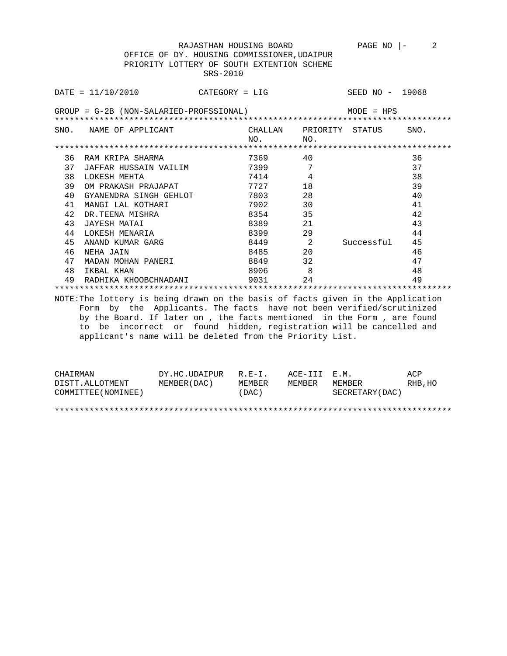OFFICE OF DY. HOUSING COMMISSIONER,UDAIPUR PRIORITY LOTTERY OF SOUTH EXTENTION SCHEME SRS-2010

|    | $DATA = 11/10/2010$                                                                                                                                                                                                                                                              | $CATEGORY = LIG$ |             |                                | SEED NO - 19068 |      |
|----|----------------------------------------------------------------------------------------------------------------------------------------------------------------------------------------------------------------------------------------------------------------------------------|------------------|-------------|--------------------------------|-----------------|------|
|    | GROUP = G-2B (NON-SALARIED-PROFSSIONAL)                                                                                                                                                                                                                                          |                  |             |                                | $MODE = HPS$    |      |
|    | SNO. NAME OF APPLICANT                                                                                                                                                                                                                                                           |                  | NO.         | CHALLAN PRIORITY STATUS<br>NO. |                 | SNO. |
|    |                                                                                                                                                                                                                                                                                  |                  |             |                                |                 |      |
| 36 | RAM KRIPA SHARMA                                                                                                                                                                                                                                                                 |                  | 7369        | 40                             |                 | 36   |
| 37 | JAFFAR HUSSAIN VAILIM                                                                                                                                                                                                                                                            |                  | 7399        | 7                              |                 | 37   |
| 38 | LOKESH MEHTA                                                                                                                                                                                                                                                                     |                  | 7414        | 4                              |                 | 38   |
| 39 | OM PRAKASH PRAJAPAT                                                                                                                                                                                                                                                              |                  | 7727        | 18                             |                 | 39   |
| 40 | GYANENDRA SINGH GEHLOT                                                                                                                                                                                                                                                           |                  | 7803 780    | 28                             |                 | 40   |
| 41 | MANGI LAL KOTHARI                                                                                                                                                                                                                                                                |                  | 7902 - 1903 | 30                             |                 | 41   |
| 42 | DR.TEENA MISHRA                                                                                                                                                                                                                                                                  |                  | 8354        | 35                             |                 | 42   |
| 43 | JAYESH MATAI                                                                                                                                                                                                                                                                     |                  | 8389 — 10   | 21                             |                 | 43   |
| 44 | LOKESH MENARIA                                                                                                                                                                                                                                                                   |                  | 8399        | 29                             |                 | 44   |
| 45 | ANAND KUMAR GARG                                                                                                                                                                                                                                                                 |                  | 8449 2      |                                | Successful      | 45   |
| 46 | NEHA JAIN                                                                                                                                                                                                                                                                        |                  |             | 20                             |                 | 46   |
| 47 | MADAN MOHAN PANERI                                                                                                                                                                                                                                                               |                  |             | 32                             |                 | 47   |
| 48 | IKBAL KHAN                                                                                                                                                                                                                                                                       |                  | 8906        | 8                              |                 | 48   |
| 49 | RADHIKA KHOOBCHNADANI                                                                                                                                                                                                                                                            |                  | 9031        | 24                             |                 | 49   |
|    |                                                                                                                                                                                                                                                                                  |                  |             |                                |                 |      |
|    | NOTE: The lottery is being drawn on the basis of facts given in the Application                                                                                                                                                                                                  |                  |             |                                |                 |      |
|    | Form by the Applicants. The facts have not been verified/scrutinized<br>by the Board. If later on, the facts mentioned in the Form, are found<br>to be incorrect or found hidden, registration will be cancelled and<br>applicant's name will be deleted from the Priority List. |                  |             |                                |                 |      |

| CHAIRMAN            | DY.HC.UDAIPUR R.E-I. |        | ACE-III E.M. |                  | ACP     |
|---------------------|----------------------|--------|--------------|------------------|---------|
| DISTT.ALLOTMENT     | MEMBER ( DAC )       | MEMBER | MEMBER       | MEMBER           | RHB, HO |
| COMMITTEE (NOMINEE) |                      | (DAC)  |              | SECRETARY (DAC ) |         |

\*\*\*\*\*\*\*\*\*\*\*\*\*\*\*\*\*\*\*\*\*\*\*\*\*\*\*\*\*\*\*\*\*\*\*\*\*\*\*\*\*\*\*\*\*\*\*\*\*\*\*\*\*\*\*\*\*\*\*\*\*\*\*\*\*\*\*\*\*\*\*\*\*\*\*\*\*\*\*\*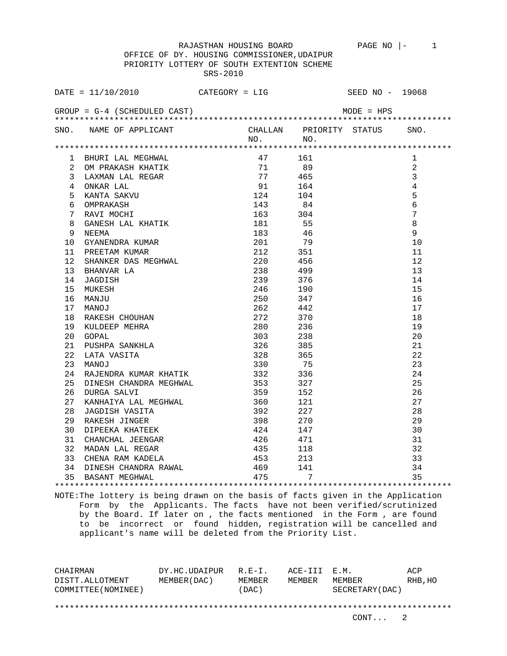OFFICE OF DY. HOUSING COMMISSIONER,UDAIPUR PRIORITY LOTTERY OF SOUTH EXTENTION SCHEME SRS-2010

|                 | $\texttt{DATE} = 11/10/2010$                                                                                                                                                                                                                                                      | $CATEGORY = LIG$ |                   |         | SEED NO - 19068 |
|-----------------|-----------------------------------------------------------------------------------------------------------------------------------------------------------------------------------------------------------------------------------------------------------------------------------|------------------|-------------------|---------|-----------------|
|                 | GROUP = $G-4$ (SCHEDULED CAST) MODE = $HPS$                                                                                                                                                                                                                                       |                  |                   |         |                 |
|                 | SNO. NAME OF APPLICANT CHALLAN PRIORITY STATUS SNO.                                                                                                                                                                                                                               |                  |                   | NO. NO. |                 |
|                 |                                                                                                                                                                                                                                                                                   |                  |                   |         |                 |
|                 | BHURI LAL MEGHWAL<br>OM PRAKASH KHATIK (161)<br>DAXMAN LAL REGAR (171)<br>CAXMAN LAL REGAR (171)<br>SIAXMAN LAL REGAR (171)<br>465<br>ONKAR LAL (171)<br>465<br>ONKAR LAL (181)<br>201)<br>GANESH LAL KHATIK (181)<br>55<br>NEEMA (181)<br>55<br>NEEMA (18<br>1 BHURI LAL MEGHWAL |                  |                   |         | 1               |
| $\mathbf{2}$    |                                                                                                                                                                                                                                                                                   |                  |                   |         | 2               |
| 3               |                                                                                                                                                                                                                                                                                   |                  |                   |         | $\mathfrak{Z}$  |
| $4\overline{ }$ | ONKAR LAL                                                                                                                                                                                                                                                                         |                  |                   |         | $\overline{4}$  |
| 5               |                                                                                                                                                                                                                                                                                   |                  |                   |         | 5               |
| б.              |                                                                                                                                                                                                                                                                                   |                  |                   |         | $\epsilon$      |
| 7               |                                                                                                                                                                                                                                                                                   |                  |                   |         | $\overline{7}$  |
| 8               |                                                                                                                                                                                                                                                                                   |                  |                   |         | $\,8\,$         |
| 9               |                                                                                                                                                                                                                                                                                   |                  |                   |         | 9               |
| 10              |                                                                                                                                                                                                                                                                                   |                  |                   |         | 10              |
| 11              | GYANENDRA KUMAR 201 79<br>PREETAM KUMAR 212 351<br>SHANKER DAS MEGHWAL 220 456<br>BHANVAR LA 238 499<br>JAGDISH 239 376<br>MUKESH 246 190<br>MANJU 250 347<br>MANOJ 262 442<br>RAKESH CHOUHAN 272 370<br>KULDEEP MEHRA 280 236<br>GOPAL 303 238                                   |                  |                   |         | 11              |
| 12 <sup>°</sup> |                                                                                                                                                                                                                                                                                   |                  |                   |         | 12              |
| 13              |                                                                                                                                                                                                                                                                                   |                  |                   |         | 13              |
| 14              |                                                                                                                                                                                                                                                                                   |                  |                   |         | 14              |
| 15              |                                                                                                                                                                                                                                                                                   |                  |                   |         | 15              |
| 16              |                                                                                                                                                                                                                                                                                   |                  |                   |         | 16              |
| 17              |                                                                                                                                                                                                                                                                                   |                  |                   |         | 17              |
| 18              |                                                                                                                                                                                                                                                                                   |                  |                   |         | 18              |
| 19              |                                                                                                                                                                                                                                                                                   |                  |                   |         | 19              |
| 20              |                                                                                                                                                                                                                                                                                   |                  |                   |         | 20              |
| 21              |                                                                                                                                                                                                                                                                                   |                  |                   |         | 21              |
| 22              | PUSHPA SANKHLA<br>LATA VASITA 326 385<br>MANOJ 328 365<br>PATENTES                                                                                                                                                                                                                |                  |                   |         | 22              |
| 23              |                                                                                                                                                                                                                                                                                   |                  |                   |         | 23              |
| 24              | RAJENDRA KUMAR KHATIK                                                                                                                                                                                                                                                             | 332<br>353       | 336               |         | 24              |
| 25              | DINESH CHANDRA MEGHWAL<br>DURGA SALVI                                                                                                                                                                                                                                             |                  | 327               |         | 25              |
| 26              |                                                                                                                                                                                                                                                                                   |                  | 359 152           |         | 26              |
| 27              | KANHAIYA LAL MEGHWAL 360 121                                                                                                                                                                                                                                                      |                  |                   |         | 27              |
| 28              |                                                                                                                                                                                                                                                                                   |                  | 392<br>227        |         | 28              |
| 29              |                                                                                                                                                                                                                                                                                   | 398              | 270               |         | 29              |
| 30              |                                                                                                                                                                                                                                                                                   |                  | 424 147           |         | 30              |
| 31              |                                                                                                                                                                                                                                                                                   |                  | 426 471           |         | 31              |
| 32              |                                                                                                                                                                                                                                                                                   |                  | 435<br>118<br>213 |         | 32              |
| 33              | JAGDISH VASITA<br>JAGDISH VASITA<br>RAKESH JINGER<br>DIPEEKA KHATEEK<br>CHANCHAL JEENGAR<br>MADAN LAL REGAR<br>CHENA RAM KADELA<br>RINGAR AM KADELA                                                                                                                               | $\frac{1}{4}$ 53 |                   |         | 33              |
|                 |                                                                                                                                                                                                                                                                                   |                  |                   |         | 34              |
|                 |                                                                                                                                                                                                                                                                                   |                  |                   |         | 35              |
|                 |                                                                                                                                                                                                                                                                                   |                  |                   |         |                 |

NOTE:The lottery is being drawn on the basis of facts given in the Application Form by the Applicants. The facts have not been verified/scrutinized by the Board. If later on , the facts mentioned in the Form , are found to be incorrect or found hidden, registration will be cancelled and applicant's name will be deleted from the Priority List.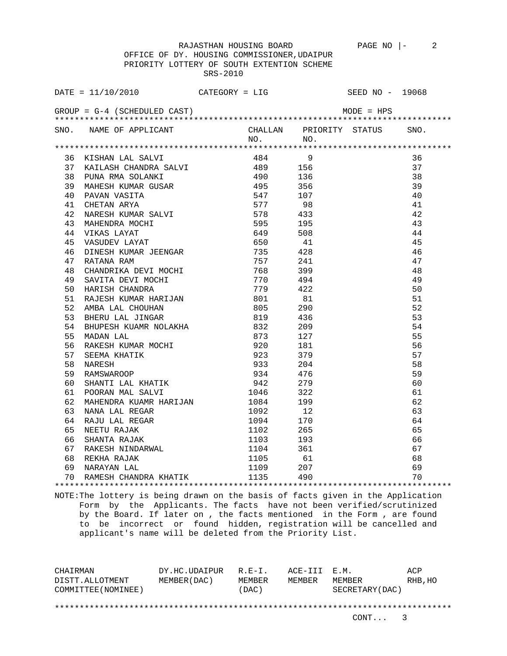OFFICE OF DY. HOUSING COMMISSIONER,UDAIPUR PRIORITY LOTTERY OF SOUTH EXTENTION SCHEME SRS-2010

| DATE = $11/10/2010$ CATEGORY = LIG SEED NO - 19068                                                                                                                                                                                        |  |                               |    |
|-------------------------------------------------------------------------------------------------------------------------------------------------------------------------------------------------------------------------------------------|--|-------------------------------|----|
| GROUP = $G-4$ (SCHEDULED CAST) MODE = $HPS$                                                                                                                                                                                               |  |                               |    |
| SNO. NAME OF APPLICANT CHALLAN PRIORITY STATUS SNO.<br>NO. NO.                                                                                                                                                                            |  |                               |    |
|                                                                                                                                                                                                                                           |  |                               |    |
|                                                                                                                                                                                                                                           |  |                               | 36 |
|                                                                                                                                                                                                                                           |  |                               | 37 |
|                                                                                                                                                                                                                                           |  |                               | 38 |
|                                                                                                                                                                                                                                           |  |                               | 39 |
|                                                                                                                                                                                                                                           |  |                               | 40 |
|                                                                                                                                                                                                                                           |  |                               | 41 |
|                                                                                                                                                                                                                                           |  |                               | 42 |
|                                                                                                                                                                                                                                           |  |                               | 43 |
|                                                                                                                                                                                                                                           |  |                               | 44 |
|                                                                                                                                                                                                                                           |  |                               | 45 |
|                                                                                                                                                                                                                                           |  |                               | 46 |
|                                                                                                                                                                                                                                           |  |                               | 47 |
|                                                                                                                                                                                                                                           |  |                               | 48 |
|                                                                                                                                                                                                                                           |  |                               | 49 |
|                                                                                                                                                                                                                                           |  |                               | 50 |
|                                                                                                                                                                                                                                           |  |                               | 51 |
|                                                                                                                                                                                                                                           |  |                               | 52 |
|                                                                                                                                                                                                                                           |  |                               | 53 |
|                                                                                                                                                                                                                                           |  |                               | 54 |
|                                                                                                                                                                                                                                           |  |                               | 55 |
|                                                                                                                                                                                                                                           |  |                               | 56 |
|                                                                                                                                                                                                                                           |  |                               | 57 |
|                                                                                                                                                                                                                                           |  |                               | 58 |
|                                                                                                                                                                                                                                           |  |                               | 59 |
|                                                                                                                                                                                                                                           |  |                               | 60 |
|                                                                                                                                                                                                                                           |  |                               | 61 |
|                                                                                                                                                                                                                                           |  |                               | 62 |
|                                                                                                                                                                                                                                           |  |                               | 63 |
|                                                                                                                                                                                                                                           |  |                               |    |
|                                                                                                                                                                                                                                           |  |                               |    |
|                                                                                                                                                                                                                                           |  |                               |    |
|                                                                                                                                                                                                                                           |  |                               |    |
|                                                                                                                                                                                                                                           |  |                               |    |
|                                                                                                                                                                                                                                           |  |                               |    |
| 40 MPH (MERIDEAN INSTANT)<br>36 KISINA LAL SALVI (MERIDEAN INSTANT)<br>36 KISINA LAL SALVI (484 19)<br>37 KAILASH KODARK SALVI (484 19)<br>37 KAILASH KODARK SALVI (494 19)<br>42 MARBAN KOMAR SALVI (578 433<br>40 MARBAN KOMAR SALVI (5 |  | $61$<br>$67$<br>$68$<br>$4*2$ |    |
|                                                                                                                                                                                                                                           |  |                               |    |

NOTE:The lottery is being drawn on the basis of facts given in the Application Form by the Applicants. The facts have not been verified/scrutinized by the Board. If later on , the facts mentioned in the Form , are found to be incorrect or found hidden, registration will be cancelled and applicant's name will be deleted from the Priority List.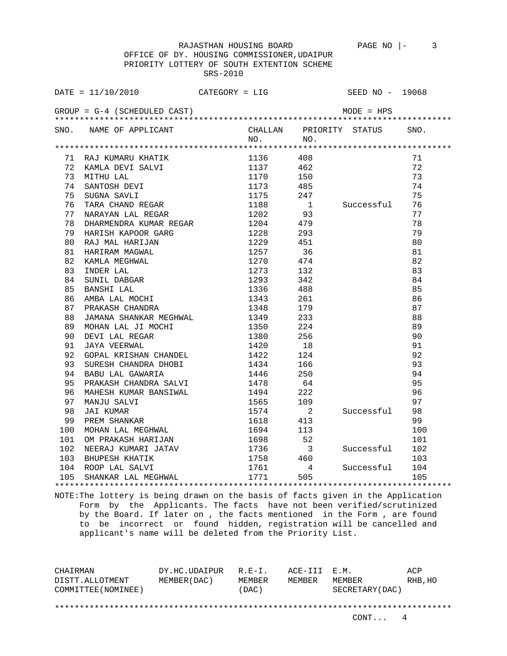RAJASTHAN HOUSING BOARD PAGE NO  $\vert - \vert$  3

 OFFICE OF DY. HOUSING COMMISSIONER,UDAIPUR PRIORITY LOTTERY OF SOUTH EXTENTION SCHEME SRS-2010

| $GROUP = G-4$ (SCHEDULED CAST)<br>$MODE = HPS$<br>SNO. NAME OF APPLICANT<br>CHALLAN PRIORITY STATUS SNO.<br>$NO.$ NO.<br>71<br>72<br>73<br>1170 150<br>74<br>1173 485<br>75<br>247<br>Successful 76<br>1<br>77<br>1204 479<br>1204 479<br>HARISH KAPOOR GARG 1228 293<br>RAJ MAL HARIJAN 1229 451<br>78<br>78<br>HARISH KAPOOR GARG<br>HARISH KAPOOR GARG<br>RAJ MAL HARIJAN 1229 451<br>HARIRAM MAGWAL 1257 36<br>KAMLA MEGHWAL 1270 474<br>INDER LAL 1273 132<br>SUNIL DABGAR 1293 342<br>BANSHI LAL 1336 488<br>PARISHI LAL 1336 488<br>79<br>79<br>80<br>80<br>81<br>81<br>82<br>82<br>83<br>83<br>84<br>84<br>85<br>85<br>86<br>86<br>1348<br>1349<br>1350<br>87<br>87<br>179<br>JAMANA SHANKAR MEGHWAL<br>88<br>88<br>233<br>MOHAN LAL JI MOCHI<br>224<br>89<br>89<br>1380 256<br>DEVI LAL REGAR<br>JAYA VEERWAL<br>90<br>90<br>JAYA VEERWAL 1420<br>GOPAL KRISHAN CHANDEL 1422<br>SURESH CHANDRA DHOBI 1434<br>1434<br>91<br>91<br>$\begin{array}{c} 18 \\ 124 \\ 166 \end{array}$<br>92<br>92<br>93<br>93<br>1446 250<br>BABU LAL GAWARIA<br>94<br>94<br>95<br>95<br>96<br>96<br>MAHESH KUMAR BANSIWAL<br>MANJU SALVI<br>JAI KUMAR<br>97<br>97<br>1574<br>Successful 98<br>$\overline{\phantom{a}}$ 2<br>98<br>PREM SHANKAR<br>1618 413<br>99<br>99<br>MOHAN LAL MEGHWAL<br>100<br>$1694$ $113$<br>$1698$ 52<br>100<br>101<br>OM PRAKASH HARIJAN<br>101<br>101 U. P. POLITICAL COMPANY 1736<br>102 NEERAJ KUMARI JATAV 1736 175<br>Successful 102<br>103 BHUPESH KHATIK 1758 460 103<br>104 ROOP LAL SALVI 1761 4 Successful 104<br>105 SHANKAR LAL MEGHWAL 1771 505 105 |  | $\texttt{DATE} = 11/10/2010$ CATEGORY = LIG |  |  |  | SEED NO - 19068 |  |  |  |  |  |  |
|----------------------------------------------------------------------------------------------------------------------------------------------------------------------------------------------------------------------------------------------------------------------------------------------------------------------------------------------------------------------------------------------------------------------------------------------------------------------------------------------------------------------------------------------------------------------------------------------------------------------------------------------------------------------------------------------------------------------------------------------------------------------------------------------------------------------------------------------------------------------------------------------------------------------------------------------------------------------------------------------------------------------------------------------------------------------------------------------------------------------------------------------------------------------------------------------------------------------------------------------------------------------------------------------------------------------------------------------------------------------------------------------------------------------------------------------------------------------------------------------------------------------------------------------------------------------------------|--|---------------------------------------------|--|--|--|-----------------|--|--|--|--|--|--|
|                                                                                                                                                                                                                                                                                                                                                                                                                                                                                                                                                                                                                                                                                                                                                                                                                                                                                                                                                                                                                                                                                                                                                                                                                                                                                                                                                                                                                                                                                                                                                                                  |  |                                             |  |  |  |                 |  |  |  |  |  |  |
|                                                                                                                                                                                                                                                                                                                                                                                                                                                                                                                                                                                                                                                                                                                                                                                                                                                                                                                                                                                                                                                                                                                                                                                                                                                                                                                                                                                                                                                                                                                                                                                  |  |                                             |  |  |  |                 |  |  |  |  |  |  |
|                                                                                                                                                                                                                                                                                                                                                                                                                                                                                                                                                                                                                                                                                                                                                                                                                                                                                                                                                                                                                                                                                                                                                                                                                                                                                                                                                                                                                                                                                                                                                                                  |  |                                             |  |  |  |                 |  |  |  |  |  |  |
|                                                                                                                                                                                                                                                                                                                                                                                                                                                                                                                                                                                                                                                                                                                                                                                                                                                                                                                                                                                                                                                                                                                                                                                                                                                                                                                                                                                                                                                                                                                                                                                  |  |                                             |  |  |  |                 |  |  |  |  |  |  |
|                                                                                                                                                                                                                                                                                                                                                                                                                                                                                                                                                                                                                                                                                                                                                                                                                                                                                                                                                                                                                                                                                                                                                                                                                                                                                                                                                                                                                                                                                                                                                                                  |  |                                             |  |  |  |                 |  |  |  |  |  |  |
|                                                                                                                                                                                                                                                                                                                                                                                                                                                                                                                                                                                                                                                                                                                                                                                                                                                                                                                                                                                                                                                                                                                                                                                                                                                                                                                                                                                                                                                                                                                                                                                  |  |                                             |  |  |  |                 |  |  |  |  |  |  |
|                                                                                                                                                                                                                                                                                                                                                                                                                                                                                                                                                                                                                                                                                                                                                                                                                                                                                                                                                                                                                                                                                                                                                                                                                                                                                                                                                                                                                                                                                                                                                                                  |  |                                             |  |  |  |                 |  |  |  |  |  |  |
|                                                                                                                                                                                                                                                                                                                                                                                                                                                                                                                                                                                                                                                                                                                                                                                                                                                                                                                                                                                                                                                                                                                                                                                                                                                                                                                                                                                                                                                                                                                                                                                  |  |                                             |  |  |  |                 |  |  |  |  |  |  |
|                                                                                                                                                                                                                                                                                                                                                                                                                                                                                                                                                                                                                                                                                                                                                                                                                                                                                                                                                                                                                                                                                                                                                                                                                                                                                                                                                                                                                                                                                                                                                                                  |  |                                             |  |  |  |                 |  |  |  |  |  |  |
|                                                                                                                                                                                                                                                                                                                                                                                                                                                                                                                                                                                                                                                                                                                                                                                                                                                                                                                                                                                                                                                                                                                                                                                                                                                                                                                                                                                                                                                                                                                                                                                  |  |                                             |  |  |  |                 |  |  |  |  |  |  |
|                                                                                                                                                                                                                                                                                                                                                                                                                                                                                                                                                                                                                                                                                                                                                                                                                                                                                                                                                                                                                                                                                                                                                                                                                                                                                                                                                                                                                                                                                                                                                                                  |  |                                             |  |  |  |                 |  |  |  |  |  |  |
|                                                                                                                                                                                                                                                                                                                                                                                                                                                                                                                                                                                                                                                                                                                                                                                                                                                                                                                                                                                                                                                                                                                                                                                                                                                                                                                                                                                                                                                                                                                                                                                  |  |                                             |  |  |  |                 |  |  |  |  |  |  |
|                                                                                                                                                                                                                                                                                                                                                                                                                                                                                                                                                                                                                                                                                                                                                                                                                                                                                                                                                                                                                                                                                                                                                                                                                                                                                                                                                                                                                                                                                                                                                                                  |  |                                             |  |  |  |                 |  |  |  |  |  |  |
|                                                                                                                                                                                                                                                                                                                                                                                                                                                                                                                                                                                                                                                                                                                                                                                                                                                                                                                                                                                                                                                                                                                                                                                                                                                                                                                                                                                                                                                                                                                                                                                  |  |                                             |  |  |  |                 |  |  |  |  |  |  |
|                                                                                                                                                                                                                                                                                                                                                                                                                                                                                                                                                                                                                                                                                                                                                                                                                                                                                                                                                                                                                                                                                                                                                                                                                                                                                                                                                                                                                                                                                                                                                                                  |  |                                             |  |  |  |                 |  |  |  |  |  |  |
|                                                                                                                                                                                                                                                                                                                                                                                                                                                                                                                                                                                                                                                                                                                                                                                                                                                                                                                                                                                                                                                                                                                                                                                                                                                                                                                                                                                                                                                                                                                                                                                  |  |                                             |  |  |  |                 |  |  |  |  |  |  |
|                                                                                                                                                                                                                                                                                                                                                                                                                                                                                                                                                                                                                                                                                                                                                                                                                                                                                                                                                                                                                                                                                                                                                                                                                                                                                                                                                                                                                                                                                                                                                                                  |  |                                             |  |  |  |                 |  |  |  |  |  |  |
|                                                                                                                                                                                                                                                                                                                                                                                                                                                                                                                                                                                                                                                                                                                                                                                                                                                                                                                                                                                                                                                                                                                                                                                                                                                                                                                                                                                                                                                                                                                                                                                  |  |                                             |  |  |  |                 |  |  |  |  |  |  |
|                                                                                                                                                                                                                                                                                                                                                                                                                                                                                                                                                                                                                                                                                                                                                                                                                                                                                                                                                                                                                                                                                                                                                                                                                                                                                                                                                                                                                                                                                                                                                                                  |  |                                             |  |  |  |                 |  |  |  |  |  |  |
|                                                                                                                                                                                                                                                                                                                                                                                                                                                                                                                                                                                                                                                                                                                                                                                                                                                                                                                                                                                                                                                                                                                                                                                                                                                                                                                                                                                                                                                                                                                                                                                  |  |                                             |  |  |  |                 |  |  |  |  |  |  |
|                                                                                                                                                                                                                                                                                                                                                                                                                                                                                                                                                                                                                                                                                                                                                                                                                                                                                                                                                                                                                                                                                                                                                                                                                                                                                                                                                                                                                                                                                                                                                                                  |  |                                             |  |  |  |                 |  |  |  |  |  |  |
|                                                                                                                                                                                                                                                                                                                                                                                                                                                                                                                                                                                                                                                                                                                                                                                                                                                                                                                                                                                                                                                                                                                                                                                                                                                                                                                                                                                                                                                                                                                                                                                  |  |                                             |  |  |  |                 |  |  |  |  |  |  |
|                                                                                                                                                                                                                                                                                                                                                                                                                                                                                                                                                                                                                                                                                                                                                                                                                                                                                                                                                                                                                                                                                                                                                                                                                                                                                                                                                                                                                                                                                                                                                                                  |  |                                             |  |  |  |                 |  |  |  |  |  |  |
|                                                                                                                                                                                                                                                                                                                                                                                                                                                                                                                                                                                                                                                                                                                                                                                                                                                                                                                                                                                                                                                                                                                                                                                                                                                                                                                                                                                                                                                                                                                                                                                  |  |                                             |  |  |  |                 |  |  |  |  |  |  |
|                                                                                                                                                                                                                                                                                                                                                                                                                                                                                                                                                                                                                                                                                                                                                                                                                                                                                                                                                                                                                                                                                                                                                                                                                                                                                                                                                                                                                                                                                                                                                                                  |  |                                             |  |  |  |                 |  |  |  |  |  |  |
|                                                                                                                                                                                                                                                                                                                                                                                                                                                                                                                                                                                                                                                                                                                                                                                                                                                                                                                                                                                                                                                                                                                                                                                                                                                                                                                                                                                                                                                                                                                                                                                  |  |                                             |  |  |  |                 |  |  |  |  |  |  |
|                                                                                                                                                                                                                                                                                                                                                                                                                                                                                                                                                                                                                                                                                                                                                                                                                                                                                                                                                                                                                                                                                                                                                                                                                                                                                                                                                                                                                                                                                                                                                                                  |  |                                             |  |  |  |                 |  |  |  |  |  |  |
|                                                                                                                                                                                                                                                                                                                                                                                                                                                                                                                                                                                                                                                                                                                                                                                                                                                                                                                                                                                                                                                                                                                                                                                                                                                                                                                                                                                                                                                                                                                                                                                  |  |                                             |  |  |  |                 |  |  |  |  |  |  |
|                                                                                                                                                                                                                                                                                                                                                                                                                                                                                                                                                                                                                                                                                                                                                                                                                                                                                                                                                                                                                                                                                                                                                                                                                                                                                                                                                                                                                                                                                                                                                                                  |  |                                             |  |  |  |                 |  |  |  |  |  |  |
|                                                                                                                                                                                                                                                                                                                                                                                                                                                                                                                                                                                                                                                                                                                                                                                                                                                                                                                                                                                                                                                                                                                                                                                                                                                                                                                                                                                                                                                                                                                                                                                  |  |                                             |  |  |  |                 |  |  |  |  |  |  |
|                                                                                                                                                                                                                                                                                                                                                                                                                                                                                                                                                                                                                                                                                                                                                                                                                                                                                                                                                                                                                                                                                                                                                                                                                                                                                                                                                                                                                                                                                                                                                                                  |  |                                             |  |  |  |                 |  |  |  |  |  |  |
|                                                                                                                                                                                                                                                                                                                                                                                                                                                                                                                                                                                                                                                                                                                                                                                                                                                                                                                                                                                                                                                                                                                                                                                                                                                                                                                                                                                                                                                                                                                                                                                  |  |                                             |  |  |  |                 |  |  |  |  |  |  |
|                                                                                                                                                                                                                                                                                                                                                                                                                                                                                                                                                                                                                                                                                                                                                                                                                                                                                                                                                                                                                                                                                                                                                                                                                                                                                                                                                                                                                                                                                                                                                                                  |  |                                             |  |  |  |                 |  |  |  |  |  |  |
|                                                                                                                                                                                                                                                                                                                                                                                                                                                                                                                                                                                                                                                                                                                                                                                                                                                                                                                                                                                                                                                                                                                                                                                                                                                                                                                                                                                                                                                                                                                                                                                  |  |                                             |  |  |  |                 |  |  |  |  |  |  |
|                                                                                                                                                                                                                                                                                                                                                                                                                                                                                                                                                                                                                                                                                                                                                                                                                                                                                                                                                                                                                                                                                                                                                                                                                                                                                                                                                                                                                                                                                                                                                                                  |  |                                             |  |  |  |                 |  |  |  |  |  |  |
|                                                                                                                                                                                                                                                                                                                                                                                                                                                                                                                                                                                                                                                                                                                                                                                                                                                                                                                                                                                                                                                                                                                                                                                                                                                                                                                                                                                                                                                                                                                                                                                  |  |                                             |  |  |  |                 |  |  |  |  |  |  |
|                                                                                                                                                                                                                                                                                                                                                                                                                                                                                                                                                                                                                                                                                                                                                                                                                                                                                                                                                                                                                                                                                                                                                                                                                                                                                                                                                                                                                                                                                                                                                                                  |  |                                             |  |  |  |                 |  |  |  |  |  |  |
|                                                                                                                                                                                                                                                                                                                                                                                                                                                                                                                                                                                                                                                                                                                                                                                                                                                                                                                                                                                                                                                                                                                                                                                                                                                                                                                                                                                                                                                                                                                                                                                  |  |                                             |  |  |  |                 |  |  |  |  |  |  |

NOTE:The lottery is being drawn on the basis of facts given in the Application Form by the Applicants. The facts have not been verified/scrutinized by the Board. If later on , the facts mentioned in the Form , are found to be incorrect or found hidden, registration will be cancelled and applicant's name will be deleted from the Priority List.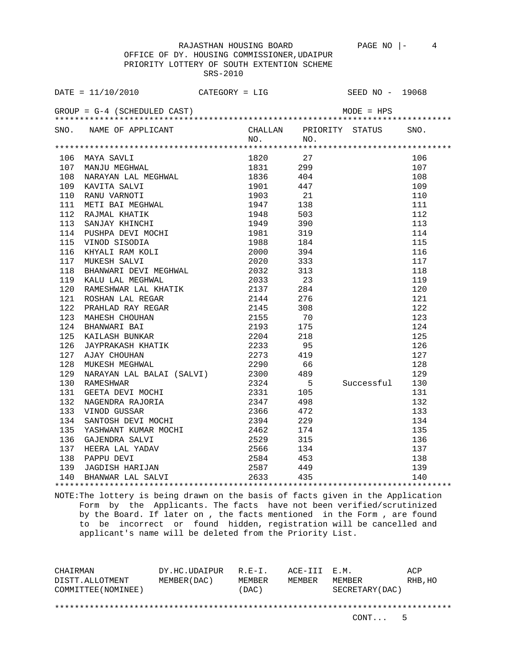OFFICE OF DY. HOUSING COMMISSIONER,UDAIPUR PRIORITY LOTTERY OF SOUTH EXTENTION SCHEME SRS-2010

|                                                                                                                                                                                                                                                                                                                                                                                                                                                                         | DATE = $11/10/2010$ CATEGORY = LIG SEED NO - 19068                                                                                                                                             |  |  |  |                |     |  |  |  |  |  |  |
|-------------------------------------------------------------------------------------------------------------------------------------------------------------------------------------------------------------------------------------------------------------------------------------------------------------------------------------------------------------------------------------------------------------------------------------------------------------------------|------------------------------------------------------------------------------------------------------------------------------------------------------------------------------------------------|--|--|--|----------------|-----|--|--|--|--|--|--|
|                                                                                                                                                                                                                                                                                                                                                                                                                                                                         |                                                                                                                                                                                                |  |  |  |                |     |  |  |  |  |  |  |
|                                                                                                                                                                                                                                                                                                                                                                                                                                                                         | SNO. NAME OF APPLICANT CHALLAN PRIORITY STATUS SNO.<br>NO. NO.                                                                                                                                 |  |  |  |                |     |  |  |  |  |  |  |
|                                                                                                                                                                                                                                                                                                                                                                                                                                                                         |                                                                                                                                                                                                |  |  |  |                |     |  |  |  |  |  |  |
| $\begin{tabular}{l c c c} \multicolumn{1}{c}{\textbf{106} \begin{tabular}{l} \multicolumn{1}{c}{\textbf{08} \begin{tabular}{l} \multicolumn{1}{c}{\textbf{08} \begin{tabular}{l} \multicolumn{1}{c}{\textbf{08} \begin{tabular}{l} \multicolumn{1}{c}{\textbf{08} \begin{tabular}{l} \multicolumn{1}{c}{\textbf{08} \begin{tabular}{l} \multicolumn{1}{c}{\textbf{08} \begin{tabular}{l} \multicolumn{1}{c}{\textbf{08} \begin{tabular}{l} \multicolumn{1}{c}{\textbf{$ |                                                                                                                                                                                                |  |  |  |                |     |  |  |  |  |  |  |
|                                                                                                                                                                                                                                                                                                                                                                                                                                                                         |                                                                                                                                                                                                |  |  |  |                | 106 |  |  |  |  |  |  |
|                                                                                                                                                                                                                                                                                                                                                                                                                                                                         |                                                                                                                                                                                                |  |  |  |                | 107 |  |  |  |  |  |  |
|                                                                                                                                                                                                                                                                                                                                                                                                                                                                         |                                                                                                                                                                                                |  |  |  |                | 108 |  |  |  |  |  |  |
|                                                                                                                                                                                                                                                                                                                                                                                                                                                                         |                                                                                                                                                                                                |  |  |  |                | 109 |  |  |  |  |  |  |
|                                                                                                                                                                                                                                                                                                                                                                                                                                                                         |                                                                                                                                                                                                |  |  |  |                | 110 |  |  |  |  |  |  |
|                                                                                                                                                                                                                                                                                                                                                                                                                                                                         |                                                                                                                                                                                                |  |  |  |                | 111 |  |  |  |  |  |  |
|                                                                                                                                                                                                                                                                                                                                                                                                                                                                         |                                                                                                                                                                                                |  |  |  |                | 112 |  |  |  |  |  |  |
|                                                                                                                                                                                                                                                                                                                                                                                                                                                                         |                                                                                                                                                                                                |  |  |  |                | 113 |  |  |  |  |  |  |
|                                                                                                                                                                                                                                                                                                                                                                                                                                                                         |                                                                                                                                                                                                |  |  |  |                | 114 |  |  |  |  |  |  |
|                                                                                                                                                                                                                                                                                                                                                                                                                                                                         |                                                                                                                                                                                                |  |  |  |                | 115 |  |  |  |  |  |  |
|                                                                                                                                                                                                                                                                                                                                                                                                                                                                         |                                                                                                                                                                                                |  |  |  |                | 116 |  |  |  |  |  |  |
|                                                                                                                                                                                                                                                                                                                                                                                                                                                                         |                                                                                                                                                                                                |  |  |  |                | 117 |  |  |  |  |  |  |
|                                                                                                                                                                                                                                                                                                                                                                                                                                                                         |                                                                                                                                                                                                |  |  |  |                | 118 |  |  |  |  |  |  |
|                                                                                                                                                                                                                                                                                                                                                                                                                                                                         |                                                                                                                                                                                                |  |  |  |                | 119 |  |  |  |  |  |  |
|                                                                                                                                                                                                                                                                                                                                                                                                                                                                         |                                                                                                                                                                                                |  |  |  |                | 120 |  |  |  |  |  |  |
|                                                                                                                                                                                                                                                                                                                                                                                                                                                                         |                                                                                                                                                                                                |  |  |  |                | 121 |  |  |  |  |  |  |
|                                                                                                                                                                                                                                                                                                                                                                                                                                                                         |                                                                                                                                                                                                |  |  |  |                | 122 |  |  |  |  |  |  |
|                                                                                                                                                                                                                                                                                                                                                                                                                                                                         |                                                                                                                                                                                                |  |  |  |                | 123 |  |  |  |  |  |  |
|                                                                                                                                                                                                                                                                                                                                                                                                                                                                         |                                                                                                                                                                                                |  |  |  |                | 124 |  |  |  |  |  |  |
|                                                                                                                                                                                                                                                                                                                                                                                                                                                                         |                                                                                                                                                                                                |  |  |  |                | 125 |  |  |  |  |  |  |
|                                                                                                                                                                                                                                                                                                                                                                                                                                                                         |                                                                                                                                                                                                |  |  |  |                | 126 |  |  |  |  |  |  |
|                                                                                                                                                                                                                                                                                                                                                                                                                                                                         |                                                                                                                                                                                                |  |  |  |                | 127 |  |  |  |  |  |  |
|                                                                                                                                                                                                                                                                                                                                                                                                                                                                         |                                                                                                                                                                                                |  |  |  |                | 128 |  |  |  |  |  |  |
|                                                                                                                                                                                                                                                                                                                                                                                                                                                                         |                                                                                                                                                                                                |  |  |  |                | 129 |  |  |  |  |  |  |
|                                                                                                                                                                                                                                                                                                                                                                                                                                                                         | 130 RAMESHWAR 2300 489<br>131 GEETA DEVI MOCHI 2331 105<br>132 NAGENDRA RAJORIA 2347 498<br>133 VINOD GUSSAR 2366 472<br>134 SANTOSH DEVI MOCHI 2394 229<br>135 YASHWANT KIIMAR MOCHI 2366 472 |  |  |  | Successful 130 |     |  |  |  |  |  |  |
|                                                                                                                                                                                                                                                                                                                                                                                                                                                                         |                                                                                                                                                                                                |  |  |  |                |     |  |  |  |  |  |  |
|                                                                                                                                                                                                                                                                                                                                                                                                                                                                         |                                                                                                                                                                                                |  |  |  |                |     |  |  |  |  |  |  |
|                                                                                                                                                                                                                                                                                                                                                                                                                                                                         |                                                                                                                                                                                                |  |  |  |                |     |  |  |  |  |  |  |
|                                                                                                                                                                                                                                                                                                                                                                                                                                                                         |                                                                                                                                                                                                |  |  |  |                |     |  |  |  |  |  |  |
|                                                                                                                                                                                                                                                                                                                                                                                                                                                                         |                                                                                                                                                                                                |  |  |  |                |     |  |  |  |  |  |  |
|                                                                                                                                                                                                                                                                                                                                                                                                                                                                         |                                                                                                                                                                                                |  |  |  |                |     |  |  |  |  |  |  |
|                                                                                                                                                                                                                                                                                                                                                                                                                                                                         |                                                                                                                                                                                                |  |  |  |                |     |  |  |  |  |  |  |
|                                                                                                                                                                                                                                                                                                                                                                                                                                                                         |                                                                                                                                                                                                |  |  |  |                |     |  |  |  |  |  |  |
|                                                                                                                                                                                                                                                                                                                                                                                                                                                                         |                                                                                                                                                                                                |  |  |  |                |     |  |  |  |  |  |  |
|                                                                                                                                                                                                                                                                                                                                                                                                                                                                         |                                                                                                                                                                                                |  |  |  |                |     |  |  |  |  |  |  |
| 131 GEFTA DEVI MOCHI<br>132 MAGENDRA RAJORIA<br>132 NAGENDRA RAJORIA<br>132 VINOD GUSSAR<br>132 VINOD GUSSAR<br>133 VINOD GUSSAR<br>133 VINOD GUSSAR<br>2366<br>2394<br>2394<br>2394<br>2394<br>229<br>229<br>133 MAGENDRA DEVI MOCHI<br>2394<br>229<br>133<br>133                                                                                                                                                                                                      |                                                                                                                                                                                                |  |  |  |                |     |  |  |  |  |  |  |

NOTE:The lottery is being drawn on the basis of facts given in the Application Form by the Applicants. The facts have not been verified/scrutinized by the Board. If later on , the facts mentioned in the Form , are found to be incorrect or found hidden, registration will be cancelled and applicant's name will be deleted from the Priority List.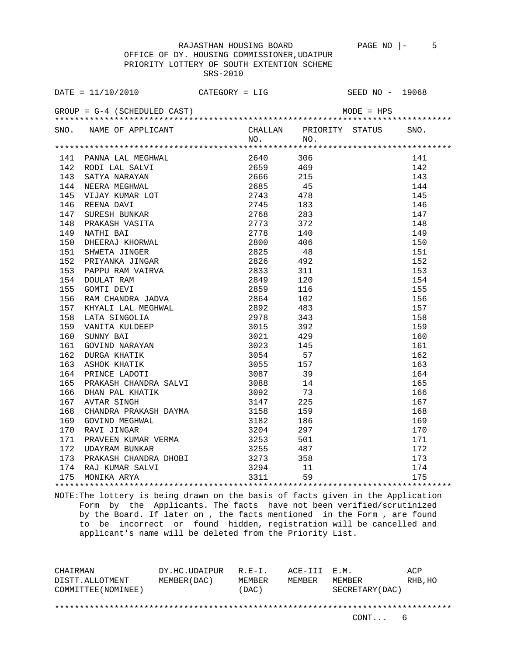OFFICE OF DY. HOUSING COMMISSIONER,UDAIPUR PRIORITY LOTTERY OF SOUTH EXTENTION SCHEME SRS-2010

| DATE = $11/10/2010$ CATEGORY = LIG                                 |  | SEED NO - 19068 |
|--------------------------------------------------------------------|--|-----------------|
| GROUP = $G-4$ (SCHEDULED CAST) $MODE = HPS$                        |  |                 |
| SNO. NAME OF APPLICANT CHALLAN PRIORITY STATUS SNO.<br>NO. NO. NO. |  |                 |
|                                                                    |  |                 |
|                                                                    |  |                 |
|                                                                    |  | 141             |
|                                                                    |  | 142             |
|                                                                    |  | 143             |
|                                                                    |  | 144             |
|                                                                    |  | 145             |
|                                                                    |  | 146             |
|                                                                    |  | 147             |
|                                                                    |  | 148             |
|                                                                    |  | 149             |
|                                                                    |  | 150             |
|                                                                    |  | 151             |
|                                                                    |  | 152             |
|                                                                    |  | 153             |
|                                                                    |  | 154             |
|                                                                    |  | 155             |
|                                                                    |  | 156             |
|                                                                    |  | 157             |
|                                                                    |  | 158             |
|                                                                    |  | 159             |
|                                                                    |  | 160             |
|                                                                    |  | 161             |
|                                                                    |  | 162             |
|                                                                    |  | 163             |
|                                                                    |  | 164             |
|                                                                    |  | 165             |
|                                                                    |  | 166             |
|                                                                    |  | 167             |
|                                                                    |  | 168             |
|                                                                    |  | 169             |
|                                                                    |  | 170             |
|                                                                    |  | 171             |
|                                                                    |  | 172             |
|                                                                    |  | 173             |
|                                                                    |  | 174             |
| 174 RAJ KUMAR SALVI 3294 11<br>175 MONIKA ARYA 3311 59             |  | 175             |
|                                                                    |  |                 |

NOTE:The lottery is being drawn on the basis of facts given in the Application Form by the Applicants. The facts have not been verified/scrutinized by the Board. If later on , the facts mentioned in the Form , are found to be incorrect or found hidden, registration will be cancelled and applicant's name will be deleted from the Priority List.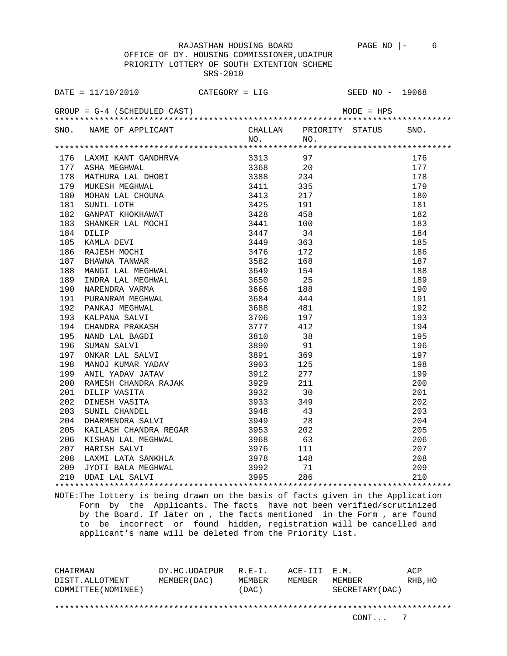OFFICE OF DY. HOUSING COMMISSIONER,UDAIPUR PRIORITY LOTTERY OF SOUTH EXTENTION SCHEME SRS-2010

|                                             | DATE = $11/10/2010$ CATEGORY = LIG                                                                                                                                                                                                            |             |     | SEED NO - 19068              |
|---------------------------------------------|-----------------------------------------------------------------------------------------------------------------------------------------------------------------------------------------------------------------------------------------------|-------------|-----|------------------------------|
| GROUP = $G-4$ (SCHEDULED CAST) $MODE = HPS$ |                                                                                                                                                                                                                                               |             |     |                              |
|                                             | SNO. NAME OF APPLICANT                                                                                                                                                                                                                        |             |     | CHALLAN PRIORITY STATUS SNO. |
|                                             | 1976 LAWIN KANT (ANDRES CHARLES 1977)<br>1776 ANANT KANT AND DIOUT 1978 1971<br>1779 ASSEA MEGEINAL DIOUT 1978 1978 1979<br>1789 MATUURA LAL DIOUT 1978 1978 1979<br>1881 1980 NOSAN LAL DIOUT 1978 1978 1979<br>1891 NOSAN LAL DIOUT 1978 19 | $NO.$ $NO.$ |     |                              |
|                                             |                                                                                                                                                                                                                                               |             |     | 176                          |
|                                             |                                                                                                                                                                                                                                               |             |     | 177                          |
|                                             |                                                                                                                                                                                                                                               |             |     | 178                          |
|                                             |                                                                                                                                                                                                                                               |             |     | 179                          |
|                                             |                                                                                                                                                                                                                                               |             |     | 180                          |
|                                             |                                                                                                                                                                                                                                               |             |     | 181                          |
|                                             |                                                                                                                                                                                                                                               |             |     | 182                          |
|                                             |                                                                                                                                                                                                                                               |             |     | 183                          |
|                                             |                                                                                                                                                                                                                                               |             |     | 184                          |
|                                             |                                                                                                                                                                                                                                               |             |     | 185                          |
|                                             |                                                                                                                                                                                                                                               |             |     | 186                          |
|                                             |                                                                                                                                                                                                                                               |             |     | 187                          |
|                                             |                                                                                                                                                                                                                                               |             |     | 188                          |
|                                             |                                                                                                                                                                                                                                               |             |     | 189                          |
|                                             |                                                                                                                                                                                                                                               |             |     | 190                          |
|                                             |                                                                                                                                                                                                                                               |             |     | 191                          |
|                                             |                                                                                                                                                                                                                                               |             |     | 192                          |
|                                             |                                                                                                                                                                                                                                               |             |     | 193                          |
|                                             |                                                                                                                                                                                                                                               |             |     | 194                          |
|                                             |                                                                                                                                                                                                                                               |             |     | 195                          |
|                                             |                                                                                                                                                                                                                                               |             |     | 196                          |
|                                             |                                                                                                                                                                                                                                               |             |     | 197                          |
|                                             |                                                                                                                                                                                                                                               |             |     | 198                          |
|                                             |                                                                                                                                                                                                                                               |             |     | 199                          |
|                                             |                                                                                                                                                                                                                                               |             |     | 200                          |
|                                             |                                                                                                                                                                                                                                               |             |     | 201                          |
|                                             |                                                                                                                                                                                                                                               |             |     | 202                          |
|                                             |                                                                                                                                                                                                                                               |             |     | 203                          |
|                                             |                                                                                                                                                                                                                                               |             |     | 204                          |
|                                             |                                                                                                                                                                                                                                               |             |     | 205                          |
|                                             |                                                                                                                                                                                                                                               |             |     | 206                          |
|                                             |                                                                                                                                                                                                                                               |             |     | 207                          |
|                                             |                                                                                                                                                                                                                                               |             |     | 208                          |
|                                             |                                                                                                                                                                                                                                               |             | 71  | 209                          |
|                                             | 209 JYOTI BALA MEGHWAL 3992<br>210 UDAI LAL SALVI 3995                                                                                                                                                                                        |             | 286 | 210                          |
|                                             |                                                                                                                                                                                                                                               |             |     |                              |

NOTE:The lottery is being drawn on the basis of facts given in the Application Form by the Applicants. The facts have not been verified/scrutinized by the Board. If later on , the facts mentioned in the Form , are found to be incorrect or found hidden, registration will be cancelled and applicant's name will be deleted from the Priority List.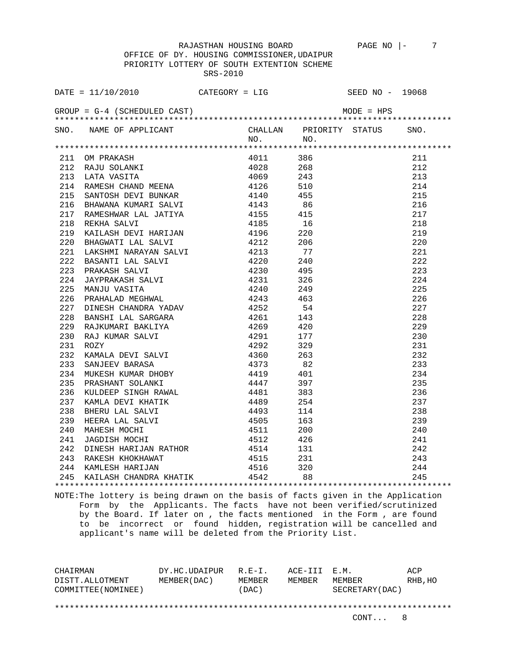OFFICE OF DY. HOUSING COMMISSIONER,UDAIPUR PRIORITY LOTTERY OF SOUTH EXTENTION SCHEME SRS-2010

| DATE = $11/10/2010$ CATEGORY = LIG SEED NO - 19068                                                                                                                                                                                 |  |  |
|------------------------------------------------------------------------------------------------------------------------------------------------------------------------------------------------------------------------------------|--|--|
|                                                                                                                                                                                                                                    |  |  |
|                                                                                                                                                                                                                                    |  |  |
| SNO. NAME OF APPLICANT CHALLAN PRIORITY STATUS SNO.<br>NO. NO.                                                                                                                                                                     |  |  |
|                                                                                                                                                                                                                                    |  |  |
|                                                                                                                                                                                                                                    |  |  |
|                                                                                                                                                                                                                                    |  |  |
|                                                                                                                                                                                                                                    |  |  |
|                                                                                                                                                                                                                                    |  |  |
|                                                                                                                                                                                                                                    |  |  |
|                                                                                                                                                                                                                                    |  |  |
|                                                                                                                                                                                                                                    |  |  |
|                                                                                                                                                                                                                                    |  |  |
|                                                                                                                                                                                                                                    |  |  |
|                                                                                                                                                                                                                                    |  |  |
|                                                                                                                                                                                                                                    |  |  |
|                                                                                                                                                                                                                                    |  |  |
|                                                                                                                                                                                                                                    |  |  |
|                                                                                                                                                                                                                                    |  |  |
|                                                                                                                                                                                                                                    |  |  |
|                                                                                                                                                                                                                                    |  |  |
|                                                                                                                                                                                                                                    |  |  |
|                                                                                                                                                                                                                                    |  |  |
|                                                                                                                                                                                                                                    |  |  |
|                                                                                                                                                                                                                                    |  |  |
|                                                                                                                                                                                                                                    |  |  |
|                                                                                                                                                                                                                                    |  |  |
|                                                                                                                                                                                                                                    |  |  |
|                                                                                                                                                                                                                                    |  |  |
|                                                                                                                                                                                                                                    |  |  |
|                                                                                                                                                                                                                                    |  |  |
|                                                                                                                                                                                                                                    |  |  |
|                                                                                                                                                                                                                                    |  |  |
|                                                                                                                                                                                                                                    |  |  |
|                                                                                                                                                                                                                                    |  |  |
|                                                                                                                                                                                                                                    |  |  |
|                                                                                                                                                                                                                                    |  |  |
|                                                                                                                                                                                                                                    |  |  |
|                                                                                                                                                                                                                                    |  |  |
| 47441<br>1971 - Microsoftan Molemon, 1970<br>1971 - Andreas Marina (1971 - 1986 - 1987 - 1988 - 1988 - 1988 - 1988 - 1988 - 1988 - 1988 - 1988 - 1988 - 1988 - 1988 - 1988 - 1988 - 1988 - 1988 - 1988 - 1988 - 1988 - 1988 - 1988 |  |  |
|                                                                                                                                                                                                                                    |  |  |

NOTE:The lottery is being drawn on the basis of facts given in the Application Form by the Applicants. The facts have not been verified/scrutinized by the Board. If later on , the facts mentioned in the Form , are found to be incorrect or found hidden, registration will be cancelled and applicant's name will be deleted from the Priority List.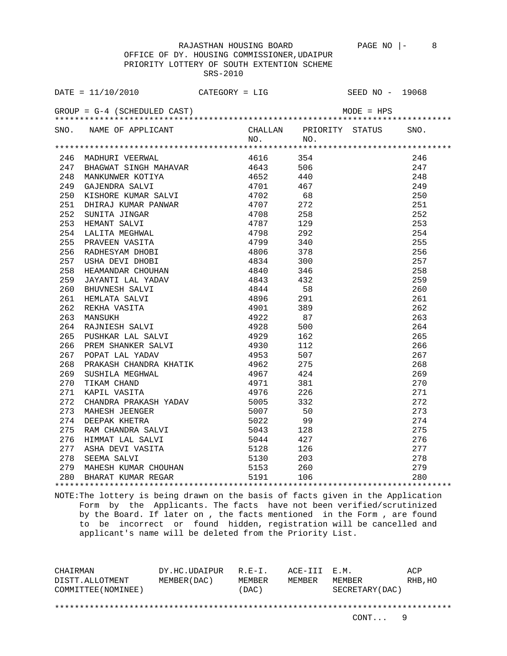OFFICE OF DY. HOUSING COMMISSIONER,UDAIPUR PRIORITY LOTTERY OF SOUTH EXTENTION SCHEME SRS-2010

|     | DATE = $11/10/2010$ CATEGORY = LIG                                                                                                                                                                                                                                                 |          |                              | SEED NO - 19068 |     |
|-----|------------------------------------------------------------------------------------------------------------------------------------------------------------------------------------------------------------------------------------------------------------------------------------|----------|------------------------------|-----------------|-----|
|     |                                                                                                                                                                                                                                                                                    |          |                              |                 |     |
|     | SNO. NAME OF APPLICANT                                                                                                                                                                                                                                                             |          | CHALLAN PRIORITY STATUS SNO. |                 |     |
|     |                                                                                                                                                                                                                                                                                    |          | NO. NO.                      |                 |     |
|     |                                                                                                                                                                                                                                                                                    |          |                              |                 |     |
|     | 246 MADHURI VEERWAL                                                                                                                                                                                                                                                                | 4616 354 |                              |                 | 246 |
|     | 247 BHAGWAT SINGH MAHAVAR 4643 506<br>247 BHAGWAT SINGH MAHAVAR 1964<br>249 BHAGWAT SINGH MAHAVAR 1965<br>248 MANKUNWER KOTIYA 1965<br>248 MANKUNWER KOTIYA 1967<br>250 KISHORE KUMAR SALVI 1970<br>251 DHIRAJ KUMAR PANWAR 1970<br>251 DHIRAJ KUMAR PANWAR 1970<br>252 SUNITA JIN |          |                              |                 | 247 |
|     |                                                                                                                                                                                                                                                                                    |          |                              |                 | 248 |
|     |                                                                                                                                                                                                                                                                                    |          |                              |                 | 249 |
|     |                                                                                                                                                                                                                                                                                    |          |                              |                 | 250 |
|     |                                                                                                                                                                                                                                                                                    |          |                              |                 | 251 |
|     |                                                                                                                                                                                                                                                                                    |          |                              |                 | 252 |
|     |                                                                                                                                                                                                                                                                                    |          |                              |                 | 253 |
|     |                                                                                                                                                                                                                                                                                    |          |                              |                 | 254 |
|     |                                                                                                                                                                                                                                                                                    |          |                              |                 | 255 |
|     |                                                                                                                                                                                                                                                                                    |          |                              |                 | 256 |
|     |                                                                                                                                                                                                                                                                                    |          |                              |                 | 257 |
|     |                                                                                                                                                                                                                                                                                    |          |                              |                 | 258 |
|     |                                                                                                                                                                                                                                                                                    |          |                              |                 | 259 |
|     |                                                                                                                                                                                                                                                                                    |          |                              |                 | 260 |
|     |                                                                                                                                                                                                                                                                                    |          |                              |                 | 261 |
|     |                                                                                                                                                                                                                                                                                    |          |                              |                 | 262 |
|     |                                                                                                                                                                                                                                                                                    |          |                              |                 | 263 |
|     |                                                                                                                                                                                                                                                                                    |          |                              |                 | 264 |
|     |                                                                                                                                                                                                                                                                                    |          |                              |                 | 265 |
|     |                                                                                                                                                                                                                                                                                    |          |                              |                 | 266 |
|     |                                                                                                                                                                                                                                                                                    |          |                              |                 | 267 |
| 268 |                                                                                                                                                                                                                                                                                    |          | 275                          |                 | 268 |
| 269 |                                                                                                                                                                                                                                                                                    |          | 424                          |                 | 269 |
| 270 | PRAKASH CHANDRA KHATIK (1962)<br>SUSHILA MEGHWAL (1967)<br>TIKAM CHAND (1971)<br>KAPIL VASITA (1976)                                                                                                                                                                               |          | 381                          |                 | 270 |
| 271 |                                                                                                                                                                                                                                                                                    | 4976 226 |                              |                 | 271 |
|     |                                                                                                                                                                                                                                                                                    |          |                              |                 | 272 |
|     |                                                                                                                                                                                                                                                                                    |          |                              |                 | 273 |
|     |                                                                                                                                                                                                                                                                                    |          |                              |                 | 274 |
|     |                                                                                                                                                                                                                                                                                    |          |                              |                 | 275 |
|     |                                                                                                                                                                                                                                                                                    |          |                              |                 | 276 |
|     |                                                                                                                                                                                                                                                                                    |          |                              |                 | 277 |
|     | 271 KAPIL VASIIA<br>272 CHANDRA PRAKASH YADAV 5005 332<br>273 MAHESH JEENGER 5007 50<br>274 DEEPAK KHETRA 5022 99<br>275 RAM CHANDRA SALVI 5043 128<br>276 HIMMAT LAL SALVI 5044 427<br>277 ASHA DEVI VASITA 5128 126<br>278 SEEMA SALVI 513                                       |          | 203                          |                 | 278 |
|     |                                                                                                                                                                                                                                                                                    |          |                              |                 | 279 |
|     | 279 MAHESH KUMAR CHOUHAN 5153 260<br>280 BHARAT KUMAR REGAR 5191 106                                                                                                                                                                                                               |          |                              |                 | 280 |
|     |                                                                                                                                                                                                                                                                                    |          |                              |                 |     |

NOTE:The lottery is being drawn on the basis of facts given in the Application Form by the Applicants. The facts have not been verified/scrutinized by the Board. If later on , the facts mentioned in the Form , are found to be incorrect or found hidden, registration will be cancelled and applicant's name will be deleted from the Priority List.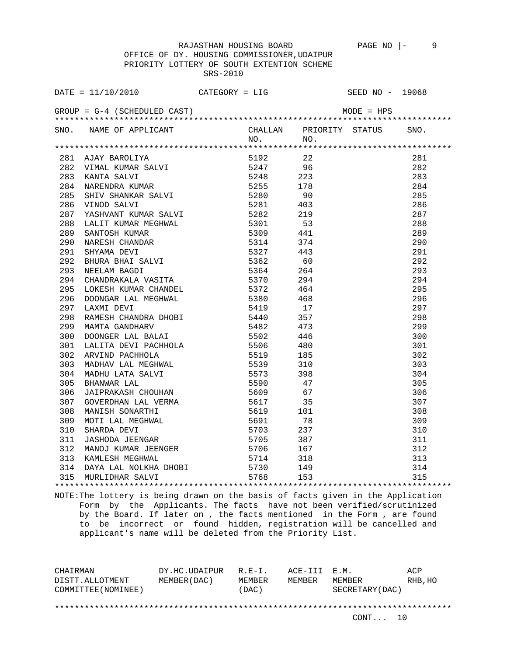OFFICE OF DY. HOUSING COMMISSIONER,UDAIPUR PRIORITY LOTTERY OF SOUTH EXTENTION SCHEME SRS-2010

| DATE = $11/10/2010$ CATEGORY = LIG SEED NO - 19068                                                                                                                                                                           |  |  |
|------------------------------------------------------------------------------------------------------------------------------------------------------------------------------------------------------------------------------|--|--|
|                                                                                                                                                                                                                              |  |  |
| SNO. NAME OF APPLICANT CHALLAN PRIORITY STATUS SNO.<br>NO. NO.                                                                                                                                                               |  |  |
| 4744 - 121 - 121 - 121 - 121 - 121 - 121 - 121 - 121 - 121 - 121 - 121 - 121 - 121 - 121 - 121 - 121 - 121 - 121 - 121 - 121 - 121 - 121 - 121 - 121 - 121 - 121 - 121 - 121 - 121 - 121 - 121 - 121 - 121 - 121 - 121 - 121 |  |  |
|                                                                                                                                                                                                                              |  |  |
|                                                                                                                                                                                                                              |  |  |
|                                                                                                                                                                                                                              |  |  |
|                                                                                                                                                                                                                              |  |  |
|                                                                                                                                                                                                                              |  |  |
|                                                                                                                                                                                                                              |  |  |
|                                                                                                                                                                                                                              |  |  |
|                                                                                                                                                                                                                              |  |  |
|                                                                                                                                                                                                                              |  |  |
|                                                                                                                                                                                                                              |  |  |
|                                                                                                                                                                                                                              |  |  |
|                                                                                                                                                                                                                              |  |  |
|                                                                                                                                                                                                                              |  |  |
|                                                                                                                                                                                                                              |  |  |
|                                                                                                                                                                                                                              |  |  |
|                                                                                                                                                                                                                              |  |  |
|                                                                                                                                                                                                                              |  |  |
|                                                                                                                                                                                                                              |  |  |
|                                                                                                                                                                                                                              |  |  |
|                                                                                                                                                                                                                              |  |  |
|                                                                                                                                                                                                                              |  |  |
|                                                                                                                                                                                                                              |  |  |
|                                                                                                                                                                                                                              |  |  |
|                                                                                                                                                                                                                              |  |  |
|                                                                                                                                                                                                                              |  |  |
|                                                                                                                                                                                                                              |  |  |
|                                                                                                                                                                                                                              |  |  |
|                                                                                                                                                                                                                              |  |  |
|                                                                                                                                                                                                                              |  |  |
|                                                                                                                                                                                                                              |  |  |
|                                                                                                                                                                                                                              |  |  |
|                                                                                                                                                                                                                              |  |  |
|                                                                                                                                                                                                                              |  |  |
|                                                                                                                                                                                                                              |  |  |
|                                                                                                                                                                                                                              |  |  |
|                                                                                                                                                                                                                              |  |  |
|                                                                                                                                                                                                                              |  |  |

NOTE:The lottery is being drawn on the basis of facts given in the Application Form by the Applicants. The facts have not been verified/scrutinized by the Board. If later on , the facts mentioned in the Form , are found to be incorrect or found hidden, registration will be cancelled and applicant's name will be deleted from the Priority List.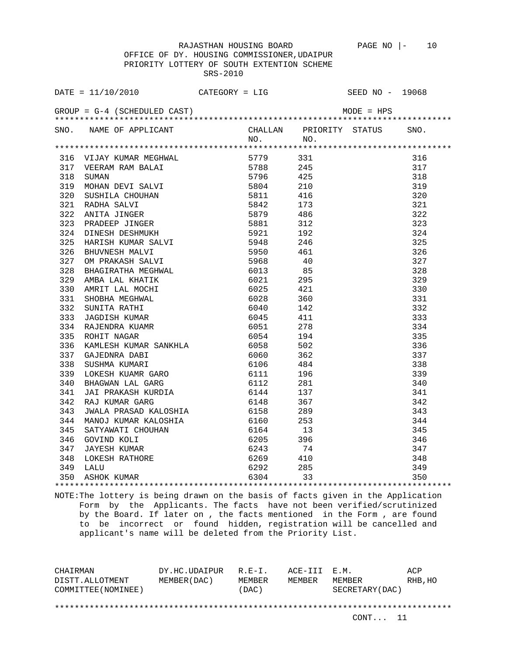OFFICE OF DY. HOUSING COMMISSIONER,UDAIPUR PRIORITY LOTTERY OF SOUTH EXTENTION SCHEME SRS-2010

|     | DATE = $11/10/2010$ CATEGORY = LIG SEED NO - 19068                                                                                                                                                                                              |  |                                                                                                             |
|-----|-------------------------------------------------------------------------------------------------------------------------------------------------------------------------------------------------------------------------------------------------|--|-------------------------------------------------------------------------------------------------------------|
|     |                                                                                                                                                                                                                                                 |  |                                                                                                             |
|     | SNO. NAME OF APPLICANT CHALLAN PRIORITY STATUS SNO.<br>NO. NO.                                                                                                                                                                                  |  |                                                                                                             |
|     | 1916 VIATA KUMAR MEGHWAL 1921<br>1916 VIARA KUMAR MEGHWAL 1979<br>1917 VEREAM REVI SATATI 1978<br>1918 SUMAN DEVI SATATI 1979<br>1921 RADIM SATATI 1980<br>1921 RADIM SATATI 1980<br>1922 ANTIR ATINGER 1980<br>1922 ANTIR ATINGER 1980<br>192  |  |                                                                                                             |
|     |                                                                                                                                                                                                                                                 |  | 316                                                                                                         |
|     |                                                                                                                                                                                                                                                 |  | 317                                                                                                         |
|     |                                                                                                                                                                                                                                                 |  | 318                                                                                                         |
|     |                                                                                                                                                                                                                                                 |  | 319                                                                                                         |
|     |                                                                                                                                                                                                                                                 |  | 320                                                                                                         |
|     |                                                                                                                                                                                                                                                 |  | 321                                                                                                         |
|     |                                                                                                                                                                                                                                                 |  | 322                                                                                                         |
|     |                                                                                                                                                                                                                                                 |  | 323                                                                                                         |
|     |                                                                                                                                                                                                                                                 |  | 324                                                                                                         |
|     |                                                                                                                                                                                                                                                 |  | 325                                                                                                         |
|     |                                                                                                                                                                                                                                                 |  | 326                                                                                                         |
|     |                                                                                                                                                                                                                                                 |  | 327                                                                                                         |
|     |                                                                                                                                                                                                                                                 |  | 328                                                                                                         |
|     |                                                                                                                                                                                                                                                 |  | 329                                                                                                         |
|     |                                                                                                                                                                                                                                                 |  | 330                                                                                                         |
|     |                                                                                                                                                                                                                                                 |  | 331                                                                                                         |
|     |                                                                                                                                                                                                                                                 |  | 332                                                                                                         |
|     |                                                                                                                                                                                                                                                 |  | 333                                                                                                         |
|     |                                                                                                                                                                                                                                                 |  | 334                                                                                                         |
|     |                                                                                                                                                                                                                                                 |  | 335                                                                                                         |
|     |                                                                                                                                                                                                                                                 |  | 336                                                                                                         |
|     |                                                                                                                                                                                                                                                 |  | 337                                                                                                         |
|     |                                                                                                                                                                                                                                                 |  | 338                                                                                                         |
|     |                                                                                                                                                                                                                                                 |  | 339                                                                                                         |
|     |                                                                                                                                                                                                                                                 |  | 340                                                                                                         |
|     |                                                                                                                                                                                                                                                 |  | 341                                                                                                         |
|     |                                                                                                                                                                                                                                                 |  | 342                                                                                                         |
| 343 | JWALA PRASAD KALOSHIA 6158 289                                                                                                                                                                                                                  |  |                                                                                                             |
|     |                                                                                                                                                                                                                                                 |  |                                                                                                             |
|     |                                                                                                                                                                                                                                                 |  |                                                                                                             |
|     |                                                                                                                                                                                                                                                 |  |                                                                                                             |
|     |                                                                                                                                                                                                                                                 |  |                                                                                                             |
|     |                                                                                                                                                                                                                                                 |  |                                                                                                             |
|     | 344 MANOJ KUMAR KALOSHIA 6160 253<br>345 SATYAWATI CHOUHAN 6160 253<br>345 SATYAWATI CHOUHAN 6164 13<br>346 GOVIND KOLI 6205 396<br>347 JAYESH KUMAR 6243 74<br>348 LOKESH RATHORE 6269 410<br>349 LALU 6292 285<br>350 ASHOK KUMAR 6304 33<br> |  | $\begin{array}{r} 342 \\ 343 \\ 344 \\ 345 \\ 346 \\ 347 \\ 348 \\ 349 \\ 350 \\ 350 \\ 350 \\ \end{array}$ |
|     |                                                                                                                                                                                                                                                 |  |                                                                                                             |

NOTE:The lottery is being drawn on the basis of facts given in the Application Form by the Applicants. The facts have not been verified/scrutinized by the Board. If later on , the facts mentioned in the Form , are found to be incorrect or found hidden, registration will be cancelled and applicant's name will be deleted from the Priority List.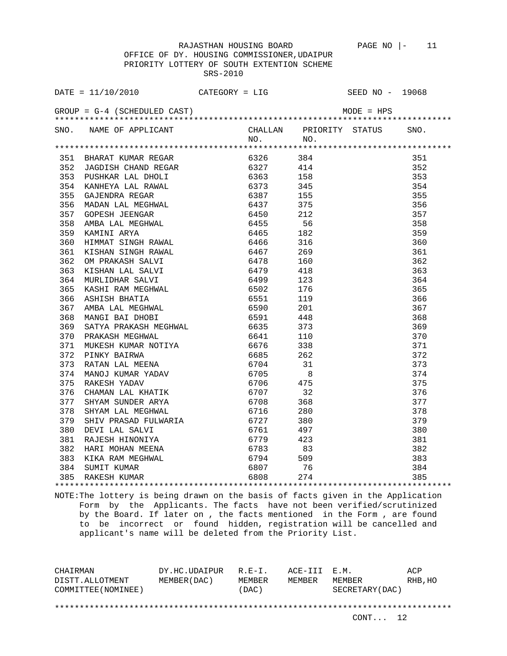OFFICE OF DY. HOUSING COMMISSIONER,UDAIPUR PRIORITY LOTTERY OF SOUTH EXTENTION SCHEME SRS-2010

| 368 MANGI BAI DHOBI 6591 448<br>369 SATYA PRAKASH MEGHWAL 6635 373<br>370 PRAKASH MEGHWAL 6641 110<br>371 MUKESH KUMAR NOTIYA 6676 338<br>372 PINKY BAIRWA 6685 262<br>373 RATAN LAL MEENA 6704 31<br>374 MANOJ KUMAR YADAV 6705 8<br>375 RA<br>$\begin{array}{c} 371 \\ 372 \\ 373 \\ 374 \end{array}$<br>375<br>376<br>377<br>377 SHYAM SUNDER ARYA<br>378 SHYAM LAL MEGHWAL<br>379 SHIV PRASAD FULWARIA<br>379 SHIV PRASAD FULWARIA<br>379 SHIV PRASAD FULWARIA<br>379 SHIV PRASAD FULWARIA<br>379 SHIV PRASAD FULWARIA<br>379 SHIV PRASAD FULWARIA<br>379 SHIV PRASAD FULW<br>$\frac{3}{383}$<br>76 $\frac{383}{381}$ |  |  |  |
|---------------------------------------------------------------------------------------------------------------------------------------------------------------------------------------------------------------------------------------------------------------------------------------------------------------------------------------------------------------------------------------------------------------------------------------------------------------------------------------------------------------------------------------------------------------------------------------------------------------------------|--|--|--|
|                                                                                                                                                                                                                                                                                                                                                                                                                                                                                                                                                                                                                           |  |  |  |
|                                                                                                                                                                                                                                                                                                                                                                                                                                                                                                                                                                                                                           |  |  |  |
|                                                                                                                                                                                                                                                                                                                                                                                                                                                                                                                                                                                                                           |  |  |  |
|                                                                                                                                                                                                                                                                                                                                                                                                                                                                                                                                                                                                                           |  |  |  |
|                                                                                                                                                                                                                                                                                                                                                                                                                                                                                                                                                                                                                           |  |  |  |
|                                                                                                                                                                                                                                                                                                                                                                                                                                                                                                                                                                                                                           |  |  |  |
|                                                                                                                                                                                                                                                                                                                                                                                                                                                                                                                                                                                                                           |  |  |  |
|                                                                                                                                                                                                                                                                                                                                                                                                                                                                                                                                                                                                                           |  |  |  |
|                                                                                                                                                                                                                                                                                                                                                                                                                                                                                                                                                                                                                           |  |  |  |
|                                                                                                                                                                                                                                                                                                                                                                                                                                                                                                                                                                                                                           |  |  |  |
|                                                                                                                                                                                                                                                                                                                                                                                                                                                                                                                                                                                                                           |  |  |  |
|                                                                                                                                                                                                                                                                                                                                                                                                                                                                                                                                                                                                                           |  |  |  |
|                                                                                                                                                                                                                                                                                                                                                                                                                                                                                                                                                                                                                           |  |  |  |
|                                                                                                                                                                                                                                                                                                                                                                                                                                                                                                                                                                                                                           |  |  |  |
|                                                                                                                                                                                                                                                                                                                                                                                                                                                                                                                                                                                                                           |  |  |  |
|                                                                                                                                                                                                                                                                                                                                                                                                                                                                                                                                                                                                                           |  |  |  |
|                                                                                                                                                                                                                                                                                                                                                                                                                                                                                                                                                                                                                           |  |  |  |
|                                                                                                                                                                                                                                                                                                                                                                                                                                                                                                                                                                                                                           |  |  |  |
|                                                                                                                                                                                                                                                                                                                                                                                                                                                                                                                                                                                                                           |  |  |  |
|                                                                                                                                                                                                                                                                                                                                                                                                                                                                                                                                                                                                                           |  |  |  |
|                                                                                                                                                                                                                                                                                                                                                                                                                                                                                                                                                                                                                           |  |  |  |
|                                                                                                                                                                                                                                                                                                                                                                                                                                                                                                                                                                                                                           |  |  |  |
|                                                                                                                                                                                                                                                                                                                                                                                                                                                                                                                                                                                                                           |  |  |  |
|                                                                                                                                                                                                                                                                                                                                                                                                                                                                                                                                                                                                                           |  |  |  |
|                                                                                                                                                                                                                                                                                                                                                                                                                                                                                                                                                                                                                           |  |  |  |
|                                                                                                                                                                                                                                                                                                                                                                                                                                                                                                                                                                                                                           |  |  |  |
|                                                                                                                                                                                                                                                                                                                                                                                                                                                                                                                                                                                                                           |  |  |  |
|                                                                                                                                                                                                                                                                                                                                                                                                                                                                                                                                                                                                                           |  |  |  |
|                                                                                                                                                                                                                                                                                                                                                                                                                                                                                                                                                                                                                           |  |  |  |
|                                                                                                                                                                                                                                                                                                                                                                                                                                                                                                                                                                                                                           |  |  |  |
|                                                                                                                                                                                                                                                                                                                                                                                                                                                                                                                                                                                                                           |  |  |  |
|                                                                                                                                                                                                                                                                                                                                                                                                                                                                                                                                                                                                                           |  |  |  |
|                                                                                                                                                                                                                                                                                                                                                                                                                                                                                                                                                                                                                           |  |  |  |
|                                                                                                                                                                                                                                                                                                                                                                                                                                                                                                                                                                                                                           |  |  |  |
|                                                                                                                                                                                                                                                                                                                                                                                                                                                                                                                                                                                                                           |  |  |  |
|                                                                                                                                                                                                                                                                                                                                                                                                                                                                                                                                                                                                                           |  |  |  |
|                                                                                                                                                                                                                                                                                                                                                                                                                                                                                                                                                                                                                           |  |  |  |
|                                                                                                                                                                                                                                                                                                                                                                                                                                                                                                                                                                                                                           |  |  |  |

NOTE:The lottery is being drawn on the basis of facts given in the Application Form by the Applicants. The facts have not been verified/scrutinized by the Board. If later on , the facts mentioned in the Form , are found to be incorrect or found hidden, registration will be cancelled and applicant's name will be deleted from the Priority List.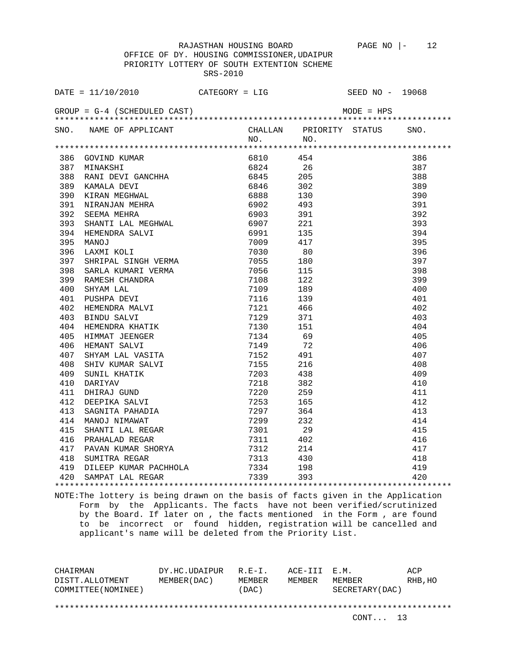OFFICE OF DY. HOUSING COMMISSIONER,UDAIPUR PRIORITY LOTTERY OF SOUTH EXTENTION SCHEME SRS-2010

|                                              | $\texttt{DATE} = 11/10/2010$                                                                                                      | $CATEGORY = LIG$ |                         | SEED NO - 19068 |  |
|----------------------------------------------|-----------------------------------------------------------------------------------------------------------------------------------|------------------|-------------------------|-----------------|--|
| $GROUP = G-4$ (SCHEDULED CAST)<br>MODE = HPS |                                                                                                                                   |                  |                         |                 |  |
|                                              | SNO. NAME OF APPLICANT                                                                                                            |                  | CHALLAN PRIORITY STATUS | SNO.            |  |
|                                              |                                                                                                                                   | NO.              | NO.                     |                 |  |
|                                              | 386 GOVIND KUMAR                                                                                                                  | 6810             | 454                     | 386             |  |
|                                              | 387 MINAKSHI                                                                                                                      | 6824             | 26                      | 387             |  |
| 388                                          |                                                                                                                                   |                  |                         | 388             |  |
| 389                                          | KAMALA DEVI                                                                                                                       | 6845 205<br>6846 |                         | 389             |  |
| 390                                          |                                                                                                                                   | 6888             | 302<br>130              | 390             |  |
| 391                                          |                                                                                                                                   | 6902 493         |                         | 391             |  |
| 392                                          |                                                                                                                                   |                  | 391                     | 392             |  |
| 393                                          |                                                                                                                                   | 6903 — 100       | 221                     | 393             |  |
| 394                                          |                                                                                                                                   | 6907             |                         | 394             |  |
| 395                                          |                                                                                                                                   | 6991<br>7009 417 | 135                     | 395             |  |
| 396                                          |                                                                                                                                   |                  |                         |                 |  |
| 397                                          | LAXMI KOLI<br>SHRIPAL SINGH VERMA<br>SARLA KUMARI VERMA<br>RAMESH CHANDRA<br>SHYAM LAL<br>NIGULA DIVI                             | 7030             | 80                      | 396<br>397      |  |
|                                              |                                                                                                                                   | 7055             | 180                     |                 |  |
| 398                                          | SARLA KUNGAL<br>RAMESH CHANDRA<br>SHYAM LAL<br>PUSHPA DEVI<br>HEMENDRA MALVI<br>BINDU SALVI<br>HEMENDRA KHATIK<br>HEMENDRA KHATIK | 7056             | - 115                   | 398             |  |
| 399                                          |                                                                                                                                   | 7108             | 122                     | 399             |  |
| 400                                          |                                                                                                                                   | 7109             | 189                     | 400             |  |
| 401                                          |                                                                                                                                   | 7116             | 139                     | 401             |  |
| 402                                          |                                                                                                                                   | 7121             | 466                     | 402             |  |
| 403                                          |                                                                                                                                   | 7129             | 371                     | 403             |  |
| 404                                          |                                                                                                                                   | 7130             | 151                     | 404             |  |
| 405                                          | HIMMAT JEENGER                                                                                                                    | 7134             | 69                      | 405             |  |
| 406                                          |                                                                                                                                   | 7149             | 72                      | 406             |  |
| 407                                          | SHYAM LAL VASITA                                                                                                                  | 7152 491         |                         | 407             |  |
| 408                                          |                                                                                                                                   | 7155             | 216                     | 408             |  |
| 409                                          | SHIV KUMAR SALVI<br>SUNIL KHATIK<br>DADIYAV                                                                                       | 7203             | 438                     | 409             |  |
| 410                                          | DARIYAV                                                                                                                           | 7218             | 382                     | 410             |  |
| 411                                          | DHIRAJ GUND<br>DEEPIKA SALVI<br>TILIMANIA                                                                                         | 7220             | 259                     | 411             |  |
| 412                                          | DEEPIKA SALVANDIA<br>SAGNITA PAHADIA                                                                                              | 7253             | 165                     | 412             |  |
| 413                                          |                                                                                                                                   | 7297             | 364                     | 413             |  |
| 414                                          |                                                                                                                                   | 7299             | 232                     | 414             |  |
| 415                                          | SHANTI LAL REGAR                                                                                                                  | 7301             | 29                      | 415             |  |
| 416                                          |                                                                                                                                   | 7311             | 402                     | 416             |  |
| 417                                          |                                                                                                                                   | 7312             | 214                     | 417             |  |
| 418                                          | - NGUALAL KEGAR<br>PAVAN KUMAR SHORYA<br>SUMITRA REGAR<br>DII TTT                                                                 | 7313             | 430                     | 418             |  |
|                                              | 419 DILEEP KUMAR PACHHOLA 7334 198                                                                                                |                  |                         | 419             |  |
|                                              | 420 SAMPAT LAL REGAR 7339                                                                                                         |                  | 393                     | 420             |  |
|                                              |                                                                                                                                   |                  |                         |                 |  |

NOTE:The lottery is being drawn on the basis of facts given in the Application Form by the Applicants. The facts have not been verified/scrutinized by the Board. If later on , the facts mentioned in the Form , are found to be incorrect or found hidden, registration will be cancelled and applicant's name will be deleted from the Priority List.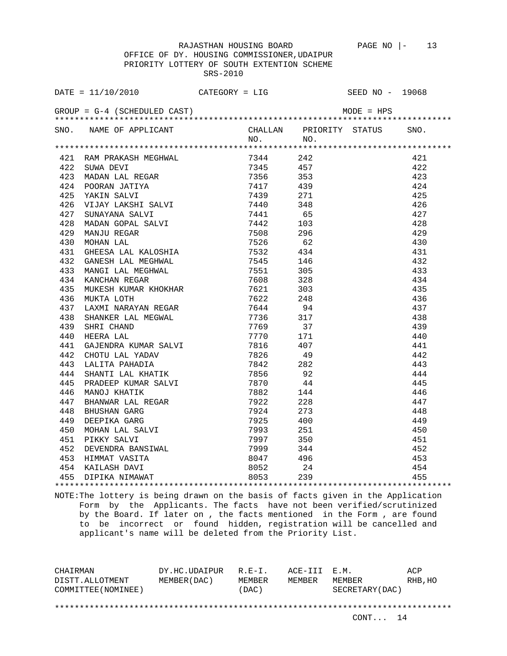OFFICE OF DY. HOUSING COMMISSIONER,UDAIPUR PRIORITY LOTTERY OF SOUTH EXTENTION SCHEME SRS-2010

| DATE = $11/10/2010$ CATEGORY = LIG SEED NO - 19068                                                                                                                                                                                           |             |                                                                                 |  |
|----------------------------------------------------------------------------------------------------------------------------------------------------------------------------------------------------------------------------------------------|-------------|---------------------------------------------------------------------------------|--|
| $GROUP = G-4$ (SCHEDULED CAST)                                                                                                                                                                                                               |             | $MODE = HPS$                                                                    |  |
| SNO. NAME OF APPLICANT                                                                                                                                                                                                                       | $NO.$ $NO.$ | CHALLAN PRIORITY STATUS SNO.                                                    |  |
|                                                                                                                                                                                                                                              |             |                                                                                 |  |
|                                                                                                                                                                                                                                              |             | 421                                                                             |  |
|                                                                                                                                                                                                                                              |             | 422                                                                             |  |
|                                                                                                                                                                                                                                              |             | 423                                                                             |  |
|                                                                                                                                                                                                                                              |             | 424                                                                             |  |
|                                                                                                                                                                                                                                              |             | 425                                                                             |  |
|                                                                                                                                                                                                                                              |             | 426                                                                             |  |
|                                                                                                                                                                                                                                              |             | 427                                                                             |  |
| 421 RAM PRAKASH MEGHWAL 7344 242<br>422 SUWA DEVI 7345 457<br>423 MADAN LAL REGAR 7356 353<br>424 POORAN JATIYA 7417 439<br>425 YAKIN SALVI 7417 439<br>425 YAKIN SALVI 7440 348<br>427 SUNAYANA SALVI 7440 348<br>427 SUNAYANA SALVI 7441 6 |             | 428                                                                             |  |
|                                                                                                                                                                                                                                              |             | 429                                                                             |  |
|                                                                                                                                                                                                                                              |             | 430                                                                             |  |
|                                                                                                                                                                                                                                              |             | 431                                                                             |  |
|                                                                                                                                                                                                                                              |             | 432                                                                             |  |
|                                                                                                                                                                                                                                              |             | 433                                                                             |  |
|                                                                                                                                                                                                                                              |             | 434                                                                             |  |
|                                                                                                                                                                                                                                              |             | 435                                                                             |  |
|                                                                                                                                                                                                                                              |             | 436                                                                             |  |
|                                                                                                                                                                                                                                              |             | 437                                                                             |  |
|                                                                                                                                                                                                                                              |             | 438                                                                             |  |
|                                                                                                                                                                                                                                              |             | 439                                                                             |  |
|                                                                                                                                                                                                                                              |             | 440                                                                             |  |
|                                                                                                                                                                                                                                              |             | 441                                                                             |  |
|                                                                                                                                                                                                                                              |             | 442                                                                             |  |
|                                                                                                                                                                                                                                              |             | 443                                                                             |  |
|                                                                                                                                                                                                                                              |             | 444                                                                             |  |
|                                                                                                                                                                                                                                              |             | 445                                                                             |  |
|                                                                                                                                                                                                                                              |             | 446                                                                             |  |
|                                                                                                                                                                                                                                              |             | 447                                                                             |  |
|                                                                                                                                                                                                                                              |             | 448                                                                             |  |
|                                                                                                                                                                                                                                              |             | 449                                                                             |  |
|                                                                                                                                                                                                                                              |             |                                                                                 |  |
|                                                                                                                                                                                                                                              |             |                                                                                 |  |
|                                                                                                                                                                                                                                              |             |                                                                                 |  |
|                                                                                                                                                                                                                                              |             |                                                                                 |  |
| 444 SHANTI LAL KHATIK 7856 92<br>445 PRADEEP KUMAR SALVI 7870 44<br>446 MANOJ KHATIK 7882 144<br>447 BHANWAR LAL REGAR 7922 228<br>448 BHUSHAN GARG 7924 273<br>449 DEEPIKA GARG 7925 400<br>450 MOHAN LAL SALVI 7993 251<br>451 PIKKY SALVI |             | $\begin{array}{r} 450 \\ 451 \\ 452 \\ 453 \\ 454 \\ 454 \\ \hline \end{array}$ |  |
|                                                                                                                                                                                                                                              |             |                                                                                 |  |

NOTE:The lottery is being drawn on the basis of facts given in the Application Form by the Applicants. The facts have not been verified/scrutinized by the Board. If later on , the facts mentioned in the Form , are found to be incorrect or found hidden, registration will be cancelled and applicant's name will be deleted from the Priority List.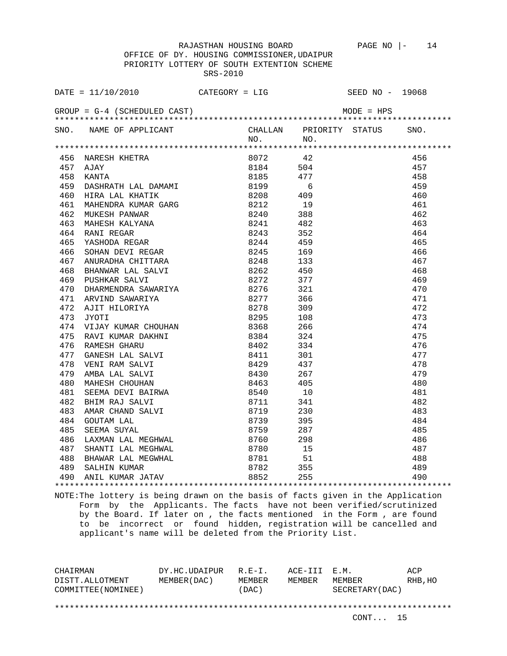OFFICE OF DY. HOUSING COMMISSIONER,UDAIPUR PRIORITY LOTTERY OF SOUTH EXTENTION SCHEME SRS-2010

|     | DATE = $11/10/2010$ CATEGORY = LIG SEED NO - 19068                                                                                                                                                                                           |                     |                              |     |
|-----|----------------------------------------------------------------------------------------------------------------------------------------------------------------------------------------------------------------------------------------------|---------------------|------------------------------|-----|
|     | $GROUP = G-4$ (SCHEDULED CAST)                                                                                                                                                                                                               |                     | $MODE = HPS$                 |     |
|     | SNO. NAME OF APPLICANT                                                                                                                                                                                                                       |                     | CHALLAN PRIORITY STATUS SNO. |     |
|     |                                                                                                                                                                                                                                              | $NO.$ NO.           |                              |     |
|     |                                                                                                                                                                                                                                              |                     |                              |     |
|     | 456 NARESH KHETRA $8072$<br>457 AJAY 8184<br>458 KANTA 8185<br>459 DASHRATH LAL DAMAMI 8199                                                                                                                                                  |                     |                              | 456 |
|     |                                                                                                                                                                                                                                              | 8072 42<br>8184 504 |                              | 457 |
|     |                                                                                                                                                                                                                                              | 8185 477            |                              | 458 |
|     |                                                                                                                                                                                                                                              |                     | 6                            | 459 |
|     |                                                                                                                                                                                                                                              |                     |                              | 460 |
|     |                                                                                                                                                                                                                                              |                     |                              | 461 |
|     | 460 HIRA LAL KHATIK 8208 409<br>461 MAHENDRA KUMAR GARG 8212 19<br>462 MUKESH PANWAR GARG 8212 19<br>463 MAHESH KALYANA 8240 388<br>464 RANI REGAR 8243 352<br>465 YASHODA REGAR 8244 459<br>466 SOHAN DEVI REGAR 8245 169<br>466 SOHAN DEVI |                     |                              | 462 |
|     |                                                                                                                                                                                                                                              |                     |                              | 463 |
|     |                                                                                                                                                                                                                                              |                     |                              | 464 |
|     |                                                                                                                                                                                                                                              |                     |                              | 465 |
|     |                                                                                                                                                                                                                                              |                     |                              | 466 |
|     | 467 ANURADHA CHITTARA 6248 133                                                                                                                                                                                                               |                     |                              | 467 |
|     | 467 ANUKADHA CHILIMA.<br>468 BHANWAR LAL SALVI                                                                                                                                                                                               | 8262                | 450                          | 468 |
|     | 469 PUSHKAR SALVI 8272 377<br>470 DHARMENDRA SAWARIYA 8276 321<br>471 ARVIND SAWARIYA 8277 366<br>472 AJIT HILORIYA 8277 366<br>472 AJIT HILORIYA 8278 309<br>473 TYOTT                                                                      |                     |                              | 469 |
|     |                                                                                                                                                                                                                                              |                     |                              | 470 |
|     |                                                                                                                                                                                                                                              |                     |                              | 471 |
|     |                                                                                                                                                                                                                                              |                     |                              | 472 |
| 473 | JYOTI                                                                                                                                                                                                                                        | 8295                | 108                          | 473 |
|     | 474 VIJAY KUMAR CHOUHAN                                                                                                                                                                                                                      | 8368                | 266                          | 474 |
|     |                                                                                                                                                                                                                                              |                     |                              | 475 |
|     |                                                                                                                                                                                                                                              |                     |                              | 476 |
|     |                                                                                                                                                                                                                                              |                     |                              | 477 |
|     |                                                                                                                                                                                                                                              |                     |                              | 478 |
|     | 475 RAVI KUMAR DAKHNI 8384 324<br>476 RAMESH GHARU 8402 334<br>477 GANESH LAL SALVI 8411 301<br>478 VENI RAM SALVI 8429 437<br>479 AMBA LAL SALVI 8430 267<br>480 MARESH CROUGHAN                                                            |                     |                              | 479 |
| 480 |                                                                                                                                                                                                                                              |                     |                              | 480 |
| 481 |                                                                                                                                                                                                                                              |                     |                              | 481 |
| 482 |                                                                                                                                                                                                                                              |                     |                              | 482 |
| 483 |                                                                                                                                                                                                                                              |                     |                              | 483 |
| 484 |                                                                                                                                                                                                                                              |                     |                              | 484 |
| 485 |                                                                                                                                                                                                                                              |                     |                              | 485 |
| 486 |                                                                                                                                                                                                                                              |                     |                              | 486 |
| 487 |                                                                                                                                                                                                                                              |                     |                              | 487 |
|     | 488 BHAWAR LAL MEGWHAL                                                                                                                                                                                                                       |                     |                              | 488 |
|     |                                                                                                                                                                                                                                              |                     |                              | 489 |
|     |                                                                                                                                                                                                                                              |                     |                              | 490 |
|     |                                                                                                                                                                                                                                              |                     |                              |     |

NOTE:The lottery is being drawn on the basis of facts given in the Application Form by the Applicants. The facts have not been verified/scrutinized by the Board. If later on , the facts mentioned in the Form , are found to be incorrect or found hidden, registration will be cancelled and applicant's name will be deleted from the Priority List.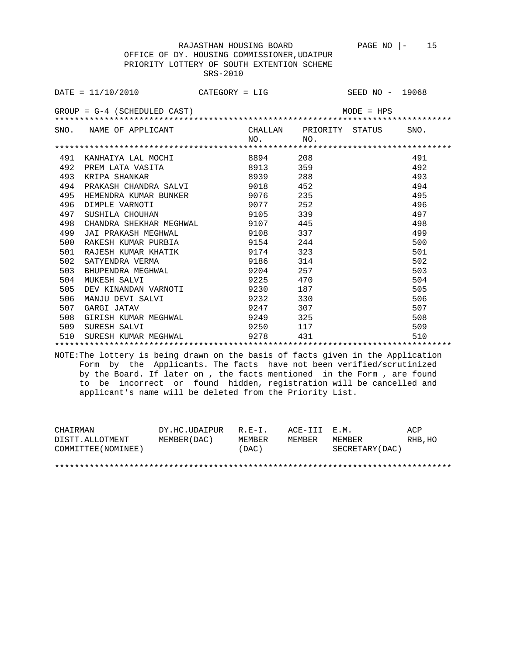|  |          | OFFICE OF DY. HOUSING COMMISSIONER, UDAIPUR |  |
|--|----------|---------------------------------------------|--|
|  |          | PRIORITY LOTTERY OF SOUTH EXTENTION SCHEME  |  |
|  | SRS-2010 |                                             |  |

|     | $\texttt{DATE} = 11/10/2010$ CATEGORY = LIG |            |                         | SEED NO - 19068 |      |
|-----|---------------------------------------------|------------|-------------------------|-----------------|------|
|     | $GROUP = G-4$ (SCHEDULED CAST)              |            |                         | $MODE = HPS$    |      |
|     | SNO. NAME OF APPLICANT                      |            | CHALLAN PRIORITY STATUS |                 | SNO. |
|     |                                             | NO.        | NO.                     |                 |      |
|     |                                             |            |                         |                 |      |
| 491 | KANHAIYA LAL MOCHI                          | 8894 — 100 | 208                     |                 | 491  |
| 492 | PREM LATA VASITA                            | 8913       | 359                     |                 | 492  |
| 493 | KRIPA SHANKAR                               | 8939 — 10  | 288                     |                 | 493  |
| 494 | PRAKASH CHANDRA SALVI                       | 9018 452   |                         |                 | 494  |
| 495 | HEMENDRA KUMAR BUNKER<br>DIMPLE VARNOTI     | 9076 — 100 | 235                     |                 | 495  |
| 496 |                                             | 9077 252   |                         |                 | 496  |
| 497 | SUSHILA CHOUHAN                             | 9105       | 339                     |                 | 497  |
| 498 | CHANDRA SHEKHAR MEGHWAL                     | 9107 445   |                         |                 | 498  |
| 499 | JAI PRAKASH MEGHWAL                         | 9108 337   |                         |                 | 499  |
| 500 | RAKESH KUMAR PURBIA                         | 9154 244   |                         |                 | 500  |
| 501 | RAJESH KUMAR KHATIK                         | 9174       | 323                     |                 | 501  |
| 502 | SATYENDRA VERMA                             | 9186 314   |                         |                 | 502  |
| 503 | BHUPENDRA MEGHWAL                           | 9204 257   |                         |                 | 503  |
| 504 | MUKESH SALVI                                | 9225 470   |                         |                 | 504  |
| 505 | DEV KINANDAN VARNOTI 9230 187               |            |                         |                 | 505  |
| 506 | MANJU DEVI SALVI                            | 9232       | 330                     |                 | 506  |
| 507 | GARGI JATAV                                 | 9247       | 307                     |                 | 507  |
| 508 | GIRISH KUMAR MEGHWAL 9249 325               |            |                         |                 | 508  |
| 509 | SURESH SALVI                                | 9250 117   |                         |                 | 509  |
| 510 | SURESH KUMAR MEGHWAL                        | 9278       | 431                     |                 | 510  |
|     |                                             |            |                         |                 |      |

NOTE:The lottery is being drawn on the basis of facts given in the Application Form by the Applicants. The facts have not been verified/scrutinized by the Board. If later on , the facts mentioned in the Form , are found to be incorrect or found hidden, registration will be cancelled and applicant's name will be deleted from the Priority List.

| CHAIRMAN            | DY.HC.UDAIPUR | $R.F - T$ . | ACE-TTT F.M. |                 | ACP     |
|---------------------|---------------|-------------|--------------|-----------------|---------|
| DISTT.ALLOTMENT     | MEMBER (DAC)  | MEMBER      | MEMBER       | MEMBER          | RHB, HO |
| COMMITTEE (NOMINEE) |               | (DAC)       |              | SECRETARY (DAC) |         |
|                     |               |             |              |                 |         |
|                     |               |             |              |                 |         |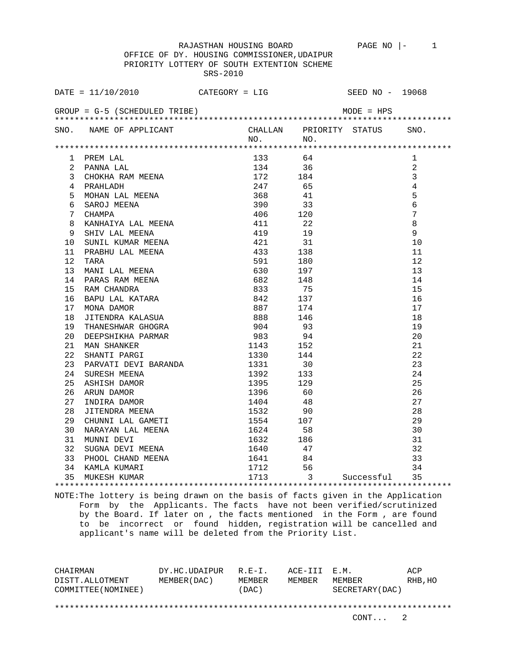OFFICE OF DY. HOUSING COMMISSIONER,UDAIPUR PRIORITY LOTTERY OF SOUTH EXTENTION SCHEME SRS-2010

| DATE = $11/10/2010$ CATEGORY = LIG SEED NO - 19068                                                                                                                                                                                                                                                                                                                                                                                                                              |  |                   |
|---------------------------------------------------------------------------------------------------------------------------------------------------------------------------------------------------------------------------------------------------------------------------------------------------------------------------------------------------------------------------------------------------------------------------------------------------------------------------------|--|-------------------|
| $GROUP = G-5$ (SCHEDULED TRIBE) MODE = HPS                                                                                                                                                                                                                                                                                                                                                                                                                                      |  |                   |
| SNO. NAME OF APPLICANT CHALLAN PRIORITY STATUS SNO.<br>NO. NO. NO.                                                                                                                                                                                                                                                                                                                                                                                                              |  |                   |
|                                                                                                                                                                                                                                                                                                                                                                                                                                                                                 |  |                   |
|                                                                                                                                                                                                                                                                                                                                                                                                                                                                                 |  |                   |
|                                                                                                                                                                                                                                                                                                                                                                                                                                                                                 |  | 1                 |
|                                                                                                                                                                                                                                                                                                                                                                                                                                                                                 |  | 2<br>$\mathbf{3}$ |
|                                                                                                                                                                                                                                                                                                                                                                                                                                                                                 |  | $\overline{4}$    |
|                                                                                                                                                                                                                                                                                                                                                                                                                                                                                 |  | 5                 |
|                                                                                                                                                                                                                                                                                                                                                                                                                                                                                 |  | $\sqrt{6}$        |
|                                                                                                                                                                                                                                                                                                                                                                                                                                                                                 |  | $7\overline{ }$   |
|                                                                                                                                                                                                                                                                                                                                                                                                                                                                                 |  | 8                 |
|                                                                                                                                                                                                                                                                                                                                                                                                                                                                                 |  | 9                 |
|                                                                                                                                                                                                                                                                                                                                                                                                                                                                                 |  | 10                |
|                                                                                                                                                                                                                                                                                                                                                                                                                                                                                 |  | 11                |
|                                                                                                                                                                                                                                                                                                                                                                                                                                                                                 |  | 12                |
|                                                                                                                                                                                                                                                                                                                                                                                                                                                                                 |  | 13                |
|                                                                                                                                                                                                                                                                                                                                                                                                                                                                                 |  | 14                |
|                                                                                                                                                                                                                                                                                                                                                                                                                                                                                 |  | 15                |
| $\begin{tabular}{l c c c c} \multicolumn{4}{l}{\multicolumn{4}{l}{\multicolumn{4}{l}{\multicolumn{4}{l}{\multicolumn{4}{l}{\multicolumn{4}{l}{\multicolumn{4}{l}{\multicolumn{4}{l}{\multicolumn{4}{l}{\multicolumn{4}{l}{\multicolumn{4}{l}{\multicolumn{4}{l}{\multicolumn{4}{l}{\multicolumn{4}{l}{\multicolumn{4}{l}{\multicolumn{4}{l}{\multicolumn{4}{l}{\multicolumn{4}{l}{\multicolumn{4}{l}{\multicolumn{4}{l}{\multicolumn{4}{l}{\multicolumn{4}{l}{\multicolumn{4}{$ |  | 16                |
|                                                                                                                                                                                                                                                                                                                                                                                                                                                                                 |  | 17                |
|                                                                                                                                                                                                                                                                                                                                                                                                                                                                                 |  | 18                |
|                                                                                                                                                                                                                                                                                                                                                                                                                                                                                 |  | 19                |
|                                                                                                                                                                                                                                                                                                                                                                                                                                                                                 |  | 20                |
|                                                                                                                                                                                                                                                                                                                                                                                                                                                                                 |  | 21                |
|                                                                                                                                                                                                                                                                                                                                                                                                                                                                                 |  | 22                |
|                                                                                                                                                                                                                                                                                                                                                                                                                                                                                 |  | 23                |
| 20 DEEPSHIKHA PARMAR<br>21 MAN SHANKER<br>22 SHANTI PARGI<br>23 PARVATI DEVI BARANDA<br>24 SURESH MEENA<br>25 ASHISH DAMOR<br>26 ARUN DAMOR<br>27 INDIRA DAMOR<br>27 INDIRA DAMOR<br>27 INDIRA DAMOR<br>28 JITENDRA MEENA<br>28 JITENDRA MEENA<br>28 J                                                                                                                                                                                                                          |  | 24                |
|                                                                                                                                                                                                                                                                                                                                                                                                                                                                                 |  | 25                |
|                                                                                                                                                                                                                                                                                                                                                                                                                                                                                 |  | 26                |
|                                                                                                                                                                                                                                                                                                                                                                                                                                                                                 |  | 27                |
|                                                                                                                                                                                                                                                                                                                                                                                                                                                                                 |  | 28                |
|                                                                                                                                                                                                                                                                                                                                                                                                                                                                                 |  |                   |
|                                                                                                                                                                                                                                                                                                                                                                                                                                                                                 |  |                   |
|                                                                                                                                                                                                                                                                                                                                                                                                                                                                                 |  |                   |
|                                                                                                                                                                                                                                                                                                                                                                                                                                                                                 |  |                   |
|                                                                                                                                                                                                                                                                                                                                                                                                                                                                                 |  |                   |
| 20 OTTEMAR MEERA<br>29 CHUNNI LAL GAMETI 1554 107 29<br>30 NARAYAN LAL MEENA 1624 58 30<br>31 MUNNI DEVI 1632 186 31<br>32 SUGNA DEVI MEENA 1640 47 32<br>33 PHOOL CHAND MEENA 1641 84 33<br>34 KAMLA KUMARI 1712 56 34<br>35 MUKESH KUMARI                                                                                                                                                                                                                                     |  |                   |
|                                                                                                                                                                                                                                                                                                                                                                                                                                                                                 |  |                   |
|                                                                                                                                                                                                                                                                                                                                                                                                                                                                                 |  |                   |

NOTE:The lottery is being drawn on the basis of facts given in the Application Form by the Applicants. The facts have not been verified/scrutinized by the Board. If later on , the facts mentioned in the Form , are found to be incorrect or found hidden, registration will be cancelled and applicant's name will be deleted from the Priority List.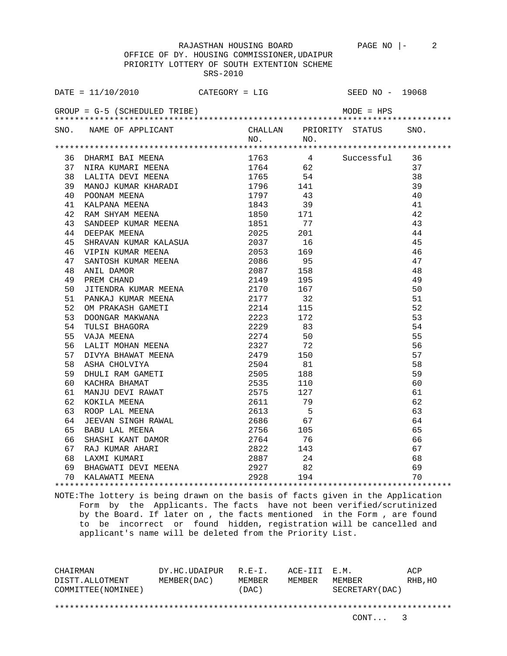OFFICE OF DY. HOUSING COMMISSIONER,UDAIPUR PRIORITY LOTTERY OF SOUTH EXTENTION SCHEME SRS-2010

| DATE = $11/10/2010$ CATEGORY = LIG SEED NO - 19068                                                                                                                                                                                                                                                                                                                                         |  |    |    |
|--------------------------------------------------------------------------------------------------------------------------------------------------------------------------------------------------------------------------------------------------------------------------------------------------------------------------------------------------------------------------------------------|--|----|----|
| GROUP = $G-5$ (SCHEDULED TRIBE) $MODE = HPS$                                                                                                                                                                                                                                                                                                                                               |  |    |    |
| SNO. NAME OF APPLICANT CHALLAN PRIORITY STATUS SNO.<br>NO. NO. NO.                                                                                                                                                                                                                                                                                                                         |  |    |    |
| $\begin{tabular}{lcccc} \textbf{196} & \textbf{198} & \textbf{199} & \textbf{199} & \textbf{199} & \textbf{199} & \textbf{199} & \textbf{199} & \textbf{199} & \textbf{199} & \textbf{199} & \textbf{199} & \textbf{199} & \textbf{199} & \textbf{199} & \textbf{199} & \textbf{199} & \textbf{199} & \textbf{199} & \textbf{199} & \textbf{199} & \textbf{199} & \textbf{199} & \textbf{$ |  |    |    |
|                                                                                                                                                                                                                                                                                                                                                                                            |  |    |    |
|                                                                                                                                                                                                                                                                                                                                                                                            |  |    |    |
|                                                                                                                                                                                                                                                                                                                                                                                            |  |    |    |
|                                                                                                                                                                                                                                                                                                                                                                                            |  |    |    |
|                                                                                                                                                                                                                                                                                                                                                                                            |  |    |    |
|                                                                                                                                                                                                                                                                                                                                                                                            |  |    |    |
|                                                                                                                                                                                                                                                                                                                                                                                            |  |    |    |
|                                                                                                                                                                                                                                                                                                                                                                                            |  |    |    |
|                                                                                                                                                                                                                                                                                                                                                                                            |  |    |    |
|                                                                                                                                                                                                                                                                                                                                                                                            |  |    |    |
|                                                                                                                                                                                                                                                                                                                                                                                            |  |    |    |
|                                                                                                                                                                                                                                                                                                                                                                                            |  |    |    |
|                                                                                                                                                                                                                                                                                                                                                                                            |  |    |    |
|                                                                                                                                                                                                                                                                                                                                                                                            |  |    |    |
|                                                                                                                                                                                                                                                                                                                                                                                            |  |    |    |
|                                                                                                                                                                                                                                                                                                                                                                                            |  |    | 51 |
|                                                                                                                                                                                                                                                                                                                                                                                            |  |    | 52 |
|                                                                                                                                                                                                                                                                                                                                                                                            |  |    | 53 |
|                                                                                                                                                                                                                                                                                                                                                                                            |  |    | 54 |
|                                                                                                                                                                                                                                                                                                                                                                                            |  | 55 |    |
|                                                                                                                                                                                                                                                                                                                                                                                            |  |    | 56 |
|                                                                                                                                                                                                                                                                                                                                                                                            |  |    | 57 |
|                                                                                                                                                                                                                                                                                                                                                                                            |  |    | 58 |
|                                                                                                                                                                                                                                                                                                                                                                                            |  |    | 59 |
|                                                                                                                                                                                                                                                                                                                                                                                            |  |    | 60 |
|                                                                                                                                                                                                                                                                                                                                                                                            |  |    | 61 |
|                                                                                                                                                                                                                                                                                                                                                                                            |  |    | 62 |
|                                                                                                                                                                                                                                                                                                                                                                                            |  |    | 63 |
|                                                                                                                                                                                                                                                                                                                                                                                            |  |    | 64 |
|                                                                                                                                                                                                                                                                                                                                                                                            |  |    | 65 |
|                                                                                                                                                                                                                                                                                                                                                                                            |  |    | 66 |
|                                                                                                                                                                                                                                                                                                                                                                                            |  |    | 67 |
|                                                                                                                                                                                                                                                                                                                                                                                            |  |    | 68 |
|                                                                                                                                                                                                                                                                                                                                                                                            |  |    | 69 |
| 46 VIPIN KUMAR MEENA<br>46 VIPIN KUMAR MEENA<br>47 SANTOSH KUMAR MEENA<br>47 SANTOSH KUMAR MEENA<br>49 PREM CHAND<br>49 PREM CHAND<br>49 PREM CHAND<br>52 DOMPARA KUMAR MEENA<br>49 PREM CHAND<br>52 DOMPARA MEENA<br>52 DOMPARA MEENA<br>52 DOMPAR                                                                                                                                        |  |    | 70 |
|                                                                                                                                                                                                                                                                                                                                                                                            |  |    |    |

NOTE:The lottery is being drawn on the basis of facts given in the Application Form by the Applicants. The facts have not been verified/scrutinized by the Board. If later on , the facts mentioned in the Form , are found to be incorrect or found hidden, registration will be cancelled and applicant's name will be deleted from the Priority List.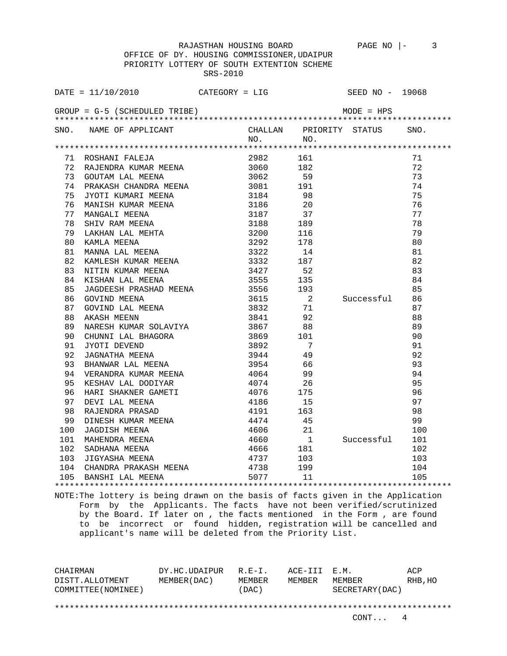OFFICE OF DY. HOUSING COMMISSIONER,UDAIPUR PRIORITY LOTTERY OF SOUTH EXTENTION SCHEME SRS-2010

|     | $DATA = 11/10/2010$                                                                                                                                                                                                                                              | $CATEGORY = LIG$                                      |                                         | SEED NO - 19068         |     |
|-----|------------------------------------------------------------------------------------------------------------------------------------------------------------------------------------------------------------------------------------------------------------------|-------------------------------------------------------|-----------------------------------------|-------------------------|-----|
|     | GROUP = $G-5$ (SCHEDULED TRIBE) $MODE = HPS$                                                                                                                                                                                                                     |                                                       |                                         |                         |     |
|     | SNO. NAME OF APPLICANT                                                                                                                                                                                                                                           |                                                       | CHALLAN PRIORITY STATUS SNO.<br>NO. NO. |                         |     |
|     |                                                                                                                                                                                                                                                                  |                                                       |                                         |                         |     |
|     | 71 ROSHANI FALEJA                                                                                                                                                                                                                                                | 2982 161                                              |                                         |                         | 71  |
|     | 72 RAJENDRA KUMAR MEENA 1999 1999 1999                                                                                                                                                                                                                           |                                                       |                                         |                         | 72  |
| 73  |                                                                                                                                                                                                                                                                  |                                                       |                                         |                         | 73  |
| 74  | COUTAN LAL MEENA<br>PRAKASH CHANDRA MEENA<br>191 JYOTI KUMARI MEENA<br>MANISH KUMAR MEENA<br>20 MANISH KUMAR MEENA<br>3186 20                                                                                                                                    |                                                       |                                         |                         | 74  |
| 75  |                                                                                                                                                                                                                                                                  |                                                       |                                         |                         | 75  |
| 76  |                                                                                                                                                                                                                                                                  |                                                       |                                         |                         | 76  |
| 77  |                                                                                                                                                                                                                                                                  |                                                       |                                         |                         | 77  |
| 78  | MANISH KUMAR MEENA<br>MANGALI MEENA<br>SIBO 20<br>MANGALI MEENA<br>SIBO 20<br>3187 37<br>SHIV RAM MEENA<br>3188 189<br>116<br>KAMLA MEENA<br>3292 178<br>MANNA LAL MEENA<br>3322 14<br>KAMLESH KUMAR MEENA<br>3332 187<br>NITIN KUMAR MEENA<br>3427 52<br>KISHAN |                                                       |                                         |                         | 78  |
| 79  |                                                                                                                                                                                                                                                                  |                                                       |                                         |                         | 79  |
| 80  |                                                                                                                                                                                                                                                                  |                                                       |                                         |                         | 80  |
| 81  |                                                                                                                                                                                                                                                                  |                                                       |                                         |                         | 81  |
| 82  |                                                                                                                                                                                                                                                                  |                                                       |                                         |                         | 82  |
| 83  |                                                                                                                                                                                                                                                                  |                                                       |                                         |                         | 83  |
| 84  |                                                                                                                                                                                                                                                                  |                                                       |                                         |                         | 84  |
| 85  |                                                                                                                                                                                                                                                                  |                                                       |                                         |                         | 85  |
| 86  | GOVIND MEENA                                                                                                                                                                                                                                                     | 3615<br>3832                                          | $\begin{array}{c} 2 \\ 71 \end{array}$  | Successful              | 86  |
| 87  | GOVIND LAL MEENA<br>AKASH MEENN                                                                                                                                                                                                                                  |                                                       |                                         |                         | 87  |
| 88  |                                                                                                                                                                                                                                                                  | 3841 92                                               |                                         |                         | 88  |
| 89  |                                                                                                                                                                                                                                                                  |                                                       |                                         |                         | 89  |
| 90  |                                                                                                                                                                                                                                                                  |                                                       | $\begin{array}{c}\n101\n\end{array}$    |                         | 90  |
| 91  |                                                                                                                                                                                                                                                                  |                                                       |                                         |                         | 91  |
| 92  | CHUNNI LAL BHAGORA<br>CHUNNI LAL BHAGORA<br>3869 101<br>JAGNATHA MEENA 392 7<br>BHANWAR LAL MEENA 3954 66<br>TITANWAR LAL MEENA 3954 66                                                                                                                          |                                                       |                                         |                         | 92  |
| 93  |                                                                                                                                                                                                                                                                  |                                                       |                                         |                         | 93  |
| 94  | VERANDRA KUMAR MEENA<br>KESHAV LAL DODIYAR                                                                                                                                                                                                                       | 4064                                                  | 99                                      |                         | 94  |
| 95  |                                                                                                                                                                                                                                                                  | 4074                                                  | $rac{2}{26}$                            |                         | 95  |
| 96  |                                                                                                                                                                                                                                                                  |                                                       |                                         |                         | 96  |
| 97  |                                                                                                                                                                                                                                                                  |                                                       |                                         |                         | 97  |
| 98  |                                                                                                                                                                                                                                                                  |                                                       |                                         |                         | 98  |
| 99  |                                                                                                                                                                                                                                                                  |                                                       |                                         |                         | 99  |
| 100 |                                                                                                                                                                                                                                                                  |                                                       |                                         |                         | 100 |
| 101 |                                                                                                                                                                                                                                                                  |                                                       |                                         |                         |     |
| 102 | ALSAN WERE CAMETI (1974 1974 1988)<br>HARI SHAKNER GAMETI (1976 175<br>DEVI LAL MEENA (1986 15<br>RAJENDRA PRASAD (1919 163<br>DINESH KUMAR MEENA (1919 163<br>JAGDISH MEENA (1966 21<br>MAHENDRA MEENA (1966 181<br>SADHANA MEENA (1966 181                     | 4660 1 Successful 101<br>4666 181 102<br>4737 103 103 |                                         | 181<br>103<br>199<br>11 |     |
| 103 |                                                                                                                                                                                                                                                                  |                                                       |                                         |                         |     |
|     | 104 CHANDRA PRAKASH MEENA 4738                                                                                                                                                                                                                                   |                                                       |                                         |                         | 104 |
|     | 105 BANSHI LAL MEENA 6077                                                                                                                                                                                                                                        |                                                       |                                         |                         | 105 |
|     |                                                                                                                                                                                                                                                                  |                                                       |                                         |                         |     |

NOTE:The lottery is being drawn on the basis of facts given in the Application Form by the Applicants. The facts have not been verified/scrutinized by the Board. If later on , the facts mentioned in the Form , are found to be incorrect or found hidden, registration will be cancelled and applicant's name will be deleted from the Priority List.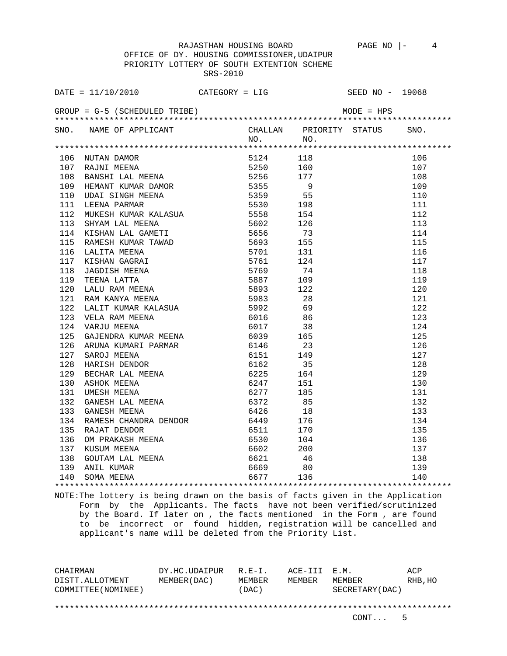OFFICE OF DY. HOUSING COMMISSIONER,UDAIPUR PRIORITY LOTTERY OF SOUTH EXTENTION SCHEME SRS-2010

| DATE = $11/10/2010$ CATEGORY = LIG SEED NO - 19068                 |  |  |
|--------------------------------------------------------------------|--|--|
|                                                                    |  |  |
| SNO. NAME OF APPLICANT CHALLAN PRIORITY STATUS SNO.<br>NO. NO. NO. |  |  |
|                                                                    |  |  |
|                                                                    |  |  |
|                                                                    |  |  |
|                                                                    |  |  |
|                                                                    |  |  |
|                                                                    |  |  |
|                                                                    |  |  |
|                                                                    |  |  |
|                                                                    |  |  |
|                                                                    |  |  |
|                                                                    |  |  |
|                                                                    |  |  |
|                                                                    |  |  |
|                                                                    |  |  |
|                                                                    |  |  |
|                                                                    |  |  |
|                                                                    |  |  |
|                                                                    |  |  |
|                                                                    |  |  |
|                                                                    |  |  |
|                                                                    |  |  |
|                                                                    |  |  |
|                                                                    |  |  |
|                                                                    |  |  |
|                                                                    |  |  |
|                                                                    |  |  |
|                                                                    |  |  |
|                                                                    |  |  |
|                                                                    |  |  |
|                                                                    |  |  |
|                                                                    |  |  |
|                                                                    |  |  |
|                                                                    |  |  |
|                                                                    |  |  |
|                                                                    |  |  |
|                                                                    |  |  |
|                                                                    |  |  |

NOTE:The lottery is being drawn on the basis of facts given in the Application Form by the Applicants. The facts have not been verified/scrutinized by the Board. If later on , the facts mentioned in the Form , are found to be incorrect or found hidden, registration will be cancelled and applicant's name will be deleted from the Priority List.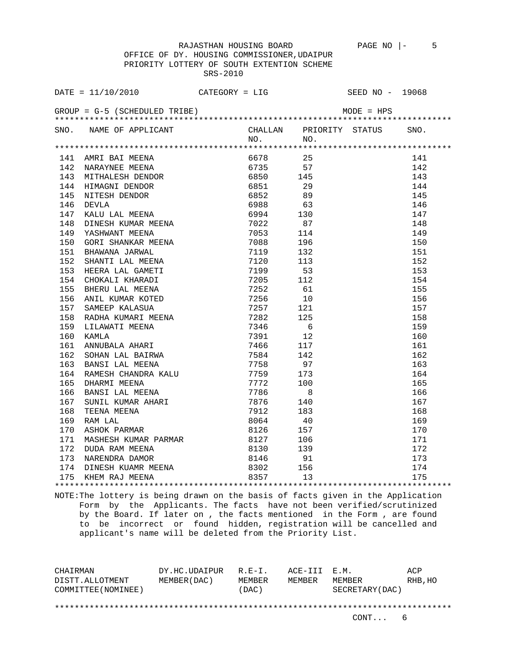OFFICE OF DY. HOUSING COMMISSIONER,UDAIPUR PRIORITY LOTTERY OF SOUTH EXTENTION SCHEME SRS-2010

| DATE = $11/10/2010$ CATEGORY = LIG                            |          |                                          | SEED NO - 19068              |
|---------------------------------------------------------------|----------|------------------------------------------|------------------------------|
| GROUP = $G-5$ (SCHEDULED TRIBE) MODE = $HPS$                  |          |                                          |                              |
|                                                               |          |                                          | CHALLAN PRIORITY STATUS SNO. |
| SNO. NAME OF APPLICANT                                        | NO. NO.  |                                          |                              |
|                                                               |          |                                          |                              |
|                                                               | 6678 25  |                                          | 141                          |
|                                                               | 6735 57  |                                          | 142                          |
|                                                               | 6850 145 |                                          | 143                          |
|                                                               |          | $\begin{array}{c} 29 \\ 89 \end{array}$  | 144                          |
|                                                               |          |                                          | 145                          |
|                                                               | 6988 63  |                                          | 146                          |
|                                                               | 6994 130 |                                          | 147                          |
|                                                               |          | $\begin{array}{c} 87 \\ 114 \end{array}$ | 148                          |
|                                                               |          |                                          | 149                          |
|                                                               | 7088 196 |                                          | 150                          |
|                                                               |          |                                          | 151                          |
|                                                               |          |                                          | 152                          |
|                                                               |          |                                          | 153                          |
|                                                               |          |                                          | 154                          |
|                                                               |          |                                          | 155                          |
|                                                               |          |                                          | 156                          |
|                                                               |          |                                          | 157                          |
|                                                               |          |                                          | 158                          |
|                                                               |          |                                          | 159                          |
|                                                               |          |                                          | 160                          |
|                                                               |          |                                          | 161                          |
|                                                               |          |                                          | 162                          |
|                                                               |          |                                          | 163                          |
|                                                               |          |                                          | 164                          |
|                                                               |          |                                          | 165                          |
|                                                               |          |                                          | 166                          |
|                                                               |          |                                          | 167                          |
|                                                               |          |                                          | 168                          |
|                                                               |          |                                          | 169                          |
|                                                               |          |                                          | 170                          |
|                                                               |          |                                          | 171                          |
|                                                               |          |                                          | 172                          |
|                                                               |          |                                          | 173                          |
|                                                               |          |                                          | 174                          |
| 174 DINESH KUAMR MEENA 6302 156<br>175 KHEM RAJ MEENA 6357 13 |          |                                          | 175                          |
|                                                               |          |                                          |                              |

NOTE:The lottery is being drawn on the basis of facts given in the Application Form by the Applicants. The facts have not been verified/scrutinized by the Board. If later on , the facts mentioned in the Form , are found to be incorrect or found hidden, registration will be cancelled and applicant's name will be deleted from the Priority List.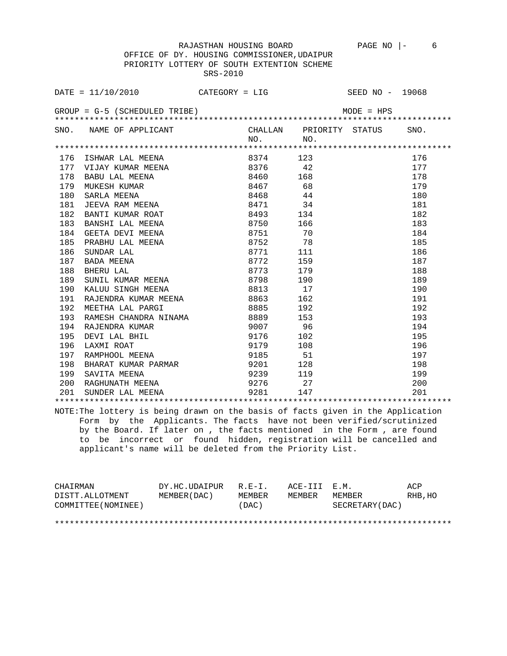OFFICE OF DY. HOUSING COMMISSIONER,UDAIPUR PRIORITY LOTTERY OF SOUTH EXTENTION SCHEME SRS-2010

|     | DATE = $11/10/2010$ CATEGORY = LIG SEED NO - 19068                                                                                                                                                                                                                    |           |              |      |
|-----|-----------------------------------------------------------------------------------------------------------------------------------------------------------------------------------------------------------------------------------------------------------------------|-----------|--------------|------|
|     |                                                                                                                                                                                                                                                                       |           | $MODE = HPS$ |      |
|     | SNO. NAME OF APPLICANT CHALLAN PRIORITY STATUS                                                                                                                                                                                                                        | $NO.$ NO. |              | SNO. |
|     |                                                                                                                                                                                                                                                                       |           |              |      |
|     |                                                                                                                                                                                                                                                                       |           |              | 176  |
|     |                                                                                                                                                                                                                                                                       |           |              | 177  |
|     |                                                                                                                                                                                                                                                                       |           |              | 178  |
|     |                                                                                                                                                                                                                                                                       |           |              | 179  |
|     |                                                                                                                                                                                                                                                                       |           |              | 180  |
|     |                                                                                                                                                                                                                                                                       |           |              | 181  |
|     |                                                                                                                                                                                                                                                                       | 8493 134  |              | 182  |
|     | BANTI KUMAR ROAT 8493 134<br>BANSHI LAL MEENA 8750 166<br>GEETA DEVI MEENA 8751 70<br>PRABHU LAL MEENA 8751 70<br>SUNDAR LAL 8771 111<br>BADA MEENA 8772 159<br>BHERU LAL 8773 179<br>SUNIL KUMAR MEENA 8798 190<br>KALUU SINGH MEENA 8813 17<br>183 BANSHI LAL MEENA |           |              | 183  |
| 184 |                                                                                                                                                                                                                                                                       |           |              | 184  |
| 185 |                                                                                                                                                                                                                                                                       |           |              | 185  |
| 186 |                                                                                                                                                                                                                                                                       |           |              | 186  |
| 187 |                                                                                                                                                                                                                                                                       |           |              | 187  |
| 188 |                                                                                                                                                                                                                                                                       |           |              | 188  |
| 189 |                                                                                                                                                                                                                                                                       |           |              | 189  |
| 190 | KALUU SINGH MEENA 6813 17                                                                                                                                                                                                                                             |           |              | 190  |
|     |                                                                                                                                                                                                                                                                       |           |              | 191  |
|     |                                                                                                                                                                                                                                                                       |           |              | 192  |
|     |                                                                                                                                                                                                                                                                       |           |              | 193  |
|     |                                                                                                                                                                                                                                                                       |           |              | 194  |
|     |                                                                                                                                                                                                                                                                       |           |              | 195  |
|     |                                                                                                                                                                                                                                                                       |           |              | 196  |
|     |                                                                                                                                                                                                                                                                       |           |              | 197  |
|     |                                                                                                                                                                                                                                                                       |           |              | 198  |
|     |                                                                                                                                                                                                                                                                       |           |              | 199  |
|     |                                                                                                                                                                                                                                                                       |           |              | 200  |
|     | 190 KALUU SINGH MEENA 8813 17<br>191 RAJENDRA KUMAR MEENA 8863 162<br>192 MEETHA LAL PARGI 8885 192<br>193 RAMESH CHANDRA NINAMA 8889 153<br>194 RAJENDRA KUMAR 9007 96<br>195 DEVI LAL BHIL 9176 102<br>196 LAXMI ROAT 9179 108<br>197 RAMP                          |           |              | 201  |
|     |                                                                                                                                                                                                                                                                       |           |              |      |

NOTE:The lottery is being drawn on the basis of facts given in the Application Form by the Applicants. The facts have not been verified/scrutinized by the Board. If later on , the facts mentioned in the Form , are found to be incorrect or found hidden, registration will be cancelled and applicant's name will be deleted from the Priority List.

| CHAIRMAN            | DY.HC.UDAIPUR | $R.E-I.$ | ACE-III E.M. |                 | ACP     |
|---------------------|---------------|----------|--------------|-----------------|---------|
| DISTT.ALLOTMENT     | MEMBER(DAC)   | MEMBER   | MEMBER       | MEMBER          | RHB, HO |
| COMMITTEE (NOMINEE) |               | (DAC)    |              | SECRETARY (DAC) |         |
|                     |               |          |              |                 |         |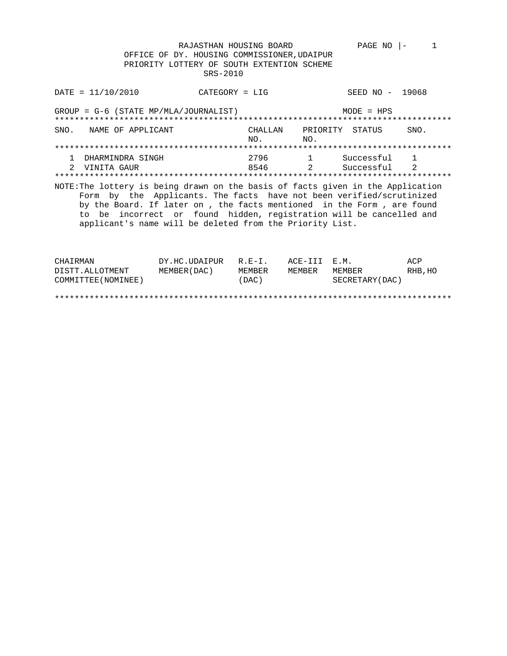RAJASTHAN HOUSING BOARD PAGE NO |- 1 OFFICE OF DY. HOUSING COMMISSIONER,UDAIPUR PRIORITY LOTTERY OF SOUTH EXTENTION SCHEME SRS-2010

DATE = 11/10/2010 CATEGORY = LIG SEED NO - 19068 GROUP = G-6 (STATE MP/MLA/JOURNALIST) MODE = HPS \*\*\*\*\*\*\*\*\*\*\*\*\*\*\*\*\*\*\*\*\*\*\*\*\*\*\*\*\*\*\*\*\*\*\*\*\*\*\*\*\*\*\*\*\*\*\*\*\*\*\*\*\*\*\*\*\*\*\*\*\*\*\*\*\*\*\*\*\*\*\*\*\*\*\*\*\*\*\*\* SNO. NAME OF APPLICANT CHALLAN PRIORITY STATUS SNO.<br>NO. NO. NO. NO. \*\*\*\*\*\*\*\*\*\*\*\*\*\*\*\*\*\*\*\*\*\*\*\*\*\*\*\*\*\*\*\*\*\*\*\*\*\*\*\*\*\*\*\*\*\*\*\*\*\*\*\*\*\*\*\*\*\*\*\*\*\*\*\*\*\*\*\*\*\*\*\*\*\*\*\*\*\*\*\* 1 DHARMINDRA SINGH 2796 1 Successful 1 2 VINITA GAUR 8546 2 Successful 2 \*\*\*\*\*\*\*\*\*\*\*\*\*\*\*\*\*\*\*\*\*\*\*\*\*\*\*\*\*\*\*\*\*\*\*\*\*\*\*\*\*\*\*\*\*\*\*\*\*\*\*\*\*\*\*\*\*\*\*\*\*\*\*\*\*\*\*\*\*\*\*\*\*\*\*\*\*\*\*\* NOTE:The lottery is being drawn on the basis of facts given in the Application Form by the Applicants. The facts have not been verified/scrutinized by the Board. If later on , the facts mentioned in the Form , are found to be incorrect or found hidden, registration will be cancelled and applicant's name will be deleted from the Priority List. CHAIRMAN DY.HC.UDAIPUR R.E-I. ACE-III E.M. ACP<br>DISTT.ALLOTMENT MEMBER(DAC) MEMBER MEMBER MEMBER RHB, DISTRESSION IN THE REALLY CONTROLLED THE SALL AND THE REALLY AND THE REALLY AND REALLY AND MEMBER MEMBER RHB, HO

\*\*\*\*\*\*\*\*\*\*\*\*\*\*\*\*\*\*\*\*\*\*\*\*\*\*\*\*\*\*\*\*\*\*\*\*\*\*\*\*\*\*\*\*\*\*\*\*\*\*\*\*\*\*\*\*\*\*\*\*\*\*\*\*\*\*\*\*\*\*\*\*\*\*\*\*\*\*\*\*

COMMITTEE(NOMINEE) (DAC) SECRETARY(DAC)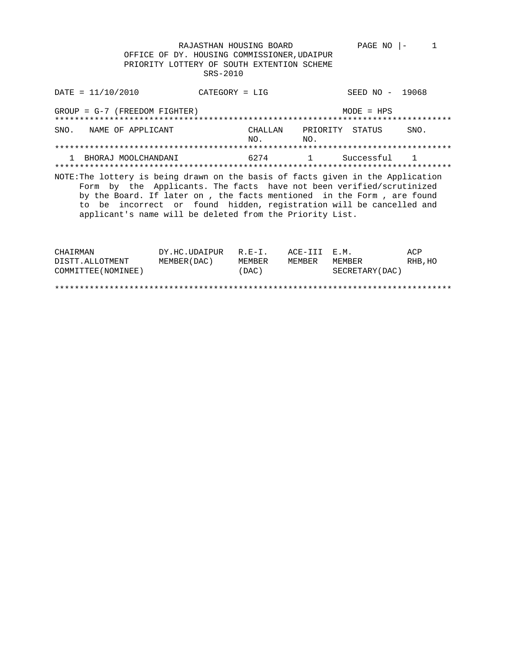RAJASTHAN HOUSING BOARD PAGE NO |- 1 OFFICE OF DY. HOUSING COMMISSIONER,UDAIPUR PRIORITY LOTTERY OF SOUTH EXTENTION SCHEME SRS-2010

DATE = 11/10/2010 CATEGORY = LIG SEED NO - 19068 GROUP = G-7 (FREEDOM FIGHTER) MODE = HPS \*\*\*\*\*\*\*\*\*\*\*\*\*\*\*\*\*\*\*\*\*\*\*\*\*\*\*\*\*\*\*\*\*\*\*\*\*\*\*\*\*\*\*\*\*\*\*\*\*\*\*\*\*\*\*\*\*\*\*\*\*\*\*\*\*\*\*\*\*\*\*\*\*\*\*\*\*\*\*\* SNO. NAME OF APPLICANT CHALLAN PRIORITY STATUS SNO.<br>NO. NO. NO. NO. \*\*\*\*\*\*\*\*\*\*\*\*\*\*\*\*\*\*\*\*\*\*\*\*\*\*\*\*\*\*\*\*\*\*\*\*\*\*\*\*\*\*\*\*\*\*\*\*\*\*\*\*\*\*\*\*\*\*\*\*\*\*\*\*\*\*\*\*\*\*\*\*\*\*\*\*\*\*\*\* 1 BHORAJ MOOLCHANDANI 6274 1 Successful 1 \*\*\*\*\*\*\*\*\*\*\*\*\*\*\*\*\*\*\*\*\*\*\*\*\*\*\*\*\*\*\*\*\*\*\*\*\*\*\*\*\*\*\*\*\*\*\*\*\*\*\*\*\*\*\*\*\*\*\*\*\*\*\*\*\*\*\*\*\*\*\*\*\*\*\*\*\*\*\*\* NOTE:The lottery is being drawn on the basis of facts given in the Application Form by the Applicants. The facts have not been verified/scrutinized by the Board. If later on , the facts mentioned in the Form , are found to be incorrect or found hidden, registration will be cancelled and applicant's name will be deleted from the Priority List.

| CHAIRMAN            | DY.HC.UDAIPUR | $R.F - T$ . | ACE-TTT F.M. |                 | ACP      |
|---------------------|---------------|-------------|--------------|-----------------|----------|
| DISTT.ALLOTMENT     | MEMBER (DAC)  | MEMBER      | MEMBER       | MEMBER          | RHB . HO |
| COMMITTEE (NOMINEE) |               | (DAC)       |              | SECRETARY (DAC) |          |
|                     |               |             |              |                 |          |
|                     |               |             |              |                 |          |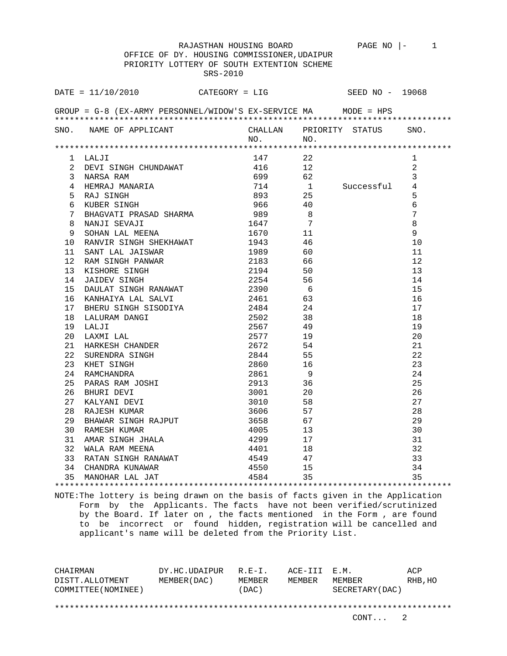|                 |                                                                      | RAJASTHAN HOUSING BOARD<br>OFFICE OF DY. HOUSING COMMISSIONER, UDAIPUR<br>PRIORITY LOTTERY OF SOUTH EXTENTION SCHEME<br>SRS-2010 |                                        | PAGE NO $ -$    | $\sim$ 1             |
|-----------------|----------------------------------------------------------------------|----------------------------------------------------------------------------------------------------------------------------------|----------------------------------------|-----------------|----------------------|
|                 | DATE = 11/10/2010                                                    | CATEGORY = LIG                                                                                                                   |                                        | SEED NO - 19068 |                      |
|                 | GROUP = G-8 (EX-ARMY PERSONNEL/WIDOW'S EX-SERVICE MA      MODE = HPS |                                                                                                                                  |                                        |                 |                      |
|                 |                                                                      |                                                                                                                                  |                                        |                 |                      |
|                 | SNO. NAME OF APPLICANT                                               |                                                                                                                                  | CHALLAN PRIORITY STATUS                |                 | SNO.                 |
|                 |                                                                      | NO.                                                                                                                              | NO.                                    |                 |                      |
|                 |                                                                      |                                                                                                                                  |                                        |                 |                      |
|                 | 1 LALJI                                                              | 147                                                                                                                              | 22                                     |                 | 1                    |
|                 | 2 DEVI SINGH CHUNDAWAT                                               | 416                                                                                                                              | 12                                     |                 | 2                    |
|                 | 3 NARSA RAM                                                          | 699                                                                                                                              | 62                                     | Successful      | 3<br>4               |
|                 | 4 HEMRAJ MANARIA                                                     | 714<br>893                                                                                                                       | $\begin{array}{c} 1 \\ 25 \end{array}$ |                 |                      |
| 5               | RAJ SINGH                                                            |                                                                                                                                  | 40                                     |                 | 5                    |
| 6<br>7          | KUBER SINGH                                                          | 966<br>989                                                                                                                       |                                        |                 | 6<br>$7\phantom{.0}$ |
|                 | BHAGVATI PRASAD SHARMA                                               | 1647                                                                                                                             | 8<br>$\overline{7}$                    |                 |                      |
| 8               | NANJI SEVAJI                                                         |                                                                                                                                  |                                        |                 | 8<br>9               |
| 9<br>10         | SOHAN LAL MEENA<br>RANVIR SINGH SHEKHAWAT                            | 1670 16<br>1943                                                                                                                  | 11<br>-46                              |                 | 10                   |
| 11              |                                                                      | 1989 1989                                                                                                                        | 60                                     |                 | 11                   |
| 12 <sup>°</sup> | SANT LAL JAISWAR<br>RAM SINGH PANWAR                                 |                                                                                                                                  | 66                                     |                 | 12                   |
| 13              | KISHORE SINGH                                                        | 2183<br>2194                                                                                                                     | 50                                     |                 | 13                   |
| 14              | JAIDEV SINGH                                                         | 2254                                                                                                                             | 56                                     |                 | 14                   |
| 15              | DAULAT SINGH RANAWAT                                                 | 2390                                                                                                                             | 6                                      |                 | 15                   |
| 16              | KANHAIYA LAL SALVI                                                   | 2461                                                                                                                             | 63                                     |                 | 16                   |
| 17              | BHERU SINGH SISODIYA                                                 | 2484                                                                                                                             | 24                                     |                 | 17                   |
| 18              | LALURAM DANGI                                                        | 2502                                                                                                                             | 38                                     |                 | 18                   |
| 19              | LALJI                                                                | 2567                                                                                                                             | 49                                     |                 | 19                   |
| 20              | LAXMI LAL                                                            | 2577                                                                                                                             | 19                                     |                 | 20                   |
| 21              | HARKESH CHANDER                                                      | 2672                                                                                                                             | 54                                     |                 | 21                   |
| 22              | SURENDRA SINGH                                                       | 2844                                                                                                                             | - 55                                   |                 | 22                   |
| 23              | KHET SINGH                                                           | 2860                                                                                                                             | 16                                     |                 | 23                   |
| 24              | RAMCHANDRA                                                           | 2861                                                                                                                             | $^{\circ}$                             |                 | 24                   |
| 25              | PARAS RAM JOSHI                                                      | 2913                                                                                                                             | 36                                     |                 | 25                   |
|                 | 26 BHURI DEVI                                                        | 3001                                                                                                                             | 20                                     |                 | 26                   |
|                 | 27 KALYANI DEVI                                                      | 3010                                                                                                                             | 58                                     |                 | 27                   |
| 28              | RAJESH KUMAR                                                         | 3606                                                                                                                             | 57                                     |                 | 28                   |
| 29              | BHAWAR SINGH RAJPUT                                                  | 3658                                                                                                                             | 67                                     |                 | 29                   |
| 30              | RAMESH KUMAR                                                         | 4005                                                                                                                             | 13                                     |                 | 30                   |
| 31              | AMAR SINGH JHALA                                                     | 4299                                                                                                                             | 17                                     |                 | 31                   |
| 32              | WALA RAM MEENA                                                       | 4401                                                                                                                             | 18                                     |                 | 32                   |
| 33              | RATAN SINGH RANAWAT                                                  | 4549                                                                                                                             | 47                                     |                 | 33                   |
| 34              | CHANDRA KUNAWAR                                                      | 4550                                                                                                                             | 15                                     |                 | 34                   |
| 35              | MANOHAR LAL JAT                                                      | 4584                                                                                                                             | 35                                     |                 | 35                   |

NOTE:The lottery is being drawn on the basis of facts given in the Application Form by the Applicants. The facts have not been verified/scrutinized by the Board. If later on , the facts mentioned in the Form , are found to be incorrect or found hidden, registration will be cancelled and applicant's name will be deleted from the Priority List.

\*\*\*\*\*\*\*\*\*\*\*\*\*\*\*\*\*\*\*\*\*\*\*\*\*\*\*\*\*\*\*\*\*\*\*\*\*\*\*\*\*\*\*\*\*\*\*\*\*\*\*\*\*\*\*\*\*\*\*\*\*\*\*\*\*\*\*\*\*\*\*\*\*\*\*\*\*\*\*\*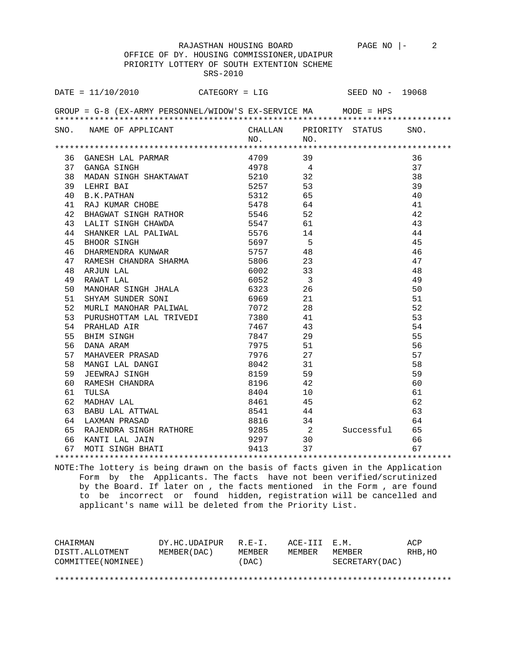RAJASTHAN HOUSING BOARD PAGE NO |- 2 OFFICE OF DY. HOUSING COMMISSIONER,UDAIPUR PRIORITY LOTTERY OF SOUTH EXTENTION SCHEME SRS-2010

|    | DATE = $11/10/2010$ CATEGORY = LIG                                                                                             |                               |                | SEED NO - 19068 |      |
|----|--------------------------------------------------------------------------------------------------------------------------------|-------------------------------|----------------|-----------------|------|
|    | GROUP = G-8 (EX-ARMY PERSONNEL/WIDOW'S EX-SERVICE MA MODE = HPS                                                                |                               |                |                 |      |
|    | SNO. NAME OF APPLICANT CHALLAN PRIORITY STATUS                                                                                 | NO.                           | NO.            |                 | SNO. |
|    |                                                                                                                                |                               |                |                 |      |
|    | 36 GANESH LAL PARMAR                                                                                                           | 4709 39                       |                |                 | 36   |
|    |                                                                                                                                |                               |                |                 | 37   |
|    | $\begin{tabular}{llllll} 37 & GANGA SINGH & & & & 4978 & & 4 \\ 38 & MADAN SINGH SHAKTAWAT & & & 5210 & & 32 \\ \end{tabular}$ |                               |                |                 | 38   |
|    | 39 LEHRI BAI                                                                                                                   | 5257 53                       |                |                 | 39   |
|    | 40 B.K. PATHAN                                                                                                                 | 5312 65                       |                |                 | 40   |
| 41 | -<br>AAJ KUMAR CHOBE<br>BHAGWAT SINGH RATHOR<br>LALIT SINGH CHAWDA<br>SHANKER LAI DAITT                                        | 5478 64<br>5546 52<br>5547 61 |                |                 | 41   |
| 42 |                                                                                                                                |                               |                |                 | 42   |
| 43 |                                                                                                                                |                               |                |                 | 43   |
| 44 | SHANKER LAL PALIWAL 5576                                                                                                       |                               | 14             |                 | 44   |
| 45 | BHOOR SINGH                                                                                                                    | 5697                          | $5^{\circ}$    |                 | 45   |
| 46 | DHARMENDRA KUNWAR 5757 48                                                                                                      |                               |                |                 | 46   |
| 47 |                                                                                                                                |                               |                |                 | 47   |
| 48 | RAMESH CHANDRA SHARMA 5806 23<br>ARJUN LAL 6002 33<br>RAWAT LAL 6052 3                                                         |                               |                |                 | 48   |
| 49 |                                                                                                                                |                               |                |                 | 49   |
| 50 | MANOHAR SINGH JHALA 6323                                                                                                       |                               | 26             |                 | 50   |
| 51 | SHYAM SUNDER SONI                                                                                                              | 6969                          | 21             |                 | 51   |
| 52 | MURLI MANOHAR PALIWAL                                                                                                          | 7072<br>7380                  | 28             |                 | 52   |
| 53 |                                                                                                                                |                               | 41             |                 | 53   |
| 54 | PURUSHOTTAM LAL TRIVEDI<br>PRAHLAD AIR<br>BHIM SINGH<br>DANA ARAM                                                              | 7467                          | 43             |                 | 54   |
| 55 |                                                                                                                                | 7847                          | 29             |                 | 55   |
| 56 |                                                                                                                                | 7975                          | 51             |                 | 56   |
| 57 | MAHAVEER PRASAD                                                                                                                | 7976                          | 27             |                 | 57   |
| 58 | MANGI LAL DANGI                                                                                                                | 8042                          | 31             |                 | 58   |
| 59 | JEEWRAJ SINGH                                                                                                                  | 8159 59                       |                |                 | 59   |
| 60 | RAMESH CHANDRA                                                                                                                 | 8196 42                       |                |                 | 60   |
| 61 | TULSA                                                                                                                          | 8404                          | 10             |                 | 61   |
| 62 | MADHAV LAL                                                                                                                     |                               | 45             |                 | 62   |
| 63 | BABU LAL ATTWAL<br>LAXMAN PRASAD                                                                                               | $8461$<br>$8541$<br>8541 44   |                |                 | 63   |
| 64 |                                                                                                                                |                               | 8816 34        |                 | 64   |
|    | 65 RAJENDRA SINGH RATHORE<br>66 KANTI LAL JAIN<br>67 MOTI SINGH BHATI                                                          | 9285                          | $\frac{2}{30}$ | Successful      | 65   |
|    |                                                                                                                                | 9297                          |                |                 | 66   |
|    |                                                                                                                                | 9413                          | 37             |                 | 67   |

\*\*\*\*\*\*\*\*\*\*\*\*\*\*\*\*\*\*\*\*\*\*\*\*\*\*\*\*\*\*\*\*\*\*\*\*\*\*\*\*\*\*\*\*\*\*\*\*\*\*\*\*\*\*\*\*\*\*\*\*\*\*\*\*\*\*\*\*\*\*\*\*\*\*\*\*\*\*\*\* NOTE:The lottery is being drawn on the basis of facts given in the Application Form by the Applicants. The facts have not been verified/scrutinized by the Board. If later on , the facts mentioned in the Form , are found to be incorrect or found hidden, registration will be cancelled and applicant's name will be deleted from the Priority List.

| CHAIRMAN            | DY.HC.UDAIPUR | $R.F - T$ . | ACE-TTT F.M. |                 | ACP     |
|---------------------|---------------|-------------|--------------|-----------------|---------|
| DISTT.ALLOTMENT     | MEMBER (DAC)  | MEMBER      | MEMBER       | MEMBER          | RHB, HO |
| COMMITTEE (NOMINEE) |               | (DAC)       |              | SECRETARY (DAC) |         |
|                     |               |             |              |                 |         |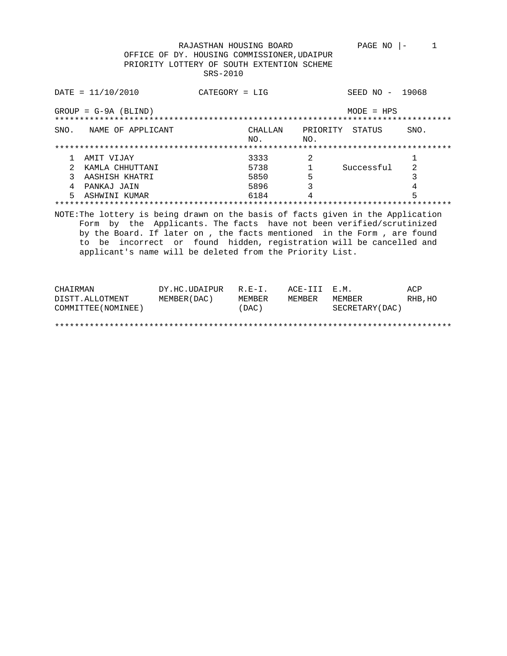RAJASTHAN HOUSING BOARD PAGE NO  $|-1$  OFFICE OF DY. HOUSING COMMISSIONER,UDAIPUR PRIORITY LOTTERY OF SOUTH EXTENTION SCHEME SRS-2010

| $DATA = 11/10/2010$                                                                                                                                                                                                                                                                                 | $CATFGORY = I.T.G$                                              |                 | SEED NO -    | 19068 |
|-----------------------------------------------------------------------------------------------------------------------------------------------------------------------------------------------------------------------------------------------------------------------------------------------------|-----------------------------------------------------------------|-----------------|--------------|-------|
| $GROUP = G-9A (BLIND)$                                                                                                                                                                                                                                                                              |                                                                 |                 | $MODF = HPS$ |       |
| SNO.<br>NAME OF APPLICANT                                                                                                                                                                                                                                                                           | CHALLAN<br>NO.                                                  | PRIORITY<br>NO. | STATUS       | SNO.  |
|                                                                                                                                                                                                                                                                                                     |                                                                 |                 |              |       |
| AMIT VIJAY                                                                                                                                                                                                                                                                                          | 3333                                                            | 2               |              |       |
| KAMLA CHHUTTANI                                                                                                                                                                                                                                                                                     | 5738                                                            |                 | Successful   | 2     |
| 3<br>AASHISH KHATRI                                                                                                                                                                                                                                                                                 | 5850                                                            | 5               |              | 3     |
| 4<br>PANKAJ JAIN                                                                                                                                                                                                                                                                                    | 5896                                                            | 3               |              | 4     |
| 5<br>ASHWINI KUMAR                                                                                                                                                                                                                                                                                  | 6184                                                            | 4               |              | 5     |
|                                                                                                                                                                                                                                                                                                     |                                                                 |                 |              |       |
| NOTE: The lottery is being drawn on the basis of facts given in the Application<br>Form<br>by the Board. If later on, the facts mentioned in the Form, are found<br>to be incorrect or found hidden, registration will be cancelled and<br>applicant's name will be deleted from the Priority List. | by the Applicants. The facts have not been verified/scrutinized |                 |              |       |

| CHAIRMAN            | DY.HC.UDAIPUR | $R.E-I.$ | ACE-III E.M. |                 | ACP     |
|---------------------|---------------|----------|--------------|-----------------|---------|
| DISTT.ALLOTMENT     | MEMBER (DAC)  | MEMBER   | MEMBER       | MEMBER          | RHB, HO |
| COMMITTEE (NOMINEE) |               | (DAC)    |              | SECRETARY (DAC) |         |
|                     |               |          |              |                 |         |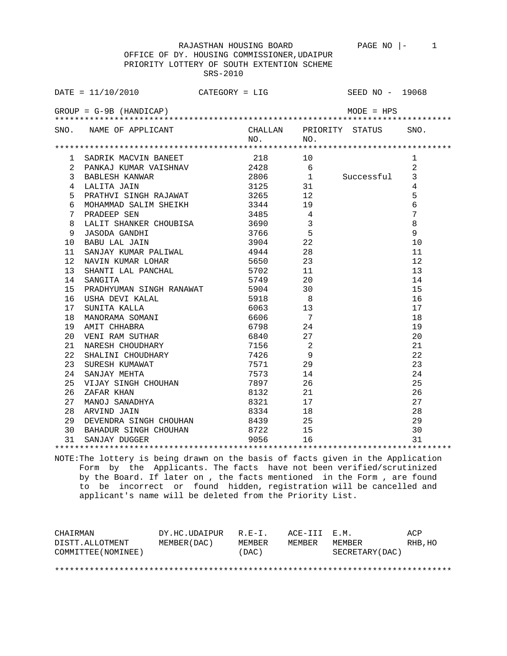OFFICE OF DY. HOUSING COMMISSIONER,UDAIPUR PRIORITY LOTTERY OF SOUTH EXTENTION SCHEME SRS-2010

|                 | DATE = $11/10/2010$ CATEGORY = LIG                                                                                                                                                                                                                                                                                                                            |                                                                                                           |                                               | SEED NO - 19068 |                 |
|-----------------|---------------------------------------------------------------------------------------------------------------------------------------------------------------------------------------------------------------------------------------------------------------------------------------------------------------------------------------------------------------|-----------------------------------------------------------------------------------------------------------|-----------------------------------------------|-----------------|-----------------|
|                 | $GROUP = G-9B$ (HANDICAP)                                                                                                                                                                                                                                                                                                                                     |                                                                                                           |                                               | MODE = HPS      |                 |
|                 | SNO. NAME OF APPLICANT CHALLAN PRIORITY STATUS SNO.                                                                                                                                                                                                                                                                                                           | $NO.$ NO.                                                                                                 |                                               |                 |                 |
|                 |                                                                                                                                                                                                                                                                                                                                                               |                                                                                                           |                                               |                 |                 |
|                 | 1 SADRIK MACVIN BANEET 218 218                                                                                                                                                                                                                                                                                                                                |                                                                                                           |                                               |                 | 1               |
|                 | 2 PANKAJ KUMAR VAISHNAV 2428                                                                                                                                                                                                                                                                                                                                  |                                                                                                           | $6\overline{6}$                               |                 | $\overline{2}$  |
| $\mathbf{3}$    | BABLESH KANWAR                                                                                                                                                                                                                                                                                                                                                | 2806                                                                                                      |                                               | 1 Successful    | 3               |
| $4\phantom{0}$  | LALITA JAIN                                                                                                                                                                                                                                                                                                                                                   | 3125                                                                                                      | 31                                            |                 | $\overline{4}$  |
| 5               | PRATHVI SINGH RAJAWAT 3265                                                                                                                                                                                                                                                                                                                                    |                                                                                                           | 12                                            |                 | 5               |
| 6               | MOHAMMAD SALIM SHEIKH 3344 19                                                                                                                                                                                                                                                                                                                                 |                                                                                                           |                                               |                 | $6\overline{6}$ |
| 7               | PRADEEP SEN                                                                                                                                                                                                                                                                                                                                                   | 3485                                                                                                      | $\overline{4}$                                |                 | $7\overline{ }$ |
| 8               | ده + د حافظ به د حافظ به د حافظ به د حافظ به د حافظ به د حافظ به د حافظ به د حافظ به د حافظ به د حافظ به د حاف<br>به د حافظ به د حافظ به د حافظ به د حافظ به د حافظ به د حافظ به د حافظ به د حافظ به د حافظ به د حافظ به د حافظ<br>LALIT SHANKER CHOUDIDA<br>JASODA GANDHI<br>BABU LAL JAIN<br>SANJAY KUMAR PALIWAL<br>NAVIN KUMAR LOHAR<br>NAVIN KUMAR LOHAR |                                                                                                           | $\overline{3}$                                |                 | $\,8\,$         |
| 9               |                                                                                                                                                                                                                                                                                                                                                               |                                                                                                           |                                               |                 | 9               |
| 10 <sub>1</sub> |                                                                                                                                                                                                                                                                                                                                                               | $\begin{array}{cc} 3766 & 5 \\ 3904 & 22 \\ 4944 & 28 \\ 5650 & 23 \\ 5702 & 11 \\ 5749 & 20 \end{array}$ |                                               |                 | 10              |
| 11              |                                                                                                                                                                                                                                                                                                                                                               |                                                                                                           |                                               |                 | 11              |
| 12 <sup>°</sup> | NAVIN KUMAR LOHAR<br>SHANTI LAL PANCHAL                                                                                                                                                                                                                                                                                                                       |                                                                                                           |                                               |                 | 12              |
| 13              |                                                                                                                                                                                                                                                                                                                                                               |                                                                                                           |                                               |                 | 13              |
| 14              |                                                                                                                                                                                                                                                                                                                                                               |                                                                                                           |                                               |                 | 14              |
| 15              | PRADHYUMAN SINGH RANAWAT 5904 30<br>USHA DEVI KALAL 5918 8<br>SUNITA KALLA 6063 13                                                                                                                                                                                                                                                                            |                                                                                                           |                                               |                 | 15              |
| 16              |                                                                                                                                                                                                                                                                                                                                                               |                                                                                                           |                                               |                 | 16              |
| 17              |                                                                                                                                                                                                                                                                                                                                                               |                                                                                                           |                                               |                 | 17              |
| 18              |                                                                                                                                                                                                                                                                                                                                                               |                                                                                                           |                                               |                 | 18              |
| 19              | MANORAMA SOMANI 6606 7<br>AMIT CHHABRA 6798 24                                                                                                                                                                                                                                                                                                                |                                                                                                           |                                               |                 | 19              |
| 20              | VENI RAM SUTHAR                                                                                                                                                                                                                                                                                                                                               | 6840 27                                                                                                   |                                               |                 | 20              |
| 21              | NARESH CHOUDHARY                                                                                                                                                                                                                                                                                                                                              | 7156 2                                                                                                    |                                               |                 | 21              |
| 22              | SHALINI CHOUDHARY                                                                                                                                                                                                                                                                                                                                             | 7426                                                                                                      | 9                                             |                 | 22              |
| 23              | SHALL<br>SURESH KUMAWAT                                                                                                                                                                                                                                                                                                                                       | 7571 29                                                                                                   |                                               |                 | 23              |
| 24              | SANJAY MEHTA                                                                                                                                                                                                                                                                                                                                                  | 7573                                                                                                      | 14                                            |                 | 24              |
| 25              |                                                                                                                                                                                                                                                                                                                                                               | 7897                                                                                                      | 26                                            |                 | 25              |
| 26              |                                                                                                                                                                                                                                                                                                                                                               | 8132                                                                                                      |                                               |                 | 26              |
| 27              |                                                                                                                                                                                                                                                                                                                                                               | 8321                                                                                                      |                                               |                 | 27              |
| 28              | VIJAY SINGH CHOUHAN<br>ZAFAR KHAN<br>MANOJ SANADHYA<br>ARVIND JAIN                                                                                                                                                                                                                                                                                            | 8334                                                                                                      | $\begin{array}{c} 21 \\ 17 \\ 18 \end{array}$ |                 | 28              |
| 29              | DEVENDRA SINGH CHOUHAN 8439 25                                                                                                                                                                                                                                                                                                                                |                                                                                                           |                                               |                 | 29              |
|                 |                                                                                                                                                                                                                                                                                                                                                               | 8722 15                                                                                                   |                                               |                 | 30              |
|                 | 30 BAHADUR SINGH CHOUHAN<br>31 SANJAY DUGGER                                                                                                                                                                                                                                                                                                                  | 9056                                                                                                      | 16                                            |                 | 31              |
|                 |                                                                                                                                                                                                                                                                                                                                                               |                                                                                                           |                                               |                 |                 |

NOTE:The lottery is being drawn on the basis of facts given in the Application Form by the Applicants. The facts have not been verified/scrutinized by the Board. If later on , the facts mentioned in the Form , are found to be incorrect or found hidden, registration will be cancelled and applicant's name will be deleted from the Priority List.

| CHAIRMAN            | DY.HC.UDAIPUR | $R.E-I.$ | ACE-III E.M. |                  | ACP     |
|---------------------|---------------|----------|--------------|------------------|---------|
| DISTT.ALLOTMENT     | MEMBER (DAC)  | MEMBER   | MEMBER       | MEMBER           | RHB, HO |
| COMMITTEE (NOMINEE) |               | (DAC)    |              | SECRETARY (DAC ) |         |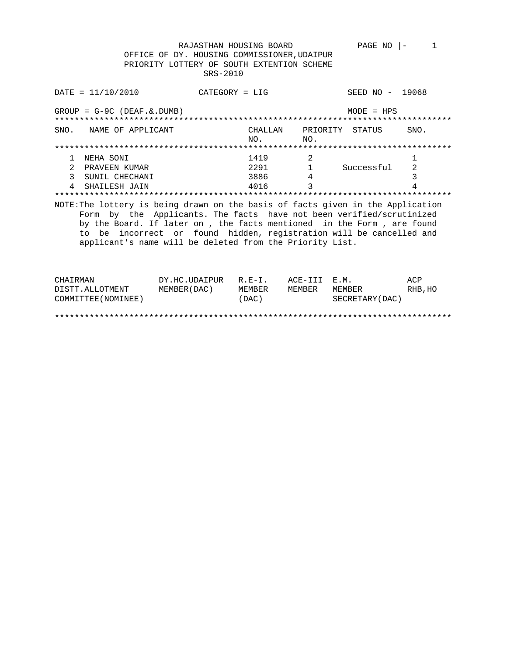RAJASTHAN HOUSING BOARD PAGE NO |- 1 OFFICE OF DY. HOUSING COMMISSIONER,UDAIPUR PRIORITY LOTTERY OF SOUTH EXTENTION SCHEME SRS-2010

DATE = 11/10/2010 CATEGORY = LIG SEED NO - 19068 GROUP = G-9C (DEAF.&.DUMB) MODE = HPS \*\*\*\*\*\*\*\*\*\*\*\*\*\*\*\*\*\*\*\*\*\*\*\*\*\*\*\*\*\*\*\*\*\*\*\*\*\*\*\*\*\*\*\*\*\*\*\*\*\*\*\*\*\*\*\*\*\*\*\*\*\*\*\*\*\*\*\*\*\*\*\*\*\*\*\*\*\*\*\* SNO. NAME OF APPLICANT CHALLAN PRIORITY STATUS SNO. NO. NO. \*\*\*\*\*\*\*\*\*\*\*\*\*\*\*\*\*\*\*\*\*\*\*\*\*\*\*\*\*\*\*\*\*\*\*\*\*\*\*\*\*\*\*\*\*\*\*\*\*\*\*\*\*\*\*\*\*\*\*\*\*\*\*\*\*\*\*\*\*\*\*\*\*\*\*\*\*\*\*\* 1 NEHA SONI 1419 2 1 2 PRAVEEN KUMAR 2291 1 Successful 2 3 SUNIL CHECHANI 3886 4 3  $4016$  3 4 \*\*\*\*\*\*\*\*\*\*\*\*\*\*\*\*\*\*\*\*\*\*\*\*\*\*\*\*\*\*\*\*\*\*\*\*\*\*\*\*\*\*\*\*\*\*\*\*\*\*\*\*\*\*\*\*\*\*\*\*\*\*\*\*\*\*\*\*\*\*\*\*\*\*\*\*\*\*\*\* NOTE:The lottery is being drawn on the basis of facts given in the Application Form by the Applicants. The facts have not been verified/scrutinized by the Board. If later on , the facts mentioned in the Form , are found to be incorrect or found hidden, registration will be cancelled and applicant's name will be deleted from the Priority List.

| CHAIRMAN            | DY.HC.UDAIPUR R.E-I. |        | ACE-III E.M. |                  | ACP     |
|---------------------|----------------------|--------|--------------|------------------|---------|
| DISTT.ALLOTMENT     | MEMBER (DAC)         | MEMBER | MEMBER       | MEMBER           | RHB, HO |
| COMMITTEE (NOMINEE) |                      | (DAC)  |              | SECRETARY (DAC ) |         |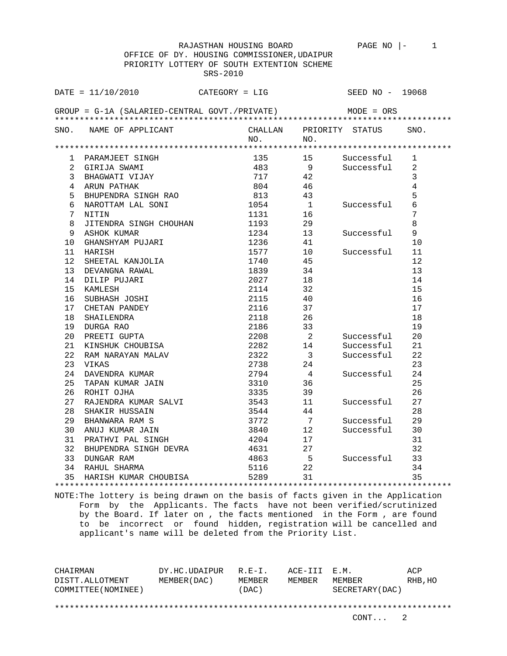| OFFICE OF DY. HOUSING COMMISSIONER, UDAIPUR |                                               |  |         |                |                 |                 |  |  |  |  |
|---------------------------------------------|-----------------------------------------------|--|---------|----------------|-----------------|-----------------|--|--|--|--|
| PRIORITY LOTTERY OF SOUTH EXTENTION SCHEME  |                                               |  |         |                |                 |                 |  |  |  |  |
|                                             | SRS-2010                                      |  |         |                |                 |                 |  |  |  |  |
|                                             |                                               |  |         |                |                 |                 |  |  |  |  |
|                                             | $\text{DATE} = 11/10/2010$ CATEGORY = LIG     |  |         |                | SEED NO - 19068 |                 |  |  |  |  |
|                                             |                                               |  |         |                |                 |                 |  |  |  |  |
|                                             | GROUP = G-1A (SALARIED-CENTRAL GOVT./PRIVATE) |  |         |                | MODE = ORS      |                 |  |  |  |  |
|                                             |                                               |  |         |                |                 |                 |  |  |  |  |
|                                             | SNO. NAME OF APPLICANT                        |  | CHALLAN |                | PRIORITY STATUS | SNO.            |  |  |  |  |
| NO.<br>NO.                                  |                                               |  |         |                |                 |                 |  |  |  |  |
|                                             |                                               |  |         |                |                 |                 |  |  |  |  |
| ı.                                          | PARAMJEET SINGH                               |  | 135     | 15             | Successful      | 1               |  |  |  |  |
| 2                                           | GIRIJA SWAMI                                  |  | 483 —   | 9              | Successful      | 2               |  |  |  |  |
| 3                                           | BHAGWATI VIJAY                                |  | 717     | 42             |                 | 3               |  |  |  |  |
| 4                                           | ARUN PATHAK                                   |  | 804     | 46             |                 | $\overline{4}$  |  |  |  |  |
| 5                                           | BHUPENDRA SINGH RAO                           |  | 813     | 43             |                 | 5               |  |  |  |  |
| 6                                           | NAROTTAM LAL SONI                             |  | 1054    | $\overline{1}$ | Successful      | $\epsilon$      |  |  |  |  |
| 7                                           | NITIN                                         |  | 1131    | 16             |                 | $7\phantom{.0}$ |  |  |  |  |
| 8                                           | JITENDRA SINGH CHOUHAN                        |  | 1193    | 29             |                 | 8               |  |  |  |  |
| 9                                           | ASHOK KUMAR                                   |  | 1234    | 13             | Successful      | 9               |  |  |  |  |
| 10                                          | GHANSHYAM PUJARI                              |  | 1236    | 41             |                 | 10              |  |  |  |  |
| 11 -                                        | HARISH                                        |  | 1577    | 10             | Successful      | 11              |  |  |  |  |
| 12                                          | SHEETAL KANJOLIA                              |  | 1740    | 45             |                 | 12              |  |  |  |  |
| 13                                          | DEVANGNA RAWAL                                |  | 1839    | 34             |                 | 13              |  |  |  |  |
| 14                                          | DILIP PUJARI                                  |  | 2027    | 18             |                 | 14              |  |  |  |  |
| 15                                          | KAMLESH                                       |  | 2114    | 32             |                 | 15              |  |  |  |  |
| 16                                          | SUBHASH JOSHI                                 |  | 2115    | 40             |                 | 16              |  |  |  |  |
| 17                                          | CHETAN PANDEY                                 |  | 2116    | 37             |                 | 17              |  |  |  |  |
| 18                                          | SHAILENDRA                                    |  | 2118    | 26             |                 | 18              |  |  |  |  |
| 19                                          | DURGA RAO                                     |  | 2186    | 33             |                 | 19              |  |  |  |  |
| 20                                          | PREETI GUPTA                                  |  | 2208    | $\overline{2}$ | Successful      | 20              |  |  |  |  |
| 21                                          | KINSHUK CHOUBISA                              |  | 2282    | 14             | Successful      | 21              |  |  |  |  |
| 22                                          | RAM NARAYAN MALAV                             |  | 2322    | 3              | Successful      | 22              |  |  |  |  |
| 23                                          | VIKAS                                         |  | 2738    | 24             |                 | 23              |  |  |  |  |
| 24                                          | DAVENDRA KUMAR                                |  | 2794    | $\overline{4}$ | Successful      | 24              |  |  |  |  |
| 25                                          | TAPAN KUMAR JAIN                              |  | 3310    | 36             |                 | 25              |  |  |  |  |
| 26                                          | ROHIT OJHA                                    |  | 3335    | 39             |                 | 26              |  |  |  |  |
| 27                                          | RAJENDRA KUMAR SALVI                          |  | 3543    | 11             | Successful      | 27              |  |  |  |  |
| 28                                          | SHAKIR HUSSAIN                                |  | 3544    | 44             |                 | 28              |  |  |  |  |
| 29                                          | BHANWARA RAM S                                |  | 3772    | 7              | Successful      | 29              |  |  |  |  |
| 30                                          | ANUJ KUMAR JAIN                               |  | 3840    | 12             | Successful      | 30              |  |  |  |  |
| 31                                          | PRATHVI PAL SINGH                             |  | 4204    | 17             |                 | 31              |  |  |  |  |
|                                             | 32 BHUPENDRA SINGH DEVRA                      |  | 4631    | 27             |                 | 32              |  |  |  |  |
| 33                                          | DUNGAR RAM                                    |  | 4863    | 5              | Successful      | 33              |  |  |  |  |
|                                             | 34 RAHUL SHARMA                               |  | 5116    | 22             |                 | 34              |  |  |  |  |
| 35                                          | HARISH KUMAR CHOUBISA                         |  | 5289    | 31             |                 | 35              |  |  |  |  |
|                                             |                                               |  |         |                |                 |                 |  |  |  |  |

NOTE:The lottery is being drawn on the basis of facts given in the Application Form by the Applicants. The facts have not been verified/scrutinized by the Board. If later on , the facts mentioned in the Form , are found to be incorrect or found hidden, registration will be cancelled and applicant's name will be deleted from the Priority List.

CHAIRMAN DY.HC.UDAIPUR R.E-I. ACE-III E.M. ACP DISTT.ALLOTMENT MEMBER(DAC) MEMBER MEMBER MEMBER RHB,HO COMMITTEE(NOMINEE) (DAC) SECRETARY(DAC) \*\*\*\*\*\*\*\*\*\*\*\*\*\*\*\*\*\*\*\*\*\*\*\*\*\*\*\*\*\*\*\*\*\*\*\*\*\*\*\*\*\*\*\*\*\*\*\*\*\*\*\*\*\*\*\*\*\*\*\*\*\*\*\*\*\*\*\*\*\*\*\*\*\*\*\*\*\*\*\*

CONT... 2

RAJASTHAN HOUSING BOARD PAGE NO  $\vert -$  1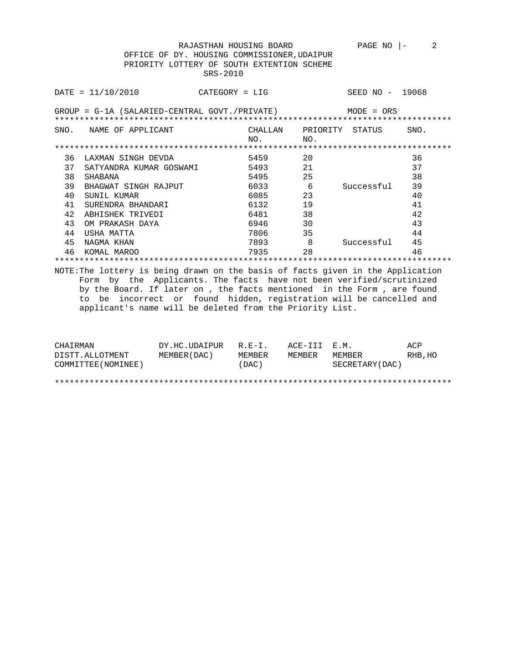RAJASTHAN HOUSING BOARD PAGE NO  $|-$  2 OFFICE OF DY. HOUSING COMMISSIONER,UDAIPUR PRIORITY LOTTERY OF SOUTH EXTENTION SCHEME SRS-2010

|      | $DATA = 11/10/2010$                                        | $CATEGORY = LIG$ |                |     | SEED NO - 19068 |      |  |  |  |
|------|------------------------------------------------------------|------------------|----------------|-----|-----------------|------|--|--|--|
|      | $GROUP = G-1A$ (SALARIED-CENTRAL GOVT./PRIVATE) MODE = ORS |                  |                |     |                 |      |  |  |  |
| SNO. | NAME OF APPLICANT                                          |                  | CHALLAN<br>NO. | NO. | PRIORITY STATUS | SNO. |  |  |  |
|      |                                                            |                  |                |     |                 |      |  |  |  |
| 36   | LAXMAN SINGH DEVDA                                         |                  | 5459           | 20  |                 | 36   |  |  |  |
| 37   | SATYANDRA KUMAR GOSWAMI                                    |                  | 5493           | 21  |                 | 37   |  |  |  |
| 38   | SHABANA                                                    |                  | 5495           | 25  |                 | 38   |  |  |  |
| 39   | BHAGWAT SINGH RAJPUT                                       |                  | 6033           | 6   | Successful      | 39   |  |  |  |
| 40   | SUNIL KUMAR                                                |                  | 6085           | 23  |                 | 40   |  |  |  |
| 41   | SURENDRA BHANDARI                                          |                  | 6132           | 19  |                 | 41   |  |  |  |
| 42   | ABHISHEK TRIVEDI                                           |                  | 6481           | 38  |                 | 42   |  |  |  |
| 43   | OM PRAKASH DAYA                                            |                  | 6946           | 30  |                 | 43   |  |  |  |
| 44   | USHA MATTA                                                 |                  | 7806           | 35  |                 | 44   |  |  |  |
| 45   | NAGMA KHAN                                                 |                  | 7893           | 8   | Successful      | 45   |  |  |  |
| 46   | KOMAL MAROO                                                |                  | 7935           | 28  |                 | 46   |  |  |  |
|      |                                                            |                  |                |     |                 |      |  |  |  |

NOTE:The lottery is being drawn on the basis of facts given in the Application Form by the Applicants. The facts have not been verified/scrutinized by the Board. If later on , the facts mentioned in the Form , are found to be incorrect or found hidden, registration will be cancelled and applicant's name will be deleted from the Priority List.

| CHAIRMAN            | DY.HC.UDAIPUR | $R. F - T.$ | ACE-TTT E.M. |                 | ACP      |
|---------------------|---------------|-------------|--------------|-----------------|----------|
| DISTT.ALLOTMENT     | MEMBER (DAC)  | MEMBER      | MEMBER       | MF.MBF.R        | RHB , HO |
| COMMITTEE (NOMINEE) |               | (DAC)       |              | SECRETARY (DAC) |          |
|                     |               |             |              |                 |          |
|                     |               |             |              |                 |          |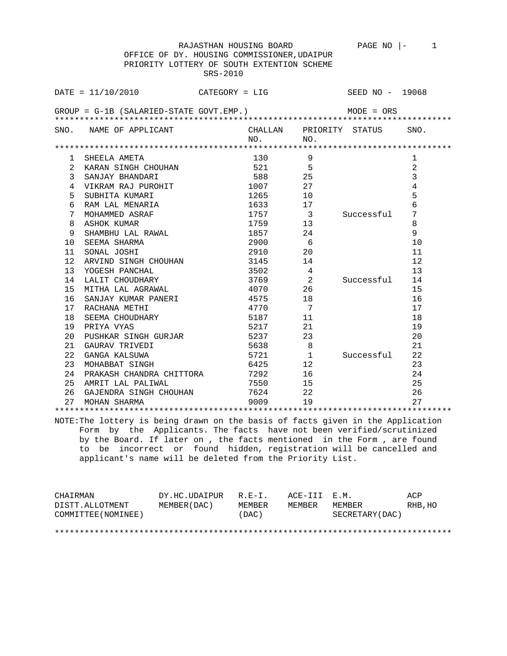RAJASTHAN HOUSING BOARD PAGE NO  $|-1$  OFFICE OF DY. HOUSING COMMISSIONER,UDAIPUR PRIORITY LOTTERY OF SOUTH EXTENTION SCHEME SRS-2010

|                 | $DATA = 11/10/2010$                                                                                                                         | $CATEGORY = LIG$ |                         |                         | SEED NO - 19068 |
|-----------------|---------------------------------------------------------------------------------------------------------------------------------------------|------------------|-------------------------|-------------------------|-----------------|
|                 | $GROUP = G-1B (SALARIED-STATE GOVT. EMP.)$                                                                                                  |                  |                         | $MODE = ORS$            |                 |
|                 |                                                                                                                                             |                  |                         |                         |                 |
| SNO.            | NAME OF APPLICANT                                                                                                                           |                  |                         | CHALLAN PRIORITY STATUS | SNO.            |
|                 |                                                                                                                                             | NO.              | NO.                     |                         |                 |
| ı.              | SHEELA AMETA                                                                                                                                |                  | 130<br>9                |                         | 1               |
| 2               | KARAN SINGH CHOUHAN                                                                                                                         |                  | 521<br>5                |                         | 2               |
| 3               | SANJAY BHANDARI                                                                                                                             |                  | 588<br>25               |                         | $\overline{3}$  |
| 4               | VIKRAM RAJ PUROHIT                                                                                                                          | 1007             | 27                      |                         | $\overline{4}$  |
| 5               | SUBHITA KUMARI                                                                                                                              | 1265             | 10                      |                         | 5               |
| 6               | RAM LAL MENARIA                                                                                                                             | 1633             | 17                      |                         | 6               |
| 7               | MOHAMMED ASRAF                                                                                                                              | 1757             | $\overline{\mathbf{3}}$ | Successful              | 7               |
| 8               | ASHOK KUMAR                                                                                                                                 | 1759             | 13                      |                         | 8               |
| 9               | SHAMBHU LAL RAWAL                                                                                                                           | 1857             | 24                      |                         | 9               |
| 10              | SEEMA SHARMA                                                                                                                                | 2900             | - 6                     |                         | 10              |
| 11              | SONAL JOSHI                                                                                                                                 | 2910             | 20                      |                         | 11              |
| 12              | ARVIND SINGH CHOUHAN                                                                                                                        | 3145             | 14                      |                         | 12              |
| 13              | YOGESH PANCHAL                                                                                                                              | 3502             | 4                       |                         | 13              |
| 14              | LALIT CHOUDHARY                                                                                                                             | 3769             | 2                       | Successful              | 14              |
| 15 <sub>1</sub> | MITHA LAL AGRAWAL                                                                                                                           | 4070             | 26                      |                         | 15              |
| 16              | SANJAY KUMAR PANERI                                                                                                                         | 4575             | 18                      |                         | 16              |
| 17 <sup>7</sup> | RACHANA METHI                                                                                                                               | 4770             | $\overline{7}$          |                         | 17              |
| 18              | SEEMA CHOUDHARY                                                                                                                             | 5187             | 11                      |                         | 18              |
| 19              | PRIYA VYAS                                                                                                                                  | 5217             | 21                      |                         | 19              |
| 20              | PUSHKAR SINGH GURJAR                                                                                                                        | 5237             | 23                      |                         | 20              |
| 21              | GAURAV TRIVEDI                                                                                                                              | 5638             | 8                       |                         | 21              |
| 22 <sub>2</sub> | GANGA KALSUWA                                                                                                                               | 5721             | 1                       | Successful              | 22              |
| 23              | MOHABBAT SINGH                                                                                                                              | 6425             | 12                      |                         | 23              |
| 24              | PRAKASH CHANDRA CHITTORA                                                                                                                    | 7292             | 16                      |                         | 24              |
| 25              |                                                                                                                                             |                  |                         |                         | 25              |
|                 | AMRIT LAL PALIWAL                                                                                                                           | 7550             | 15                      |                         |                 |
| 26<br>2.7       | GAJENDRA SINGH CHOUHAN                                                                                                                      | 7624             | 22                      |                         | 26<br>2.7       |
|                 | MOHAN SHARMA                                                                                                                                | 9009             | 19                      |                         |                 |
|                 |                                                                                                                                             |                  |                         |                         |                 |
|                 | NOTE: The lottery is being drawn on the basis of facts given in the Application                                                             |                  |                         |                         |                 |
|                 | Form by the Applicants. The facts have not been verified/scrutinized                                                                        |                  |                         |                         |                 |
|                 | by the Board. If later on, the facts mentioned in the Form, are found<br>to be incorrect or found hidden registration will be cancelled and |                  |                         |                         |                 |

 to be incorrect or found hidden, registration will be cancelled and applicant's name will be deleted from the Priority List.

| CHAIRMAN            | DY.HC.UDAIPUR | $R.E-I.$ | ACE-III E.M. |                 | ACP     |
|---------------------|---------------|----------|--------------|-----------------|---------|
| DISTT.ALLOTMENT     | MEMBER (DAC)  | MEMBER   | MEMBER       | MEMBER          | RHB, HO |
| COMMITTEE (NOMINEE) |               | (DAC)    |              | SECRETARY (DAC) |         |
|                     |               |          |              |                 |         |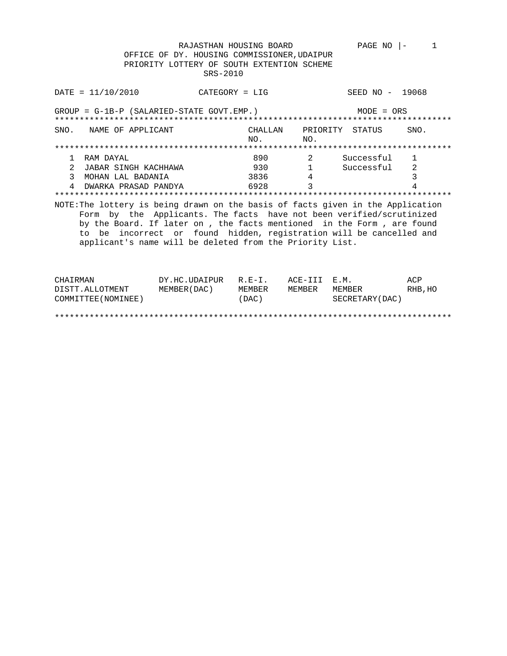RAJASTHAN HOUSING BOARD PAGE NO  $|-1$  OFFICE OF DY. HOUSING COMMISSIONER,UDAIPUR PRIORITY LOTTERY OF SOUTH EXTENTION SCHEME SRS-2010

| DATA / 10 / 2010                                                                                                                                                                                                                                                                                                                                                    | $CATEGORY = LIG$ |               | SEED NO - 19068 |      |  |  |  |
|---------------------------------------------------------------------------------------------------------------------------------------------------------------------------------------------------------------------------------------------------------------------------------------------------------------------------------------------------------------------|------------------|---------------|-----------------|------|--|--|--|
| $GROUP = G-1B-P (SALARIED-STATE GOVT. EMP.)$<br>$MODE = ORS$                                                                                                                                                                                                                                                                                                        |                  |               |                 |      |  |  |  |
| SNO.<br>NAME OF APPLICANT                                                                                                                                                                                                                                                                                                                                           | CHALLAN<br>NO.   | NO.           | PRIORITY STATUS | SNO. |  |  |  |
|                                                                                                                                                                                                                                                                                                                                                                     |                  |               |                 |      |  |  |  |
| RAM DAYAL<br>1                                                                                                                                                                                                                                                                                                                                                      | 890              | 2             | Successful      | 1    |  |  |  |
| JABAR SINGH KACHHAWA                                                                                                                                                                                                                                                                                                                                                | 930 — 100        |               | Successful      | 2    |  |  |  |
| 3<br>MOHAN LAL BADANIA                                                                                                                                                                                                                                                                                                                                              |                  | 4             |                 | 3    |  |  |  |
| DWARKA PRASAD PANDYA                                                                                                                                                                                                                                                                                                                                                | 6928             | $\mathcal{E}$ |                 | 4    |  |  |  |
|                                                                                                                                                                                                                                                                                                                                                                     |                  |               |                 |      |  |  |  |
| NOTE: The lottery is being drawn on the basis of facts given in the Application<br>Form by the Applicants. The facts have not been verified/scrutinized<br>by the Board. If later on, the facts mentioned in the Form, are found<br>to be incorrect or found hidden, registration will be cancelled and<br>applicant's name will be deleted from the Priority List. |                  |               |                 |      |  |  |  |

| CHAIRMAN            | DY.HC.UDAIPUR R.E-I. |        | ACE-III E.M. |                  | ACP     |
|---------------------|----------------------|--------|--------------|------------------|---------|
| DISTT.ALLOTMENT     | MEMBER (DAC)         | MEMBER | MEMBER       | MEMBER           | RHB, HO |
| COMMITTEE (NOMINEE) |                      | (DAC)  |              | SECRETARY (DAC ) |         |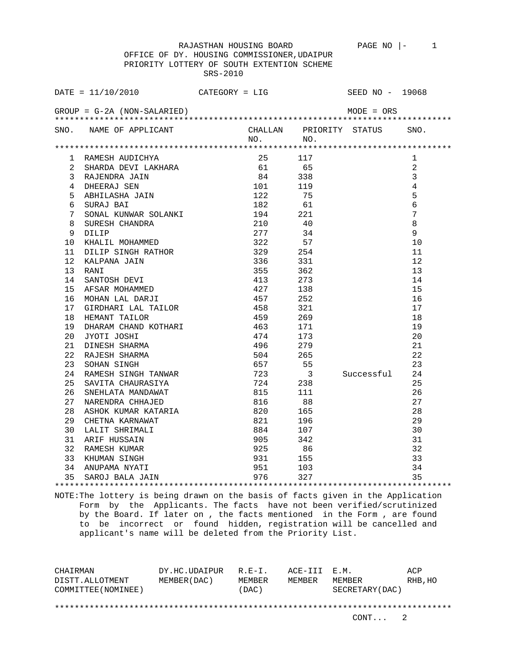OFFICE OF DY. HOUSING COMMISSIONER,UDAIPUR PRIORITY LOTTERY OF SOUTH EXTENTION SCHEME SRS-2010

|                 | DATE = $11/10/2010$ CATEGORY = LIG SEED NO - 19068                                                                                                                                                                     |                 |              |             |                              |                 |
|-----------------|------------------------------------------------------------------------------------------------------------------------------------------------------------------------------------------------------------------------|-----------------|--------------|-------------|------------------------------|-----------------|
|                 | $GROUP = G-2A (NON-SALARIED)$                                                                                                                                                                                          |                 |              |             | $MODE = ORS$                 |                 |
|                 | SNO. NAME OF APPLICANT                                                                                                                                                                                                 |                 |              | $NO.$ $NO.$ | CHALLAN PRIORITY STATUS SNO. |                 |
|                 |                                                                                                                                                                                                                        |                 |              |             |                              |                 |
|                 | 1 RAMESH AUDICHYA 25 117<br>2 SHARDA DEVI LAKHARA 25 117<br>3 RAJENDRA JAIN 84 338<br>4 DHEERAJ SEN 101 119<br>5 ABHILASHA JAIN 122 75<br>6 SURAJ BAI 182 61<br>7 SONAL KUNWAR SOLANKI 194 221<br>8 SURESH CHANDRA 210 |                 |              |             |                              | 1               |
|                 |                                                                                                                                                                                                                        |                 |              |             |                              | 2               |
|                 |                                                                                                                                                                                                                        |                 |              |             |                              | $\overline{3}$  |
|                 |                                                                                                                                                                                                                        |                 |              |             |                              | $\overline{4}$  |
|                 |                                                                                                                                                                                                                        |                 |              |             |                              | 5               |
|                 |                                                                                                                                                                                                                        |                 |              |             |                              | $6\overline{6}$ |
|                 |                                                                                                                                                                                                                        |                 |              |             |                              | $7\phantom{.0}$ |
|                 |                                                                                                                                                                                                                        |                 |              |             |                              | 8               |
|                 |                                                                                                                                                                                                                        |                 |              |             |                              | $\overline{9}$  |
|                 |                                                                                                                                                                                                                        |                 |              |             |                              | 10              |
|                 |                                                                                                                                                                                                                        |                 |              |             |                              | 11              |
|                 |                                                                                                                                                                                                                        |                 |              |             |                              | 12              |
|                 |                                                                                                                                                                                                                        |                 |              |             |                              | 13              |
|                 |                                                                                                                                                                                                                        |                 |              |             |                              | 14              |
|                 |                                                                                                                                                                                                                        |                 |              |             |                              | 15              |
|                 |                                                                                                                                                                                                                        |                 |              |             |                              | 16              |
|                 |                                                                                                                                                                                                                        |                 |              |             |                              | 17              |
|                 |                                                                                                                                                                                                                        |                 |              |             |                              | 18              |
| 19              |                                                                                                                                                                                                                        |                 |              |             |                              |                 |
| 20 <sub>o</sub> |                                                                                                                                                                                                                        |                 |              |             |                              |                 |
| 21              |                                                                                                                                                                                                                        |                 |              |             |                              |                 |
| 22 <sub>2</sub> |                                                                                                                                                                                                                        |                 |              |             |                              |                 |
| 23              |                                                                                                                                                                                                                        |                 |              |             |                              |                 |
| 24              | 18<br>DHARAM CHAND KOTHARI<br>JYOTI JOSHI 19<br>DINESH SHARMA 19<br>RAJESH SHARMA 19<br>SOHAN SINGH 504 265 22<br>RAMESH SINGH TANWAR 723 3 Successful 24<br>CHANESH SINGH 7ANWAR 723 3 Successful 24                  |                 |              |             |                              |                 |
| 25              | SAVITA CHAURASIYA 6724 238                                                                                                                                                                                             |                 |              |             |                              | 25              |
| 26              | SNEHLATA MANDAWAT                                                                                                                                                                                                      | 815             |              | 111         |                              | 26              |
| 27              | NARENDRA CHHAJED                                                                                                                                                                                                       |                 | 816          | 88          |                              | 27              |
| 28              | ASHOK KUMAR KATARIA                                                                                                                                                                                                    | 820 165         |              |             |                              | 28              |
| 29              | ABILOR ROMAN MODELLER                                                                                                                                                                                                  |                 | 821 196      |             |                              | 29              |
|                 |                                                                                                                                                                                                                        |                 | $884$<br>905 | 107         |                              | 30              |
|                 | 30 LALIT SHRIMALI<br>31 ARIF HUSSAIN<br>32 RAMESH KUMAR<br>33 KHUMAN SINGH<br>24 ANUDAMA NIGH                                                                                                                          | $\frac{1}{925}$ |              | 342         |                              | 31              |
|                 |                                                                                                                                                                                                                        |                 |              | 86          |                              | 32              |
|                 |                                                                                                                                                                                                                        |                 |              | 931 155     |                              | 33              |
|                 |                                                                                                                                                                                                                        |                 |              |             |                              | 34              |
|                 |                                                                                                                                                                                                                        |                 |              |             |                              | 35              |

NOTE:The lottery is being drawn on the basis of facts given in the Application Form by the Applicants. The facts have not been verified/scrutinized by the Board. If later on , the facts mentioned in the Form , are found to be incorrect or found hidden, registration will be cancelled and applicant's name will be deleted from the Priority List.

CHAIRMAN DY.HC.UDAIPUR R.E-I. ACE-III E.M. ACP DISTT.ALLOTMENT MEMBER(DAC) MEMBER MEMBER MEMBER RHB,HO COMMITTEE(NOMINEE) (DAC) SECRETARY(DAC) \*\*\*\*\*\*\*\*\*\*\*\*\*\*\*\*\*\*\*\*\*\*\*\*\*\*\*\*\*\*\*\*\*\*\*\*\*\*\*\*\*\*\*\*\*\*\*\*\*\*\*\*\*\*\*\*\*\*\*\*\*\*\*\*\*\*\*\*\*\*\*\*\*\*\*\*\*\*\*\*

CONT... 2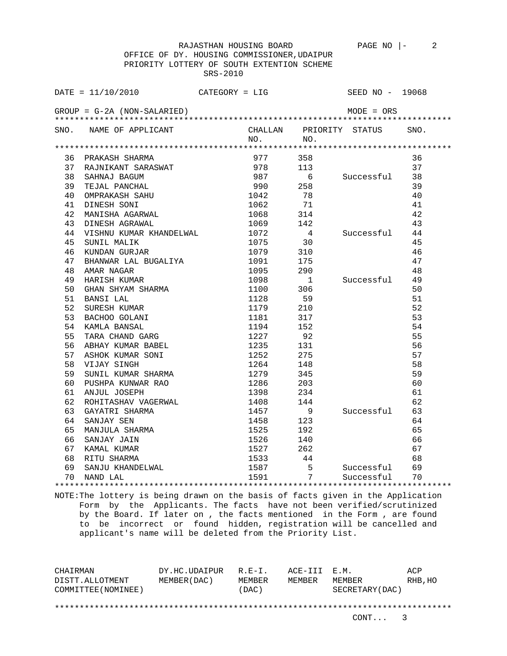OFFICE OF DY. HOUSING COMMISSIONER,UDAIPUR PRIORITY LOTTERY OF SOUTH EXTENTION SCHEME SRS-2010

|    | $\texttt{DATE} = 11/10/2010$          |      |                                                                            | $CATEGORY = LIG$ | SEED NO - 19068              |    |
|----|---------------------------------------|------|----------------------------------------------------------------------------|------------------|------------------------------|----|
|    | $GROUP = G-2A (NON-SALARIED)$         |      |                                                                            |                  | $MODE = ORS$                 |    |
|    | SNO. NAME OF APPLICANT                |      | $NO.$ NO.                                                                  |                  | CHALLAN PRIORITY STATUS SNO. |    |
|    |                                       |      |                                                                            |                  |                              |    |
|    |                                       |      | 977 358                                                                    |                  |                              | 36 |
|    |                                       |      |                                                                            | 113              |                              | 37 |
|    |                                       |      |                                                                            |                  | 6 Successful 38              |    |
|    |                                       |      |                                                                            | 258              |                              | 39 |
|    |                                       |      |                                                                            | 78               |                              | 40 |
|    |                                       |      |                                                                            | $71$             |                              | 41 |
| 42 |                                       |      | 1068 314                                                                   |                  |                              | 42 |
| 43 | MANISHA AGARWAL<br>DINESH AGRAWAL     |      |                                                                            |                  |                              | 43 |
| 44 | VISHNU KUMAR KHANDELWAL               |      | $\begin{array}{ccc} 1069 & & 142 \\ 1072 & & 4 \\ 1075 & & 30 \end{array}$ | $4\overline{4}$  | Successful                   | 44 |
| 45 | SUNIL MALIK                           |      |                                                                            |                  |                              | 45 |
| 46 | KUNDAN GURJAR                         |      | 1079                                                                       | 310              |                              | 46 |
| 47 | BHANWAR LAL BUGALIYA 1091 175         |      |                                                                            |                  |                              | 47 |
| 48 | AMAR NAGAR                            |      | 1095                                                                       | 290              |                              | 48 |
| 49 | HARISH KUMAR                          |      | 1098                                                                       | $\overline{1}$   | Successful 49                |    |
| 50 | GHAN SHYAM SHARMA                     |      | 1100 306                                                                   |                  |                              | 50 |
| 51 | BANSI LAL                             |      | 1128                                                                       | 59               |                              | 51 |
| 52 | SURESH KUMAR                          |      | 1179                                                                       | 210              |                              | 52 |
| 53 | BACHOO GOLANI                         |      | 1181                                                                       | 317              |                              | 53 |
| 54 | KAMLA BANSAL                          |      | 1194                                                                       | 152              |                              | 54 |
| 55 | TARA CHAND GARG                       |      | 1227                                                                       | 92               |                              | 55 |
| 56 | ABHAY KUMAR BABEL                     |      | $1235$ 131                                                                 |                  |                              | 56 |
| 57 | ASHOK KUMAR SONI                      |      | 1252                                                                       | 275              |                              | 57 |
| 58 | VIJAY SINGH                           |      | 1264                                                                       | 148              |                              | 58 |
| 59 | SUNIL KUMAR SHARMA 1279 345           |      |                                                                            |                  |                              | 59 |
| 60 | PUSHPA KUNWAR RAO $1286$ 203          |      |                                                                            |                  |                              | 60 |
| 61 | ANJUL JOSEPH                          |      | 1398<br>1408                                                               | 234              |                              | 61 |
| 62 | ROHITASHAV VAGERWAL<br>GAYATRI SHARMA |      |                                                                            | 144              |                              | 62 |
| 63 |                                       | 1457 |                                                                            | 9                | Successful 63                |    |
| 64 | SANJAY SEN                            |      | 1458                                                                       | 123              |                              | 64 |
| 65 | MANJULA SHARMA                        |      |                                                                            | 192              |                              | 65 |
| 66 | SANJAY JAIN                           |      |                                                                            | 140              |                              | 66 |
| 67 | KAMAL KUMAR                           |      |                                                                            | 262              |                              | 67 |
| 68 | RITU SHARMA                           |      | 1533 44                                                                    |                  |                              | 68 |
| 69 |                                       |      | $\begin{array}{c} 1526 \\ 1527 \\ 1533 \\ 1587 \end{array}$                |                  | Successful                   | 69 |
| 70 | NAND LAL                              |      | 1591                                                                       | $\overline{7}$   | Successful                   | 70 |
|    |                                       |      |                                                                            |                  |                              |    |

NOTE:The lottery is being drawn on the basis of facts given in the Application Form by the Applicants. The facts have not been verified/scrutinized by the Board. If later on , the facts mentioned in the Form , are found to be incorrect or found hidden, registration will be cancelled and applicant's name will be deleted from the Priority List.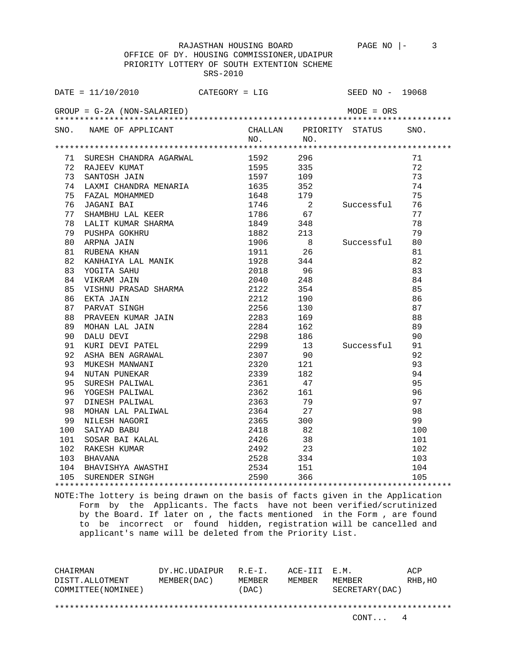OFFICE OF DY. HOUSING COMMISSIONER,UDAIPUR PRIORITY LOTTERY OF SOUTH EXTENTION SCHEME SRS-2010

|    | $\texttt{DATE} = 11/10/2010$ CATEGORY = LIG                                                                                                                                                                                                      |           |                                         | SEED NO - 19068              |     |
|----|--------------------------------------------------------------------------------------------------------------------------------------------------------------------------------------------------------------------------------------------------|-----------|-----------------------------------------|------------------------------|-----|
|    | $GROUP = G-2A (NON-SALARIED)$                                                                                                                                                                                                                    |           |                                         | $MODE = ORS$                 |     |
|    | SNO. NAME OF APPLICANT                                                                                                                                                                                                                           | $NO.$ NO. |                                         | CHALLAN PRIORITY STATUS SNO. |     |
|    |                                                                                                                                                                                                                                                  |           |                                         |                              |     |
|    | 71 SURESH CHANDRA AGARWAL                                                                                                                                                                                                                        | 1592 296  |                                         |                              | 71  |
|    | 72 RAJEEV KUMAT                                                                                                                                                                                                                                  | 1595 335  |                                         |                              | 72  |
| 73 | SANTOSH JAIN                                                                                                                                                                                                                                     |           | 1597 109                                |                              | 73  |
| 74 |                                                                                                                                                                                                                                                  |           |                                         |                              | 74  |
| 75 |                                                                                                                                                                                                                                                  |           |                                         |                              | 75  |
| 76 |                                                                                                                                                                                                                                                  |           |                                         | 2 Successful 76              |     |
| 77 |                                                                                                                                                                                                                                                  |           |                                         |                              | 77  |
| 78 | LALIT KUMAR SHARMA                                                                                                                                                                                                                               | 1849 348  |                                         |                              | 78  |
| 79 |                                                                                                                                                                                                                                                  |           |                                         |                              | 79  |
| 80 |                                                                                                                                                                                                                                                  |           | $\begin{array}{c} 213 \\ 8 \end{array}$ | Successful                   | 80  |
| 81 |                                                                                                                                                                                                                                                  |           |                                         |                              | 81  |
| 82 |                                                                                                                                                                                                                                                  |           |                                         |                              | 82  |
| 83 | <b>EXECUTE 2018</b><br>YOGITA SAHU<br>VIKRAM JAIN 2040<br>VISHNU PRASAD SHARMA 2122                                                                                                                                                              |           | 96                                      |                              | 83  |
| 84 |                                                                                                                                                                                                                                                  |           | 248                                     |                              | 84  |
| 85 |                                                                                                                                                                                                                                                  |           | 354                                     |                              | 85  |
| 86 | VISHNU PRASAD SHARMA<br>EKTA JAIN 2212 190<br>PARVAT SINGH 2256 130<br>PRAVEEN KUMAR JAIN 2283 169<br>MOHAN LAL JAIN 2284 162<br>DALU DEVI PATEL 2298 186<br>KURI DEVI PATEL 2299 13<br>ASHA BEN AGRAWAL 2307 90<br>MUKESH MANWANI 2320 121<br>N |           |                                         |                              | 86  |
| 87 |                                                                                                                                                                                                                                                  |           |                                         |                              | 87  |
| 88 |                                                                                                                                                                                                                                                  |           |                                         |                              | 88  |
| 89 |                                                                                                                                                                                                                                                  |           |                                         |                              | 89  |
| 90 |                                                                                                                                                                                                                                                  |           |                                         |                              | 90  |
| 91 |                                                                                                                                                                                                                                                  |           |                                         | Successful 91                |     |
| 92 |                                                                                                                                                                                                                                                  |           |                                         |                              | 92  |
| 93 |                                                                                                                                                                                                                                                  |           |                                         |                              | 93  |
| 94 |                                                                                                                                                                                                                                                  |           |                                         |                              | 94  |
| 95 |                                                                                                                                                                                                                                                  |           |                                         |                              | 95  |
| 96 |                                                                                                                                                                                                                                                  |           |                                         |                              | 96  |
| 97 | DINESH PALIWAL                                                                                                                                                                                                                                   | 2363      | 79                                      |                              | 97  |
| 98 | MOHAN LAL PALIWAL 2364 27                                                                                                                                                                                                                        |           |                                         |                              | 98  |
| 99 | NILESH NAGORI 2365 300                                                                                                                                                                                                                           |           |                                         |                              | 99  |
|    |                                                                                                                                                                                                                                                  |           | 82                                      |                              | 100 |
|    |                                                                                                                                                                                                                                                  |           | 38                                      |                              | 101 |
|    | $\begin{tabular}{lllllllllllllllllllll} \vspace{1.5ex} & \text{SAI YAD BABU} & \text{2418} \\ \hline 101 & \text{SOSAR BAI KALAL} & 2426 \\ 102 & \text{RAKESH KUMAR} & 2492 \\ 103 & \text{BHAVANA} & 2528 \\ \end{tabular}$                    |           | 23                                      |                              | 102 |
|    |                                                                                                                                                                                                                                                  |           | 2528 334                                |                              | 103 |
|    | 104 BHAVISHYA AWASTHI 105 2534 151<br>105 SURENDER SINGH 105 2590 366                                                                                                                                                                            |           |                                         |                              | 104 |
|    | 105 SURENDER SINGH                                                                                                                                                                                                                               |           |                                         |                              | 105 |

NOTE:The lottery is being drawn on the basis of facts given in the Application Form by the Applicants. The facts have not been verified/scrutinized by the Board. If later on , the facts mentioned in the Form , are found to be incorrect or found hidden, registration will be cancelled and applicant's name will be deleted from the Priority List.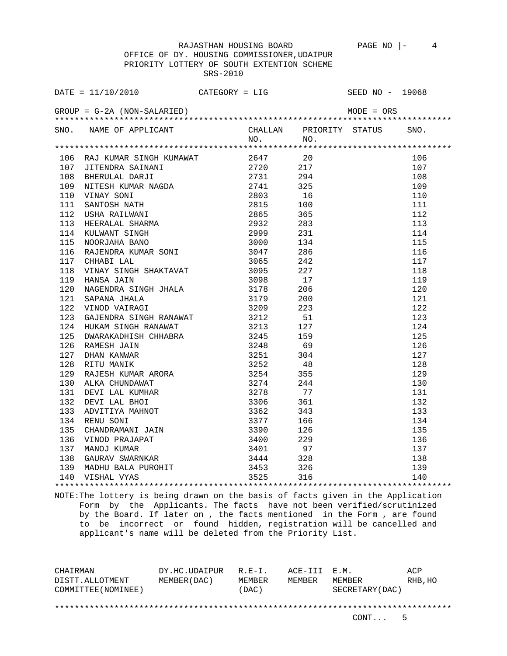OFFICE OF DY. HOUSING COMMISSIONER,UDAIPUR PRIORITY LOTTERY OF SOUTH EXTENTION SCHEME SRS-2010

| DATE = $11/10/2010$ CATEGORY = LIG SEED NO - 19068<br>GROUP = G-2A (NON-SALARIED) MODE = ORS |         |                         |      |
|----------------------------------------------------------------------------------------------|---------|-------------------------|------|
| SNO. NAME OF APPLICANT                                                                       |         | CHALLAN PRIORITY STATUS | SNO. |
|                                                                                              | NO. NO. |                         |      |
|                                                                                              |         |                         |      |
|                                                                                              |         |                         | 106  |
|                                                                                              |         |                         | 107  |
|                                                                                              |         |                         | 108  |
|                                                                                              |         |                         | 109  |
|                                                                                              |         |                         | 110  |
|                                                                                              |         |                         | 111  |
|                                                                                              |         |                         | 112  |
|                                                                                              |         |                         | 113  |
|                                                                                              |         |                         | 114  |
|                                                                                              |         |                         | 115  |
|                                                                                              |         |                         | 116  |
|                                                                                              |         |                         | 117  |
|                                                                                              |         |                         | 118  |
|                                                                                              |         |                         | 119  |
|                                                                                              |         |                         | 120  |
|                                                                                              |         |                         | 121  |
|                                                                                              |         |                         | 122  |
|                                                                                              |         |                         | 123  |
|                                                                                              |         |                         | 124  |
|                                                                                              |         |                         | 125  |
|                                                                                              |         |                         | 126  |
|                                                                                              |         |                         | 127  |
|                                                                                              |         |                         | 128  |
|                                                                                              |         |                         | 129  |
|                                                                                              |         |                         | 130  |
|                                                                                              |         |                         | 131  |
|                                                                                              |         |                         | 132  |
|                                                                                              |         |                         | 133  |
|                                                                                              |         |                         | 134  |
|                                                                                              |         |                         | 135  |
|                                                                                              |         |                         | 136  |
|                                                                                              |         |                         | 137  |
|                                                                                              |         |                         | 138  |
|                                                                                              |         |                         | 139  |
|                                                                                              |         |                         | 140  |
|                                                                                              |         |                         |      |

NOTE:The lottery is being drawn on the basis of facts given in the Application Form by the Applicants. The facts have not been verified/scrutinized by the Board. If later on , the facts mentioned in the Form , are found to be incorrect or found hidden, registration will be cancelled and applicant's name will be deleted from the Priority List.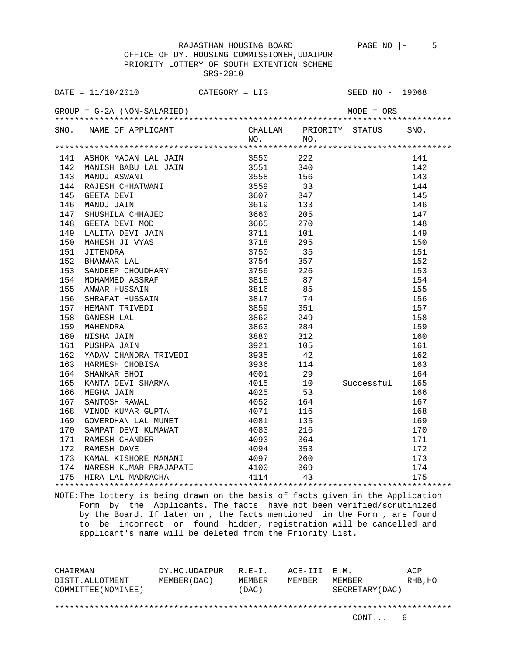OFFICE OF DY. HOUSING COMMISSIONER,UDAIPUR PRIORITY LOTTERY OF SOUTH EXTENTION SCHEME SRS-2010

|     | DATE = $11/10/2010$ CATEGORY = LIG                                                                                                                                                                                                             |      |     | SEED NO - 19068         |      |
|-----|------------------------------------------------------------------------------------------------------------------------------------------------------------------------------------------------------------------------------------------------|------|-----|-------------------------|------|
|     |                                                                                                                                                                                                                                                |      |     | $MODE = ORS$            |      |
|     |                                                                                                                                                                                                                                                |      |     | CHALLAN PRIORITY STATUS | SNO. |
|     |                                                                                                                                                                                                                                                |      |     |                         |      |
|     |                                                                                                                                                                                                                                                |      |     |                         | 141  |
|     |                                                                                                                                                                                                                                                |      |     |                         | 142  |
|     |                                                                                                                                                                                                                                                |      |     |                         | 143  |
|     | 142 MANISH BABU LAL JAIN 3551 2440<br>142 MANISH BABU LAL JAIN 3551 2440<br>143 MANOJ ASWANI 3555 156<br>143 MANOJ ASWANI 3558 156<br>144 GEETA DEVI TAIN 3559 337<br>146 GEETA DEVI MAN<br>147 SHUSHILA CHHAJED 3660 205<br>148 GEETA DEVI    |      |     |                         | 144  |
|     |                                                                                                                                                                                                                                                |      |     |                         | 145  |
|     |                                                                                                                                                                                                                                                |      |     |                         | 146  |
|     |                                                                                                                                                                                                                                                |      |     |                         | 147  |
|     |                                                                                                                                                                                                                                                |      |     |                         | 148  |
|     |                                                                                                                                                                                                                                                |      |     |                         | 149  |
|     |                                                                                                                                                                                                                                                |      |     |                         | 150  |
|     |                                                                                                                                                                                                                                                |      |     |                         | 151  |
|     |                                                                                                                                                                                                                                                |      |     |                         | 152  |
|     |                                                                                                                                                                                                                                                |      |     |                         | 153  |
|     |                                                                                                                                                                                                                                                |      |     |                         | 154  |
|     |                                                                                                                                                                                                                                                |      |     |                         | 155  |
|     |                                                                                                                                                                                                                                                |      |     |                         | 156  |
|     |                                                                                                                                                                                                                                                |      |     |                         | 157  |
|     |                                                                                                                                                                                                                                                |      |     |                         | 158  |
|     |                                                                                                                                                                                                                                                |      |     |                         | 159  |
|     |                                                                                                                                                                                                                                                |      |     |                         | 160  |
|     |                                                                                                                                                                                                                                                |      |     |                         | 161  |
| 162 |                                                                                                                                                                                                                                                |      |     |                         | 162  |
| 163 |                                                                                                                                                                                                                                                |      |     |                         | 163  |
| 164 |                                                                                                                                                                                                                                                |      |     |                         | 164  |
| 165 | PUSHPA JAIN 3921 105<br>YADAV CHANDRA TRIVEDI 3935 42<br>HARMESH CHOBISA 3936 114<br>SHANKAR BHOI 4001 29<br>KANTA DEVI SHARMA 4015 10<br>MEGHA JAIN 4025 53<br>SANTOSH RAWAL 4052 164<br>VINOD KUMAR GUPTA 4071 116<br>GOVERDHAN LAL 4071 116 |      |     | Successful              | 165  |
| 166 |                                                                                                                                                                                                                                                |      |     |                         | 166  |
| 167 |                                                                                                                                                                                                                                                |      |     |                         | 167  |
| 168 |                                                                                                                                                                                                                                                |      |     |                         | 168  |
| 169 |                                                                                                                                                                                                                                                | 4081 |     |                         | 169  |
| 170 | 3135<br>SAMPAT DEVI KUMAWAT 4083 216<br>RAMESH CHANDER 4093 364<br>RAMESH DAVE 4094 353                                                                                                                                                        |      |     |                         | 170  |
| 171 |                                                                                                                                                                                                                                                |      |     |                         | 171  |
| 172 | RAMESH DAVE                                                                                                                                                                                                                                    |      |     |                         | 172  |
|     | 173 KAMAL KISHORE MANANI                                                                                                                                                                                                                       | 1091 | 260 |                         | 173  |
|     | 174 NARESH KUMAR PRAJAPATI 4100 369                                                                                                                                                                                                            |      |     |                         | 174  |
|     | 175 HIRA LAL MADRACHA 64114 43                                                                                                                                                                                                                 |      |     |                         | 175  |
|     |                                                                                                                                                                                                                                                |      |     |                         |      |

NOTE:The lottery is being drawn on the basis of facts given in the Application Form by the Applicants. The facts have not been verified/scrutinized by the Board. If later on , the facts mentioned in the Form , are found to be incorrect or found hidden, registration will be cancelled and applicant's name will be deleted from the Priority List.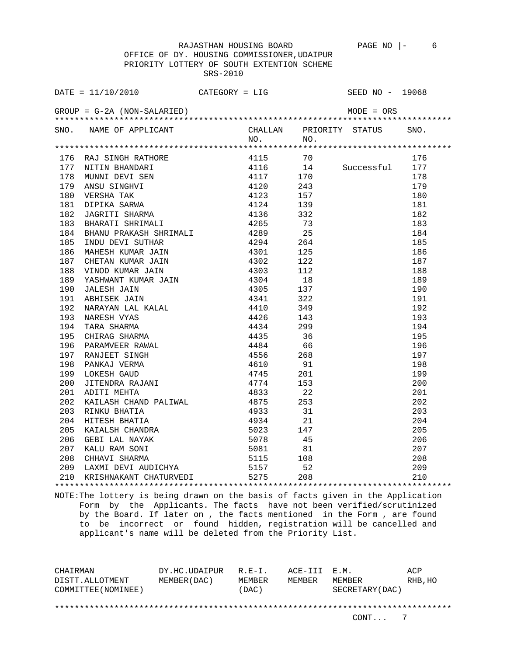OFFICE OF DY. HOUSING COMMISSIONER,UDAIPUR PRIORITY LOTTERY OF SOUTH EXTENTION SCHEME SRS-2010

|     | DATE = $11/10/2010$ CATEGORY = LIG                                                                                                                                                                                                          |      |          |      | SEED $NO - 19068$       |      |
|-----|---------------------------------------------------------------------------------------------------------------------------------------------------------------------------------------------------------------------------------------------|------|----------|------|-------------------------|------|
|     | $GROUP = G-2A (NON-SALARIED)$                                                                                                                                                                                                               |      |          |      | MODE = ORS              |      |
|     | SNO. NAME OF APPLICANT                                                                                                                                                                                                                      |      |          |      | CHALLAN PRIORITY STATUS | SNO. |
|     |                                                                                                                                                                                                                                             |      | NO.      | NO.  |                         |      |
|     |                                                                                                                                                                                                                                             |      |          |      |                         |      |
|     | 176 RAJ SINGH RATHORE 4115 70<br>177 NITIN BHANDARI 4116 14<br>178 MUNNI DEVI SEN 4117 170<br>179 ANSU SINGHVI 4120 243<br>180 VERSHA TAK 4123 157<br>181 DIPIKA SARWA 4124 139<br>182 JAGRITI SHARMA 4136 332<br>183 BHARATI SHRIMALI 4265 |      |          |      |                         | 176  |
|     |                                                                                                                                                                                                                                             |      |          |      | 4116 14 Successful      | 177  |
|     |                                                                                                                                                                                                                                             |      |          |      |                         | 178  |
|     |                                                                                                                                                                                                                                             |      |          |      |                         | 179  |
|     |                                                                                                                                                                                                                                             |      |          |      |                         | 180  |
|     |                                                                                                                                                                                                                                             |      |          |      |                         | 181  |
|     |                                                                                                                                                                                                                                             |      |          |      |                         | 182  |
|     |                                                                                                                                                                                                                                             |      |          |      |                         | 183  |
|     | BHANU PRAKASH SHRIMALI<br>INDU DEVI SUTHAR                                                                                                                                                                                                  |      |          |      |                         | 184  |
| 185 |                                                                                                                                                                                                                                             | 4294 |          | 264  |                         | 185  |
| 186 |                                                                                                                                                                                                                                             |      |          | 125  |                         | 186  |
| 187 |                                                                                                                                                                                                                                             |      |          | 122  |                         | 187  |
| 188 |                                                                                                                                                                                                                                             |      |          | 112  |                         | 188  |
| 189 |                                                                                                                                                                                                                                             |      |          | 18   |                         | 189  |
| 190 |                                                                                                                                                                                                                                             |      |          | 137  |                         | 190  |
| 191 |                                                                                                                                                                                                                                             |      |          | 322  |                         | 191  |
| 192 |                                                                                                                                                                                                                                             |      |          | 349  |                         | 192  |
| 193 |                                                                                                                                                                                                                                             |      | 4426     | 143  |                         | 193  |
| 194 |                                                                                                                                                                                                                                             |      |          | 299  |                         | 194  |
| 195 |                                                                                                                                                                                                                                             |      |          | 36   |                         | 195  |
| 196 |                                                                                                                                                                                                                                             |      |          | 66   |                         | 196  |
| 197 |                                                                                                                                                                                                                                             |      | 4556 268 |      |                         | 197  |
| 198 |                                                                                                                                                                                                                                             |      |          | 91   |                         | 198  |
| 199 |                                                                                                                                                                                                                                             |      |          | 201  |                         | 199  |
| 200 | JITENDRA RAJANI<br>ADITI MEHTA                                                                                                                                                                                                              |      |          | 153  |                         | 200  |
| 201 | ADITI MEHTA                                                                                                                                                                                                                                 | 4833 |          | 22   |                         | 201  |
| 202 | KAILASH CHAND PALIWAL 4875                                                                                                                                                                                                                  |      |          | 253  |                         | 202  |
| 203 |                                                                                                                                                                                                                                             |      |          | 31   |                         | 203  |
| 204 |                                                                                                                                                                                                                                             |      |          | - 21 |                         | 204  |
| 205 |                                                                                                                                                                                                                                             |      | 5023 147 |      |                         | 205  |
| 206 |                                                                                                                                                                                                                                             |      |          | 45   |                         | 206  |
| 207 |                                                                                                                                                                                                                                             |      |          | - 81 |                         | 207  |
| 208 | RINKU BHATIA (1933)<br>RINKU BHATIA (1933)<br>HITESH BHATIA (1934)<br>KAIALSH CHANDRA (1934)<br>GEBI LAL NAYAK (1978)<br>KALU RAM SONI (1981)<br>CHHAVI SHARMA (1981)<br>CHHAVI SHARMA                                                      |      | 5115     | 108  |                         | 208  |
|     | 209 LAXMI DEVI AUDICHYA                                                                                                                                                                                                                     |      | 5157     | 52   |                         | 209  |
|     | 210 KRISHNAKANT CHATURVEDI                                                                                                                                                                                                                  |      | 5275 208 |      |                         | 210  |
|     |                                                                                                                                                                                                                                             |      |          |      |                         |      |

NOTE:The lottery is being drawn on the basis of facts given in the Application Form by the Applicants. The facts have not been verified/scrutinized by the Board. If later on , the facts mentioned in the Form , are found to be incorrect or found hidden, registration will be cancelled and applicant's name will be deleted from the Priority List.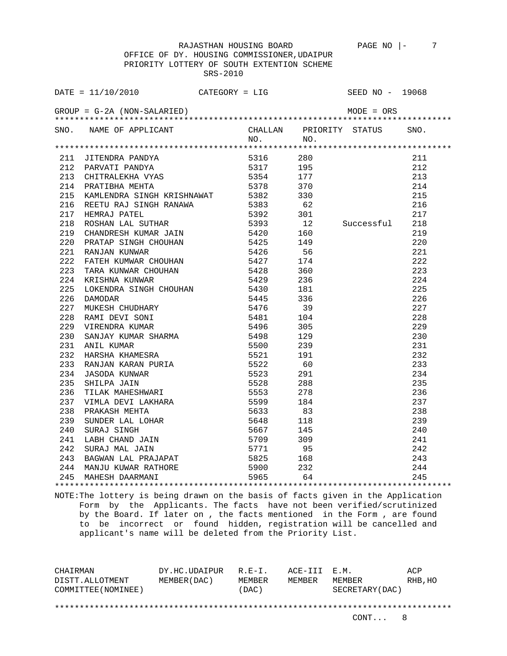OFFICE OF DY. HOUSING COMMISSIONER,UDAIPUR PRIORITY LOTTERY OF SOUTH EXTENTION SCHEME SRS-2010

| DATE = $11/10/2010$ CATEGORY = LIG                                                                                                                                                                                                           |  |             | SEED NO - 19068                                             |      |
|----------------------------------------------------------------------------------------------------------------------------------------------------------------------------------------------------------------------------------------------|--|-------------|-------------------------------------------------------------|------|
|                                                                                                                                                                                                                                              |  |             |                                                             |      |
| SNO. NAME OF APPLICANT                                                                                                                                                                                                                       |  |             | CHALLAN PRIORITY STATUS                                     | SNO. |
|                                                                                                                                                                                                                                              |  | $NO.$ $NO.$ |                                                             |      |
|                                                                                                                                                                                                                                              |  |             |                                                             |      |
| 211 JITENDRA PANDYA 5316 280<br>212 PARVATI PANDYA 5316 280<br>213 CHITRALEKHA VYAS 5354 177<br>214 PRATIBHA MEHTA 5378 370<br>215 KAMLENDRA SINGH KRISHNAWAT 5382 330<br>216 REETU RAJ SINGH RANAWA 5383 62<br>217 HEMRAJ PATEL 5392 301    |  |             |                                                             | 211  |
|                                                                                                                                                                                                                                              |  |             |                                                             | 212  |
|                                                                                                                                                                                                                                              |  |             |                                                             | 213  |
|                                                                                                                                                                                                                                              |  |             |                                                             | 214  |
| 215 NAPULENDRA SINGH KRISHNAWAT 5382 330<br>216 REETU RAJ SINGH RANAWA 5383 62<br>217 HEMRAJ PATEL 5392 301<br>218 ROSHAN LAL SUTHAR 5393 12<br>219 CHANDRESH KUMAR JAIN 5420 160<br>220 PRATAP SINGH CHOUHAN 5425 149<br>221 RANJAN KUNWA   |  |             |                                                             | 215  |
|                                                                                                                                                                                                                                              |  |             |                                                             | 216  |
|                                                                                                                                                                                                                                              |  |             |                                                             | 217  |
|                                                                                                                                                                                                                                              |  |             | Successful                                                  | 218  |
|                                                                                                                                                                                                                                              |  |             |                                                             | 219  |
|                                                                                                                                                                                                                                              |  |             |                                                             | 220  |
|                                                                                                                                                                                                                                              |  |             |                                                             | 221  |
|                                                                                                                                                                                                                                              |  |             |                                                             | 222  |
|                                                                                                                                                                                                                                              |  |             |                                                             | 223  |
|                                                                                                                                                                                                                                              |  |             |                                                             | 224  |
|                                                                                                                                                                                                                                              |  |             |                                                             | 225  |
|                                                                                                                                                                                                                                              |  |             |                                                             | 226  |
|                                                                                                                                                                                                                                              |  |             |                                                             | 227  |
|                                                                                                                                                                                                                                              |  |             |                                                             | 228  |
|                                                                                                                                                                                                                                              |  |             |                                                             | 229  |
|                                                                                                                                                                                                                                              |  |             |                                                             | 230  |
|                                                                                                                                                                                                                                              |  |             |                                                             | 231  |
|                                                                                                                                                                                                                                              |  |             |                                                             | 232  |
|                                                                                                                                                                                                                                              |  |             |                                                             | 233  |
|                                                                                                                                                                                                                                              |  |             |                                                             | 234  |
|                                                                                                                                                                                                                                              |  |             |                                                             | 235  |
|                                                                                                                                                                                                                                              |  |             |                                                             | 236  |
|                                                                                                                                                                                                                                              |  |             |                                                             | 237  |
|                                                                                                                                                                                                                                              |  |             |                                                             | 238  |
|                                                                                                                                                                                                                                              |  |             |                                                             | 239  |
|                                                                                                                                                                                                                                              |  |             |                                                             |      |
|                                                                                                                                                                                                                                              |  |             |                                                             |      |
|                                                                                                                                                                                                                                              |  |             |                                                             |      |
| 224 KRISHNA KUNWAR 5429 236<br>225 LOKENDRA SINGH CHOUHAN 5429 236<br>225 LOKENDRA SINGH CHOUHAN 5430 181<br>226 DAMODAR 5445 336<br>227 MUKERSH CHUDHARY 5445 336<br>228 RAMI DEVI SONI<br>229 VIRENDRA KUMAR 54461 104<br>229 VIRENDRA KUM |  | 168         |                                                             |      |
|                                                                                                                                                                                                                                              |  |             |                                                             |      |
|                                                                                                                                                                                                                                              |  |             | $239$<br>$240$<br>$241$<br>$242$<br>$243$<br>$244$<br>$245$ |      |
|                                                                                                                                                                                                                                              |  |             |                                                             |      |

NOTE:The lottery is being drawn on the basis of facts given in the Application Form by the Applicants. The facts have not been verified/scrutinized by the Board. If later on , the facts mentioned in the Form , are found to be incorrect or found hidden, registration will be cancelled and applicant's name will be deleted from the Priority List.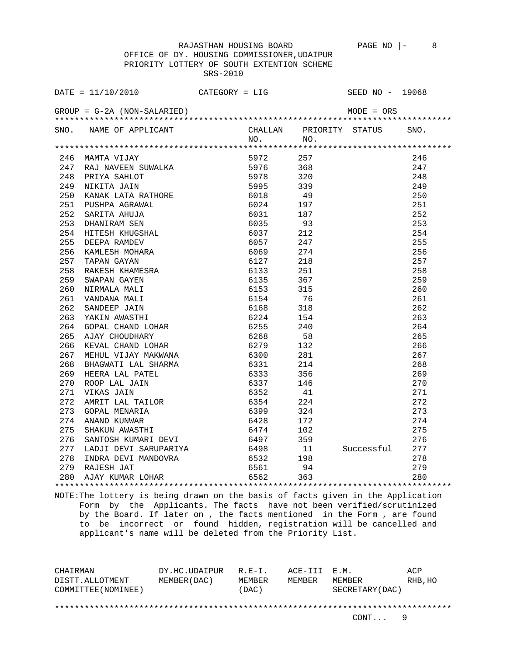| DATE = $11/10/2010$ CATEGORY = LIG                                                                                                                                                                                                                      |                                |              | SEED NO - 19068                              |
|---------------------------------------------------------------------------------------------------------------------------------------------------------------------------------------------------------------------------------------------------------|--------------------------------|--------------|----------------------------------------------|
| $GROUP = G-2A (NON-SALARIED)$                                                                                                                                                                                                                           |                                | $MODE = ORS$ |                                              |
| SNO. NAME OF APPLICANT                                                                                                                                                                                                                                  | CHALLAN PRIORITY STATUS<br>NO. | NO.          | SNO.                                         |
|                                                                                                                                                                                                                                                         |                                |              |                                              |
|                                                                                                                                                                                                                                                         |                                |              | 246                                          |
|                                                                                                                                                                                                                                                         |                                |              | 247                                          |
|                                                                                                                                                                                                                                                         |                                |              | 248                                          |
|                                                                                                                                                                                                                                                         |                                |              | 249                                          |
|                                                                                                                                                                                                                                                         |                                |              | 250                                          |
|                                                                                                                                                                                                                                                         |                                |              | 251                                          |
|                                                                                                                                                                                                                                                         |                                |              | 252                                          |
|                                                                                                                                                                                                                                                         |                                |              | 253                                          |
|                                                                                                                                                                                                                                                         |                                |              | 254                                          |
|                                                                                                                                                                                                                                                         |                                |              | 255                                          |
|                                                                                                                                                                                                                                                         |                                |              | 256                                          |
|                                                                                                                                                                                                                                                         |                                |              | 257                                          |
|                                                                                                                                                                                                                                                         |                                |              | 258                                          |
|                                                                                                                                                                                                                                                         |                                |              | 259                                          |
|                                                                                                                                                                                                                                                         |                                |              | 260                                          |
|                                                                                                                                                                                                                                                         |                                |              | 261                                          |
|                                                                                                                                                                                                                                                         |                                |              | 262                                          |
|                                                                                                                                                                                                                                                         |                                |              | 263                                          |
|                                                                                                                                                                                                                                                         |                                |              | 264                                          |
|                                                                                                                                                                                                                                                         |                                |              | 265                                          |
| 266 KEVAL CHAND LOHAR 6279 132                                                                                                                                                                                                                          |                                |              | 266                                          |
| 267 MEHUL VIJAY MAKWANA                                                                                                                                                                                                                                 |                                |              | 267                                          |
| 268                                                                                                                                                                                                                                                     |                                |              | 268                                          |
| 6279 132<br>PHAGWATI LAL SHARMA 6300 281<br>BHAGWATI LAL SHARMA 6300 281<br>HEERA LAL PATEL 6333 356<br>ROOP LAL JAIN 6337 146<br>VIKAS JAIN 6352 41<br>AMRIT LAL TAILOR 6354 224<br>GOPAL MENARIA 6399 324<br>ANAND KUNWAR 6428 172<br>SHAKUN A<br>269 |                                |              | 269                                          |
| 270                                                                                                                                                                                                                                                     |                                |              | 270                                          |
| 271                                                                                                                                                                                                                                                     |                                |              | 271                                          |
| 272                                                                                                                                                                                                                                                     |                                |              | 272                                          |
| 273                                                                                                                                                                                                                                                     |                                |              | 273                                          |
| 274                                                                                                                                                                                                                                                     |                                |              | 274                                          |
| 275                                                                                                                                                                                                                                                     |                                |              | 275                                          |
| 276                                                                                                                                                                                                                                                     |                                |              | 102<br>359<br>11           Successful<br>276 |
| 277                                                                                                                                                                                                                                                     |                                |              | 277                                          |
| 278                                                                                                                                                                                                                                                     |                                |              | 278                                          |
| 1 INDRA DEVI MANDOVRA 6532 198<br>RAJESH JAT 6561 94<br>AJAY KUMAR LOHAR 6562 363<br>279 RAJESH JAT                                                                                                                                                     |                                |              | 279                                          |
| 280 AJAY KUMAR LOHAR                                                                                                                                                                                                                                    |                                |              | 280                                          |

NOTE:The lottery is being drawn on the basis of facts given in the Application Form by the Applicants. The facts have not been verified/scrutinized by the Board. If later on , the facts mentioned in the Form , are found to be incorrect or found hidden, registration will be cancelled and applicant's name will be deleted from the Priority List.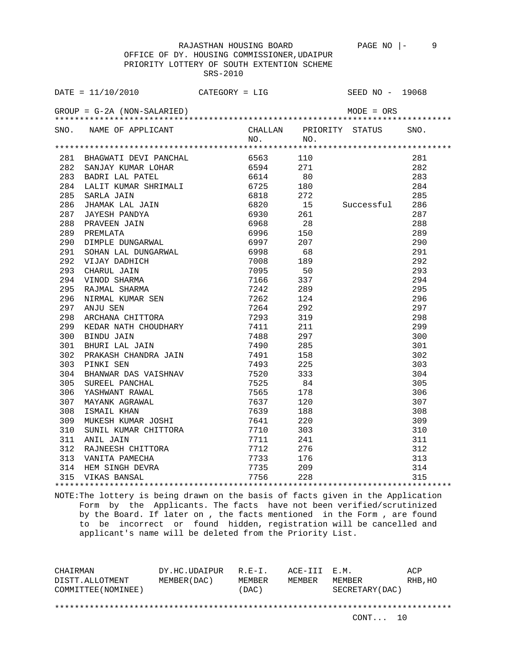OFFICE OF DY. HOUSING COMMISSIONER,UDAIPUR PRIORITY LOTTERY OF SOUTH EXTENTION SCHEME SRS-2010

| DATE = $11/10/2010$ CATEGORY = LIG                                                                                                                                                                                            |     |     | SEED NO - 19068                |      |
|-------------------------------------------------------------------------------------------------------------------------------------------------------------------------------------------------------------------------------|-----|-----|--------------------------------|------|
| $GROUP = G-2A (NON-SALARIED)$                                                                                                                                                                                                 |     |     | $\texttt{MODE} = \texttt{ORS}$ |      |
| SNO. NAME OF APPLICANT CHALLAN PRIORITY STATUS                                                                                                                                                                                | NO. | NO. |                                | SNO. |
|                                                                                                                                                                                                                               |     |     |                                |      |
|                                                                                                                                                                                                                               |     |     |                                |      |
|                                                                                                                                                                                                                               |     |     |                                |      |
|                                                                                                                                                                                                                               |     |     |                                |      |
|                                                                                                                                                                                                                               |     |     |                                |      |
|                                                                                                                                                                                                                               |     |     |                                |      |
|                                                                                                                                                                                                                               |     |     |                                |      |
|                                                                                                                                                                                                                               |     |     |                                |      |
|                                                                                                                                                                                                                               |     |     |                                |      |
|                                                                                                                                                                                                                               |     |     |                                |      |
|                                                                                                                                                                                                                               |     |     |                                |      |
|                                                                                                                                                                                                                               |     |     |                                |      |
|                                                                                                                                                                                                                               |     |     |                                |      |
|                                                                                                                                                                                                                               |     |     |                                |      |
|                                                                                                                                                                                                                               |     |     |                                |      |
|                                                                                                                                                                                                                               |     |     |                                |      |
|                                                                                                                                                                                                                               |     |     |                                |      |
|                                                                                                                                                                                                                               |     |     |                                |      |
|                                                                                                                                                                                                                               |     |     |                                |      |
|                                                                                                                                                                                                                               |     |     |                                |      |
|                                                                                                                                                                                                                               |     |     |                                |      |
|                                                                                                                                                                                                                               |     |     |                                |      |
|                                                                                                                                                                                                                               |     |     |                                |      |
|                                                                                                                                                                                                                               |     |     |                                |      |
|                                                                                                                                                                                                                               |     |     |                                |      |
|                                                                                                                                                                                                                               |     |     |                                |      |
|                                                                                                                                                                                                                               |     |     |                                |      |
|                                                                                                                                                                                                                               |     |     |                                |      |
|                                                                                                                                                                                                                               |     |     |                                |      |
|                                                                                                                                                                                                                               |     |     |                                |      |
|                                                                                                                                                                                                                               |     |     |                                |      |
|                                                                                                                                                                                                                               |     |     |                                |      |
|                                                                                                                                                                                                                               |     |     |                                |      |
|                                                                                                                                                                                                                               |     |     |                                |      |
|                                                                                                                                                                                                                               |     |     |                                |      |
| 1911 - 1912 - 1920 - 1920 - 1920 - 1920 - 1920 - 1920 - 1920 - 1920 - 1920 - 1920 - 1920 - 1920 - 1920 - 1920 - 1920 - 1920 - 1920 - 1920 - 1920 - 1920 - 1920 - 1920 - 1920 - 1920 - 1920 - 1920 - 1920 - 1920 - 1920 - 1920 |     |     |                                |      |
|                                                                                                                                                                                                                               |     |     |                                |      |

NOTE:The lottery is being drawn on the basis of facts given in the Application Form by the Applicants. The facts have not been verified/scrutinized by the Board. If later on , the facts mentioned in the Form , are found to be incorrect or found hidden, registration will be cancelled and applicant's name will be deleted from the Priority List.

CHAIRMAN DY.HC.UDAIPUR R.E-I. ACE-III E.M. ACP DISTT.ALLOTMENT MEMBER(DAC) MEMBER MEMBER MEMBER RHB,HO COMMITTEE(NOMINEE) (DAC) SECRETARY(DAC) \*\*\*\*\*\*\*\*\*\*\*\*\*\*\*\*\*\*\*\*\*\*\*\*\*\*\*\*\*\*\*\*\*\*\*\*\*\*\*\*\*\*\*\*\*\*\*\*\*\*\*\*\*\*\*\*\*\*\*\*\*\*\*\*\*\*\*\*\*\*\*\*\*\*\*\*\*\*\*\*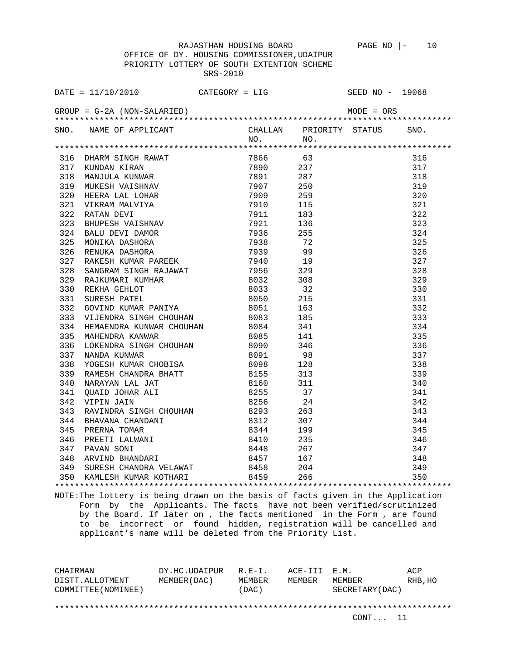OFFICE OF DY. HOUSING COMMISSIONER,UDAIPUR PRIORITY LOTTERY OF SOUTH EXTENTION SCHEME SRS-2010

|     | SNO. NAME OF APPLICANT CHALLAN PRIORITY STATUS SNO.<br>NO. NO.                                                                                                                                                                               |  |  |  |
|-----|----------------------------------------------------------------------------------------------------------------------------------------------------------------------------------------------------------------------------------------------|--|--|--|
|     |                                                                                                                                                                                                                                              |  |  |  |
|     |                                                                                                                                                                                                                                              |  |  |  |
|     |                                                                                                                                                                                                                                              |  |  |  |
|     |                                                                                                                                                                                                                                              |  |  |  |
|     |                                                                                                                                                                                                                                              |  |  |  |
|     |                                                                                                                                                                                                                                              |  |  |  |
|     |                                                                                                                                                                                                                                              |  |  |  |
|     |                                                                                                                                                                                                                                              |  |  |  |
|     |                                                                                                                                                                                                                                              |  |  |  |
|     |                                                                                                                                                                                                                                              |  |  |  |
|     |                                                                                                                                                                                                                                              |  |  |  |
|     |                                                                                                                                                                                                                                              |  |  |  |
|     |                                                                                                                                                                                                                                              |  |  |  |
|     |                                                                                                                                                                                                                                              |  |  |  |
|     |                                                                                                                                                                                                                                              |  |  |  |
|     |                                                                                                                                                                                                                                              |  |  |  |
|     |                                                                                                                                                                                                                                              |  |  |  |
|     |                                                                                                                                                                                                                                              |  |  |  |
|     |                                                                                                                                                                                                                                              |  |  |  |
| 333 |                                                                                                                                                                                                                                              |  |  |  |
| 334 |                                                                                                                                                                                                                                              |  |  |  |
| 335 |                                                                                                                                                                                                                                              |  |  |  |
| 336 |                                                                                                                                                                                                                                              |  |  |  |
| 337 |                                                                                                                                                                                                                                              |  |  |  |
| 338 |                                                                                                                                                                                                                                              |  |  |  |
| 339 |                                                                                                                                                                                                                                              |  |  |  |
| 340 | MAHENDRA KONWAR CHOUHAN 8085 141<br>MAHENDRA KANWAR 8085 141<br>LOKENDRA SINGH CHOUHAN 8090 346<br>NANDA KUNWAR 8091 98<br>YOGESH KUMAR CHOBISA 8098 128<br>RAMESH CHANDRA BHATT 8155 313<br>NARAYAN LAL JAT 8160 311<br>QUAID JOHAR ALI 825 |  |  |  |
| 341 |                                                                                                                                                                                                                                              |  |  |  |
| 342 |                                                                                                                                                                                                                                              |  |  |  |
|     |                                                                                                                                                                                                                                              |  |  |  |
|     |                                                                                                                                                                                                                                              |  |  |  |
|     |                                                                                                                                                                                                                                              |  |  |  |
|     |                                                                                                                                                                                                                                              |  |  |  |
|     |                                                                                                                                                                                                                                              |  |  |  |
|     | 343 RAVINDRA SINGH CHOUHAN 8293 263<br>344 BHAVANA CHANDANI 8312 307<br>345 PRERNA TOMAR 8344 199<br>346 PREETI LALWANI 8410 235<br>347 PAVAN SONI 8448 267<br>348 ARVIND BHANDARI 8457 167<br>348 ARVIND BHANDARI 8457 167                  |  |  |  |
| 349 |                                                                                                                                                                                                                                              |  |  |  |
|     | 350 KAMLESH KUMAR KOTHARI 8459 266                                                                                                                                                                                                           |  |  |  |
|     |                                                                                                                                                                                                                                              |  |  |  |

NOTE:The lottery is being drawn on the basis of facts given in the Application Form by the Applicants. The facts have not been verified/scrutinized by the Board. If later on , the facts mentioned in the Form , are found to be incorrect or found hidden, registration will be cancelled and applicant's name will be deleted from the Priority List.

CHAIRMAN DY.HC.UDAIPUR R.E-I. ACE-III E.M. ACP DISTT.ALLOTMENT MEMBER(DAC) MEMBER MEMBER MEMBER RHB,HO COMMITTEE(NOMINEE) (DAC) SECRETARY(DAC) \*\*\*\*\*\*\*\*\*\*\*\*\*\*\*\*\*\*\*\*\*\*\*\*\*\*\*\*\*\*\*\*\*\*\*\*\*\*\*\*\*\*\*\*\*\*\*\*\*\*\*\*\*\*\*\*\*\*\*\*\*\*\*\*\*\*\*\*\*\*\*\*\*\*\*\*\*\*\*\*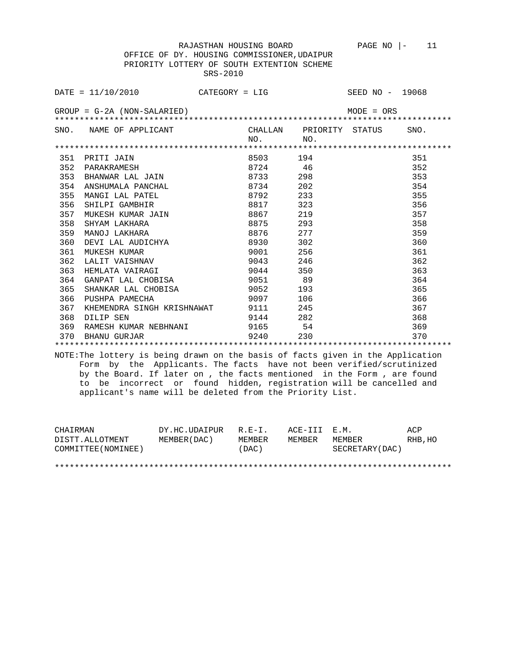OFFICE OF DY. HOUSING COMMISSIONER,UDAIPUR PRIORITY LOTTERY OF SOUTH EXTENTION SCHEME SRS-2010

|     | $\texttt{DATE} = 11/10/2010$ CATEGORY = LIG |     |                 | SEED NO - 19068         |      |  |  |
|-----|---------------------------------------------|-----|-----------------|-------------------------|------|--|--|
|     | $GROUP = G-2A (NON-SALARIED)$               |     |                 | $MODE = ORS$            |      |  |  |
|     | SNO. NAME OF APPLICANT                      | NO. | NO.             | CHALLAN PRIORITY STATUS | SNO. |  |  |
|     |                                             |     |                 |                         |      |  |  |
| 351 | PRITI JAIN                                  |     | 8503 194        |                         | 351  |  |  |
| 352 | PARAKRAMESH                                 |     | 8724 46         |                         | 352  |  |  |
| 353 | BHANWAR LAL JAIN                            |     | 8733 298        |                         | 353  |  |  |
|     | 354 ANSHUMALA PANCHAL                       |     | 8734 202        |                         | 354  |  |  |
| 355 | MANGI LAL PATEL                             |     | 8792<br>233     |                         | 355  |  |  |
| 356 | SHILPI GAMBHIR                              |     | 8817 323        |                         | 356  |  |  |
| 357 | MUKESH KUMAR JAIN                           |     | 8867 219        |                         | 357  |  |  |
| 358 | SHYAM LAKHARA                               |     | 8875 293        |                         | 358  |  |  |
| 359 | MANOJ LAKHARA                               |     | 8876 277        |                         | 359  |  |  |
| 360 | DEVI LAL AUDICHYA                           |     | 8930 302        |                         | 360  |  |  |
| 361 | MUKESH KUMAR                                |     | 256<br>9001 900 |                         | 361  |  |  |
| 362 | LALIT VAISHNAV                              |     | 9043 246        |                         | 362  |  |  |
| 363 | HEMLATA VAIRAGI                             |     | 9044 350        |                         | 363  |  |  |
| 364 | GANPAT LAL CHOBISA                          |     | 9051 89         |                         | 364  |  |  |
| 365 | SHANKAR LAL CHOBISA 59052 193               |     |                 |                         | 365  |  |  |
| 366 | PUSHPA PAMECHA                              |     | 9097<br>106     |                         | 366  |  |  |
| 367 | KHEMENDRA SINGH KRISHNAWAT 9111             |     | 245             |                         | 367  |  |  |
| 368 | DILIP SEN                                   |     | 9144 282        |                         | 368  |  |  |
|     | 369 RAMESH KUMAR NEBHNANI                   |     | 9165 54         |                         | 369  |  |  |
| 370 | BHANU GURJAR                                |     | 9240<br>230     |                         | 370  |  |  |
|     |                                             |     |                 |                         |      |  |  |

NOTE:The lottery is being drawn on the basis of facts given in the Application Form by the Applicants. The facts have not been verified/scrutinized by the Board. If later on , the facts mentioned in the Form , are found to be incorrect or found hidden, registration will be cancelled and applicant's name will be deleted from the Priority List.

| CHAIRMAN            | DY.HC.UDAIPUR | $R.E-I.$ | ACE-III E.M. |                 | ACP     |
|---------------------|---------------|----------|--------------|-----------------|---------|
| DISTT.ALLOTMENT     | MEMBER (DAC)  | MEMBER   | MEMBER       | MEMBER          | RHB, HO |
| COMMITTEE (NOMINEE) |               | (DAC)    |              | SECRETARY (DAC) |         |
|                     |               |          |              |                 |         |
|                     |               |          |              |                 |         |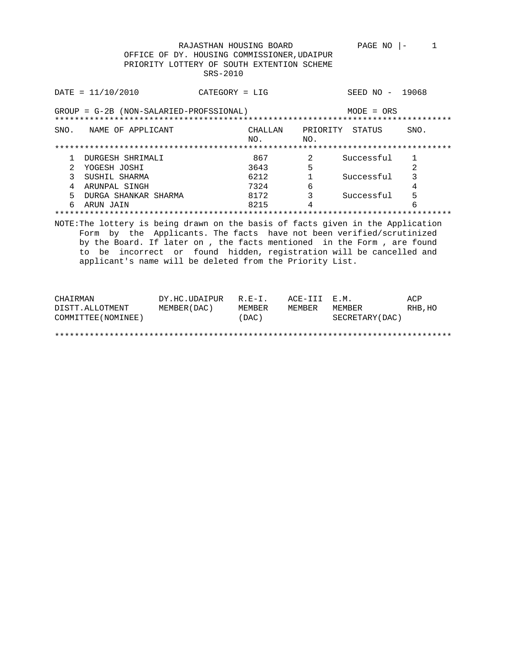PAGE NO  $|-1$ 

|      | DATA / 10 / 2010                                                                                                                                              | $CATEGORY = LIG$ |                |                 | SEED NO<br>$\overline{\phantom{0}}$ | 19068 |  |  |
|------|---------------------------------------------------------------------------------------------------------------------------------------------------------------|------------------|----------------|-----------------|-------------------------------------|-------|--|--|
|      | GROUP = G-2B (NON-SALARIED-PROFSSIONAL)<br>$MODE = ORS$                                                                                                       |                  |                |                 |                                     |       |  |  |
| SNO. | NAME OF APPLICANT                                                                                                                                             |                  | CHALLAN<br>NO. | PRIORITY<br>NO. | STATUS                              | SNO.  |  |  |
|      |                                                                                                                                                               |                  |                |                 |                                     |       |  |  |
|      | DURGESH SHRIMALI                                                                                                                                              |                  | 867            | 2               | Successful                          |       |  |  |
|      | YOGESH JOSHI                                                                                                                                                  |                  | 3643           | 5               |                                     |       |  |  |
| 3    | SUSHIL SHARMA                                                                                                                                                 |                  | 6212           |                 | Successful                          |       |  |  |
|      | ARUNPAL SINGH                                                                                                                                                 |                  | 7324           | 6               |                                     | 4     |  |  |
| 5    | DURGA SHANKAR SHARMA                                                                                                                                          |                  | 8172           | 3               | Successful                          | 5     |  |  |
| 6    | ARUN JAIN                                                                                                                                                     |                  | 8215           | 4               |                                     | 6     |  |  |
|      | ************************                                                                                                                                      |                  |                |                 |                                     |       |  |  |
|      | NOTE: The lottery is being drawn on the basis of facts given in the Application<br>the Applicants. The facts have not been verified/scrutinized<br>bv<br>Form |                  |                |                 |                                     |       |  |  |

by the Board. If later on, the facts mentioned in the Form, are found to be incorrect or found hidden, registration will be cancelled and applicant's name will be deleted from the Priority List.

| CHAIRMAN            | DY.HC.UDAIPUR | $R.E-I.$ | ACE-III E.M. |                  | ACP     |
|---------------------|---------------|----------|--------------|------------------|---------|
| DISTT.ALLOTMENT     | MEMBER (DAC)  | MEMBER   | MEMBER       | MEMBER           | RHB, HO |
| COMMITTEE (NOMINEE) |               | (DAC)    |              | SECRETARY (DAC ) |         |
|                     |               |          |              |                  |         |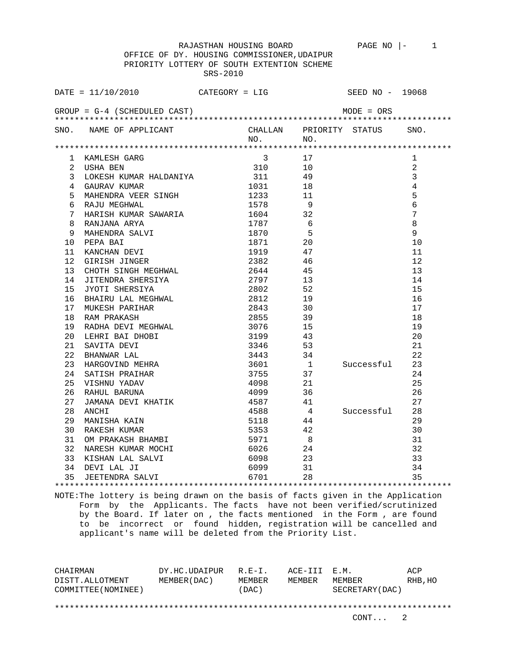| DATE = $11/10/2010$ CATEGORY = LIG SEED NO - 19068                                                                                                                                                                                                                                                      |              |  |  |  |  |  |
|---------------------------------------------------------------------------------------------------------------------------------------------------------------------------------------------------------------------------------------------------------------------------------------------------------|--------------|--|--|--|--|--|
| $GROUP = G-4$ (SCHEDULED CAST)<br>$MODE = ORS$                                                                                                                                                                                                                                                          |              |  |  |  |  |  |
| SNO. NAME OF APPLICANT<br>CHALLAN PRIORITY STATUS SNO.<br>NO. NO.                                                                                                                                                                                                                                       |              |  |  |  |  |  |
|                                                                                                                                                                                                                                                                                                         |              |  |  |  |  |  |
|                                                                                                                                                                                                                                                                                                         | $\mathbf{1}$ |  |  |  |  |  |
|                                                                                                                                                                                                                                                                                                         | $\sqrt{2}$   |  |  |  |  |  |
| $\overline{3}$                                                                                                                                                                                                                                                                                          |              |  |  |  |  |  |
| $\overline{4}$<br>4 GAURAV KUMAR<br>1031 18                                                                                                                                                                                                                                                             |              |  |  |  |  |  |
| 5<br>4 GAURAY ROMAN<br>5 MAHENDRA VEER SINGH                                                                                                                                                                                                                                                            |              |  |  |  |  |  |
| 1233 11<br>1578 9<br>$6\overline{6}$<br>5 11 1578 9<br>6 RAJU MEGHWAL 1578 9<br>7 HARISH KUMAR SAWARIA 1604 32<br>8 RANJANA ARYA 1787 6<br>9 MAHENDRA SALVI 1870 5<br>10 PEPA BAI 1871 20                                                                                                               |              |  |  |  |  |  |
| 7                                                                                                                                                                                                                                                                                                       |              |  |  |  |  |  |
| 8                                                                                                                                                                                                                                                                                                       |              |  |  |  |  |  |
|                                                                                                                                                                                                                                                                                                         | 9            |  |  |  |  |  |
| 1871                                                                                                                                                                                                                                                                                                    | 10           |  |  |  |  |  |
| $\begin{array}{c}\n1319 \\ 1919\n\end{array}$<br>10 PEPA BAI<br>11 KANCHAN DEVI<br>12 GIRISH JINGER<br>13 CHOTH SINGH MEGHWAL<br>13 JITENDRA SHERSIYA<br>14 JITENDRA SHERSIYA<br>15 JYOTI SHERSIYA<br>15 JYOTI SHERSIYA<br>16 BHAIRU LAL MEGHWAL<br>16 BHAIRU LAL MEGHWAL<br>17 2802<br>19 2802<br>19 2 | 11           |  |  |  |  |  |
|                                                                                                                                                                                                                                                                                                         | 12           |  |  |  |  |  |
|                                                                                                                                                                                                                                                                                                         | 13           |  |  |  |  |  |
|                                                                                                                                                                                                                                                                                                         | 14           |  |  |  |  |  |
|                                                                                                                                                                                                                                                                                                         | 15           |  |  |  |  |  |
|                                                                                                                                                                                                                                                                                                         | 16           |  |  |  |  |  |
|                                                                                                                                                                                                                                                                                                         | 17           |  |  |  |  |  |
|                                                                                                                                                                                                                                                                                                         |              |  |  |  |  |  |
|                                                                                                                                                                                                                                                                                                         |              |  |  |  |  |  |
|                                                                                                                                                                                                                                                                                                         |              |  |  |  |  |  |
|                                                                                                                                                                                                                                                                                                         |              |  |  |  |  |  |
|                                                                                                                                                                                                                                                                                                         |              |  |  |  |  |  |
|                                                                                                                                                                                                                                                                                                         |              |  |  |  |  |  |
|                                                                                                                                                                                                                                                                                                         |              |  |  |  |  |  |
| 17 MUKESH PARIHAR 18 RAM PRAKASH 2855 37<br>19 RADHA DEVI MEGHWAL 3076 15 15<br>20 LEHRI BAI DHOBI 3199 43 20<br>21 SAVITA DEVI 3346 53 21<br>22 BHANWAR LAL 3443 34 22<br>23 HARGOVIND MEHRA 3601 1 Successful 23<br>23 NARGOVIND MEHRA 3                                                              |              |  |  |  |  |  |
| JAMANA DEVI KHATIK<br>ANCHI                                                                                                                                                                                                                                                                             |              |  |  |  |  |  |
|                                                                                                                                                                                                                                                                                                         |              |  |  |  |  |  |
| 4588 4 Successful 28<br>28<br>ANCHI                                                                                                                                                                                                                                                                     |              |  |  |  |  |  |
| 5118 44<br>MANISHA KAIN<br>29                                                                                                                                                                                                                                                                           | 29           |  |  |  |  |  |
| 30 RAKESH KUMAR<br>31 OM PRAKASH BHAMBI                                                                                                                                                                                                                                                                 | 30           |  |  |  |  |  |
|                                                                                                                                                                                                                                                                                                         | 31           |  |  |  |  |  |
|                                                                                                                                                                                                                                                                                                         | 32           |  |  |  |  |  |
| 33 KISHAN LAL SALVI 6098 23<br>33                                                                                                                                                                                                                                                                       |              |  |  |  |  |  |
|                                                                                                                                                                                                                                                                                                         | 34           |  |  |  |  |  |
|                                                                                                                                                                                                                                                                                                         | 35           |  |  |  |  |  |

NOTE:The lottery is being drawn on the basis of facts given in the Application Form by the Applicants. The facts have not been verified/scrutinized by the Board. If later on , the facts mentioned in the Form , are found to be incorrect or found hidden, registration will be cancelled and applicant's name will be deleted from the Priority List.

CHAIRMAN DY.HC.UDAIPUR R.E-I. ACE-III E.M. ACP DISTT.ALLOTMENT MEMBER(DAC) MEMBER MEMBER MEMBER RHB,HO COMMITTEE(NOMINEE) (DAC) SECRETARY(DAC) \*\*\*\*\*\*\*\*\*\*\*\*\*\*\*\*\*\*\*\*\*\*\*\*\*\*\*\*\*\*\*\*\*\*\*\*\*\*\*\*\*\*\*\*\*\*\*\*\*\*\*\*\*\*\*\*\*\*\*\*\*\*\*\*\*\*\*\*\*\*\*\*\*\*\*\*\*\*\*\*

CONT... 2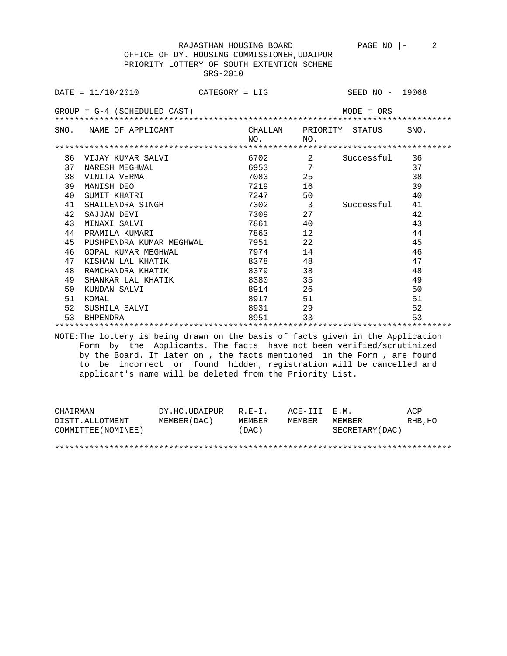OFFICE OF DY. HOUSING COMMISSIONER,UDAIPUR PRIORITY LOTTERY OF SOUTH EXTENTION SCHEME SRS-2010

|    | CATEGORY = LIG<br>$DATA = 11/10/2010$ |  |                         |     | SEED NO - 19068 |      |  |
|----|---------------------------------------|--|-------------------------|-----|-----------------|------|--|
|    | $GROUP = G-4$ (SCHEDULED CAST)        |  |                         |     | $MODE = ORS$    |      |  |
|    | SNO. NAME OF APPLICANT                |  | CHALLAN PRIORITY STATUS |     |                 | SNO. |  |
|    |                                       |  | NO.                     | NO. |                 |      |  |
|    |                                       |  |                         |     |                 |      |  |
| 36 | VIJAY KUMAR SALVI                     |  | 6702                    | 2   | Successful      | 36   |  |
| 37 | NARESH MEGHWAL                        |  |                         | 7   |                 | 37   |  |
| 38 | VINITA VERMA                          |  |                         | 25  |                 | 38   |  |
| 39 | MANISH DEO                            |  | 7219                    | 16  |                 | 39   |  |
| 40 | SUMIT KHATRI                          |  | 7247                    | 50  |                 | 40   |  |
| 41 | SHAILENDRA SINGH                      |  | 7302 3                  |     | Successful      | 41   |  |
| 42 | SAJJAN DEVI                           |  | 7309                    | 27  |                 | 42   |  |
| 43 | MINAXI SALVI                          |  | 7861 - 1                | 40  |                 | 43   |  |
| 44 | PRAMILA KUMARI                        |  | 7863 78                 | 12  |                 | 44   |  |
| 45 | PUSHPENDRA KUMAR MEGHWAL              |  | 7951 790                | 22  |                 | 45   |  |
| 46 | GOPAL KUMAR MEGHWAL                   |  | 7974                    | 14  |                 | 46   |  |
| 47 | KISHAN LAL KHATIK                     |  | 8378                    | 48  |                 | 47   |  |
| 48 | RAMCHANDRA KHATIK                     |  | 8379                    | 38  |                 | 48   |  |
| 49 | SHANKAR LAL KHATIK                    |  | 8380                    | 35  |                 | 49   |  |
| 50 | KUNDAN SALVI                          |  | 8914                    | 26  |                 | 50   |  |
| 51 | KOMAL                                 |  | 8917 — 10               | 51  |                 | 51   |  |
| 52 | SUSHILA SALVI                         |  | 8931 — 100              | 29  |                 | 52   |  |
| 53 | BHPENDRA                              |  | 8951                    | 33  |                 | 53   |  |
|    |                                       |  |                         |     |                 |      |  |

NOTE:The lottery is being drawn on the basis of facts given in the Application Form by the Applicants. The facts have not been verified/scrutinized by the Board. If later on , the facts mentioned in the Form , are found to be incorrect or found hidden, registration will be cancelled and applicant's name will be deleted from the Priority List.

| CHAIRMAN            | DY.HC.UDAIPUR | $R$ . $F - T$ . | ACE-III E.M. |                 | ACP     |
|---------------------|---------------|-----------------|--------------|-----------------|---------|
| DISTT.ALLOTMENT     | MEMBER (DAC)  | MEMBER          | MEMBER       | MEMBER          | RHB, HO |
| COMMITTEE (NOMINEE) |               | (DAC)           |              | SECRETARY (DAC) |         |
|                     |               |                 |              |                 |         |
|                     |               |                 |              |                 |         |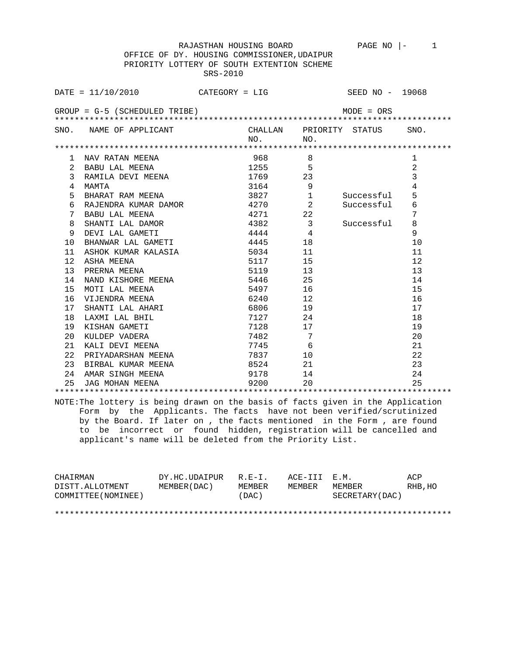OFFICE OF DY. HOUSING COMMISSIONER,UDAIPUR PRIORITY LOTTERY OF SOUTH EXTENTION SCHEME SRS-2010

|                | DATE = $11/10/2010$ CATEGORY = LIG SEED NO - 19068 |                |                          |            |                |  |  |  |
|----------------|----------------------------------------------------|----------------|--------------------------|------------|----------------|--|--|--|
|                | $GROUP = G-5$ (SCHEDULED TRIBE)<br>$MODE = ORS$    |                |                          |            |                |  |  |  |
|                | SNO. NAME OF APPLICANT CHALLAN PRIORITY STATUS     | NO.<br>$N_O$ . |                          |            | SNO.           |  |  |  |
|                |                                                    |                |                          |            |                |  |  |  |
| ı.             | NAV RATAN MEENA                                    | 968            | 8                        |            | 1              |  |  |  |
| $\overline{2}$ | BABU LAL MEENA                                     | 1255           | 5                        |            | $\overline{2}$ |  |  |  |
| 3              | RAMILA DEVI MEENA                                  | 1769 23        |                          |            | $\overline{3}$ |  |  |  |
| 4              | MAMTA                                              | 3164           | $\overline{\phantom{0}}$ |            | 4              |  |  |  |
| 5              | BHARAT RAM MEENA                                   | 3827 1         |                          | Successful | 5              |  |  |  |
| 6              | RAJENDRA KUMAR DAMOR 4270                          |                | 2                        | Successful | 6              |  |  |  |
| 7              | BABU LAL MEENA                                     | 4271 22        |                          |            | 7              |  |  |  |
| 8              | SHANTI LAL DAMOR                                   | 4382 3         |                          | Successful | 8              |  |  |  |
| 9              | DEVI LAL GAMETI                                    | 4444           | $\overline{4}$           |            | 9              |  |  |  |
| 10             | BHANWAR LAL GAMETI 4445                            |                | 18                       |            | 10             |  |  |  |
| 11             |                                                    |                | 11                       |            | 11             |  |  |  |
| $12 \,$        |                                                    | 5117           | 15                       |            | 12             |  |  |  |
| 13             | PRERNA MEENA                                       | 5119           | 13                       |            | 13             |  |  |  |
| 14             | NAND KISHORE MEENA                                 | 5446           | 25                       |            | 14             |  |  |  |
| 15             | MOTI LAL MEENA                                     | 5497           | 16                       |            | 15             |  |  |  |
| 16             | VIJENDRA MEENA                                     | 6240           | 12                       |            | 16             |  |  |  |
| 17             | SHANTI LAL AHARI                                   | 6806 11        | 19                       |            | 17             |  |  |  |
| 18             | LAXMI LAL BHIL                                     | 7127           | - 24                     |            | 18             |  |  |  |
| 19             | KISHAN GAMETI                                      | 7128 17        |                          |            | 19             |  |  |  |
| 20             | KULDEP VADERA                                      | 7482           | 7                        |            | 20             |  |  |  |
| 21             | KALI DEVI MEENA                                    | 7745           | 6                        |            | 21             |  |  |  |
| 22             | PRIYADARSHAN MEENA                                 | 7837           | 10                       |            | 22             |  |  |  |
| 23             | BIRBAL KUMAR MEENA                                 | 8524           | 21                       |            | 23             |  |  |  |
| 24             | AMAR SINGH MEENA                                   | 9178           | 14                       |            | 24             |  |  |  |
| 25             | JAG MOHAN MEENA                                    | 9200 — 100     | 20                       |            | 25             |  |  |  |
|                |                                                    |                |                          |            |                |  |  |  |

NOTE:The lottery is being drawn on the basis of facts given in the Application Form by the Applicants. The facts have not been verified/scrutinized by the Board. If later on , the facts mentioned in the Form , are found to be incorrect or found hidden, registration will be cancelled and applicant's name will be deleted from the Priority List.

| CHAIRMAN            | DY.HC.UDAIPUR | $R.E-I.$ | ACE-III E.M. |                 | ACP     |
|---------------------|---------------|----------|--------------|-----------------|---------|
| DISTT.ALLOTMENT     | MEMBER (DAC)  | MEMBER   | MEMBER       | MEMBER          | RHB, HO |
| COMMITTEE (NOMINEE) |               | (DAC)    |              | SECRETARY (DAC) |         |
|                     |               |          |              |                 |         |

\*\*\*\*\*\*\*\*\*\*\*\*\*\*\*\*\*\*\*\*\*\*\*\*\*\*\*\*\*\*\*\*\*\*\*\*\*\*\*\*\*\*\*\*\*\*\*\*\*\*\*\*\*\*\*\*\*\*\*\*\*\*\*\*\*\*\*\*\*\*\*\*\*\*\*\*\*\*\*\*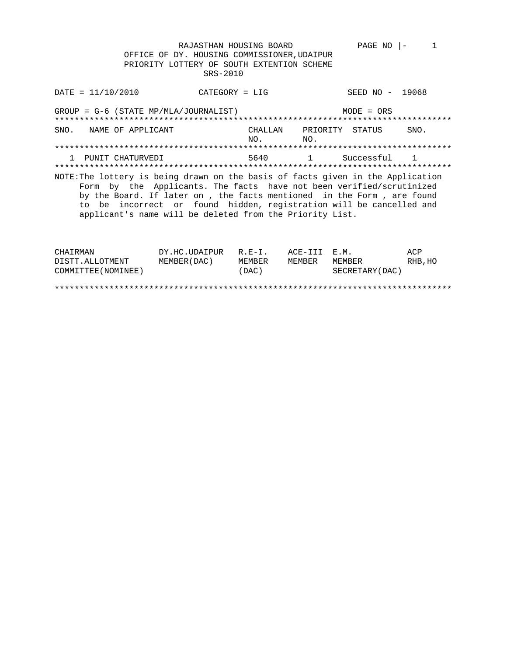CATEGORY = LIG SEED NO - 19068  $DATA = 11/10/2010$  $GROUP = G-6$  (STATE MP/MLA/JOURNALIST)  $MODE = ORS$ SNO. NAME OF APPLICANT CHALLAN PRIORITY STATUS SNO.  $_{\rm NO}$  . NO. 1 PUNIT CHATURVEDI 5640 1 Successful 1 NOTE: The lottery is being drawn on the basis of facts given in the Application Form by the Applicants. The facts have not been verified/scrutinized by the Board. If later on , the facts mentioned in the Form , are found to be incorrect or found hidden, registration will be cancelled and applicant's name will be deleted from the Priority List.

| CHAIRMAN            | DY.HC.UDAIPUR | $R.E-I.$ | ACE-III E.M. |                 | ACP      |
|---------------------|---------------|----------|--------------|-----------------|----------|
| DISTT.ALLOTMENT     | MEMBER (DAC)  | MEMBER   | MEMBER       | MEMBER          | RHB . HO |
| COMMITTEE (NOMINEE) |               | (DAC)    |              | SECRETARY (DAC) |          |
|                     |               |          |              |                 |          |
|                     |               |          |              |                 |          |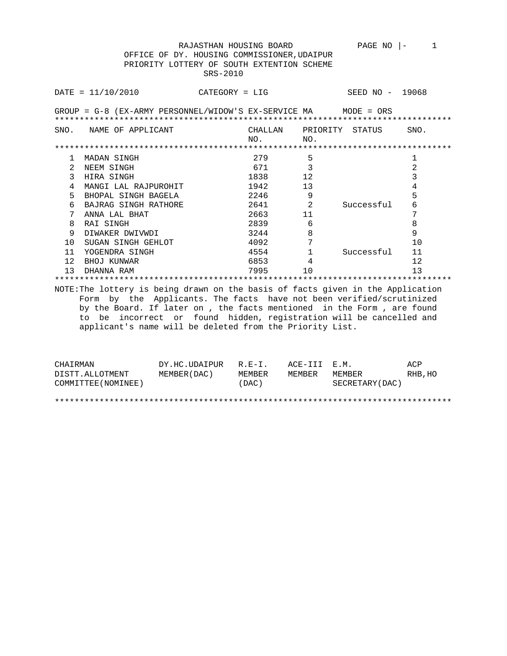|                                                                                 | DATA / 10 / 2010     | $CATEGORY = LIG$ |                            | SEED NO - 19068         |                |  |  |
|---------------------------------------------------------------------------------|----------------------|------------------|----------------------------|-------------------------|----------------|--|--|
| GROUP = G-8 (EX-ARMY PERSONNEL/WIDOW'S EX-SERVICE MA MODE = ORS                 |                      |                  |                            |                         |                |  |  |
| SNO.                                                                            | NAME OF APPLICANT    |                  | NO.<br>NO.                 | CHALLAN PRIORITY STATUS | SNO.           |  |  |
|                                                                                 |                      |                  |                            |                         |                |  |  |
| 1                                                                               | MADAN SINGH          |                  | 279<br>5                   |                         | 1              |  |  |
| 2                                                                               | NEEM SINGH           |                  | 671                        |                         | $\overline{2}$ |  |  |
| 3                                                                               | HIRA SINGH           |                  | 1838<br>12                 |                         | 3              |  |  |
| 4                                                                               | MANGI LAL RAJPUROHIT | 1942             | 13                         |                         | 4              |  |  |
| 5                                                                               | BHOPAL SINGH BAGELA  |                  | 9<br>2246                  |                         | 5              |  |  |
| 6                                                                               | BAJRAG SINGH RATHORE |                  | $\overline{2}$<br>2641 200 | Successful              | 6              |  |  |
| 7                                                                               | ANNA LAL BHAT        |                  | 2663<br>11                 |                         | 7              |  |  |
| 8                                                                               | RAI SINGH            |                  | 6<br>2839                  |                         | 8              |  |  |
| 9                                                                               | DIWAKER DWIVWDI      | 3244             | 8                          |                         | 9              |  |  |
| $10^{-}$                                                                        | SUGAN SINGH GEHLOT   | 4092             | 7                          |                         | 10             |  |  |
| 11                                                                              | YOGENDRA SINGH       | 4554             | $\mathbf{1}$               | Successful              | 11             |  |  |
| 12                                                                              | BHOJ KUNWAR          |                  | 6853<br>4                  |                         | 12             |  |  |
| 13                                                                              | DHANNA RAM           | 7995             | 10                         |                         | 13             |  |  |
|                                                                                 |                      |                  |                            |                         |                |  |  |
| NOTE: The lottery is being drawn on the basis of facts given in the Application |                      |                  |                            |                         |                |  |  |
| Form by the Applicants. The facts have not been verified/scrutinized            |                      |                  |                            |                         |                |  |  |
| by the Board. If later on, the facts mentioned in the Form, are found           |                      |                  |                            |                         |                |  |  |
| to be incorrect or found hidden, registration will be cancelled and             |                      |                  |                            |                         |                |  |  |
| applicant's name will be deleted from the Priority List.                        |                      |                  |                            |                         |                |  |  |
|                                                                                 |                      |                  |                            |                         |                |  |  |

| CHAIRMAN            | DY.HC.UDAIPUR | $R.E-I.$ | ACE-TTT F.M. |                 | ACP     |
|---------------------|---------------|----------|--------------|-----------------|---------|
| DISTT.ALLOTMENT     | MEMBER (DAC)  | MEMBER   | MEMBER       | MEMBER          | RHB, HO |
| COMMITTEE (NOMINEE) |               | (DAC)    |              | SECRETARY (DAC) |         |
|                     |               |          |              |                 |         |
|                     |               |          |              |                 |         |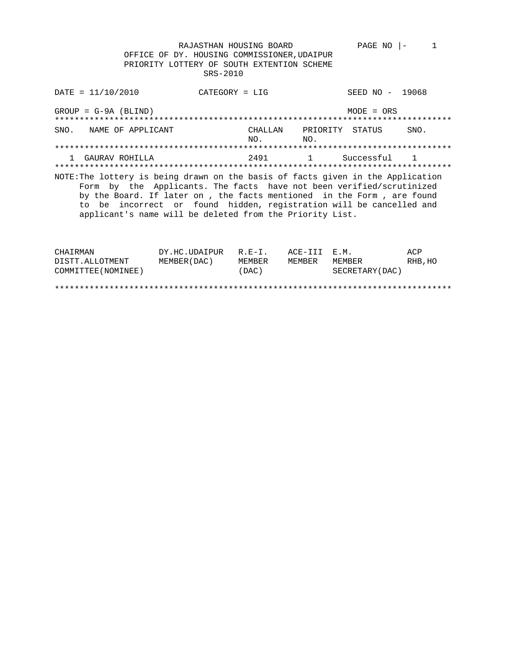CATEGORY = LIG SEED NO - 19068  $\texttt{DATE} = 11/10/2010$  $GROUP = G-9A (BLIND)$  $MODE = ORS$ SNO. NAME OF APPLICANT CHALLAN PRIORITY STATUS SNO.  $NO.$  $NO.$ 1 GAURAV ROHILLA 2491 1 Successful 1 NOTE: The lottery is being drawn on the basis of facts given in the Application Form by the Applicants. The facts have not been verified/scrutinized by the Board. If later on, the facts mentioned in the Form, are found to be incorrect or found hidden, registration will be cancelled and applicant's name will be deleted from the Priority List.

PAGE NO  $|-$  1

| CHAIRMAN            | DY.HC.UDAIPUR | $R$ . $F - T$ . | ACE-III E.M. |                 | ACP     |
|---------------------|---------------|-----------------|--------------|-----------------|---------|
| DISTT.ALLOTMENT     | MEMBER (DAC)  | MEMBER          | MEMBER       | MEMBER          | RHB, HO |
| COMMITTEE (NOMINEE) |               | (DAC)           |              | SECRETARY (DAC) |         |
|                     |               |                 |              |                 |         |
|                     |               |                 |              |                 |         |